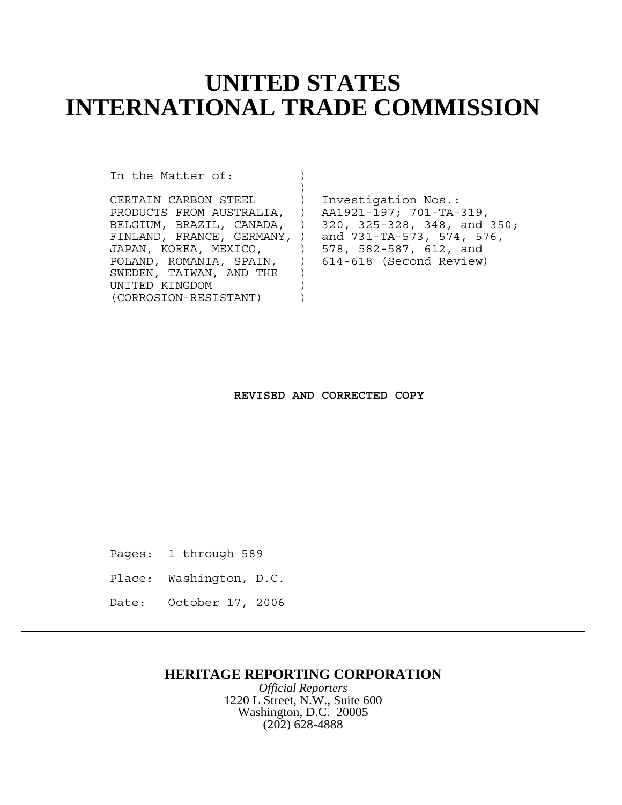# **UNITED STATES INTERNATIONAL TRADE COMMISSION**

In the Matter of:

CERTAIN CARBON STEEL ) Investigation Nos.: PRODUCTS FROM AUSTRALIA, ) AA1921-197; 701-TA-319, FINLAND, FRANCE, GERMANY, ) and 731-TA-573, 574, 576, JAPAN, KOREA, MEXICO,  $\vert$  578, 582-587, 612, and POLAND, ROMANIA, SPAIN, ) 614-618 (Second Review) SWEDEN, TAIWAN, AND THE ) UNITED KINGDOM ) (CORROSION-RESISTANT) )

)

BELGIUM, BRAZIL, CANADA, ) 320, 325-328, 348, and 350;

#### **REVISED AND CORRECTED COPY**

Pages: 1 through 589

- Place: Washington, D.C.
- Date: October 17, 2006

### **HERITAGE REPORTING CORPORATION**

*Official Reporters* 1220 L Street, N.W., Suite 600 Washington, D.C. 20005 (202) 628-4888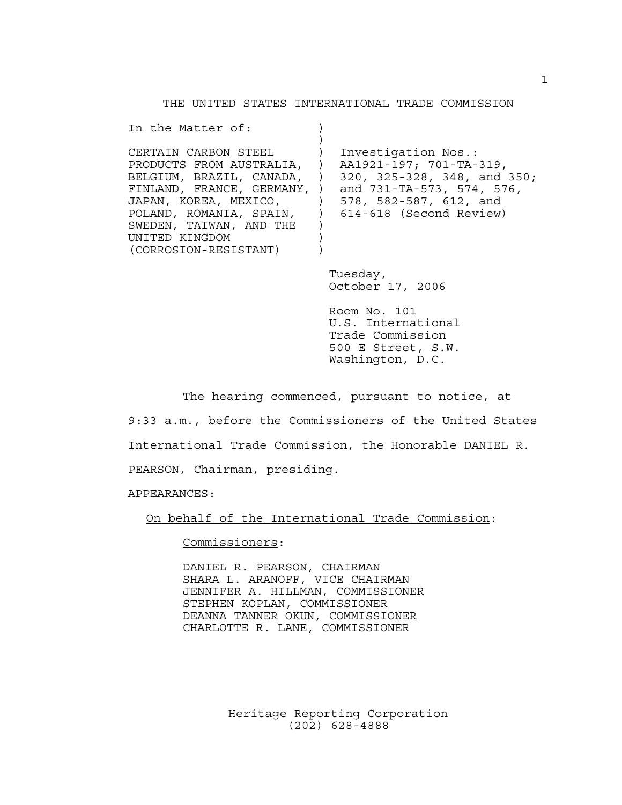THE UNITED STATES INTERNATIONAL TRADE COMMISSION

| In the Matter of:                                                                                                                                                                                              |                                                                                                                                                                                             |
|----------------------------------------------------------------------------------------------------------------------------------------------------------------------------------------------------------------|---------------------------------------------------------------------------------------------------------------------------------------------------------------------------------------------|
| CERTAIN CARBON STEEL<br>PRODUCTS FROM AUSTRALIA, )<br>BELGIUM, BRAZIL, CANADA, )<br>FINLAND, FRANCE, GERMANY, )<br>JAPAN, KOREA, MEXICO,<br>SWEDEN, TAIWAN, AND THE<br>UNITED KINGDOM<br>(CORROSION-RESISTANT) | Investigation Nos.:<br>AA1921-197; 701-TA-319,<br>320, 325-328, 348, and 350;<br>and 731-TA-573, 574, 576,<br>) 578, 582-587, 612, and<br>POLAND, ROMANIA, SPAIN, ) 614-618 (Second Review) |
|                                                                                                                                                                                                                | Tuesday,<br>October 17, 2006                                                                                                                                                                |

Room No. 101 U.S. International Trade Commission 500 E Street, S.W. Washington, D.C.

The hearing commenced, pursuant to notice, at

9:33 a.m., before the Commissioners of the United States International Trade Commission, the Honorable DANIEL R. PEARSON, Chairman, presiding.

APPEARANCES:

On behalf of the International Trade Commission:

Commissioners:

DANIEL R. PEARSON, CHAIRMAN SHARA L. ARANOFF, VICE CHAIRMAN JENNIFER A. HILLMAN, COMMISSIONER STEPHEN KOPLAN, COMMISSIONER DEANNA TANNER OKUN, COMMISSIONER CHARLOTTE R. LANE, COMMISSIONER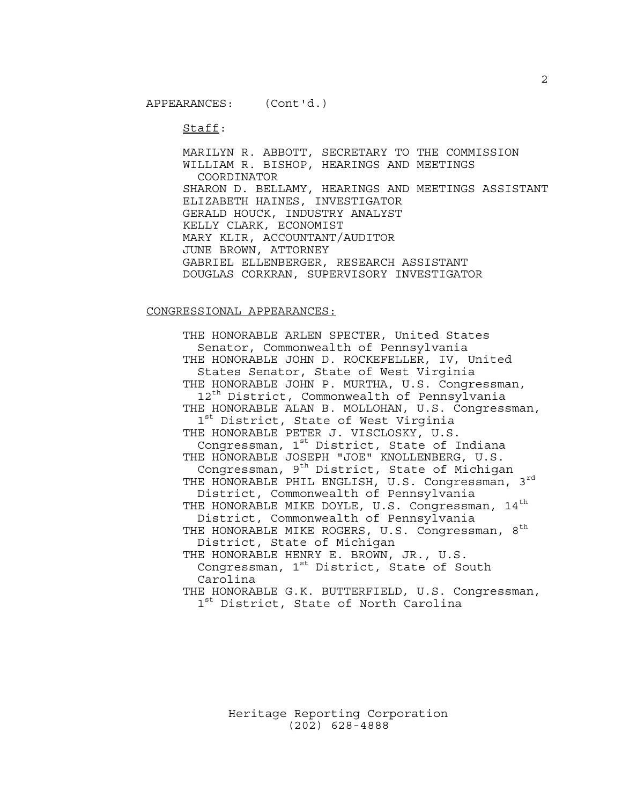Staff:

MARILYN R. ABBOTT, SECRETARY TO THE COMMISSION WILLIAM R. BISHOP, HEARINGS AND MEETINGS COORDINATOR SHARON D. BELLAMY, HEARINGS AND MEETINGS ASSISTANT ELIZABETH HAINES, INVESTIGATOR GERALD HOUCK, INDUSTRY ANALYST KELLY CLARK, ECONOMIST MARY KLIR, ACCOUNTANT/AUDITOR JUNE BROWN, ATTORNEY GABRIEL ELLENBERGER, RESEARCH ASSISTANT DOUGLAS CORKRAN, SUPERVISORY INVESTIGATOR

#### CONGRESSIONAL APPEARANCES:

THE HONORABLE ARLEN SPECTER, United States Senator, Commonwealth of Pennsylvania THE HONORABLE JOHN D. ROCKEFELLER, IV, United States Senator, State of West Virginia THE HONORABLE JOHN P. MURTHA, U.S. Congressman, 12<sup>th</sup> District, Commonwealth of Pennsylvania THE HONORABLE ALAN B. MOLLOHAN, U.S. Congressman, 1<sup>st</sup> District, State of West Virginia THE HONORABLE PETER J. VISCLOSKY, U.S. Congressman, 1st District, State of Indiana THE HONORABLE JOSEPH "JOE" KNOLLENBERG, U.S. Congressman, 9<sup>th</sup> District, State of Michigan THE HONORABLE PHIL ENGLISH, U.S. Congressman, 3rd District, Commonwealth of Pennsylvania THE HONORABLE MIKE DOYLE, U.S. Congressman, 14<sup>th</sup> District, Commonwealth of Pennsylvania THE HONORABLE MIKE ROGERS, U.S. Congressman, 8<sup>th</sup> District, State of Michigan THE HONORABLE HENRY E. BROWN, JR., U.S. Congressman,  $1^{st}$  District, State of South Carolina THE HONORABLE G.K. BUTTERFIELD, U.S. Congressman, 1<sup>st</sup> District, State of North Carolina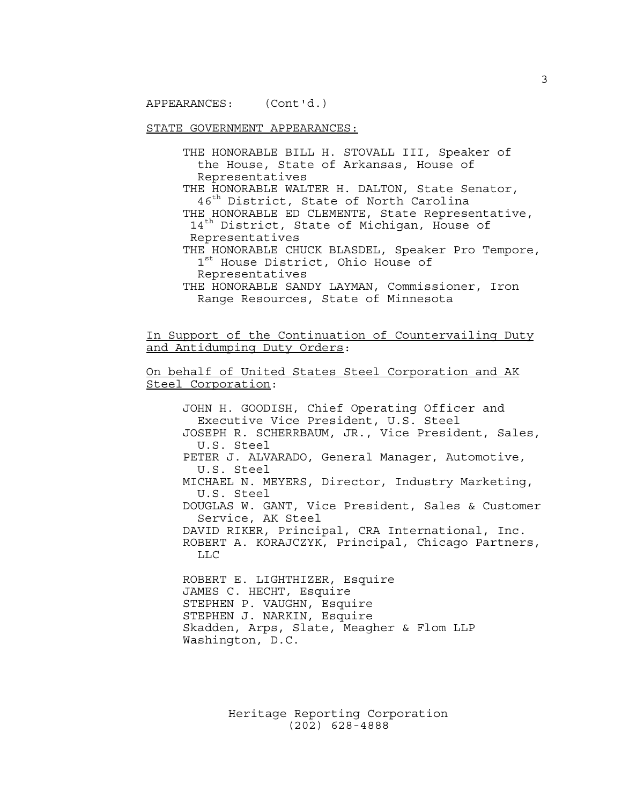STATE GOVERNMENT APPEARANCES:

THE HONORABLE BILL H. STOVALL III, Speaker of the House, State of Arkansas, House of Representatives

THE HONORABLE WALTER H. DALTON, State Senator, 46<sup>th</sup> District, State of North Carolina

THE HONORABLE ED CLEMENTE, State Representative, 14<sup>th</sup> District, State of Michigan, House of Representatives

THE HONORABLE CHUCK BLASDEL, Speaker Pro Tempore,  $1^{\text{st}}$  House District, Ohio House of Representatives

THE HONORABLE SANDY LAYMAN, Commissioner, Iron Range Resources, State of Minnesota

In Support of the Continuation of Countervailing Duty and Antidumping Duty Orders:

On behalf of United States Steel Corporation and AK Steel Corporation:

JOHN H. GOODISH, Chief Operating Officer and Executive Vice President, U.S. Steel JOSEPH R. SCHERRBAUM, JR., Vice President, Sales, U.S. Steel PETER J. ALVARADO, General Manager, Automotive, U.S. Steel MICHAEL N. MEYERS, Director, Industry Marketing, U.S. Steel DOUGLAS W. GANT, Vice President, Sales & Customer Service, AK Steel DAVID RIKER, Principal, CRA International, Inc. ROBERT A. KORAJCZYK, Principal, Chicago Partners, LLC

ROBERT E. LIGHTHIZER, Esquire JAMES C. HECHT, Esquire STEPHEN P. VAUGHN, Esquire STEPHEN J. NARKIN, Esquire Skadden, Arps, Slate, Meagher & Flom LLP Washington, D.C.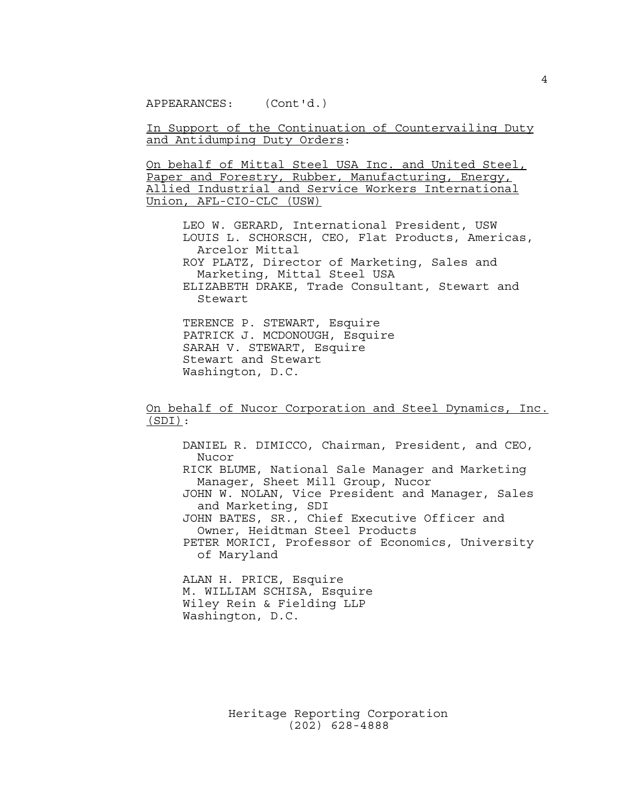In Support of the Continuation of Countervailing Duty and Antidumping Duty Orders:

On behalf of Mittal Steel USA Inc. and United Steel, Paper and Forestry, Rubber, Manufacturing, Energy, Allied Industrial and Service Workers International Union, AFL-CIO-CLC (USW)

LEO W. GERARD, International President, USW LOUIS L. SCHORSCH, CEO, Flat Products, Americas, Arcelor Mittal ROY PLATZ, Director of Marketing, Sales and Marketing, Mittal Steel USA ELIZABETH DRAKE, Trade Consultant, Stewart and Stewart

TERENCE P. STEWART, Esquire PATRICK J. MCDONOUGH, Esquire SARAH V. STEWART, Esquire Stewart and Stewart Washington, D.C.

On behalf of Nucor Corporation and Steel Dynamics, Inc. (SDI):

DANIEL R. DIMICCO, Chairman, President, and CEO, Nucor RICK BLUME, National Sale Manager and Marketing Manager, Sheet Mill Group, Nucor JOHN W. NOLAN, Vice President and Manager, Sales and Marketing, SDI JOHN BATES, SR., Chief Executive Officer and Owner, Heidtman Steel Products PETER MORICI, Professor of Economics, University of Maryland

ALAN H. PRICE, Esquire M. WILLIAM SCHISA, Esquire Wiley Rein & Fielding LLP Washington, D.C.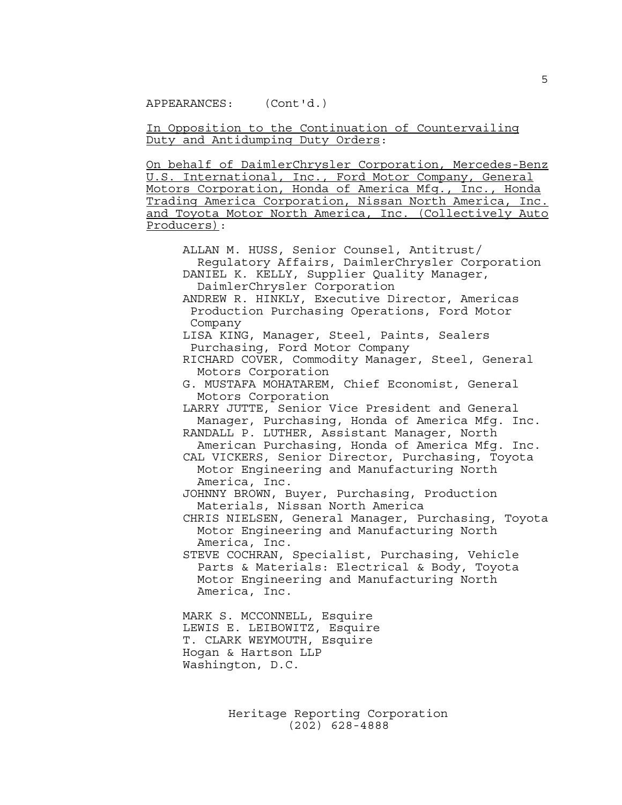In Opposition to the Continuation of Countervailing Duty and Antidumping Duty Orders:

On behalf of DaimlerChrysler Corporation, Mercedes-Benz U.S. International, Inc., Ford Motor Company, General Motors Corporation, Honda of America Mfg., Inc., Honda Trading America Corporation, Nissan North America, Inc. and Toyota Motor North America, Inc. (Collectively Auto Producers):

ALLAN M. HUSS, Senior Counsel, Antitrust/ Regulatory Affairs, DaimlerChrysler Corporation DANIEL K. KELLY, Supplier Quality Manager, DaimlerChrysler Corporation ANDREW R. HINKLY, Executive Director, Americas Production Purchasing Operations, Ford Motor Company LISA KING, Manager, Steel, Paints, Sealers Purchasing, Ford Motor Company RICHARD COVER, Commodity Manager, Steel, General Motors Corporation G. MUSTAFA MOHATAREM, Chief Economist, General Motors Corporation LARRY JUTTE, Senior Vice President and General Manager, Purchasing, Honda of America Mfg. Inc. RANDALL P. LUTHER, Assistant Manager, North American Purchasing, Honda of America Mfg. Inc. CAL VICKERS, Senior Director, Purchasing, Toyota Motor Engineering and Manufacturing North America, Inc. JOHNNY BROWN, Buyer, Purchasing, Production Materials, Nissan North America CHRIS NIELSEN, General Manager, Purchasing, Toyota Motor Engineering and Manufacturing North America, Inc. STEVE COCHRAN, Specialist, Purchasing, Vehicle Parts & Materials: Electrical & Body, Toyota Motor Engineering and Manufacturing North America, Inc. MARK S. MCCONNELL, Esquire LEWIS E. LEIBOWITZ, Esquire T. CLARK WEYMOUTH, Esquire Hogan & Hartson LLP Washington, D.C.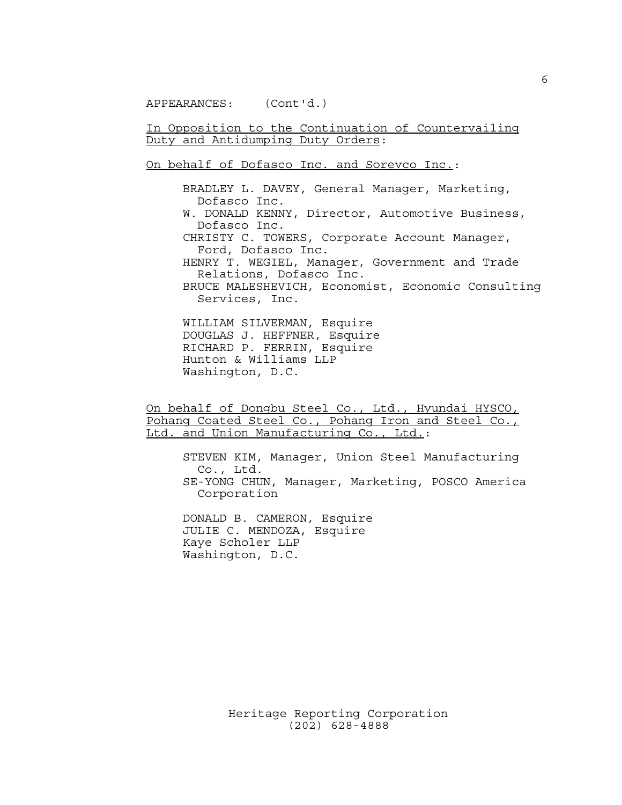In Opposition to the Continuation of Countervailing Duty and Antidumping Duty Orders:

On behalf of Dofasco Inc. and Sorevco Inc.:

BRADLEY L. DAVEY, General Manager, Marketing, Dofasco Inc. W. DONALD KENNY, Director, Automotive Business, Dofasco Inc. CHRISTY C. TOWERS, Corporate Account Manager, Ford, Dofasco Inc. HENRY T. WEGIEL, Manager, Government and Trade Relations, Dofasco Inc. BRUCE MALESHEVICH, Economist, Economic Consulting Services, Inc. WILLIAM SILVERMAN, Esquire

DOUGLAS J. HEFFNER, Esquire RICHARD P. FERRIN, Esquire Hunton & Williams LLP Washington, D.C.

On behalf of Dongbu Steel Co., Ltd., Hyundai HYSCO, Pohang Coated Steel Co., Pohang Iron and Steel Co., Ltd. and Union Manufacturing Co., Ltd.:

STEVEN KIM, Manager, Union Steel Manufacturing Co., Ltd. SE-YONG CHUN, Manager, Marketing, POSCO America Corporation

DONALD B. CAMERON, Esquire JULIE C. MENDOZA, Esquire Kaye Scholer LLP Washington, D.C.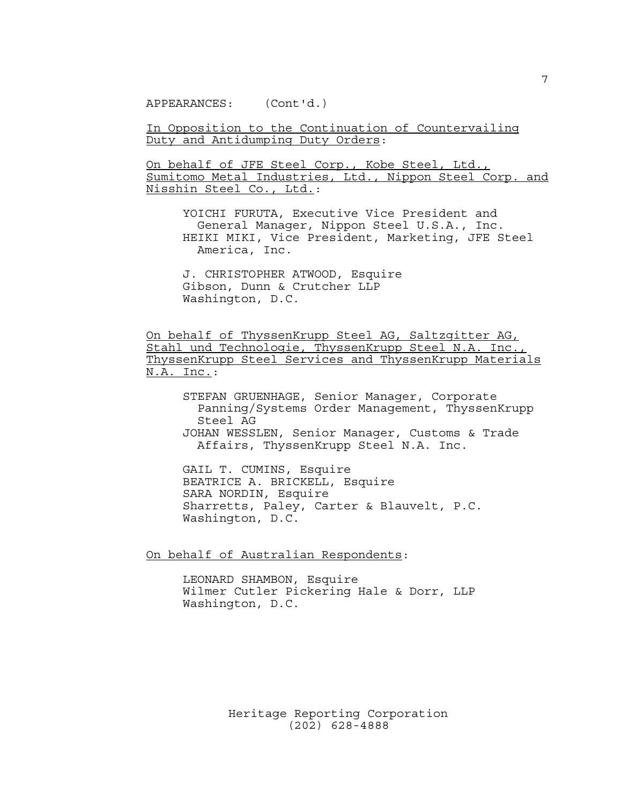In Opposition to the Continuation of Countervailing Duty and Antidumping Duty Orders:

On behalf of JFE Steel Corp., Kobe Steel, Ltd., Sumitomo Metal Industries, Ltd., Nippon Steel Corp. and Nisshin Steel Co., Ltd.:

YOICHI FURUTA, Executive Vice President and General Manager, Nippon Steel U.S.A., Inc. HEIKI MIKI, Vice President, Marketing, JFE Steel America, Inc.

J. CHRISTOPHER ATWOOD, Esquire Gibson, Dunn & Crutcher LLP Washington, D.C.

On behalf of ThyssenKrupp Steel AG, Saltzgitter AG, Stahl und Technologie, ThyssenKrupp Steel N.A. Inc., ThyssenKrupp Steel Services and ThyssenKrupp Materials N.A. Inc.:

STEFAN GRUENHAGE, Senior Manager, Corporate Panning/Systems Order Management, ThyssenKrupp Steel AG JOHAN WESSLEN, Senior Manager, Customs & Trade

Affairs, ThyssenKrupp Steel N.A. Inc.

GAIL T. CUMINS, Esquire BEATRICE A. BRICKELL, Esquire SARA NORDIN, Esquire Sharretts, Paley, Carter & Blauvelt, P.C. Washington, D.C.

On behalf of Australian Respondents:

LEONARD SHAMBON, Esquire Wilmer Cutler Pickering Hale & Dorr, LLP Washington, D.C.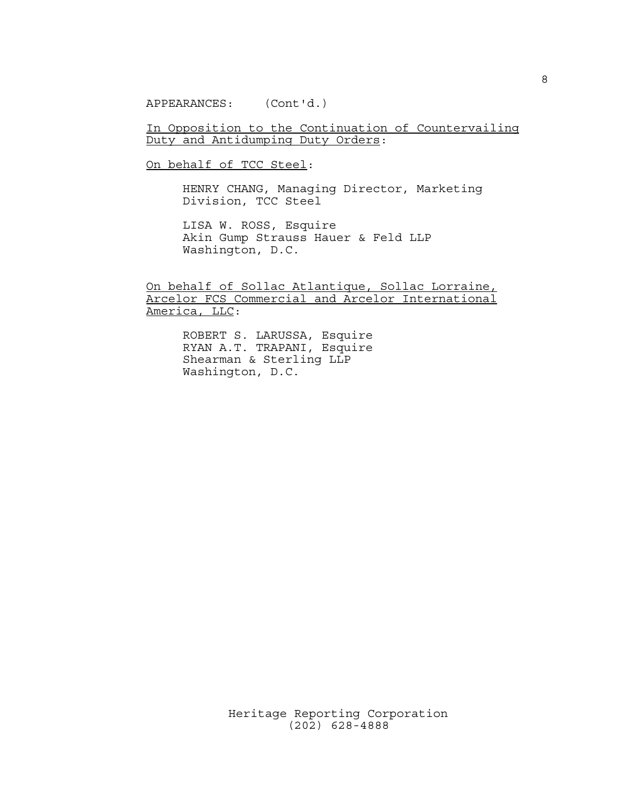In Opposition to the Continuation of Countervailing Duty and Antidumping Duty Orders:

On behalf of TCC Steel:

HENRY CHANG, Managing Director, Marketing Division, TCC Steel

LISA W. ROSS, Esquire Akin Gump Strauss Hauer & Feld LLP Washington, D.C.

On behalf of Sollac Atlantique, Sollac Lorraine, Arcelor FCS Commercial and Arcelor International America, LLC:

> ROBERT S. LARUSSA, Esquire RYAN A.T. TRAPANI, Esquire Shearman & Sterling LLP Washington, D.C.

(202) 628-4888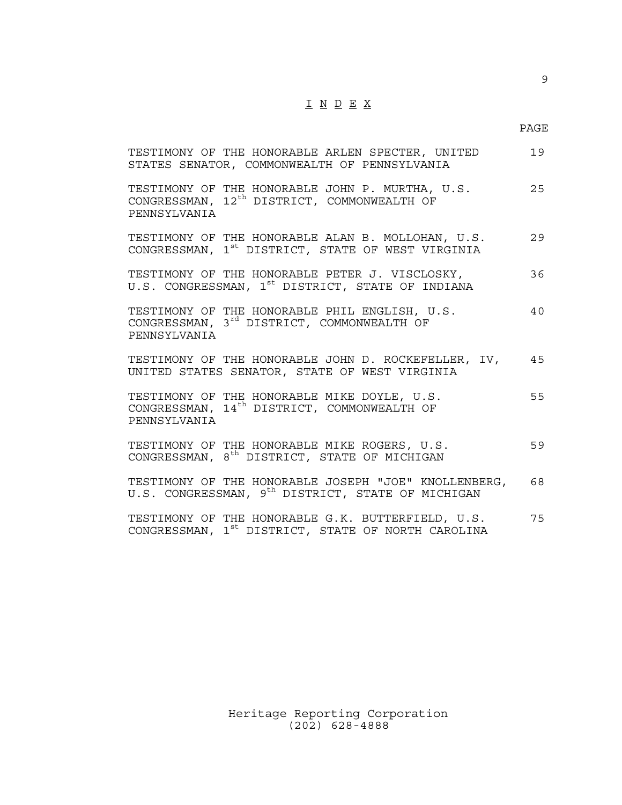## $\underline{\texttt{I}} \underline{\texttt{N}} \underline{\texttt{D}} \underline{\texttt{E}} \underline{\texttt{X}}$

9

| TESTIMONY OF THE HONORABLE ARLEN SPECTER, UNITED<br>STATES SENATOR, COMMONWEALTH OF PENNSYLVANIA                           | 19 |
|----------------------------------------------------------------------------------------------------------------------------|----|
| TESTIMONY OF THE HONORABLE JOHN P. MURTHA, U.S.<br>CONGRESSMAN, 12 <sup>th</sup> DISTRICT, COMMONWEALTH OF<br>PENNSYLVANIA | 25 |
| TESTIMONY OF THE HONORABLE ALAN B. MOLLOHAN, U.S.<br>CONGRESSMAN, 1 <sup>st</sup> DISTRICT, STATE OF WEST VIRGINIA         | 29 |
| TESTIMONY OF THE HONORABLE PETER J. VISCLOSKY,<br>U.S. CONGRESSMAN, 1 <sup>st</sup> DISTRICT, STATE OF INDIANA             | 36 |
| TESTIMONY OF THE HONORABLE PHIL ENGLISH, U.S.<br>CONGRESSMAN, 3 <sup>rd</sup> DISTRICT, COMMONWEALTH OF<br>PENNSYLVANIA    | 40 |
| TESTIMONY OF THE HONORABLE JOHN D. ROCKEFELLER, IV, 45<br>UNITED STATES SENATOR, STATE OF WEST VIRGINIA                    |    |
| TESTIMONY OF THE HONORABLE MIKE DOYLE, U.S.<br>CONGRESSMAN, 14 <sup>th</sup> DISTRICT, COMMONWEALTH OF<br>PENNSYLVANIA     | 55 |
| TESTIMONY OF THE HONORABLE MIKE ROGERS, U.S.<br>CONGRESSMAN, 8 <sup>th</sup> DISTRICT, STATE OF MICHIGAN                   | 59 |
| TESTIMONY OF THE HONORABLE JOSEPH "JOE" KNOLLENBERG, 68<br>U.S. CONGRESSMAN, 9 <sup>th</sup> DISTRICT, STATE OF MICHIGAN   |    |
| TESTIMONY OF THE HONORABLE G.K. BUTTERFIELD, U.S.<br>CONGRESSMAN, 1 <sup>st</sup> DISTRICT, STATE OF NORTH CAROLINA        | 75 |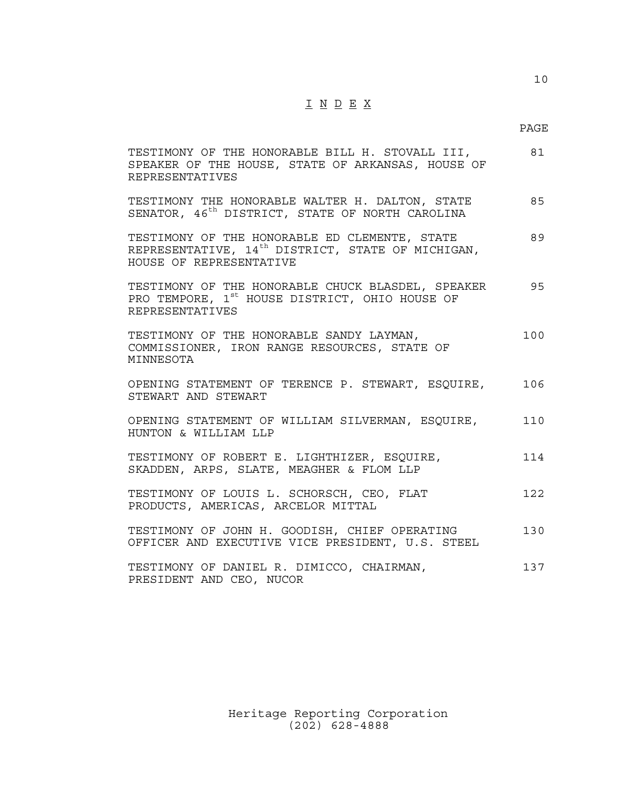## $\underline{\texttt{I}} \ \underline{\texttt{N}} \ \underline{\texttt{D}} \ \underline{\texttt{E}} \ \underline{\texttt{X}}$

#### PAGE

| TESTIMONY OF THE HONORABLE BILL H. STOVALL III,<br>SPEAKER OF THE HOUSE, STATE OF ARKANSAS, HOUSE OF<br><b>REPRESENTATIVES</b>            | 81  |
|-------------------------------------------------------------------------------------------------------------------------------------------|-----|
| TESTIMONY THE HONORABLE WALTER H. DALTON, STATE<br>SENATOR, 46 <sup>th</sup> DISTRICT, STATE OF NORTH CAROLINA                            | 85  |
| TESTIMONY OF THE HONORABLE ED CLEMENTE, STATE<br>REPRESENTATIVE, 14 <sup>th</sup> DISTRICT, STATE OF MICHIGAN,<br>HOUSE OF REPRESENTATIVE | 89  |
| TESTIMONY OF THE HONORABLE CHUCK BLASDEL, SPEAKER<br>PRO TEMPORE, 1 <sup>st</sup> HOUSE DISTRICT, OHIO HOUSE OF<br><b>REPRESENTATIVES</b> | 95  |
| TESTIMONY OF THE HONORABLE SANDY LAYMAN,<br>COMMISSIONER, IRON RANGE RESOURCES, STATE OF<br>MINNESOTA                                     | 100 |
| OPENING STATEMENT OF TERENCE P. STEWART, ESQUIRE,<br>STEWART AND STEWART                                                                  | 106 |
| OPENING STATEMENT OF WILLIAM SILVERMAN, ESQUIRE,<br>HUNTON & WILLIAM LLP                                                                  | 110 |
| TESTIMONY OF ROBERT E. LIGHTHIZER, ESQUIRE,<br>SKADDEN, ARPS, SLATE, MEAGHER & FLOM LLP                                                   | 114 |
| TESTIMONY OF LOUIS L. SCHORSCH, CEO, FLAT<br>PRODUCTS, AMERICAS, ARCELOR MITTAL                                                           | 122 |
| TESTIMONY OF JOHN H. GOODISH, CHIEF OPERATING<br>OFFICER AND EXECUTIVE VICE PRESIDENT, U.S. STEEL                                         | 130 |
| TESTIMONY OF DANIEL R. DIMICCO, CHAIRMAN,<br>PRESIDENT AND CEO, NUCOR                                                                     | 137 |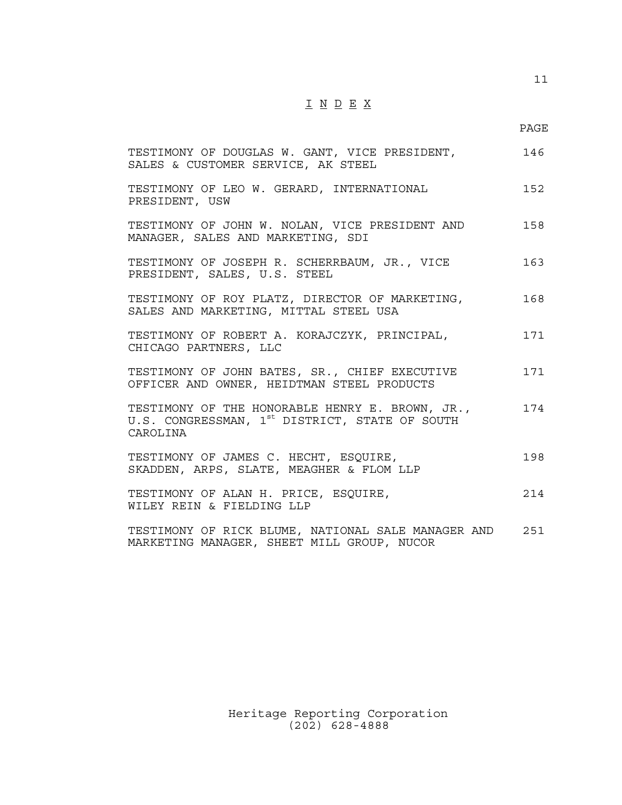## $\underline{\texttt{I}} \ \underline{\texttt{N}} \ \underline{\texttt{D}} \ \underline{\texttt{E}} \ \underline{\texttt{X}}$

11

| TESTIMONY OF DOUGLAS W. GANT, VICE PRESIDENT,<br>SALES & CUSTOMER SERVICE, AK STEEL                                       | 146 |
|---------------------------------------------------------------------------------------------------------------------------|-----|
| TESTIMONY OF LEO W. GERARD, INTERNATIONAL<br>PRESIDENT, USW                                                               | 152 |
| TESTIMONY OF JOHN W. NOLAN, VICE PRESIDENT AND<br>MANAGER, SALES AND MARKETING, SDI                                       | 158 |
| TESTIMONY OF JOSEPH R. SCHERRBAUM, JR., VICE<br>PRESIDENT, SALES, U.S. STEEL                                              | 163 |
| TESTIMONY OF ROY PLATZ, DIRECTOR OF MARKETING,<br>SALES AND MARKETING, MITTAL STEEL USA                                   | 168 |
| TESTIMONY OF ROBERT A. KORAJCZYK, PRINCIPAL,<br>CHICAGO PARTNERS, LLC                                                     | 171 |
| TESTIMONY OF JOHN BATES, SR., CHIEF EXECUTIVE<br>OFFICER AND OWNER, HEIDTMAN STEEL PRODUCTS                               | 171 |
| TESTIMONY OF THE HONORABLE HENRY E. BROWN, JR.,<br>U.S. CONGRESSMAN, $1^{\text{st}}$ DISTRICT, STATE OF SOUTH<br>CAROLINA | 174 |
| TESTIMONY OF JAMES C. HECHT, ESQUIRE,<br>SKADDEN, ARPS, SLATE, MEAGHER & FLOM LLP                                         | 198 |
| TESTIMONY OF ALAN H. PRICE, ESQUIRE,<br>WILEY REIN & FIELDING LLP                                                         | 214 |
| TESTIMONY OF RICK BLUME, NATIONAL SALE MANAGER AND 251<br>MARKETING MANAGER, SHEET MILL GROUP, NUCOR                      |     |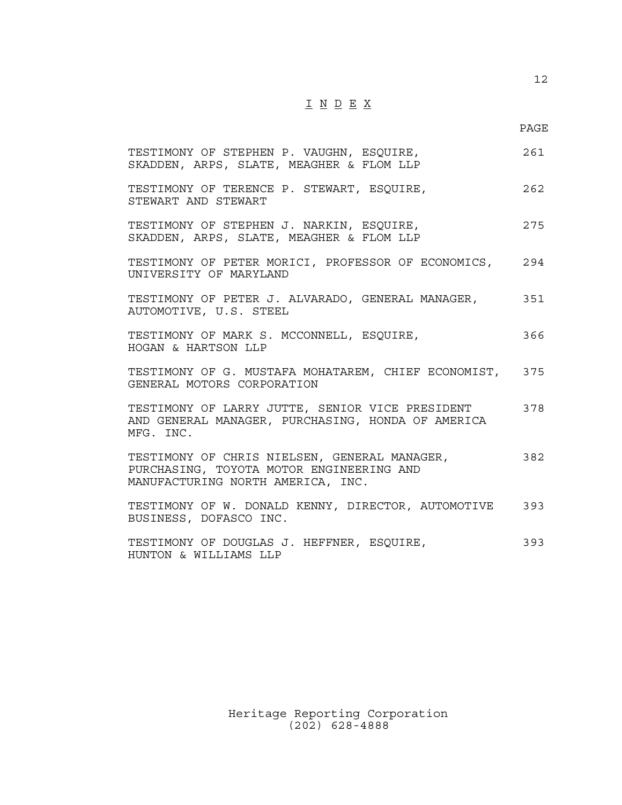## I N D E X

12

| TESTIMONY OF STEPHEN P. VAUGHN, ESQUIRE,<br>SKADDEN, ARPS, SLATE, MEAGHER & FLOM LLP                                          | 261 |
|-------------------------------------------------------------------------------------------------------------------------------|-----|
| TESTIMONY OF TERENCE P. STEWART, ESQUIRE,<br>STEWART AND STEWART                                                              | 262 |
| TESTIMONY OF STEPHEN J. NARKIN, ESQUIRE,<br>SKADDEN, ARPS, SLATE, MEAGHER & FLOM LLP                                          | 275 |
| TESTIMONY OF PETER MORICI, PROFESSOR OF ECONOMICS, 294<br>UNIVERSITY OF MARYLAND                                              |     |
| TESTIMONY OF PETER J. ALVARADO, GENERAL MANAGER,<br>351<br>AUTOMOTIVE, U.S. STEEL                                             |     |
| TESTIMONY OF MARK S. MCCONNELL, ESQUIRE,<br>HOGAN & HARTSON LLP                                                               | 366 |
| TESTIMONY OF G. MUSTAFA MOHATAREM, CHIEF ECONOMIST, 375<br>GENERAL MOTORS CORPORATION                                         |     |
| TESTIMONY OF LARRY JUTTE, SENIOR VICE PRESIDENT<br>AND GENERAL MANAGER, PURCHASING, HONDA OF AMERICA<br>MFG. INC.             | 378 |
| TESTIMONY OF CHRIS NIELSEN, GENERAL MANAGER,<br>PURCHASING, TOYOTA MOTOR ENGINEERING AND<br>MANUFACTURING NORTH AMERICA, INC. | 382 |
| TESTIMONY OF W. DONALD KENNY, DIRECTOR, AUTOMOTIVE 393<br>BUSINESS, DOFASCO INC.                                              |     |
| TESTIMONY OF DOUGLAS J. HEFFNER, ESQUIRE,<br>HUNTON & WILLIAMS LLP                                                            | 393 |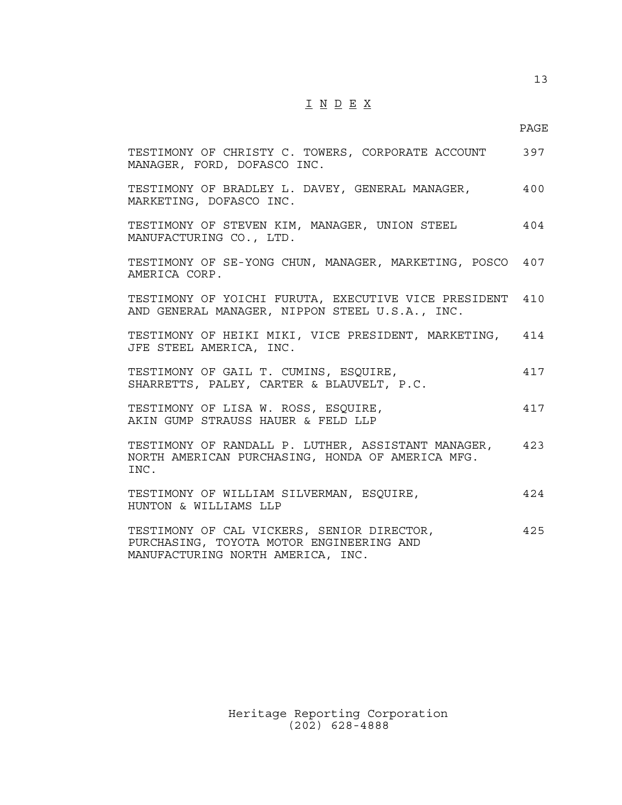## I N D E X

13

| TESTIMONY OF CHRISTY C. TOWERS, CORPORATE ACCOUNT<br>MANAGER, FORD, DOFASCO INC.                                            | 397 |
|-----------------------------------------------------------------------------------------------------------------------------|-----|
| TESTIMONY OF BRADLEY L. DAVEY, GENERAL MANAGER,<br>MARKETING, DOFASCO INC.                                                  | 400 |
| TESTIMONY OF STEVEN KIM, MANAGER, UNION STEEL<br>MANUFACTURING CO., LTD.                                                    | 404 |
| TESTIMONY OF SE-YONG CHUN, MANAGER, MARKETING, POSCO 407<br>AMERICA CORP.                                                   |     |
| TESTIMONY OF YOICHI FURUTA, EXECUTIVE VICE PRESIDENT<br>AND GENERAL MANAGER, NIPPON STEEL U.S.A., INC.                      | 410 |
| TESTIMONY OF HEIKI MIKI, VICE PRESIDENT, MARKETING,<br>JFE STEEL AMERICA, INC.                                              | 414 |
| TESTIMONY OF GAIL T. CUMINS, ESQUIRE,<br>SHARRETTS, PALEY, CARTER & BLAUVELT, P.C.                                          | 417 |
| TESTIMONY OF LISA W. ROSS, ESQUIRE,<br>AKIN GUMP STRAUSS HAUER & FELD LLP                                                   | 417 |
| TESTIMONY OF RANDALL P. LUTHER, ASSISTANT MANAGER,<br>NORTH AMERICAN PURCHASING, HONDA OF AMERICA MFG.<br>INC.              | 423 |
| TESTIMONY OF WILLIAM SILVERMAN, ESQUIRE,<br>HUNTON & WILLIAMS LLP                                                           | 424 |
| TESTIMONY OF CAL VICKERS, SENIOR DIRECTOR,<br>PURCHASING, TOYOTA MOTOR ENGINEERING AND<br>MANUFACTURING NORTH AMERICA, INC. | 425 |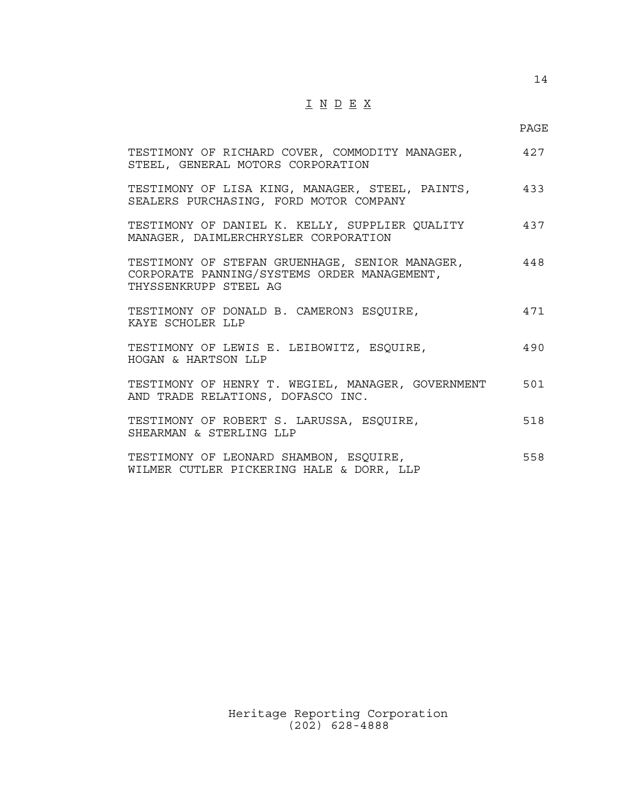## $\underline{\texttt{I}} \ \underline{\texttt{N}} \ \underline{\texttt{D}} \ \underline{\texttt{E}} \ \underline{\texttt{X}}$

14

| TESTIMONY OF RICHARD COVER, COMMODITY MANAGER, $427$<br>STEEL, GENERAL MOTORS CORPORATION                              |     |
|------------------------------------------------------------------------------------------------------------------------|-----|
| TESTIMONY OF LISA KING, MANAGER, STEEL, PAINTS, $\qquad \qquad 433$<br>SEALERS PURCHASING, FORD MOTOR COMPANY          |     |
| TESTIMONY OF DANIEL K. KELLY, SUPPLIER QUALITY<br>MANAGER, DAIMLERCHRYSLER CORPORATION                                 | 437 |
| TESTIMONY OF STEFAN GRUENHAGE, SENIOR MANAGER,<br>CORPORATE PANNING/SYSTEMS ORDER MANAGEMENT,<br>THYSSENKRUPP STEEL AG | 448 |
| TESTIMONY OF DONALD B. CAMERON3 ESQUIRE,<br>KAYE SCHOLER LLP                                                           | 471 |
| TESTIMONY OF LEWIS E. LEIBOWITZ, ESQUIRE,<br>HOGAN & HARTSON LLP                                                       | 490 |
| TESTIMONY OF HENRY T. WEGIEL, MANAGER, GOVERNMENT<br>AND TRADE RELATIONS, DOFASCO INC.                                 | 501 |
| TESTIMONY OF ROBERT S. LARUSSA, ESQUIRE,<br>SHEARMAN & STERLING LLP                                                    | 518 |
| TESTIMONY OF LEONARD SHAMBON, ESQUIRE,<br>WILMER CUTLER PICKERING HALE & DORR, LLP                                     | 558 |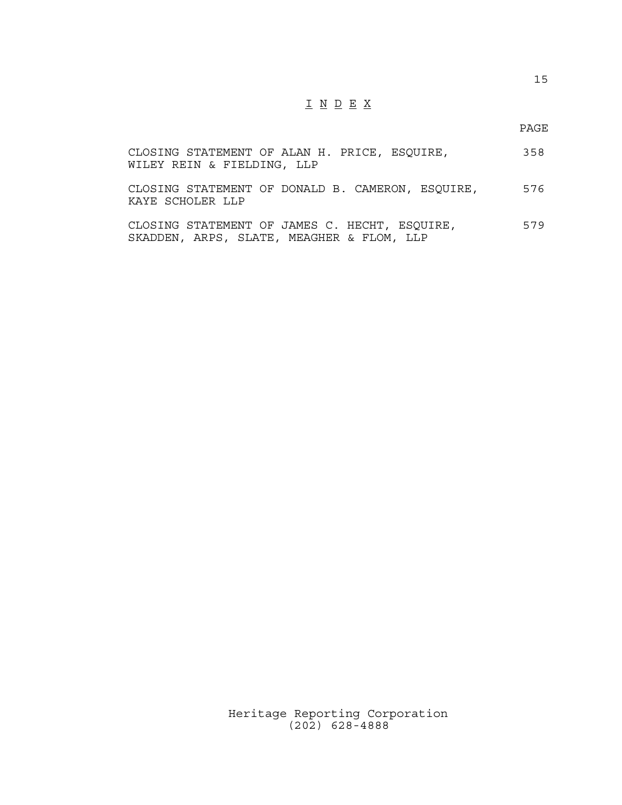## I N D E X

PAGE

| CLOSING STATEMENT OF ALAN H. PRICE, ESQUIRE,<br>WILEY REIN & FIELDING, LLP | 358  |
|----------------------------------------------------------------------------|------|
| CLOSING STATEMENT OF DONALD B. CAMERON, ESQUIRE,<br>KAYE SCHOLER LLP       | 576  |
| CLOCINC CTATEMENT OF IAMES C. UECUT. ESOUIDE                               | 570. |

CLOSING STATEMENT OF JAMES C. HECHT, ESQUIRE, 579 SKADDEN, ARPS, SLATE, MEAGHER & FLOM, LLP

> Heritage Reporting Corporation (202) 628-4888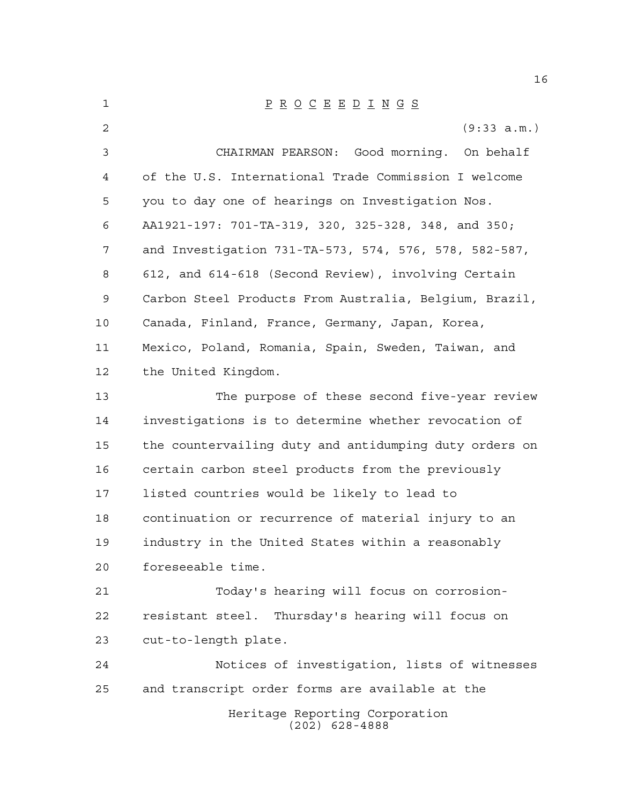| 1  | $\underline{P} \underline{R} \underline{O} \underline{C} \underline{E} \underline{E} \underline{D} \underline{I} \underline{N} \underline{G} \underline{S}$ |
|----|-------------------------------------------------------------------------------------------------------------------------------------------------------------|
| 2  | (9:33 a.m.)                                                                                                                                                 |
| 3  | CHAIRMAN PEARSON: Good morning. On behalf                                                                                                                   |
| 4  | of the U.S. International Trade Commission I welcome                                                                                                        |
| 5  | you to day one of hearings on Investigation Nos.                                                                                                            |
| 6  | AA1921-197: 701-TA-319, 320, 325-328, 348, and 350;                                                                                                         |
| 7  | and Investigation 731-TA-573, 574, 576, 578, 582-587,                                                                                                       |
| 8  | 612, and 614-618 (Second Review), involving Certain                                                                                                         |
| 9  | Carbon Steel Products From Australia, Belgium, Brazil,                                                                                                      |
| 10 | Canada, Finland, France, Germany, Japan, Korea,                                                                                                             |
| 11 | Mexico, Poland, Romania, Spain, Sweden, Taiwan, and                                                                                                         |
| 12 | the United Kingdom.                                                                                                                                         |
| 13 | The purpose of these second five-year review                                                                                                                |
| 14 | investigations is to determine whether revocation of                                                                                                        |
| 15 | the countervailing duty and antidumping duty orders on                                                                                                      |
| 16 | certain carbon steel products from the previously                                                                                                           |
| 17 | listed countries would be likely to lead to                                                                                                                 |
| 18 | continuation or recurrence of material injury to an                                                                                                         |
| 19 | industry in the United States within a reasonably                                                                                                           |
| 20 | foreseeable time.                                                                                                                                           |
| 21 | Today's hearing will focus on corrosion-                                                                                                                    |
| 22 | resistant steel. Thursday's hearing will focus on                                                                                                           |
| 23 | cut-to-length plate.                                                                                                                                        |
| 24 | Notices of investigation, lists of witnesses                                                                                                                |
| 25 | and transcript order forms are available at the                                                                                                             |
|    | Heritage Reporting Corporation<br>$(202)$ 628-4888                                                                                                          |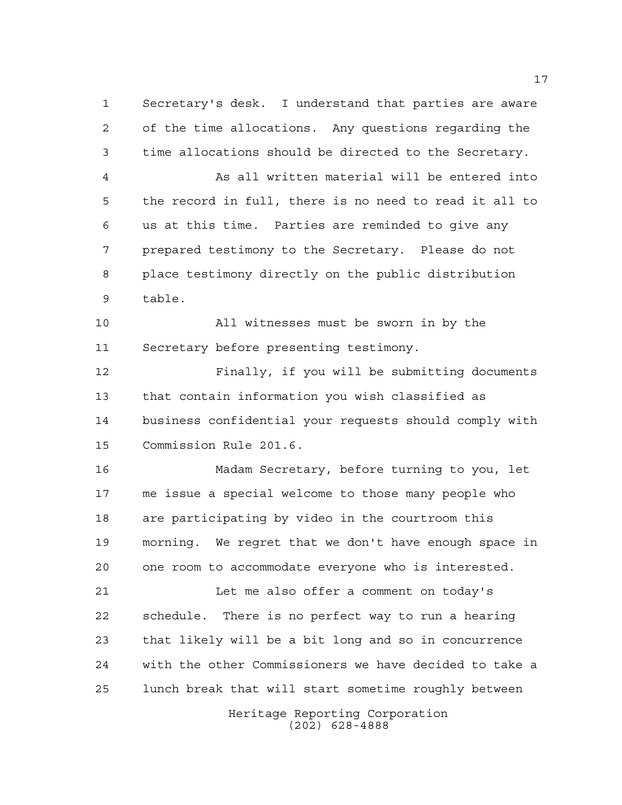Secretary's desk. I understand that parties are aware of the time allocations. Any questions regarding the time allocations should be directed to the Secretary. As all written material will be entered into the record in full, there is no need to read it all to

 us at this time. Parties are reminded to give any prepared testimony to the Secretary. Please do not place testimony directly on the public distribution table.

 All witnesses must be sworn in by the Secretary before presenting testimony.

 Finally, if you will be submitting documents that contain information you wish classified as business confidential your requests should comply with Commission Rule 201.6.

 Madam Secretary, before turning to you, let me issue a special welcome to those many people who are participating by video in the courtroom this morning. We regret that we don't have enough space in one room to accommodate everyone who is interested.

 Let me also offer a comment on today's schedule. There is no perfect way to run a hearing that likely will be a bit long and so in concurrence with the other Commissioners we have decided to take a lunch break that will start sometime roughly between

> Heritage Reporting Corporation (202) 628-4888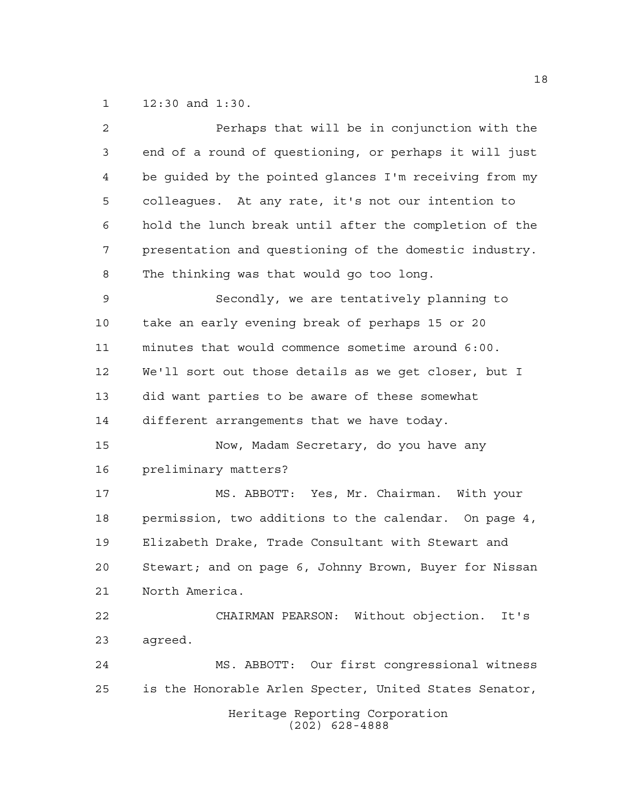12:30 and 1:30.

| $\overline{a}$ | Perhaps that will be in conjunction with the           |
|----------------|--------------------------------------------------------|
| 3              | end of a round of questioning, or perhaps it will just |
| $\overline{4}$ | be guided by the pointed glances I'm receiving from my |
| 5              | colleagues. At any rate, it's not our intention to     |
| 6              | hold the lunch break until after the completion of the |
| 7              | presentation and questioning of the domestic industry. |
| 8              | The thinking was that would go too long.               |
| 9              | Secondly, we are tentatively planning to               |
| 10             | take an early evening break of perhaps 15 or 20        |
| 11             | minutes that would commence sometime around 6:00.      |
| 12             | We'll sort out those details as we get closer, but I   |
| 13             | did want parties to be aware of these somewhat         |
| 14             | different arrangements that we have today.             |
| 15             | Now, Madam Secretary, do you have any                  |
| 16             | preliminary matters?                                   |
| 17             | MS. ABBOTT: Yes, Mr. Chairman. With your               |
| 18             | permission, two additions to the calendar. On page 4,  |
| 19             | Elizabeth Drake, Trade Consultant with Stewart and     |
| 20             | Stewart; and on page 6, Johnny Brown, Buyer for Nissan |
| 21             | North America.                                         |
| 22             | CHAIRMAN PEARSON: Without objection. It's              |
| 23             | agreed.                                                |
| 24             | MS. ABBOTT: Our first congressional witness            |
| 25             | is the Honorable Arlen Specter, United States Senator, |
|                | Heritage Reporting Corporation<br>$(202)$ 628-4888     |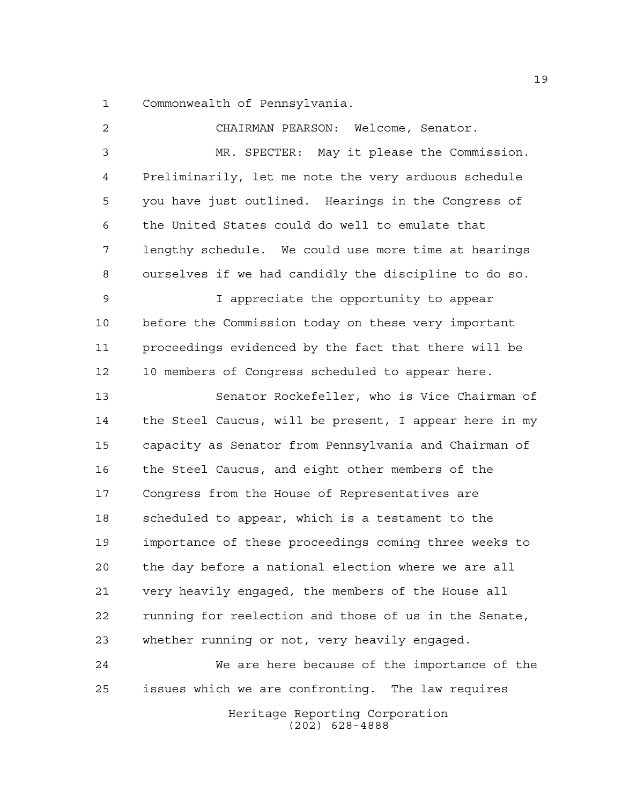Commonwealth of Pennsylvania.

 CHAIRMAN PEARSON: Welcome, Senator. MR. SPECTER: May it please the Commission. Preliminarily, let me note the very arduous schedule you have just outlined. Hearings in the Congress of the United States could do well to emulate that lengthy schedule. We could use more time at hearings ourselves if we had candidly the discipline to do so. I appreciate the opportunity to appear before the Commission today on these very important proceedings evidenced by the fact that there will be 10 members of Congress scheduled to appear here. Senator Rockefeller, who is Vice Chairman of the Steel Caucus, will be present, I appear here in my capacity as Senator from Pennsylvania and Chairman of the Steel Caucus, and eight other members of the Congress from the House of Representatives are scheduled to appear, which is a testament to the importance of these proceedings coming three weeks to the day before a national election where we are all very heavily engaged, the members of the House all running for reelection and those of us in the Senate, whether running or not, very heavily engaged. We are here because of the importance of the issues which we are confronting. The law requires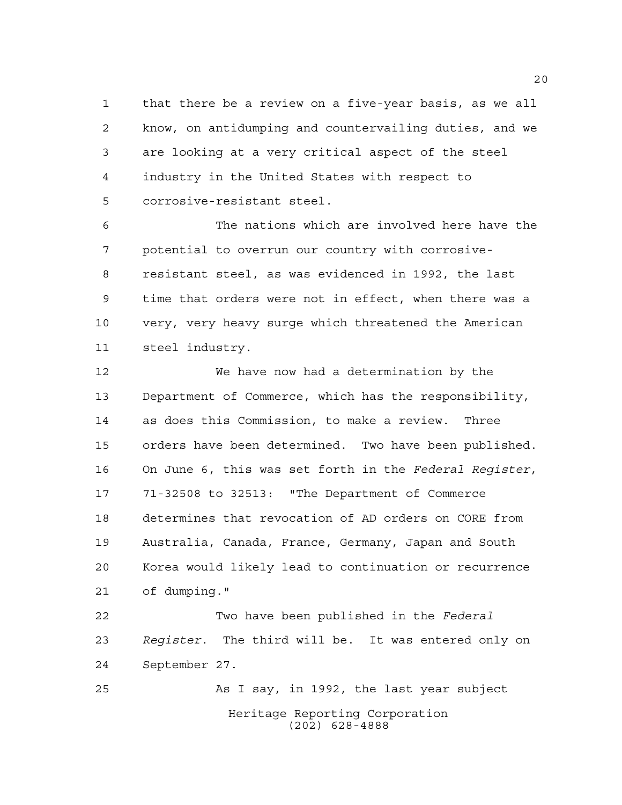that there be a review on a five-year basis, as we all know, on antidumping and countervailing duties, and we are looking at a very critical aspect of the steel industry in the United States with respect to corrosive-resistant steel.

 The nations which are involved here have the potential to overrun our country with corrosive- resistant steel, as was evidenced in 1992, the last time that orders were not in effect, when there was a very, very heavy surge which threatened the American steel industry.

 We have now had a determination by the Department of Commerce, which has the responsibility, as does this Commission, to make a review. Three orders have been determined. Two have been published. On June 6, this was set forth in the *Federal Register*, 71-32508 to 32513: "The Department of Commerce determines that revocation of AD orders on CORE from Australia, Canada, France, Germany, Japan and South Korea would likely lead to continuation or recurrence of dumping."

 Two have been published in the *Federal Register*. The third will be. It was entered only on September 27.

Heritage Reporting Corporation (202) 628-4888 As I say, in 1992, the last year subject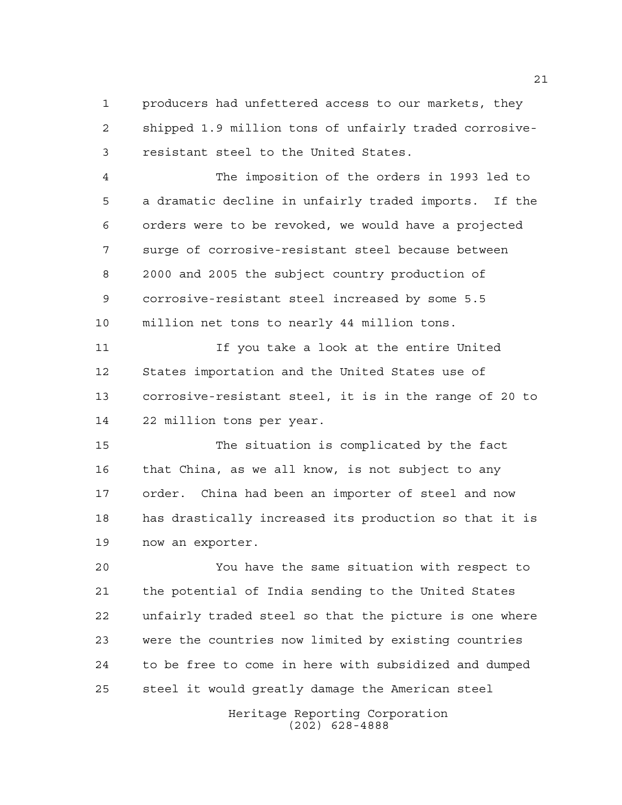producers had unfettered access to our markets, they shipped 1.9 million tons of unfairly traded corrosive-resistant steel to the United States.

 The imposition of the orders in 1993 led to a dramatic decline in unfairly traded imports. If the orders were to be revoked, we would have a projected surge of corrosive-resistant steel because between 2000 and 2005 the subject country production of corrosive-resistant steel increased by some 5.5 million net tons to nearly 44 million tons.

 If you take a look at the entire United States importation and the United States use of corrosive-resistant steel, it is in the range of 20 to 22 million tons per year.

 The situation is complicated by the fact that China, as we all know, is not subject to any order. China had been an importer of steel and now has drastically increased its production so that it is now an exporter.

 You have the same situation with respect to the potential of India sending to the United States unfairly traded steel so that the picture is one where were the countries now limited by existing countries to be free to come in here with subsidized and dumped steel it would greatly damage the American steel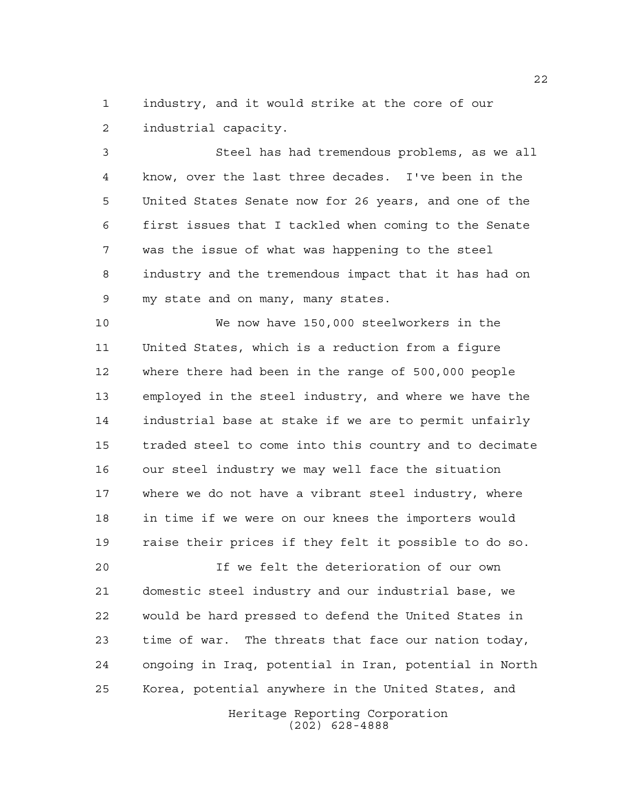industry, and it would strike at the core of our industrial capacity.

 Steel has had tremendous problems, as we all know, over the last three decades. I've been in the United States Senate now for 26 years, and one of the first issues that I tackled when coming to the Senate was the issue of what was happening to the steel industry and the tremendous impact that it has had on my state and on many, many states.

 We now have 150,000 steelworkers in the United States, which is a reduction from a figure where there had been in the range of 500,000 people employed in the steel industry, and where we have the industrial base at stake if we are to permit unfairly traded steel to come into this country and to decimate our steel industry we may well face the situation where we do not have a vibrant steel industry, where in time if we were on our knees the importers would raise their prices if they felt it possible to do so.

 If we felt the deterioration of our own domestic steel industry and our industrial base, we would be hard pressed to defend the United States in time of war. The threats that face our nation today, ongoing in Iraq, potential in Iran, potential in North Korea, potential anywhere in the United States, and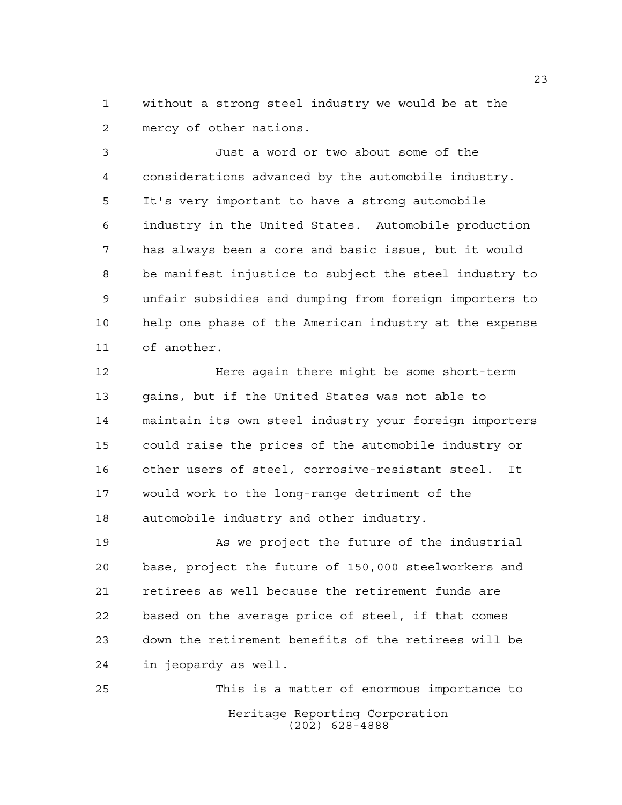without a strong steel industry we would be at the mercy of other nations.

 Just a word or two about some of the considerations advanced by the automobile industry. It's very important to have a strong automobile industry in the United States. Automobile production has always been a core and basic issue, but it would be manifest injustice to subject the steel industry to unfair subsidies and dumping from foreign importers to help one phase of the American industry at the expense of another.

 Here again there might be some short-term gains, but if the United States was not able to maintain its own steel industry your foreign importers could raise the prices of the automobile industry or other users of steel, corrosive-resistant steel. It would work to the long-range detriment of the automobile industry and other industry.

 As we project the future of the industrial base, project the future of 150,000 steelworkers and retirees as well because the retirement funds are based on the average price of steel, if that comes down the retirement benefits of the retirees will be in jeopardy as well.

Heritage Reporting Corporation (202) 628-4888 This is a matter of enormous importance to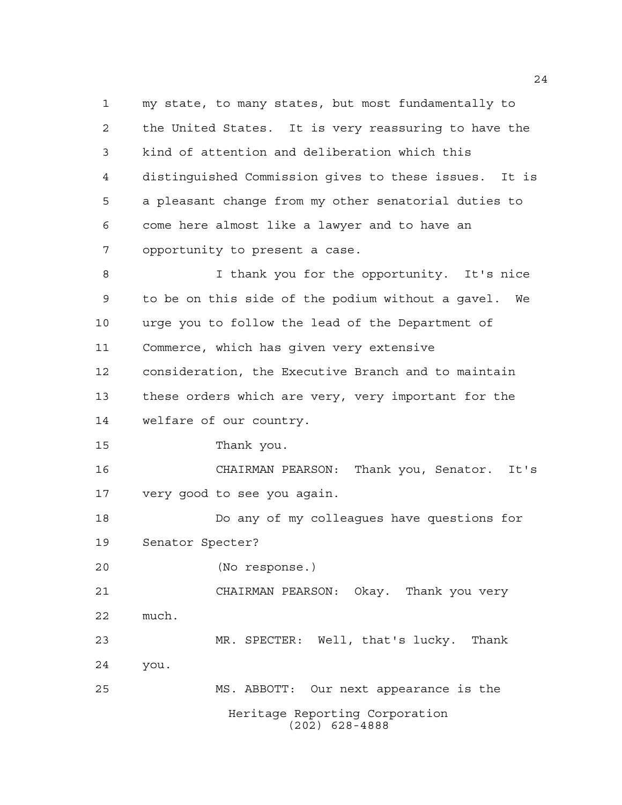Heritage Reporting Corporation (202) 628-4888 my state, to many states, but most fundamentally to the United States. It is very reassuring to have the kind of attention and deliberation which this distinguished Commission gives to these issues. It is a pleasant change from my other senatorial duties to come here almost like a lawyer and to have an opportunity to present a case. I thank you for the opportunity. It's nice to be on this side of the podium without a gavel. We urge you to follow the lead of the Department of Commerce, which has given very extensive consideration, the Executive Branch and to maintain these orders which are very, very important for the welfare of our country. Thank you. CHAIRMAN PEARSON: Thank you, Senator. It's very good to see you again. Do any of my colleagues have questions for Senator Specter? (No response.) CHAIRMAN PEARSON: Okay. Thank you very much. MR. SPECTER: Well, that's lucky. Thank you. MS. ABBOTT: Our next appearance is the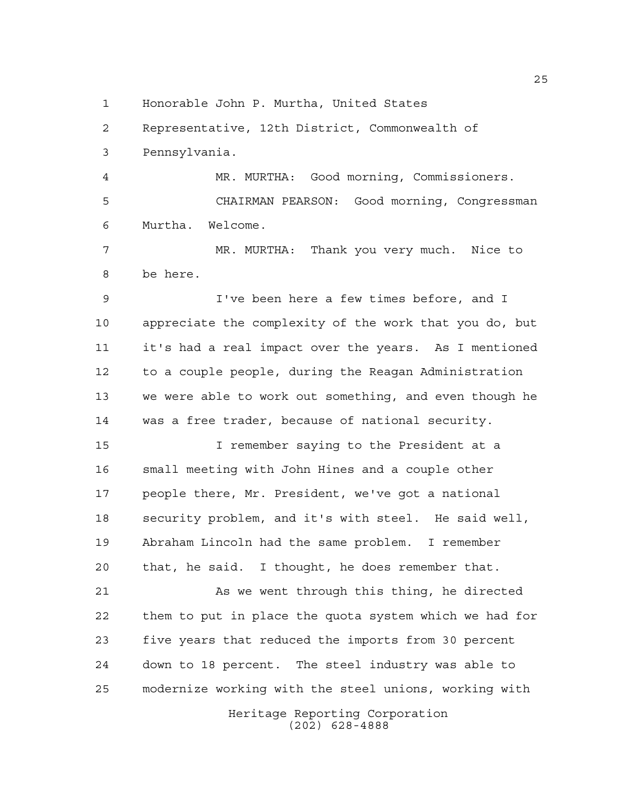Honorable John P. Murtha, United States

Representative, 12th District, Commonwealth of

Pennsylvania.

 MR. MURTHA: Good morning, Commissioners. CHAIRMAN PEARSON: Good morning, Congressman Murtha. Welcome.

 MR. MURTHA: Thank you very much. Nice to be here.

 I've been here a few times before, and I appreciate the complexity of the work that you do, but it's had a real impact over the years. As I mentioned to a couple people, during the Reagan Administration we were able to work out something, and even though he was a free trader, because of national security.

 I remember saying to the President at a small meeting with John Hines and a couple other people there, Mr. President, we've got a national security problem, and it's with steel. He said well, Abraham Lincoln had the same problem. I remember that, he said. I thought, he does remember that.

 As we went through this thing, he directed them to put in place the quota system which we had for five years that reduced the imports from 30 percent down to 18 percent. The steel industry was able to modernize working with the steel unions, working with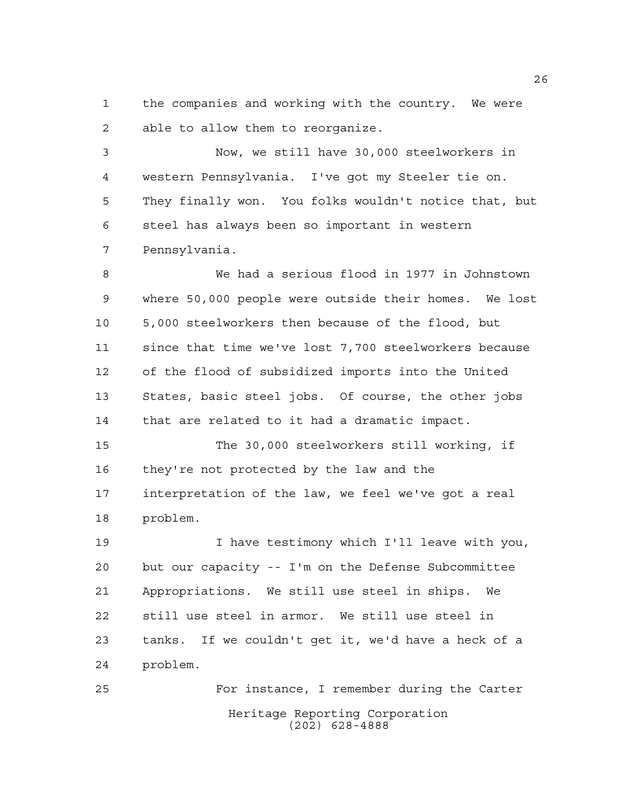the companies and working with the country. We were able to allow them to reorganize.

 Now, we still have 30,000 steelworkers in western Pennsylvania. I've got my Steeler tie on. They finally won. You folks wouldn't notice that, but steel has always been so important in western Pennsylvania.

 We had a serious flood in 1977 in Johnstown where 50,000 people were outside their homes. We lost 5,000 steelworkers then because of the flood, but since that time we've lost 7,700 steelworkers because of the flood of subsidized imports into the United States, basic steel jobs. Of course, the other jobs that are related to it had a dramatic impact.

 The 30,000 steelworkers still working, if they're not protected by the law and the interpretation of the law, we feel we've got a real problem.

 I have testimony which I'll leave with you, but our capacity -- I'm on the Defense Subcommittee Appropriations. We still use steel in ships. We still use steel in armor. We still use steel in tanks. If we couldn't get it, we'd have a heck of a problem.

Heritage Reporting Corporation (202) 628-4888 For instance, I remember during the Carter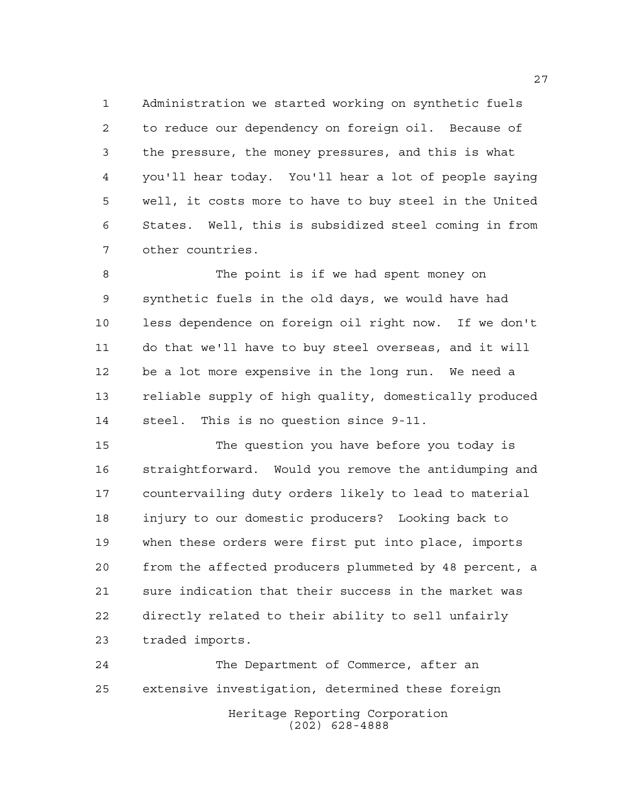Administration we started working on synthetic fuels to reduce our dependency on foreign oil. Because of the pressure, the money pressures, and this is what you'll hear today. You'll hear a lot of people saying well, it costs more to have to buy steel in the United States. Well, this is subsidized steel coming in from other countries.

 The point is if we had spent money on synthetic fuels in the old days, we would have had less dependence on foreign oil right now. If we don't do that we'll have to buy steel overseas, and it will be a lot more expensive in the long run. We need a reliable supply of high quality, domestically produced steel. This is no question since 9-11.

 The question you have before you today is straightforward. Would you remove the antidumping and countervailing duty orders likely to lead to material injury to our domestic producers? Looking back to when these orders were first put into place, imports from the affected producers plummeted by 48 percent, a sure indication that their success in the market was directly related to their ability to sell unfairly traded imports.

Heritage Reporting Corporation (202) 628-4888 The Department of Commerce, after an extensive investigation, determined these foreign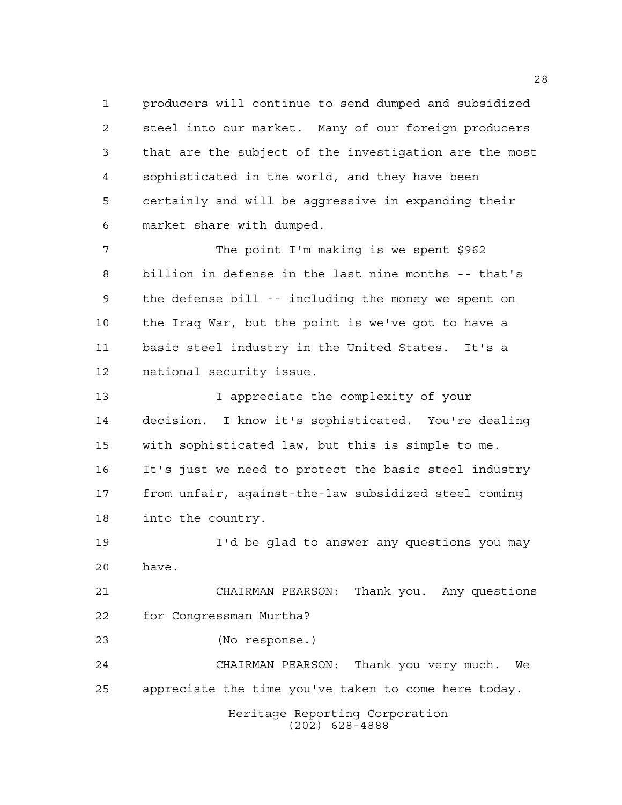producers will continue to send dumped and subsidized steel into our market. Many of our foreign producers that are the subject of the investigation are the most sophisticated in the world, and they have been certainly and will be aggressive in expanding their market share with dumped.

 The point I'm making is we spent \$962 billion in defense in the last nine months -- that's the defense bill -- including the money we spent on the Iraq War, but the point is we've got to have a basic steel industry in the United States. It's a national security issue.

13 13 I appreciate the complexity of your decision. I know it's sophisticated. You're dealing with sophisticated law, but this is simple to me. It's just we need to protect the basic steel industry from unfair, against-the-law subsidized steel coming into the country.

 I'd be glad to answer any questions you may have.

 CHAIRMAN PEARSON: Thank you. Any questions for Congressman Murtha?

(No response.)

 CHAIRMAN PEARSON: Thank you very much. We appreciate the time you've taken to come here today.

> Heritage Reporting Corporation (202) 628-4888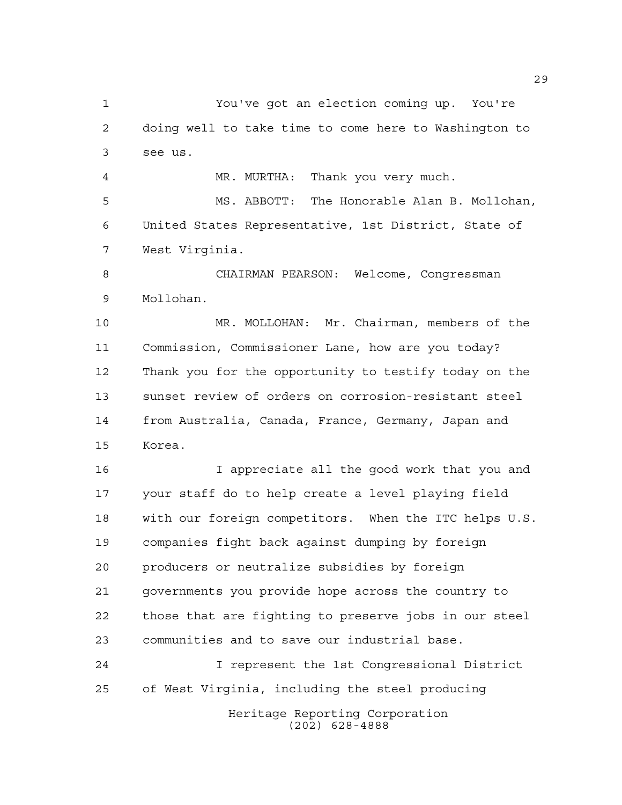You've got an election coming up. You're doing well to take time to come here to Washington to see us.

MR. MURTHA: Thank you very much.

 MS. ABBOTT: The Honorable Alan B. Mollohan, United States Representative, 1st District, State of West Virginia.

 CHAIRMAN PEARSON: Welcome, Congressman Mollohan.

 MR. MOLLOHAN: Mr. Chairman, members of the Commission, Commissioner Lane, how are you today? Thank you for the opportunity to testify today on the sunset review of orders on corrosion-resistant steel from Australia, Canada, France, Germany, Japan and Korea.

 I appreciate all the good work that you and your staff do to help create a level playing field with our foreign competitors. When the ITC helps U.S. companies fight back against dumping by foreign producers or neutralize subsidies by foreign governments you provide hope across the country to those that are fighting to preserve jobs in our steel communities and to save our industrial base.

Heritage Reporting Corporation I represent the 1st Congressional District of West Virginia, including the steel producing

(202) 628-4888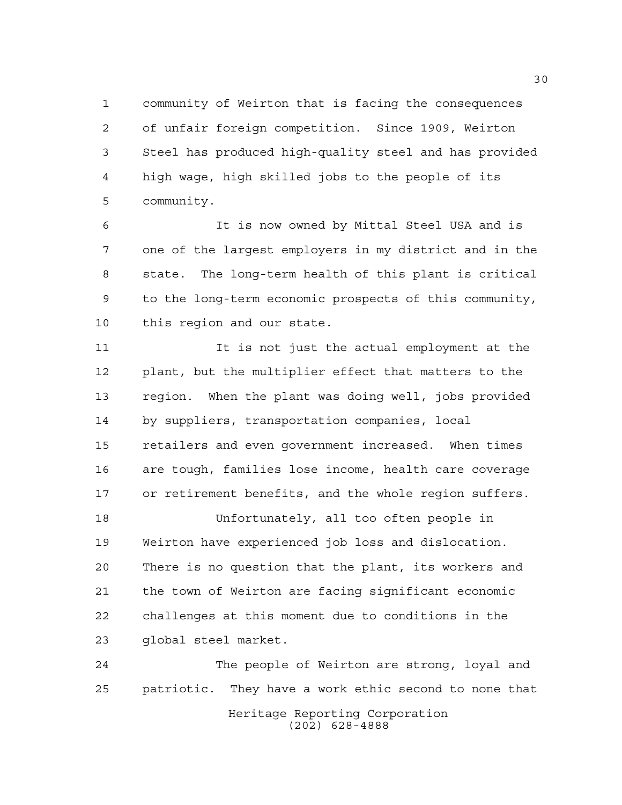community of Weirton that is facing the consequences of unfair foreign competition. Since 1909, Weirton Steel has produced high-quality steel and has provided high wage, high skilled jobs to the people of its community.

 It is now owned by Mittal Steel USA and is one of the largest employers in my district and in the state. The long-term health of this plant is critical to the long-term economic prospects of this community, this region and our state.

 It is not just the actual employment at the plant, but the multiplier effect that matters to the region. When the plant was doing well, jobs provided by suppliers, transportation companies, local retailers and even government increased. When times are tough, families lose income, health care coverage or retirement benefits, and the whole region suffers.

 Unfortunately, all too often people in Weirton have experienced job loss and dislocation. There is no question that the plant, its workers and the town of Weirton are facing significant economic challenges at this moment due to conditions in the global steel market.

Heritage Reporting Corporation (202) 628-4888 The people of Weirton are strong, loyal and patriotic. They have a work ethic second to none that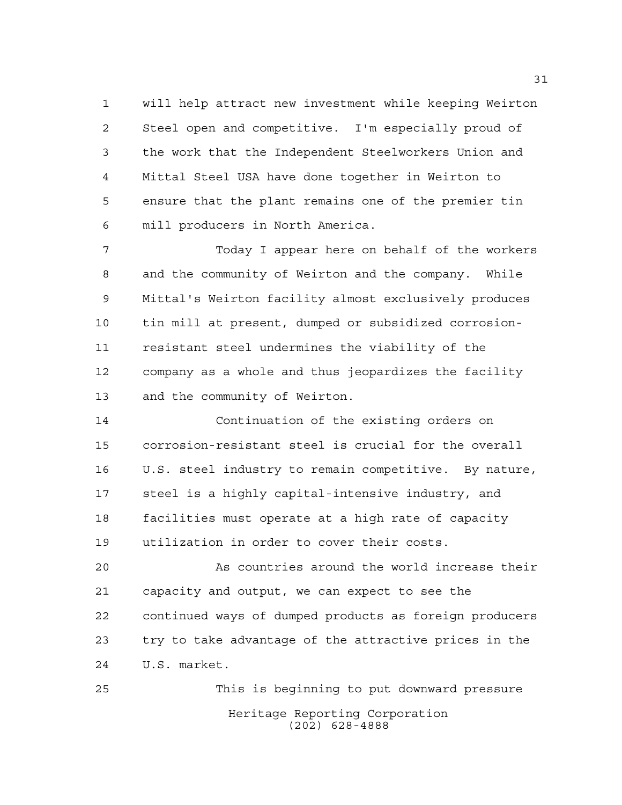will help attract new investment while keeping Weirton Steel open and competitive. I'm especially proud of the work that the Independent Steelworkers Union and Mittal Steel USA have done together in Weirton to ensure that the plant remains one of the premier tin mill producers in North America.

 Today I appear here on behalf of the workers and the community of Weirton and the company. While Mittal's Weirton facility almost exclusively produces tin mill at present, dumped or subsidized corrosion- resistant steel undermines the viability of the company as a whole and thus jeopardizes the facility and the community of Weirton.

 Continuation of the existing orders on corrosion-resistant steel is crucial for the overall U.S. steel industry to remain competitive. By nature, steel is a highly capital-intensive industry, and facilities must operate at a high rate of capacity utilization in order to cover their costs.

 As countries around the world increase their capacity and output, we can expect to see the continued ways of dumped products as foreign producers try to take advantage of the attractive prices in the U.S. market.

Heritage Reporting Corporation (202) 628-4888 This is beginning to put downward pressure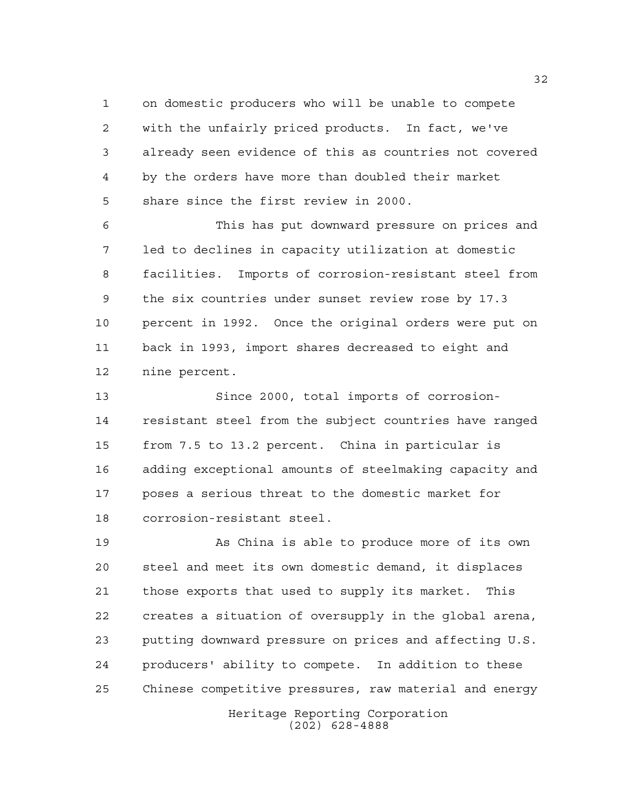on domestic producers who will be unable to compete with the unfairly priced products. In fact, we've already seen evidence of this as countries not covered by the orders have more than doubled their market share since the first review in 2000.

 This has put downward pressure on prices and led to declines in capacity utilization at domestic facilities. Imports of corrosion-resistant steel from the six countries under sunset review rose by 17.3 percent in 1992. Once the original orders were put on back in 1993, import shares decreased to eight and nine percent.

 Since 2000, total imports of corrosion- resistant steel from the subject countries have ranged from 7.5 to 13.2 percent. China in particular is adding exceptional amounts of steelmaking capacity and poses a serious threat to the domestic market for corrosion-resistant steel.

Heritage Reporting Corporation (202) 628-4888 As China is able to produce more of its own steel and meet its own domestic demand, it displaces those exports that used to supply its market. This creates a situation of oversupply in the global arena, putting downward pressure on prices and affecting U.S. producers' ability to compete. In addition to these Chinese competitive pressures, raw material and energy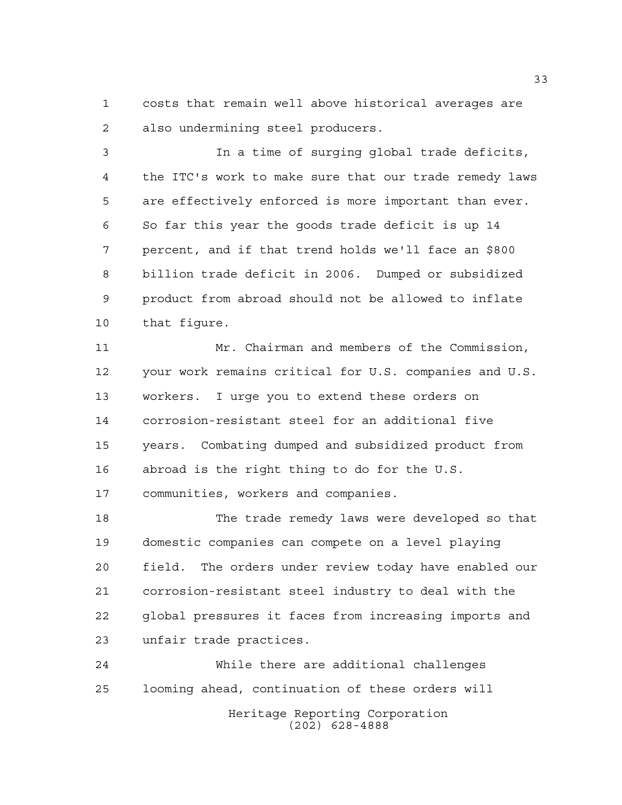costs that remain well above historical averages are also undermining steel producers.

 In a time of surging global trade deficits, the ITC's work to make sure that our trade remedy laws are effectively enforced is more important than ever. So far this year the goods trade deficit is up 14 percent, and if that trend holds we'll face an \$800 billion trade deficit in 2006. Dumped or subsidized product from abroad should not be allowed to inflate that figure.

 Mr. Chairman and members of the Commission, your work remains critical for U.S. companies and U.S. workers. I urge you to extend these orders on corrosion-resistant steel for an additional five years. Combating dumped and subsidized product from abroad is the right thing to do for the U.S. communities, workers and companies.

 The trade remedy laws were developed so that domestic companies can compete on a level playing field. The orders under review today have enabled our corrosion-resistant steel industry to deal with the global pressures it faces from increasing imports and unfair trade practices.

 While there are additional challenges looming ahead, continuation of these orders will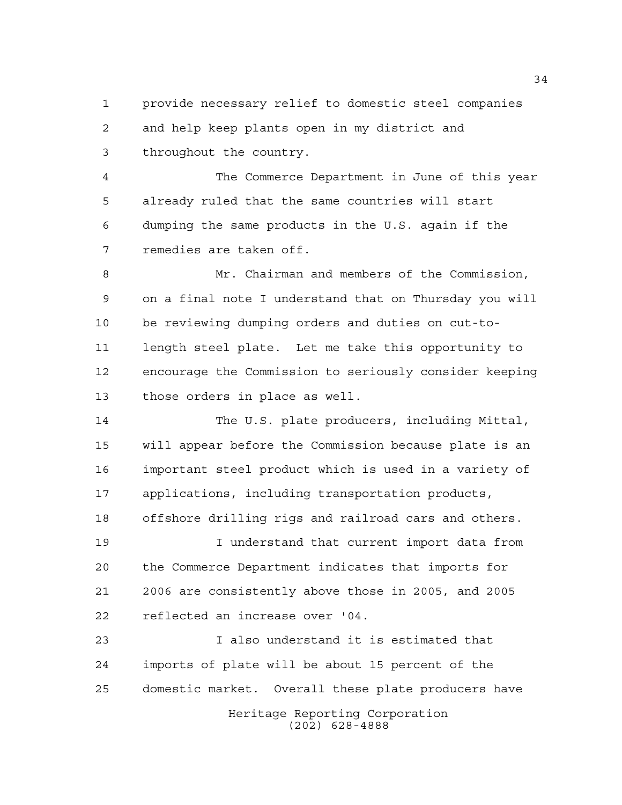provide necessary relief to domestic steel companies and help keep plants open in my district and throughout the country.

 The Commerce Department in June of this year already ruled that the same countries will start dumping the same products in the U.S. again if the remedies are taken off.

 Mr. Chairman and members of the Commission, on a final note I understand that on Thursday you will be reviewing dumping orders and duties on cut-to- length steel plate. Let me take this opportunity to encourage the Commission to seriously consider keeping those orders in place as well.

 The U.S. plate producers, including Mittal, will appear before the Commission because plate is an important steel product which is used in a variety of applications, including transportation products, offshore drilling rigs and railroad cars and others.

 I understand that current import data from the Commerce Department indicates that imports for 2006 are consistently above those in 2005, and 2005 reflected an increase over '04.

Heritage Reporting Corporation I also understand it is estimated that imports of plate will be about 15 percent of the domestic market. Overall these plate producers have

(202) 628-4888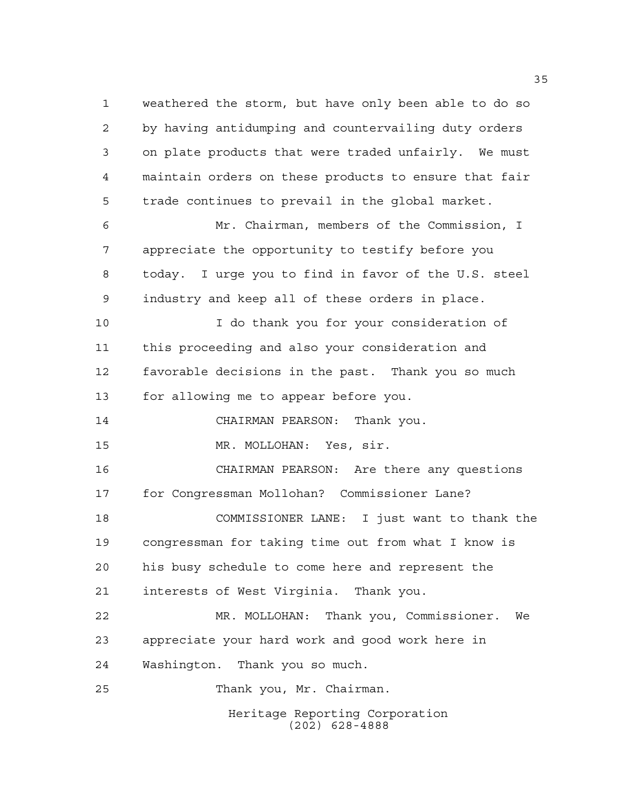Heritage Reporting Corporation (202) 628-4888 weathered the storm, but have only been able to do so by having antidumping and countervailing duty orders on plate products that were traded unfairly. We must maintain orders on these products to ensure that fair trade continues to prevail in the global market. Mr. Chairman, members of the Commission, I appreciate the opportunity to testify before you today. I urge you to find in favor of the U.S. steel industry and keep all of these orders in place. I do thank you for your consideration of this proceeding and also your consideration and favorable decisions in the past. Thank you so much for allowing me to appear before you. CHAIRMAN PEARSON: Thank you. MR. MOLLOHAN: Yes, sir. CHAIRMAN PEARSON: Are there any questions for Congressman Mollohan? Commissioner Lane? COMMISSIONER LANE: I just want to thank the congressman for taking time out from what I know is his busy schedule to come here and represent the interests of West Virginia. Thank you. MR. MOLLOHAN: Thank you, Commissioner. We appreciate your hard work and good work here in Washington. Thank you so much. Thank you, Mr. Chairman.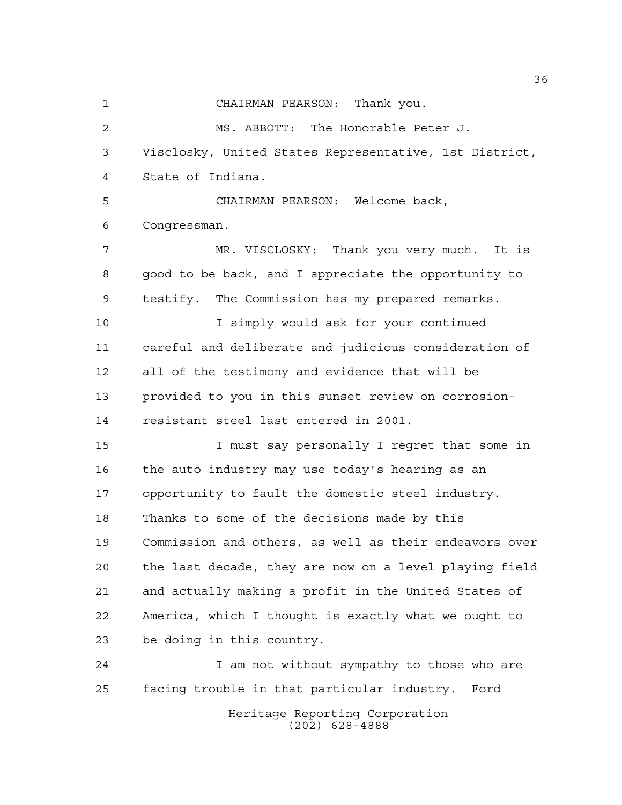Heritage Reporting Corporation CHAIRMAN PEARSON: Thank you. MS. ABBOTT: The Honorable Peter J. Visclosky, United States Representative, 1st District, State of Indiana. CHAIRMAN PEARSON: Welcome back, Congressman. MR. VISCLOSKY: Thank you very much. It is good to be back, and I appreciate the opportunity to testify. The Commission has my prepared remarks. I simply would ask for your continued careful and deliberate and judicious consideration of all of the testimony and evidence that will be provided to you in this sunset review on corrosion- resistant steel last entered in 2001. I must say personally I regret that some in the auto industry may use today's hearing as an opportunity to fault the domestic steel industry. Thanks to some of the decisions made by this Commission and others, as well as their endeavors over the last decade, they are now on a level playing field and actually making a profit in the United States of America, which I thought is exactly what we ought to be doing in this country. 24 I am not without sympathy to those who are facing trouble in that particular industry. Ford

(202) 628-4888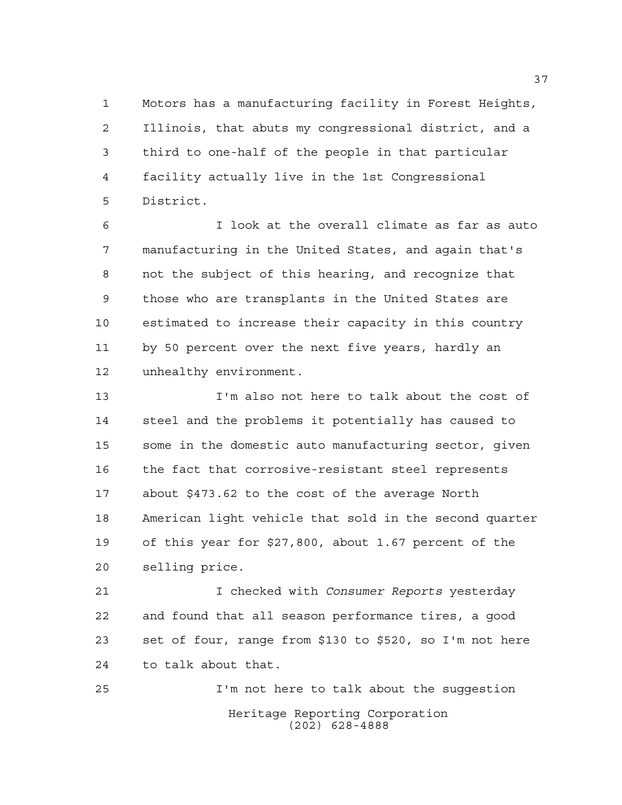Motors has a manufacturing facility in Forest Heights, Illinois, that abuts my congressional district, and a third to one-half of the people in that particular facility actually live in the 1st Congressional District.

 I look at the overall climate as far as auto manufacturing in the United States, and again that's not the subject of this hearing, and recognize that those who are transplants in the United States are estimated to increase their capacity in this country by 50 percent over the next five years, hardly an unhealthy environment.

 I'm also not here to talk about the cost of steel and the problems it potentially has caused to some in the domestic auto manufacturing sector, given the fact that corrosive-resistant steel represents about \$473.62 to the cost of the average North American light vehicle that sold in the second quarter of this year for \$27,800, about 1.67 percent of the selling price.

 I checked with *Consumer Reports* yesterday and found that all season performance tires, a good set of four, range from \$130 to \$520, so I'm not here to talk about that.

Heritage Reporting Corporation (202) 628-4888 I'm not here to talk about the suggestion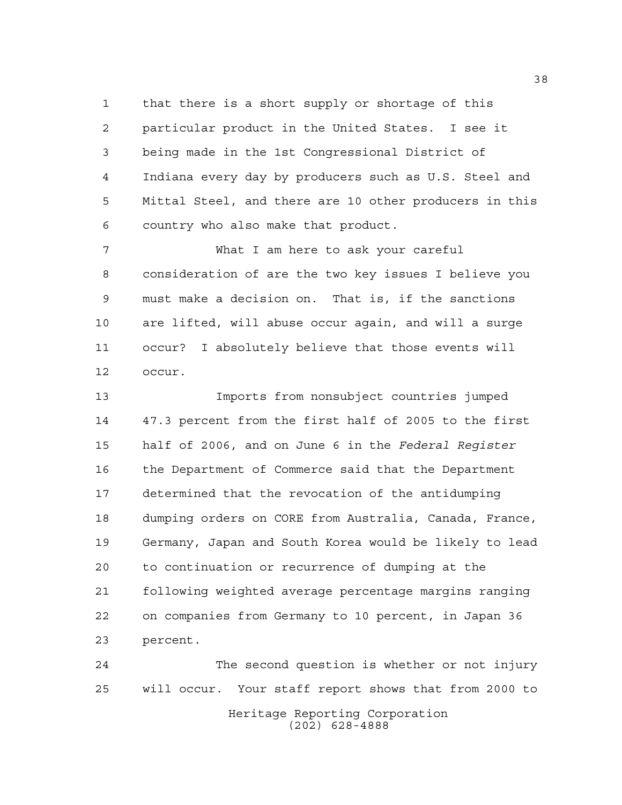that there is a short supply or shortage of this particular product in the United States. I see it being made in the 1st Congressional District of Indiana every day by producers such as U.S. Steel and Mittal Steel, and there are 10 other producers in this country who also make that product.

 What I am here to ask your careful consideration of are the two key issues I believe you must make a decision on. That is, if the sanctions are lifted, will abuse occur again, and will a surge occur? I absolutely believe that those events will occur.

 Imports from nonsubject countries jumped 47.3 percent from the first half of 2005 to the first half of 2006, and on June 6 in the *Federal Register* the Department of Commerce said that the Department determined that the revocation of the antidumping dumping orders on CORE from Australia, Canada, France, Germany, Japan and South Korea would be likely to lead to continuation or recurrence of dumping at the following weighted average percentage margins ranging on companies from Germany to 10 percent, in Japan 36 percent.

Heritage Reporting Corporation (202) 628-4888 The second question is whether or not injury will occur. Your staff report shows that from 2000 to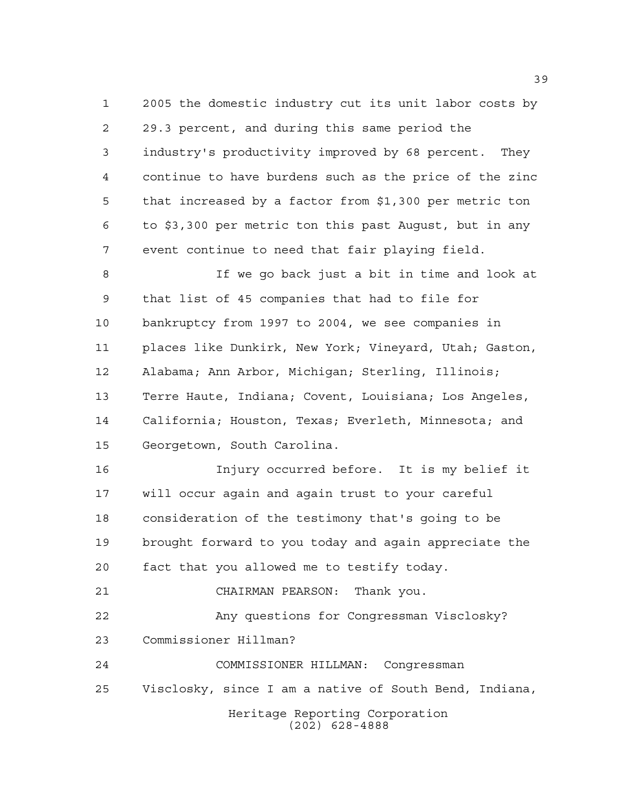2005 the domestic industry cut its unit labor costs by 29.3 percent, and during this same period the industry's productivity improved by 68 percent. They continue to have burdens such as the price of the zinc that increased by a factor from \$1,300 per metric ton to \$3,300 per metric ton this past August, but in any event continue to need that fair playing field.

 If we go back just a bit in time and look at that list of 45 companies that had to file for bankruptcy from 1997 to 2004, we see companies in places like Dunkirk, New York; Vineyard, Utah; Gaston, Alabama; Ann Arbor, Michigan; Sterling, Illinois; Terre Haute, Indiana; Covent, Louisiana; Los Angeles, California; Houston, Texas; Everleth, Minnesota; and Georgetown, South Carolina.

 Injury occurred before. It is my belief it will occur again and again trust to your careful consideration of the testimony that's going to be brought forward to you today and again appreciate the fact that you allowed me to testify today. CHAIRMAN PEARSON: Thank you. Any questions for Congressman Visclosky? Commissioner Hillman? COMMISSIONER HILLMAN: Congressman

Visclosky, since I am a native of South Bend, Indiana,

Heritage Reporting Corporation (202) 628-4888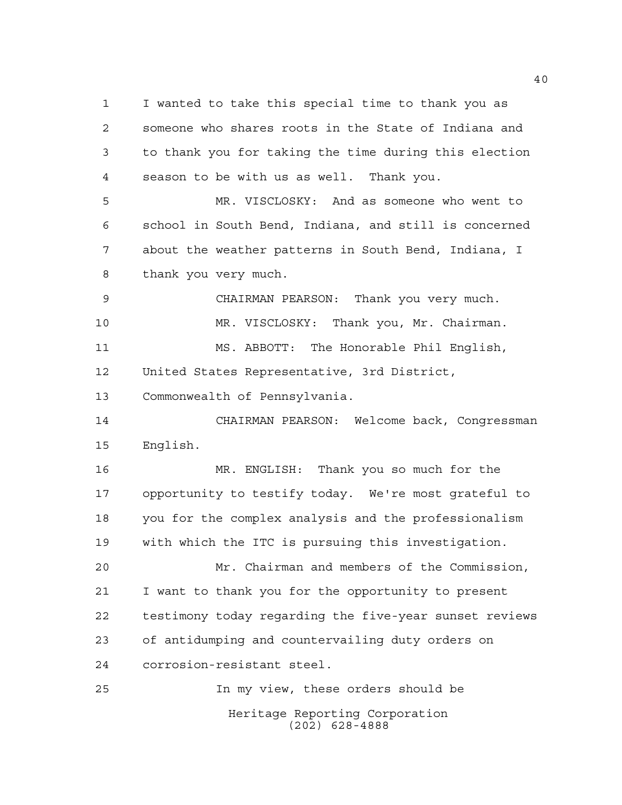I wanted to take this special time to thank you as someone who shares roots in the State of Indiana and to thank you for taking the time during this election season to be with us as well. Thank you.

 MR. VISCLOSKY: And as someone who went to school in South Bend, Indiana, and still is concerned about the weather patterns in South Bend, Indiana, I thank you very much.

 CHAIRMAN PEARSON: Thank you very much. MR. VISCLOSKY: Thank you, Mr. Chairman. MS. ABBOTT: The Honorable Phil English, United States Representative, 3rd District,

Commonwealth of Pennsylvania.

 CHAIRMAN PEARSON: Welcome back, Congressman English.

 MR. ENGLISH: Thank you so much for the opportunity to testify today. We're most grateful to you for the complex analysis and the professionalism with which the ITC is pursuing this investigation.

 Mr. Chairman and members of the Commission, I want to thank you for the opportunity to present testimony today regarding the five-year sunset reviews of antidumping and countervailing duty orders on corrosion-resistant steel.

Heritage Reporting Corporation (202) 628-4888 In my view, these orders should be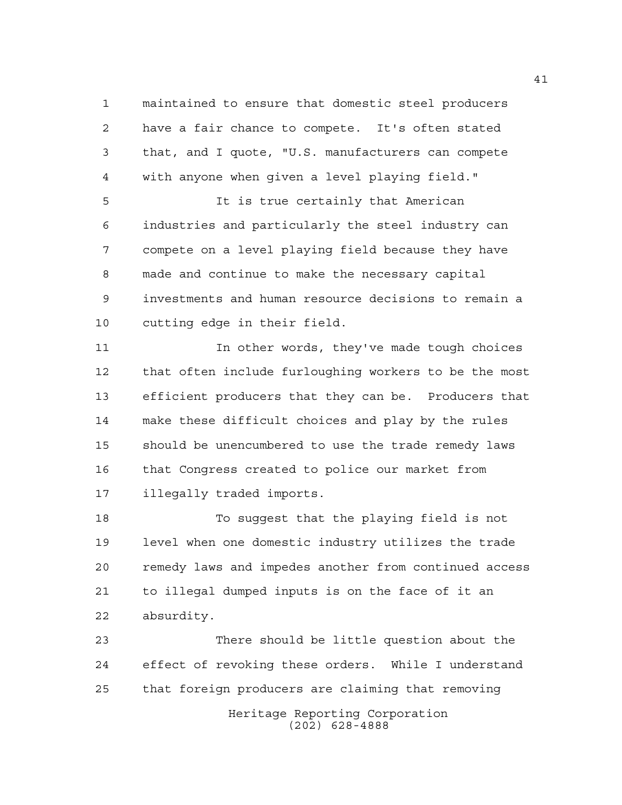maintained to ensure that domestic steel producers have a fair chance to compete. It's often stated that, and I quote, "U.S. manufacturers can compete with anyone when given a level playing field."

 It is true certainly that American industries and particularly the steel industry can compete on a level playing field because they have made and continue to make the necessary capital investments and human resource decisions to remain a cutting edge in their field.

**In other words, they've made tough choices**  that often include furloughing workers to be the most efficient producers that they can be. Producers that make these difficult choices and play by the rules should be unencumbered to use the trade remedy laws that Congress created to police our market from illegally traded imports.

 To suggest that the playing field is not level when one domestic industry utilizes the trade remedy laws and impedes another from continued access to illegal dumped inputs is on the face of it an absurdity.

Heritage Reporting Corporation (202) 628-4888 There should be little question about the effect of revoking these orders. While I understand that foreign producers are claiming that removing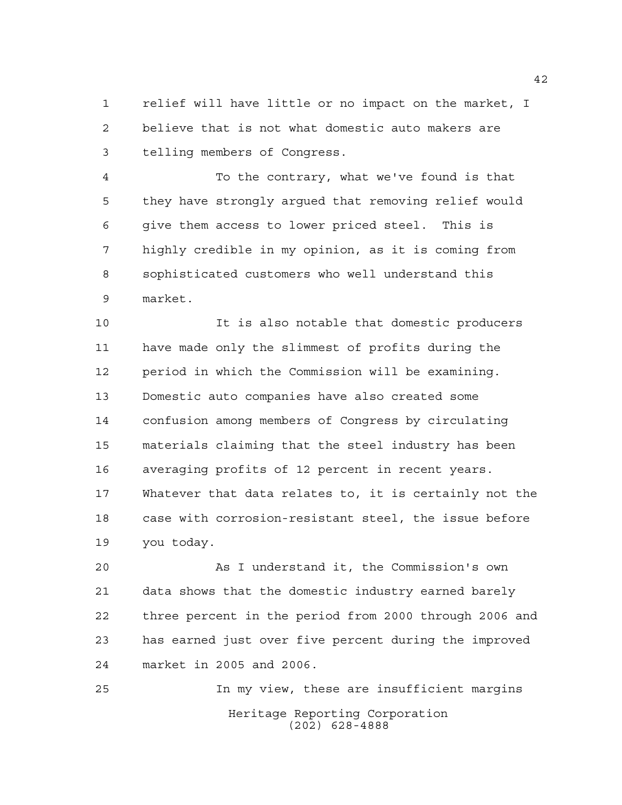relief will have little or no impact on the market, I believe that is not what domestic auto makers are telling members of Congress.

 To the contrary, what we've found is that they have strongly argued that removing relief would give them access to lower priced steel. This is highly credible in my opinion, as it is coming from sophisticated customers who well understand this market.

 It is also notable that domestic producers have made only the slimmest of profits during the period in which the Commission will be examining. Domestic auto companies have also created some confusion among members of Congress by circulating materials claiming that the steel industry has been averaging profits of 12 percent in recent years. Whatever that data relates to, it is certainly not the case with corrosion-resistant steel, the issue before you today.

 As I understand it, the Commission's own data shows that the domestic industry earned barely three percent in the period from 2000 through 2006 and has earned just over five percent during the improved market in 2005 and 2006.

Heritage Reporting Corporation (202) 628-4888 In my view, these are insufficient margins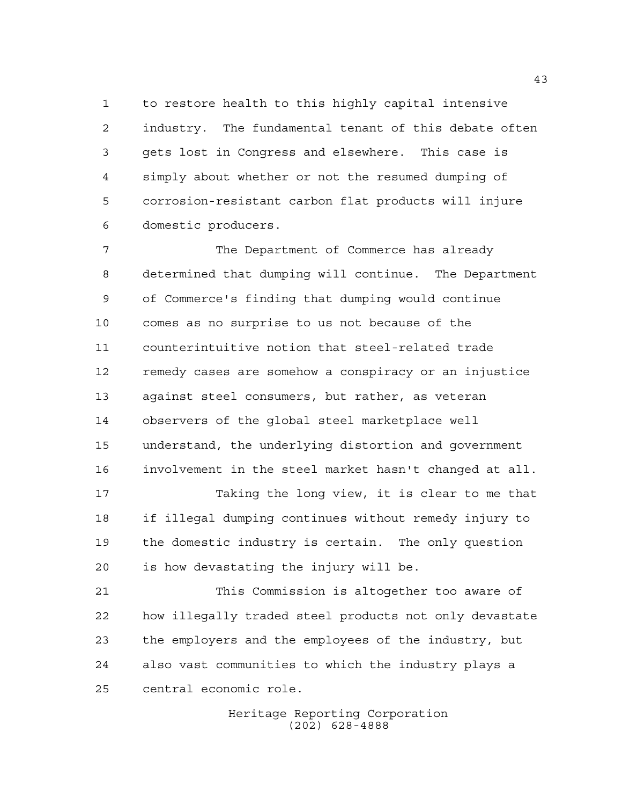to restore health to this highly capital intensive industry. The fundamental tenant of this debate often gets lost in Congress and elsewhere. This case is simply about whether or not the resumed dumping of corrosion-resistant carbon flat products will injure domestic producers.

 The Department of Commerce has already determined that dumping will continue. The Department of Commerce's finding that dumping would continue comes as no surprise to us not because of the counterintuitive notion that steel-related trade remedy cases are somehow a conspiracy or an injustice against steel consumers, but rather, as veteran observers of the global steel marketplace well understand, the underlying distortion and government involvement in the steel market hasn't changed at all. Taking the long view, it is clear to me that

 if illegal dumping continues without remedy injury to the domestic industry is certain. The only question is how devastating the injury will be.

 This Commission is altogether too aware of how illegally traded steel products not only devastate the employers and the employees of the industry, but also vast communities to which the industry plays a central economic role.

> Heritage Reporting Corporation (202) 628-4888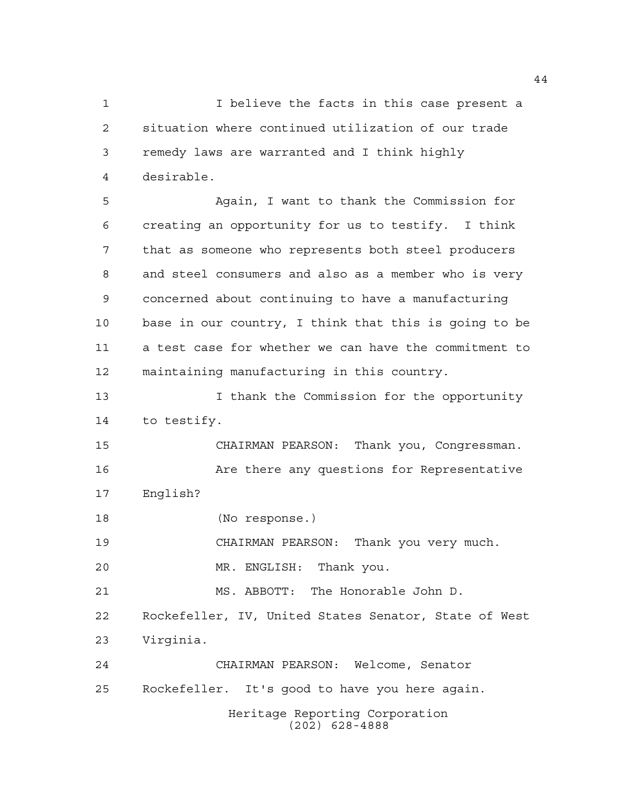I believe the facts in this case present a situation where continued utilization of our trade remedy laws are warranted and I think highly desirable.

 Again, I want to thank the Commission for creating an opportunity for us to testify. I think that as someone who represents both steel producers and steel consumers and also as a member who is very concerned about continuing to have a manufacturing base in our country, I think that this is going to be a test case for whether we can have the commitment to maintaining manufacturing in this country.

13 13 I thank the Commission for the opportunity to testify.

 CHAIRMAN PEARSON: Thank you, Congressman. 16 Are there any questions for Representative English?

(No response.)

CHAIRMAN PEARSON: Thank you very much.

MR. ENGLISH: Thank you.

MS. ABBOTT: The Honorable John D.

 Rockefeller, IV, United States Senator, State of West Virginia.

 CHAIRMAN PEARSON: Welcome, Senator Rockefeller. It's good to have you here again.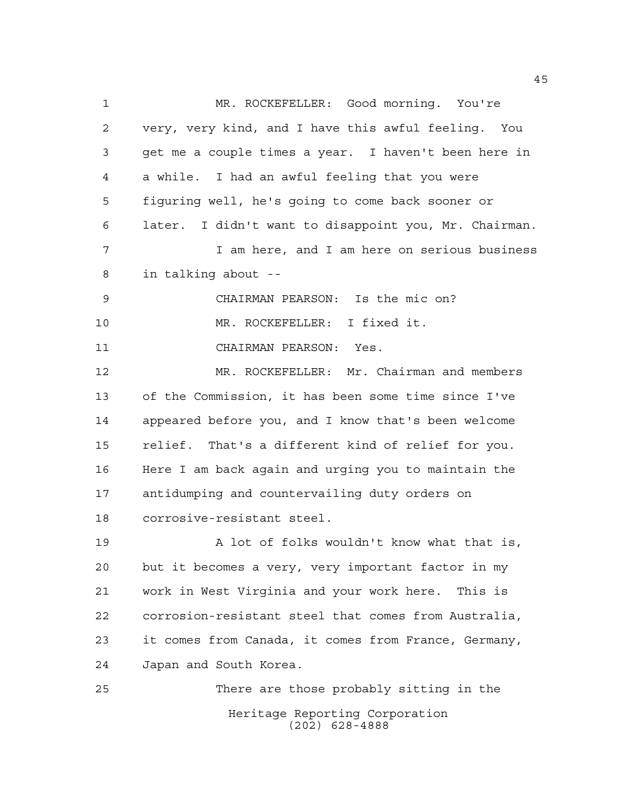Heritage Reporting Corporation (202) 628-4888 MR. ROCKEFELLER: Good morning. You're very, very kind, and I have this awful feeling. You get me a couple times a year. I haven't been here in a while. I had an awful feeling that you were figuring well, he's going to come back sooner or later. I didn't want to disappoint you, Mr. Chairman. I am here, and I am here on serious business in talking about -- CHAIRMAN PEARSON: Is the mic on? MR. ROCKEFELLER: I fixed it. CHAIRMAN PEARSON: Yes. MR. ROCKEFELLER: Mr. Chairman and members of the Commission, it has been some time since I've appeared before you, and I know that's been welcome relief. That's a different kind of relief for you. Here I am back again and urging you to maintain the antidumping and countervailing duty orders on corrosive-resistant steel. 19 A lot of folks wouldn't know what that is, but it becomes a very, very important factor in my work in West Virginia and your work here. This is corrosion-resistant steel that comes from Australia, it comes from Canada, it comes from France, Germany, Japan and South Korea. There are those probably sitting in the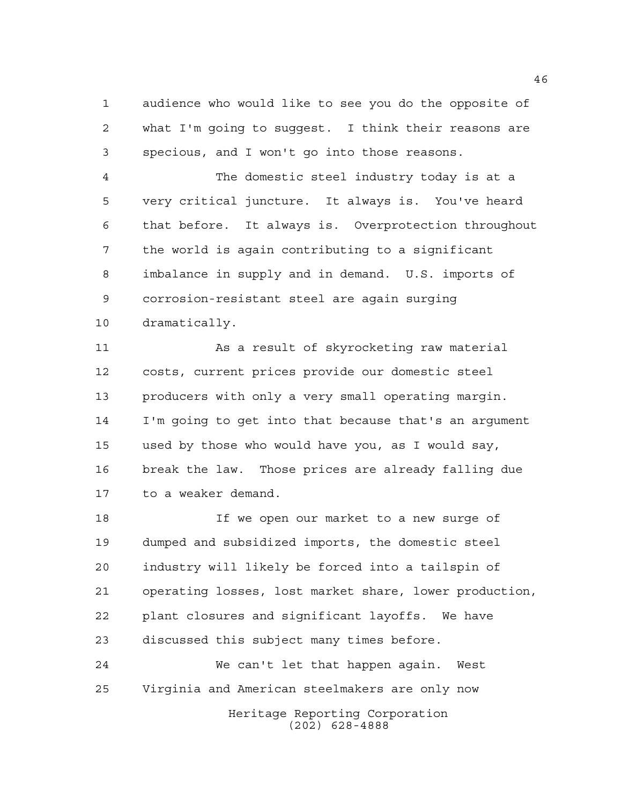audience who would like to see you do the opposite of what I'm going to suggest. I think their reasons are specious, and I won't go into those reasons.

 The domestic steel industry today is at a very critical juncture. It always is. You've heard that before. It always is. Overprotection throughout the world is again contributing to a significant imbalance in supply and in demand. U.S. imports of corrosion-resistant steel are again surging dramatically.

 As a result of skyrocketing raw material costs, current prices provide our domestic steel producers with only a very small operating margin. I'm going to get into that because that's an argument used by those who would have you, as I would say, break the law. Those prices are already falling due to a weaker demand.

 If we open our market to a new surge of dumped and subsidized imports, the domestic steel industry will likely be forced into a tailspin of operating losses, lost market share, lower production, plant closures and significant layoffs. We have discussed this subject many times before.

Heritage Reporting Corporation (202) 628-4888 We can't let that happen again. West Virginia and American steelmakers are only now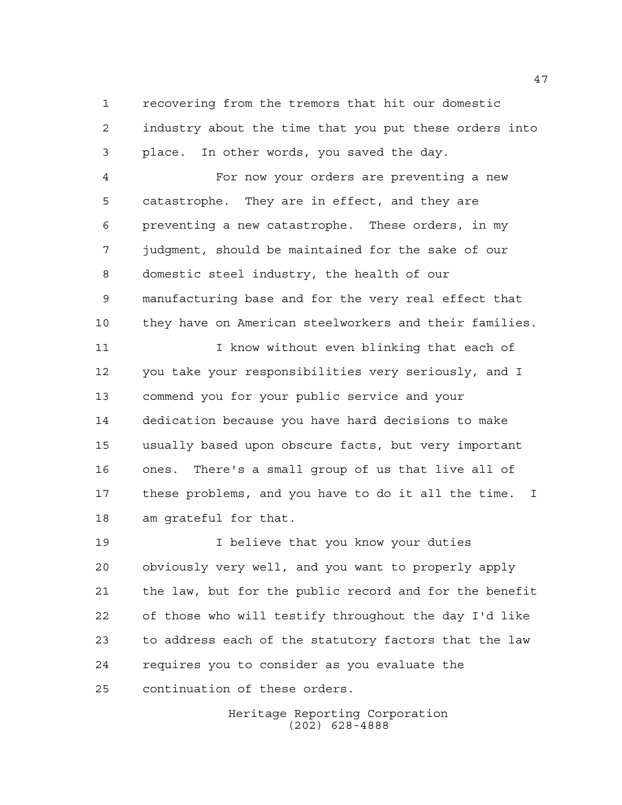recovering from the tremors that hit our domestic industry about the time that you put these orders into place. In other words, you saved the day.

 For now your orders are preventing a new catastrophe. They are in effect, and they are preventing a new catastrophe. These orders, in my judgment, should be maintained for the sake of our domestic steel industry, the health of our manufacturing base and for the very real effect that they have on American steelworkers and their families.

11 I know without even blinking that each of you take your responsibilities very seriously, and I commend you for your public service and your dedication because you have hard decisions to make usually based upon obscure facts, but very important ones. There's a small group of us that live all of these problems, and you have to do it all the time. I am grateful for that.

 I believe that you know your duties obviously very well, and you want to properly apply the law, but for the public record and for the benefit of those who will testify throughout the day I'd like to address each of the statutory factors that the law requires you to consider as you evaluate the continuation of these orders.

> Heritage Reporting Corporation (202) 628-4888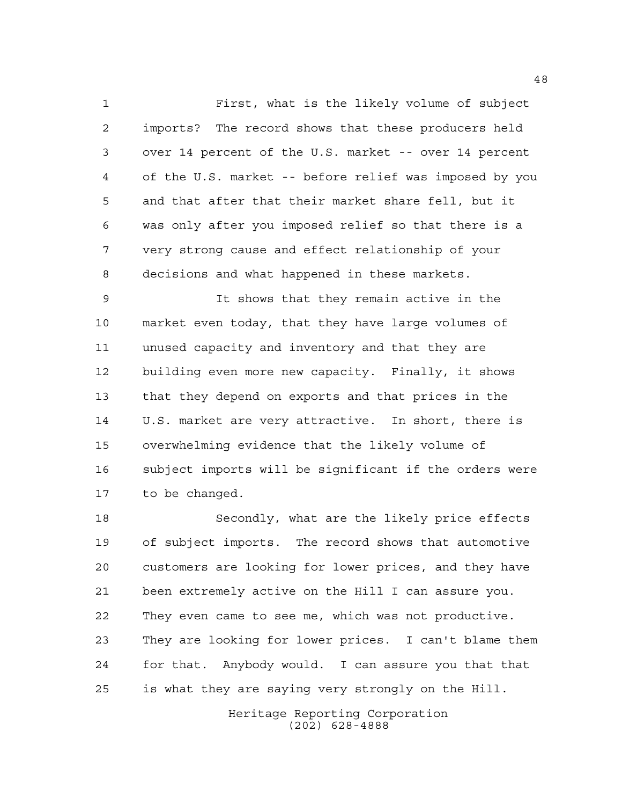First, what is the likely volume of subject imports? The record shows that these producers held over 14 percent of the U.S. market -- over 14 percent of the U.S. market -- before relief was imposed by you and that after that their market share fell, but it was only after you imposed relief so that there is a very strong cause and effect relationship of your decisions and what happened in these markets.

 It shows that they remain active in the market even today, that they have large volumes of unused capacity and inventory and that they are building even more new capacity. Finally, it shows that they depend on exports and that prices in the U.S. market are very attractive. In short, there is overwhelming evidence that the likely volume of subject imports will be significant if the orders were to be changed.

 Secondly, what are the likely price effects of subject imports. The record shows that automotive customers are looking for lower prices, and they have been extremely active on the Hill I can assure you. They even came to see me, which was not productive. They are looking for lower prices. I can't blame them for that. Anybody would. I can assure you that that is what they are saying very strongly on the Hill.

> Heritage Reporting Corporation (202) 628-4888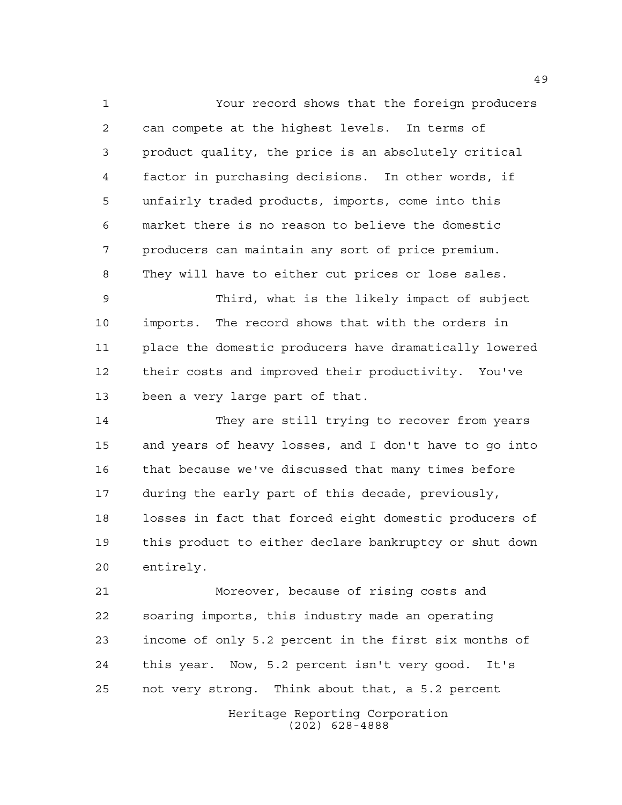Your record shows that the foreign producers can compete at the highest levels. In terms of product quality, the price is an absolutely critical factor in purchasing decisions. In other words, if unfairly traded products, imports, come into this market there is no reason to believe the domestic producers can maintain any sort of price premium. They will have to either cut prices or lose sales.

 Third, what is the likely impact of subject imports. The record shows that with the orders in place the domestic producers have dramatically lowered their costs and improved their productivity. You've been a very large part of that.

 They are still trying to recover from years and years of heavy losses, and I don't have to go into that because we've discussed that many times before during the early part of this decade, previously, losses in fact that forced eight domestic producers of this product to either declare bankruptcy or shut down entirely.

 Moreover, because of rising costs and soaring imports, this industry made an operating income of only 5.2 percent in the first six months of this year. Now, 5.2 percent isn't very good. It's not very strong. Think about that, a 5.2 percent

> Heritage Reporting Corporation (202) 628-4888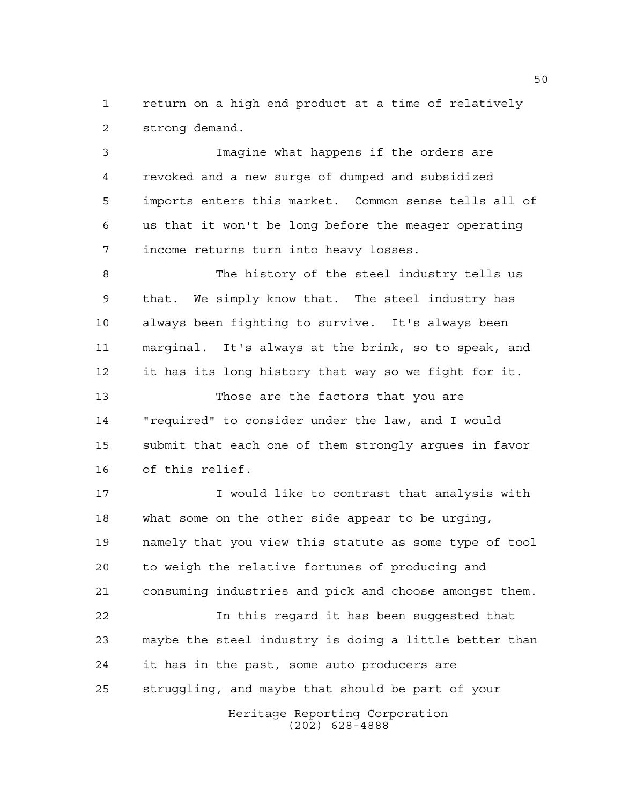return on a high end product at a time of relatively strong demand.

 Imagine what happens if the orders are revoked and a new surge of dumped and subsidized imports enters this market. Common sense tells all of us that it won't be long before the meager operating income returns turn into heavy losses.

 The history of the steel industry tells us that. We simply know that. The steel industry has always been fighting to survive. It's always been marginal. It's always at the brink, so to speak, and it has its long history that way so we fight for it. Those are the factors that you are "required" to consider under the law, and I would

 submit that each one of them strongly argues in favor of this relief.

17 Twould like to contrast that analysis with what some on the other side appear to be urging, namely that you view this statute as some type of tool to weigh the relative fortunes of producing and consuming industries and pick and choose amongst them. In this regard it has been suggested that maybe the steel industry is doing a little better than it has in the past, some auto producers are struggling, and maybe that should be part of your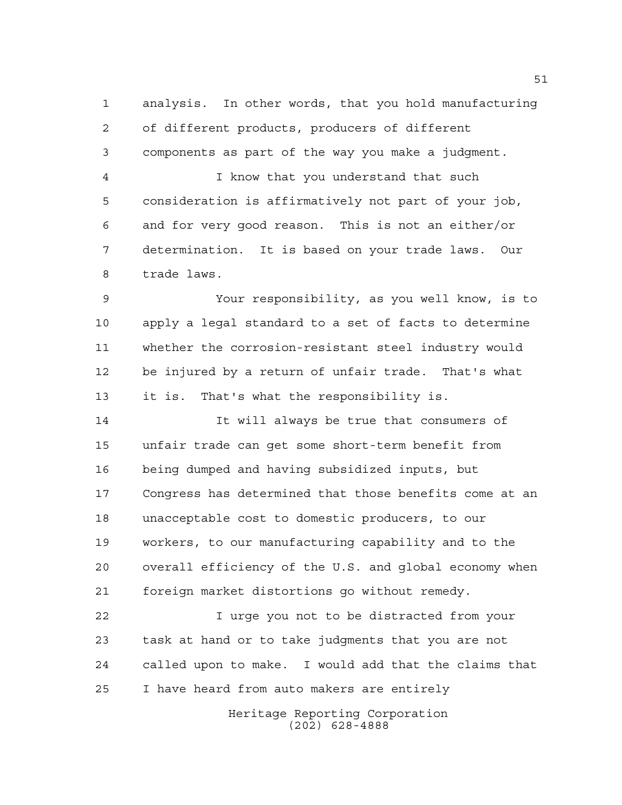analysis. In other words, that you hold manufacturing of different products, producers of different components as part of the way you make a judgment.

 I know that you understand that such consideration is affirmatively not part of your job, and for very good reason. This is not an either/or determination. It is based on your trade laws. Our trade laws.

 Your responsibility, as you well know, is to apply a legal standard to a set of facts to determine whether the corrosion-resistant steel industry would be injured by a return of unfair trade. That's what it is. That's what the responsibility is.

 It will always be true that consumers of unfair trade can get some short-term benefit from being dumped and having subsidized inputs, but Congress has determined that those benefits come at an unacceptable cost to domestic producers, to our workers, to our manufacturing capability and to the overall efficiency of the U.S. and global economy when foreign market distortions go without remedy.

 I urge you not to be distracted from your task at hand or to take judgments that you are not called upon to make. I would add that the claims that I have heard from auto makers are entirely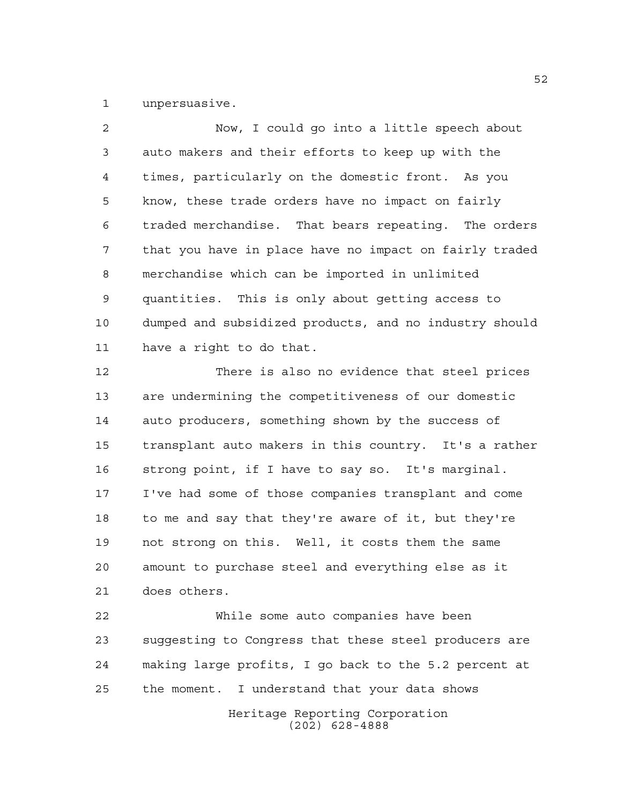unpersuasive.

 Now, I could go into a little speech about auto makers and their efforts to keep up with the times, particularly on the domestic front. As you know, these trade orders have no impact on fairly traded merchandise. That bears repeating. The orders that you have in place have no impact on fairly traded merchandise which can be imported in unlimited quantities. This is only about getting access to dumped and subsidized products, and no industry should have a right to do that. There is also no evidence that steel prices are undermining the competitiveness of our domestic auto producers, something shown by the success of transplant auto makers in this country. It's a rather strong point, if I have to say so. It's marginal.

 I've had some of those companies transplant and come to me and say that they're aware of it, but they're not strong on this. Well, it costs them the same amount to purchase steel and everything else as it does others.

 While some auto companies have been suggesting to Congress that these steel producers are making large profits, I go back to the 5.2 percent at the moment. I understand that your data shows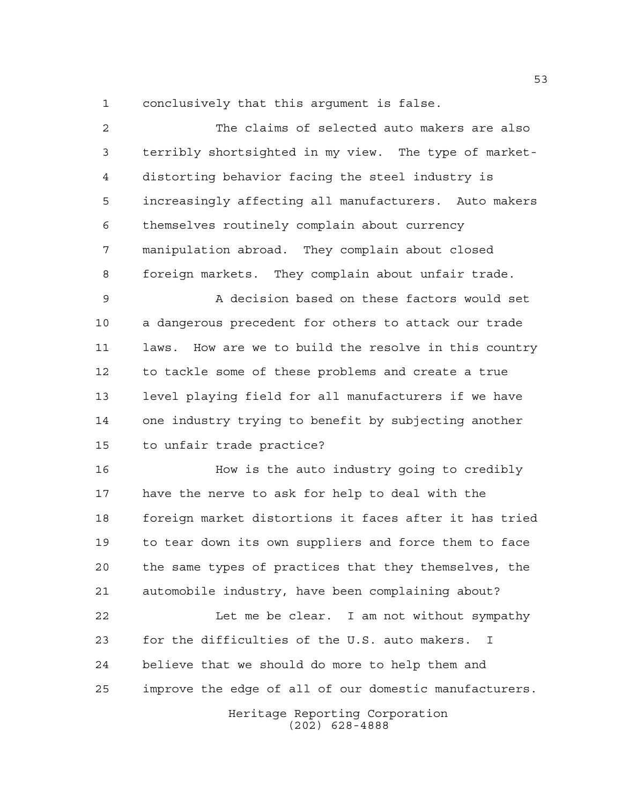conclusively that this argument is false.

 The claims of selected auto makers are also terribly shortsighted in my view. The type of market- distorting behavior facing the steel industry is increasingly affecting all manufacturers. Auto makers themselves routinely complain about currency manipulation abroad. They complain about closed foreign markets. They complain about unfair trade.

 A decision based on these factors would set a dangerous precedent for others to attack our trade laws. How are we to build the resolve in this country to tackle some of these problems and create a true level playing field for all manufacturers if we have one industry trying to benefit by subjecting another to unfair trade practice?

 How is the auto industry going to credibly have the nerve to ask for help to deal with the foreign market distortions it faces after it has tried to tear down its own suppliers and force them to face the same types of practices that they themselves, the automobile industry, have been complaining about?

22 Let me be clear. I am not without sympathy for the difficulties of the U.S. auto makers. I believe that we should do more to help them and improve the edge of all of our domestic manufacturers.

> Heritage Reporting Corporation (202) 628-4888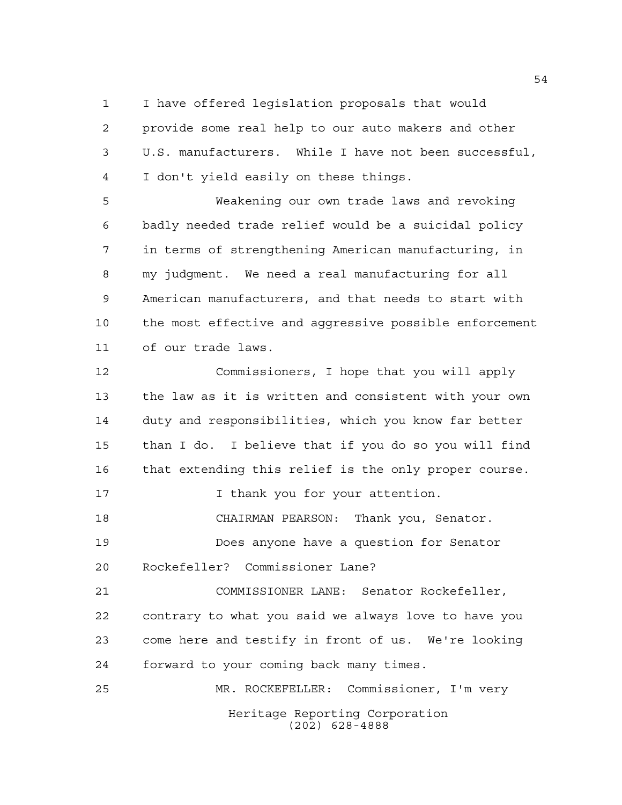I have offered legislation proposals that would

 provide some real help to our auto makers and other U.S. manufacturers. While I have not been successful, I don't yield easily on these things.

 Weakening our own trade laws and revoking badly needed trade relief would be a suicidal policy in terms of strengthening American manufacturing, in my judgment. We need a real manufacturing for all American manufacturers, and that needs to start with the most effective and aggressive possible enforcement of our trade laws.

 Commissioners, I hope that you will apply the law as it is written and consistent with your own duty and responsibilities, which you know far better than I do. I believe that if you do so you will find that extending this relief is the only proper course. 17 17 I thank you for your attention. CHAIRMAN PEARSON: Thank you, Senator. Does anyone have a question for Senator Rockefeller? Commissioner Lane? COMMISSIONER LANE: Senator Rockefeller,

 contrary to what you said we always love to have you come here and testify in front of us. We're looking forward to your coming back many times.

Heritage Reporting Corporation (202) 628-4888 MR. ROCKEFELLER: Commissioner, I'm very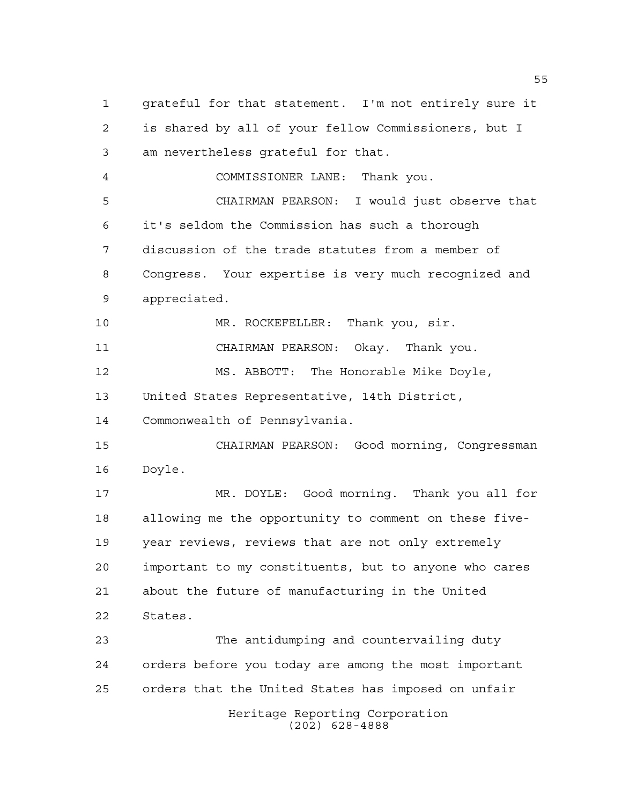Heritage Reporting Corporation (202) 628-4888 grateful for that statement. I'm not entirely sure it is shared by all of your fellow Commissioners, but I am nevertheless grateful for that. COMMISSIONER LANE: Thank you. CHAIRMAN PEARSON: I would just observe that it's seldom the Commission has such a thorough discussion of the trade statutes from a member of Congress. Your expertise is very much recognized and appreciated. MR. ROCKEFELLER: Thank you, sir. CHAIRMAN PEARSON: Okay. Thank you. MS. ABBOTT: The Honorable Mike Doyle, United States Representative, 14th District, Commonwealth of Pennsylvania. CHAIRMAN PEARSON: Good morning, Congressman Doyle. MR. DOYLE: Good morning. Thank you all for allowing me the opportunity to comment on these five- year reviews, reviews that are not only extremely important to my constituents, but to anyone who cares about the future of manufacturing in the United States. The antidumping and countervailing duty orders before you today are among the most important orders that the United States has imposed on unfair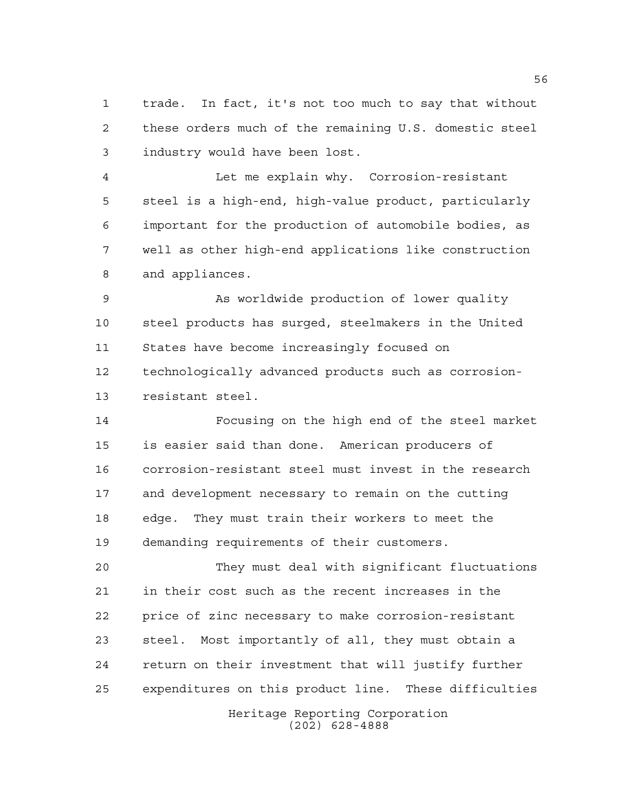trade. In fact, it's not too much to say that without these orders much of the remaining U.S. domestic steel industry would have been lost.

 Let me explain why. Corrosion-resistant steel is a high-end, high-value product, particularly important for the production of automobile bodies, as well as other high-end applications like construction and appliances.

 As worldwide production of lower quality steel products has surged, steelmakers in the United States have become increasingly focused on technologically advanced products such as corrosion-resistant steel.

 Focusing on the high end of the steel market is easier said than done. American producers of corrosion-resistant steel must invest in the research and development necessary to remain on the cutting edge. They must train their workers to meet the demanding requirements of their customers.

 They must deal with significant fluctuations in their cost such as the recent increases in the price of zinc necessary to make corrosion-resistant steel. Most importantly of all, they must obtain a return on their investment that will justify further expenditures on this product line. These difficulties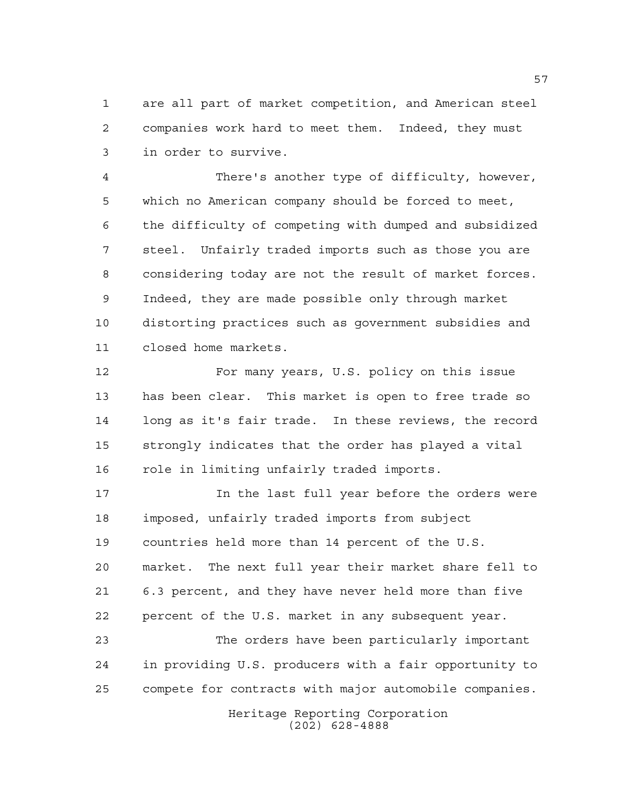are all part of market competition, and American steel companies work hard to meet them. Indeed, they must in order to survive.

 There's another type of difficulty, however, which no American company should be forced to meet, the difficulty of competing with dumped and subsidized steel. Unfairly traded imports such as those you are considering today are not the result of market forces. Indeed, they are made possible only through market distorting practices such as government subsidies and closed home markets.

 For many years, U.S. policy on this issue has been clear. This market is open to free trade so long as it's fair trade. In these reviews, the record strongly indicates that the order has played a vital role in limiting unfairly traded imports.

 In the last full year before the orders were imposed, unfairly traded imports from subject countries held more than 14 percent of the U.S. market. The next full year their market share fell to 6.3 percent, and they have never held more than five percent of the U.S. market in any subsequent year.

 The orders have been particularly important in providing U.S. producers with a fair opportunity to compete for contracts with major automobile companies.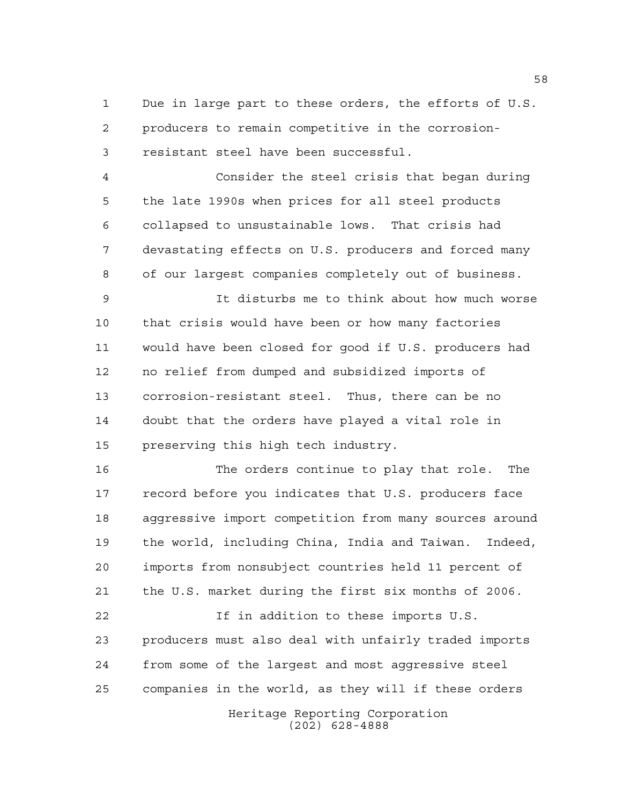Due in large part to these orders, the efforts of U.S. producers to remain competitive in the corrosion-resistant steel have been successful.

 Consider the steel crisis that began during the late 1990s when prices for all steel products collapsed to unsustainable lows. That crisis had devastating effects on U.S. producers and forced many of our largest companies completely out of business.

 It disturbs me to think about how much worse that crisis would have been or how many factories would have been closed for good if U.S. producers had no relief from dumped and subsidized imports of corrosion-resistant steel. Thus, there can be no doubt that the orders have played a vital role in preserving this high tech industry.

 The orders continue to play that role. The record before you indicates that U.S. producers face aggressive import competition from many sources around the world, including China, India and Taiwan. Indeed, imports from nonsubject countries held 11 percent of the U.S. market during the first six months of 2006.

 If in addition to these imports U.S. producers must also deal with unfairly traded imports from some of the largest and most aggressive steel companies in the world, as they will if these orders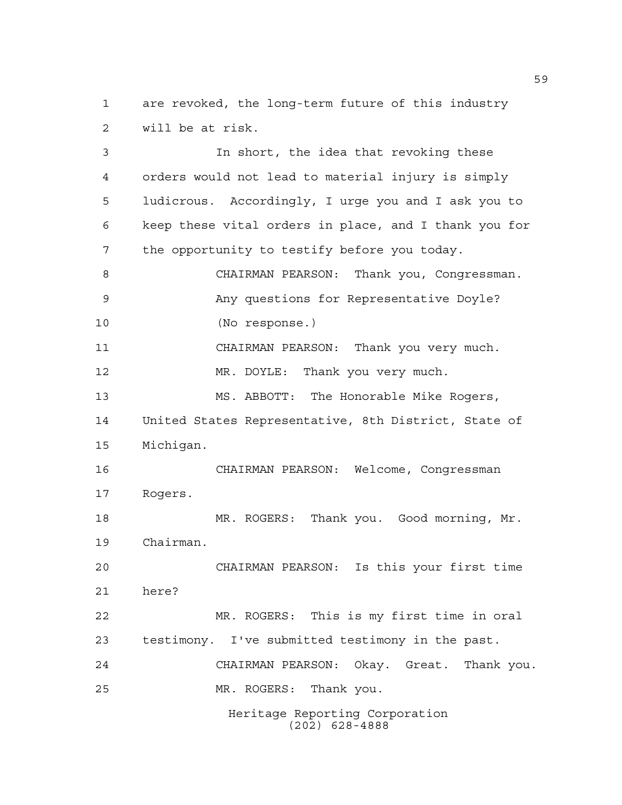are revoked, the long-term future of this industry will be at risk.

 In short, the idea that revoking these orders would not lead to material injury is simply ludicrous. Accordingly, I urge you and I ask you to keep these vital orders in place, and I thank you for the opportunity to testify before you today. CHAIRMAN PEARSON: Thank you, Congressman. Any questions for Representative Doyle? (No response.) CHAIRMAN PEARSON: Thank you very much. MR. DOYLE: Thank you very much. MS. ABBOTT: The Honorable Mike Rogers, United States Representative, 8th District, State of Michigan. CHAIRMAN PEARSON: Welcome, Congressman Rogers. MR. ROGERS: Thank you. Good morning, Mr. Chairman. CHAIRMAN PEARSON: Is this your first time here? MR. ROGERS: This is my first time in oral testimony. I've submitted testimony in the past. CHAIRMAN PEARSON: Okay. Great. Thank you. MR. ROGERS: Thank you.

Heritage Reporting Corporation (202) 628-4888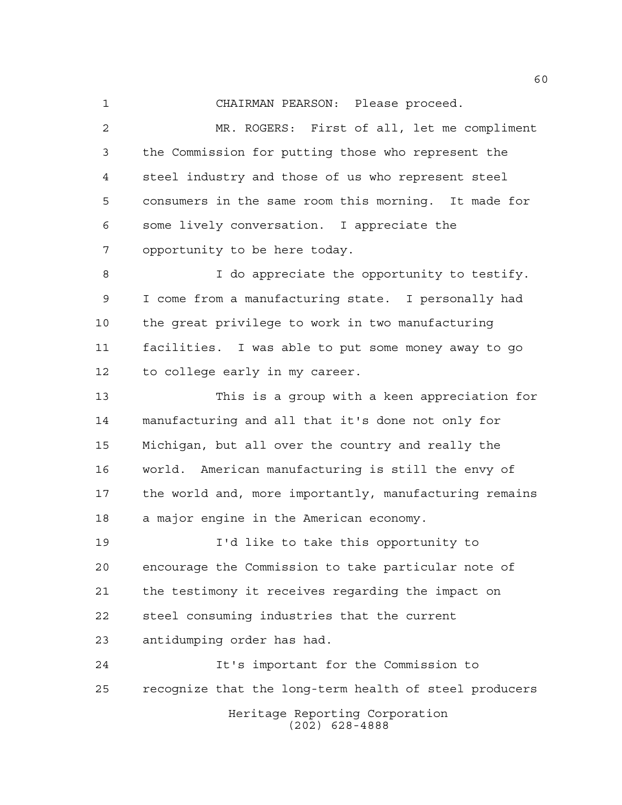CHAIRMAN PEARSON: Please proceed.

 MR. ROGERS: First of all, let me compliment the Commission for putting those who represent the steel industry and those of us who represent steel consumers in the same room this morning. It made for some lively conversation. I appreciate the opportunity to be here today.

8 I do appreciate the opportunity to testify. I come from a manufacturing state. I personally had the great privilege to work in two manufacturing facilities. I was able to put some money away to go to college early in my career.

 This is a group with a keen appreciation for manufacturing and all that it's done not only for Michigan, but all over the country and really the world. American manufacturing is still the envy of the world and, more importantly, manufacturing remains a major engine in the American economy.

 I'd like to take this opportunity to encourage the Commission to take particular note of the testimony it receives regarding the impact on steel consuming industries that the current antidumping order has had.

Heritage Reporting Corporation (202) 628-4888 It's important for the Commission to recognize that the long-term health of steel producers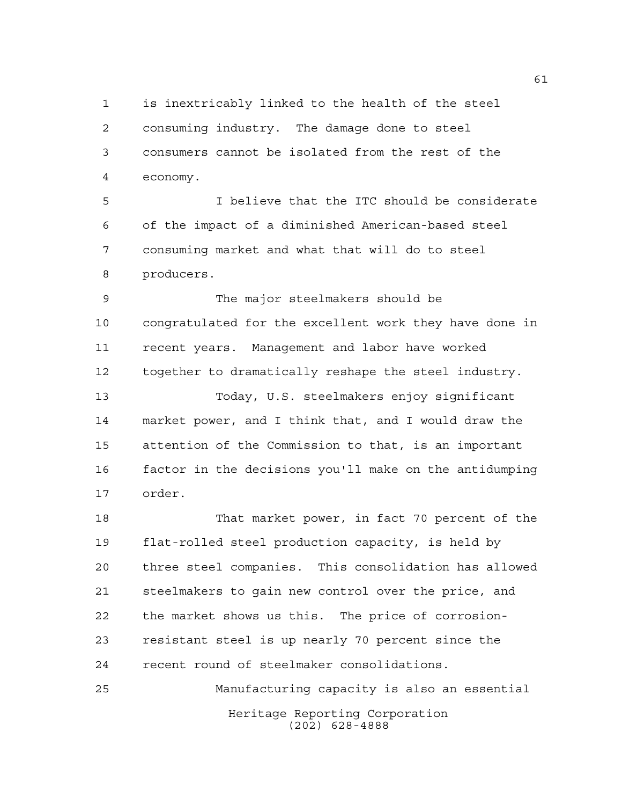is inextricably linked to the health of the steel consuming industry. The damage done to steel consumers cannot be isolated from the rest of the economy.

 I believe that the ITC should be considerate of the impact of a diminished American-based steel consuming market and what that will do to steel producers.

 The major steelmakers should be congratulated for the excellent work they have done in recent years. Management and labor have worked together to dramatically reshape the steel industry.

 Today, U.S. steelmakers enjoy significant market power, and I think that, and I would draw the attention of the Commission to that, is an important factor in the decisions you'll make on the antidumping order.

 That market power, in fact 70 percent of the flat-rolled steel production capacity, is held by three steel companies. This consolidation has allowed steelmakers to gain new control over the price, and the market shows us this. The price of corrosion- resistant steel is up nearly 70 percent since the recent round of steelmaker consolidations.

Heritage Reporting Corporation (202) 628-4888 Manufacturing capacity is also an essential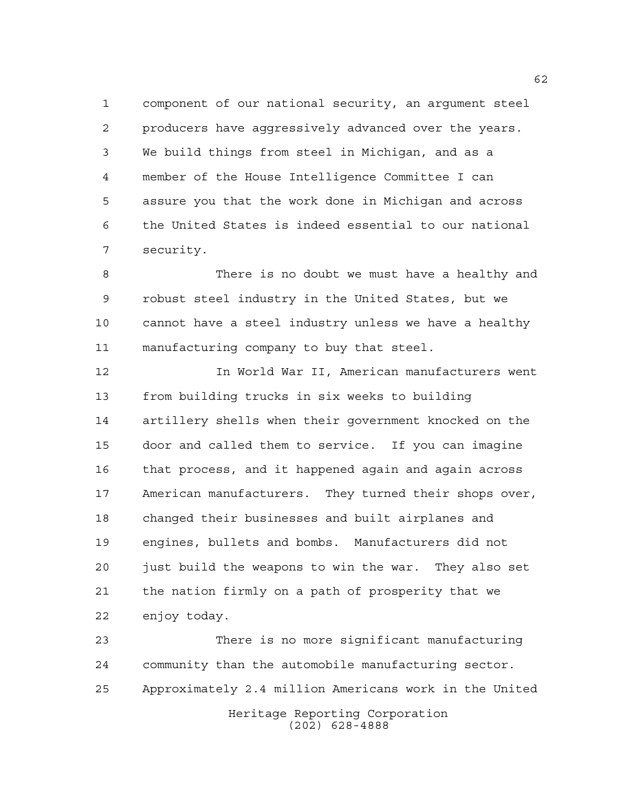component of our national security, an argument steel producers have aggressively advanced over the years. We build things from steel in Michigan, and as a member of the House Intelligence Committee I can assure you that the work done in Michigan and across the United States is indeed essential to our national security.

 There is no doubt we must have a healthy and robust steel industry in the United States, but we cannot have a steel industry unless we have a healthy manufacturing company to buy that steel.

 In World War II, American manufacturers went from building trucks in six weeks to building artillery shells when their government knocked on the door and called them to service. If you can imagine that process, and it happened again and again across American manufacturers. They turned their shops over, changed their businesses and built airplanes and engines, bullets and bombs. Manufacturers did not just build the weapons to win the war. They also set the nation firmly on a path of prosperity that we enjoy today.

 There is no more significant manufacturing community than the automobile manufacturing sector. Approximately 2.4 million Americans work in the United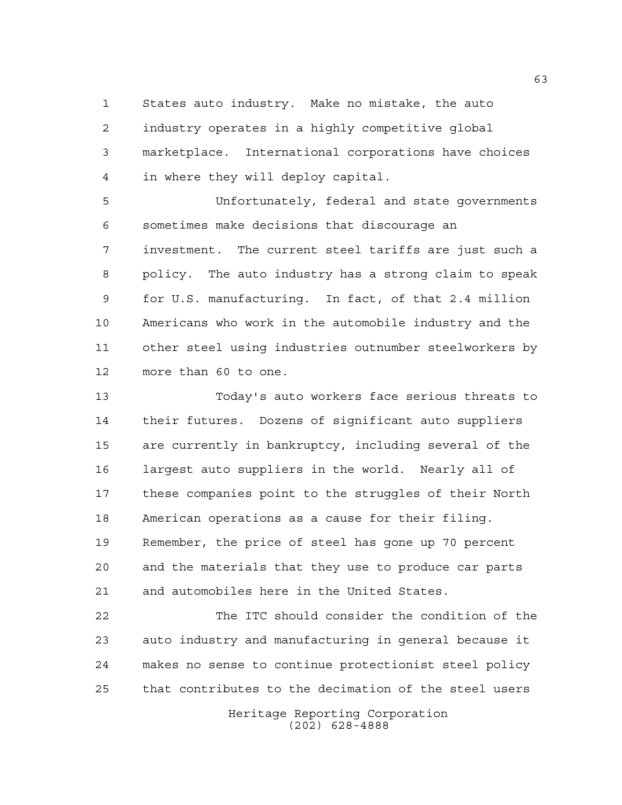States auto industry. Make no mistake, the auto industry operates in a highly competitive global marketplace. International corporations have choices in where they will deploy capital.

 Unfortunately, federal and state governments sometimes make decisions that discourage an investment. The current steel tariffs are just such a policy. The auto industry has a strong claim to speak for U.S. manufacturing. In fact, of that 2.4 million Americans who work in the automobile industry and the other steel using industries outnumber steelworkers by more than 60 to one.

 Today's auto workers face serious threats to their futures. Dozens of significant auto suppliers are currently in bankruptcy, including several of the largest auto suppliers in the world. Nearly all of these companies point to the struggles of their North American operations as a cause for their filing. Remember, the price of steel has gone up 70 percent and the materials that they use to produce car parts and automobiles here in the United States.

 The ITC should consider the condition of the auto industry and manufacturing in general because it makes no sense to continue protectionist steel policy that contributes to the decimation of the steel users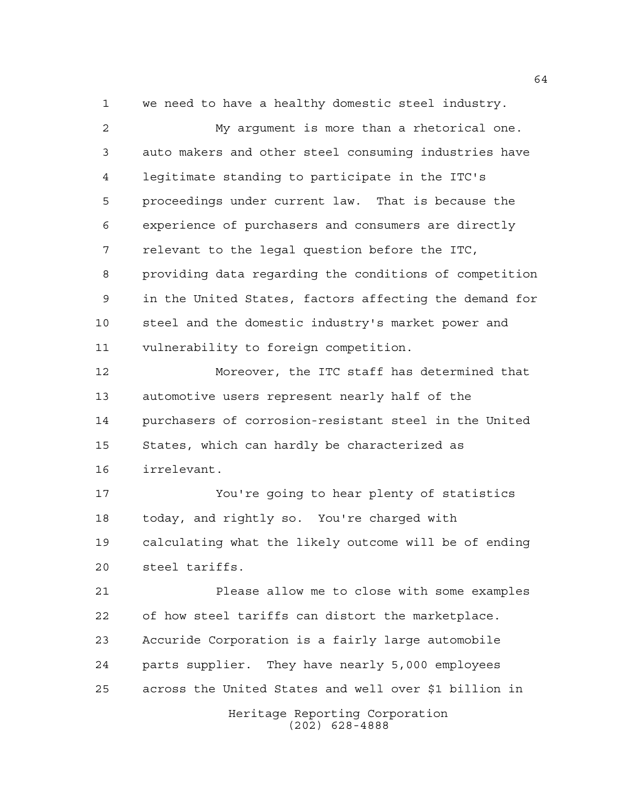we need to have a healthy domestic steel industry.

 My argument is more than a rhetorical one. auto makers and other steel consuming industries have legitimate standing to participate in the ITC's proceedings under current law. That is because the experience of purchasers and consumers are directly relevant to the legal question before the ITC, providing data regarding the conditions of competition in the United States, factors affecting the demand for steel and the domestic industry's market power and vulnerability to foreign competition.

 Moreover, the ITC staff has determined that automotive users represent nearly half of the purchasers of corrosion-resistant steel in the United States, which can hardly be characterized as irrelevant.

 You're going to hear plenty of statistics today, and rightly so. You're charged with calculating what the likely outcome will be of ending steel tariffs.

 Please allow me to close with some examples of how steel tariffs can distort the marketplace. Accuride Corporation is a fairly large automobile parts supplier. They have nearly 5,000 employees across the United States and well over \$1 billion in

> Heritage Reporting Corporation (202) 628-4888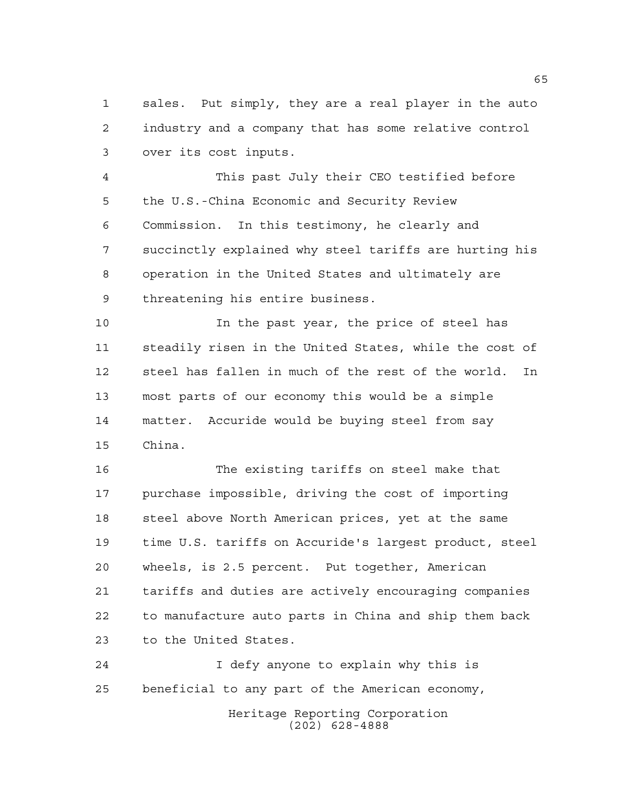sales. Put simply, they are a real player in the auto industry and a company that has some relative control over its cost inputs.

 This past July their CEO testified before the U.S.-China Economic and Security Review Commission. In this testimony, he clearly and succinctly explained why steel tariffs are hurting his operation in the United States and ultimately are threatening his entire business.

 In the past year, the price of steel has steadily risen in the United States, while the cost of steel has fallen in much of the rest of the world. In most parts of our economy this would be a simple matter. Accuride would be buying steel from say China.

 The existing tariffs on steel make that purchase impossible, driving the cost of importing 18 steel above North American prices, yet at the same time U.S. tariffs on Accuride's largest product, steel wheels, is 2.5 percent. Put together, American tariffs and duties are actively encouraging companies to manufacture auto parts in China and ship them back to the United States.

 I defy anyone to explain why this is beneficial to any part of the American economy,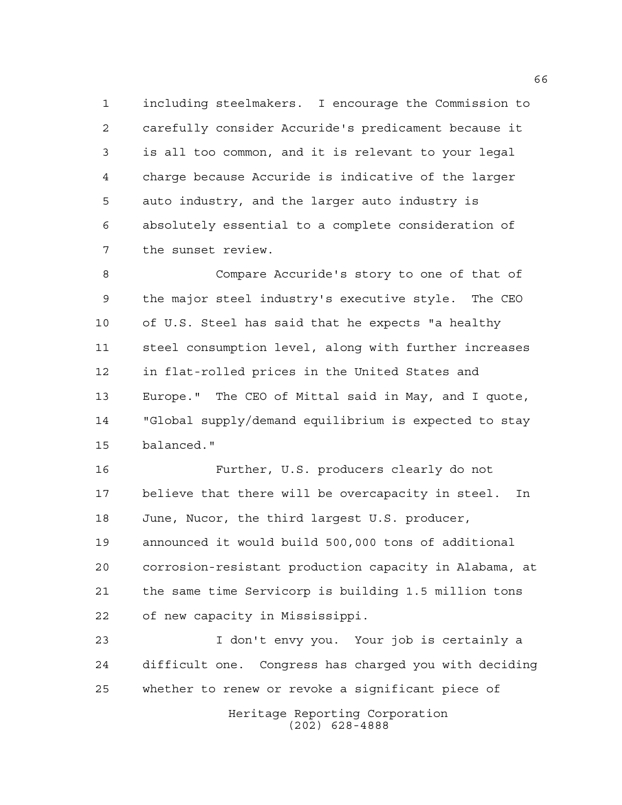including steelmakers. I encourage the Commission to carefully consider Accuride's predicament because it is all too common, and it is relevant to your legal charge because Accuride is indicative of the larger auto industry, and the larger auto industry is absolutely essential to a complete consideration of the sunset review.

 Compare Accuride's story to one of that of the major steel industry's executive style. The CEO of U.S. Steel has said that he expects "a healthy steel consumption level, along with further increases in flat-rolled prices in the United States and Europe." The CEO of Mittal said in May, and I quote, "Global supply/demand equilibrium is expected to stay balanced."

 Further, U.S. producers clearly do not believe that there will be overcapacity in steel. In June, Nucor, the third largest U.S. producer, announced it would build 500,000 tons of additional corrosion-resistant production capacity in Alabama, at the same time Servicorp is building 1.5 million tons of new capacity in Mississippi.

 I don't envy you. Your job is certainly a difficult one. Congress has charged you with deciding whether to renew or revoke a significant piece of

> Heritage Reporting Corporation (202) 628-4888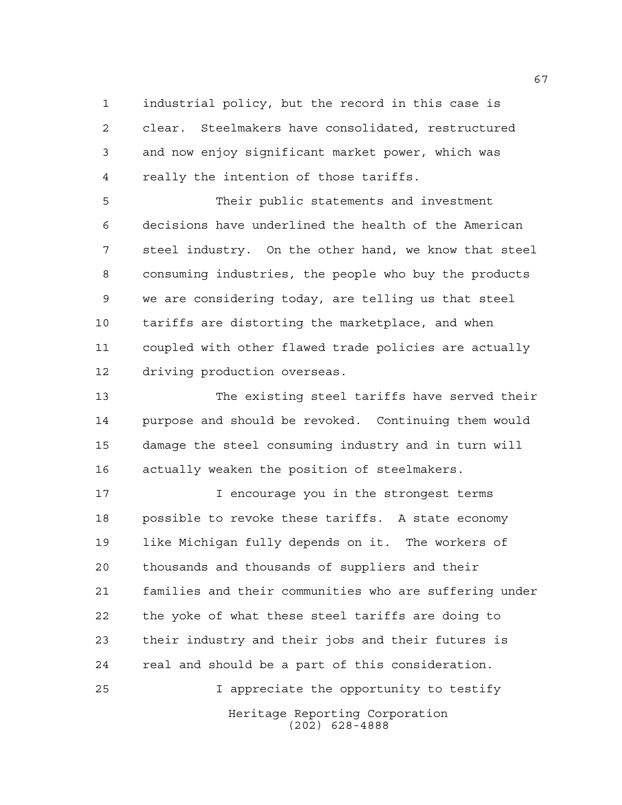industrial policy, but the record in this case is clear. Steelmakers have consolidated, restructured and now enjoy significant market power, which was really the intention of those tariffs.

 Their public statements and investment decisions have underlined the health of the American steel industry. On the other hand, we know that steel consuming industries, the people who buy the products we are considering today, are telling us that steel tariffs are distorting the marketplace, and when coupled with other flawed trade policies are actually driving production overseas.

 The existing steel tariffs have served their purpose and should be revoked. Continuing them would damage the steel consuming industry and in turn will actually weaken the position of steelmakers.

17 17 I encourage you in the strongest terms possible to revoke these tariffs. A state economy like Michigan fully depends on it. The workers of thousands and thousands of suppliers and their families and their communities who are suffering under the yoke of what these steel tariffs are doing to their industry and their jobs and their futures is real and should be a part of this consideration. I appreciate the opportunity to testify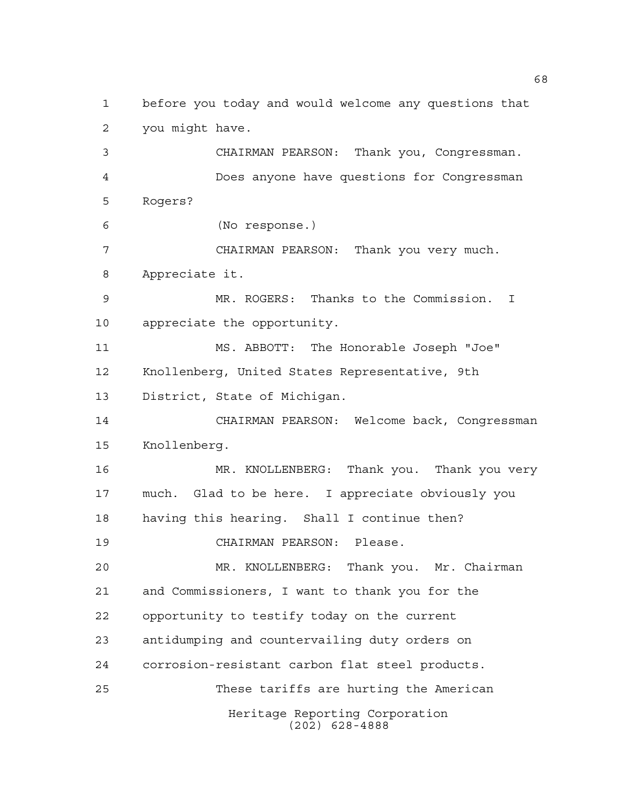before you today and would welcome any questions that you might have. CHAIRMAN PEARSON: Thank you, Congressman.

 Does anyone have questions for Congressman Rogers?

(No response.)

 CHAIRMAN PEARSON: Thank you very much. Appreciate it.

 MR. ROGERS: Thanks to the Commission. I appreciate the opportunity.

 MS. ABBOTT: The Honorable Joseph "Joe" Knollenberg, United States Representative, 9th District, State of Michigan.

 CHAIRMAN PEARSON: Welcome back, Congressman Knollenberg.

 MR. KNOLLENBERG: Thank you. Thank you very much. Glad to be here. I appreciate obviously you having this hearing. Shall I continue then?

CHAIRMAN PEARSON: Please.

Heritage Reporting Corporation (202) 628-4888 MR. KNOLLENBERG: Thank you. Mr. Chairman and Commissioners, I want to thank you for the opportunity to testify today on the current antidumping and countervailing duty orders on corrosion-resistant carbon flat steel products. These tariffs are hurting the American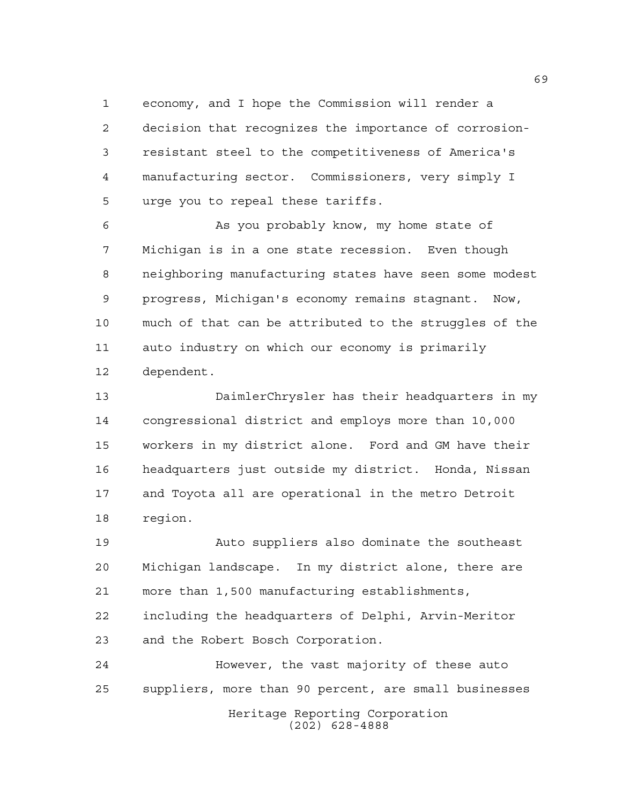economy, and I hope the Commission will render a decision that recognizes the importance of corrosion- resistant steel to the competitiveness of America's manufacturing sector. Commissioners, very simply I urge you to repeal these tariffs.

 As you probably know, my home state of Michigan is in a one state recession. Even though neighboring manufacturing states have seen some modest progress, Michigan's economy remains stagnant. Now, much of that can be attributed to the struggles of the auto industry on which our economy is primarily dependent.

 DaimlerChrysler has their headquarters in my congressional district and employs more than 10,000 workers in my district alone. Ford and GM have their headquarters just outside my district. Honda, Nissan and Toyota all are operational in the metro Detroit region.

 Auto suppliers also dominate the southeast Michigan landscape. In my district alone, there are more than 1,500 manufacturing establishments, including the headquarters of Delphi, Arvin-Meritor and the Robert Bosch Corporation.

 However, the vast majority of these auto suppliers, more than 90 percent, are small businesses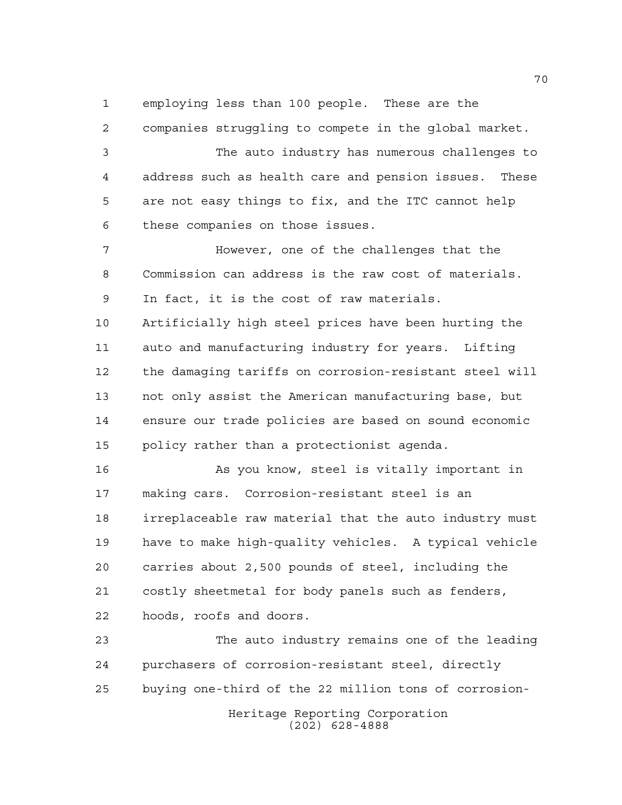employing less than 100 people. These are the

 companies struggling to compete in the global market. The auto industry has numerous challenges to address such as health care and pension issues. These are not easy things to fix, and the ITC cannot help these companies on those issues. However, one of the challenges that the Commission can address is the raw cost of materials. In fact, it is the cost of raw materials. Artificially high steel prices have been hurting the auto and manufacturing industry for years. Lifting the damaging tariffs on corrosion-resistant steel will not only assist the American manufacturing base, but ensure our trade policies are based on sound economic policy rather than a protectionist agenda. As you know, steel is vitally important in making cars. Corrosion-resistant steel is an irreplaceable raw material that the auto industry must have to make high-quality vehicles. A typical vehicle

 carries about 2,500 pounds of steel, including the costly sheetmetal for body panels such as fenders, hoods, roofs and doors.

Heritage Reporting Corporation (202) 628-4888 The auto industry remains one of the leading purchasers of corrosion-resistant steel, directly buying one-third of the 22 million tons of corrosion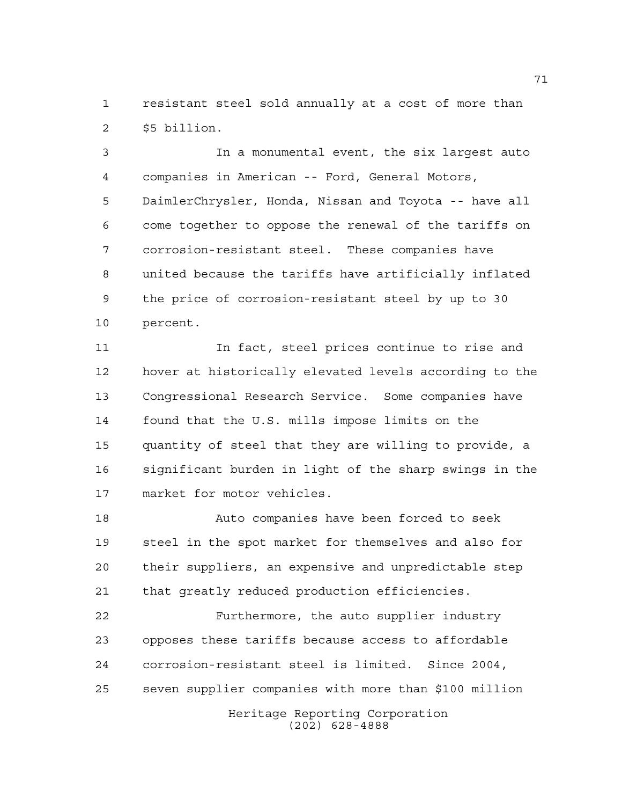resistant steel sold annually at a cost of more than \$5 billion.

 In a monumental event, the six largest auto companies in American -- Ford, General Motors, DaimlerChrysler, Honda, Nissan and Toyota -- have all come together to oppose the renewal of the tariffs on corrosion-resistant steel. These companies have united because the tariffs have artificially inflated the price of corrosion-resistant steel by up to 30 percent.

 In fact, steel prices continue to rise and hover at historically elevated levels according to the Congressional Research Service. Some companies have found that the U.S. mills impose limits on the quantity of steel that they are willing to provide, a significant burden in light of the sharp swings in the market for motor vehicles.

 Auto companies have been forced to seek steel in the spot market for themselves and also for their suppliers, an expensive and unpredictable step that greatly reduced production efficiencies.

Heritage Reporting Corporation Furthermore, the auto supplier industry opposes these tariffs because access to affordable corrosion-resistant steel is limited. Since 2004, seven supplier companies with more than \$100 million

(202) 628-4888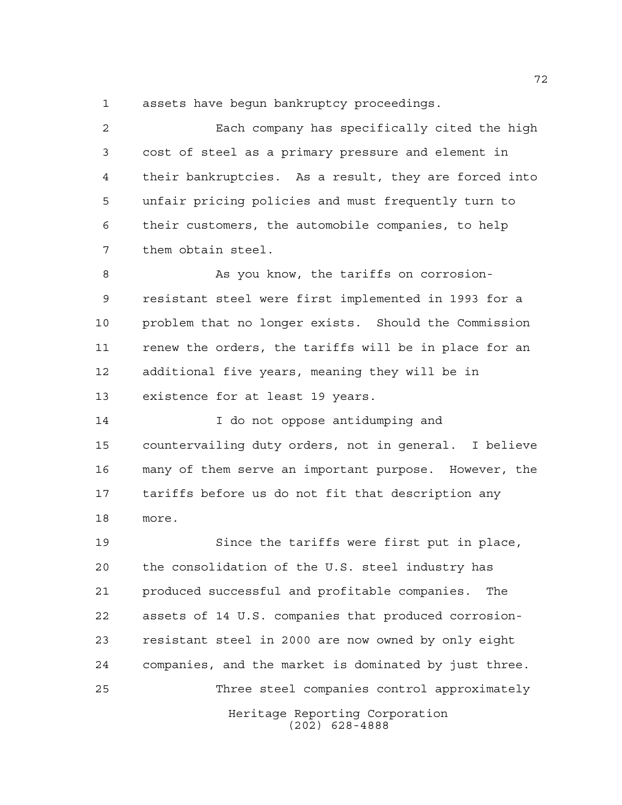assets have begun bankruptcy proceedings.

 Each company has specifically cited the high cost of steel as a primary pressure and element in their bankruptcies. As a result, they are forced into unfair pricing policies and must frequently turn to their customers, the automobile companies, to help them obtain steel.

 As you know, the tariffs on corrosion- resistant steel were first implemented in 1993 for a problem that no longer exists. Should the Commission renew the orders, the tariffs will be in place for an additional five years, meaning they will be in existence for at least 19 years.

14 I do not oppose antidumping and countervailing duty orders, not in general. I believe many of them serve an important purpose. However, the tariffs before us do not fit that description any more.

Heritage Reporting Corporation (202) 628-4888 Since the tariffs were first put in place, the consolidation of the U.S. steel industry has produced successful and profitable companies. The assets of 14 U.S. companies that produced corrosion- resistant steel in 2000 are now owned by only eight companies, and the market is dominated by just three. Three steel companies control approximately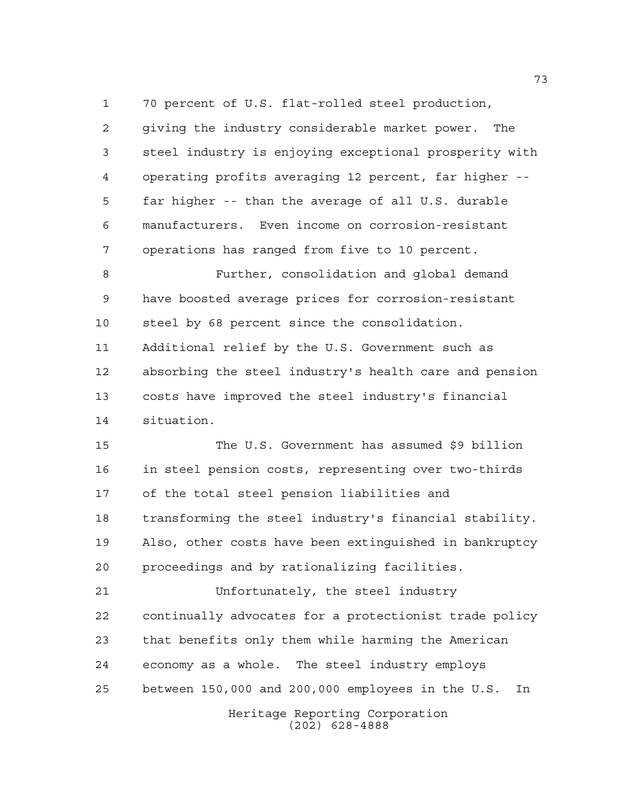Heritage Reporting Corporation 70 percent of U.S. flat-rolled steel production, giving the industry considerable market power. The steel industry is enjoying exceptional prosperity with operating profits averaging 12 percent, far higher -- far higher -- than the average of all U.S. durable manufacturers. Even income on corrosion-resistant operations has ranged from five to 10 percent. Further, consolidation and global demand have boosted average prices for corrosion-resistant steel by 68 percent since the consolidation. Additional relief by the U.S. Government such as absorbing the steel industry's health care and pension costs have improved the steel industry's financial situation. The U.S. Government has assumed \$9 billion in steel pension costs, representing over two-thirds of the total steel pension liabilities and transforming the steel industry's financial stability. Also, other costs have been extinguished in bankruptcy proceedings and by rationalizing facilities. Unfortunately, the steel industry continually advocates for a protectionist trade policy that benefits only them while harming the American economy as a whole. The steel industry employs between 150,000 and 200,000 employees in the U.S. In

(202) 628-4888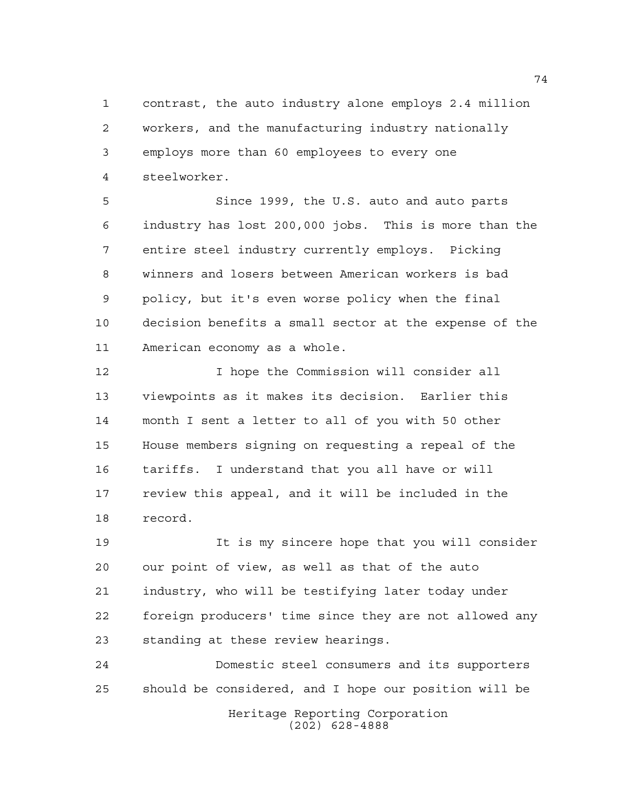contrast, the auto industry alone employs 2.4 million workers, and the manufacturing industry nationally employs more than 60 employees to every one steelworker.

 Since 1999, the U.S. auto and auto parts industry has lost 200,000 jobs. This is more than the entire steel industry currently employs. Picking winners and losers between American workers is bad policy, but it's even worse policy when the final decision benefits a small sector at the expense of the American economy as a whole.

 I hope the Commission will consider all viewpoints as it makes its decision. Earlier this month I sent a letter to all of you with 50 other House members signing on requesting a repeal of the tariffs. I understand that you all have or will review this appeal, and it will be included in the record.

 It is my sincere hope that you will consider our point of view, as well as that of the auto industry, who will be testifying later today under foreign producers' time since they are not allowed any standing at these review hearings.

 Domestic steel consumers and its supporters should be considered, and I hope our position will be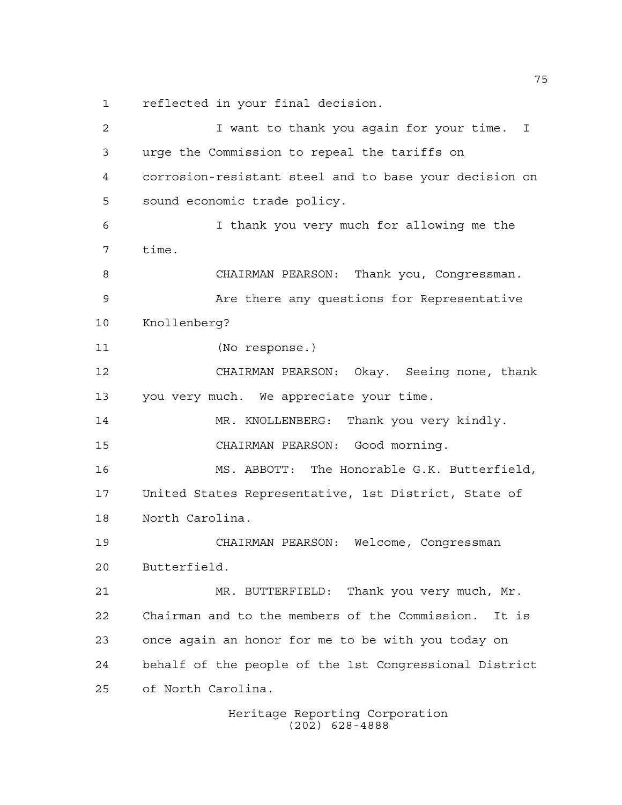reflected in your final decision.

 I want to thank you again for your time. I urge the Commission to repeal the tariffs on corrosion-resistant steel and to base your decision on sound economic trade policy. I thank you very much for allowing me the time. CHAIRMAN PEARSON: Thank you, Congressman. Are there any questions for Representative Knollenberg? (No response.) CHAIRMAN PEARSON: Okay. Seeing none, thank you very much. We appreciate your time. 14 MR. KNOLLENBERG: Thank you very kindly. CHAIRMAN PEARSON: Good morning. MS. ABBOTT: The Honorable G.K. Butterfield, United States Representative, 1st District, State of North Carolina. CHAIRMAN PEARSON: Welcome, Congressman Butterfield. MR. BUTTERFIELD: Thank you very much, Mr. Chairman and to the members of the Commission. It is once again an honor for me to be with you today on behalf of the people of the 1st Congressional District of North Carolina.

Heritage Reporting Corporation (202) 628-4888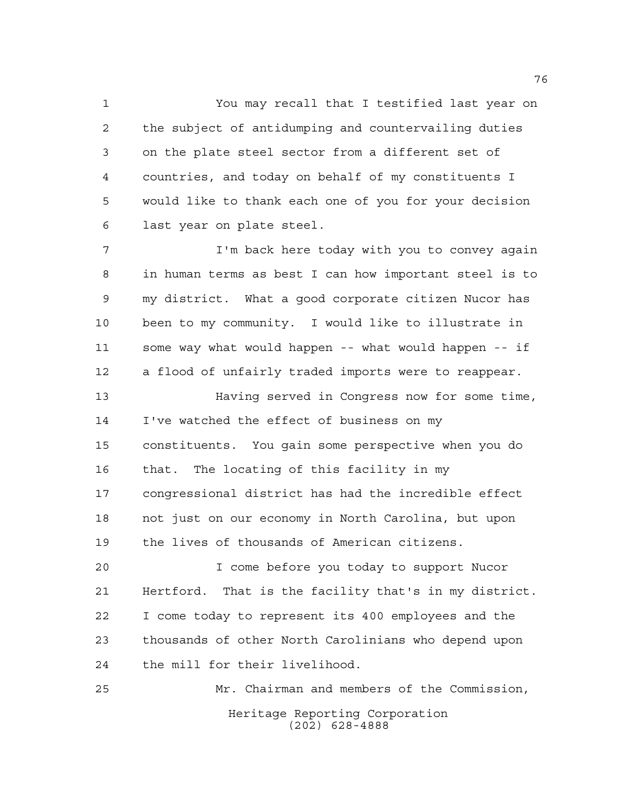You may recall that I testified last year on the subject of antidumping and countervailing duties on the plate steel sector from a different set of countries, and today on behalf of my constituents I would like to thank each one of you for your decision last year on plate steel.

 I'm back here today with you to convey again in human terms as best I can how important steel is to my district. What a good corporate citizen Nucor has been to my community. I would like to illustrate in some way what would happen -- what would happen -- if a flood of unfairly traded imports were to reappear. Having served in Congress now for some time, I've watched the effect of business on my constituents. You gain some perspective when you do that. The locating of this facility in my congressional district has had the incredible effect not just on our economy in North Carolina, but upon

the lives of thousands of American citizens.

 I come before you today to support Nucor Hertford. That is the facility that's in my district. I come today to represent its 400 employees and the thousands of other North Carolinians who depend upon the mill for their livelihood.

Heritage Reporting Corporation (202) 628-4888 Mr. Chairman and members of the Commission,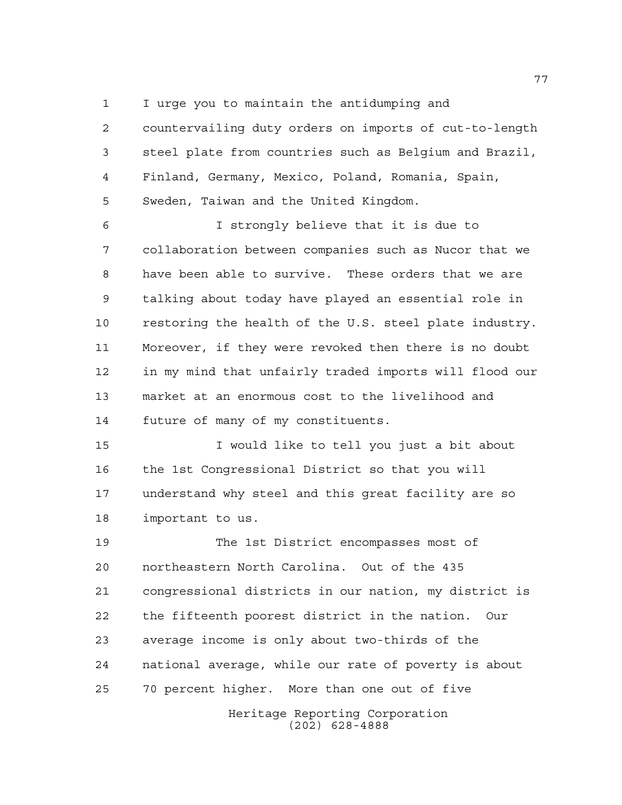I urge you to maintain the antidumping and

 countervailing duty orders on imports of cut-to-length steel plate from countries such as Belgium and Brazil, Finland, Germany, Mexico, Poland, Romania, Spain, Sweden, Taiwan and the United Kingdom.

 I strongly believe that it is due to collaboration between companies such as Nucor that we have been able to survive. These orders that we are talking about today have played an essential role in restoring the health of the U.S. steel plate industry. Moreover, if they were revoked then there is no doubt in my mind that unfairly traded imports will flood our market at an enormous cost to the livelihood and future of many of my constituents.

 I would like to tell you just a bit about the 1st Congressional District so that you will understand why steel and this great facility are so important to us.

Heritage Reporting Corporation (202) 628-4888 The 1st District encompasses most of northeastern North Carolina. Out of the 435 congressional districts in our nation, my district is the fifteenth poorest district in the nation. Our average income is only about two-thirds of the national average, while our rate of poverty is about 70 percent higher. More than one out of five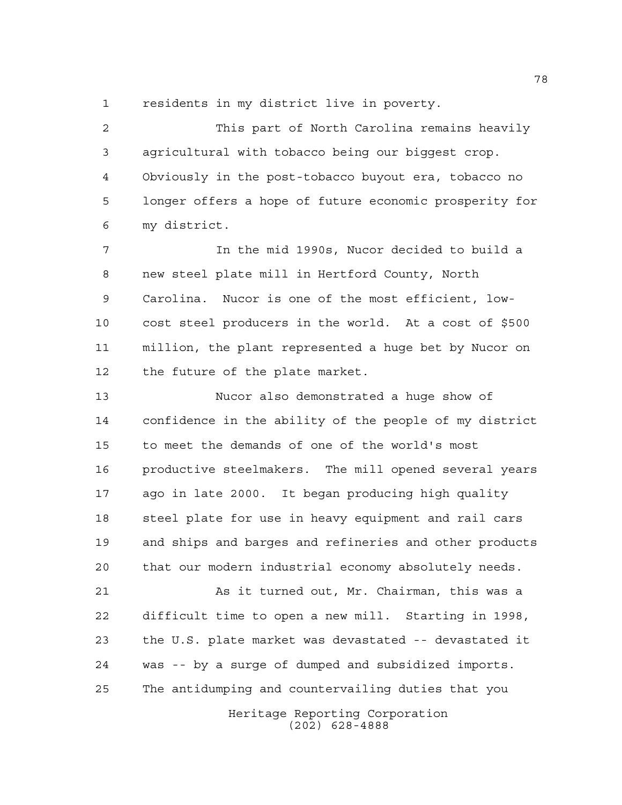residents in my district live in poverty.

 This part of North Carolina remains heavily agricultural with tobacco being our biggest crop. Obviously in the post-tobacco buyout era, tobacco no longer offers a hope of future economic prosperity for my district.

 In the mid 1990s, Nucor decided to build a new steel plate mill in Hertford County, North Carolina. Nucor is one of the most efficient, low- cost steel producers in the world. At a cost of \$500 million, the plant represented a huge bet by Nucor on the future of the plate market.

 Nucor also demonstrated a huge show of confidence in the ability of the people of my district to meet the demands of one of the world's most productive steelmakers. The mill opened several years ago in late 2000. It began producing high quality steel plate for use in heavy equipment and rail cars and ships and barges and refineries and other products that our modern industrial economy absolutely needs.

 As it turned out, Mr. Chairman, this was a difficult time to open a new mill. Starting in 1998, the U.S. plate market was devastated -- devastated it was -- by a surge of dumped and subsidized imports. The antidumping and countervailing duties that you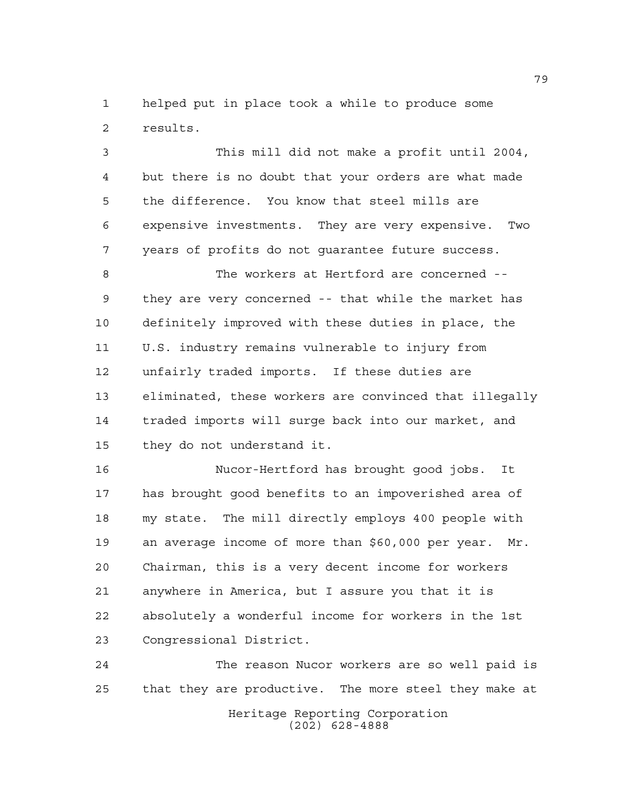helped put in place took a while to produce some results.

 This mill did not make a profit until 2004, but there is no doubt that your orders are what made the difference. You know that steel mills are expensive investments. They are very expensive. Two years of profits do not guarantee future success.

 The workers at Hertford are concerned -- they are very concerned -- that while the market has definitely improved with these duties in place, the U.S. industry remains vulnerable to injury from unfairly traded imports. If these duties are eliminated, these workers are convinced that illegally traded imports will surge back into our market, and they do not understand it.

 Nucor-Hertford has brought good jobs. It has brought good benefits to an impoverished area of my state. The mill directly employs 400 people with an average income of more than \$60,000 per year. Mr. Chairman, this is a very decent income for workers anywhere in America, but I assure you that it is absolutely a wonderful income for workers in the 1st Congressional District.

Heritage Reporting Corporation (202) 628-4888 The reason Nucor workers are so well paid is that they are productive. The more steel they make at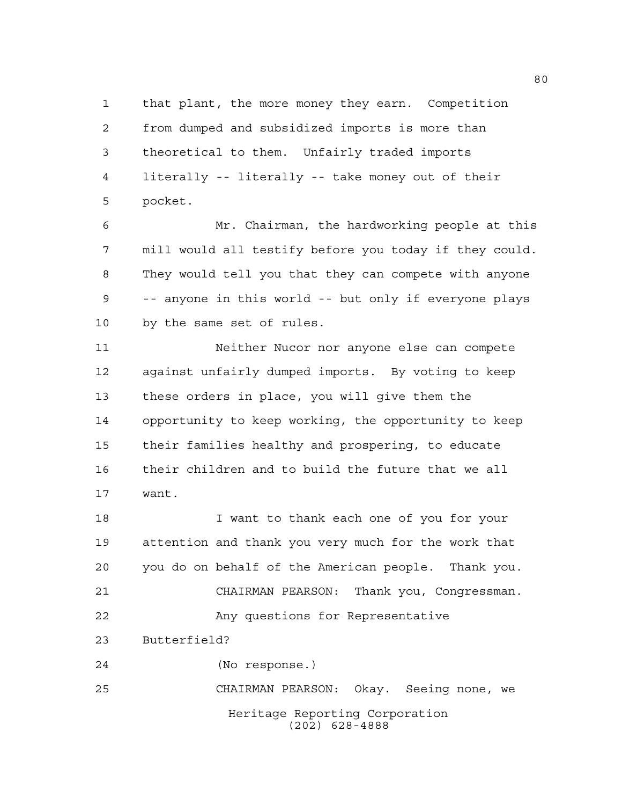that plant, the more money they earn. Competition from dumped and subsidized imports is more than theoretical to them. Unfairly traded imports literally -- literally -- take money out of their pocket.

 Mr. Chairman, the hardworking people at this mill would all testify before you today if they could. They would tell you that they can compete with anyone -- anyone in this world -- but only if everyone plays by the same set of rules.

 Neither Nucor nor anyone else can compete against unfairly dumped imports. By voting to keep these orders in place, you will give them the opportunity to keep working, the opportunity to keep their families healthy and prospering, to educate their children and to build the future that we all want.

 I want to thank each one of you for your attention and thank you very much for the work that you do on behalf of the American people. Thank you. CHAIRMAN PEARSON: Thank you, Congressman. Any questions for Representative

Butterfield?

(No response.)

Heritage Reporting Corporation (202) 628-4888 CHAIRMAN PEARSON: Okay. Seeing none, we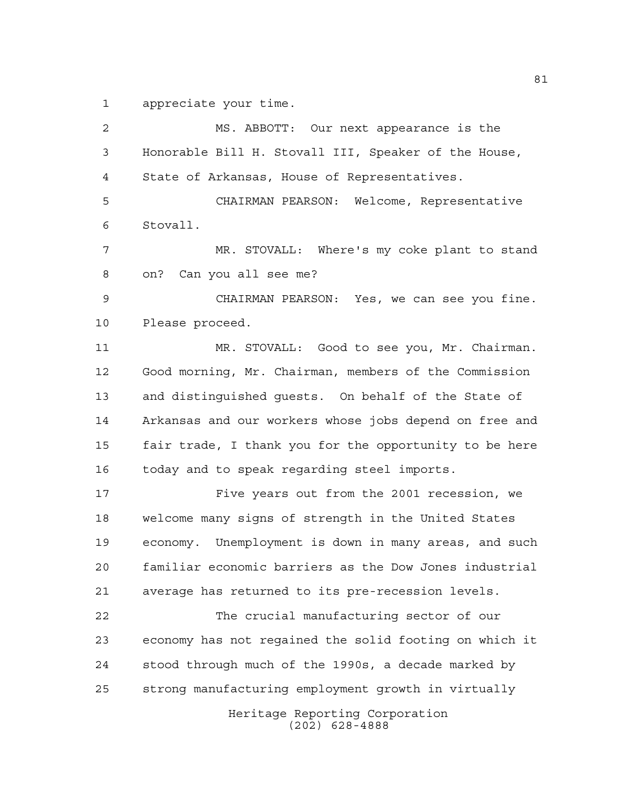appreciate your time.

Heritage Reporting Corporation (202) 628-4888 MS. ABBOTT: Our next appearance is the Honorable Bill H. Stovall III, Speaker of the House, State of Arkansas, House of Representatives. CHAIRMAN PEARSON: Welcome, Representative Stovall. MR. STOVALL: Where's my coke plant to stand on? Can you all see me? CHAIRMAN PEARSON: Yes, we can see you fine. Please proceed. MR. STOVALL: Good to see you, Mr. Chairman. Good morning, Mr. Chairman, members of the Commission and distinguished guests. On behalf of the State of Arkansas and our workers whose jobs depend on free and fair trade, I thank you for the opportunity to be here today and to speak regarding steel imports. Five years out from the 2001 recession, we welcome many signs of strength in the United States economy. Unemployment is down in many areas, and such familiar economic barriers as the Dow Jones industrial average has returned to its pre-recession levels. The crucial manufacturing sector of our economy has not regained the solid footing on which it stood through much of the 1990s, a decade marked by strong manufacturing employment growth in virtually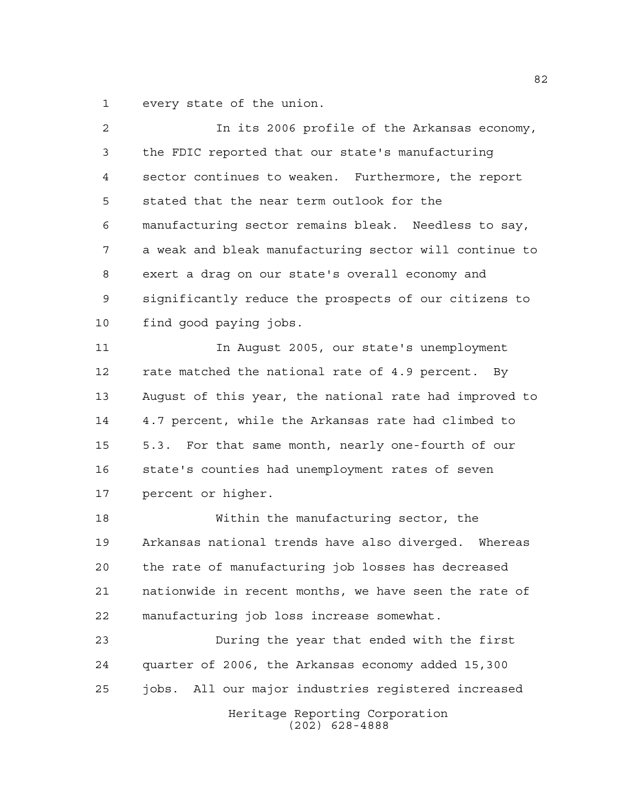every state of the union.

| 2  | In its 2006 profile of the Arkansas economy,           |
|----|--------------------------------------------------------|
| 3  | the FDIC reported that our state's manufacturing       |
| 4  | sector continues to weaken. Furthermore, the report    |
| 5  | stated that the near term outlook for the              |
| 6  | manufacturing sector remains bleak. Needless to say,   |
| 7  | a weak and bleak manufacturing sector will continue to |
| 8  | exert a drag on our state's overall economy and        |
| 9  | significantly reduce the prospects of our citizens to  |
| 10 | find good paying jobs.                                 |
| 11 | In August 2005, our state's unemployment               |
| 12 | rate matched the national rate of 4.9 percent. By      |
| 13 | August of this year, the national rate had improved to |
| 14 | 4.7 percent, while the Arkansas rate had climbed to    |
| 15 | 5.3. For that same month, nearly one-fourth of our     |
| 16 | state's counties had unemployment rates of seven       |
| 17 | percent or higher.                                     |
| 18 | Within the manufacturing sector, the                   |
| 19 | Arkansas national trends have also diverged. Whereas   |
| 20 | the rate of manufacturing job losses has decreased     |
| 21 | nationwide in recent months, we have seen the rate of  |
| 22 | manufacturing job loss increase somewhat.              |
| 23 | During the year that ended with the first              |
| 24 | quarter of 2006, the Arkansas economy added 15,300     |
| 25 | jobs. All our major industries registered increased    |
|    |                                                        |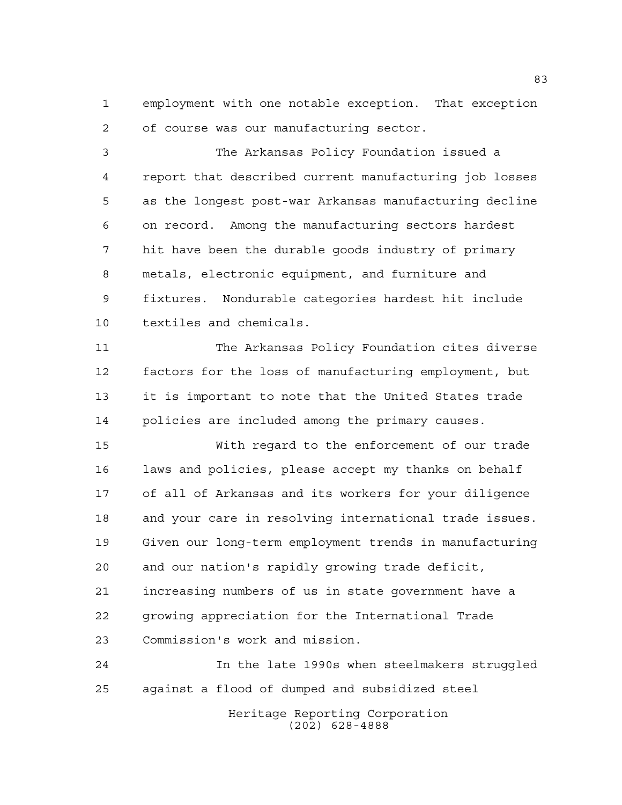employment with one notable exception. That exception of course was our manufacturing sector.

 The Arkansas Policy Foundation issued a report that described current manufacturing job losses as the longest post-war Arkansas manufacturing decline on record. Among the manufacturing sectors hardest hit have been the durable goods industry of primary metals, electronic equipment, and furniture and fixtures. Nondurable categories hardest hit include textiles and chemicals.

 The Arkansas Policy Foundation cites diverse factors for the loss of manufacturing employment, but it is important to note that the United States trade policies are included among the primary causes.

 With regard to the enforcement of our trade laws and policies, please accept my thanks on behalf of all of Arkansas and its workers for your diligence and your care in resolving international trade issues. Given our long-term employment trends in manufacturing and our nation's rapidly growing trade deficit, increasing numbers of us in state government have a growing appreciation for the International Trade Commission's work and mission.

 In the late 1990s when steelmakers struggled against a flood of dumped and subsidized steel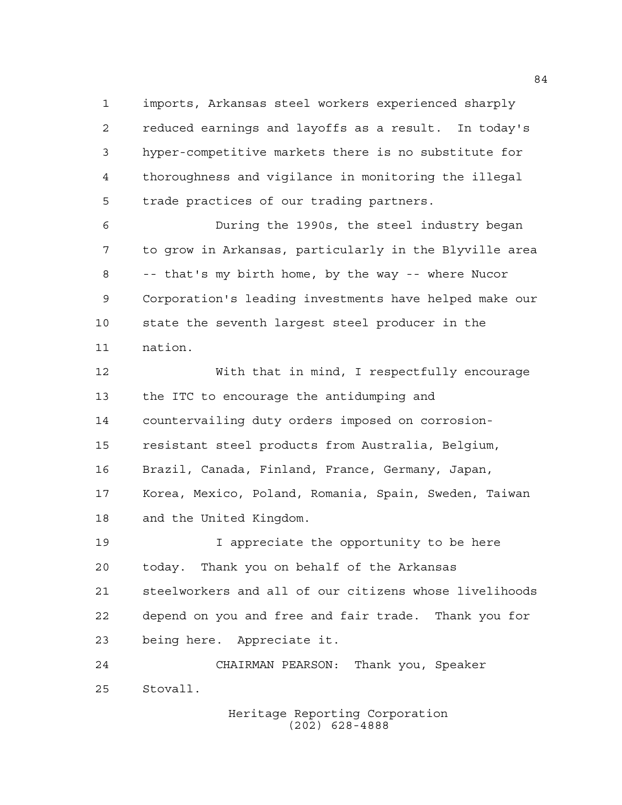imports, Arkansas steel workers experienced sharply reduced earnings and layoffs as a result. In today's hyper-competitive markets there is no substitute for thoroughness and vigilance in monitoring the illegal trade practices of our trading partners.

 During the 1990s, the steel industry began to grow in Arkansas, particularly in the Blyville area -- that's my birth home, by the way -- where Nucor Corporation's leading investments have helped make our state the seventh largest steel producer in the nation.

 With that in mind, I respectfully encourage the ITC to encourage the antidumping and countervailing duty orders imposed on corrosion- resistant steel products from Australia, Belgium, Brazil, Canada, Finland, France, Germany, Japan, Korea, Mexico, Poland, Romania, Spain, Sweden, Taiwan and the United Kingdom.

19 19 I appreciate the opportunity to be here today. Thank you on behalf of the Arkansas steelworkers and all of our citizens whose livelihoods depend on you and free and fair trade. Thank you for being here. Appreciate it.

 CHAIRMAN PEARSON: Thank you, Speaker Stovall.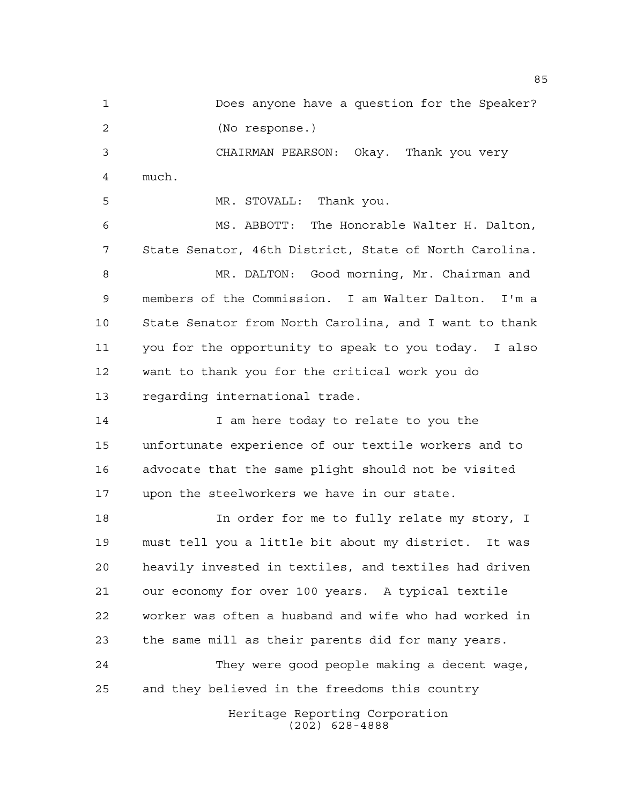Does anyone have a question for the Speaker? (No response.) CHAIRMAN PEARSON: Okay. Thank you very much. MR. STOVALL: Thank you. MS. ABBOTT: The Honorable Walter H. Dalton,

 State Senator, 46th District, State of North Carolina. MR. DALTON: Good morning, Mr. Chairman and members of the Commission. I am Walter Dalton. I'm a State Senator from North Carolina, and I want to thank you for the opportunity to speak to you today. I also want to thank you for the critical work you do regarding international trade.

14 I am here today to relate to you the unfortunate experience of our textile workers and to advocate that the same plight should not be visited upon the steelworkers we have in our state.

 In order for me to fully relate my story, I must tell you a little bit about my district. It was heavily invested in textiles, and textiles had driven our economy for over 100 years. A typical textile worker was often a husband and wife who had worked in the same mill as their parents did for many years.

 They were good people making a decent wage, and they believed in the freedoms this country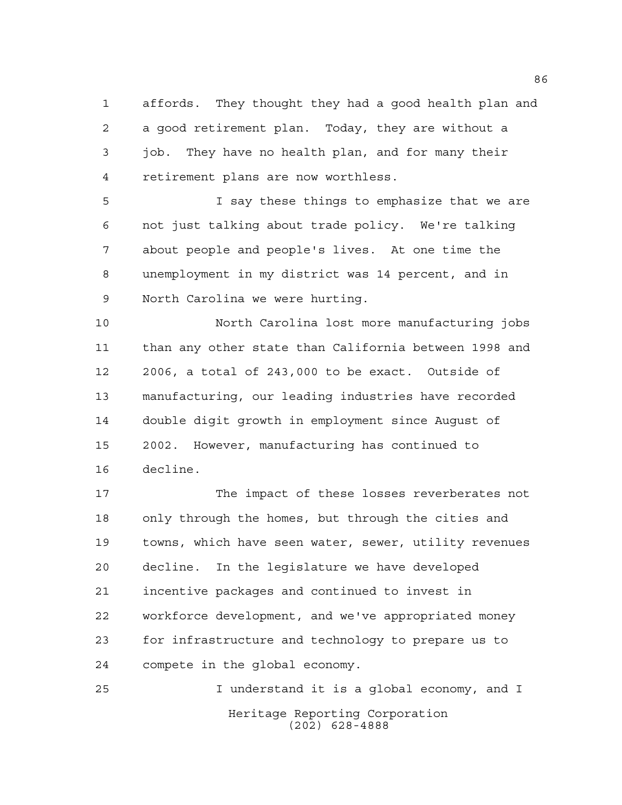affords. They thought they had a good health plan and a good retirement plan. Today, they are without a job. They have no health plan, and for many their retirement plans are now worthless.

 I say these things to emphasize that we are not just talking about trade policy. We're talking about people and people's lives. At one time the unemployment in my district was 14 percent, and in North Carolina we were hurting.

 North Carolina lost more manufacturing jobs than any other state than California between 1998 and 2006, a total of 243,000 to be exact. Outside of manufacturing, our leading industries have recorded double digit growth in employment since August of 2002. However, manufacturing has continued to decline.

 The impact of these losses reverberates not only through the homes, but through the cities and towns, which have seen water, sewer, utility revenues decline. In the legislature we have developed incentive packages and continued to invest in workforce development, and we've appropriated money for infrastructure and technology to prepare us to compete in the global economy.

Heritage Reporting Corporation (202) 628-4888 I understand it is a global economy, and I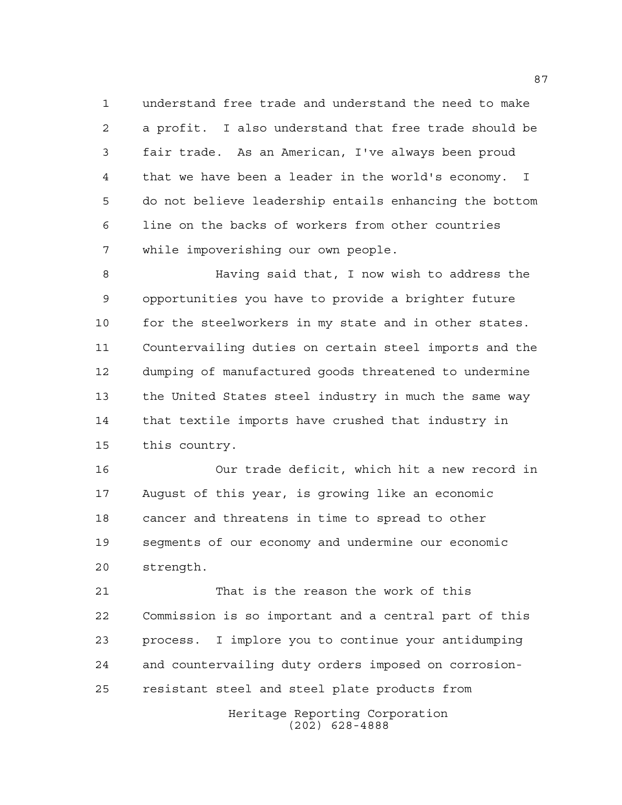understand free trade and understand the need to make a profit. I also understand that free trade should be fair trade. As an American, I've always been proud that we have been a leader in the world's economy. I do not believe leadership entails enhancing the bottom line on the backs of workers from other countries while impoverishing our own people.

 Having said that, I now wish to address the opportunities you have to provide a brighter future 10 for the steelworkers in my state and in other states. Countervailing duties on certain steel imports and the dumping of manufactured goods threatened to undermine the United States steel industry in much the same way that textile imports have crushed that industry in this country.

 Our trade deficit, which hit a new record in August of this year, is growing like an economic cancer and threatens in time to spread to other segments of our economy and undermine our economic strength.

 That is the reason the work of this Commission is so important and a central part of this process. I implore you to continue your antidumping and countervailing duty orders imposed on corrosion-resistant steel and steel plate products from

> Heritage Reporting Corporation (202) 628-4888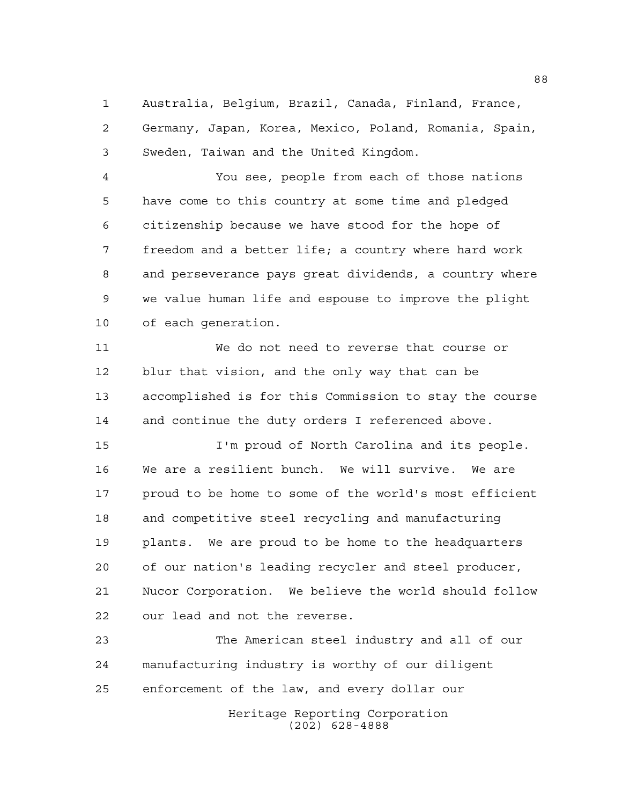Australia, Belgium, Brazil, Canada, Finland, France, Germany, Japan, Korea, Mexico, Poland, Romania, Spain, Sweden, Taiwan and the United Kingdom.

 You see, people from each of those nations have come to this country at some time and pledged citizenship because we have stood for the hope of freedom and a better life; a country where hard work and perseverance pays great dividends, a country where we value human life and espouse to improve the plight of each generation.

 We do not need to reverse that course or blur that vision, and the only way that can be accomplished is for this Commission to stay the course and continue the duty orders I referenced above.

 I'm proud of North Carolina and its people. We are a resilient bunch. We will survive. We are proud to be home to some of the world's most efficient and competitive steel recycling and manufacturing plants. We are proud to be home to the headquarters of our nation's leading recycler and steel producer, Nucor Corporation. We believe the world should follow our lead and not the reverse.

 The American steel industry and all of our manufacturing industry is worthy of our diligent enforcement of the law, and every dollar our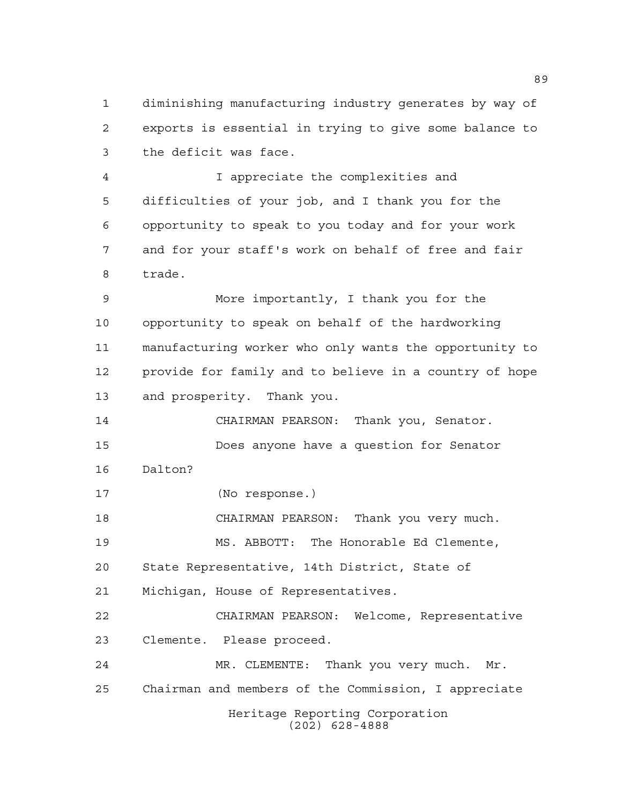diminishing manufacturing industry generates by way of exports is essential in trying to give some balance to the deficit was face.

 I appreciate the complexities and difficulties of your job, and I thank you for the opportunity to speak to you today and for your work and for your staff's work on behalf of free and fair trade.

 More importantly, I thank you for the opportunity to speak on behalf of the hardworking manufacturing worker who only wants the opportunity to provide for family and to believe in a country of hope and prosperity. Thank you.

 CHAIRMAN PEARSON: Thank you, Senator. Does anyone have a question for Senator Dalton?

(No response.)

CHAIRMAN PEARSON: Thank you very much.

 MS. ABBOTT: The Honorable Ed Clemente, State Representative, 14th District, State of

Michigan, House of Representatives.

 CHAIRMAN PEARSON: Welcome, Representative Clemente. Please proceed.

Heritage Reporting Corporation (202) 628-4888 MR. CLEMENTE: Thank you very much. Mr. Chairman and members of the Commission, I appreciate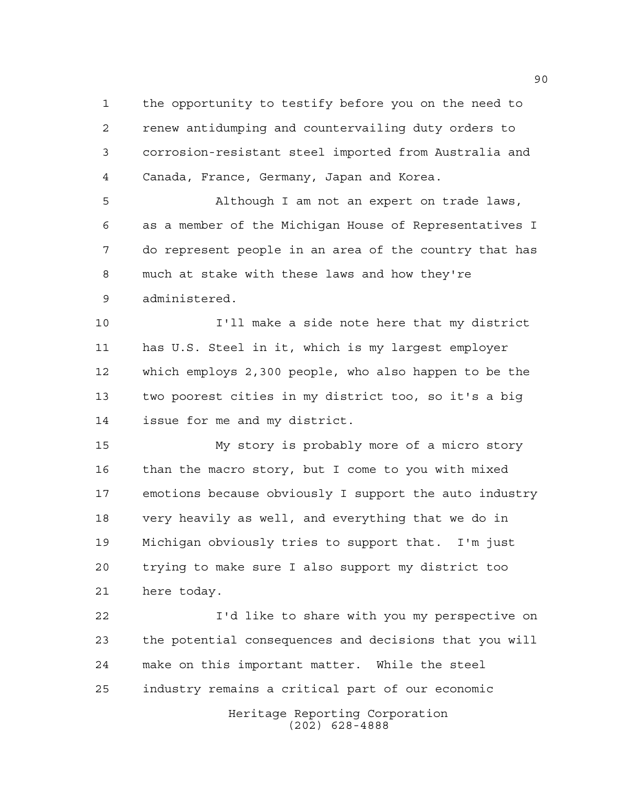the opportunity to testify before you on the need to renew antidumping and countervailing duty orders to corrosion-resistant steel imported from Australia and Canada, France, Germany, Japan and Korea.

 Although I am not an expert on trade laws, as a member of the Michigan House of Representatives I do represent people in an area of the country that has much at stake with these laws and how they're administered.

 I'll make a side note here that my district has U.S. Steel in it, which is my largest employer which employs 2,300 people, who also happen to be the two poorest cities in my district too, so it's a big issue for me and my district.

 My story is probably more of a micro story than the macro story, but I come to you with mixed emotions because obviously I support the auto industry very heavily as well, and everything that we do in Michigan obviously tries to support that. I'm just trying to make sure I also support my district too here today.

Heritage Reporting Corporation I'd like to share with you my perspective on the potential consequences and decisions that you will make on this important matter. While the steel industry remains a critical part of our economic

(202) 628-4888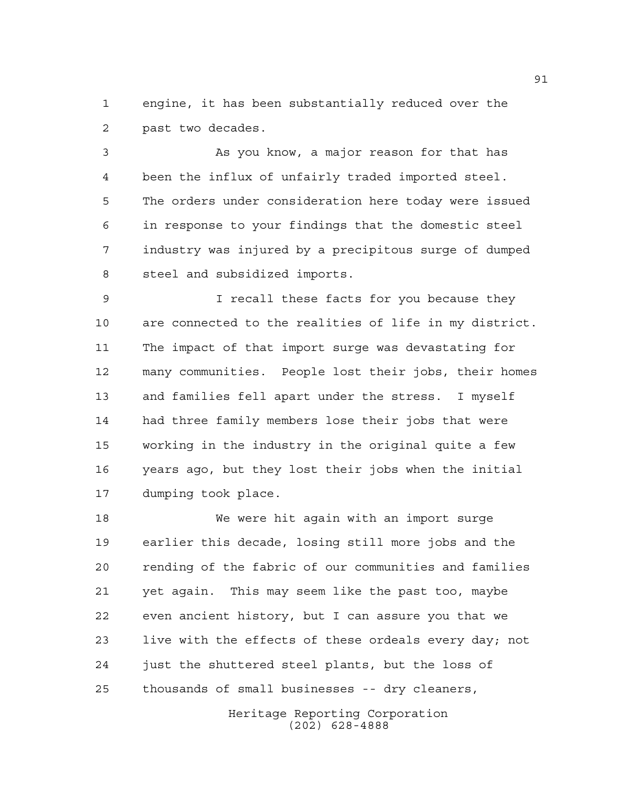engine, it has been substantially reduced over the past two decades.

 As you know, a major reason for that has been the influx of unfairly traded imported steel. The orders under consideration here today were issued in response to your findings that the domestic steel industry was injured by a precipitous surge of dumped steel and subsidized imports.

 I recall these facts for you because they are connected to the realities of life in my district. The impact of that import surge was devastating for many communities. People lost their jobs, their homes and families fell apart under the stress. I myself had three family members lose their jobs that were working in the industry in the original quite a few years ago, but they lost their jobs when the initial dumping took place.

 We were hit again with an import surge earlier this decade, losing still more jobs and the rending of the fabric of our communities and families yet again. This may seem like the past too, maybe even ancient history, but I can assure you that we live with the effects of these ordeals every day; not just the shuttered steel plants, but the loss of thousands of small businesses -- dry cleaners,

> Heritage Reporting Corporation (202) 628-4888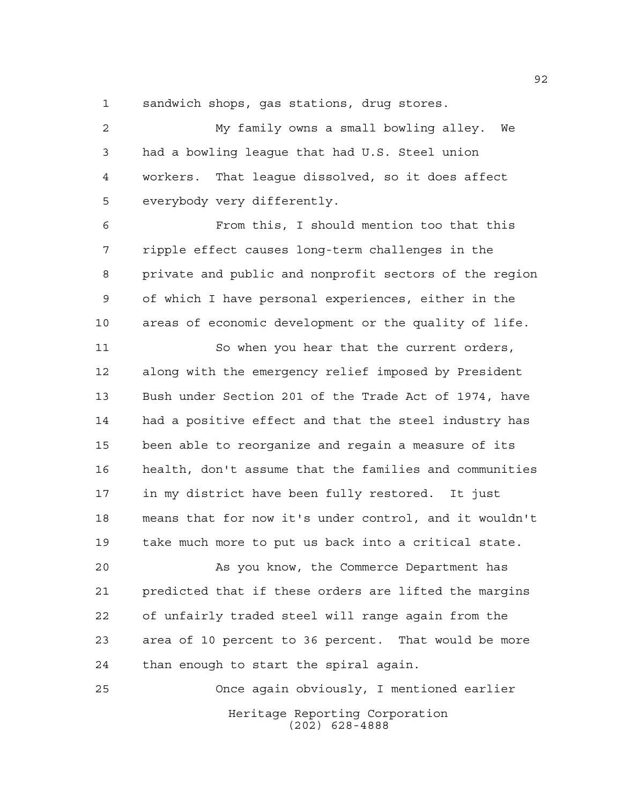sandwich shops, gas stations, drug stores.

 My family owns a small bowling alley. We had a bowling league that had U.S. Steel union workers. That league dissolved, so it does affect everybody very differently.

 From this, I should mention too that this ripple effect causes long-term challenges in the private and public and nonprofit sectors of the region of which I have personal experiences, either in the areas of economic development or the quality of life.

 So when you hear that the current orders, along with the emergency relief imposed by President Bush under Section 201 of the Trade Act of 1974, have had a positive effect and that the steel industry has been able to reorganize and regain a measure of its health, don't assume that the families and communities in my district have been fully restored. It just means that for now it's under control, and it wouldn't take much more to put us back into a critical state.

 As you know, the Commerce Department has predicted that if these orders are lifted the margins of unfairly traded steel will range again from the area of 10 percent to 36 percent. That would be more than enough to start the spiral again.

Heritage Reporting Corporation (202) 628-4888 Once again obviously, I mentioned earlier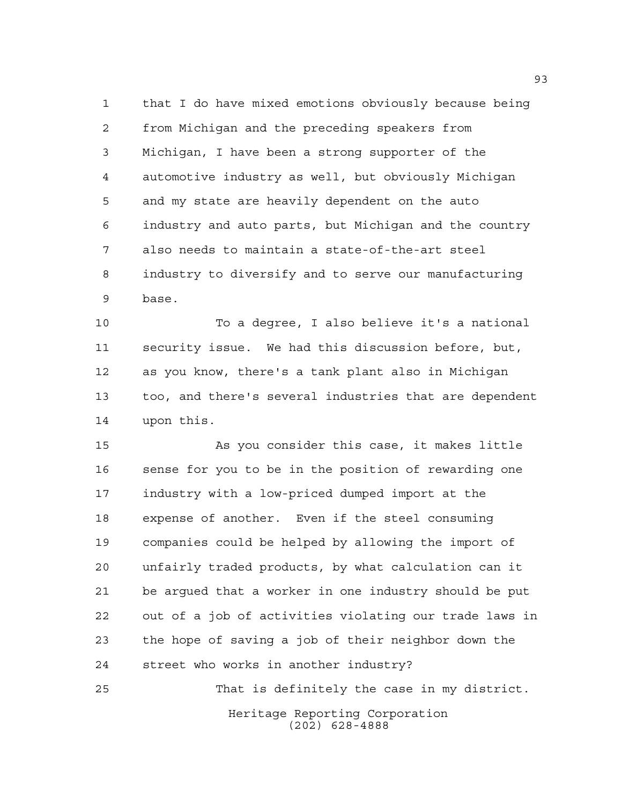that I do have mixed emotions obviously because being from Michigan and the preceding speakers from Michigan, I have been a strong supporter of the automotive industry as well, but obviously Michigan and my state are heavily dependent on the auto industry and auto parts, but Michigan and the country also needs to maintain a state-of-the-art steel industry to diversify and to serve our manufacturing base.

 To a degree, I also believe it's a national security issue. We had this discussion before, but, as you know, there's a tank plant also in Michigan too, and there's several industries that are dependent upon this.

 As you consider this case, it makes little sense for you to be in the position of rewarding one industry with a low-priced dumped import at the expense of another. Even if the steel consuming companies could be helped by allowing the import of unfairly traded products, by what calculation can it be argued that a worker in one industry should be put out of a job of activities violating our trade laws in the hope of saving a job of their neighbor down the street who works in another industry?

Heritage Reporting Corporation (202) 628-4888 That is definitely the case in my district.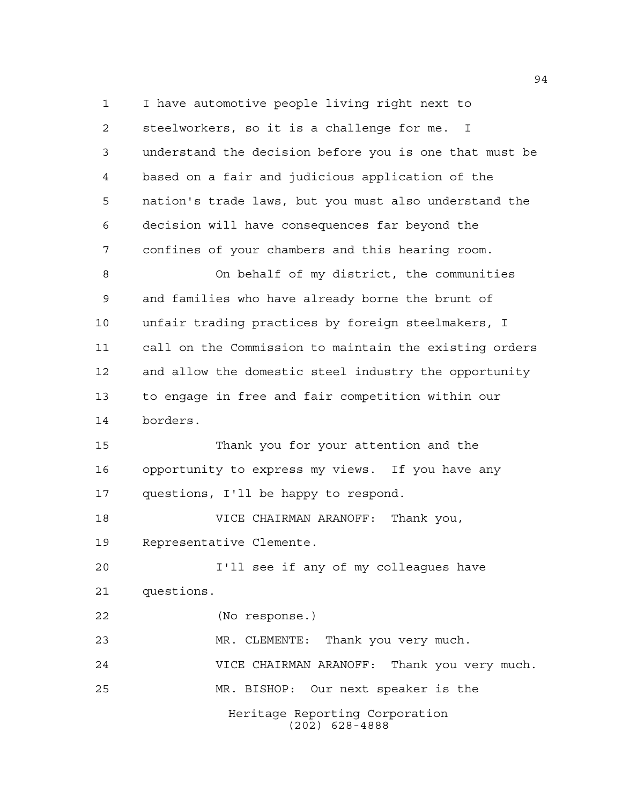Heritage Reporting Corporation (202) 628-4888 I have automotive people living right next to steelworkers, so it is a challenge for me. I understand the decision before you is one that must be based on a fair and judicious application of the nation's trade laws, but you must also understand the decision will have consequences far beyond the confines of your chambers and this hearing room. On behalf of my district, the communities and families who have already borne the brunt of unfair trading practices by foreign steelmakers, I call on the Commission to maintain the existing orders and allow the domestic steel industry the opportunity to engage in free and fair competition within our borders. Thank you for your attention and the opportunity to express my views. If you have any questions, I'll be happy to respond. VICE CHAIRMAN ARANOFF: Thank you, Representative Clemente. I'll see if any of my colleagues have questions. (No response.) MR. CLEMENTE: Thank you very much. VICE CHAIRMAN ARANOFF: Thank you very much. MR. BISHOP: Our next speaker is the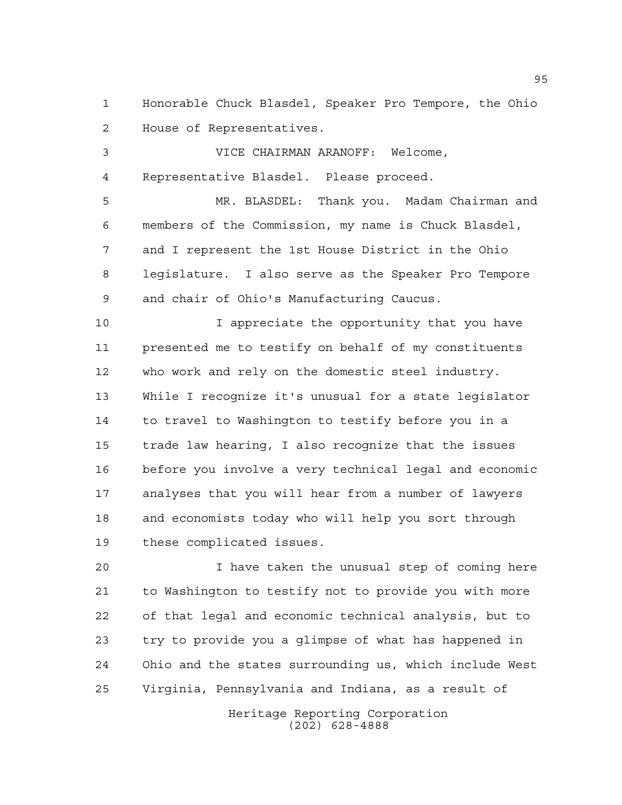Honorable Chuck Blasdel, Speaker Pro Tempore, the Ohio House of Representatives.

 VICE CHAIRMAN ARANOFF: Welcome, Representative Blasdel. Please proceed.

 MR. BLASDEL: Thank you. Madam Chairman and members of the Commission, my name is Chuck Blasdel, and I represent the 1st House District in the Ohio legislature. I also serve as the Speaker Pro Tempore and chair of Ohio's Manufacturing Caucus.

10 10 I appreciate the opportunity that you have presented me to testify on behalf of my constituents who work and rely on the domestic steel industry. While I recognize it's unusual for a state legislator to travel to Washington to testify before you in a trade law hearing, I also recognize that the issues before you involve a very technical legal and economic analyses that you will hear from a number of lawyers and economists today who will help you sort through these complicated issues.

 I have taken the unusual step of coming here to Washington to testify not to provide you with more of that legal and economic technical analysis, but to try to provide you a glimpse of what has happened in Ohio and the states surrounding us, which include West Virginia, Pennsylvania and Indiana, as a result of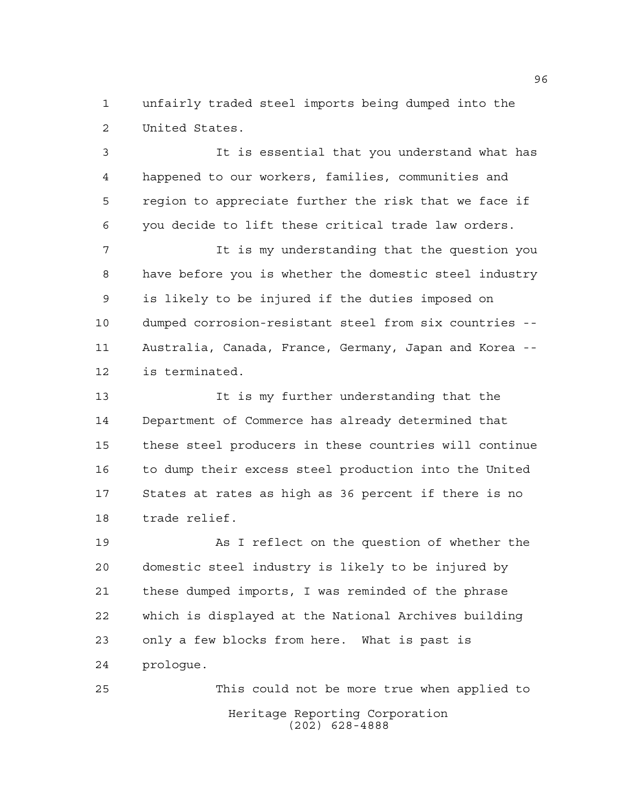unfairly traded steel imports being dumped into the United States.

 It is essential that you understand what has happened to our workers, families, communities and region to appreciate further the risk that we face if you decide to lift these critical trade law orders.

 It is my understanding that the question you have before you is whether the domestic steel industry is likely to be injured if the duties imposed on dumped corrosion-resistant steel from six countries -- Australia, Canada, France, Germany, Japan and Korea -- is terminated.

 It is my further understanding that the Department of Commerce has already determined that these steel producers in these countries will continue to dump their excess steel production into the United States at rates as high as 36 percent if there is no trade relief.

 As I reflect on the question of whether the domestic steel industry is likely to be injured by these dumped imports, I was reminded of the phrase which is displayed at the National Archives building only a few blocks from here. What is past is prologue.

Heritage Reporting Corporation (202) 628-4888 This could not be more true when applied to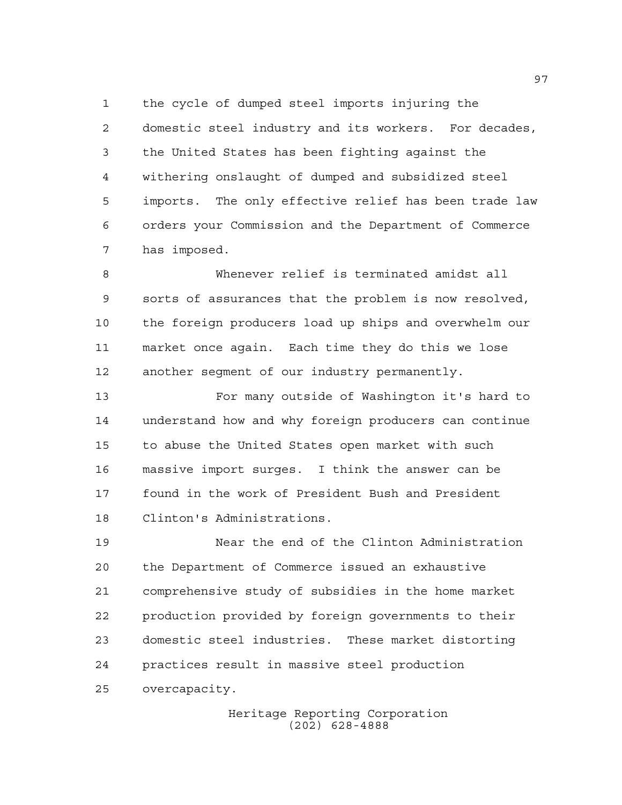the cycle of dumped steel imports injuring the domestic steel industry and its workers. For decades, the United States has been fighting against the withering onslaught of dumped and subsidized steel imports. The only effective relief has been trade law orders your Commission and the Department of Commerce has imposed.

 Whenever relief is terminated amidst all sorts of assurances that the problem is now resolved, the foreign producers load up ships and overwhelm our market once again. Each time they do this we lose another segment of our industry permanently.

 For many outside of Washington it's hard to understand how and why foreign producers can continue to abuse the United States open market with such massive import surges. I think the answer can be found in the work of President Bush and President Clinton's Administrations.

 Near the end of the Clinton Administration the Department of Commerce issued an exhaustive comprehensive study of subsidies in the home market production provided by foreign governments to their domestic steel industries. These market distorting practices result in massive steel production overcapacity.

> Heritage Reporting Corporation (202) 628-4888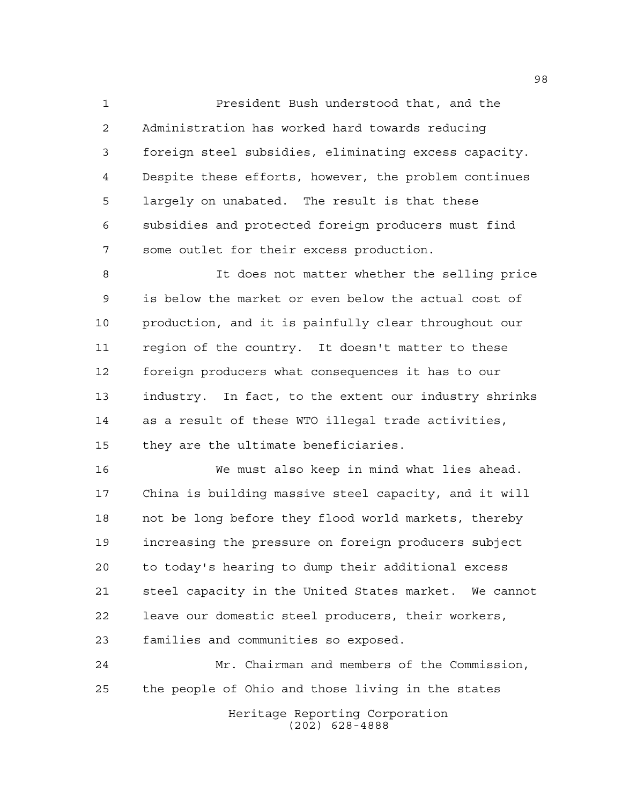President Bush understood that, and the Administration has worked hard towards reducing foreign steel subsidies, eliminating excess capacity. Despite these efforts, however, the problem continues largely on unabated. The result is that these subsidies and protected foreign producers must find some outlet for their excess production.

 It does not matter whether the selling price is below the market or even below the actual cost of production, and it is painfully clear throughout our region of the country. It doesn't matter to these foreign producers what consequences it has to our industry. In fact, to the extent our industry shrinks as a result of these WTO illegal trade activities, they are the ultimate beneficiaries.

 We must also keep in mind what lies ahead. China is building massive steel capacity, and it will not be long before they flood world markets, thereby increasing the pressure on foreign producers subject to today's hearing to dump their additional excess steel capacity in the United States market. We cannot leave our domestic steel producers, their workers, families and communities so exposed.

Heritage Reporting Corporation Mr. Chairman and members of the Commission, the people of Ohio and those living in the states

(202) 628-4888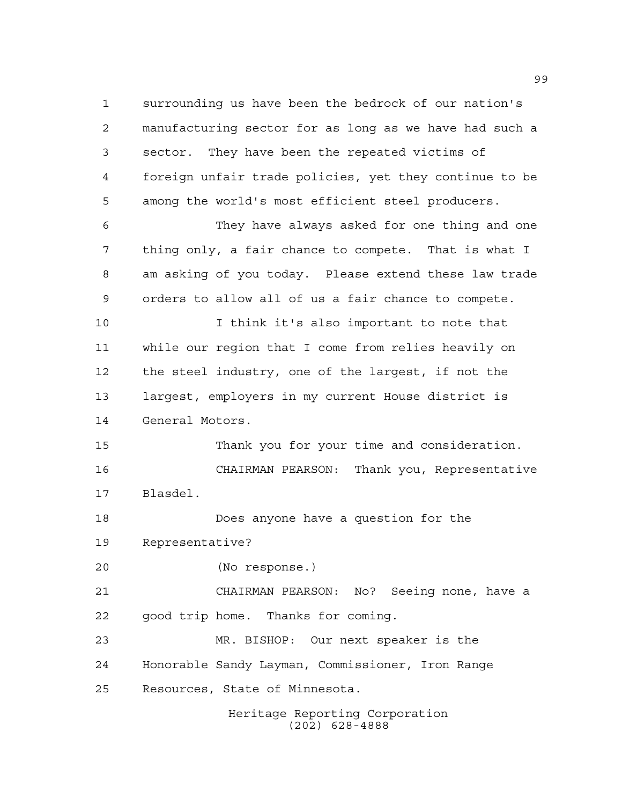Heritage Reporting Corporation surrounding us have been the bedrock of our nation's manufacturing sector for as long as we have had such a sector. They have been the repeated victims of foreign unfair trade policies, yet they continue to be among the world's most efficient steel producers. They have always asked for one thing and one thing only, a fair chance to compete. That is what I am asking of you today. Please extend these law trade orders to allow all of us a fair chance to compete. I think it's also important to note that while our region that I come from relies heavily on the steel industry, one of the largest, if not the largest, employers in my current House district is General Motors. Thank you for your time and consideration. CHAIRMAN PEARSON: Thank you, Representative Blasdel. Does anyone have a question for the Representative? (No response.) CHAIRMAN PEARSON: No? Seeing none, have a good trip home. Thanks for coming. MR. BISHOP: Our next speaker is the Honorable Sandy Layman, Commissioner, Iron Range Resources, State of Minnesota.

(202) 628-4888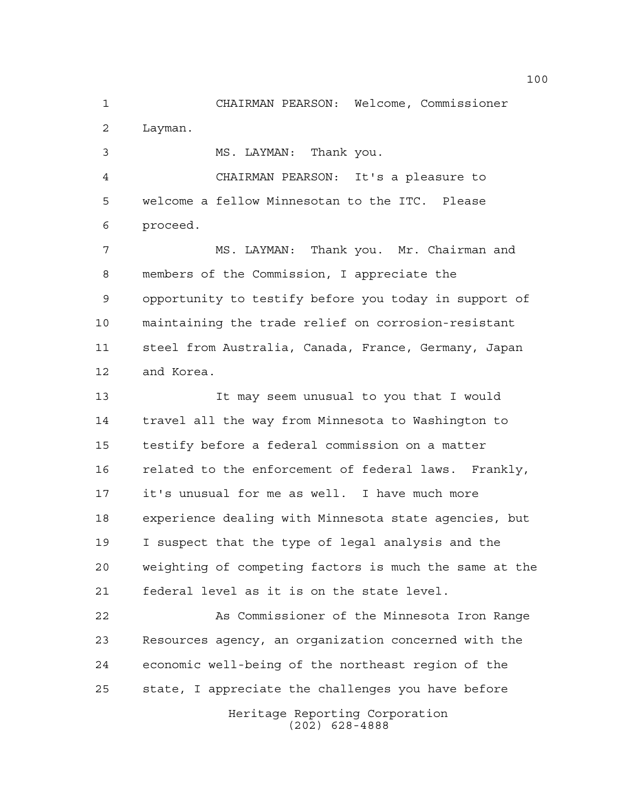CHAIRMAN PEARSON: Welcome, Commissioner Layman.

MS. LAYMAN: Thank you.

 CHAIRMAN PEARSON: It's a pleasure to welcome a fellow Minnesotan to the ITC. Please proceed.

 MS. LAYMAN: Thank you. Mr. Chairman and members of the Commission, I appreciate the opportunity to testify before you today in support of maintaining the trade relief on corrosion-resistant steel from Australia, Canada, France, Germany, Japan and Korea.

 It may seem unusual to you that I would travel all the way from Minnesota to Washington to testify before a federal commission on a matter related to the enforcement of federal laws. Frankly, it's unusual for me as well. I have much more experience dealing with Minnesota state agencies, but I suspect that the type of legal analysis and the weighting of competing factors is much the same at the federal level as it is on the state level.

Heritage Reporting Corporation As Commissioner of the Minnesota Iron Range Resources agency, an organization concerned with the economic well-being of the northeast region of the state, I appreciate the challenges you have before

(202) 628-4888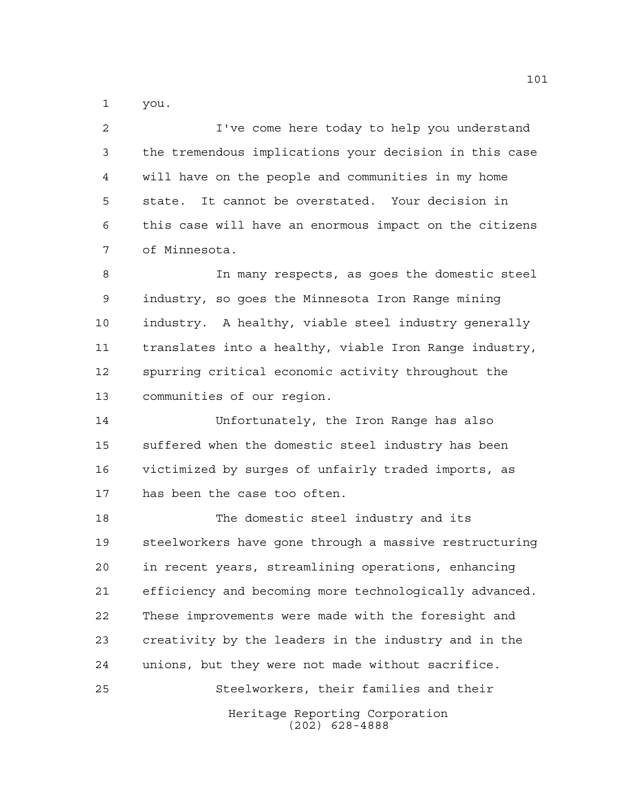you.

 I've come here today to help you understand the tremendous implications your decision in this case will have on the people and communities in my home state. It cannot be overstated. Your decision in this case will have an enormous impact on the citizens of Minnesota.

 In many respects, as goes the domestic steel industry, so goes the Minnesota Iron Range mining industry. A healthy, viable steel industry generally translates into a healthy, viable Iron Range industry, spurring critical economic activity throughout the communities of our region.

 Unfortunately, the Iron Range has also suffered when the domestic steel industry has been victimized by surges of unfairly traded imports, as has been the case too often.

Heritage Reporting Corporation The domestic steel industry and its steelworkers have gone through a massive restructuring in recent years, streamlining operations, enhancing efficiency and becoming more technologically advanced. These improvements were made with the foresight and creativity by the leaders in the industry and in the unions, but they were not made without sacrifice. Steelworkers, their families and their

(202) 628-4888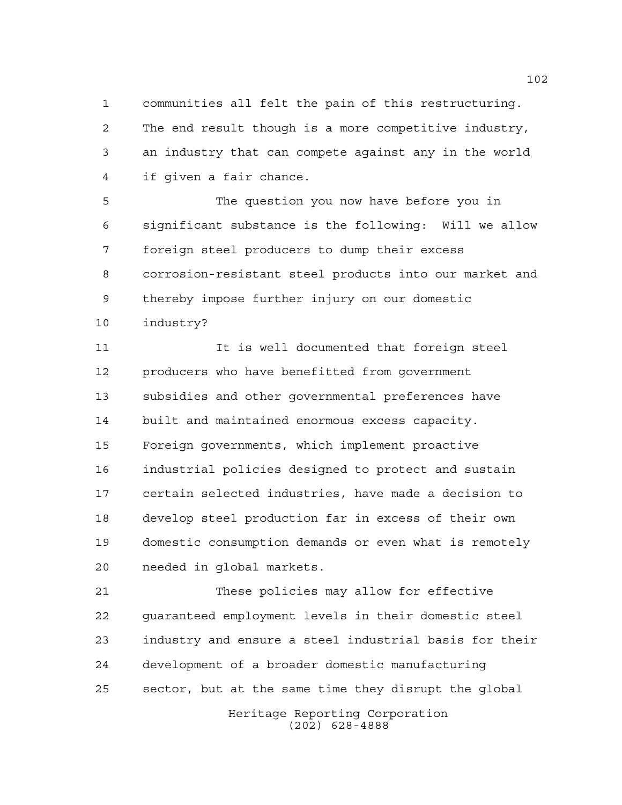communities all felt the pain of this restructuring. The end result though is a more competitive industry, an industry that can compete against any in the world if given a fair chance.

 The question you now have before you in significant substance is the following: Will we allow foreign steel producers to dump their excess corrosion-resistant steel products into our market and thereby impose further injury on our domestic industry?

 It is well documented that foreign steel producers who have benefitted from government subsidies and other governmental preferences have built and maintained enormous excess capacity. Foreign governments, which implement proactive industrial policies designed to protect and sustain certain selected industries, have made a decision to develop steel production far in excess of their own domestic consumption demands or even what is remotely needed in global markets.

 These policies may allow for effective guaranteed employment levels in their domestic steel industry and ensure a steel industrial basis for their development of a broader domestic manufacturing sector, but at the same time they disrupt the global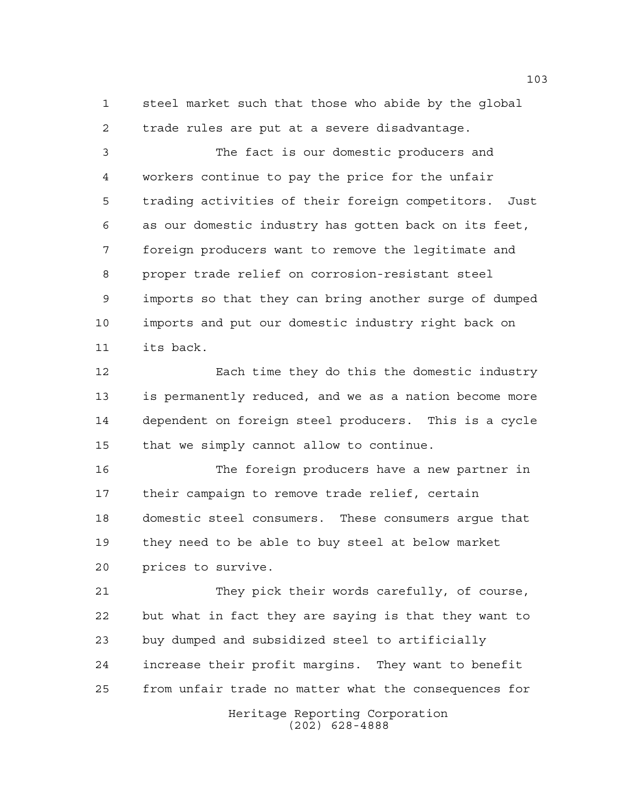steel market such that those who abide by the global trade rules are put at a severe disadvantage.

 The fact is our domestic producers and workers continue to pay the price for the unfair trading activities of their foreign competitors. Just as our domestic industry has gotten back on its feet, foreign producers want to remove the legitimate and proper trade relief on corrosion-resistant steel imports so that they can bring another surge of dumped imports and put our domestic industry right back on its back.

 Each time they do this the domestic industry is permanently reduced, and we as a nation become more dependent on foreign steel producers. This is a cycle that we simply cannot allow to continue.

 The foreign producers have a new partner in their campaign to remove trade relief, certain domestic steel consumers. These consumers argue that they need to be able to buy steel at below market prices to survive.

 They pick their words carefully, of course, but what in fact they are saying is that they want to buy dumped and subsidized steel to artificially increase their profit margins. They want to benefit from unfair trade no matter what the consequences for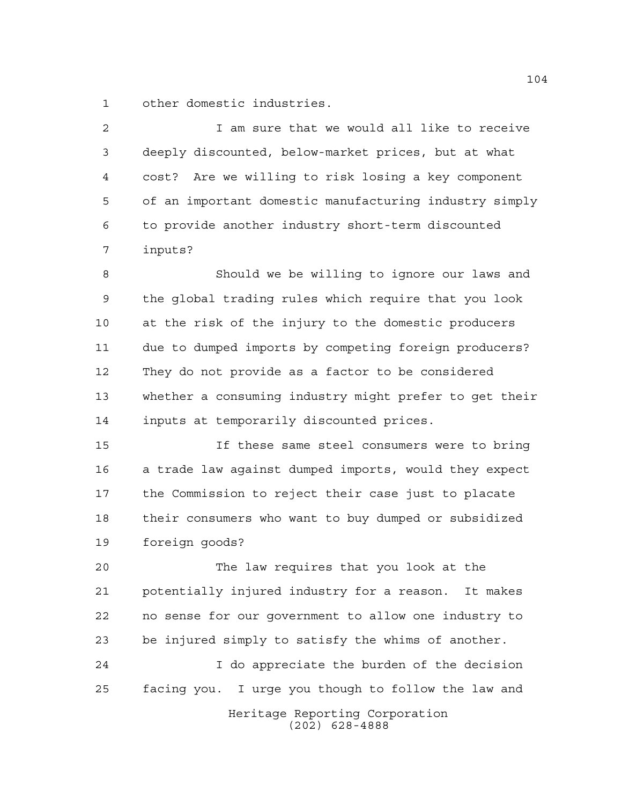other domestic industries.

2 1 am sure that we would all like to receive deeply discounted, below-market prices, but at what cost? Are we willing to risk losing a key component of an important domestic manufacturing industry simply to provide another industry short-term discounted inputs? Should we be willing to ignore our laws and

 the global trading rules which require that you look at the risk of the injury to the domestic producers due to dumped imports by competing foreign producers? They do not provide as a factor to be considered whether a consuming industry might prefer to get their inputs at temporarily discounted prices.

 If these same steel consumers were to bring a trade law against dumped imports, would they expect the Commission to reject their case just to placate their consumers who want to buy dumped or subsidized foreign goods?

 The law requires that you look at the potentially injured industry for a reason. It makes no sense for our government to allow one industry to be injured simply to satisfy the whims of another.

 I do appreciate the burden of the decision facing you. I urge you though to follow the law and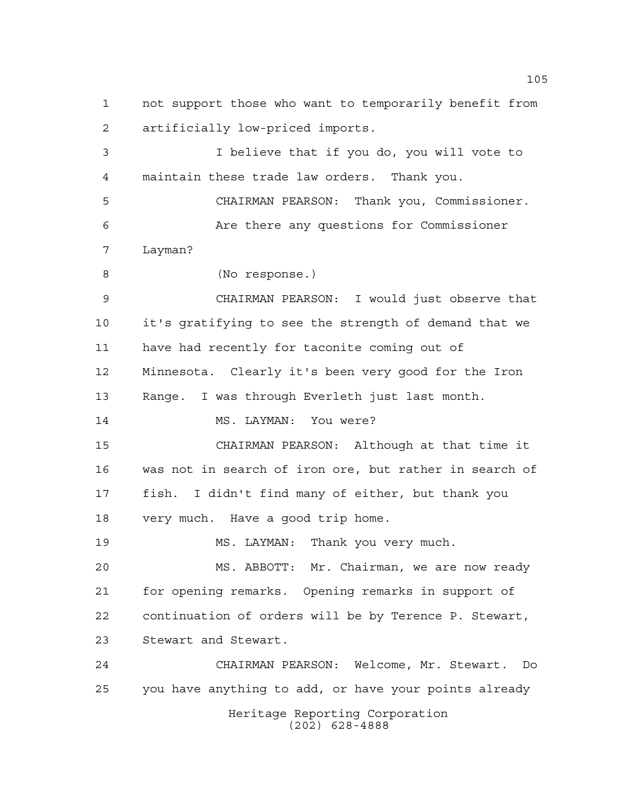not support those who want to temporarily benefit from artificially low-priced imports.

 I believe that if you do, you will vote to maintain these trade law orders. Thank you.

 CHAIRMAN PEARSON: Thank you, Commissioner. Are there any questions for Commissioner Layman?

(No response.)

 CHAIRMAN PEARSON: I would just observe that it's gratifying to see the strength of demand that we have had recently for taconite coming out of Minnesota. Clearly it's been very good for the Iron Range. I was through Everleth just last month. 14 MS. LAYMAN: You were? CHAIRMAN PEARSON: Although at that time it was not in search of iron ore, but rather in search of fish. I didn't find many of either, but thank you very much. Have a good trip home. MS. LAYMAN: Thank you very much.

 MS. ABBOTT: Mr. Chairman, we are now ready for opening remarks. Opening remarks in support of continuation of orders will be by Terence P. Stewart, Stewart and Stewart.

Heritage Reporting Corporation (202) 628-4888 CHAIRMAN PEARSON: Welcome, Mr. Stewart. Do you have anything to add, or have your points already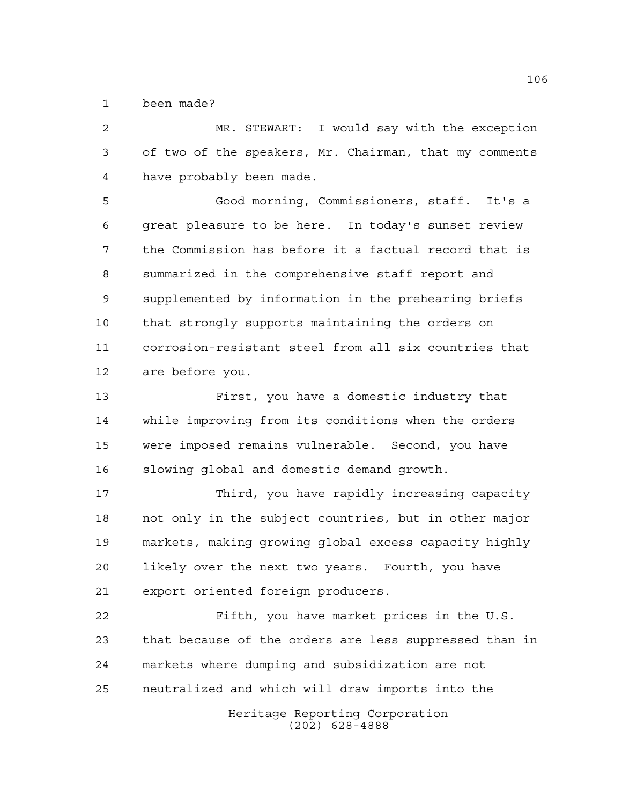been made?

 MR. STEWART: I would say with the exception of two of the speakers, Mr. Chairman, that my comments have probably been made.

 Good morning, Commissioners, staff. It's a great pleasure to be here. In today's sunset review the Commission has before it a factual record that is summarized in the comprehensive staff report and supplemented by information in the prehearing briefs that strongly supports maintaining the orders on corrosion-resistant steel from all six countries that are before you.

 First, you have a domestic industry that while improving from its conditions when the orders were imposed remains vulnerable. Second, you have slowing global and domestic demand growth.

 Third, you have rapidly increasing capacity not only in the subject countries, but in other major markets, making growing global excess capacity highly likely over the next two years. Fourth, you have export oriented foreign producers.

 Fifth, you have market prices in the U.S. that because of the orders are less suppressed than in markets where dumping and subsidization are not neutralized and which will draw imports into the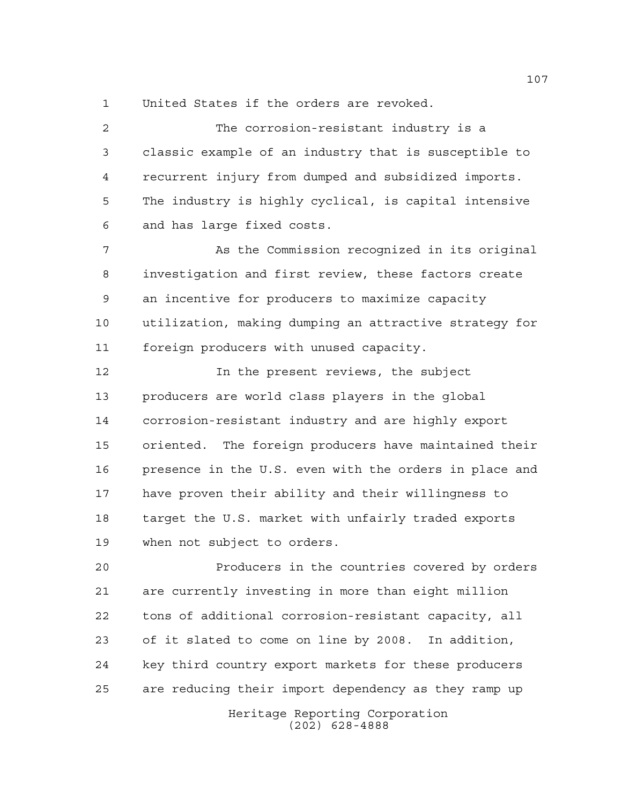United States if the orders are revoked.

 The corrosion-resistant industry is a classic example of an industry that is susceptible to recurrent injury from dumped and subsidized imports. The industry is highly cyclical, is capital intensive and has large fixed costs. As the Commission recognized in its original investigation and first review, these factors create an incentive for producers to maximize capacity

 utilization, making dumping an attractive strategy for foreign producers with unused capacity.

**In the present reviews, the subject**  producers are world class players in the global corrosion-resistant industry and are highly export oriented. The foreign producers have maintained their presence in the U.S. even with the orders in place and have proven their ability and their willingness to target the U.S. market with unfairly traded exports when not subject to orders.

 Producers in the countries covered by orders are currently investing in more than eight million tons of additional corrosion-resistant capacity, all of it slated to come on line by 2008. In addition, key third country export markets for these producers are reducing their import dependency as they ramp up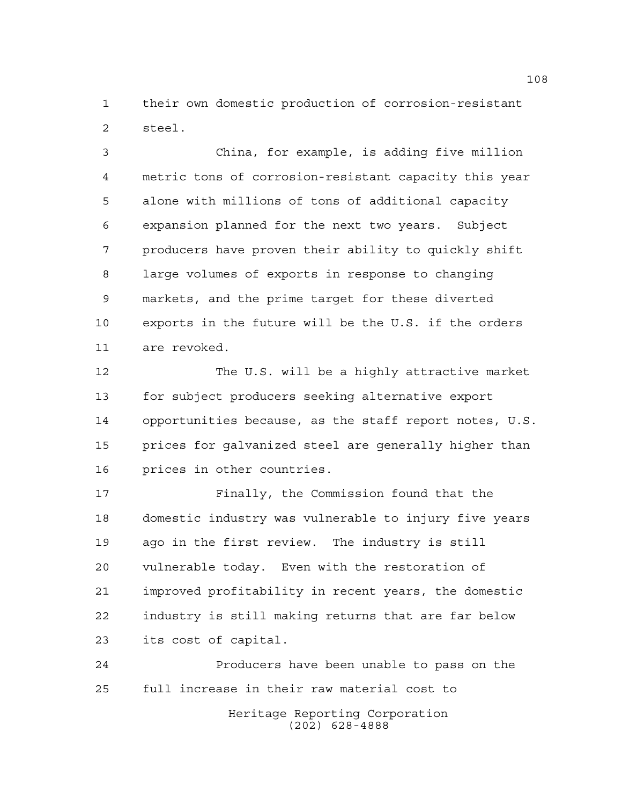their own domestic production of corrosion-resistant steel.

 China, for example, is adding five million metric tons of corrosion-resistant capacity this year alone with millions of tons of additional capacity expansion planned for the next two years. Subject producers have proven their ability to quickly shift large volumes of exports in response to changing markets, and the prime target for these diverted exports in the future will be the U.S. if the orders are revoked.

 The U.S. will be a highly attractive market for subject producers seeking alternative export opportunities because, as the staff report notes, U.S. prices for galvanized steel are generally higher than prices in other countries.

 Finally, the Commission found that the domestic industry was vulnerable to injury five years ago in the first review. The industry is still vulnerable today. Even with the restoration of improved profitability in recent years, the domestic industry is still making returns that are far below its cost of capital.

Heritage Reporting Corporation (202) 628-4888 Producers have been unable to pass on the full increase in their raw material cost to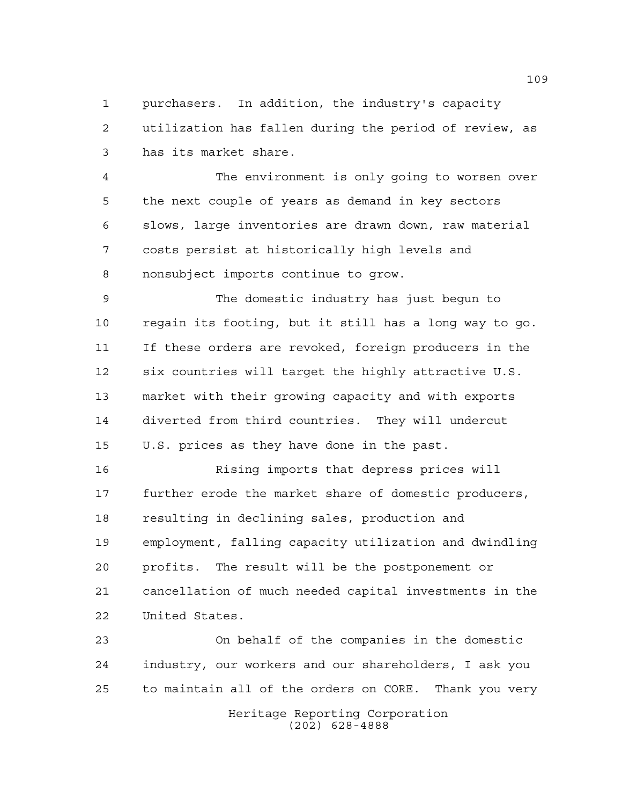purchasers. In addition, the industry's capacity utilization has fallen during the period of review, as has its market share.

 The environment is only going to worsen over the next couple of years as demand in key sectors slows, large inventories are drawn down, raw material costs persist at historically high levels and nonsubject imports continue to grow.

 The domestic industry has just begun to regain its footing, but it still has a long way to go. If these orders are revoked, foreign producers in the six countries will target the highly attractive U.S. market with their growing capacity and with exports diverted from third countries. They will undercut U.S. prices as they have done in the past.

 Rising imports that depress prices will further erode the market share of domestic producers, resulting in declining sales, production and employment, falling capacity utilization and dwindling profits. The result will be the postponement or cancellation of much needed capital investments in the United States.

 On behalf of the companies in the domestic industry, our workers and our shareholders, I ask you to maintain all of the orders on CORE. Thank you very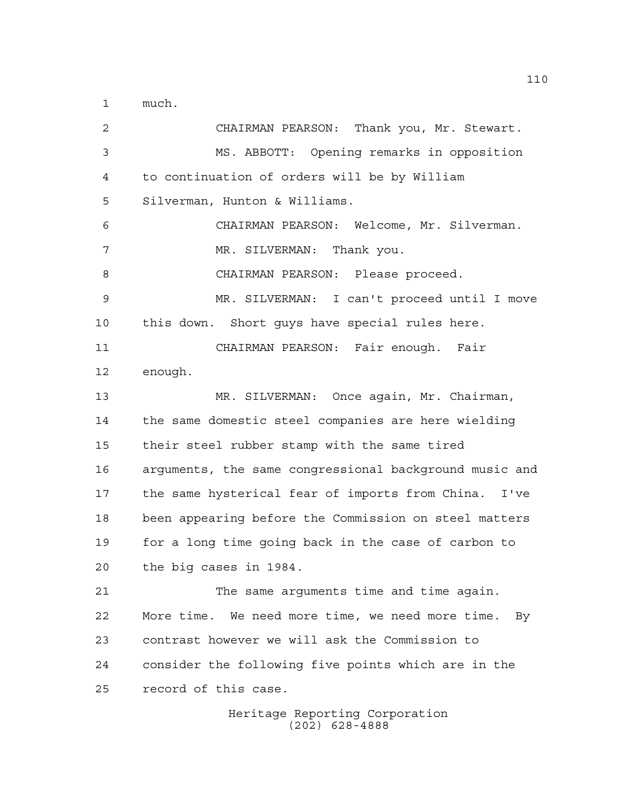much.

 CHAIRMAN PEARSON: Thank you, Mr. Stewart. MS. ABBOTT: Opening remarks in opposition to continuation of orders will be by William Silverman, Hunton & Williams. CHAIRMAN PEARSON: Welcome, Mr. Silverman. 7 MR. SILVERMAN: Thank you. 8 CHAIRMAN PEARSON: Please proceed. MR. SILVERMAN: I can't proceed until I move this down. Short guys have special rules here. CHAIRMAN PEARSON: Fair enough. Fair enough. MR. SILVERMAN: Once again, Mr. Chairman, the same domestic steel companies are here wielding their steel rubber stamp with the same tired arguments, the same congressional background music and the same hysterical fear of imports from China. I've been appearing before the Commission on steel matters for a long time going back in the case of carbon to the big cases in 1984. The same arguments time and time again. More time. We need more time, we need more time. By contrast however we will ask the Commission to consider the following five points which are in the record of this case.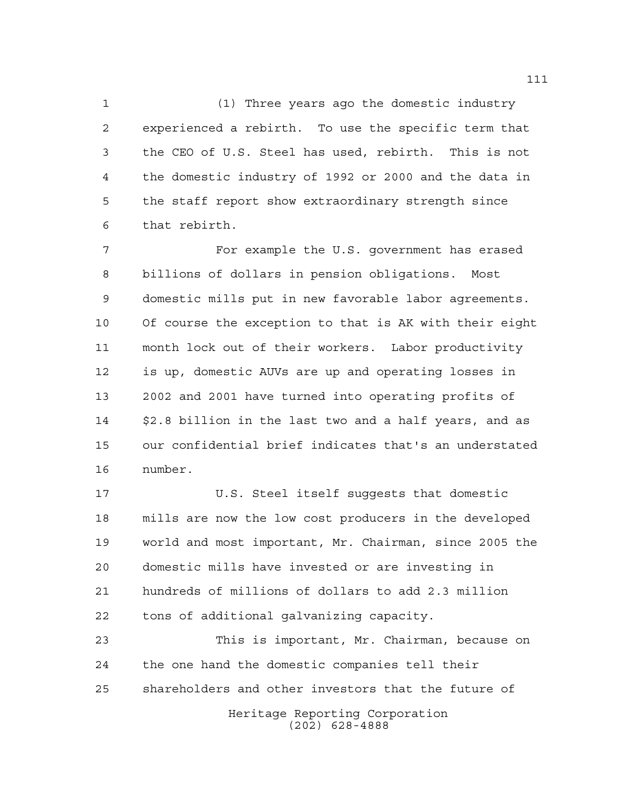(1) Three years ago the domestic industry experienced a rebirth. To use the specific term that the CEO of U.S. Steel has used, rebirth. This is not the domestic industry of 1992 or 2000 and the data in the staff report show extraordinary strength since that rebirth.

 For example the U.S. government has erased billions of dollars in pension obligations. Most domestic mills put in new favorable labor agreements. Of course the exception to that is AK with their eight month lock out of their workers. Labor productivity is up, domestic AUVs are up and operating losses in 2002 and 2001 have turned into operating profits of \$2.8 billion in the last two and a half years, and as our confidential brief indicates that's an understated number.

 U.S. Steel itself suggests that domestic mills are now the low cost producers in the developed world and most important, Mr. Chairman, since 2005 the domestic mills have invested or are investing in hundreds of millions of dollars to add 2.3 million tons of additional galvanizing capacity.

Heritage Reporting Corporation (202) 628-4888 This is important, Mr. Chairman, because on the one hand the domestic companies tell their shareholders and other investors that the future of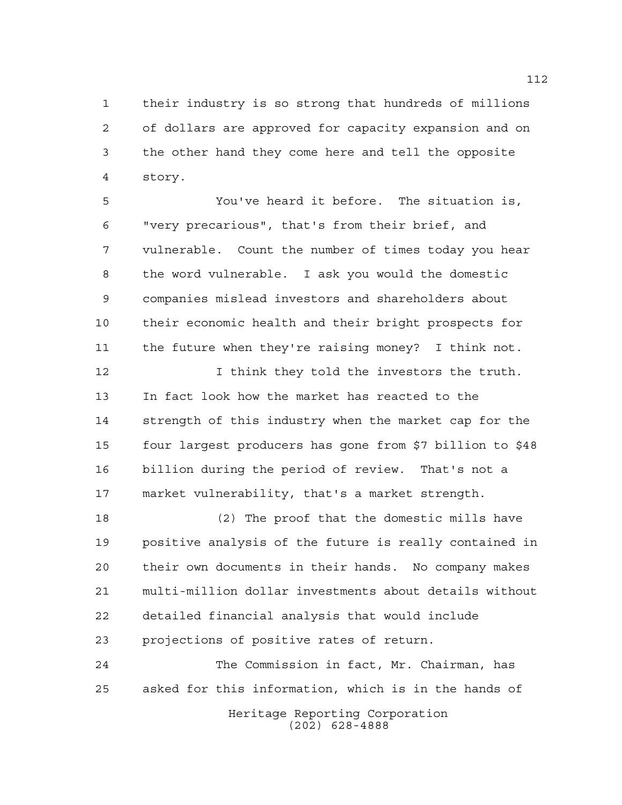their industry is so strong that hundreds of millions of dollars are approved for capacity expansion and on the other hand they come here and tell the opposite story.

 You've heard it before. The situation is, "very precarious", that's from their brief, and vulnerable. Count the number of times today you hear the word vulnerable. I ask you would the domestic companies mislead investors and shareholders about their economic health and their bright prospects for the future when they're raising money? I think not.

 I think they told the investors the truth. In fact look how the market has reacted to the strength of this industry when the market cap for the four largest producers has gone from \$7 billion to \$48 billion during the period of review. That's not a market vulnerability, that's a market strength.

 (2) The proof that the domestic mills have positive analysis of the future is really contained in their own documents in their hands. No company makes multi-million dollar investments about details without detailed financial analysis that would include projections of positive rates of return.

Heritage Reporting Corporation The Commission in fact, Mr. Chairman, has asked for this information, which is in the hands of

(202) 628-4888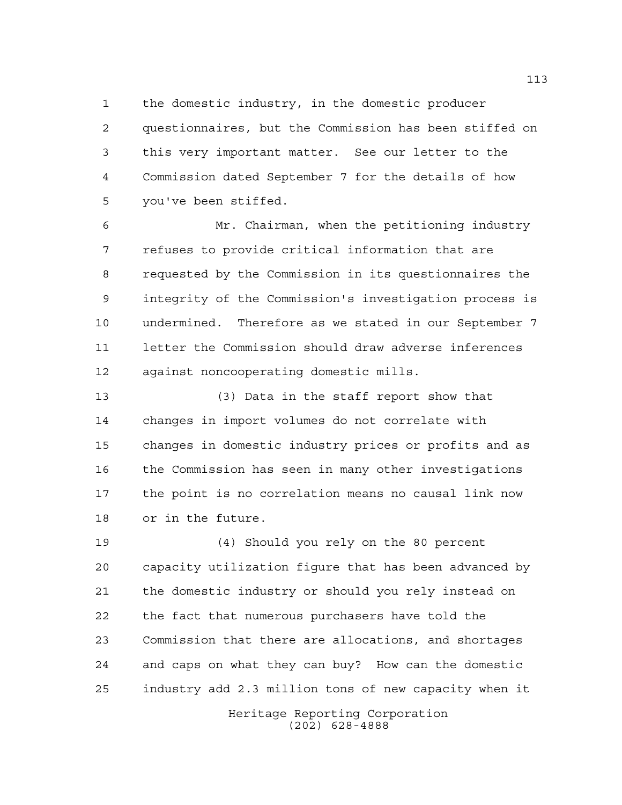the domestic industry, in the domestic producer

 questionnaires, but the Commission has been stiffed on this very important matter. See our letter to the Commission dated September 7 for the details of how you've been stiffed.

 Mr. Chairman, when the petitioning industry refuses to provide critical information that are requested by the Commission in its questionnaires the integrity of the Commission's investigation process is undermined. Therefore as we stated in our September 7 letter the Commission should draw adverse inferences against noncooperating domestic mills.

 (3) Data in the staff report show that changes in import volumes do not correlate with changes in domestic industry prices or profits and as the Commission has seen in many other investigations the point is no correlation means no causal link now or in the future.

 (4) Should you rely on the 80 percent capacity utilization figure that has been advanced by the domestic industry or should you rely instead on the fact that numerous purchasers have told the Commission that there are allocations, and shortages and caps on what they can buy? How can the domestic industry add 2.3 million tons of new capacity when it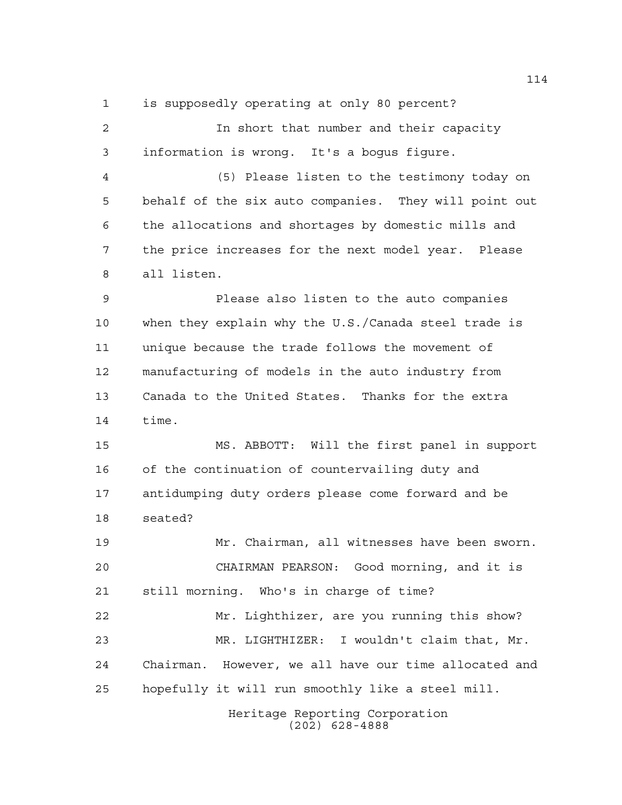is supposedly operating at only 80 percent?

 In short that number and their capacity information is wrong. It's a bogus figure. (5) Please listen to the testimony today on behalf of the six auto companies. They will point out the allocations and shortages by domestic mills and the price increases for the next model year. Please all listen. Please also listen to the auto companies when they explain why the U.S./Canada steel trade is unique because the trade follows the movement of manufacturing of models in the auto industry from Canada to the United States. Thanks for the extra time. MS. ABBOTT: Will the first panel in support of the continuation of countervailing duty and antidumping duty orders please come forward and be seated? Mr. Chairman, all witnesses have been sworn. CHAIRMAN PEARSON: Good morning, and it is still morning. Who's in charge of time? Mr. Lighthizer, are you running this show? MR. LIGHTHIZER: I wouldn't claim that, Mr. Chairman. However, we all have our time allocated and hopefully it will run smoothly like a steel mill.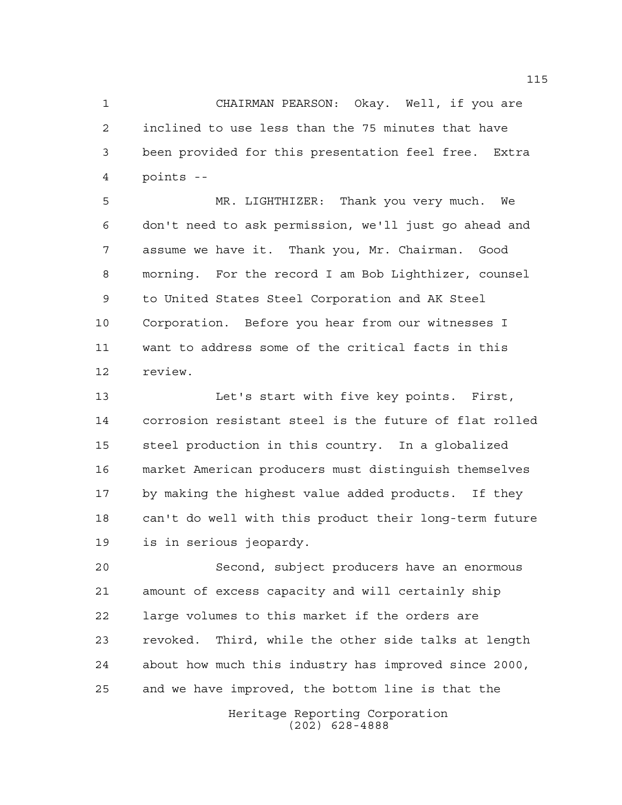CHAIRMAN PEARSON: Okay. Well, if you are inclined to use less than the 75 minutes that have been provided for this presentation feel free. Extra points --

 MR. LIGHTHIZER: Thank you very much. We don't need to ask permission, we'll just go ahead and assume we have it. Thank you, Mr. Chairman. Good morning. For the record I am Bob Lighthizer, counsel to United States Steel Corporation and AK Steel Corporation. Before you hear from our witnesses I want to address some of the critical facts in this review.

 Let's start with five key points. First, corrosion resistant steel is the future of flat rolled steel production in this country. In a globalized market American producers must distinguish themselves by making the highest value added products. If they can't do well with this product their long-term future is in serious jeopardy.

 Second, subject producers have an enormous amount of excess capacity and will certainly ship large volumes to this market if the orders are revoked. Third, while the other side talks at length about how much this industry has improved since 2000, and we have improved, the bottom line is that the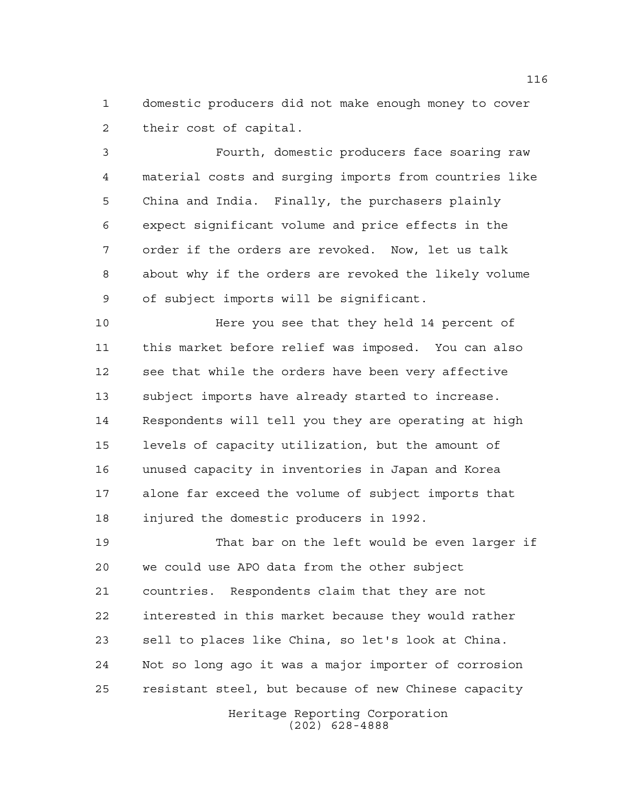domestic producers did not make enough money to cover their cost of capital.

 Fourth, domestic producers face soaring raw material costs and surging imports from countries like China and India. Finally, the purchasers plainly expect significant volume and price effects in the order if the orders are revoked. Now, let us talk about why if the orders are revoked the likely volume of subject imports will be significant.

 Here you see that they held 14 percent of this market before relief was imposed. You can also see that while the orders have been very affective subject imports have already started to increase. Respondents will tell you they are operating at high levels of capacity utilization, but the amount of unused capacity in inventories in Japan and Korea alone far exceed the volume of subject imports that injured the domestic producers in 1992.

 That bar on the left would be even larger if we could use APO data from the other subject countries. Respondents claim that they are not interested in this market because they would rather sell to places like China, so let's look at China. Not so long ago it was a major importer of corrosion resistant steel, but because of new Chinese capacity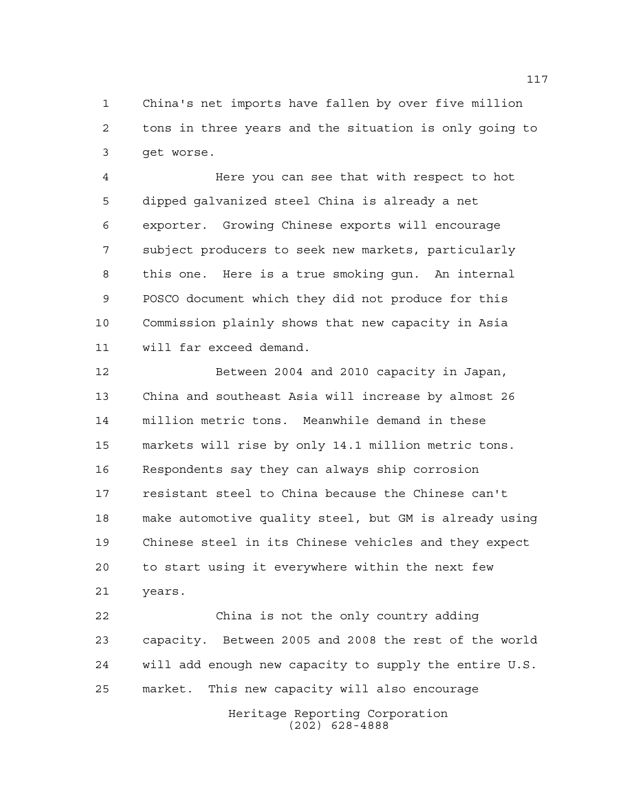China's net imports have fallen by over five million tons in three years and the situation is only going to get worse.

 Here you can see that with respect to hot dipped galvanized steel China is already a net exporter. Growing Chinese exports will encourage subject producers to seek new markets, particularly this one. Here is a true smoking gun. An internal POSCO document which they did not produce for this Commission plainly shows that new capacity in Asia will far exceed demand.

 Between 2004 and 2010 capacity in Japan, China and southeast Asia will increase by almost 26 million metric tons. Meanwhile demand in these markets will rise by only 14.1 million metric tons. Respondents say they can always ship corrosion resistant steel to China because the Chinese can't make automotive quality steel, but GM is already using Chinese steel in its Chinese vehicles and they expect to start using it everywhere within the next few years.

 China is not the only country adding capacity. Between 2005 and 2008 the rest of the world will add enough new capacity to supply the entire U.S. market. This new capacity will also encourage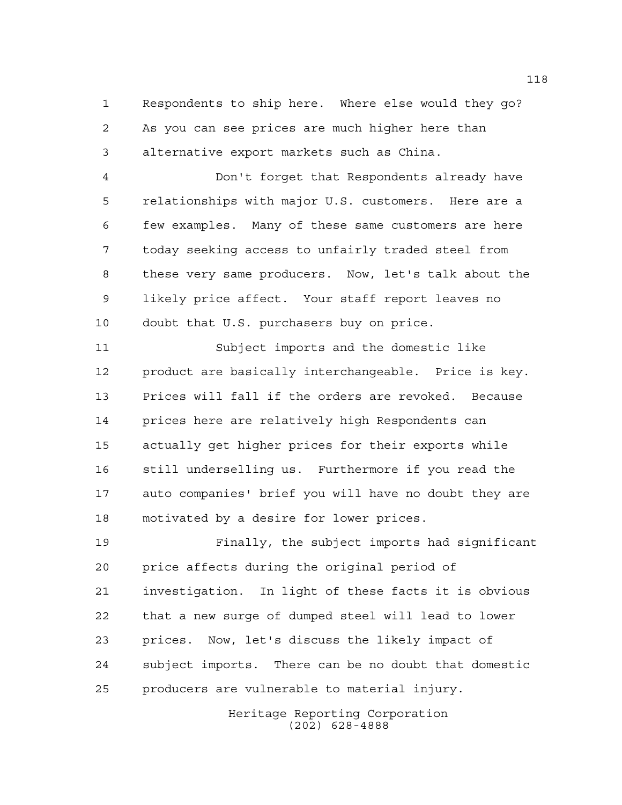Respondents to ship here. Where else would they go? As you can see prices are much higher here than alternative export markets such as China.

 Don't forget that Respondents already have relationships with major U.S. customers. Here are a few examples. Many of these same customers are here today seeking access to unfairly traded steel from these very same producers. Now, let's talk about the likely price affect. Your staff report leaves no doubt that U.S. purchasers buy on price.

 Subject imports and the domestic like product are basically interchangeable. Price is key. Prices will fall if the orders are revoked. Because prices here are relatively high Respondents can actually get higher prices for their exports while still underselling us. Furthermore if you read the auto companies' brief you will have no doubt they are motivated by a desire for lower prices.

 Finally, the subject imports had significant price affects during the original period of investigation. In light of these facts it is obvious that a new surge of dumped steel will lead to lower prices. Now, let's discuss the likely impact of subject imports. There can be no doubt that domestic producers are vulnerable to material injury.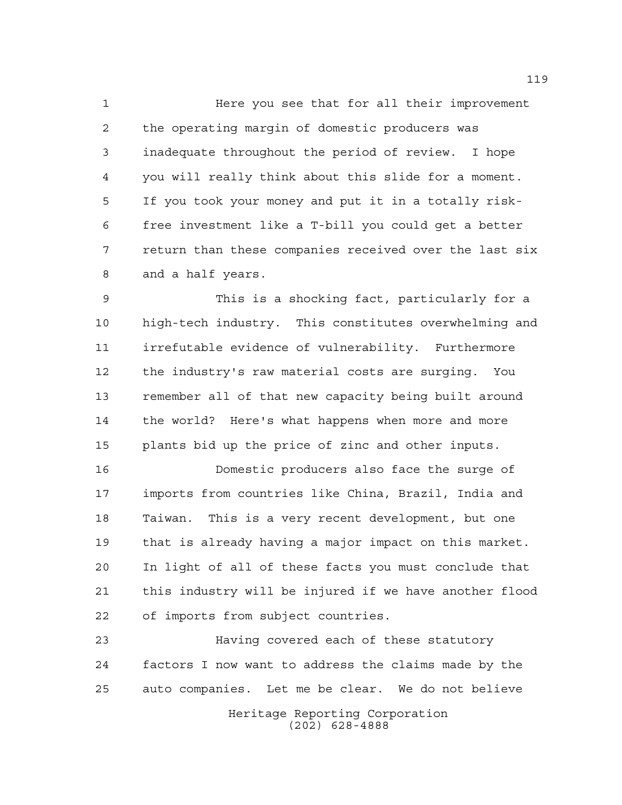Here you see that for all their improvement the operating margin of domestic producers was inadequate throughout the period of review. I hope you will really think about this slide for a moment. If you took your money and put it in a totally risk- free investment like a T-bill you could get a better return than these companies received over the last six and a half years.

 This is a shocking fact, particularly for a high-tech industry. This constitutes overwhelming and irrefutable evidence of vulnerability. Furthermore the industry's raw material costs are surging. You remember all of that new capacity being built around the world? Here's what happens when more and more plants bid up the price of zinc and other inputs.

 Domestic producers also face the surge of imports from countries like China, Brazil, India and Taiwan. This is a very recent development, but one that is already having a major impact on this market. In light of all of these facts you must conclude that this industry will be injured if we have another flood of imports from subject countries.

 Having covered each of these statutory factors I now want to address the claims made by the auto companies. Let me be clear. We do not believe

> Heritage Reporting Corporation (202) 628-4888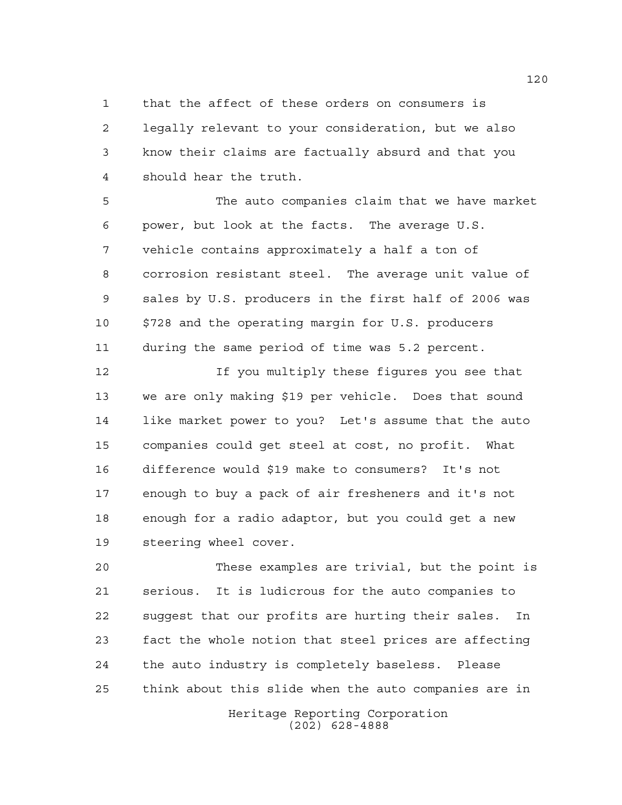that the affect of these orders on consumers is legally relevant to your consideration, but we also know their claims are factually absurd and that you should hear the truth.

 The auto companies claim that we have market power, but look at the facts. The average U.S. vehicle contains approximately a half a ton of corrosion resistant steel. The average unit value of sales by U.S. producers in the first half of 2006 was \$728 and the operating margin for U.S. producers during the same period of time was 5.2 percent.

 If you multiply these figures you see that we are only making \$19 per vehicle. Does that sound like market power to you? Let's assume that the auto companies could get steel at cost, no profit. What difference would \$19 make to consumers? It's not enough to buy a pack of air fresheners and it's not enough for a radio adaptor, but you could get a new steering wheel cover.

 These examples are trivial, but the point is serious. It is ludicrous for the auto companies to suggest that our profits are hurting their sales. In fact the whole notion that steel prices are affecting the auto industry is completely baseless. Please think about this slide when the auto companies are in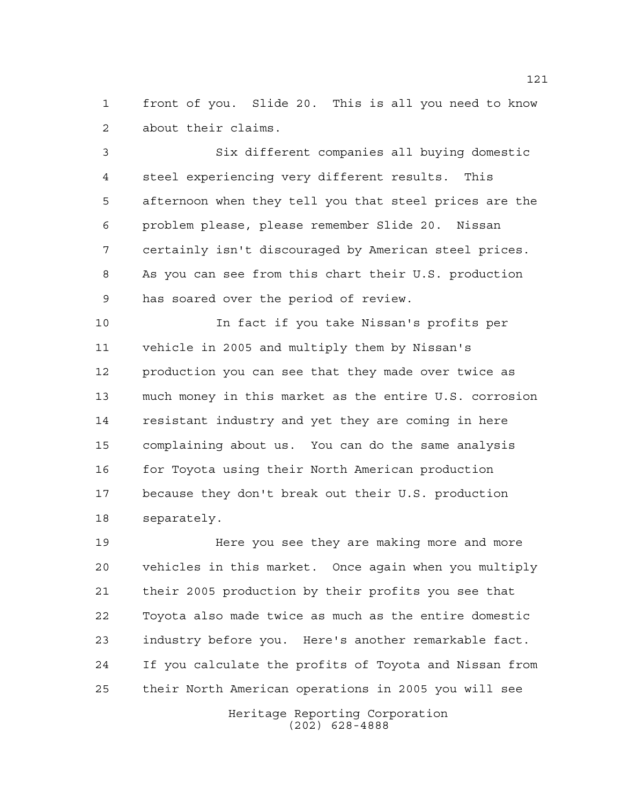front of you. Slide 20. This is all you need to know about their claims.

 Six different companies all buying domestic steel experiencing very different results. This afternoon when they tell you that steel prices are the problem please, please remember Slide 20. Nissan certainly isn't discouraged by American steel prices. As you can see from this chart their U.S. production has soared over the period of review.

 In fact if you take Nissan's profits per vehicle in 2005 and multiply them by Nissan's production you can see that they made over twice as much money in this market as the entire U.S. corrosion resistant industry and yet they are coming in here complaining about us. You can do the same analysis for Toyota using their North American production because they don't break out their U.S. production separately.

 Here you see they are making more and more vehicles in this market. Once again when you multiply their 2005 production by their profits you see that Toyota also made twice as much as the entire domestic industry before you. Here's another remarkable fact. If you calculate the profits of Toyota and Nissan from their North American operations in 2005 you will see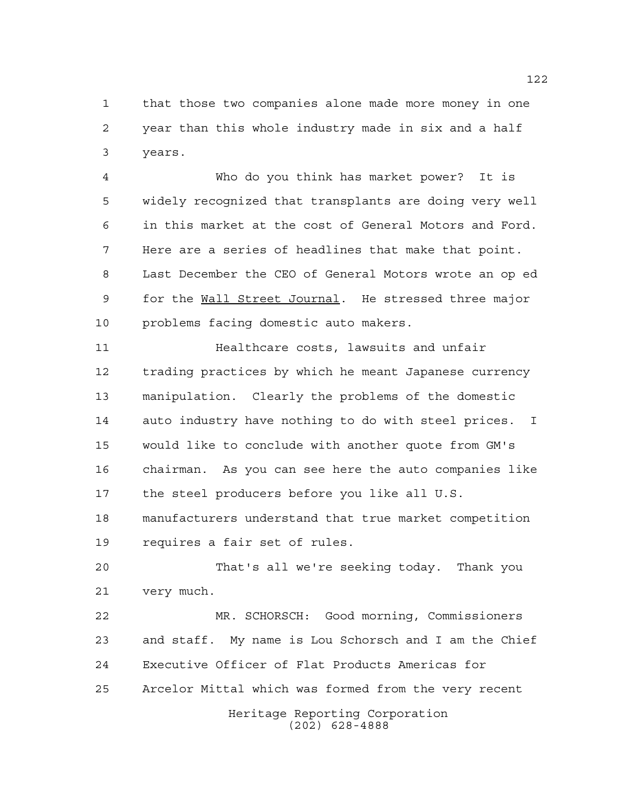that those two companies alone made more money in one year than this whole industry made in six and a half years.

 Who do you think has market power? It is widely recognized that transplants are doing very well in this market at the cost of General Motors and Ford. Here are a series of headlines that make that point. Last December the CEO of General Motors wrote an op ed for the Wall Street Journal. He stressed three major problems facing domestic auto makers.

 Healthcare costs, lawsuits and unfair trading practices by which he meant Japanese currency manipulation. Clearly the problems of the domestic auto industry have nothing to do with steel prices. I would like to conclude with another quote from GM's chairman. As you can see here the auto companies like the steel producers before you like all U.S. manufacturers understand that true market competition requires a fair set of rules.

 That's all we're seeking today. Thank you very much.

 MR. SCHORSCH: Good morning, Commissioners and staff. My name is Lou Schorsch and I am the Chief Executive Officer of Flat Products Americas for Arcelor Mittal which was formed from the very recent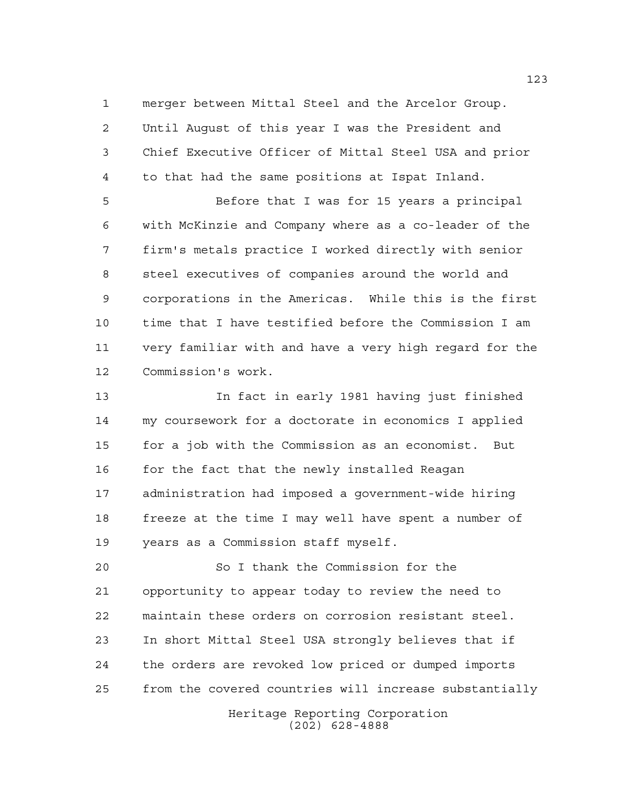merger between Mittal Steel and the Arcelor Group. Until August of this year I was the President and Chief Executive Officer of Mittal Steel USA and prior to that had the same positions at Ispat Inland.

 Before that I was for 15 years a principal with McKinzie and Company where as a co-leader of the firm's metals practice I worked directly with senior steel executives of companies around the world and corporations in the Americas. While this is the first time that I have testified before the Commission I am very familiar with and have a very high regard for the Commission's work.

 In fact in early 1981 having just finished my coursework for a doctorate in economics I applied for a job with the Commission as an economist. But for the fact that the newly installed Reagan administration had imposed a government-wide hiring freeze at the time I may well have spent a number of years as a Commission staff myself.

 So I thank the Commission for the opportunity to appear today to review the need to maintain these orders on corrosion resistant steel. In short Mittal Steel USA strongly believes that if the orders are revoked low priced or dumped imports from the covered countries will increase substantially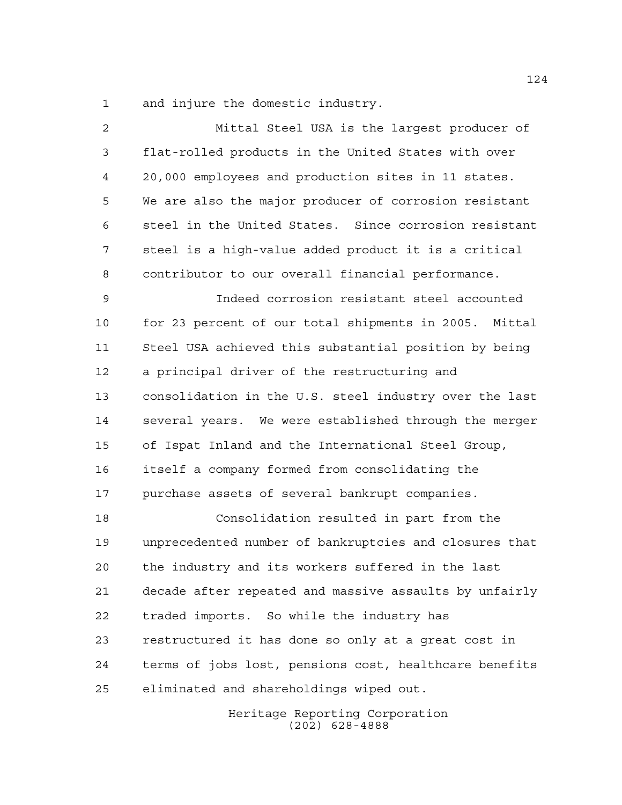and injure the domestic industry.

 Mittal Steel USA is the largest producer of flat-rolled products in the United States with over 20,000 employees and production sites in 11 states. We are also the major producer of corrosion resistant steel in the United States. Since corrosion resistant steel is a high-value added product it is a critical contributor to our overall financial performance. Indeed corrosion resistant steel accounted for 23 percent of our total shipments in 2005. Mittal Steel USA achieved this substantial position by being a principal driver of the restructuring and consolidation in the U.S. steel industry over the last several years. We were established through the merger of Ispat Inland and the International Steel Group, itself a company formed from consolidating the purchase assets of several bankrupt companies. Consolidation resulted in part from the unprecedented number of bankruptcies and closures that the industry and its workers suffered in the last decade after repeated and massive assaults by unfairly traded imports. So while the industry has restructured it has done so only at a great cost in terms of jobs lost, pensions cost, healthcare benefits eliminated and shareholdings wiped out.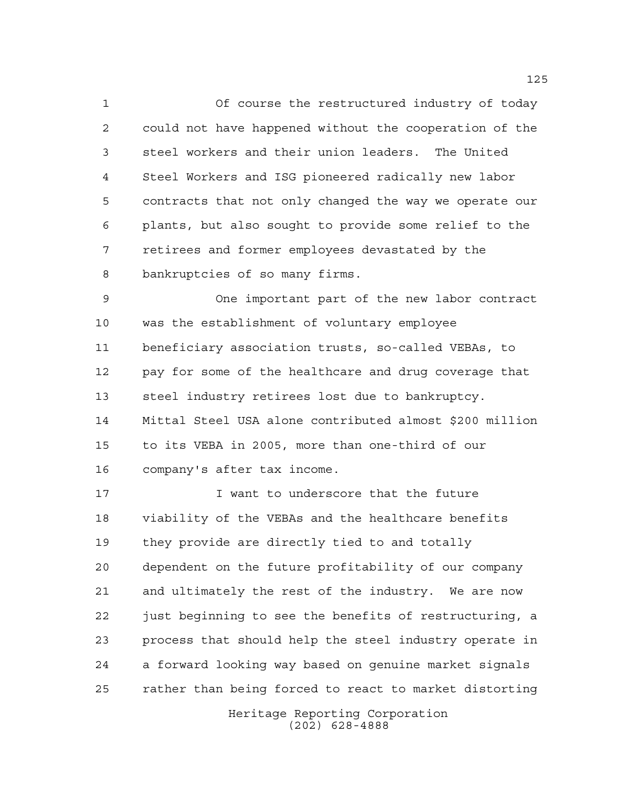Of course the restructured industry of today could not have happened without the cooperation of the steel workers and their union leaders. The United Steel Workers and ISG pioneered radically new labor contracts that not only changed the way we operate our plants, but also sought to provide some relief to the retirees and former employees devastated by the bankruptcies of so many firms.

 One important part of the new labor contract was the establishment of voluntary employee beneficiary association trusts, so-called VEBAs, to pay for some of the healthcare and drug coverage that steel industry retirees lost due to bankruptcy. Mittal Steel USA alone contributed almost \$200 million to its VEBA in 2005, more than one-third of our company's after tax income.

17 17 I want to underscore that the future viability of the VEBAs and the healthcare benefits they provide are directly tied to and totally dependent on the future profitability of our company and ultimately the rest of the industry. We are now just beginning to see the benefits of restructuring, a process that should help the steel industry operate in a forward looking way based on genuine market signals rather than being forced to react to market distorting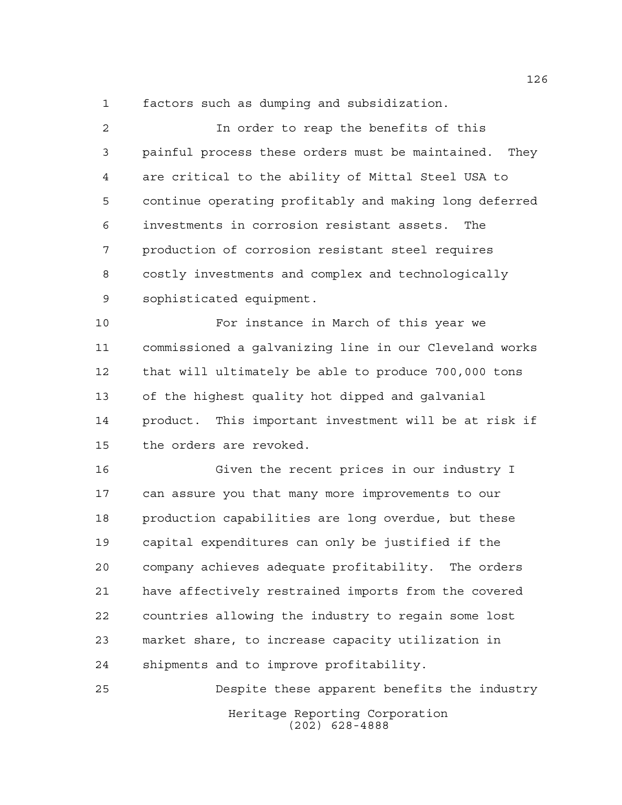factors such as dumping and subsidization.

 In order to reap the benefits of this painful process these orders must be maintained. They are critical to the ability of Mittal Steel USA to continue operating profitably and making long deferred investments in corrosion resistant assets. The production of corrosion resistant steel requires costly investments and complex and technologically sophisticated equipment.

 For instance in March of this year we commissioned a galvanizing line in our Cleveland works that will ultimately be able to produce 700,000 tons of the highest quality hot dipped and galvanial product. This important investment will be at risk if the orders are revoked.

 Given the recent prices in our industry I can assure you that many more improvements to our production capabilities are long overdue, but these capital expenditures can only be justified if the company achieves adequate profitability. The orders have affectively restrained imports from the covered countries allowing the industry to regain some lost market share, to increase capacity utilization in shipments and to improve profitability.

Heritage Reporting Corporation (202) 628-4888 Despite these apparent benefits the industry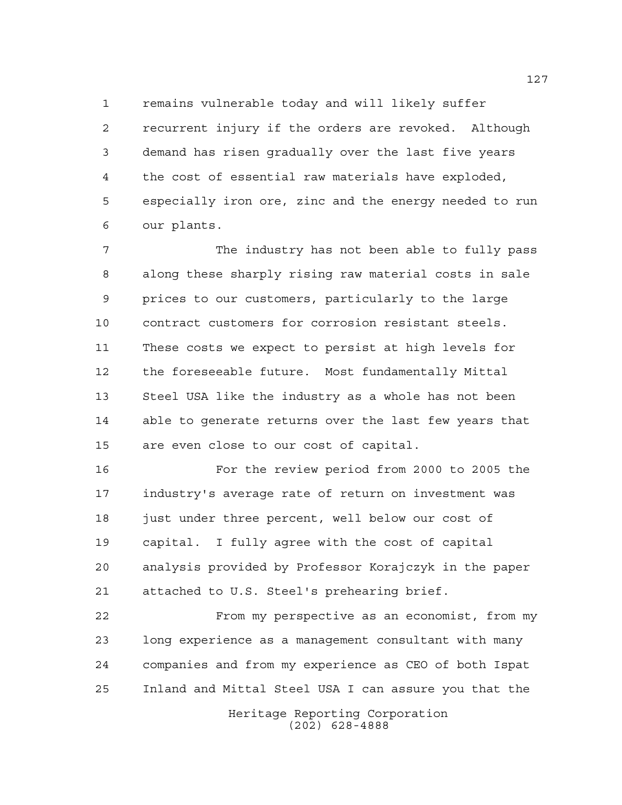remains vulnerable today and will likely suffer

 recurrent injury if the orders are revoked. Although demand has risen gradually over the last five years the cost of essential raw materials have exploded, especially iron ore, zinc and the energy needed to run our plants.

 The industry has not been able to fully pass along these sharply rising raw material costs in sale prices to our customers, particularly to the large contract customers for corrosion resistant steels. These costs we expect to persist at high levels for the foreseeable future. Most fundamentally Mittal Steel USA like the industry as a whole has not been able to generate returns over the last few years that are even close to our cost of capital.

 For the review period from 2000 to 2005 the industry's average rate of return on investment was just under three percent, well below our cost of capital. I fully agree with the cost of capital analysis provided by Professor Korajczyk in the paper attached to U.S. Steel's prehearing brief.

 From my perspective as an economist, from my long experience as a management consultant with many companies and from my experience as CEO of both Ispat Inland and Mittal Steel USA I can assure you that the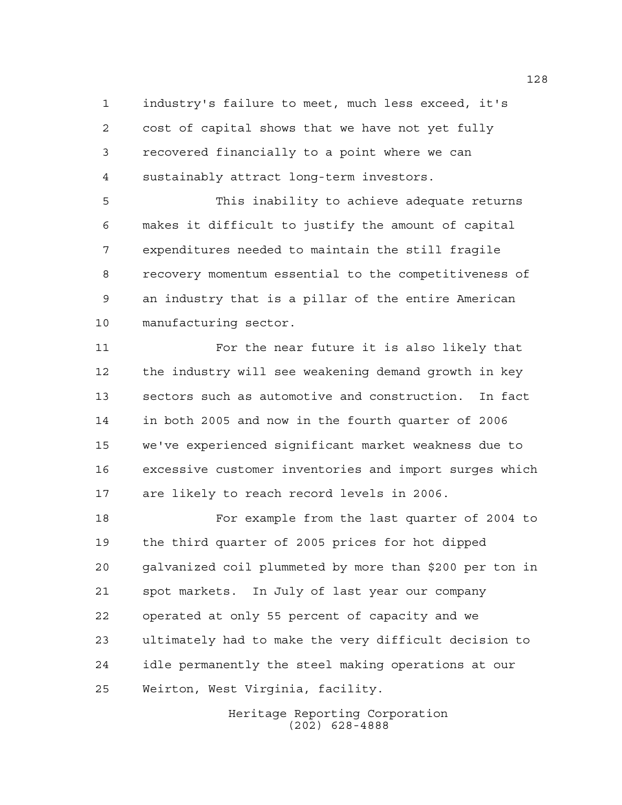industry's failure to meet, much less exceed, it's cost of capital shows that we have not yet fully recovered financially to a point where we can sustainably attract long-term investors.

 This inability to achieve adequate returns makes it difficult to justify the amount of capital expenditures needed to maintain the still fragile recovery momentum essential to the competitiveness of an industry that is a pillar of the entire American manufacturing sector.

 For the near future it is also likely that the industry will see weakening demand growth in key sectors such as automotive and construction. In fact in both 2005 and now in the fourth quarter of 2006 we've experienced significant market weakness due to excessive customer inventories and import surges which are likely to reach record levels in 2006.

 For example from the last quarter of 2004 to the third quarter of 2005 prices for hot dipped galvanized coil plummeted by more than \$200 per ton in spot markets. In July of last year our company operated at only 55 percent of capacity and we ultimately had to make the very difficult decision to idle permanently the steel making operations at our Weirton, West Virginia, facility.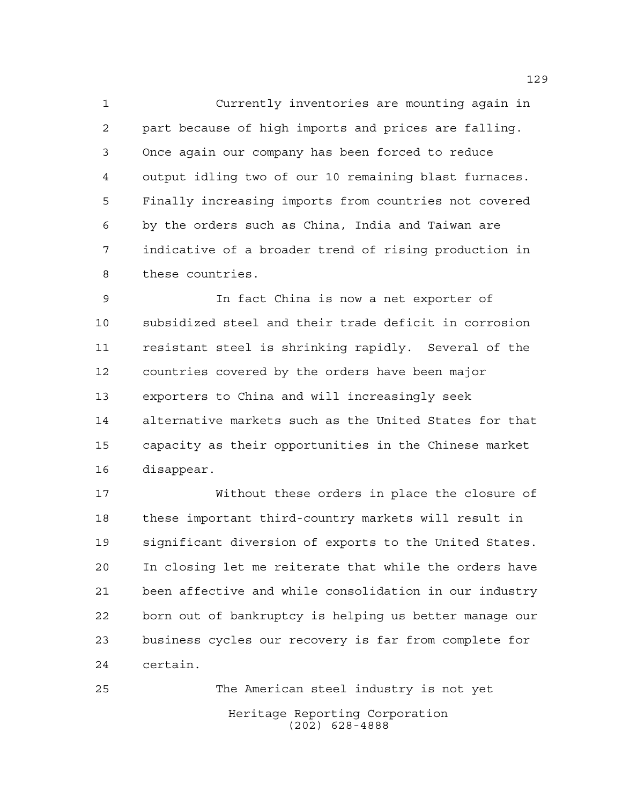Currently inventories are mounting again in part because of high imports and prices are falling. Once again our company has been forced to reduce output idling two of our 10 remaining blast furnaces. Finally increasing imports from countries not covered by the orders such as China, India and Taiwan are indicative of a broader trend of rising production in these countries.

 In fact China is now a net exporter of subsidized steel and their trade deficit in corrosion resistant steel is shrinking rapidly. Several of the countries covered by the orders have been major exporters to China and will increasingly seek alternative markets such as the United States for that capacity as their opportunities in the Chinese market disappear.

 Without these orders in place the closure of these important third-country markets will result in significant diversion of exports to the United States. In closing let me reiterate that while the orders have been affective and while consolidation in our industry born out of bankruptcy is helping us better manage our business cycles our recovery is far from complete for certain.

Heritage Reporting Corporation (202) 628-4888 The American steel industry is not yet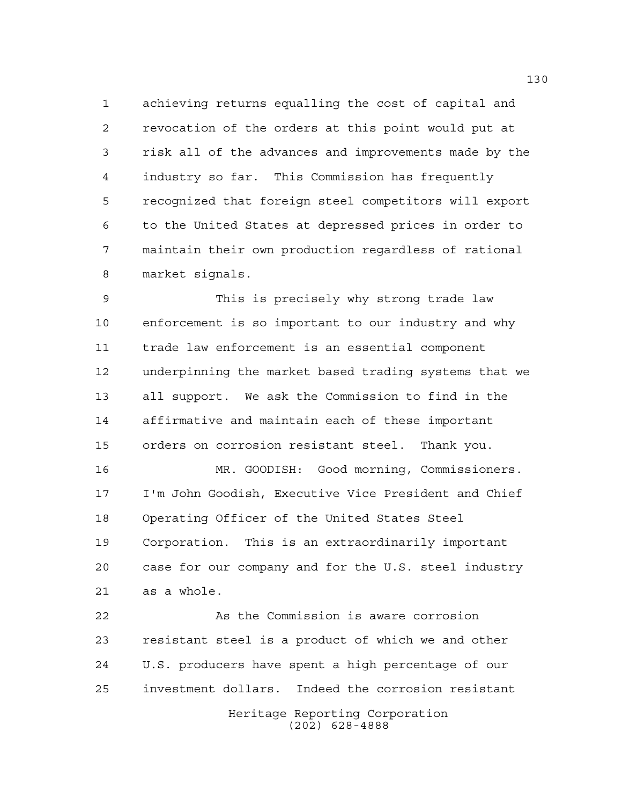achieving returns equalling the cost of capital and revocation of the orders at this point would put at risk all of the advances and improvements made by the industry so far. This Commission has frequently recognized that foreign steel competitors will export to the United States at depressed prices in order to maintain their own production regardless of rational market signals.

 This is precisely why strong trade law enforcement is so important to our industry and why trade law enforcement is an essential component underpinning the market based trading systems that we all support. We ask the Commission to find in the affirmative and maintain each of these important orders on corrosion resistant steel. Thank you.

 MR. GOODISH: Good morning, Commissioners. I'm John Goodish, Executive Vice President and Chief Operating Officer of the United States Steel Corporation. This is an extraordinarily important case for our company and for the U.S. steel industry as a whole.

Heritage Reporting Corporation (202) 628-4888 As the Commission is aware corrosion resistant steel is a product of which we and other U.S. producers have spent a high percentage of our investment dollars. Indeed the corrosion resistant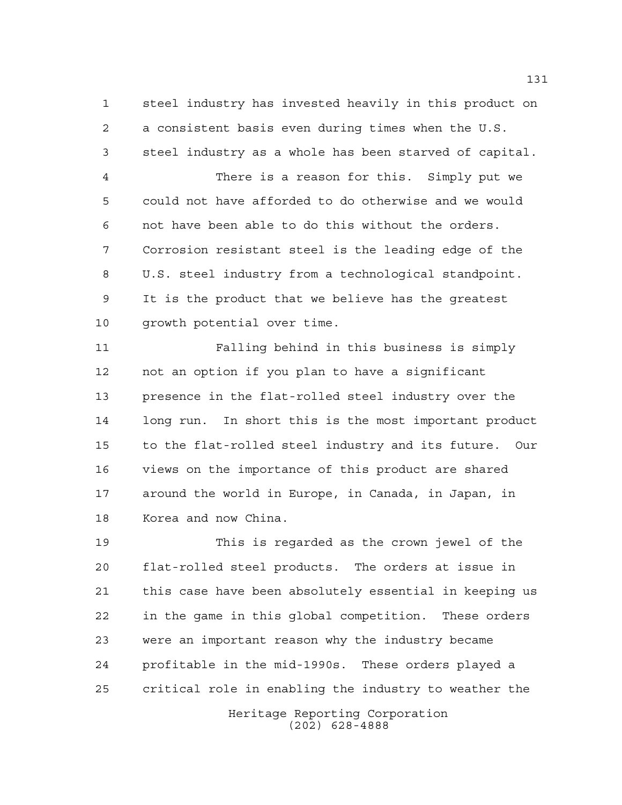steel industry has invested heavily in this product on a consistent basis even during times when the U.S. steel industry as a whole has been starved of capital.

 There is a reason for this. Simply put we could not have afforded to do otherwise and we would not have been able to do this without the orders. Corrosion resistant steel is the leading edge of the U.S. steel industry from a technological standpoint. It is the product that we believe has the greatest growth potential over time.

 Falling behind in this business is simply not an option if you plan to have a significant presence in the flat-rolled steel industry over the long run. In short this is the most important product to the flat-rolled steel industry and its future. Our views on the importance of this product are shared around the world in Europe, in Canada, in Japan, in Korea and now China.

 This is regarded as the crown jewel of the flat-rolled steel products. The orders at issue in this case have been absolutely essential in keeping us in the game in this global competition. These orders were an important reason why the industry became profitable in the mid-1990s. These orders played a critical role in enabling the industry to weather the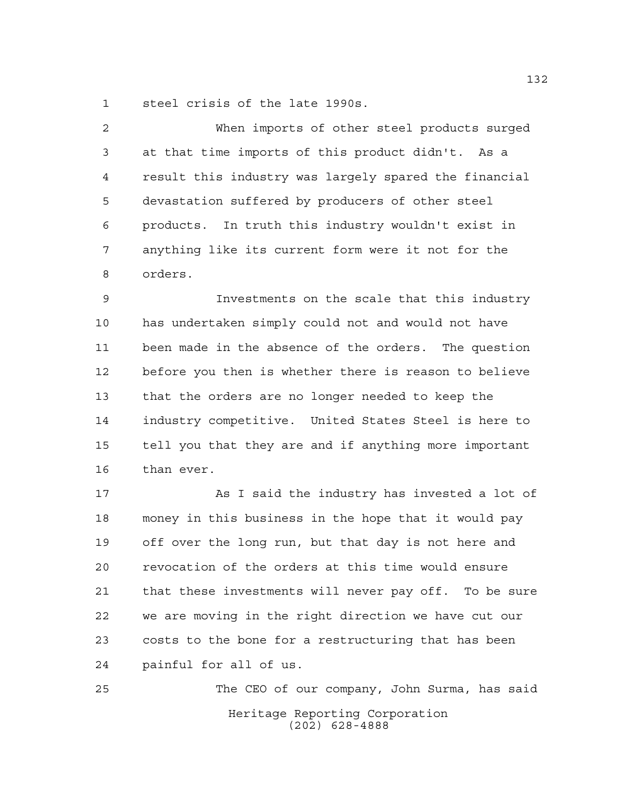steel crisis of the late 1990s.

 When imports of other steel products surged at that time imports of this product didn't. As a result this industry was largely spared the financial devastation suffered by producers of other steel products. In truth this industry wouldn't exist in anything like its current form were it not for the orders.

 Investments on the scale that this industry has undertaken simply could not and would not have been made in the absence of the orders. The question before you then is whether there is reason to believe that the orders are no longer needed to keep the industry competitive. United States Steel is here to tell you that they are and if anything more important than ever.

 As I said the industry has invested a lot of money in this business in the hope that it would pay off over the long run, but that day is not here and revocation of the orders at this time would ensure that these investments will never pay off. To be sure we are moving in the right direction we have cut our costs to the bone for a restructuring that has been painful for all of us.

Heritage Reporting Corporation (202) 628-4888 The CEO of our company, John Surma, has said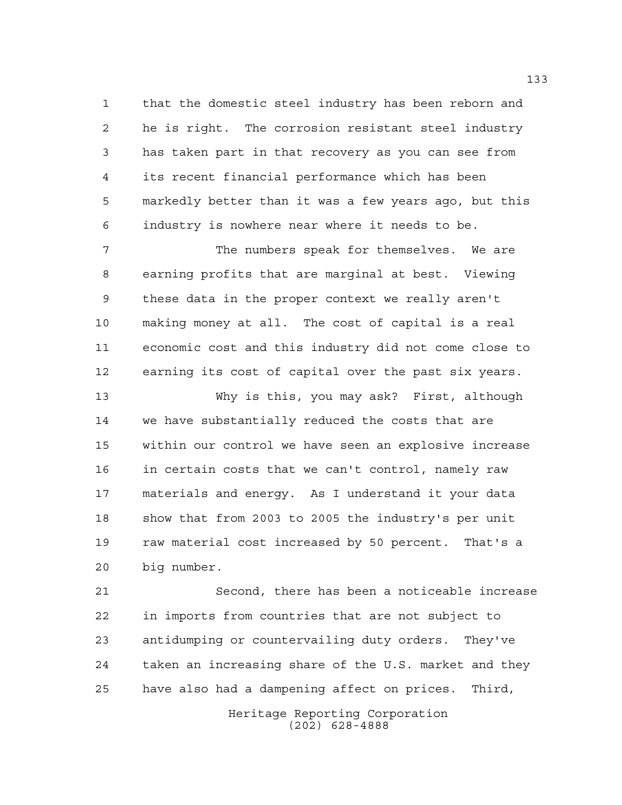that the domestic steel industry has been reborn and he is right. The corrosion resistant steel industry has taken part in that recovery as you can see from its recent financial performance which has been markedly better than it was a few years ago, but this industry is nowhere near where it needs to be.

 The numbers speak for themselves. We are earning profits that are marginal at best. Viewing these data in the proper context we really aren't making money at all. The cost of capital is a real economic cost and this industry did not come close to earning its cost of capital over the past six years.

 Why is this, you may ask? First, although we have substantially reduced the costs that are within our control we have seen an explosive increase in certain costs that we can't control, namely raw materials and energy. As I understand it your data show that from 2003 to 2005 the industry's per unit raw material cost increased by 50 percent. That's a big number.

 Second, there has been a noticeable increase in imports from countries that are not subject to antidumping or countervailing duty orders. They've taken an increasing share of the U.S. market and they have also had a dampening affect on prices. Third,

> Heritage Reporting Corporation (202) 628-4888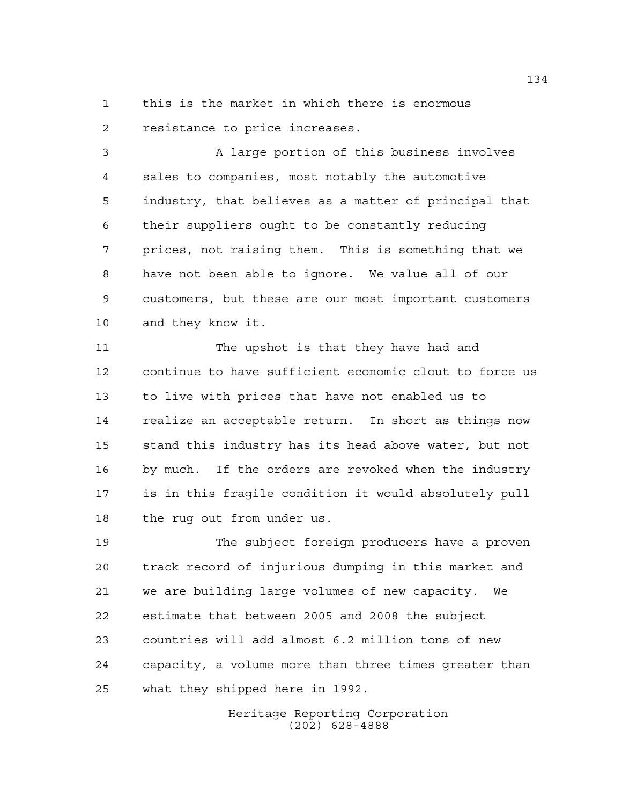this is the market in which there is enormous resistance to price increases.

 A large portion of this business involves sales to companies, most notably the automotive industry, that believes as a matter of principal that their suppliers ought to be constantly reducing prices, not raising them. This is something that we have not been able to ignore. We value all of our customers, but these are our most important customers and they know it.

 The upshot is that they have had and continue to have sufficient economic clout to force us to live with prices that have not enabled us to realize an acceptable return. In short as things now stand this industry has its head above water, but not by much. If the orders are revoked when the industry is in this fragile condition it would absolutely pull the rug out from under us.

 The subject foreign producers have a proven track record of injurious dumping in this market and we are building large volumes of new capacity. We estimate that between 2005 and 2008 the subject countries will add almost 6.2 million tons of new capacity, a volume more than three times greater than what they shipped here in 1992.

> Heritage Reporting Corporation (202) 628-4888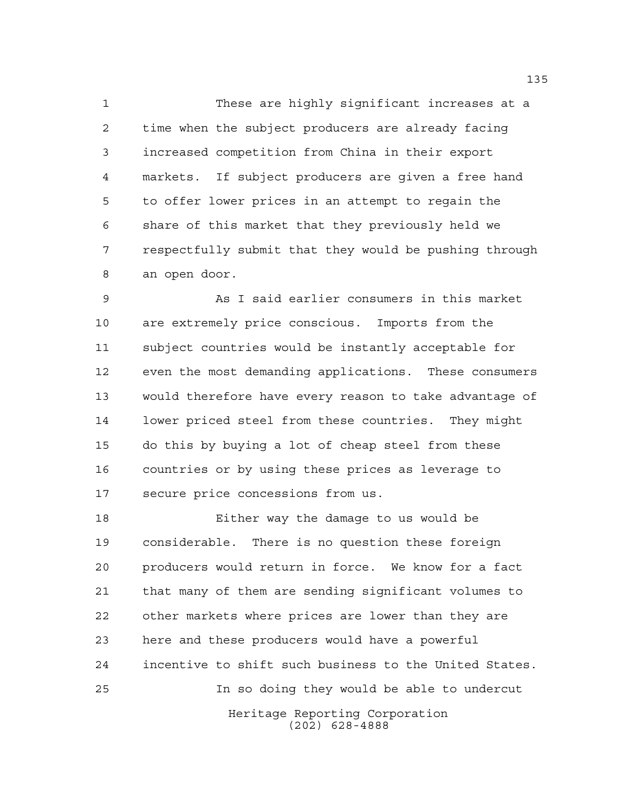These are highly significant increases at a time when the subject producers are already facing increased competition from China in their export markets. If subject producers are given a free hand to offer lower prices in an attempt to regain the share of this market that they previously held we respectfully submit that they would be pushing through an open door.

 As I said earlier consumers in this market are extremely price conscious. Imports from the subject countries would be instantly acceptable for even the most demanding applications. These consumers would therefore have every reason to take advantage of lower priced steel from these countries. They might do this by buying a lot of cheap steel from these countries or by using these prices as leverage to secure price concessions from us.

Heritage Reporting Corporation (202) 628-4888 Either way the damage to us would be considerable. There is no question these foreign producers would return in force. We know for a fact that many of them are sending significant volumes to other markets where prices are lower than they are here and these producers would have a powerful incentive to shift such business to the United States. In so doing they would be able to undercut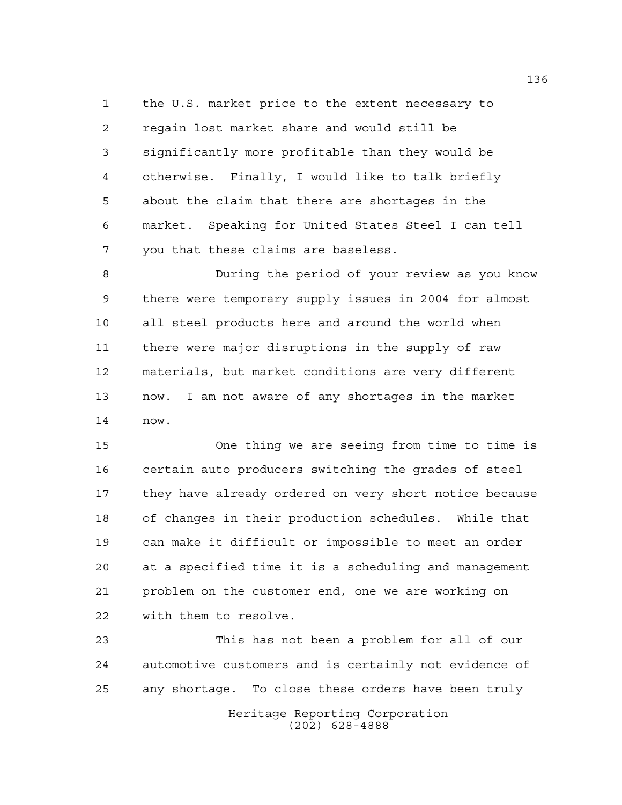the U.S. market price to the extent necessary to regain lost market share and would still be significantly more profitable than they would be otherwise. Finally, I would like to talk briefly about the claim that there are shortages in the market. Speaking for United States Steel I can tell you that these claims are baseless.

 During the period of your review as you know there were temporary supply issues in 2004 for almost all steel products here and around the world when there were major disruptions in the supply of raw materials, but market conditions are very different now. I am not aware of any shortages in the market now.

 One thing we are seeing from time to time is certain auto producers switching the grades of steel they have already ordered on very short notice because of changes in their production schedules. While that can make it difficult or impossible to meet an order at a specified time it is a scheduling and management problem on the customer end, one we are working on with them to resolve.

Heritage Reporting Corporation This has not been a problem for all of our automotive customers and is certainly not evidence of any shortage. To close these orders have been truly

(202) 628-4888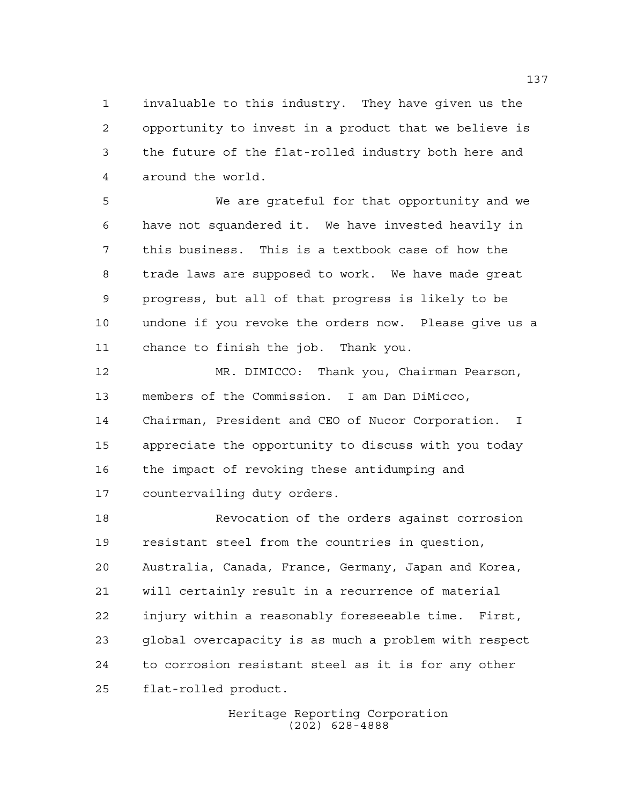invaluable to this industry. They have given us the opportunity to invest in a product that we believe is the future of the flat-rolled industry both here and around the world.

 We are grateful for that opportunity and we have not squandered it. We have invested heavily in this business. This is a textbook case of how the trade laws are supposed to work. We have made great progress, but all of that progress is likely to be undone if you revoke the orders now. Please give us a chance to finish the job. Thank you.

 MR. DIMICCO: Thank you, Chairman Pearson, members of the Commission. I am Dan DiMicco, Chairman, President and CEO of Nucor Corporation. I appreciate the opportunity to discuss with you today the impact of revoking these antidumping and countervailing duty orders.

 Revocation of the orders against corrosion resistant steel from the countries in question, Australia, Canada, France, Germany, Japan and Korea, will certainly result in a recurrence of material injury within a reasonably foreseeable time. First, global overcapacity is as much a problem with respect to corrosion resistant steel as it is for any other flat-rolled product.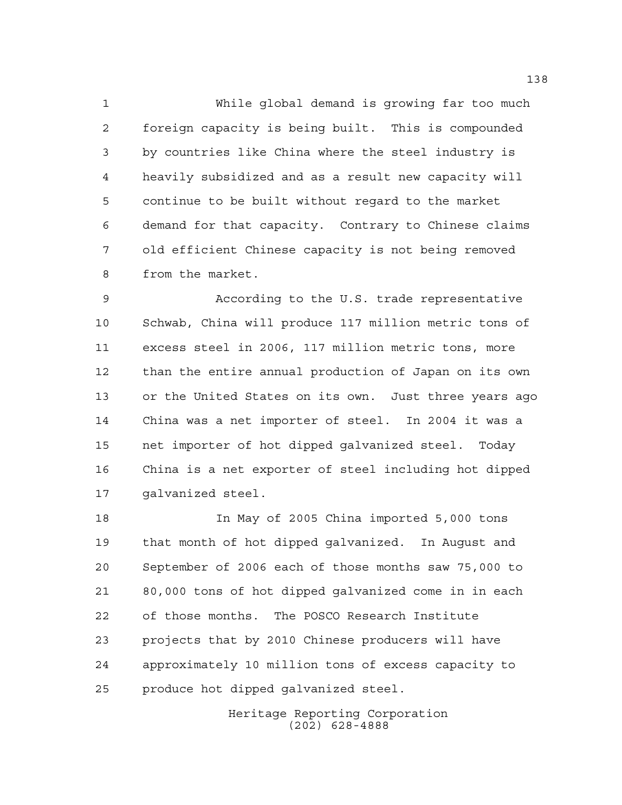While global demand is growing far too much foreign capacity is being built. This is compounded by countries like China where the steel industry is heavily subsidized and as a result new capacity will continue to be built without regard to the market demand for that capacity. Contrary to Chinese claims old efficient Chinese capacity is not being removed from the market.

 According to the U.S. trade representative Schwab, China will produce 117 million metric tons of excess steel in 2006, 117 million metric tons, more than the entire annual production of Japan on its own or the United States on its own. Just three years ago China was a net importer of steel. In 2004 it was a net importer of hot dipped galvanized steel. Today China is a net exporter of steel including hot dipped galvanized steel.

 In May of 2005 China imported 5,000 tons that month of hot dipped galvanized. In August and September of 2006 each of those months saw 75,000 to 80,000 tons of hot dipped galvanized come in in each of those months. The POSCO Research Institute projects that by 2010 Chinese producers will have approximately 10 million tons of excess capacity to produce hot dipped galvanized steel.

> Heritage Reporting Corporation (202) 628-4888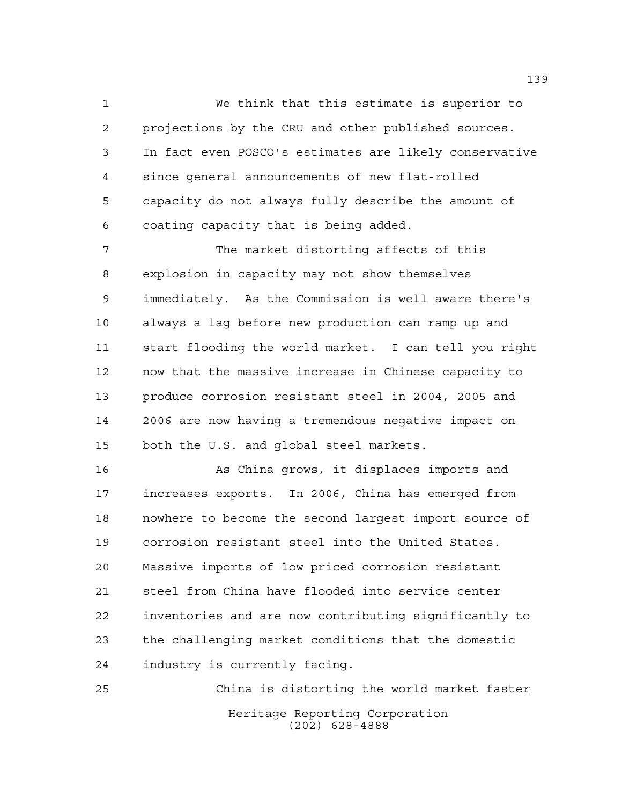We think that this estimate is superior to projections by the CRU and other published sources. In fact even POSCO's estimates are likely conservative since general announcements of new flat-rolled capacity do not always fully describe the amount of coating capacity that is being added.

 The market distorting affects of this explosion in capacity may not show themselves immediately. As the Commission is well aware there's always a lag before new production can ramp up and start flooding the world market. I can tell you right now that the massive increase in Chinese capacity to produce corrosion resistant steel in 2004, 2005 and 2006 are now having a tremendous negative impact on both the U.S. and global steel markets.

 As China grows, it displaces imports and increases exports. In 2006, China has emerged from nowhere to become the second largest import source of corrosion resistant steel into the United States. Massive imports of low priced corrosion resistant steel from China have flooded into service center inventories and are now contributing significantly to the challenging market conditions that the domestic industry is currently facing.

Heritage Reporting Corporation (202) 628-4888 China is distorting the world market faster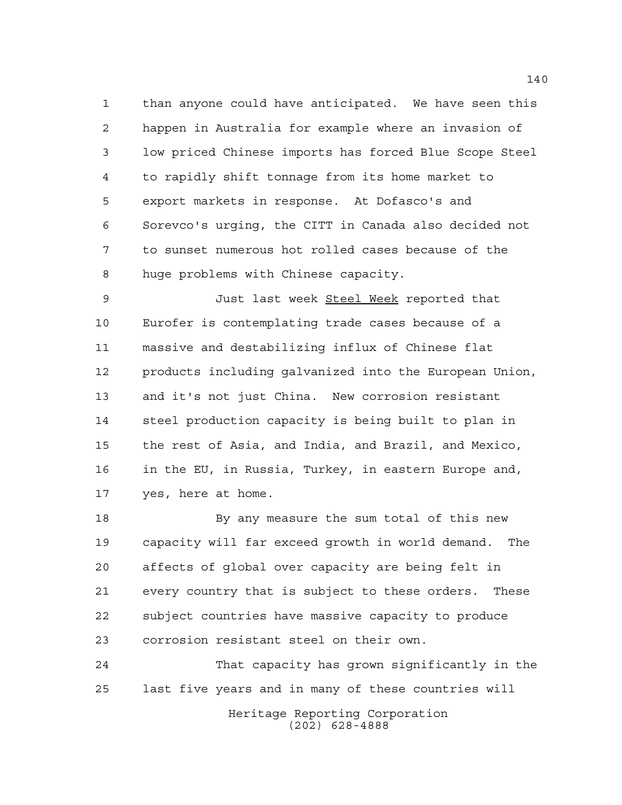than anyone could have anticipated. We have seen this happen in Australia for example where an invasion of low priced Chinese imports has forced Blue Scope Steel to rapidly shift tonnage from its home market to export markets in response. At Dofasco's and Sorevco's urging, the CITT in Canada also decided not to sunset numerous hot rolled cases because of the huge problems with Chinese capacity.

 Just last week Steel Week reported that Eurofer is contemplating trade cases because of a massive and destabilizing influx of Chinese flat products including galvanized into the European Union, and it's not just China. New corrosion resistant steel production capacity is being built to plan in the rest of Asia, and India, and Brazil, and Mexico, in the EU, in Russia, Turkey, in eastern Europe and, yes, here at home.

18 By any measure the sum total of this new capacity will far exceed growth in world demand. The affects of global over capacity are being felt in every country that is subject to these orders. These subject countries have massive capacity to produce corrosion resistant steel on their own.

 That capacity has grown significantly in the last five years and in many of these countries will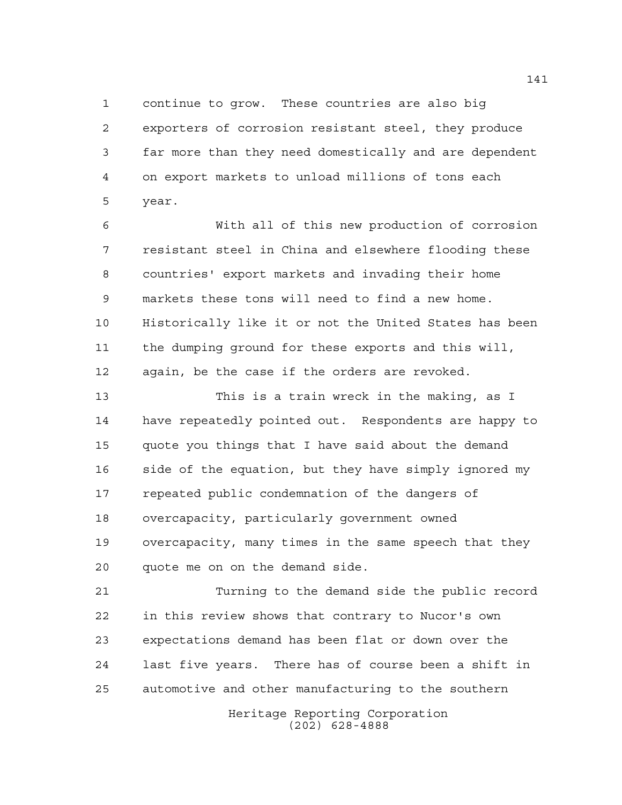continue to grow. These countries are also big exporters of corrosion resistant steel, they produce far more than they need domestically and are dependent on export markets to unload millions of tons each year.

 With all of this new production of corrosion resistant steel in China and elsewhere flooding these countries' export markets and invading their home markets these tons will need to find a new home. Historically like it or not the United States has been the dumping ground for these exports and this will, again, be the case if the orders are revoked.

 This is a train wreck in the making, as I have repeatedly pointed out. Respondents are happy to quote you things that I have said about the demand side of the equation, but they have simply ignored my repeated public condemnation of the dangers of overcapacity, particularly government owned overcapacity, many times in the same speech that they quote me on on the demand side.

 Turning to the demand side the public record in this review shows that contrary to Nucor's own expectations demand has been flat or down over the last five years. There has of course been a shift in automotive and other manufacturing to the southern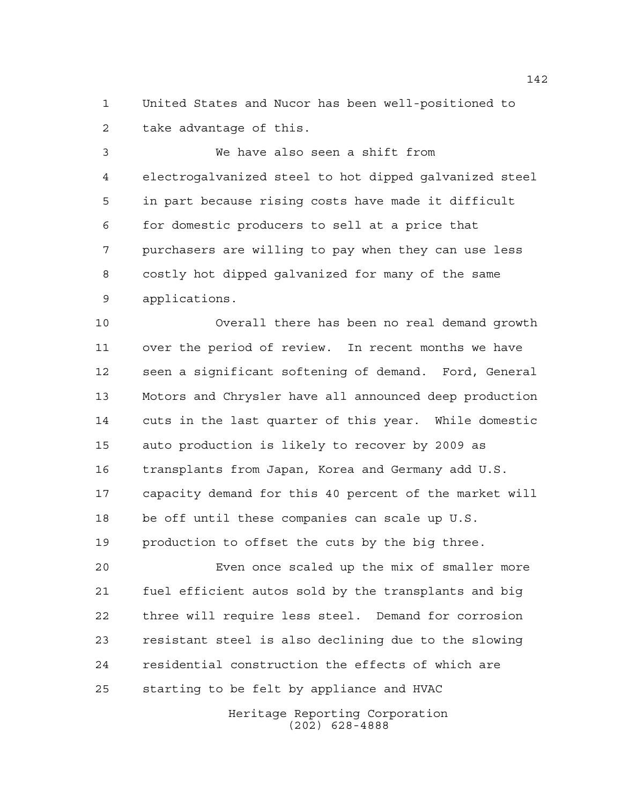United States and Nucor has been well-positioned to take advantage of this.

 We have also seen a shift from electrogalvanized steel to hot dipped galvanized steel in part because rising costs have made it difficult for domestic producers to sell at a price that purchasers are willing to pay when they can use less costly hot dipped galvanized for many of the same applications.

 Overall there has been no real demand growth over the period of review. In recent months we have seen a significant softening of demand. Ford, General Motors and Chrysler have all announced deep production cuts in the last quarter of this year. While domestic auto production is likely to recover by 2009 as transplants from Japan, Korea and Germany add U.S. capacity demand for this 40 percent of the market will be off until these companies can scale up U.S. production to offset the cuts by the big three.

 Even once scaled up the mix of smaller more fuel efficient autos sold by the transplants and big three will require less steel. Demand for corrosion resistant steel is also declining due to the slowing residential construction the effects of which are starting to be felt by appliance and HVAC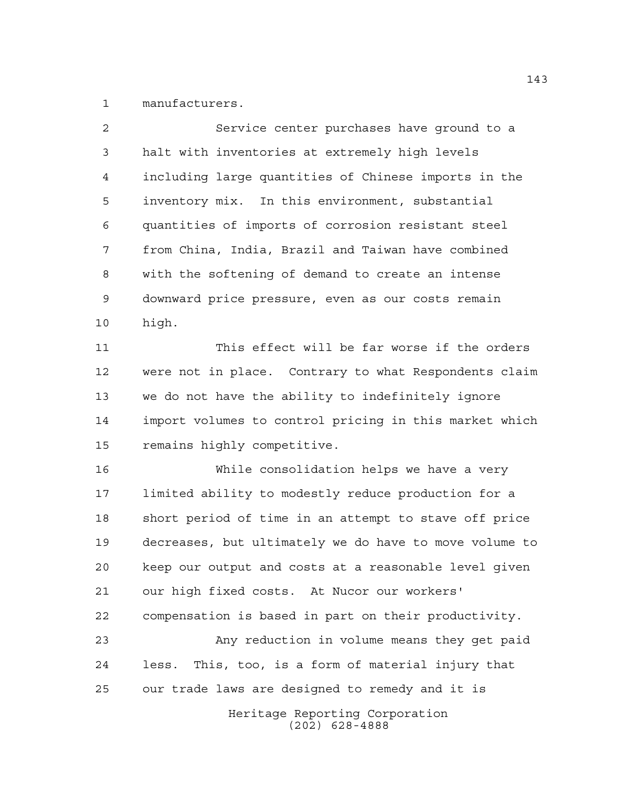manufacturers.

| $\mathcal{L}$   | Service center purchases have ground to a            |
|-----------------|------------------------------------------------------|
| 3               | halt with inventories at extremely high levels       |
| 4               | including large quantities of Chinese imports in the |
| 5               | inventory mix. In this environment, substantial      |
| 6               | quantities of imports of corrosion resistant steel   |
| 7               | from China, India, Brazil and Taiwan have combined   |
| 8               | with the softening of demand to create an intense    |
| 9               | downward price pressure, even as our costs remain    |
| 10 <sub>1</sub> | high.                                                |
|                 |                                                      |

 This effect will be far worse if the orders were not in place. Contrary to what Respondents claim we do not have the ability to indefinitely ignore import volumes to control pricing in this market which remains highly competitive.

 While consolidation helps we have a very limited ability to modestly reduce production for a short period of time in an attempt to stave off price decreases, but ultimately we do have to move volume to keep our output and costs at a reasonable level given our high fixed costs. At Nucor our workers' compensation is based in part on their productivity. Any reduction in volume means they get paid less. This, too, is a form of material injury that

our trade laws are designed to remedy and it is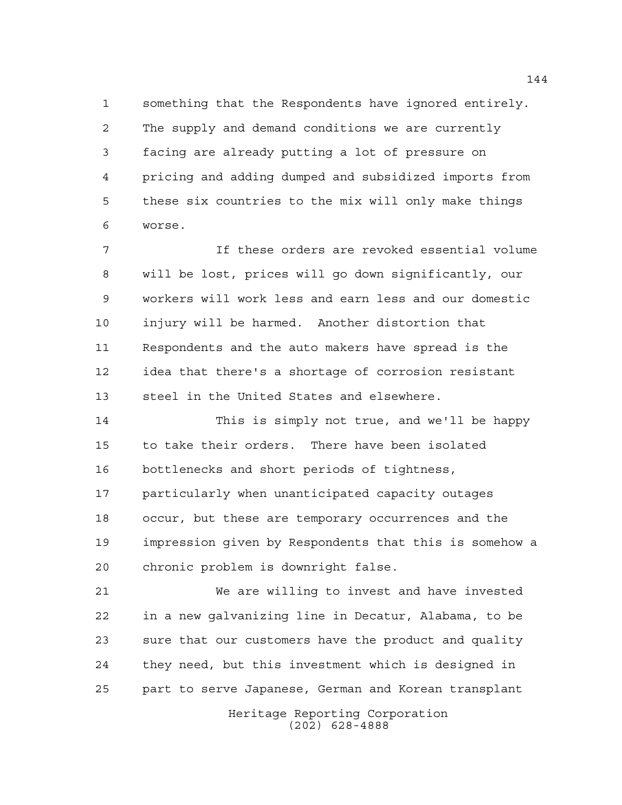something that the Respondents have ignored entirely. The supply and demand conditions we are currently facing are already putting a lot of pressure on pricing and adding dumped and subsidized imports from these six countries to the mix will only make things worse.

 If these orders are revoked essential volume will be lost, prices will go down significantly, our workers will work less and earn less and our domestic injury will be harmed. Another distortion that Respondents and the auto makers have spread is the idea that there's a shortage of corrosion resistant steel in the United States and elsewhere.

 This is simply not true, and we'll be happy to take their orders. There have been isolated bottlenecks and short periods of tightness, particularly when unanticipated capacity outages occur, but these are temporary occurrences and the impression given by Respondents that this is somehow a chronic problem is downright false.

 We are willing to invest and have invested in a new galvanizing line in Decatur, Alabama, to be sure that our customers have the product and quality they need, but this investment which is designed in part to serve Japanese, German and Korean transplant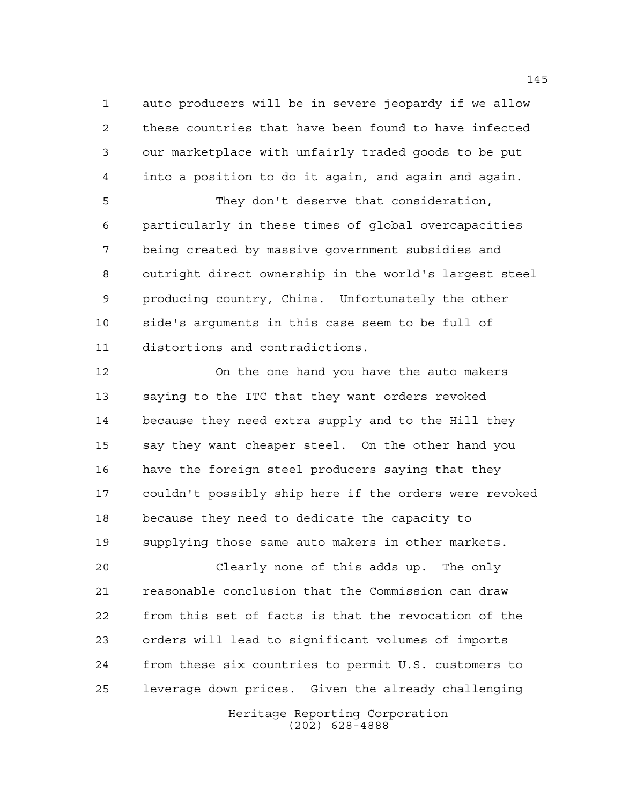auto producers will be in severe jeopardy if we allow these countries that have been found to have infected our marketplace with unfairly traded goods to be put into a position to do it again, and again and again.

 They don't deserve that consideration, particularly in these times of global overcapacities being created by massive government subsidies and outright direct ownership in the world's largest steel producing country, China. Unfortunately the other side's arguments in this case seem to be full of distortions and contradictions.

 On the one hand you have the auto makers saying to the ITC that they want orders revoked because they need extra supply and to the Hill they say they want cheaper steel. On the other hand you have the foreign steel producers saying that they couldn't possibly ship here if the orders were revoked because they need to dedicate the capacity to supplying those same auto makers in other markets.

 Clearly none of this adds up. The only reasonable conclusion that the Commission can draw from this set of facts is that the revocation of the orders will lead to significant volumes of imports from these six countries to permit U.S. customers to leverage down prices. Given the already challenging

> Heritage Reporting Corporation (202) 628-4888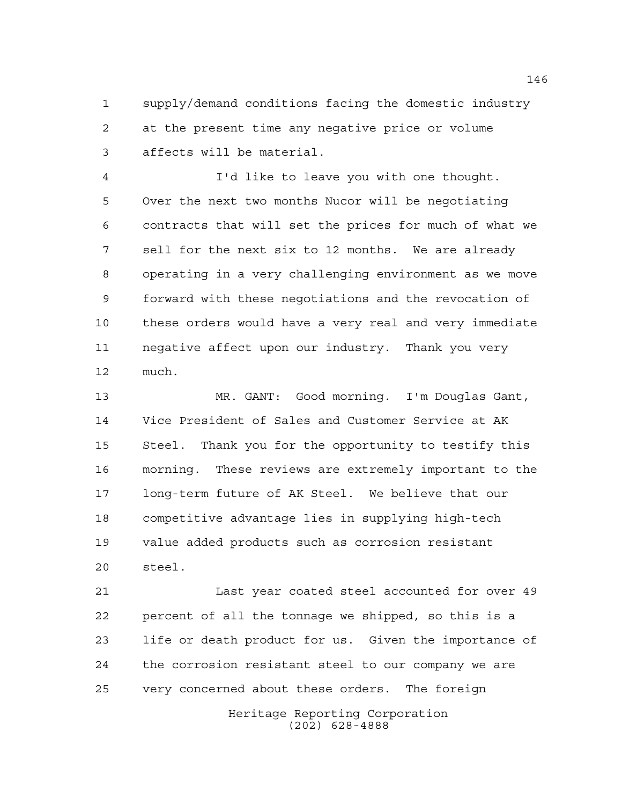supply/demand conditions facing the domestic industry at the present time any negative price or volume affects will be material.

 I'd like to leave you with one thought. Over the next two months Nucor will be negotiating contracts that will set the prices for much of what we sell for the next six to 12 months. We are already operating in a very challenging environment as we move forward with these negotiations and the revocation of these orders would have a very real and very immediate negative affect upon our industry. Thank you very much.

 MR. GANT: Good morning. I'm Douglas Gant, Vice President of Sales and Customer Service at AK Steel. Thank you for the opportunity to testify this morning. These reviews are extremely important to the long-term future of AK Steel. We believe that our competitive advantage lies in supplying high-tech value added products such as corrosion resistant steel.

Heritage Reporting Corporation (202) 628-4888 Last year coated steel accounted for over 49 percent of all the tonnage we shipped, so this is a life or death product for us. Given the importance of the corrosion resistant steel to our company we are very concerned about these orders. The foreign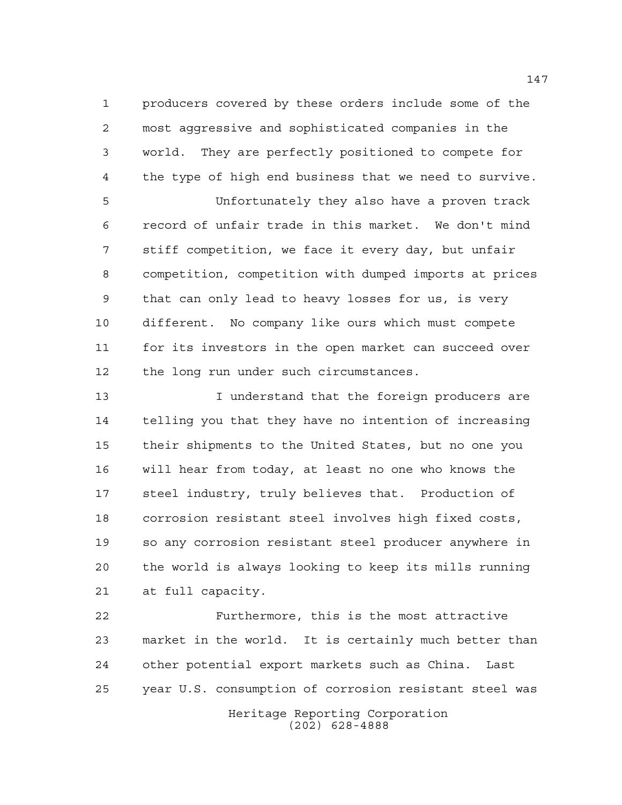producers covered by these orders include some of the most aggressive and sophisticated companies in the world. They are perfectly positioned to compete for the type of high end business that we need to survive.

 Unfortunately they also have a proven track record of unfair trade in this market. We don't mind stiff competition, we face it every day, but unfair competition, competition with dumped imports at prices that can only lead to heavy losses for us, is very different. No company like ours which must compete for its investors in the open market can succeed over 12 the long run under such circumstances.

13 13 I understand that the foreign producers are telling you that they have no intention of increasing their shipments to the United States, but no one you will hear from today, at least no one who knows the steel industry, truly believes that. Production of corrosion resistant steel involves high fixed costs, so any corrosion resistant steel producer anywhere in the world is always looking to keep its mills running at full capacity.

 Furthermore, this is the most attractive market in the world. It is certainly much better than other potential export markets such as China. Last year U.S. consumption of corrosion resistant steel was

Heritage Reporting Corporation (202) 628-4888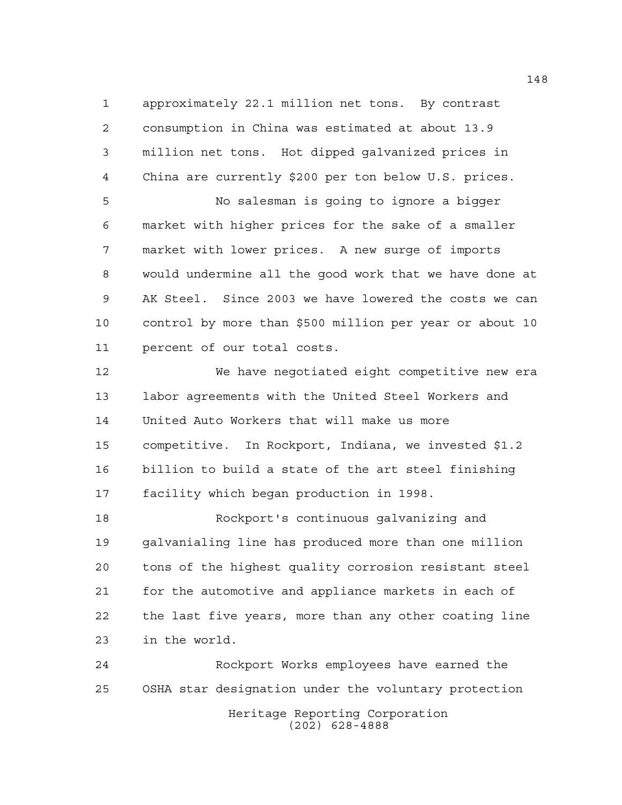approximately 22.1 million net tons. By contrast consumption in China was estimated at about 13.9 million net tons. Hot dipped galvanized prices in China are currently \$200 per ton below U.S. prices.

 No salesman is going to ignore a bigger market with higher prices for the sake of a smaller market with lower prices. A new surge of imports would undermine all the good work that we have done at AK Steel. Since 2003 we have lowered the costs we can control by more than \$500 million per year or about 10 percent of our total costs.

 We have negotiated eight competitive new era labor agreements with the United Steel Workers and United Auto Workers that will make us more competitive. In Rockport, Indiana, we invested \$1.2 billion to build a state of the art steel finishing facility which began production in 1998.

 Rockport's continuous galvanizing and galvanialing line has produced more than one million tons of the highest quality corrosion resistant steel for the automotive and appliance markets in each of the last five years, more than any other coating line in the world.

Heritage Reporting Corporation (202) 628-4888 Rockport Works employees have earned the OSHA star designation under the voluntary protection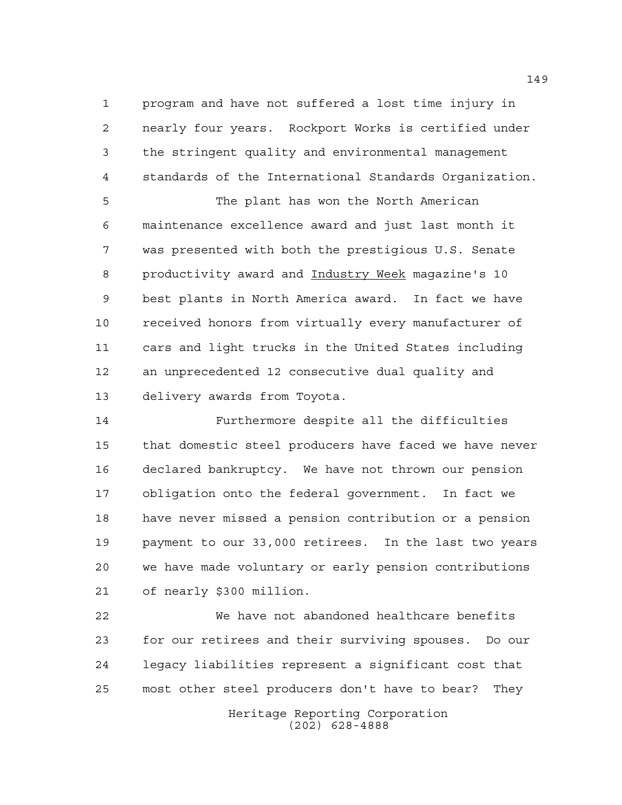program and have not suffered a lost time injury in nearly four years. Rockport Works is certified under the stringent quality and environmental management standards of the International Standards Organization.

5 The plant has won the North American maintenance excellence award and just last month it was presented with both the prestigious U.S. Senate productivity award and Industry Week magazine's 10 best plants in North America award. In fact we have received honors from virtually every manufacturer of cars and light trucks in the United States including an unprecedented 12 consecutive dual quality and delivery awards from Toyota.

 Furthermore despite all the difficulties that domestic steel producers have faced we have never declared bankruptcy. We have not thrown our pension obligation onto the federal government. In fact we have never missed a pension contribution or a pension payment to our 33,000 retirees. In the last two years we have made voluntary or early pension contributions of nearly \$300 million.

 We have not abandoned healthcare benefits for our retirees and their surviving spouses. Do our legacy liabilities represent a significant cost that most other steel producers don't have to bear? They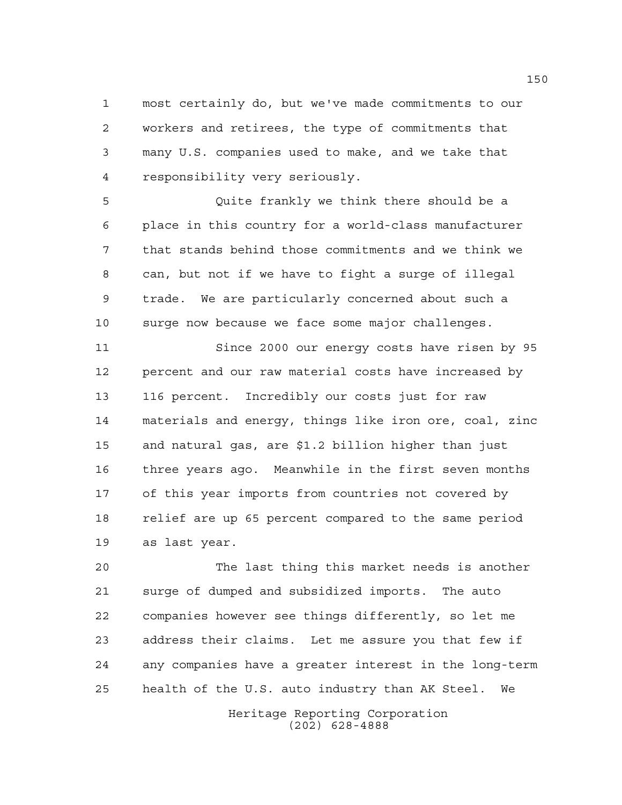most certainly do, but we've made commitments to our workers and retirees, the type of commitments that many U.S. companies used to make, and we take that responsibility very seriously.

 Quite frankly we think there should be a place in this country for a world-class manufacturer that stands behind those commitments and we think we can, but not if we have to fight a surge of illegal trade. We are particularly concerned about such a surge now because we face some major challenges.

 Since 2000 our energy costs have risen by 95 percent and our raw material costs have increased by 116 percent. Incredibly our costs just for raw materials and energy, things like iron ore, coal, zinc and natural gas, are \$1.2 billion higher than just three years ago. Meanwhile in the first seven months of this year imports from countries not covered by relief are up 65 percent compared to the same period as last year.

 The last thing this market needs is another surge of dumped and subsidized imports. The auto companies however see things differently, so let me address their claims. Let me assure you that few if any companies have a greater interest in the long-term health of the U.S. auto industry than AK Steel. We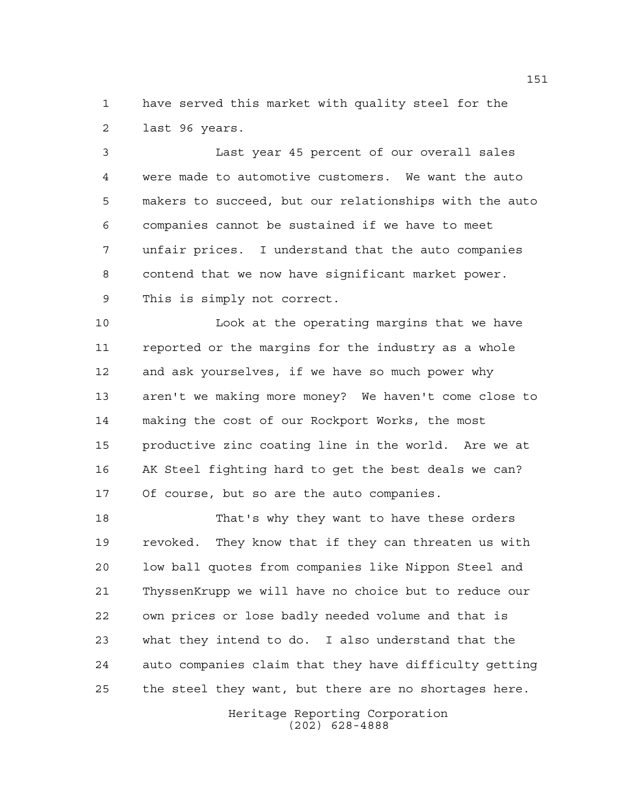have served this market with quality steel for the last 96 years.

 Last year 45 percent of our overall sales were made to automotive customers. We want the auto makers to succeed, but our relationships with the auto companies cannot be sustained if we have to meet unfair prices. I understand that the auto companies contend that we now have significant market power. This is simply not correct.

 Look at the operating margins that we have reported or the margins for the industry as a whole and ask yourselves, if we have so much power why aren't we making more money? We haven't come close to making the cost of our Rockport Works, the most productive zinc coating line in the world. Are we at AK Steel fighting hard to get the best deals we can? Of course, but so are the auto companies.

 That's why they want to have these orders revoked. They know that if they can threaten us with low ball quotes from companies like Nippon Steel and ThyssenKrupp we will have no choice but to reduce our own prices or lose badly needed volume and that is what they intend to do. I also understand that the auto companies claim that they have difficulty getting the steel they want, but there are no shortages here.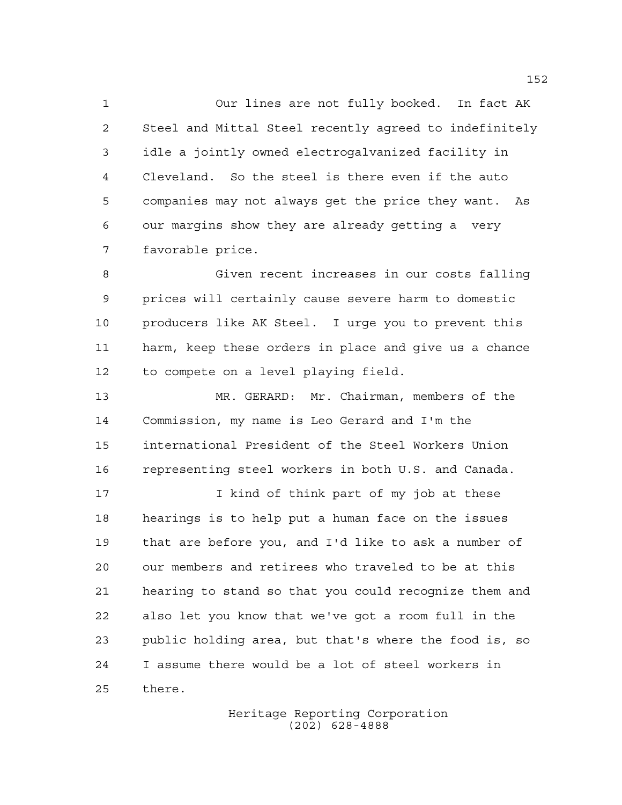Our lines are not fully booked. In fact AK Steel and Mittal Steel recently agreed to indefinitely idle a jointly owned electrogalvanized facility in Cleveland. So the steel is there even if the auto companies may not always get the price they want. As our margins show they are already getting a very favorable price.

 Given recent increases in our costs falling prices will certainly cause severe harm to domestic producers like AK Steel. I urge you to prevent this harm, keep these orders in place and give us a chance to compete on a level playing field.

 MR. GERARD: Mr. Chairman, members of the Commission, my name is Leo Gerard and I'm the international President of the Steel Workers Union representing steel workers in both U.S. and Canada.

 I kind of think part of my job at these hearings is to help put a human face on the issues that are before you, and I'd like to ask a number of our members and retirees who traveled to be at this hearing to stand so that you could recognize them and also let you know that we've got a room full in the public holding area, but that's where the food is, so I assume there would be a lot of steel workers in there.

> Heritage Reporting Corporation (202) 628-4888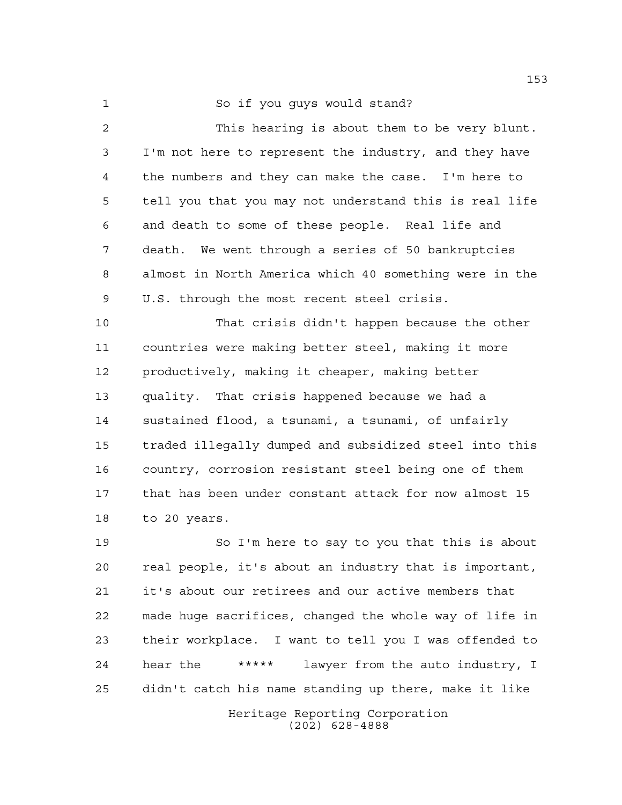So if you guys would stand?

 This hearing is about them to be very blunt. I'm not here to represent the industry, and they have the numbers and they can make the case. I'm here to tell you that you may not understand this is real life and death to some of these people. Real life and death. We went through a series of 50 bankruptcies almost in North America which 40 something were in the U.S. through the most recent steel crisis.

 That crisis didn't happen because the other countries were making better steel, making it more productively, making it cheaper, making better quality. That crisis happened because we had a sustained flood, a tsunami, a tsunami, of unfairly traded illegally dumped and subsidized steel into this country, corrosion resistant steel being one of them that has been under constant attack for now almost 15 to 20 years.

 So I'm here to say to you that this is about real people, it's about an industry that is important, it's about our retirees and our active members that made huge sacrifices, changed the whole way of life in their workplace. I want to tell you I was offended to hear the \*\*\*\*\* lawyer from the auto industry, I didn't catch his name standing up there, make it like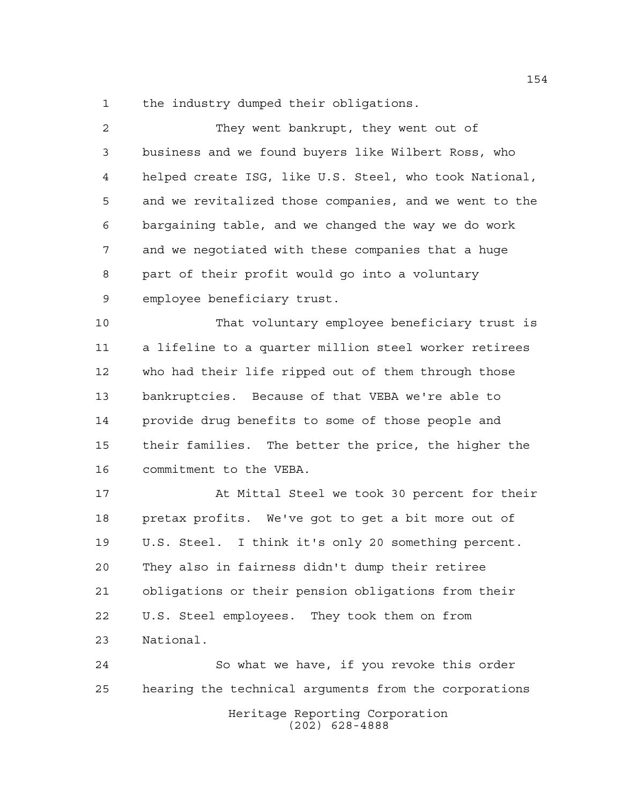the industry dumped their obligations.

| $\overline{a}$ | They went bankrupt, they went out of                   |
|----------------|--------------------------------------------------------|
| 3              | business and we found buyers like Wilbert Ross, who    |
| 4              | helped create ISG, like U.S. Steel, who took National, |
| 5              | and we revitalized those companies, and we went to the |
| 6              | bargaining table, and we changed the way we do work    |
| 7              | and we negotiated with these companies that a huge     |
| 8              | part of their profit would go into a voluntary         |
| 9              | employee beneficiary trust.                            |
| 10             | That voluntary employee beneficiary trust is           |
| 11             | a lifeline to a quarter million steel worker retirees  |
| 12             | who had their life ripped out of them through those    |
| 13             | bankruptcies. Because of that VEBA we're able to       |
| 14             | provide drug benefits to some of those people and      |
| 15             | their families. The better the price, the higher the   |
| 16             | commitment to the VEBA.                                |
| 17             | At Mittal Steel we took 30 percent for their           |
| 18             | pretax profits. We've got to get a bit more out of     |
| 19             | U.S. Steel. I think it's only 20 something percent.    |
| 20             | They also in fairness didn't dump their retiree        |
| 21             | obligations or their pension obligations from their    |
| 22             | U.S. Steel employees. They took them on from           |
| 23             | National.                                              |
| 24             | So what we have, if you revoke this order              |
| 25             | hearing the technical arguments from the corporations  |

Heritage Reporting Corporation (202) 628-4888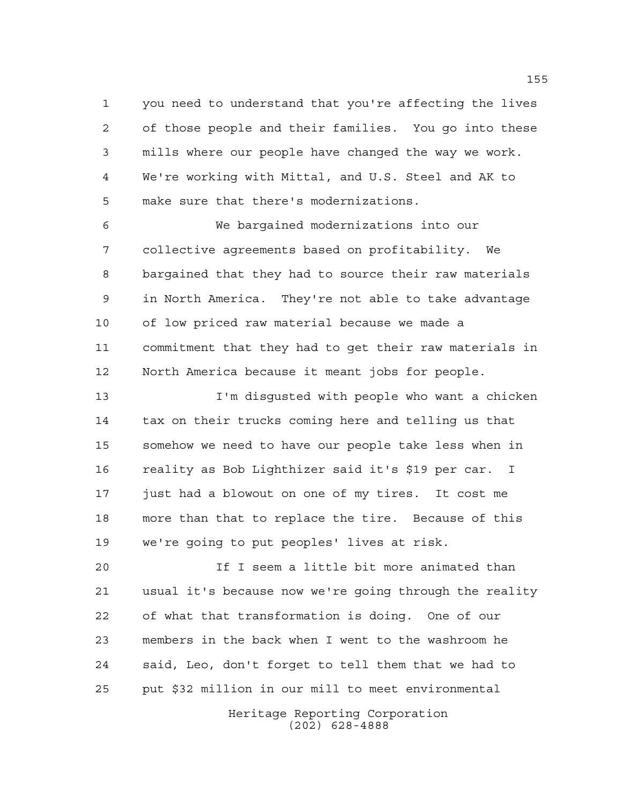you need to understand that you're affecting the lives of those people and their families. You go into these mills where our people have changed the way we work. We're working with Mittal, and U.S. Steel and AK to make sure that there's modernizations.

 We bargained modernizations into our collective agreements based on profitability. We bargained that they had to source their raw materials in North America. They're not able to take advantage of low priced raw material because we made a commitment that they had to get their raw materials in North America because it meant jobs for people.

 I'm disgusted with people who want a chicken tax on their trucks coming here and telling us that somehow we need to have our people take less when in reality as Bob Lighthizer said it's \$19 per car. I just had a blowout on one of my tires. It cost me more than that to replace the tire. Because of this we're going to put peoples' lives at risk.

 If I seem a little bit more animated than usual it's because now we're going through the reality of what that transformation is doing. One of our members in the back when I went to the washroom he said, Leo, don't forget to tell them that we had to put \$32 million in our mill to meet environmental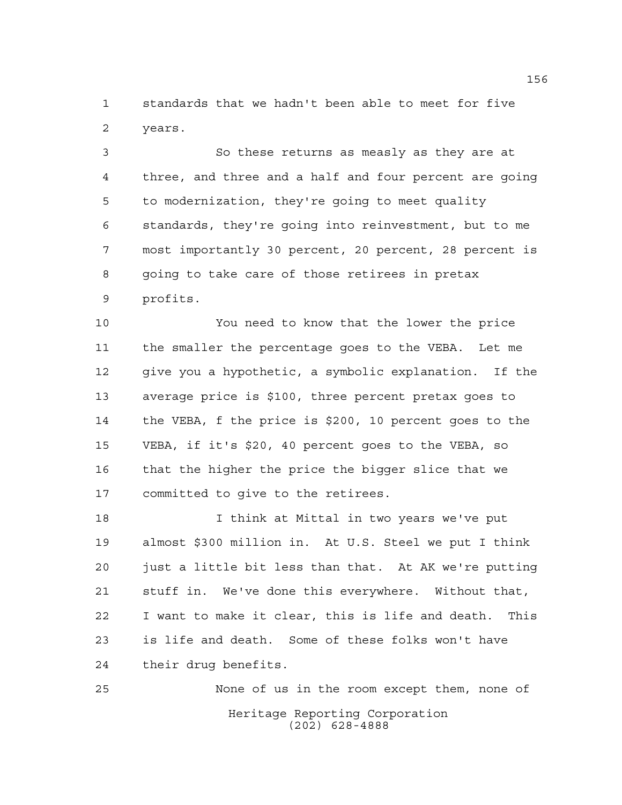standards that we hadn't been able to meet for five years.

 So these returns as measly as they are at three, and three and a half and four percent are going to modernization, they're going to meet quality standards, they're going into reinvestment, but to me most importantly 30 percent, 20 percent, 28 percent is 8 going to take care of those retirees in pretax profits.

 You need to know that the lower the price the smaller the percentage goes to the VEBA. Let me give you a hypothetic, a symbolic explanation. If the average price is \$100, three percent pretax goes to the VEBA, f the price is \$200, 10 percent goes to the VEBA, if it's \$20, 40 percent goes to the VEBA, so that the higher the price the bigger slice that we committed to give to the retirees.

 I think at Mittal in two years we've put almost \$300 million in. At U.S. Steel we put I think just a little bit less than that. At AK we're putting stuff in. We've done this everywhere. Without that, I want to make it clear, this is life and death. This is life and death. Some of these folks won't have their drug benefits.

Heritage Reporting Corporation (202) 628-4888 None of us in the room except them, none of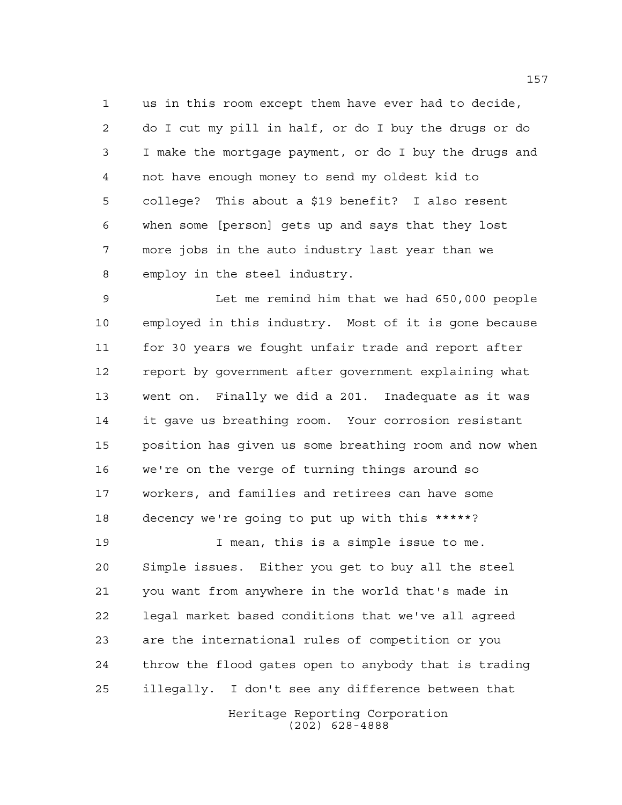us in this room except them have ever had to decide, do I cut my pill in half, or do I buy the drugs or do I make the mortgage payment, or do I buy the drugs and not have enough money to send my oldest kid to college? This about a \$19 benefit? I also resent when some [person] gets up and says that they lost more jobs in the auto industry last year than we employ in the steel industry.

 Let me remind him that we had 650,000 people employed in this industry. Most of it is gone because for 30 years we fought unfair trade and report after report by government after government explaining what went on. Finally we did a 201. Inadequate as it was it gave us breathing room. Your corrosion resistant position has given us some breathing room and now when we're on the verge of turning things around so workers, and families and retirees can have some decency we're going to put up with this \*\*\*\*\*?

 I mean, this is a simple issue to me. Simple issues. Either you get to buy all the steel you want from anywhere in the world that's made in legal market based conditions that we've all agreed are the international rules of competition or you throw the flood gates open to anybody that is trading illegally. I don't see any difference between that

> Heritage Reporting Corporation (202) 628-4888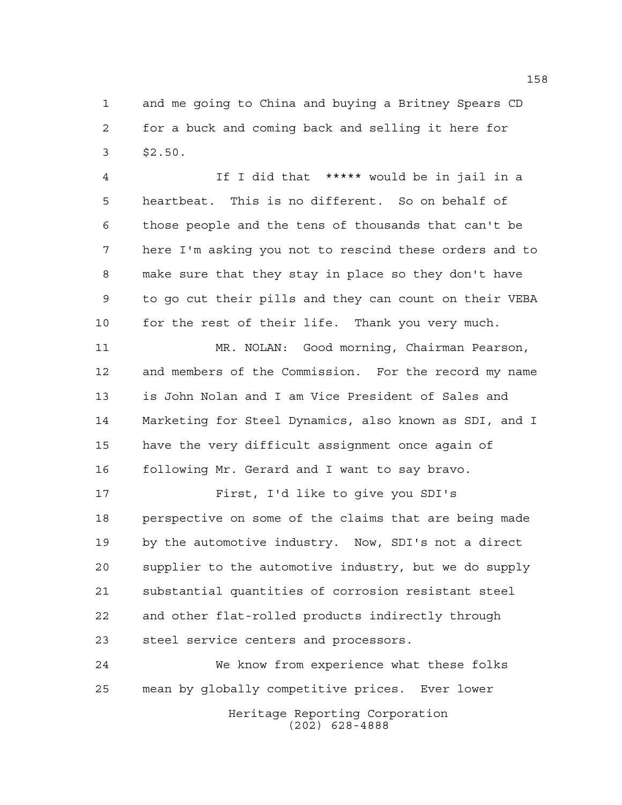and me going to China and buying a Britney Spears CD for a buck and coming back and selling it here for \$2.50.

 If I did that \*\*\*\*\* would be in jail in a heartbeat. This is no different. So on behalf of those people and the tens of thousands that can't be here I'm asking you not to rescind these orders and to make sure that they stay in place so they don't have to go cut their pills and they can count on their VEBA for the rest of their life. Thank you very much.

 MR. NOLAN: Good morning, Chairman Pearson, and members of the Commission. For the record my name is John Nolan and I am Vice President of Sales and Marketing for Steel Dynamics, also known as SDI, and I have the very difficult assignment once again of following Mr. Gerard and I want to say bravo.

 First, I'd like to give you SDI's perspective on some of the claims that are being made by the automotive industry. Now, SDI's not a direct supplier to the automotive industry, but we do supply substantial quantities of corrosion resistant steel and other flat-rolled products indirectly through steel service centers and processors.

Heritage Reporting Corporation (202) 628-4888 We know from experience what these folks mean by globally competitive prices. Ever lower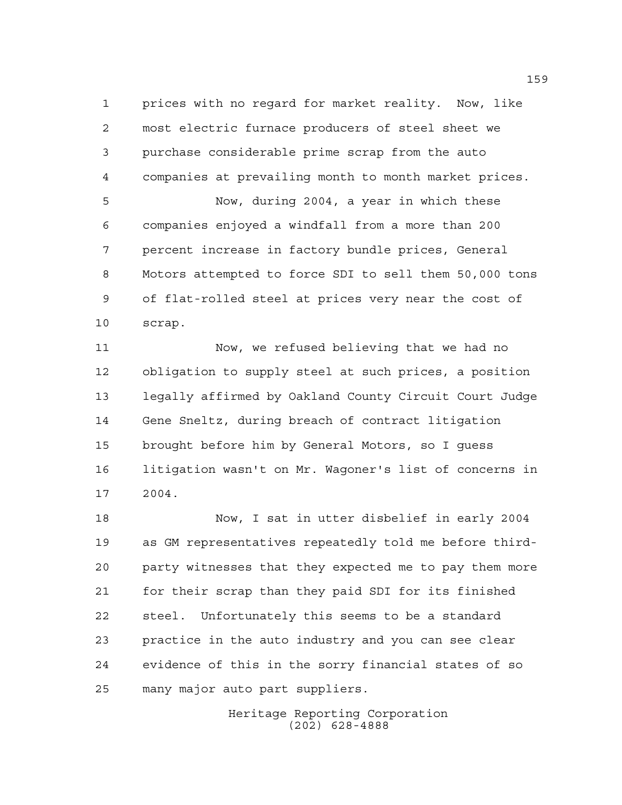prices with no regard for market reality. Now, like most electric furnace producers of steel sheet we purchase considerable prime scrap from the auto companies at prevailing month to month market prices. Now, during 2004, a year in which these companies enjoyed a windfall from a more than 200 percent increase in factory bundle prices, General

 Motors attempted to force SDI to sell them 50,000 tons of flat-rolled steel at prices very near the cost of scrap.

 Now, we refused believing that we had no obligation to supply steel at such prices, a position legally affirmed by Oakland County Circuit Court Judge Gene Sneltz, during breach of contract litigation brought before him by General Motors, so I guess litigation wasn't on Mr. Wagoner's list of concerns in 2004.

 Now, I sat in utter disbelief in early 2004 as GM representatives repeatedly told me before third- party witnesses that they expected me to pay them more for their scrap than they paid SDI for its finished steel. Unfortunately this seems to be a standard practice in the auto industry and you can see clear evidence of this in the sorry financial states of so many major auto part suppliers.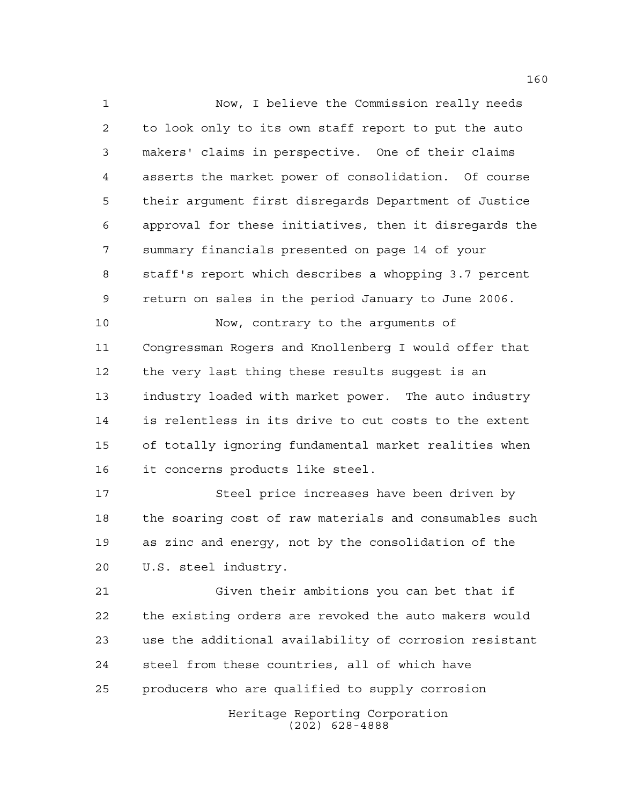Now, I believe the Commission really needs to look only to its own staff report to put the auto makers' claims in perspective. One of their claims asserts the market power of consolidation. Of course their argument first disregards Department of Justice approval for these initiatives, then it disregards the summary financials presented on page 14 of your staff's report which describes a whopping 3.7 percent return on sales in the period January to June 2006. Now, contrary to the arguments of Congressman Rogers and Knollenberg I would offer that the very last thing these results suggest is an

 industry loaded with market power. The auto industry is relentless in its drive to cut costs to the extent of totally ignoring fundamental market realities when it concerns products like steel.

 Steel price increases have been driven by the soaring cost of raw materials and consumables such as zinc and energy, not by the consolidation of the U.S. steel industry.

 Given their ambitions you can bet that if the existing orders are revoked the auto makers would use the additional availability of corrosion resistant steel from these countries, all of which have producers who are qualified to supply corrosion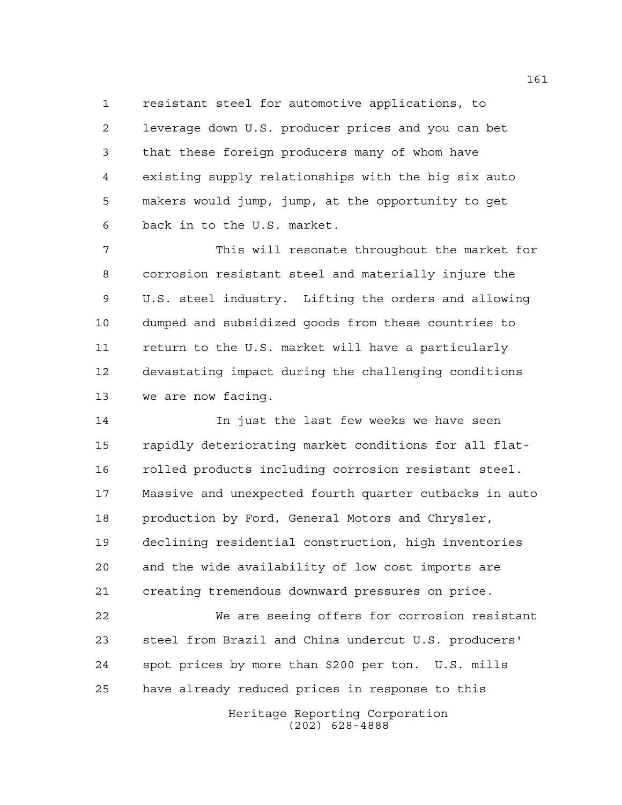resistant steel for automotive applications, to leverage down U.S. producer prices and you can bet that these foreign producers many of whom have existing supply relationships with the big six auto makers would jump, jump, at the opportunity to get back in to the U.S. market.

 This will resonate throughout the market for corrosion resistant steel and materially injure the U.S. steel industry. Lifting the orders and allowing dumped and subsidized goods from these countries to return to the U.S. market will have a particularly devastating impact during the challenging conditions we are now facing.

 In just the last few weeks we have seen rapidly deteriorating market conditions for all flat- rolled products including corrosion resistant steel. Massive and unexpected fourth quarter cutbacks in auto production by Ford, General Motors and Chrysler, declining residential construction, high inventories and the wide availability of low cost imports are creating tremendous downward pressures on price.

 We are seeing offers for corrosion resistant steel from Brazil and China undercut U.S. producers' spot prices by more than \$200 per ton. U.S. mills have already reduced prices in response to this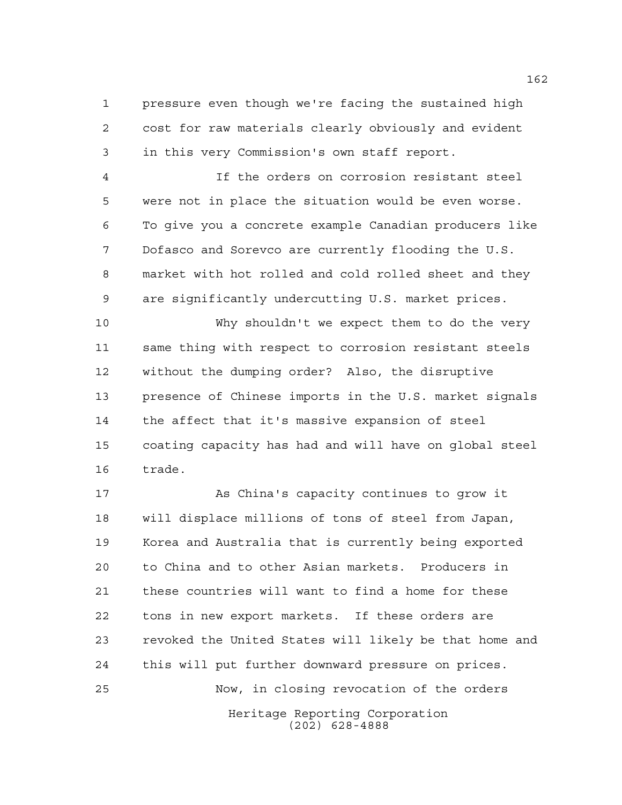pressure even though we're facing the sustained high cost for raw materials clearly obviously and evident in this very Commission's own staff report.

 If the orders on corrosion resistant steel were not in place the situation would be even worse. To give you a concrete example Canadian producers like Dofasco and Sorevco are currently flooding the U.S. market with hot rolled and cold rolled sheet and they are significantly undercutting U.S. market prices.

 Why shouldn't we expect them to do the very same thing with respect to corrosion resistant steels without the dumping order? Also, the disruptive presence of Chinese imports in the U.S. market signals the affect that it's massive expansion of steel coating capacity has had and will have on global steel trade.

Heritage Reporting Corporation (202) 628-4888 As China's capacity continues to grow it will displace millions of tons of steel from Japan, Korea and Australia that is currently being exported to China and to other Asian markets. Producers in these countries will want to find a home for these tons in new export markets. If these orders are revoked the United States will likely be that home and this will put further downward pressure on prices. Now, in closing revocation of the orders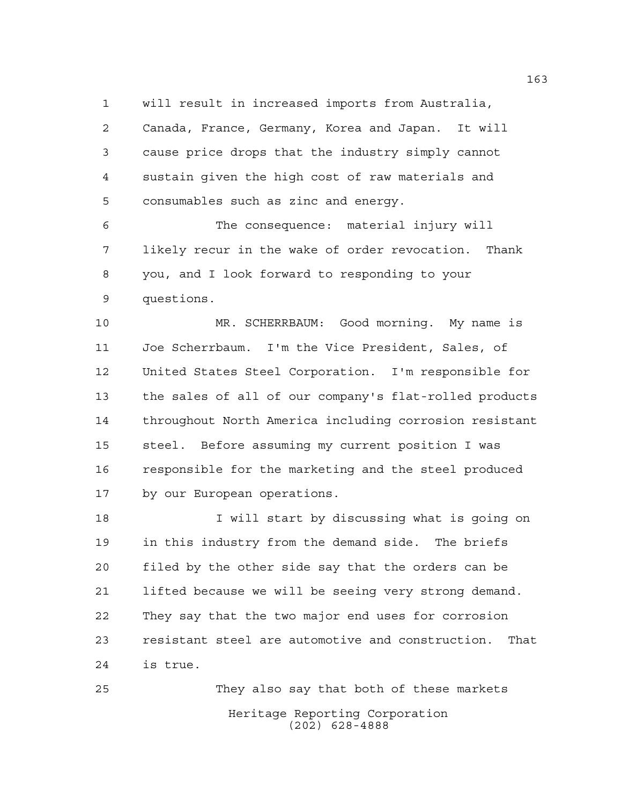will result in increased imports from Australia,

 Canada, France, Germany, Korea and Japan. It will cause price drops that the industry simply cannot sustain given the high cost of raw materials and consumables such as zinc and energy.

 The consequence: material injury will likely recur in the wake of order revocation. Thank you, and I look forward to responding to your questions.

 MR. SCHERRBAUM: Good morning. My name is Joe Scherrbaum. I'm the Vice President, Sales, of United States Steel Corporation. I'm responsible for the sales of all of our company's flat-rolled products throughout North America including corrosion resistant steel. Before assuming my current position I was responsible for the marketing and the steel produced by our European operations.

 I will start by discussing what is going on in this industry from the demand side. The briefs filed by the other side say that the orders can be lifted because we will be seeing very strong demand. They say that the two major end uses for corrosion resistant steel are automotive and construction. That is true.

Heritage Reporting Corporation (202) 628-4888 They also say that both of these markets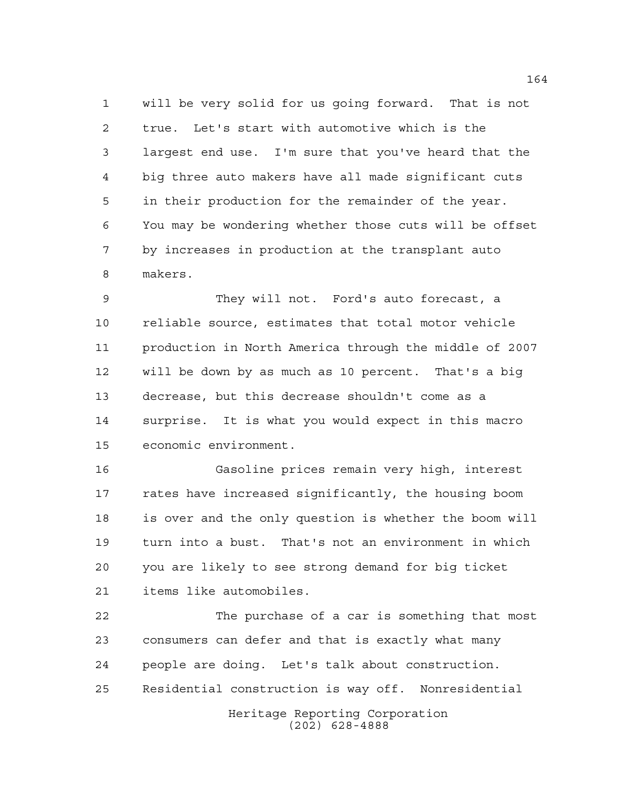will be very solid for us going forward. That is not true. Let's start with automotive which is the largest end use. I'm sure that you've heard that the big three auto makers have all made significant cuts in their production for the remainder of the year. You may be wondering whether those cuts will be offset by increases in production at the transplant auto makers.

 They will not. Ford's auto forecast, a reliable source, estimates that total motor vehicle production in North America through the middle of 2007 will be down by as much as 10 percent. That's a big decrease, but this decrease shouldn't come as a surprise. It is what you would expect in this macro economic environment.

 Gasoline prices remain very high, interest rates have increased significantly, the housing boom is over and the only question is whether the boom will turn into a bust. That's not an environment in which you are likely to see strong demand for big ticket items like automobiles.

 The purchase of a car is something that most consumers can defer and that is exactly what many people are doing. Let's talk about construction. Residential construction is way off. Nonresidential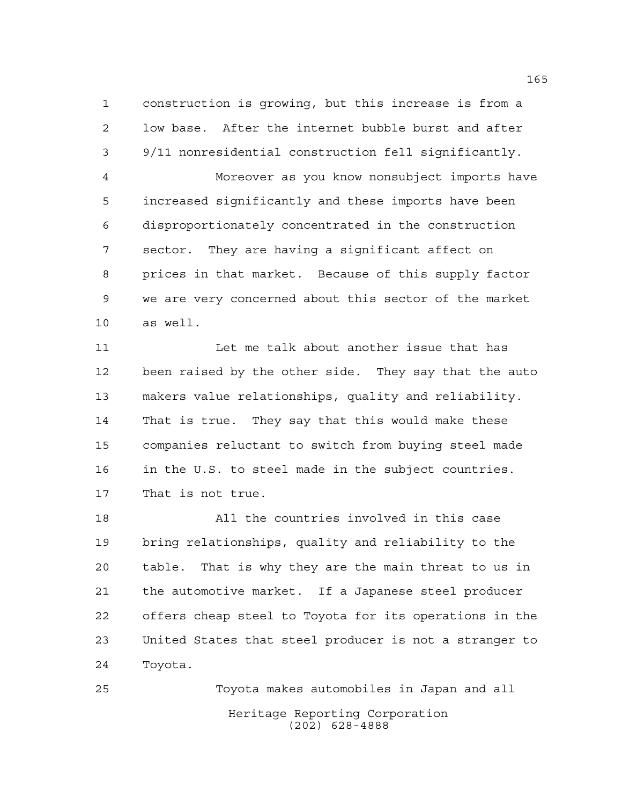construction is growing, but this increase is from a low base. After the internet bubble burst and after 9/11 nonresidential construction fell significantly.

 Moreover as you know nonsubject imports have increased significantly and these imports have been disproportionately concentrated in the construction sector. They are having a significant affect on prices in that market. Because of this supply factor we are very concerned about this sector of the market as well.

 Let me talk about another issue that has been raised by the other side. They say that the auto makers value relationships, quality and reliability. That is true. They say that this would make these companies reluctant to switch from buying steel made in the U.S. to steel made in the subject countries. That is not true.

 All the countries involved in this case bring relationships, quality and reliability to the table. That is why they are the main threat to us in the automotive market. If a Japanese steel producer offers cheap steel to Toyota for its operations in the United States that steel producer is not a stranger to Toyota.

Heritage Reporting Corporation (202) 628-4888 Toyota makes automobiles in Japan and all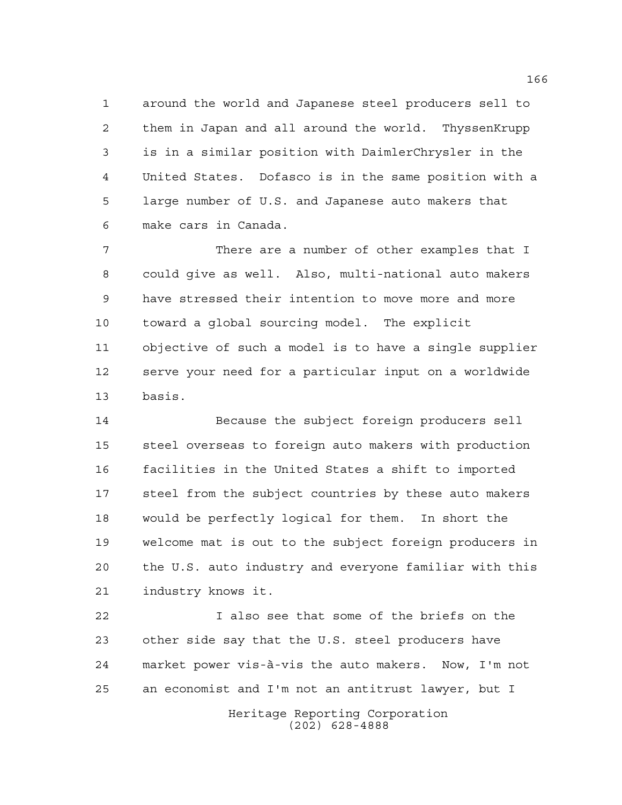around the world and Japanese steel producers sell to them in Japan and all around the world. ThyssenKrupp is in a similar position with DaimlerChrysler in the United States. Dofasco is in the same position with a large number of U.S. and Japanese auto makers that make cars in Canada.

 There are a number of other examples that I could give as well. Also, multi-national auto makers have stressed their intention to move more and more toward a global sourcing model. The explicit objective of such a model is to have a single supplier serve your need for a particular input on a worldwide basis.

 Because the subject foreign producers sell steel overseas to foreign auto makers with production facilities in the United States a shift to imported steel from the subject countries by these auto makers would be perfectly logical for them. In short the welcome mat is out to the subject foreign producers in the U.S. auto industry and everyone familiar with this industry knows it.

 I also see that some of the briefs on the other side say that the U.S. steel producers have market power vis-à-vis the auto makers. Now, I'm not an economist and I'm not an antitrust lawyer, but I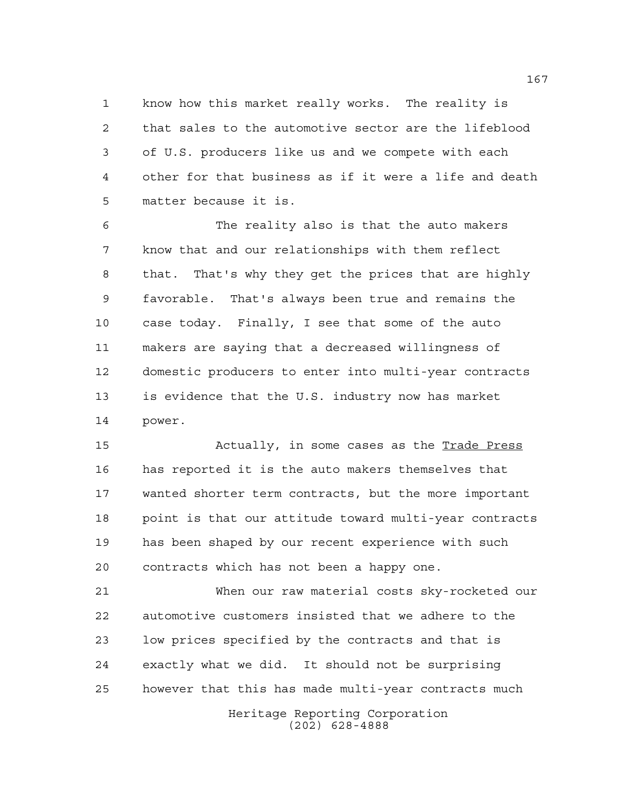know how this market really works. The reality is that sales to the automotive sector are the lifeblood of U.S. producers like us and we compete with each other for that business as if it were a life and death matter because it is.

 The reality also is that the auto makers know that and our relationships with them reflect that. That's why they get the prices that are highly favorable. That's always been true and remains the case today. Finally, I see that some of the auto makers are saying that a decreased willingness of domestic producers to enter into multi-year contracts is evidence that the U.S. industry now has market power.

 Actually, in some cases as the Trade Press has reported it is the auto makers themselves that wanted shorter term contracts, but the more important point is that our attitude toward multi-year contracts has been shaped by our recent experience with such contracts which has not been a happy one.

 When our raw material costs sky-rocketed our automotive customers insisted that we adhere to the low prices specified by the contracts and that is exactly what we did. It should not be surprising however that this has made multi-year contracts much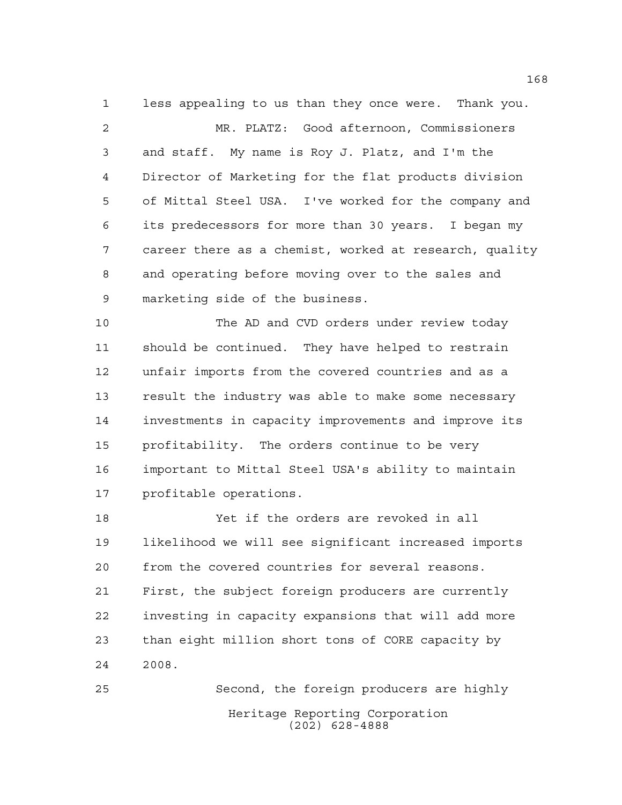less appealing to us than they once were. Thank you.

 MR. PLATZ: Good afternoon, Commissioners and staff. My name is Roy J. Platz, and I'm the Director of Marketing for the flat products division of Mittal Steel USA. I've worked for the company and its predecessors for more than 30 years. I began my career there as a chemist, worked at research, quality and operating before moving over to the sales and marketing side of the business.

 The AD and CVD orders under review today should be continued. They have helped to restrain unfair imports from the covered countries and as a result the industry was able to make some necessary investments in capacity improvements and improve its profitability. The orders continue to be very important to Mittal Steel USA's ability to maintain profitable operations.

 Yet if the orders are revoked in all likelihood we will see significant increased imports from the covered countries for several reasons. First, the subject foreign producers are currently investing in capacity expansions that will add more than eight million short tons of CORE capacity by 2008.

Heritage Reporting Corporation (202) 628-4888 Second, the foreign producers are highly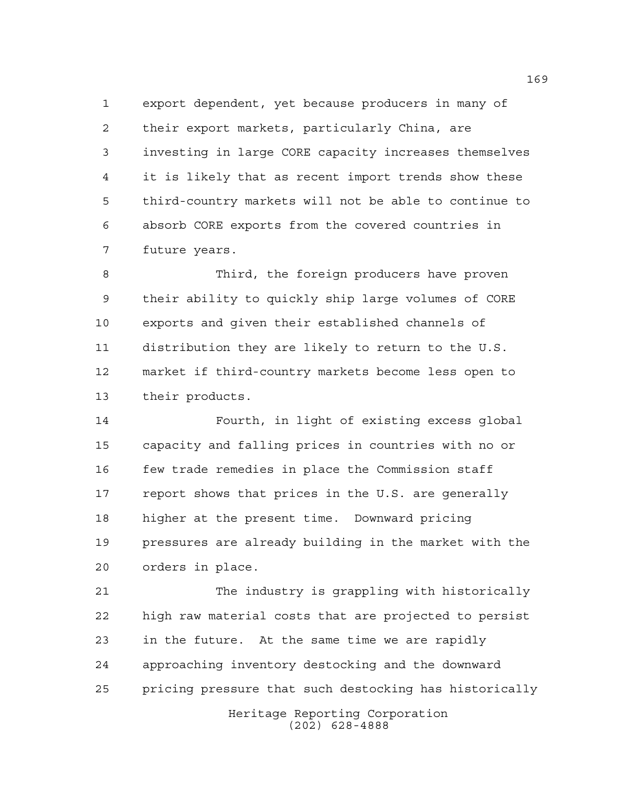export dependent, yet because producers in many of their export markets, particularly China, are investing in large CORE capacity increases themselves it is likely that as recent import trends show these third-country markets will not be able to continue to absorb CORE exports from the covered countries in future years.

 Third, the foreign producers have proven their ability to quickly ship large volumes of CORE exports and given their established channels of distribution they are likely to return to the U.S. market if third-country markets become less open to their products.

 Fourth, in light of existing excess global capacity and falling prices in countries with no or few trade remedies in place the Commission staff report shows that prices in the U.S. are generally higher at the present time. Downward pricing pressures are already building in the market with the orders in place.

 The industry is grappling with historically high raw material costs that are projected to persist in the future. At the same time we are rapidly approaching inventory destocking and the downward pricing pressure that such destocking has historically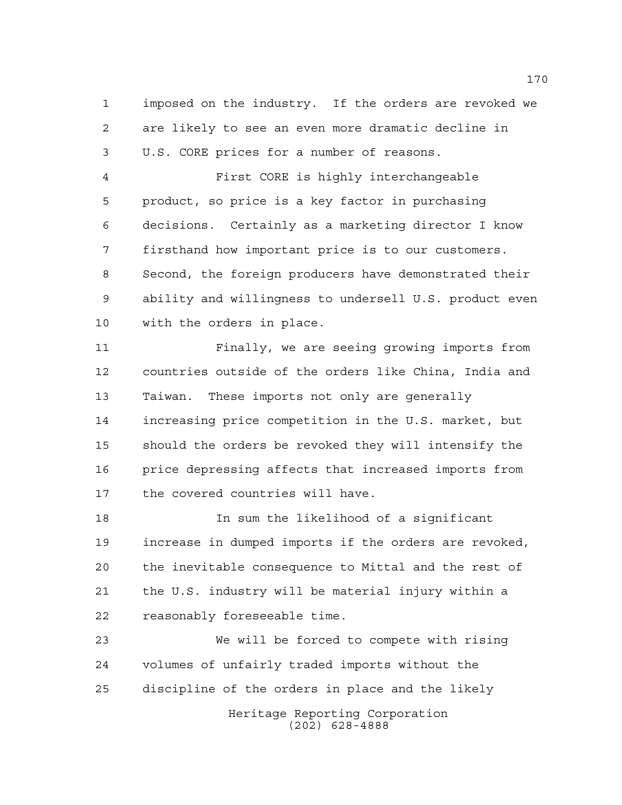imposed on the industry. If the orders are revoked we are likely to see an even more dramatic decline in U.S. CORE prices for a number of reasons.

 First CORE is highly interchangeable product, so price is a key factor in purchasing decisions. Certainly as a marketing director I know firsthand how important price is to our customers. Second, the foreign producers have demonstrated their ability and willingness to undersell U.S. product even with the orders in place.

 Finally, we are seeing growing imports from countries outside of the orders like China, India and Taiwan. These imports not only are generally increasing price competition in the U.S. market, but should the orders be revoked they will intensify the price depressing affects that increased imports from the covered countries will have.

 In sum the likelihood of a significant increase in dumped imports if the orders are revoked, the inevitable consequence to Mittal and the rest of the U.S. industry will be material injury within a reasonably foreseeable time.

Heritage Reporting Corporation We will be forced to compete with rising volumes of unfairly traded imports without the discipline of the orders in place and the likely

(202) 628-4888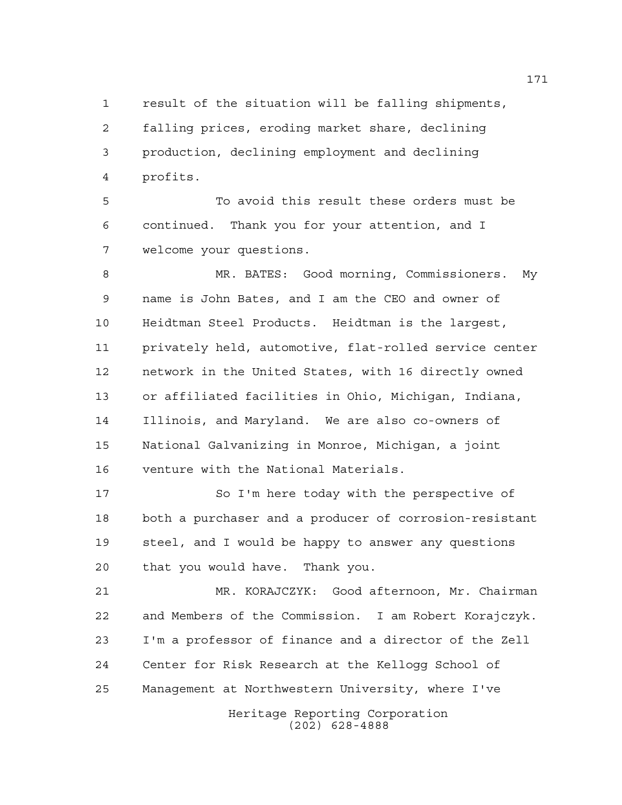result of the situation will be falling shipments, falling prices, eroding market share, declining production, declining employment and declining profits.

 To avoid this result these orders must be continued. Thank you for your attention, and I welcome your questions.

 MR. BATES: Good morning, Commissioners. My name is John Bates, and I am the CEO and owner of Heidtman Steel Products. Heidtman is the largest, privately held, automotive, flat-rolled service center network in the United States, with 16 directly owned or affiliated facilities in Ohio, Michigan, Indiana, Illinois, and Maryland. We are also co-owners of National Galvanizing in Monroe, Michigan, a joint venture with the National Materials.

 So I'm here today with the perspective of both a purchaser and a producer of corrosion-resistant steel, and I would be happy to answer any questions that you would have. Thank you.

 MR. KORAJCZYK: Good afternoon, Mr. Chairman and Members of the Commission. I am Robert Korajczyk. I'm a professor of finance and a director of the Zell Center for Risk Research at the Kellogg School of Management at Northwestern University, where I've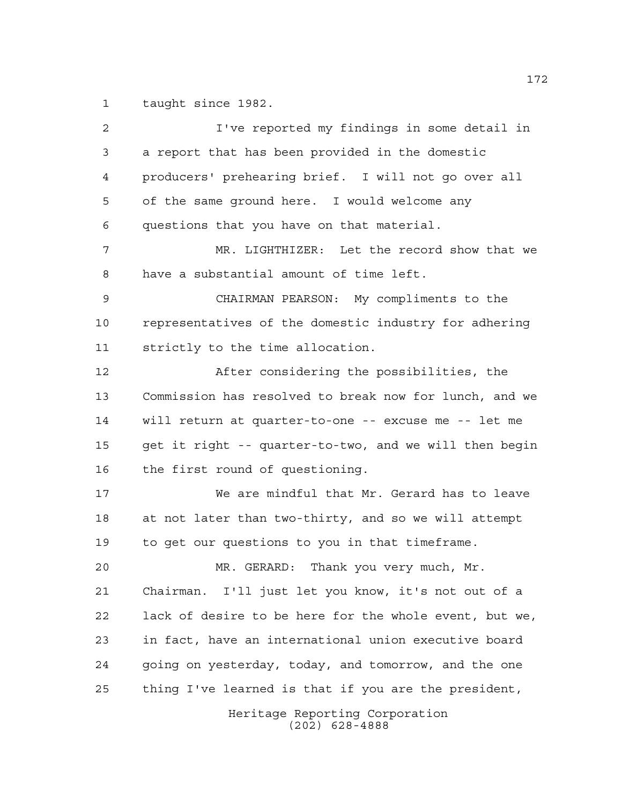taught since 1982.

Heritage Reporting Corporation (202) 628-4888 I've reported my findings in some detail in a report that has been provided in the domestic producers' prehearing brief. I will not go over all of the same ground here. I would welcome any questions that you have on that material. MR. LIGHTHIZER: Let the record show that we have a substantial amount of time left. CHAIRMAN PEARSON: My compliments to the representatives of the domestic industry for adhering strictly to the time allocation. After considering the possibilities, the Commission has resolved to break now for lunch, and we will return at quarter-to-one -- excuse me -- let me get it right -- quarter-to-two, and we will then begin the first round of questioning. We are mindful that Mr. Gerard has to leave at not later than two-thirty, and so we will attempt to get our questions to you in that timeframe. MR. GERARD: Thank you very much, Mr. Chairman. I'll just let you know, it's not out of a lack of desire to be here for the whole event, but we, in fact, have an international union executive board going on yesterday, today, and tomorrow, and the one thing I've learned is that if you are the president,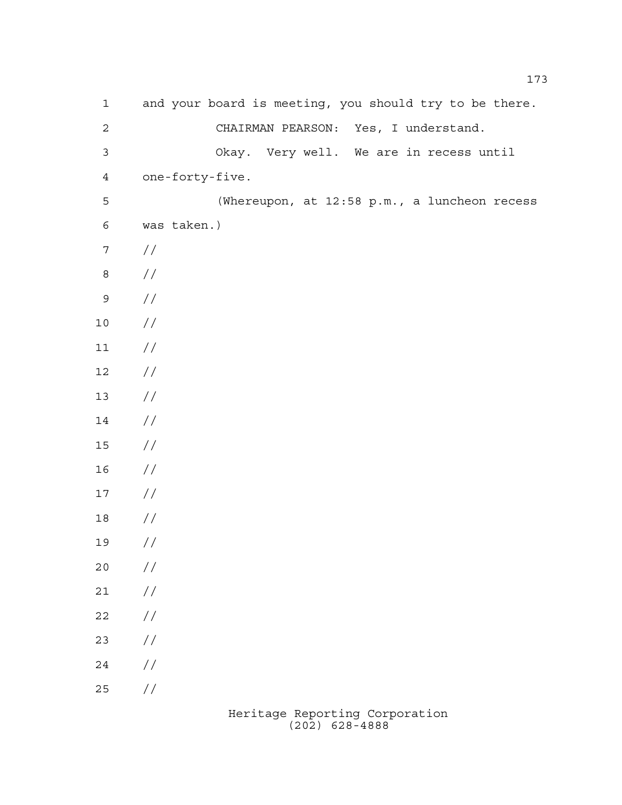| $\mathbf 1$      | and your board is meeting, you should try to be there. |
|------------------|--------------------------------------------------------|
| $\mathbf{2}$     | CHAIRMAN PEARSON: Yes, I understand.                   |
| $\mathfrak{Z}$   | Okay. Very well. We are in recess until                |
| $\overline{4}$   | one-forty-five.                                        |
| 5                | (Whereupon, at 12:58 p.m., a luncheon recess           |
| $\epsilon$       | was taken.)                                            |
| $\boldsymbol{7}$ | $\frac{1}{2}$                                          |
| $\,8\,$          | $\frac{1}{2}$                                          |
| $\mathsf 9$      | //                                                     |
| $10$             | //                                                     |
| 11               | //                                                     |
| 12               | //                                                     |
| 13               | //                                                     |
| 14               | //                                                     |
| 15               | //                                                     |
| 16               | //                                                     |
| 17               | //                                                     |
| 18               | //                                                     |
| 19               | //                                                     |
| 20               | //                                                     |
| $2\,1$           | $\frac{1}{2}$                                          |
| 22               | $\frac{1}{2}$                                          |
| 23               | $\frac{1}{2}$                                          |
| $2\sqrt{4}$      | $\frac{1}{2}$                                          |
| 25               | //                                                     |
|                  |                                                        |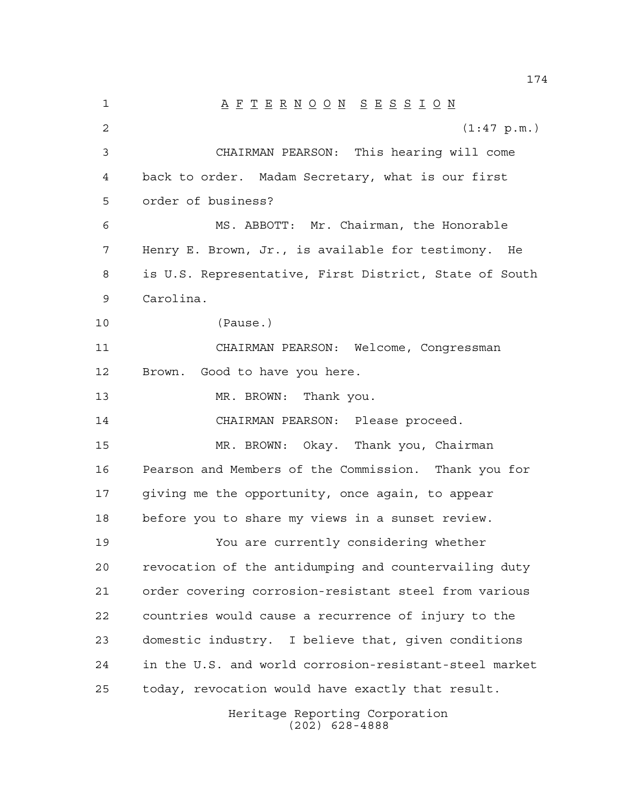Heritage Reporting Corporation A F T E R N O O N S E S S I O N  $(1:47 \text{ p.m.})$  CHAIRMAN PEARSON: This hearing will come back to order. Madam Secretary, what is our first order of business? MS. ABBOTT: Mr. Chairman, the Honorable Henry E. Brown, Jr., is available for testimony. He is U.S. Representative, First District, State of South Carolina. (Pause.) CHAIRMAN PEARSON: Welcome, Congressman Brown. Good to have you here. 13 MR. BROWN: Thank you. CHAIRMAN PEARSON: Please proceed. MR. BROWN: Okay. Thank you, Chairman Pearson and Members of the Commission. Thank you for giving me the opportunity, once again, to appear before you to share my views in a sunset review. You are currently considering whether revocation of the antidumping and countervailing duty order covering corrosion-resistant steel from various countries would cause a recurrence of injury to the domestic industry. I believe that, given conditions in the U.S. and world corrosion-resistant-steel market today, revocation would have exactly that result.

(202) 628-4888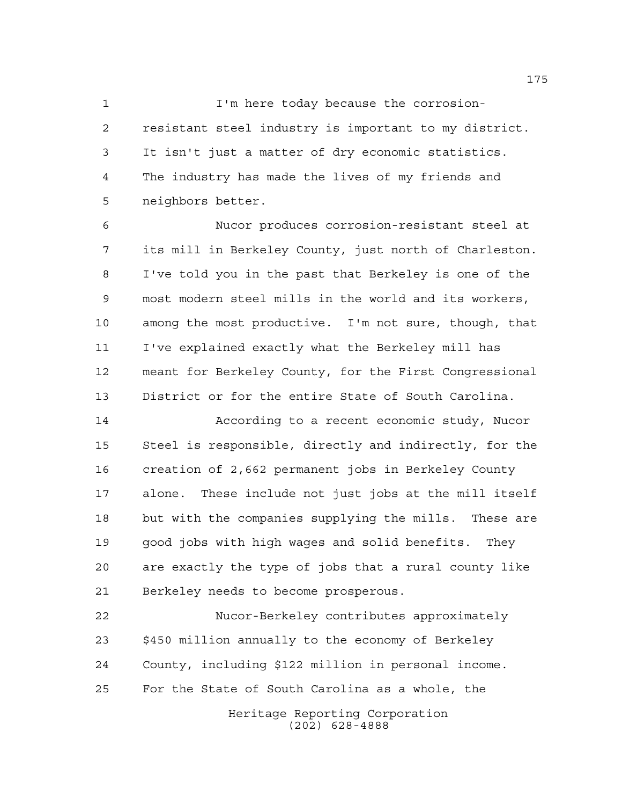I'm here today because the corrosion- resistant steel industry is important to my district. It isn't just a matter of dry economic statistics. The industry has made the lives of my friends and neighbors better.

 Nucor produces corrosion-resistant steel at its mill in Berkeley County, just north of Charleston. I've told you in the past that Berkeley is one of the most modern steel mills in the world and its workers, among the most productive. I'm not sure, though, that I've explained exactly what the Berkeley mill has meant for Berkeley County, for the First Congressional District or for the entire State of South Carolina.

 According to a recent economic study, Nucor Steel is responsible, directly and indirectly, for the creation of 2,662 permanent jobs in Berkeley County alone. These include not just jobs at the mill itself but with the companies supplying the mills. These are good jobs with high wages and solid benefits. They are exactly the type of jobs that a rural county like Berkeley needs to become prosperous.

 Nucor-Berkeley contributes approximately \$450 million annually to the economy of Berkeley County, including \$122 million in personal income. For the State of South Carolina as a whole, the

Heritage Reporting Corporation (202) 628-4888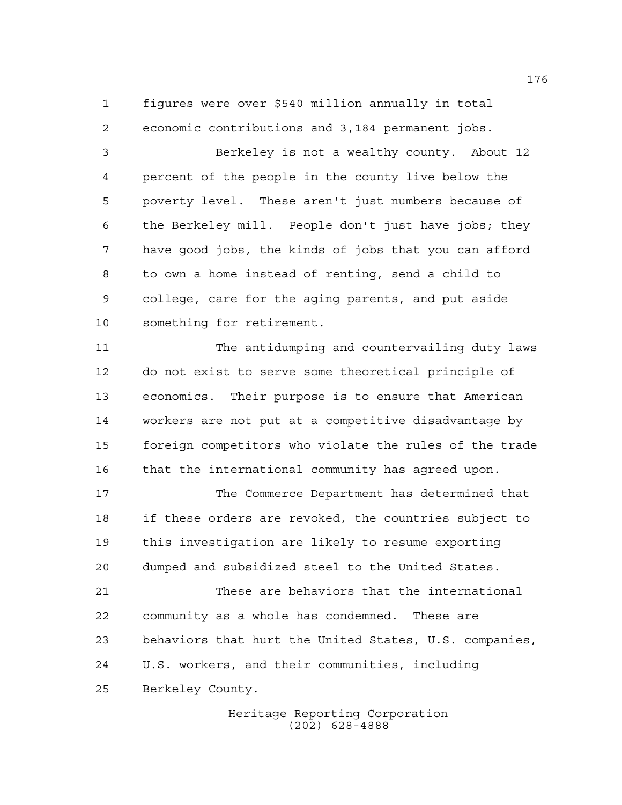figures were over \$540 million annually in total economic contributions and 3,184 permanent jobs.

 Berkeley is not a wealthy county. About 12 percent of the people in the county live below the poverty level. These aren't just numbers because of the Berkeley mill. People don't just have jobs; they have good jobs, the kinds of jobs that you can afford to own a home instead of renting, send a child to college, care for the aging parents, and put aside something for retirement.

 The antidumping and countervailing duty laws do not exist to serve some theoretical principle of economics. Their purpose is to ensure that American workers are not put at a competitive disadvantage by foreign competitors who violate the rules of the trade that the international community has agreed upon.

 The Commerce Department has determined that if these orders are revoked, the countries subject to this investigation are likely to resume exporting dumped and subsidized steel to the United States.

 These are behaviors that the international community as a whole has condemned. These are behaviors that hurt the United States, U.S. companies, U.S. workers, and their communities, including Berkeley County.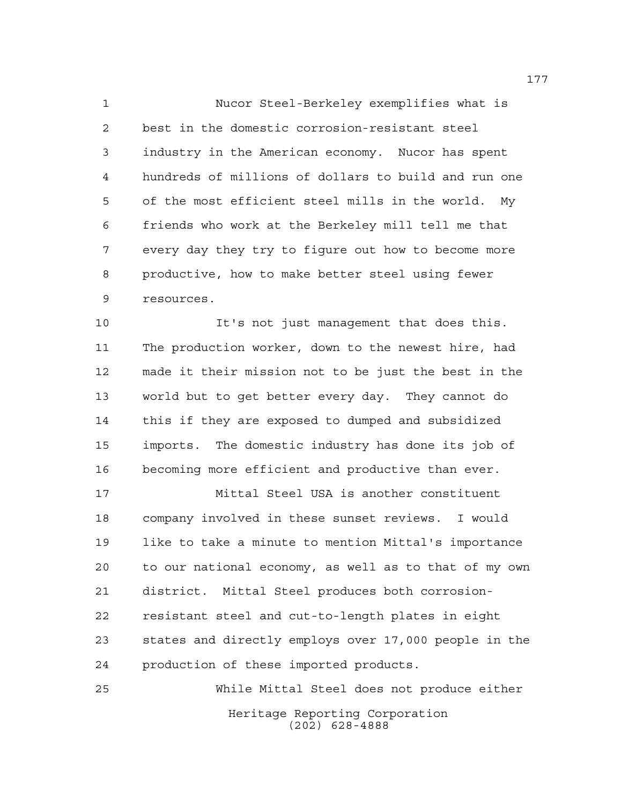Nucor Steel-Berkeley exemplifies what is best in the domestic corrosion-resistant steel industry in the American economy. Nucor has spent hundreds of millions of dollars to build and run one of the most efficient steel mills in the world. My friends who work at the Berkeley mill tell me that every day they try to figure out how to become more productive, how to make better steel using fewer resources.

 It's not just management that does this. The production worker, down to the newest hire, had made it their mission not to be just the best in the world but to get better every day. They cannot do this if they are exposed to dumped and subsidized imports. The domestic industry has done its job of becoming more efficient and productive than ever.

 Mittal Steel USA is another constituent company involved in these sunset reviews. I would like to take a minute to mention Mittal's importance to our national economy, as well as to that of my own district. Mittal Steel produces both corrosion- resistant steel and cut-to-length plates in eight states and directly employs over 17,000 people in the production of these imported products.

Heritage Reporting Corporation (202) 628-4888 While Mittal Steel does not produce either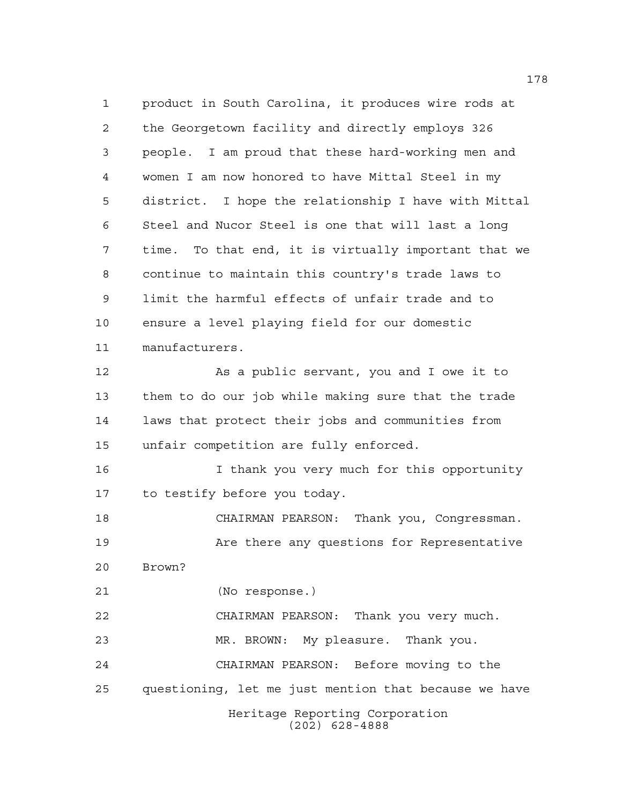Heritage Reporting Corporation (202) 628-4888 product in South Carolina, it produces wire rods at the Georgetown facility and directly employs 326 people. I am proud that these hard-working men and women I am now honored to have Mittal Steel in my district. I hope the relationship I have with Mittal Steel and Nucor Steel is one that will last a long time. To that end, it is virtually important that we continue to maintain this country's trade laws to limit the harmful effects of unfair trade and to ensure a level playing field for our domestic manufacturers. 12 As a public servant, you and I owe it to them to do our job while making sure that the trade laws that protect their jobs and communities from unfair competition are fully enforced. 16 16 I thank you very much for this opportunity to testify before you today. CHAIRMAN PEARSON: Thank you, Congressman. **Are there any questions for Representative**  Brown? (No response.) CHAIRMAN PEARSON: Thank you very much. MR. BROWN: My pleasure. Thank you. CHAIRMAN PEARSON: Before moving to the questioning, let me just mention that because we have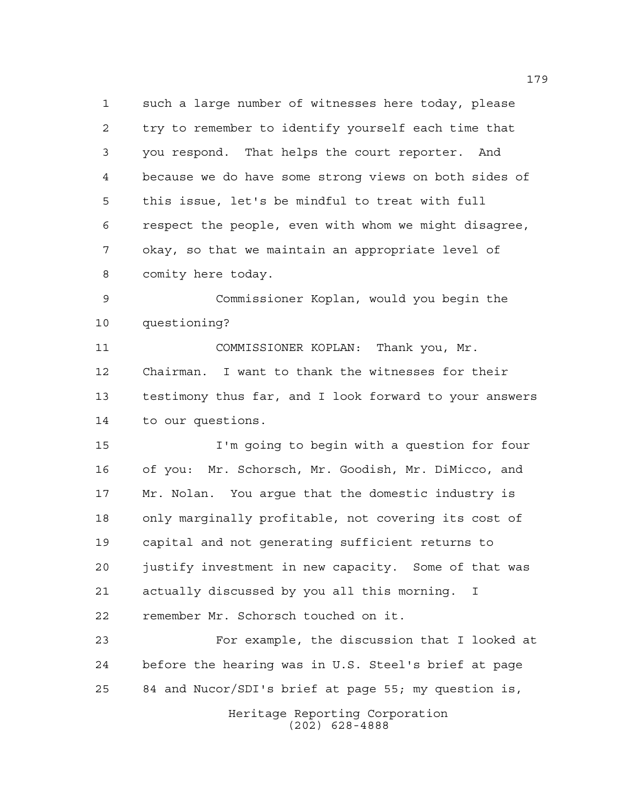such a large number of witnesses here today, please try to remember to identify yourself each time that you respond. That helps the court reporter. And because we do have some strong views on both sides of this issue, let's be mindful to treat with full respect the people, even with whom we might disagree, okay, so that we maintain an appropriate level of comity here today.

 Commissioner Koplan, would you begin the questioning?

 COMMISSIONER KOPLAN: Thank you, Mr. Chairman. I want to thank the witnesses for their testimony thus far, and I look forward to your answers to our questions.

 I'm going to begin with a question for four of you: Mr. Schorsch, Mr. Goodish, Mr. DiMicco, and Mr. Nolan. You argue that the domestic industry is only marginally profitable, not covering its cost of capital and not generating sufficient returns to justify investment in new capacity. Some of that was actually discussed by you all this morning. I remember Mr. Schorsch touched on it.

 For example, the discussion that I looked at before the hearing was in U.S. Steel's brief at page 84 and Nucor/SDI's brief at page 55; my question is,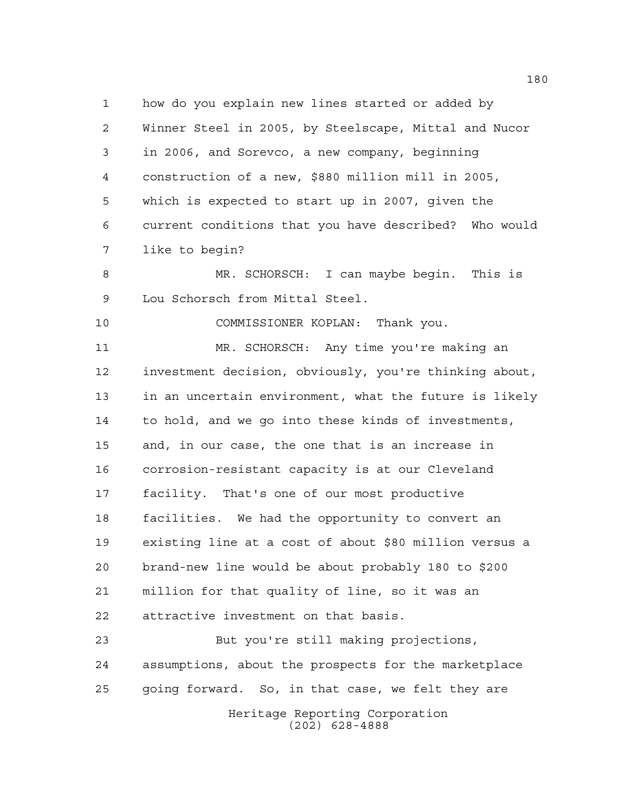how do you explain new lines started or added by Winner Steel in 2005, by Steelscape, Mittal and Nucor in 2006, and Sorevco, a new company, beginning construction of a new, \$880 million mill in 2005, which is expected to start up in 2007, given the current conditions that you have described? Who would like to begin?

 MR. SCHORSCH: I can maybe begin. This is Lou Schorsch from Mittal Steel.

COMMISSIONER KOPLAN: Thank you.

 MR. SCHORSCH: Any time you're making an investment decision, obviously, you're thinking about, in an uncertain environment, what the future is likely to hold, and we go into these kinds of investments, and, in our case, the one that is an increase in corrosion-resistant capacity is at our Cleveland facility. That's one of our most productive facilities. We had the opportunity to convert an existing line at a cost of about \$80 million versus a brand-new line would be about probably 180 to \$200 million for that quality of line, so it was an attractive investment on that basis.

Heritage Reporting Corporation But you're still making projections, assumptions, about the prospects for the marketplace going forward. So, in that case, we felt they are

(202) 628-4888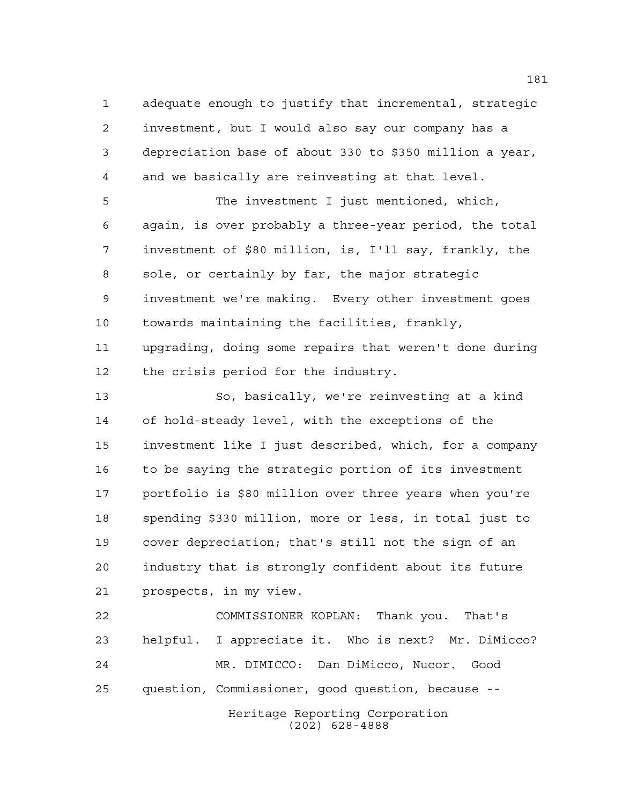adequate enough to justify that incremental, strategic investment, but I would also say our company has a depreciation base of about 330 to \$350 million a year, and we basically are reinvesting at that level. The investment I just mentioned, which, again, is over probably a three-year period, the total investment of \$80 million, is, I'll say, frankly, the sole, or certainly by far, the major strategic

 investment we're making. Every other investment goes towards maintaining the facilities, frankly, upgrading, doing some repairs that weren't done during the crisis period for the industry.

 So, basically, we're reinvesting at a kind of hold-steady level, with the exceptions of the investment like I just described, which, for a company to be saying the strategic portion of its investment portfolio is \$80 million over three years when you're spending \$330 million, more or less, in total just to cover depreciation; that's still not the sign of an industry that is strongly confident about its future prospects, in my view.

Heritage Reporting Corporation COMMISSIONER KOPLAN: Thank you. That's helpful. I appreciate it. Who is next? Mr. DiMicco? MR. DIMICCO: Dan DiMicco, Nucor. Good question, Commissioner, good question, because --

(202) 628-4888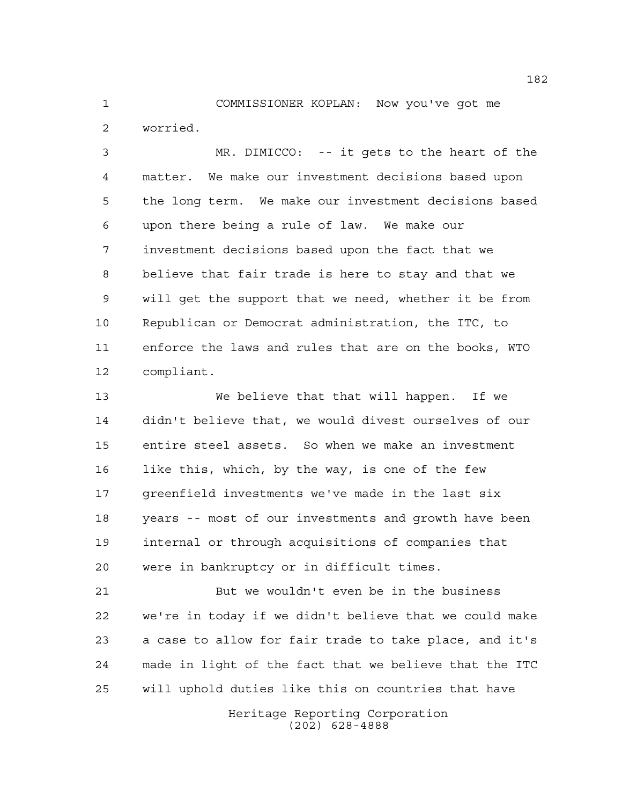COMMISSIONER KOPLAN: Now you've got me worried.

 MR. DIMICCO: -- it gets to the heart of the matter. We make our investment decisions based upon the long term. We make our investment decisions based upon there being a rule of law. We make our investment decisions based upon the fact that we believe that fair trade is here to stay and that we will get the support that we need, whether it be from Republican or Democrat administration, the ITC, to enforce the laws and rules that are on the books, WTO compliant.

 We believe that that will happen. If we didn't believe that, we would divest ourselves of our entire steel assets. So when we make an investment like this, which, by the way, is one of the few greenfield investments we've made in the last six years -- most of our investments and growth have been internal or through acquisitions of companies that were in bankruptcy or in difficult times.

 But we wouldn't even be in the business we're in today if we didn't believe that we could make a case to allow for fair trade to take place, and it's made in light of the fact that we believe that the ITC will uphold duties like this on countries that have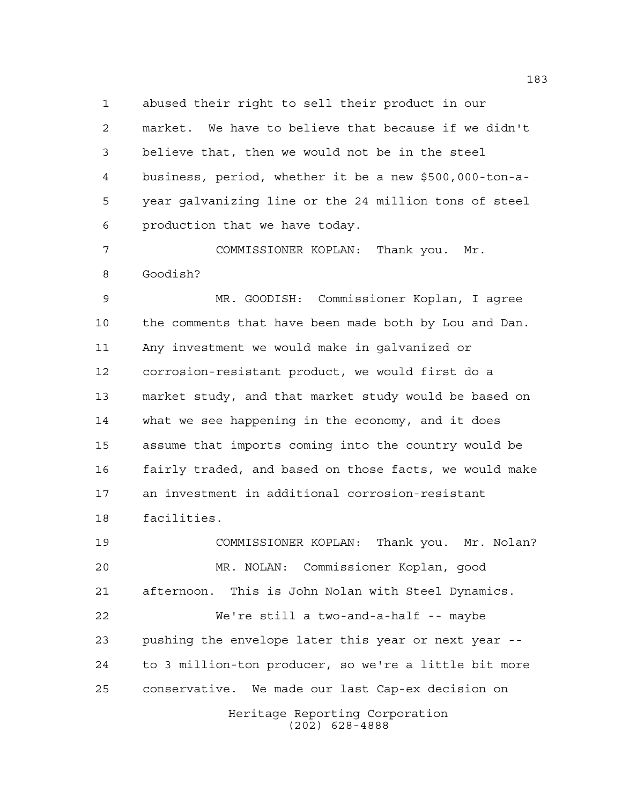abused their right to sell their product in our market. We have to believe that because if we didn't believe that, then we would not be in the steel business, period, whether it be a new \$500,000-ton-a- year galvanizing line or the 24 million tons of steel production that we have today.

 COMMISSIONER KOPLAN: Thank you. Mr. Goodish?

 MR. GOODISH: Commissioner Koplan, I agree the comments that have been made both by Lou and Dan. Any investment we would make in galvanized or corrosion-resistant product, we would first do a market study, and that market study would be based on what we see happening in the economy, and it does assume that imports coming into the country would be fairly traded, and based on those facts, we would make an investment in additional corrosion-resistant facilities.

Heritage Reporting Corporation COMMISSIONER KOPLAN: Thank you. Mr. Nolan? MR. NOLAN: Commissioner Koplan, good afternoon. This is John Nolan with Steel Dynamics. We're still a two-and-a-half -- maybe pushing the envelope later this year or next year -- to 3 million-ton producer, so we're a little bit more conservative. We made our last Cap-ex decision on

(202) 628-4888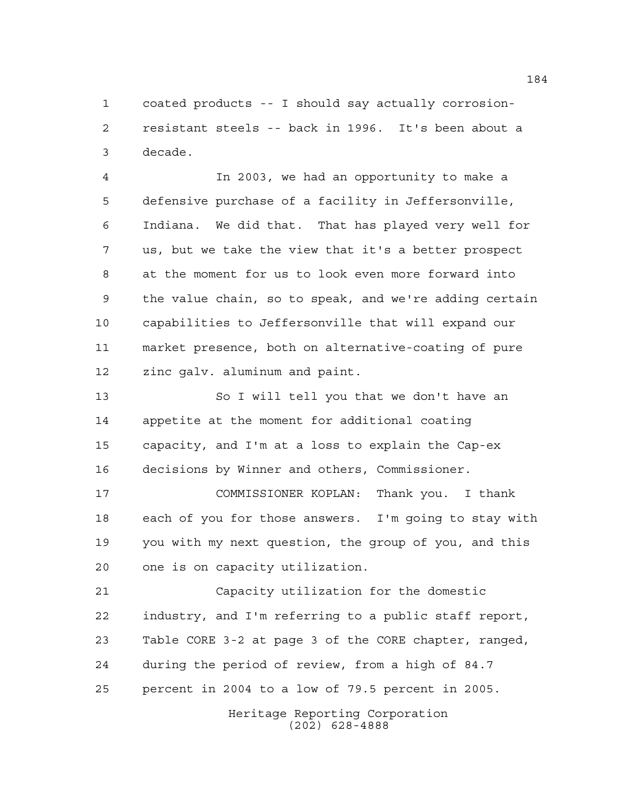coated products -- I should say actually corrosion- resistant steels -- back in 1996. It's been about a decade.

 In 2003, we had an opportunity to make a defensive purchase of a facility in Jeffersonville, Indiana. We did that. That has played very well for us, but we take the view that it's a better prospect at the moment for us to look even more forward into the value chain, so to speak, and we're adding certain capabilities to Jeffersonville that will expand our market presence, both on alternative-coating of pure zinc galv. aluminum and paint.

 So I will tell you that we don't have an appetite at the moment for additional coating capacity, and I'm at a loss to explain the Cap-ex decisions by Winner and others, Commissioner.

 COMMISSIONER KOPLAN: Thank you. I thank each of you for those answers. I'm going to stay with you with my next question, the group of you, and this one is on capacity utilization.

 Capacity utilization for the domestic industry, and I'm referring to a public staff report, Table CORE 3-2 at page 3 of the CORE chapter, ranged, during the period of review, from a high of 84.7 percent in 2004 to a low of 79.5 percent in 2005.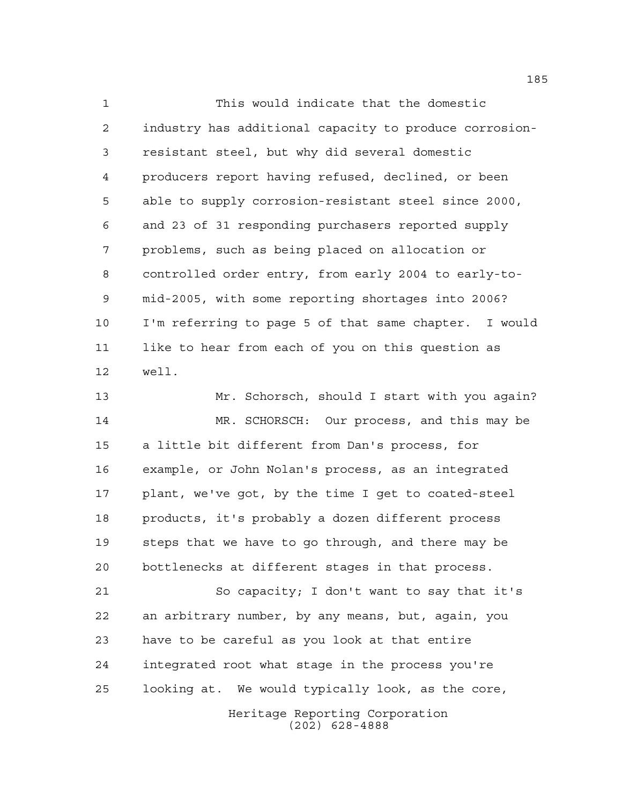This would indicate that the domestic industry has additional capacity to produce corrosion- resistant steel, but why did several domestic producers report having refused, declined, or been able to supply corrosion-resistant steel since 2000, and 23 of 31 responding purchasers reported supply problems, such as being placed on allocation or controlled order entry, from early 2004 to early-to- mid-2005, with some reporting shortages into 2006? I'm referring to page 5 of that same chapter. I would like to hear from each of you on this question as well.

 Mr. Schorsch, should I start with you again? MR. SCHORSCH: Our process, and this may be a little bit different from Dan's process, for example, or John Nolan's process, as an integrated plant, we've got, by the time I get to coated-steel products, it's probably a dozen different process steps that we have to go through, and there may be bottlenecks at different stages in that process.

 So capacity; I don't want to say that it's an arbitrary number, by any means, but, again, you have to be careful as you look at that entire integrated root what stage in the process you're looking at. We would typically look, as the core,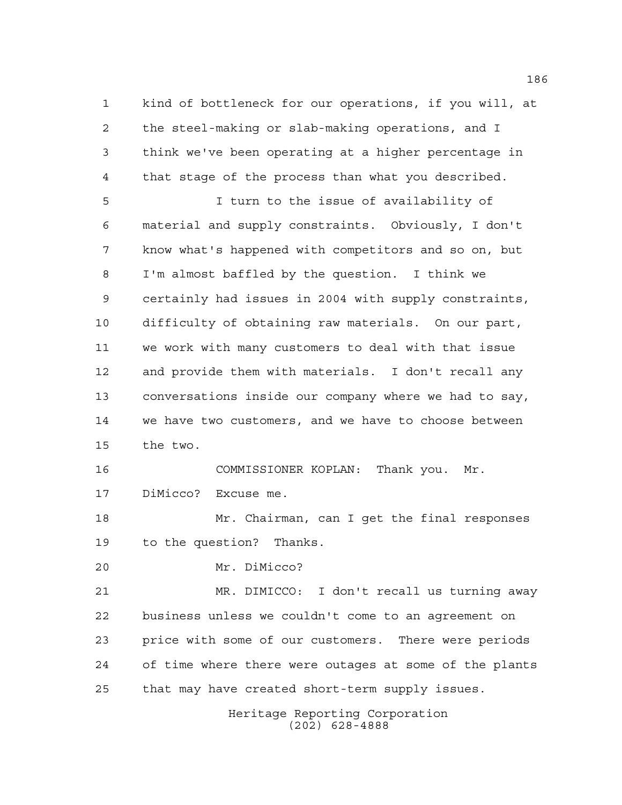kind of bottleneck for our operations, if you will, at the steel-making or slab-making operations, and I think we've been operating at a higher percentage in that stage of the process than what you described.

 I turn to the issue of availability of material and supply constraints. Obviously, I don't know what's happened with competitors and so on, but I'm almost baffled by the question. I think we certainly had issues in 2004 with supply constraints, difficulty of obtaining raw materials. On our part, we work with many customers to deal with that issue and provide them with materials. I don't recall any conversations inside our company where we had to say, we have two customers, and we have to choose between the two.

 COMMISSIONER KOPLAN: Thank you. Mr. DiMicco? Excuse me.

 Mr. Chairman, can I get the final responses to the question? Thanks.

Mr. DiMicco?

 MR. DIMICCO: I don't recall us turning away business unless we couldn't come to an agreement on price with some of our customers. There were periods of time where there were outages at some of the plants that may have created short-term supply issues.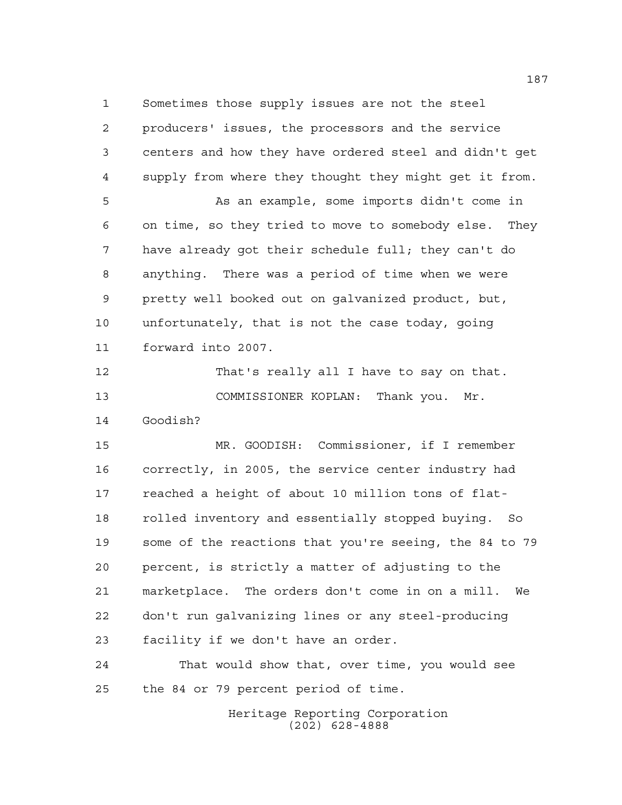Sometimes those supply issues are not the steel producers' issues, the processors and the service centers and how they have ordered steel and didn't get supply from where they thought they might get it from. As an example, some imports didn't come in on time, so they tried to move to somebody else. They have already got their schedule full; they can't do anything. There was a period of time when we were pretty well booked out on galvanized product, but, unfortunately, that is not the case today, going forward into 2007. That's really all I have to say on that.

 COMMISSIONER KOPLAN: Thank you. Mr. Goodish?

 MR. GOODISH: Commissioner, if I remember correctly, in 2005, the service center industry had reached a height of about 10 million tons of flat- rolled inventory and essentially stopped buying. So some of the reactions that you're seeing, the 84 to 79 percent, is strictly a matter of adjusting to the marketplace. The orders don't come in on a mill. We don't run galvanizing lines or any steel-producing facility if we don't have an order.

 That would show that, over time, you would see the 84 or 79 percent period of time.

> Heritage Reporting Corporation (202) 628-4888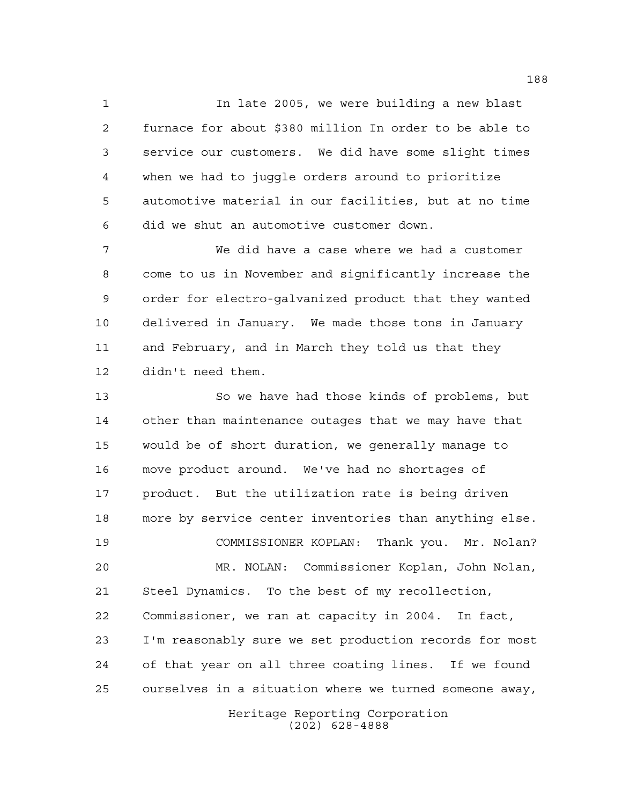In late 2005, we were building a new blast furnace for about \$380 million In order to be able to service our customers. We did have some slight times when we had to juggle orders around to prioritize automotive material in our facilities, but at no time did we shut an automotive customer down.

 We did have a case where we had a customer come to us in November and significantly increase the order for electro-galvanized product that they wanted delivered in January. We made those tons in January and February, and in March they told us that they didn't need them.

 So we have had those kinds of problems, but other than maintenance outages that we may have that would be of short duration, we generally manage to move product around. We've had no shortages of product. But the utilization rate is being driven more by service center inventories than anything else. COMMISSIONER KOPLAN: Thank you. Mr. Nolan? MR. NOLAN: Commissioner Koplan, John Nolan, Steel Dynamics. To the best of my recollection, Commissioner, we ran at capacity in 2004. In fact, I'm reasonably sure we set production records for most of that year on all three coating lines. If we found ourselves in a situation where we turned someone away,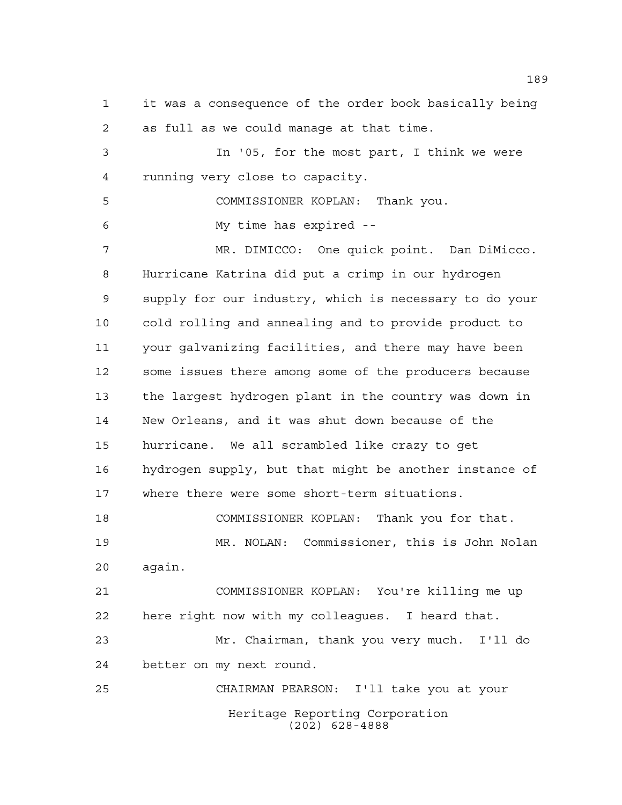it was a consequence of the order book basically being as full as we could manage at that time.

 In '05, for the most part, I think we were running very close to capacity.

 COMMISSIONER KOPLAN: Thank you. My time has expired --

 MR. DIMICCO: One quick point. Dan DiMicco. Hurricane Katrina did put a crimp in our hydrogen supply for our industry, which is necessary to do your cold rolling and annealing and to provide product to your galvanizing facilities, and there may have been some issues there among some of the producers because the largest hydrogen plant in the country was down in New Orleans, and it was shut down because of the hurricane. We all scrambled like crazy to get hydrogen supply, but that might be another instance of where there were some short-term situations.

 COMMISSIONER KOPLAN: Thank you for that. MR. NOLAN: Commissioner, this is John Nolan again.

 COMMISSIONER KOPLAN: You're killing me up here right now with my colleagues. I heard that.

 Mr. Chairman, thank you very much. I'll do better on my next round.

Heritage Reporting Corporation (202) 628-4888 CHAIRMAN PEARSON: I'll take you at your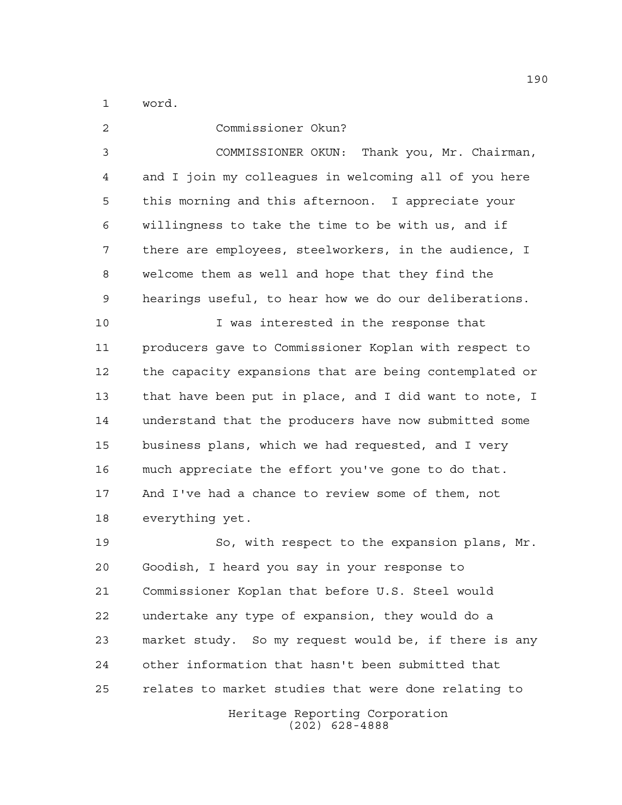word.

 Commissioner Okun? COMMISSIONER OKUN: Thank you, Mr. Chairman, and I join my colleagues in welcoming all of you here this morning and this afternoon. I appreciate your willingness to take the time to be with us, and if there are employees, steelworkers, in the audience, I welcome them as well and hope that they find the hearings useful, to hear how we do our deliberations. I was interested in the response that producers gave to Commissioner Koplan with respect to the capacity expansions that are being contemplated or that have been put in place, and I did want to note, I understand that the producers have now submitted some business plans, which we had requested, and I very much appreciate the effort you've gone to do that. And I've had a chance to review some of them, not everything yet.

 So, with respect to the expansion plans, Mr. Goodish, I heard you say in your response to Commissioner Koplan that before U.S. Steel would undertake any type of expansion, they would do a market study. So my request would be, if there is any other information that hasn't been submitted that relates to market studies that were done relating to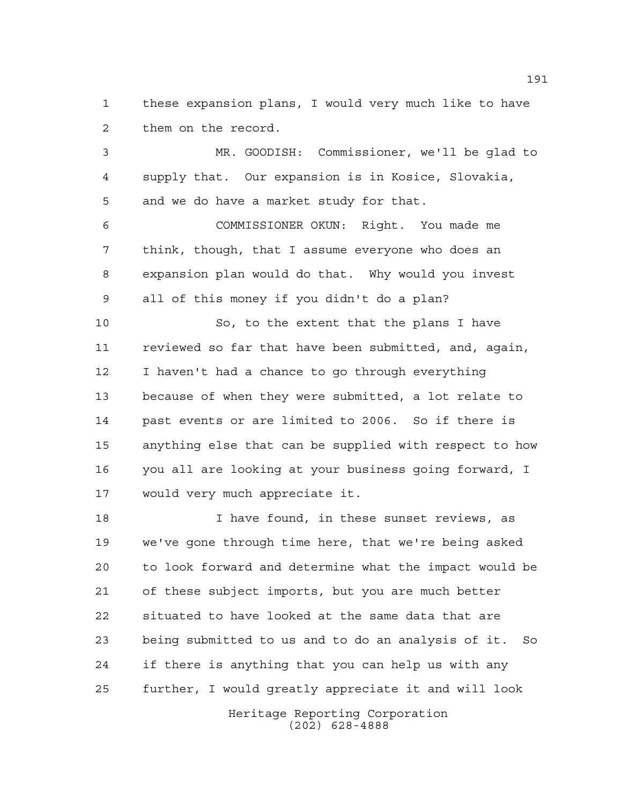these expansion plans, I would very much like to have them on the record.

 MR. GOODISH: Commissioner, we'll be glad to supply that. Our expansion is in Kosice, Slovakia, and we do have a market study for that.

 COMMISSIONER OKUN: Right. You made me think, though, that I assume everyone who does an expansion plan would do that. Why would you invest all of this money if you didn't do a plan?

 So, to the extent that the plans I have reviewed so far that have been submitted, and, again, I haven't had a chance to go through everything because of when they were submitted, a lot relate to past events or are limited to 2006. So if there is anything else that can be supplied with respect to how you all are looking at your business going forward, I would very much appreciate it.

 I have found, in these sunset reviews, as we've gone through time here, that we're being asked to look forward and determine what the impact would be of these subject imports, but you are much better situated to have looked at the same data that are being submitted to us and to do an analysis of it. So if there is anything that you can help us with any further, I would greatly appreciate it and will look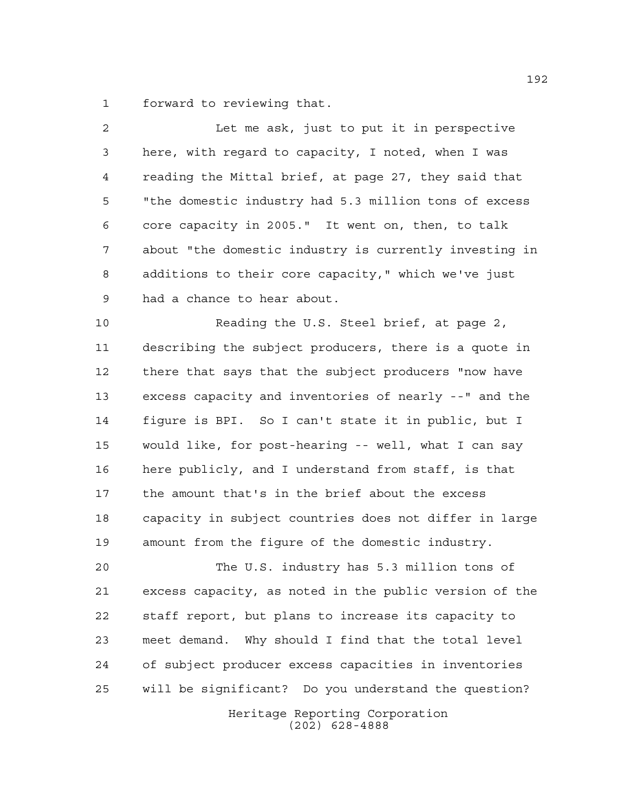forward to reviewing that.

| $\overline{2}$ | Let me ask, just to put it in perspective              |
|----------------|--------------------------------------------------------|
| $\mathsf{3}$   | here, with regard to capacity, I noted, when I was     |
| 4              | reading the Mittal brief, at page 27, they said that   |
| 5              | "the domestic industry had 5.3 million tons of excess  |
| 6              | core capacity in 2005." It went on, then, to talk      |
| 7              | about "the domestic industry is currently investing in |
| 8              | additions to their core capacity," which we've just    |
| $\mathcal{G}$  | had a chance to hear about.                            |
| 10             | Reading the U.S. Steel brief, at page 2,               |
| 11             | describing the subject producers, there is a quote in  |
| 12             | there that says that the subject producers "now have   |
| 13             | excess capacity and inventories of nearly --" and the  |
| 14             | figure is BPI. So I can't state it in public, but I    |
| 15             | would like, for post-hearing -- well, what I can say   |

 here publicly, and I understand from staff, is that the amount that's in the brief about the excess capacity in subject countries does not differ in large amount from the figure of the domestic industry.

 The U.S. industry has 5.3 million tons of excess capacity, as noted in the public version of the staff report, but plans to increase its capacity to meet demand. Why should I find that the total level of subject producer excess capacities in inventories will be significant? Do you understand the question?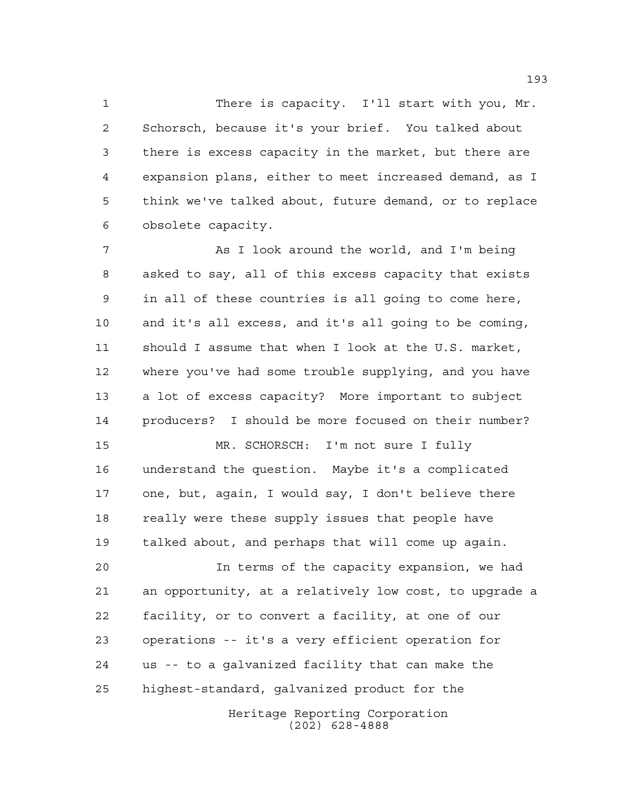There is capacity. I'll start with you, Mr. Schorsch, because it's your brief. You talked about there is excess capacity in the market, but there are expansion plans, either to meet increased demand, as I think we've talked about, future demand, or to replace obsolete capacity.

7 As I look around the world, and I'm being asked to say, all of this excess capacity that exists in all of these countries is all going to come here, and it's all excess, and it's all going to be coming, should I assume that when I look at the U.S. market, where you've had some trouble supplying, and you have a lot of excess capacity? More important to subject producers? I should be more focused on their number?

 MR. SCHORSCH: I'm not sure I fully understand the question. Maybe it's a complicated one, but, again, I would say, I don't believe there 18 really were these supply issues that people have talked about, and perhaps that will come up again.

 In terms of the capacity expansion, we had an opportunity, at a relatively low cost, to upgrade a facility, or to convert a facility, at one of our operations -- it's a very efficient operation for us -- to a galvanized facility that can make the highest-standard, galvanized product for the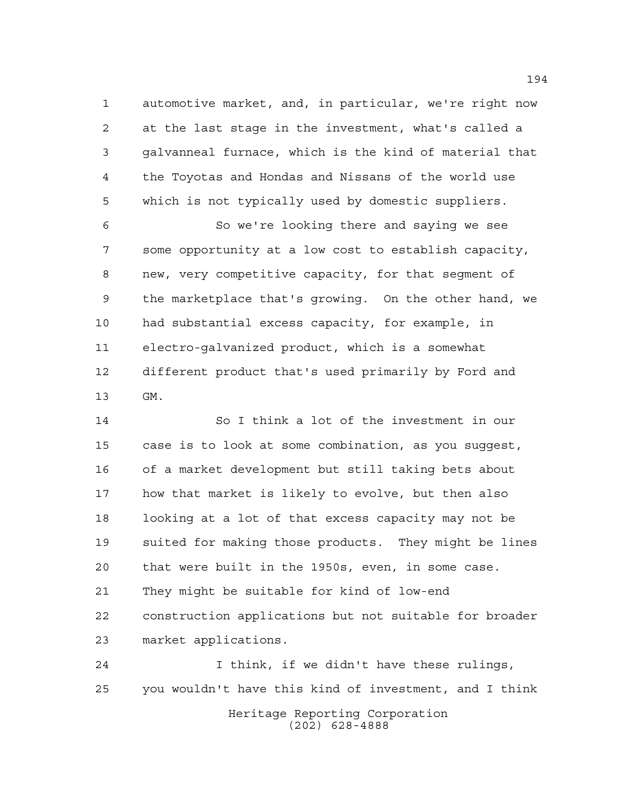automotive market, and, in particular, we're right now at the last stage in the investment, what's called a galvanneal furnace, which is the kind of material that the Toyotas and Hondas and Nissans of the world use which is not typically used by domestic suppliers.

 So we're looking there and saying we see some opportunity at a low cost to establish capacity, new, very competitive capacity, for that segment of the marketplace that's growing. On the other hand, we had substantial excess capacity, for example, in electro-galvanized product, which is a somewhat different product that's used primarily by Ford and GM.

 So I think a lot of the investment in our case is to look at some combination, as you suggest, of a market development but still taking bets about how that market is likely to evolve, but then also looking at a lot of that excess capacity may not be suited for making those products. They might be lines that were built in the 1950s, even, in some case. They might be suitable for kind of low-end construction applications but not suitable for broader market applications.

Heritage Reporting Corporation (202) 628-4888 I think, if we didn't have these rulings, you wouldn't have this kind of investment, and I think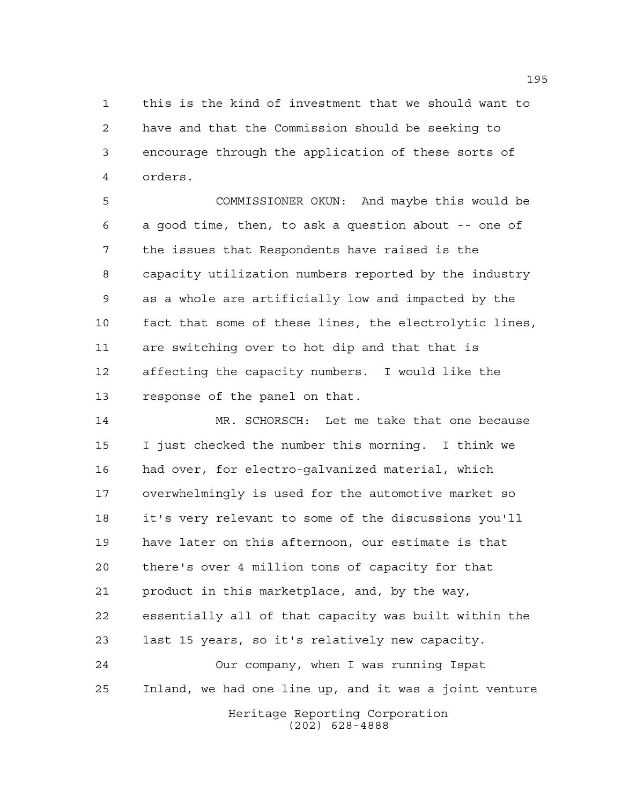this is the kind of investment that we should want to have and that the Commission should be seeking to encourage through the application of these sorts of orders.

 COMMISSIONER OKUN: And maybe this would be a good time, then, to ask a question about -- one of the issues that Respondents have raised is the capacity utilization numbers reported by the industry as a whole are artificially low and impacted by the fact that some of these lines, the electrolytic lines, are switching over to hot dip and that that is affecting the capacity numbers. I would like the response of the panel on that.

 MR. SCHORSCH: Let me take that one because I just checked the number this morning. I think we had over, for electro-galvanized material, which overwhelmingly is used for the automotive market so it's very relevant to some of the discussions you'll have later on this afternoon, our estimate is that there's over 4 million tons of capacity for that product in this marketplace, and, by the way, essentially all of that capacity was built within the last 15 years, so it's relatively new capacity. Our company, when I was running Ispat Inland, we had one line up, and it was a joint venture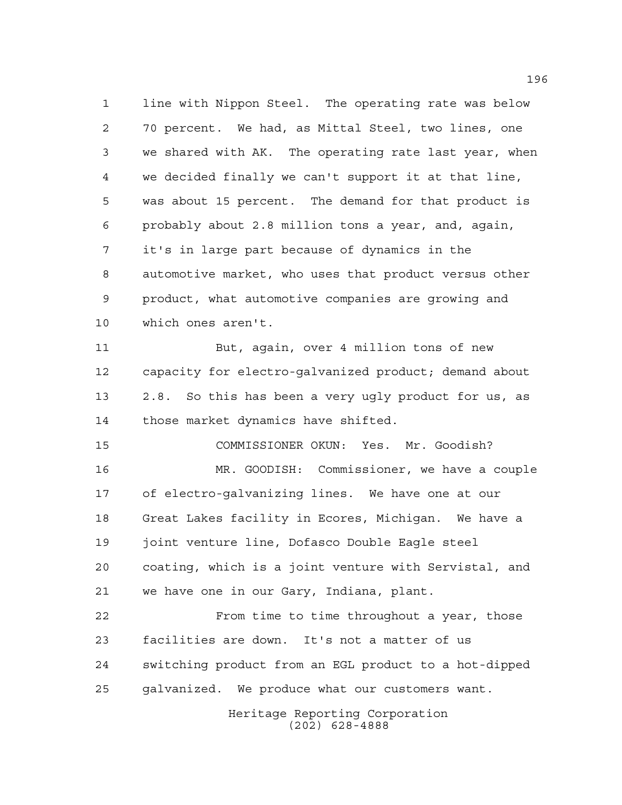line with Nippon Steel. The operating rate was below 70 percent. We had, as Mittal Steel, two lines, one we shared with AK. The operating rate last year, when we decided finally we can't support it at that line, was about 15 percent. The demand for that product is probably about 2.8 million tons a year, and, again, it's in large part because of dynamics in the automotive market, who uses that product versus other product, what automotive companies are growing and which ones aren't.

 But, again, over 4 million tons of new capacity for electro-galvanized product; demand about 2.8. So this has been a very ugly product for us, as those market dynamics have shifted.

COMMISSIONER OKUN: Yes. Mr. Goodish?

 MR. GOODISH: Commissioner, we have a couple of electro-galvanizing lines. We have one at our Great Lakes facility in Ecores, Michigan. We have a joint venture line, Dofasco Double Eagle steel coating, which is a joint venture with Servistal, and we have one in our Gary, Indiana, plant.

 From time to time throughout a year, those facilities are down. It's not a matter of us switching product from an EGL product to a hot-dipped galvanized. We produce what our customers want.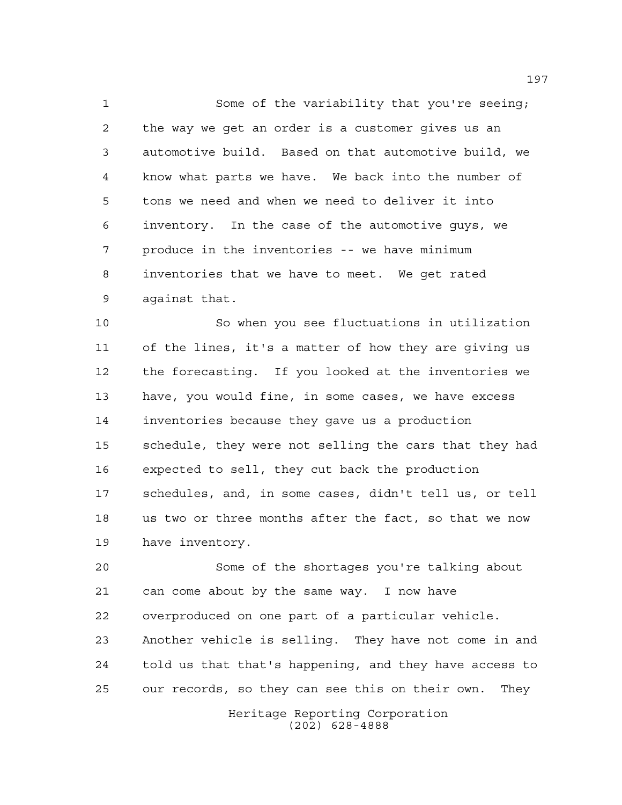Some of the variability that you're seeing; the way we get an order is a customer gives us an automotive build. Based on that automotive build, we know what parts we have. We back into the number of tons we need and when we need to deliver it into inventory. In the case of the automotive guys, we produce in the inventories -- we have minimum inventories that we have to meet. We get rated against that.

 So when you see fluctuations in utilization of the lines, it's a matter of how they are giving us the forecasting. If you looked at the inventories we have, you would fine, in some cases, we have excess inventories because they gave us a production schedule, they were not selling the cars that they had expected to sell, they cut back the production schedules, and, in some cases, didn't tell us, or tell us two or three months after the fact, so that we now have inventory.

 Some of the shortages you're talking about can come about by the same way. I now have overproduced on one part of a particular vehicle. Another vehicle is selling. They have not come in and told us that that's happening, and they have access to our records, so they can see this on their own. They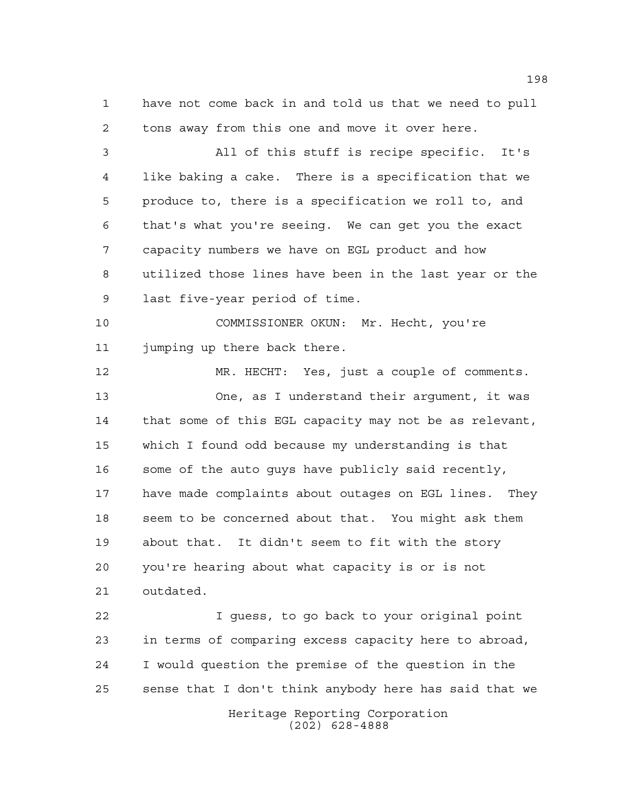have not come back in and told us that we need to pull tons away from this one and move it over here.

 All of this stuff is recipe specific. It's like baking a cake. There is a specification that we produce to, there is a specification we roll to, and that's what you're seeing. We can get you the exact capacity numbers we have on EGL product and how utilized those lines have been in the last year or the last five-year period of time.

 COMMISSIONER OKUN: Mr. Hecht, you're jumping up there back there.

 MR. HECHT: Yes, just a couple of comments. One, as I understand their argument, it was that some of this EGL capacity may not be as relevant, which I found odd because my understanding is that some of the auto guys have publicly said recently, have made complaints about outages on EGL lines. They seem to be concerned about that. You might ask them about that. It didn't seem to fit with the story you're hearing about what capacity is or is not outdated.

 I guess, to go back to your original point in terms of comparing excess capacity here to abroad, I would question the premise of the question in the sense that I don't think anybody here has said that we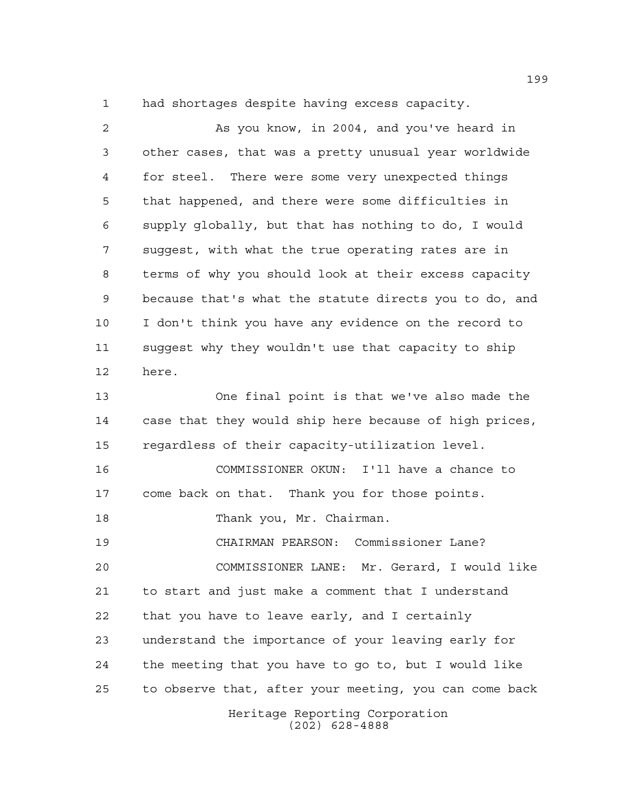had shortages despite having excess capacity.

Heritage Reporting Corporation (202) 628-4888 As you know, in 2004, and you've heard in other cases, that was a pretty unusual year worldwide for steel. There were some very unexpected things that happened, and there were some difficulties in supply globally, but that has nothing to do, I would suggest, with what the true operating rates are in terms of why you should look at their excess capacity because that's what the statute directs you to do, and I don't think you have any evidence on the record to suggest why they wouldn't use that capacity to ship here. One final point is that we've also made the case that they would ship here because of high prices, regardless of their capacity-utilization level. COMMISSIONER OKUN: I'll have a chance to come back on that. Thank you for those points. Thank you, Mr. Chairman. CHAIRMAN PEARSON: Commissioner Lane? COMMISSIONER LANE: Mr. Gerard, I would like to start and just make a comment that I understand that you have to leave early, and I certainly understand the importance of your leaving early for the meeting that you have to go to, but I would like to observe that, after your meeting, you can come back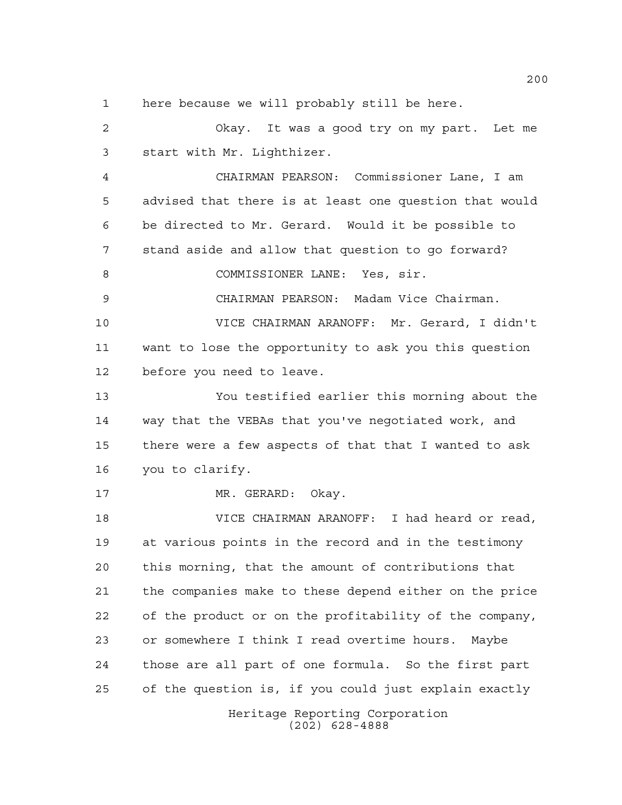here because we will probably still be here.

 Okay. It was a good try on my part. Let me start with Mr. Lighthizer.

 CHAIRMAN PEARSON: Commissioner Lane, I am advised that there is at least one question that would be directed to Mr. Gerard. Would it be possible to stand aside and allow that question to go forward? 8 COMMISSIONER LANE: Yes, sir.

CHAIRMAN PEARSON: Madam Vice Chairman.

 VICE CHAIRMAN ARANOFF: Mr. Gerard, I didn't want to lose the opportunity to ask you this question before you need to leave.

 You testified earlier this morning about the way that the VEBAs that you've negotiated work, and there were a few aspects of that that I wanted to ask you to clarify.

17 MR. GERARD: Okay.

 VICE CHAIRMAN ARANOFF: I had heard or read, at various points in the record and in the testimony this morning, that the amount of contributions that the companies make to these depend either on the price of the product or on the profitability of the company, or somewhere I think I read overtime hours. Maybe those are all part of one formula. So the first part of the question is, if you could just explain exactly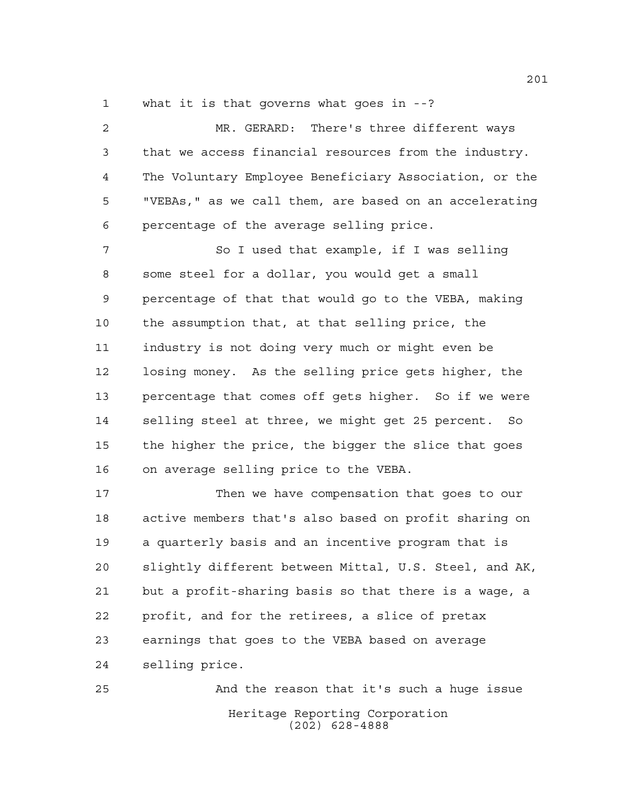what it is that governs what goes in --?

 MR. GERARD: There's three different ways that we access financial resources from the industry. The Voluntary Employee Beneficiary Association, or the "VEBAs," as we call them, are based on an accelerating percentage of the average selling price.

 So I used that example, if I was selling some steel for a dollar, you would get a small percentage of that that would go to the VEBA, making the assumption that, at that selling price, the industry is not doing very much or might even be losing money. As the selling price gets higher, the percentage that comes off gets higher. So if we were selling steel at three, we might get 25 percent. So the higher the price, the bigger the slice that goes on average selling price to the VEBA.

17 Then we have compensation that goes to our active members that's also based on profit sharing on a quarterly basis and an incentive program that is slightly different between Mittal, U.S. Steel, and AK, but a profit-sharing basis so that there is a wage, a profit, and for the retirees, a slice of pretax earnings that goes to the VEBA based on average selling price.

Heritage Reporting Corporation (202) 628-4888 And the reason that it's such a huge issue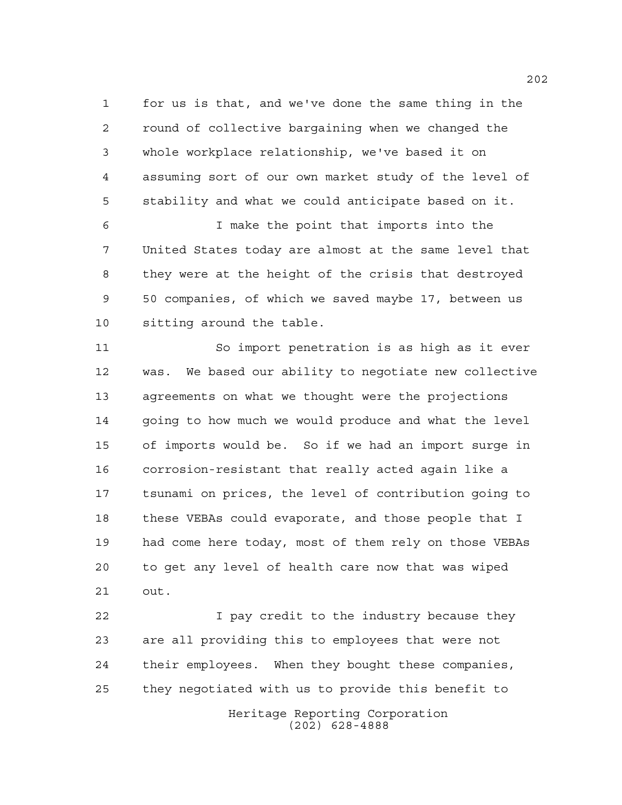for us is that, and we've done the same thing in the round of collective bargaining when we changed the whole workplace relationship, we've based it on assuming sort of our own market study of the level of stability and what we could anticipate based on it.

 I make the point that imports into the United States today are almost at the same level that they were at the height of the crisis that destroyed 50 companies, of which we saved maybe 17, between us sitting around the table.

 So import penetration is as high as it ever was. We based our ability to negotiate new collective agreements on what we thought were the projections 14 going to how much we would produce and what the level of imports would be. So if we had an import surge in corrosion-resistant that really acted again like a tsunami on prices, the level of contribution going to these VEBAs could evaporate, and those people that I had come here today, most of them rely on those VEBAs to get any level of health care now that was wiped out.

Heritage Reporting Corporation (202) 628-4888 I pay credit to the industry because they are all providing this to employees that were not their employees. When they bought these companies, they negotiated with us to provide this benefit to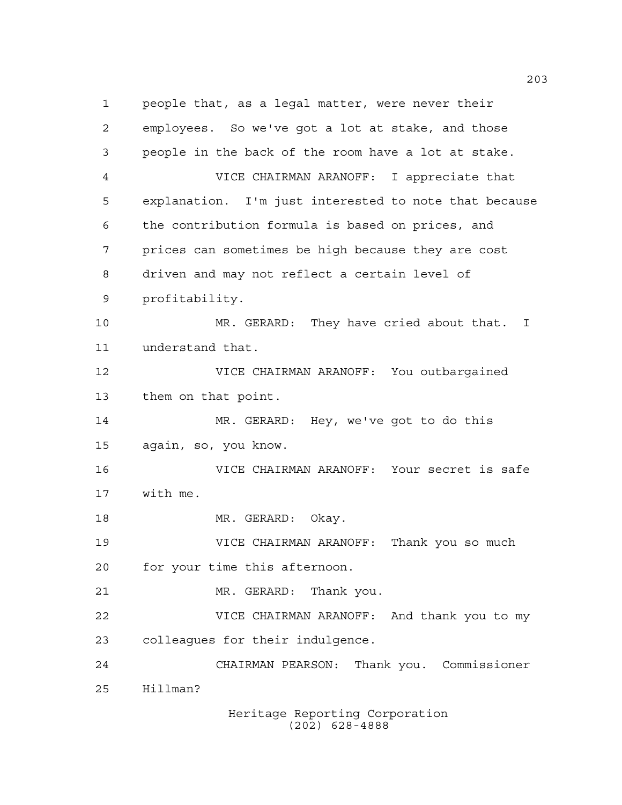people that, as a legal matter, were never their employees. So we've got a lot at stake, and those people in the back of the room have a lot at stake. VICE CHAIRMAN ARANOFF: I appreciate that explanation. I'm just interested to note that because the contribution formula is based on prices, and prices can sometimes be high because they are cost driven and may not reflect a certain level of profitability. MR. GERARD: They have cried about that. I understand that. VICE CHAIRMAN ARANOFF: You outbargained them on that point. MR. GERARD: Hey, we've got to do this again, so, you know. VICE CHAIRMAN ARANOFF: Your secret is safe with me. 18 MR. GERARD: Okay. VICE CHAIRMAN ARANOFF: Thank you so much for your time this afternoon. MR. GERARD: Thank you. VICE CHAIRMAN ARANOFF: And thank you to my colleagues for their indulgence. CHAIRMAN PEARSON: Thank you. Commissioner Hillman?

Heritage Reporting Corporation (202) 628-4888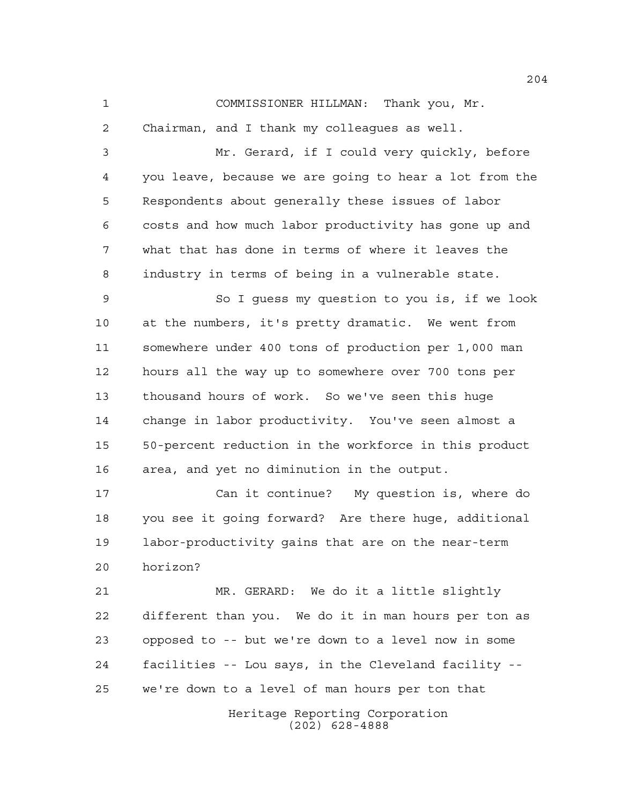COMMISSIONER HILLMAN: Thank you, Mr.

 Chairman, and I thank my colleagues as well. Mr. Gerard, if I could very quickly, before you leave, because we are going to hear a lot from the Respondents about generally these issues of labor costs and how much labor productivity has gone up and what that has done in terms of where it leaves the industry in terms of being in a vulnerable state. So I guess my question to you is, if we look at the numbers, it's pretty dramatic. We went from somewhere under 400 tons of production per 1,000 man hours all the way up to somewhere over 700 tons per thousand hours of work. So we've seen this huge change in labor productivity. You've seen almost a 50-percent reduction in the workforce in this product area, and yet no diminution in the output.

 Can it continue? My question is, where do you see it going forward? Are there huge, additional labor-productivity gains that are on the near-term horizon?

 MR. GERARD: We do it a little slightly different than you. We do it in man hours per ton as opposed to -- but we're down to a level now in some facilities -- Lou says, in the Cleveland facility -- we're down to a level of man hours per ton that

> Heritage Reporting Corporation (202) 628-4888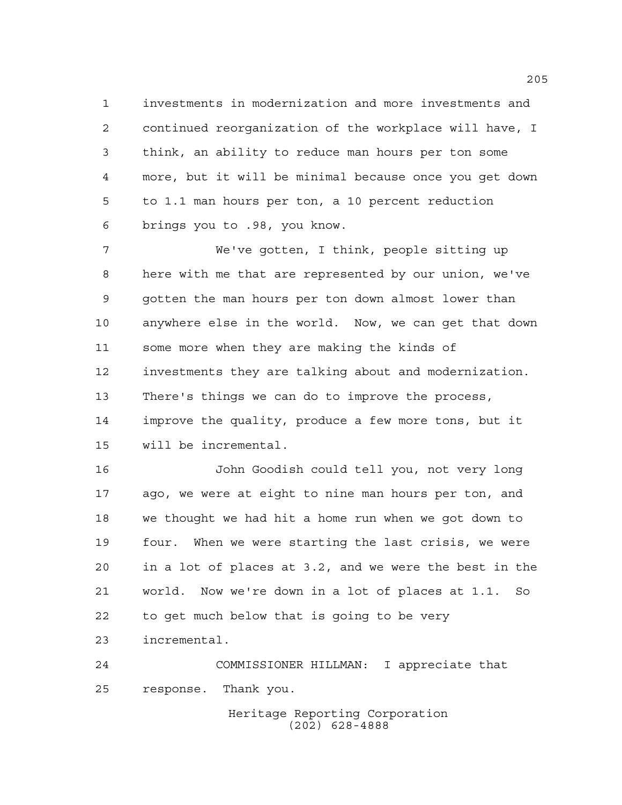investments in modernization and more investments and continued reorganization of the workplace will have, I think, an ability to reduce man hours per ton some more, but it will be minimal because once you get down to 1.1 man hours per ton, a 10 percent reduction brings you to .98, you know.

 We've gotten, I think, people sitting up here with me that are represented by our union, we've gotten the man hours per ton down almost lower than anywhere else in the world. Now, we can get that down some more when they are making the kinds of investments they are talking about and modernization. There's things we can do to improve the process, improve the quality, produce a few more tons, but it will be incremental.

 John Goodish could tell you, not very long ago, we were at eight to nine man hours per ton, and we thought we had hit a home run when we got down to four. When we were starting the last crisis, we were in a lot of places at 3.2, and we were the best in the world. Now we're down in a lot of places at 1.1. So to get much below that is going to be very incremental.

 COMMISSIONER HILLMAN: I appreciate that response. Thank you.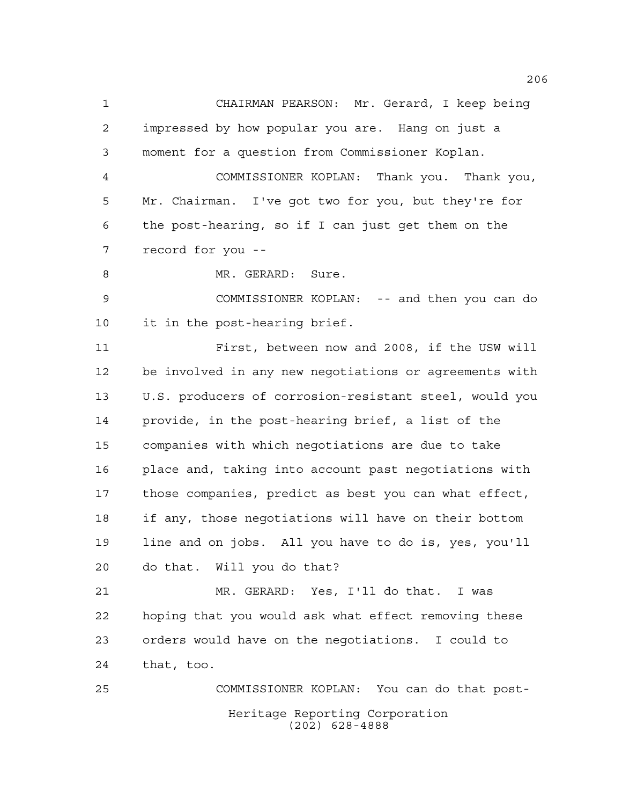CHAIRMAN PEARSON: Mr. Gerard, I keep being impressed by how popular you are. Hang on just a moment for a question from Commissioner Koplan. COMMISSIONER KOPLAN: Thank you. Thank you, Mr. Chairman. I've got two for you, but they're for the post-hearing, so if I can just get them on the record for you --

8 MR. GERARD: Sure.

 COMMISSIONER KOPLAN: -- and then you can do it in the post-hearing brief.

 First, between now and 2008, if the USW will be involved in any new negotiations or agreements with U.S. producers of corrosion-resistant steel, would you provide, in the post-hearing brief, a list of the companies with which negotiations are due to take place and, taking into account past negotiations with those companies, predict as best you can what effect, if any, those negotiations will have on their bottom line and on jobs. All you have to do is, yes, you'll do that. Will you do that?

 MR. GERARD: Yes, I'll do that. I was hoping that you would ask what effect removing these orders would have on the negotiations. I could to that, too.

Heritage Reporting Corporation (202) 628-4888 COMMISSIONER KOPLAN: You can do that post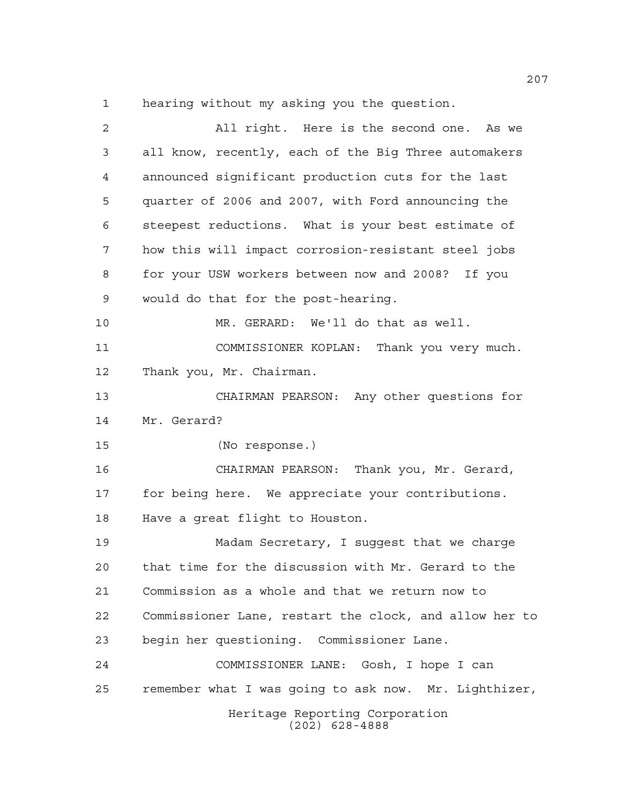hearing without my asking you the question.

| 2  | All right. Here is the second one. As we               |
|----|--------------------------------------------------------|
| 3  | all know, recently, each of the Big Three automakers   |
| 4  | announced significant production cuts for the last     |
| 5  | quarter of 2006 and 2007, with Ford announcing the     |
| 6  | steepest reductions. What is your best estimate of     |
| 7  | how this will impact corrosion-resistant steel jobs    |
| 8  | for your USW workers between now and 2008? If you      |
| 9  | would do that for the post-hearing.                    |
| 10 | MR. GERARD: We'll do that as well.                     |
| 11 | COMMISSIONER KOPLAN: Thank you very much.              |
| 12 | Thank you, Mr. Chairman.                               |
| 13 | CHAIRMAN PEARSON: Any other questions for              |
| 14 | Mr. Gerard?                                            |
| 15 | (No response.)                                         |
| 16 | CHAIRMAN PEARSON: Thank you, Mr. Gerard,               |
| 17 | for being here. We appreciate your contributions.      |
| 18 | Have a great flight to Houston.                        |
| 19 | Madam Secretary, I suggest that we charge              |
| 20 | that time for the discussion with Mr. Gerard to the    |
| 21 | Commission as a whole and that we return now to        |
| 22 | Commissioner Lane, restart the clock, and allow her to |
| 23 | begin her questioning. Commissioner Lane.              |
| 24 | COMMISSIONER LANE: Gosh, I hope I can                  |
| 25 | remember what I was going to ask now. Mr. Lighthizer,  |
|    | Heritage Reporting Corporation<br>$(202)$ 628-4888     |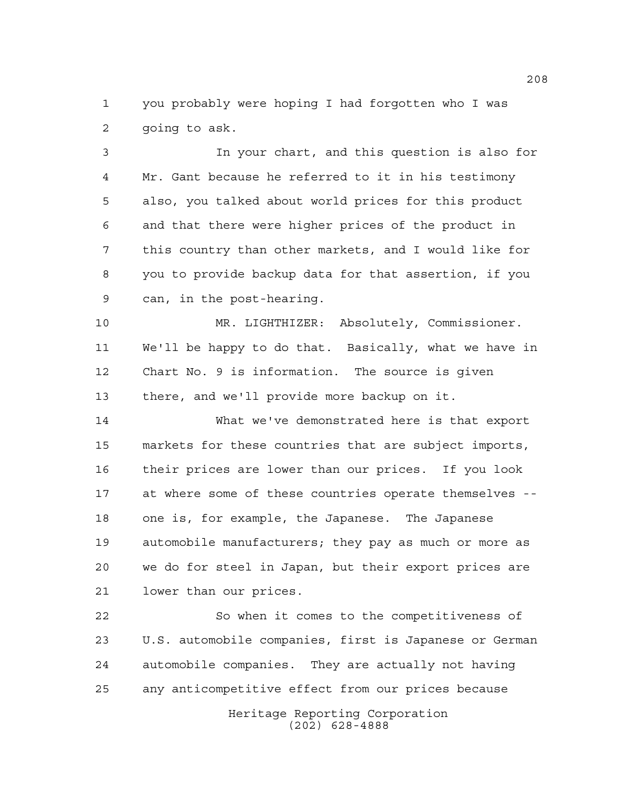you probably were hoping I had forgotten who I was going to ask.

 In your chart, and this question is also for Mr. Gant because he referred to it in his testimony also, you talked about world prices for this product and that there were higher prices of the product in this country than other markets, and I would like for you to provide backup data for that assertion, if you can, in the post-hearing.

 MR. LIGHTHIZER: Absolutely, Commissioner. We'll be happy to do that. Basically, what we have in Chart No. 9 is information. The source is given there, and we'll provide more backup on it.

 What we've demonstrated here is that export markets for these countries that are subject imports, their prices are lower than our prices. If you look at where some of these countries operate themselves -- one is, for example, the Japanese. The Japanese automobile manufacturers; they pay as much or more as we do for steel in Japan, but their export prices are lower than our prices.

Heritage Reporting Corporation (202) 628-4888 So when it comes to the competitiveness of U.S. automobile companies, first is Japanese or German automobile companies. They are actually not having any anticompetitive effect from our prices because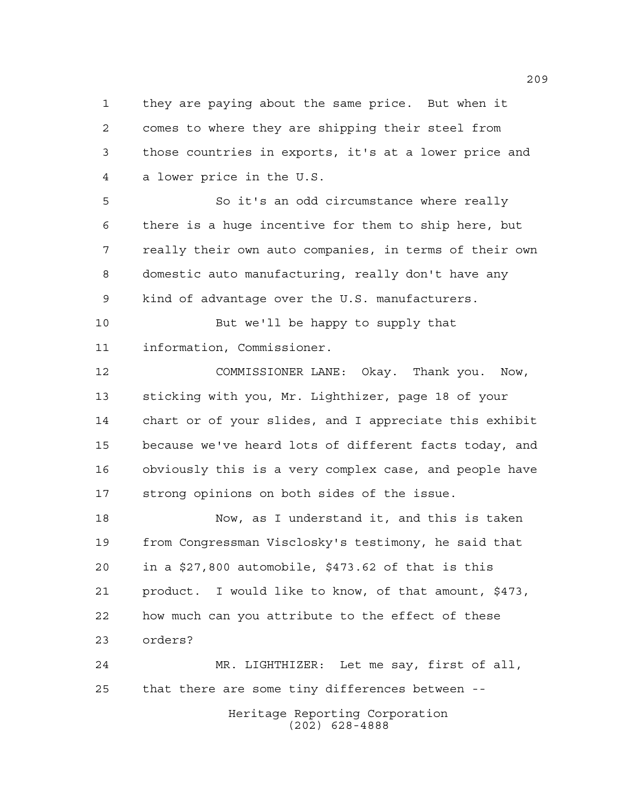they are paying about the same price. But when it comes to where they are shipping their steel from those countries in exports, it's at a lower price and a lower price in the U.S.

 So it's an odd circumstance where really there is a huge incentive for them to ship here, but really their own auto companies, in terms of their own domestic auto manufacturing, really don't have any kind of advantage over the U.S. manufacturers.

 But we'll be happy to supply that information, Commissioner.

 COMMISSIONER LANE: Okay. Thank you. Now, sticking with you, Mr. Lighthizer, page 18 of your chart or of your slides, and I appreciate this exhibit because we've heard lots of different facts today, and obviously this is a very complex case, and people have strong opinions on both sides of the issue.

 Now, as I understand it, and this is taken from Congressman Visclosky's testimony, he said that in a \$27,800 automobile, \$473.62 of that is this product. I would like to know, of that amount, \$473, how much can you attribute to the effect of these orders?

Heritage Reporting Corporation (202) 628-4888 MR. LIGHTHIZER: Let me say, first of all, that there are some tiny differences between --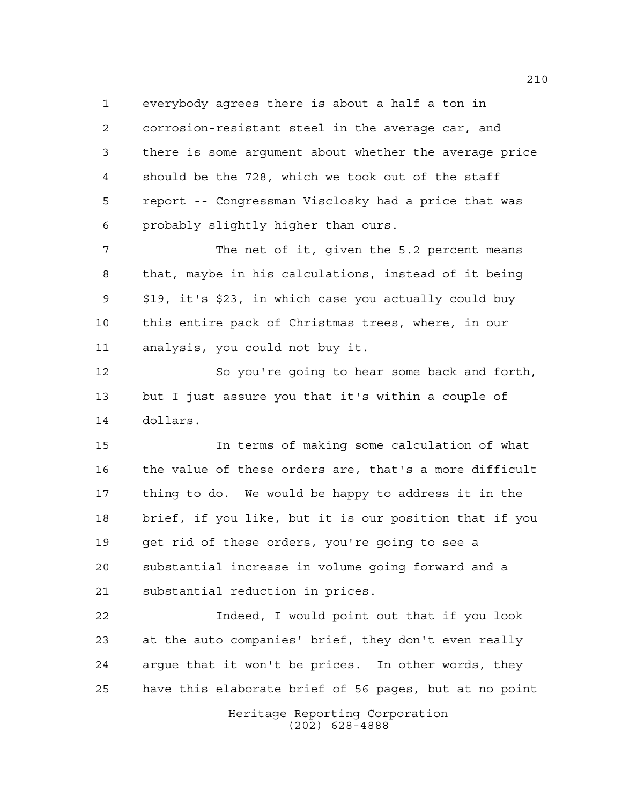everybody agrees there is about a half a ton in corrosion-resistant steel in the average car, and there is some argument about whether the average price should be the 728, which we took out of the staff report -- Congressman Visclosky had a price that was probably slightly higher than ours.

 The net of it, given the 5.2 percent means that, maybe in his calculations, instead of it being \$19, it's \$23, in which case you actually could buy this entire pack of Christmas trees, where, in our analysis, you could not buy it.

 So you're going to hear some back and forth, but I just assure you that it's within a couple of dollars.

 In terms of making some calculation of what the value of these orders are, that's a more difficult thing to do. We would be happy to address it in the brief, if you like, but it is our position that if you get rid of these orders, you're going to see a substantial increase in volume going forward and a substantial reduction in prices.

 Indeed, I would point out that if you look at the auto companies' brief, they don't even really argue that it won't be prices. In other words, they have this elaborate brief of 56 pages, but at no point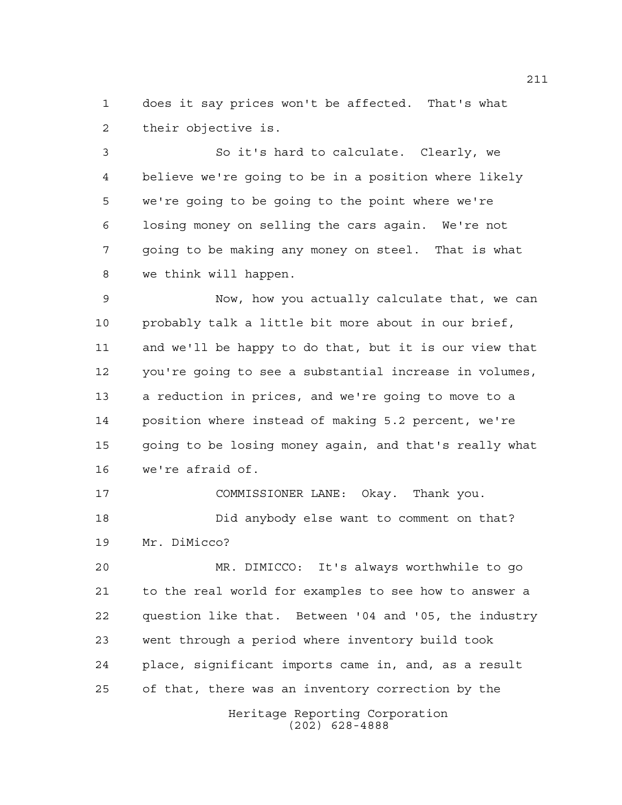does it say prices won't be affected. That's what their objective is.

 So it's hard to calculate. Clearly, we believe we're going to be in a position where likely we're going to be going to the point where we're losing money on selling the cars again. We're not going to be making any money on steel. That is what we think will happen.

 Now, how you actually calculate that, we can probably talk a little bit more about in our brief, and we'll be happy to do that, but it is our view that you're going to see a substantial increase in volumes, a reduction in prices, and we're going to move to a position where instead of making 5.2 percent, we're going to be losing money again, and that's really what we're afraid of.

 COMMISSIONER LANE: Okay. Thank you. Did anybody else want to comment on that? Mr. DiMicco?

 MR. DIMICCO: It's always worthwhile to go to the real world for examples to see how to answer a question like that. Between '04 and '05, the industry went through a period where inventory build took place, significant imports came in, and, as a result of that, there was an inventory correction by the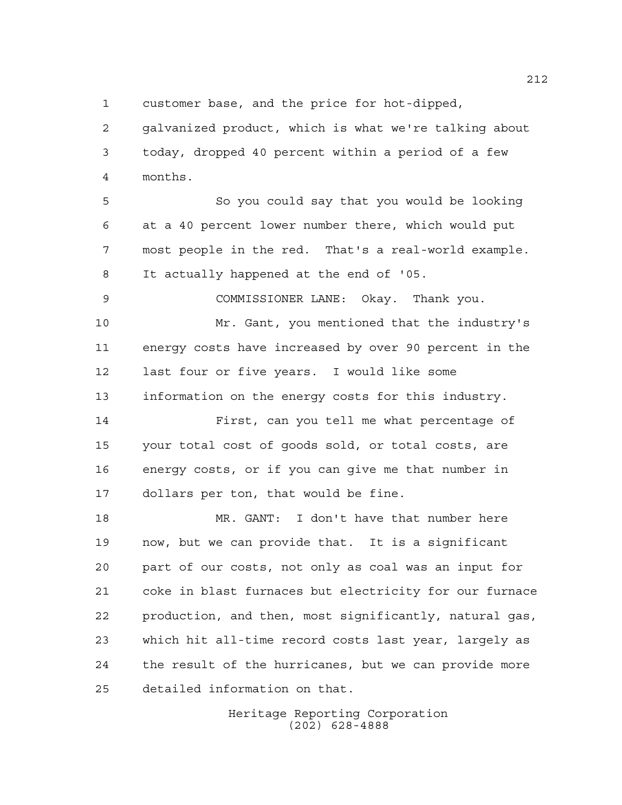customer base, and the price for hot-dipped,

 galvanized product, which is what we're talking about today, dropped 40 percent within a period of a few months.

 So you could say that you would be looking at a 40 percent lower number there, which would put most people in the red. That's a real-world example. It actually happened at the end of '05.

 COMMISSIONER LANE: Okay. Thank you. Mr. Gant, you mentioned that the industry's energy costs have increased by over 90 percent in the last four or five years. I would like some information on the energy costs for this industry.

 First, can you tell me what percentage of your total cost of goods sold, or total costs, are energy costs, or if you can give me that number in dollars per ton, that would be fine.

 MR. GANT: I don't have that number here now, but we can provide that. It is a significant part of our costs, not only as coal was an input for coke in blast furnaces but electricity for our furnace production, and then, most significantly, natural gas, which hit all-time record costs last year, largely as the result of the hurricanes, but we can provide more detailed information on that.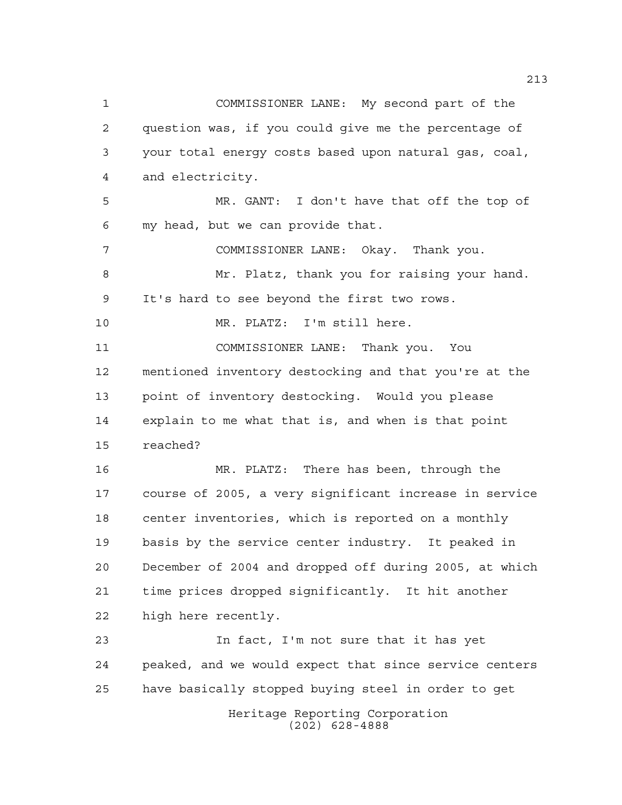COMMISSIONER LANE: My second part of the question was, if you could give me the percentage of your total energy costs based upon natural gas, coal, and electricity. MR. GANT: I don't have that off the top of my head, but we can provide that. COMMISSIONER LANE: Okay. Thank you. Mr. Platz, thank you for raising your hand. It's hard to see beyond the first two rows. MR. PLATZ: I'm still here. COMMISSIONER LANE: Thank you. You mentioned inventory destocking and that you're at the point of inventory destocking. Would you please explain to me what that is, and when is that point reached? MR. PLATZ: There has been, through the course of 2005, a very significant increase in service center inventories, which is reported on a monthly basis by the service center industry. It peaked in December of 2004 and dropped off during 2005, at which time prices dropped significantly. It hit another high here recently. In fact, I'm not sure that it has yet peaked, and we would expect that since service centers have basically stopped buying steel in order to get

> Heritage Reporting Corporation (202) 628-4888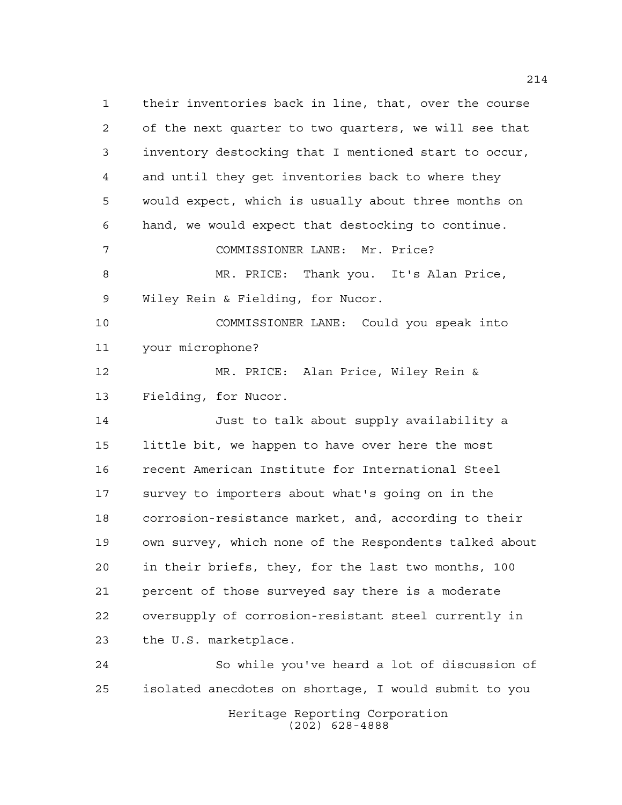their inventories back in line, that, over the course of the next quarter to two quarters, we will see that inventory destocking that I mentioned start to occur, and until they get inventories back to where they would expect, which is usually about three months on hand, we would expect that destocking to continue. COMMISSIONER LANE: Mr. Price? MR. PRICE: Thank you. It's Alan Price, Wiley Rein & Fielding, for Nucor. COMMISSIONER LANE: Could you speak into your microphone? MR. PRICE: Alan Price, Wiley Rein & Fielding, for Nucor. Just to talk about supply availability a little bit, we happen to have over here the most recent American Institute for International Steel survey to importers about what's going on in the corrosion-resistance market, and, according to their own survey, which none of the Respondents talked about in their briefs, they, for the last two months, 100 percent of those surveyed say there is a moderate oversupply of corrosion-resistant steel currently in the U.S. marketplace. So while you've heard a lot of discussion of isolated anecdotes on shortage, I would submit to you

> Heritage Reporting Corporation (202) 628-4888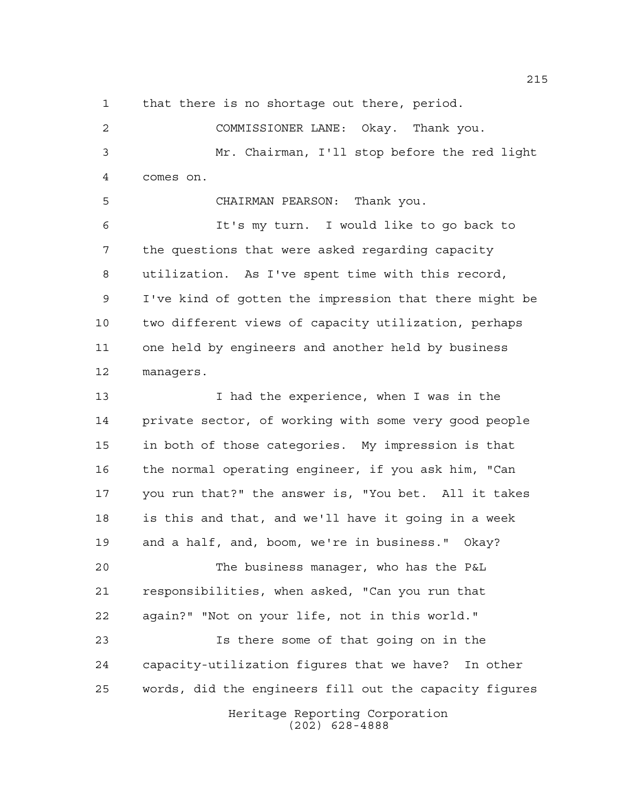that there is no shortage out there, period.

 COMMISSIONER LANE: Okay. Thank you. Mr. Chairman, I'll stop before the red light comes on.

CHAIRMAN PEARSON: Thank you.

 It's my turn. I would like to go back to the questions that were asked regarding capacity utilization. As I've spent time with this record, I've kind of gotten the impression that there might be two different views of capacity utilization, perhaps one held by engineers and another held by business managers.

13 13 I had the experience, when I was in the private sector, of working with some very good people in both of those categories. My impression is that the normal operating engineer, if you ask him, "Can you run that?" the answer is, "You bet. All it takes is this and that, and we'll have it going in a week and a half, and, boom, we're in business." Okay?

 The business manager, who has the P&L responsibilities, when asked, "Can you run that again?" "Not on your life, not in this world."

Heritage Reporting Corporation (202) 628-4888 Is there some of that going on in the capacity-utilization figures that we have? In other words, did the engineers fill out the capacity figures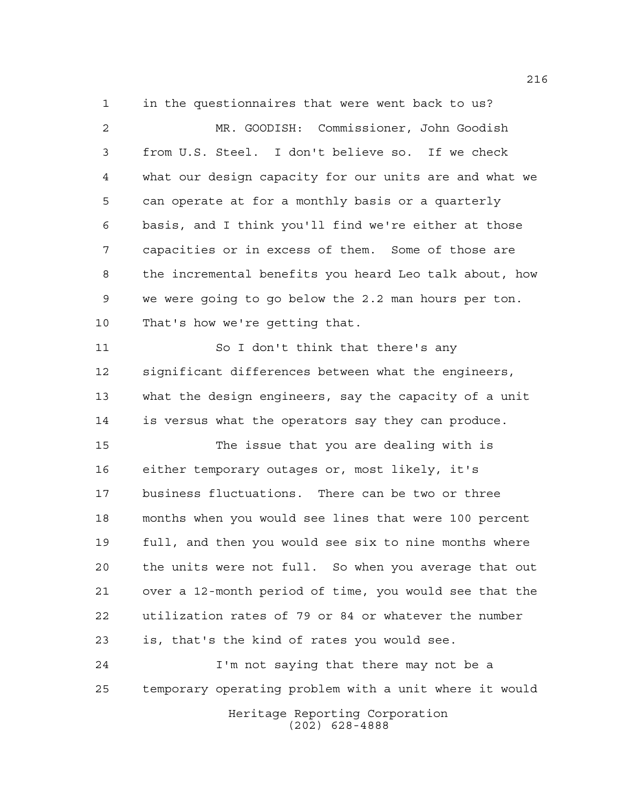in the questionnaires that were went back to us?

 MR. GOODISH: Commissioner, John Goodish from U.S. Steel. I don't believe so. If we check what our design capacity for our units are and what we can operate at for a monthly basis or a quarterly basis, and I think you'll find we're either at those capacities or in excess of them. Some of those are the incremental benefits you heard Leo talk about, how we were going to go below the 2.2 man hours per ton. That's how we're getting that. So I don't think that there's any significant differences between what the engineers, what the design engineers, say the capacity of a unit is versus what the operators say they can produce. The issue that you are dealing with is either temporary outages or, most likely, it's business fluctuations. There can be two or three months when you would see lines that were 100 percent full, and then you would see six to nine months where the units were not full. So when you average that out over a 12-month period of time, you would see that the utilization rates of 79 or 84 or whatever the number is, that's the kind of rates you would see. I'm not saying that there may not be a

temporary operating problem with a unit where it would

Heritage Reporting Corporation (202) 628-4888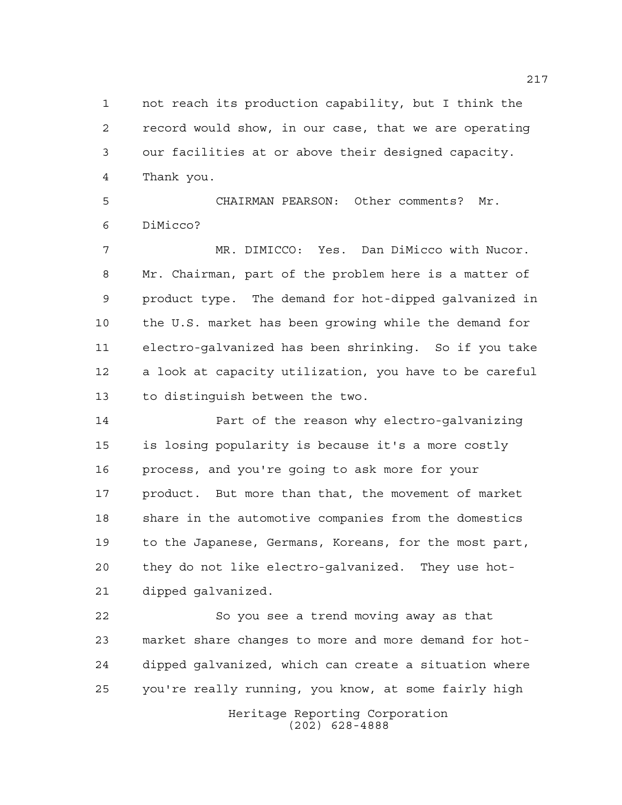not reach its production capability, but I think the record would show, in our case, that we are operating our facilities at or above their designed capacity. Thank you.

 CHAIRMAN PEARSON: Other comments? Mr. DiMicco?

 MR. DIMICCO: Yes. Dan DiMicco with Nucor. Mr. Chairman, part of the problem here is a matter of product type. The demand for hot-dipped galvanized in the U.S. market has been growing while the demand for electro-galvanized has been shrinking. So if you take a look at capacity utilization, you have to be careful to distinguish between the two.

 Part of the reason why electro-galvanizing is losing popularity is because it's a more costly process, and you're going to ask more for your product. But more than that, the movement of market share in the automotive companies from the domestics to the Japanese, Germans, Koreans, for the most part, they do not like electro-galvanized. They use hot-dipped galvanized.

 So you see a trend moving away as that market share changes to more and more demand for hot- dipped galvanized, which can create a situation where you're really running, you know, at some fairly high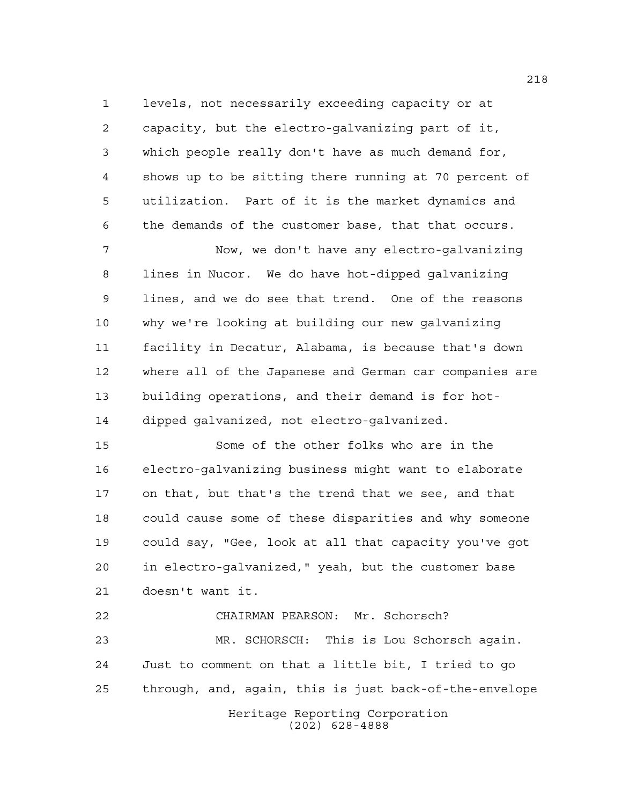levels, not necessarily exceeding capacity or at capacity, but the electro-galvanizing part of it, which people really don't have as much demand for, shows up to be sitting there running at 70 percent of utilization. Part of it is the market dynamics and the demands of the customer base, that that occurs.

 Now, we don't have any electro-galvanizing lines in Nucor. We do have hot-dipped galvanizing lines, and we do see that trend. One of the reasons why we're looking at building our new galvanizing facility in Decatur, Alabama, is because that's down where all of the Japanese and German car companies are building operations, and their demand is for hot-dipped galvanized, not electro-galvanized.

 Some of the other folks who are in the electro-galvanizing business might want to elaborate on that, but that's the trend that we see, and that could cause some of these disparities and why someone could say, "Gee, look at all that capacity you've got in electro-galvanized," yeah, but the customer base doesn't want it.

Heritage Reporting Corporation CHAIRMAN PEARSON: Mr. Schorsch? MR. SCHORSCH: This is Lou Schorsch again. Just to comment on that a little bit, I tried to go through, and, again, this is just back-of-the-envelope

(202) 628-4888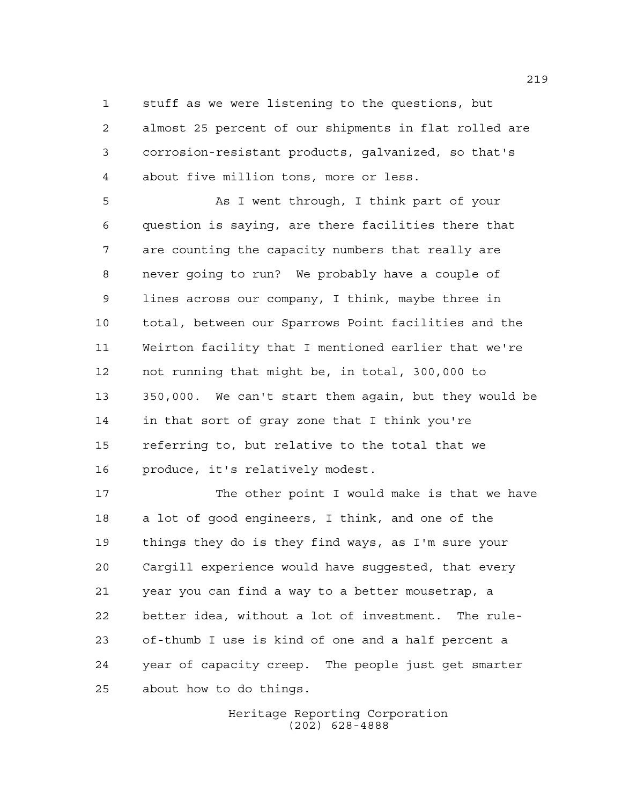stuff as we were listening to the questions, but almost 25 percent of our shipments in flat rolled are

 corrosion-resistant products, galvanized, so that's about five million tons, more or less. As I went through, I think part of your

 question is saying, are there facilities there that are counting the capacity numbers that really are never going to run? We probably have a couple of lines across our company, I think, maybe three in total, between our Sparrows Point facilities and the Weirton facility that I mentioned earlier that we're not running that might be, in total, 300,000 to 350,000. We can't start them again, but they would be in that sort of gray zone that I think you're referring to, but relative to the total that we produce, it's relatively modest.

17 The other point I would make is that we have a lot of good engineers, I think, and one of the things they do is they find ways, as I'm sure your Cargill experience would have suggested, that every year you can find a way to a better mousetrap, a better idea, without a lot of investment. The rule- of-thumb I use is kind of one and a half percent a year of capacity creep. The people just get smarter about how to do things.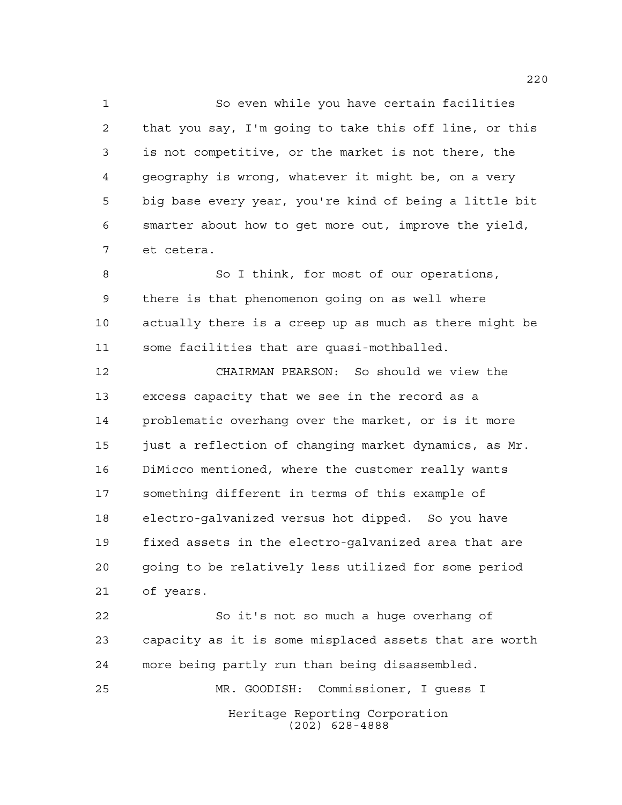So even while you have certain facilities that you say, I'm going to take this off line, or this is not competitive, or the market is not there, the geography is wrong, whatever it might be, on a very big base every year, you're kind of being a little bit smarter about how to get more out, improve the yield, et cetera.

 So I think, for most of our operations, there is that phenomenon going on as well where actually there is a creep up as much as there might be some facilities that are quasi-mothballed.

 CHAIRMAN PEARSON: So should we view the excess capacity that we see in the record as a problematic overhang over the market, or is it more 15 just a reflection of changing market dynamics, as Mr. DiMicco mentioned, where the customer really wants something different in terms of this example of electro-galvanized versus hot dipped. So you have fixed assets in the electro-galvanized area that are going to be relatively less utilized for some period of years.

Heritage Reporting Corporation (202) 628-4888 So it's not so much a huge overhang of capacity as it is some misplaced assets that are worth more being partly run than being disassembled. MR. GOODISH: Commissioner, I guess I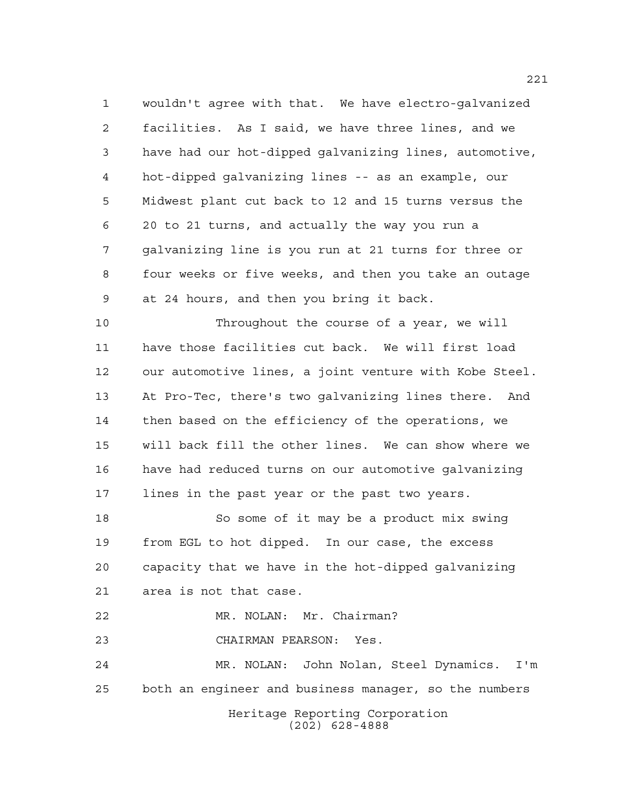wouldn't agree with that. We have electro-galvanized facilities. As I said, we have three lines, and we have had our hot-dipped galvanizing lines, automotive, hot-dipped galvanizing lines -- as an example, our Midwest plant cut back to 12 and 15 turns versus the 20 to 21 turns, and actually the way you run a galvanizing line is you run at 21 turns for three or four weeks or five weeks, and then you take an outage at 24 hours, and then you bring it back.

 Throughout the course of a year, we will have those facilities cut back. We will first load our automotive lines, a joint venture with Kobe Steel. At Pro-Tec, there's two galvanizing lines there. And then based on the efficiency of the operations, we will back fill the other lines. We can show where we have had reduced turns on our automotive galvanizing lines in the past year or the past two years.

 So some of it may be a product mix swing from EGL to hot dipped. In our case, the excess capacity that we have in the hot-dipped galvanizing area is not that case.

MR. NOLAN: Mr. Chairman?

CHAIRMAN PEARSON: Yes.

Heritage Reporting Corporation MR. NOLAN: John Nolan, Steel Dynamics. I'm both an engineer and business manager, so the numbers

(202) 628-4888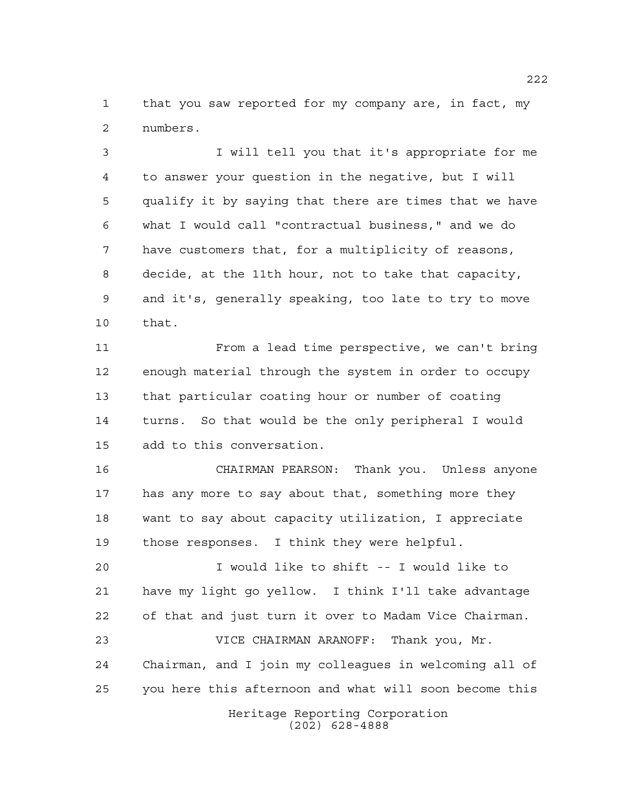that you saw reported for my company are, in fact, my numbers.

 I will tell you that it's appropriate for me to answer your question in the negative, but I will qualify it by saying that there are times that we have what I would call "contractual business," and we do have customers that, for a multiplicity of reasons, decide, at the 11th hour, not to take that capacity, and it's, generally speaking, too late to try to move that.

 From a lead time perspective, we can't bring enough material through the system in order to occupy that particular coating hour or number of coating turns. So that would be the only peripheral I would add to this conversation.

 CHAIRMAN PEARSON: Thank you. Unless anyone has any more to say about that, something more they want to say about capacity utilization, I appreciate those responses. I think they were helpful.

 I would like to shift -- I would like to have my light go yellow. I think I'll take advantage of that and just turn it over to Madam Vice Chairman. VICE CHAIRMAN ARANOFF: Thank you, Mr. Chairman, and I join my colleagues in welcoming all of you here this afternoon and what will soon become this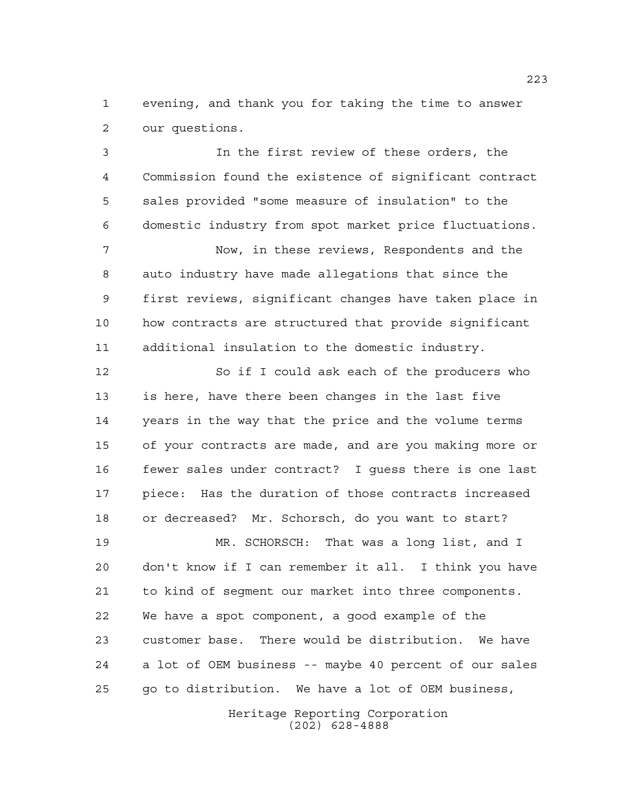evening, and thank you for taking the time to answer our questions.

 In the first review of these orders, the Commission found the existence of significant contract sales provided "some measure of insulation" to the domestic industry from spot market price fluctuations.

 Now, in these reviews, Respondents and the auto industry have made allegations that since the first reviews, significant changes have taken place in how contracts are structured that provide significant additional insulation to the domestic industry.

 So if I could ask each of the producers who is here, have there been changes in the last five years in the way that the price and the volume terms of your contracts are made, and are you making more or fewer sales under contract? I guess there is one last piece: Has the duration of those contracts increased or decreased? Mr. Schorsch, do you want to start?

 MR. SCHORSCH: That was a long list, and I don't know if I can remember it all. I think you have to kind of segment our market into three components. We have a spot component, a good example of the customer base. There would be distribution. We have a lot of OEM business -- maybe 40 percent of our sales go to distribution. We have a lot of OEM business,

> Heritage Reporting Corporation (202) 628-4888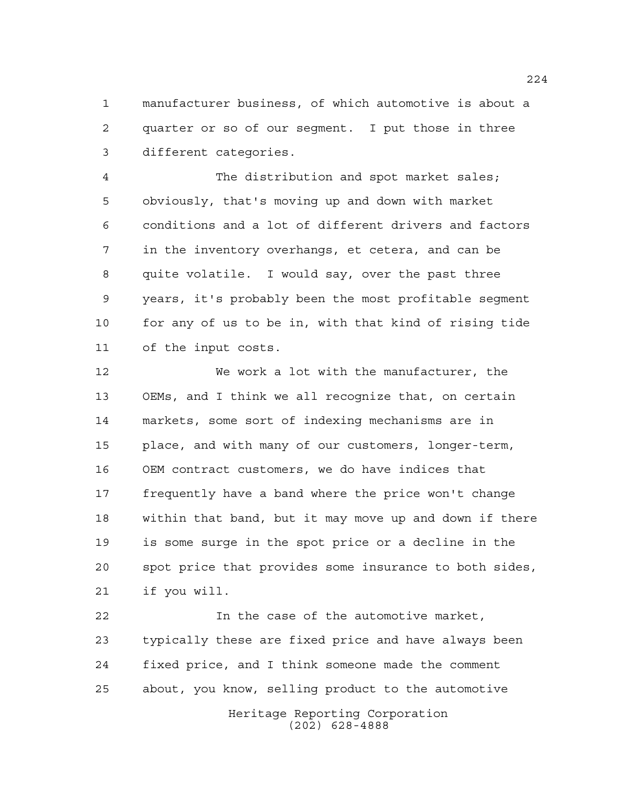manufacturer business, of which automotive is about a quarter or so of our segment. I put those in three different categories.

 The distribution and spot market sales; obviously, that's moving up and down with market conditions and a lot of different drivers and factors in the inventory overhangs, et cetera, and can be quite volatile. I would say, over the past three years, it's probably been the most profitable segment for any of us to be in, with that kind of rising tide of the input costs.

 We work a lot with the manufacturer, the OEMs, and I think we all recognize that, on certain markets, some sort of indexing mechanisms are in place, and with many of our customers, longer-term, OEM contract customers, we do have indices that frequently have a band where the price won't change within that band, but it may move up and down if there is some surge in the spot price or a decline in the spot price that provides some insurance to both sides, if you will.

 In the case of the automotive market, typically these are fixed price and have always been fixed price, and I think someone made the comment about, you know, selling product to the automotive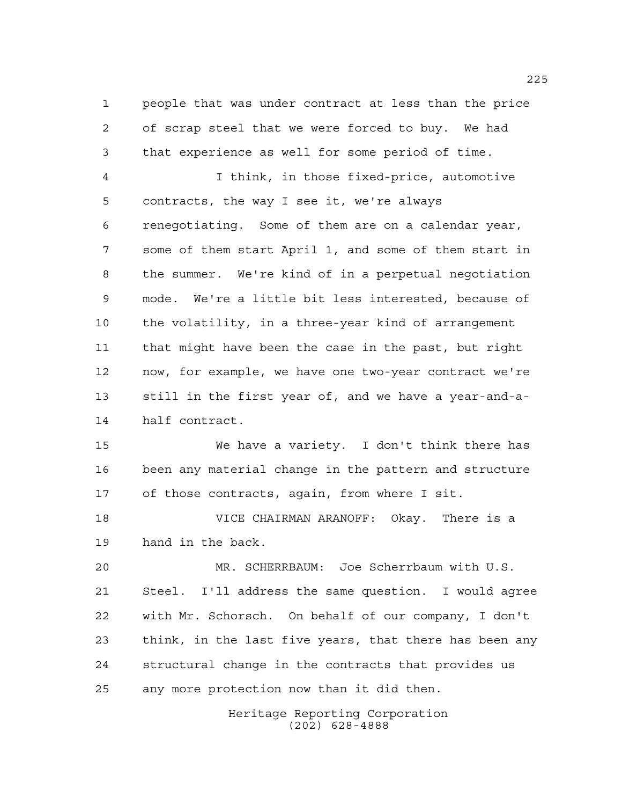people that was under contract at less than the price of scrap steel that we were forced to buy. We had that experience as well for some period of time.

 I think, in those fixed-price, automotive contracts, the way I see it, we're always renegotiating. Some of them are on a calendar year, some of them start April 1, and some of them start in the summer. We're kind of in a perpetual negotiation mode. We're a little bit less interested, because of the volatility, in a three-year kind of arrangement that might have been the case in the past, but right now, for example, we have one two-year contract we're still in the first year of, and we have a year-and-a-half contract.

 We have a variety. I don't think there has been any material change in the pattern and structure of those contracts, again, from where I sit.

 VICE CHAIRMAN ARANOFF: Okay. There is a hand in the back.

 MR. SCHERRBAUM: Joe Scherrbaum with U.S. Steel. I'll address the same question. I would agree with Mr. Schorsch. On behalf of our company, I don't think, in the last five years, that there has been any structural change in the contracts that provides us any more protection now than it did then.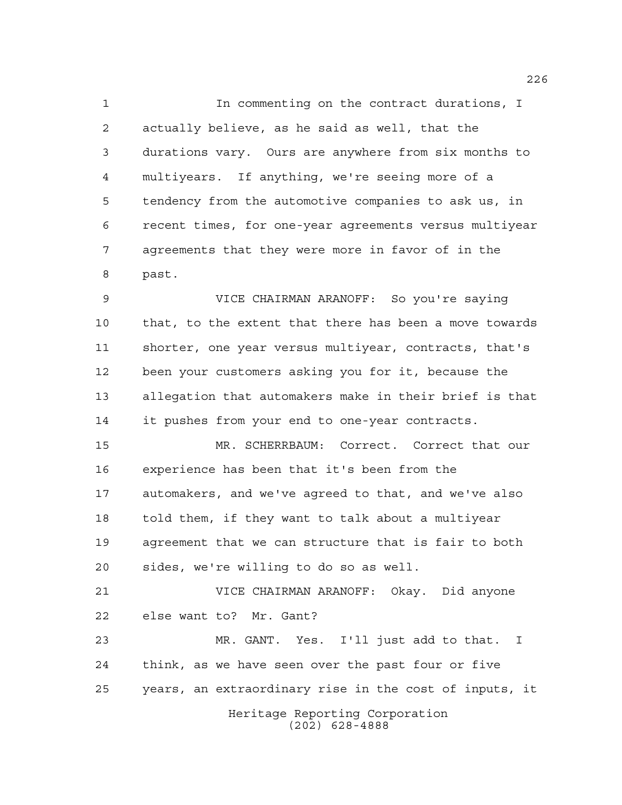In commenting on the contract durations, I actually believe, as he said as well, that the durations vary. Ours are anywhere from six months to multiyears. If anything, we're seeing more of a tendency from the automotive companies to ask us, in recent times, for one-year agreements versus multiyear agreements that they were more in favor of in the past.

 VICE CHAIRMAN ARANOFF: So you're saying that, to the extent that there has been a move towards shorter, one year versus multiyear, contracts, that's been your customers asking you for it, because the allegation that automakers make in their brief is that it pushes from your end to one-year contracts.

 MR. SCHERRBAUM: Correct. Correct that our experience has been that it's been from the automakers, and we've agreed to that, and we've also told them, if they want to talk about a multiyear agreement that we can structure that is fair to both sides, we're willing to do so as well.

 VICE CHAIRMAN ARANOFF: Okay. Did anyone else want to? Mr. Gant?

Heritage Reporting Corporation MR. GANT. Yes. I'll just add to that. I think, as we have seen over the past four or five years, an extraordinary rise in the cost of inputs, it

(202) 628-4888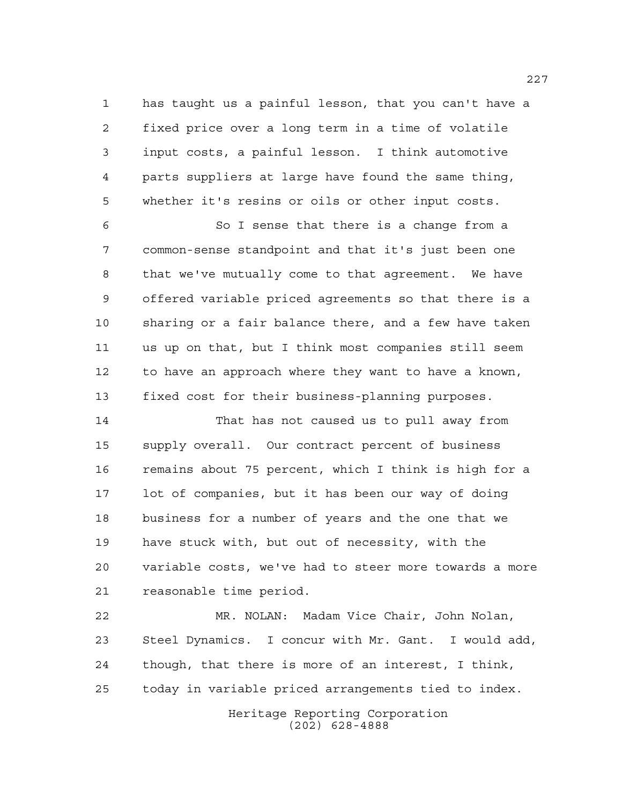has taught us a painful lesson, that you can't have a fixed price over a long term in a time of volatile input costs, a painful lesson. I think automotive parts suppliers at large have found the same thing, whether it's resins or oils or other input costs.

 So I sense that there is a change from a common-sense standpoint and that it's just been one that we've mutually come to that agreement. We have offered variable priced agreements so that there is a sharing or a fair balance there, and a few have taken us up on that, but I think most companies still seem to have an approach where they want to have a known, fixed cost for their business-planning purposes.

 That has not caused us to pull away from supply overall. Our contract percent of business remains about 75 percent, which I think is high for a lot of companies, but it has been our way of doing business for a number of years and the one that we have stuck with, but out of necessity, with the variable costs, we've had to steer more towards a more reasonable time period.

 MR. NOLAN: Madam Vice Chair, John Nolan, Steel Dynamics. I concur with Mr. Gant. I would add, though, that there is more of an interest, I think, today in variable priced arrangements tied to index.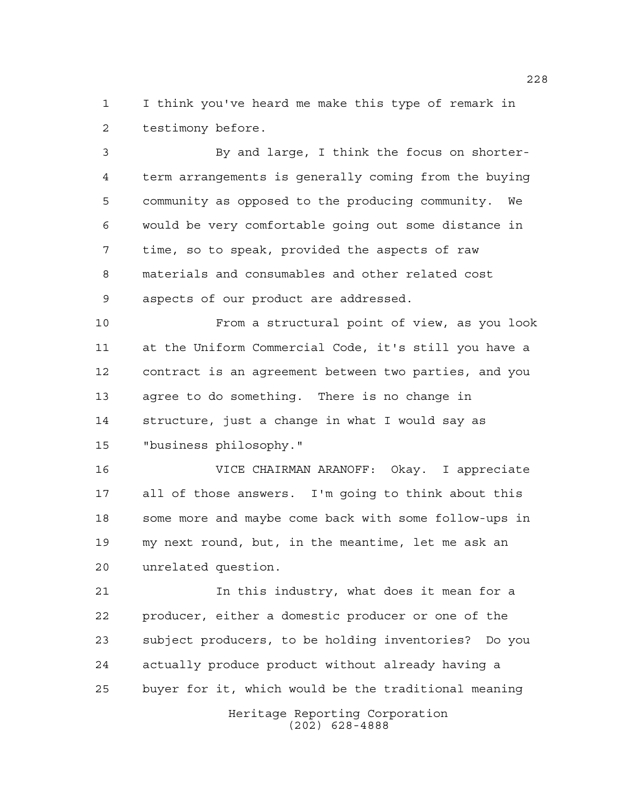I think you've heard me make this type of remark in testimony before.

 By and large, I think the focus on shorter- term arrangements is generally coming from the buying community as opposed to the producing community. We would be very comfortable going out some distance in time, so to speak, provided the aspects of raw materials and consumables and other related cost aspects of our product are addressed.

 From a structural point of view, as you look at the Uniform Commercial Code, it's still you have a contract is an agreement between two parties, and you agree to do something. There is no change in structure, just a change in what I would say as "business philosophy."

 VICE CHAIRMAN ARANOFF: Okay. I appreciate all of those answers. I'm going to think about this some more and maybe come back with some follow-ups in my next round, but, in the meantime, let me ask an unrelated question.

 In this industry, what does it mean for a producer, either a domestic producer or one of the subject producers, to be holding inventories? Do you actually produce product without already having a buyer for it, which would be the traditional meaning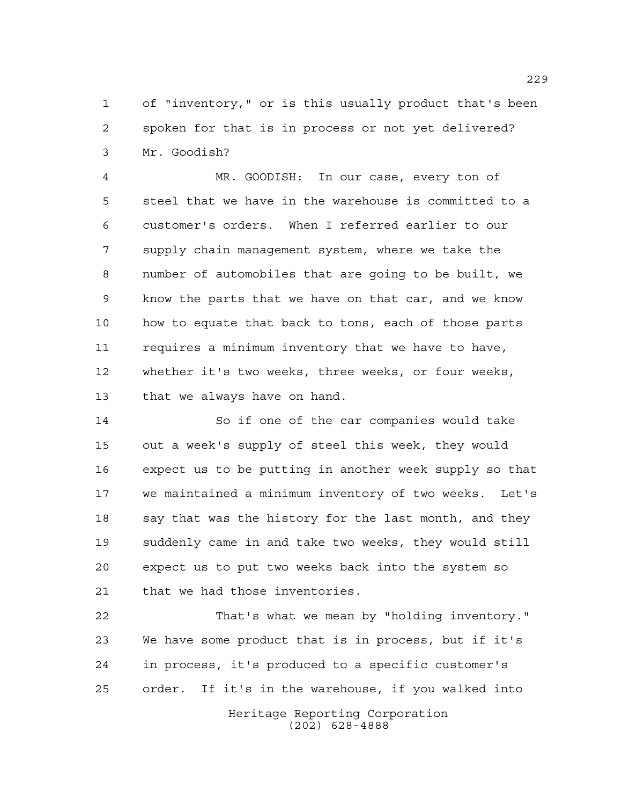of "inventory," or is this usually product that's been spoken for that is in process or not yet delivered? Mr. Goodish?

 MR. GOODISH: In our case, every ton of steel that we have in the warehouse is committed to a customer's orders. When I referred earlier to our supply chain management system, where we take the number of automobiles that are going to be built, we know the parts that we have on that car, and we know how to equate that back to tons, each of those parts requires a minimum inventory that we have to have, whether it's two weeks, three weeks, or four weeks, that we always have on hand.

 So if one of the car companies would take out a week's supply of steel this week, they would expect us to be putting in another week supply so that we maintained a minimum inventory of two weeks. Let's 18 say that was the history for the last month, and they suddenly came in and take two weeks, they would still expect us to put two weeks back into the system so that we had those inventories.

 That's what we mean by "holding inventory." We have some product that is in process, but if it's in process, it's produced to a specific customer's order. If it's in the warehouse, if you walked into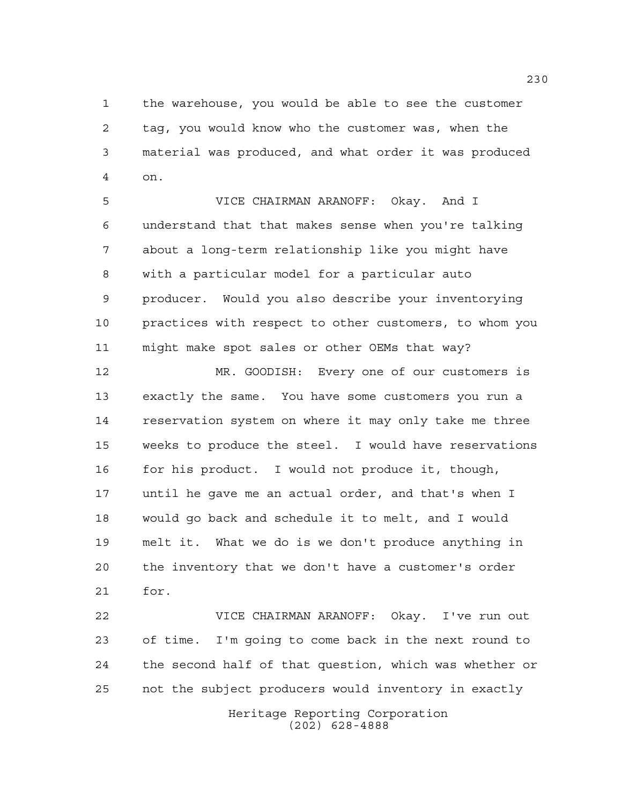the warehouse, you would be able to see the customer tag, you would know who the customer was, when the material was produced, and what order it was produced on.

 VICE CHAIRMAN ARANOFF: Okay. And I understand that that makes sense when you're talking about a long-term relationship like you might have with a particular model for a particular auto producer. Would you also describe your inventorying practices with respect to other customers, to whom you might make spot sales or other OEMs that way?

 MR. GOODISH: Every one of our customers is exactly the same. You have some customers you run a reservation system on where it may only take me three weeks to produce the steel. I would have reservations 16 for his product. I would not produce it, though, until he gave me an actual order, and that's when I would go back and schedule it to melt, and I would melt it. What we do is we don't produce anything in the inventory that we don't have a customer's order for.

 VICE CHAIRMAN ARANOFF: Okay. I've run out of time. I'm going to come back in the next round to the second half of that question, which was whether or not the subject producers would inventory in exactly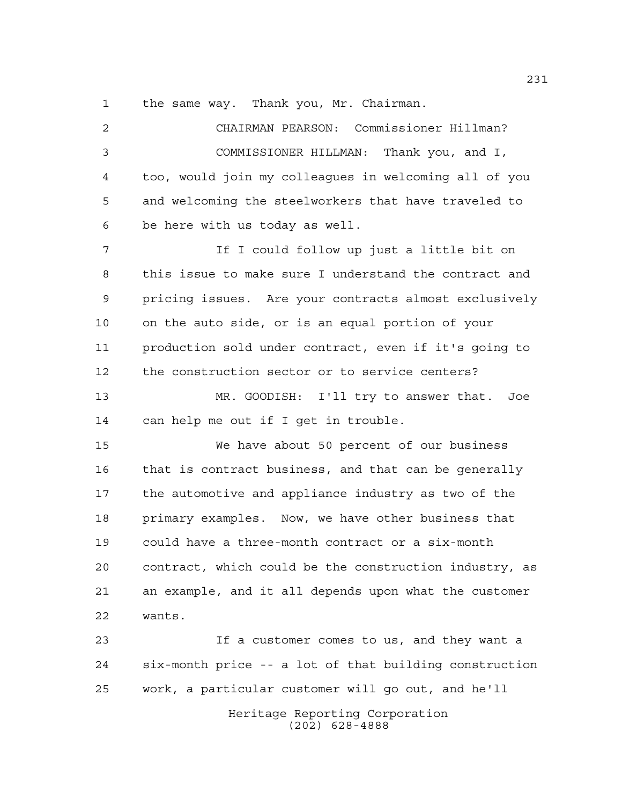the same way. Thank you, Mr. Chairman.

 CHAIRMAN PEARSON: Commissioner Hillman? COMMISSIONER HILLMAN: Thank you, and I, too, would join my colleagues in welcoming all of you and welcoming the steelworkers that have traveled to be here with us today as well. 7 The I could follow up just a little bit on this issue to make sure I understand the contract and pricing issues. Are your contracts almost exclusively on the auto side, or is an equal portion of your production sold under contract, even if it's going to the construction sector or to service centers? MR. GOODISH: I'll try to answer that. Joe can help me out if I get in trouble. We have about 50 percent of our business that is contract business, and that can be generally the automotive and appliance industry as two of the primary examples. Now, we have other business that could have a three-month contract or a six-month contract, which could be the construction industry, as an example, and it all depends upon what the customer wants. If a customer comes to us, and they want a six-month price -- a lot of that building construction work, a particular customer will go out, and he'll

> Heritage Reporting Corporation (202) 628-4888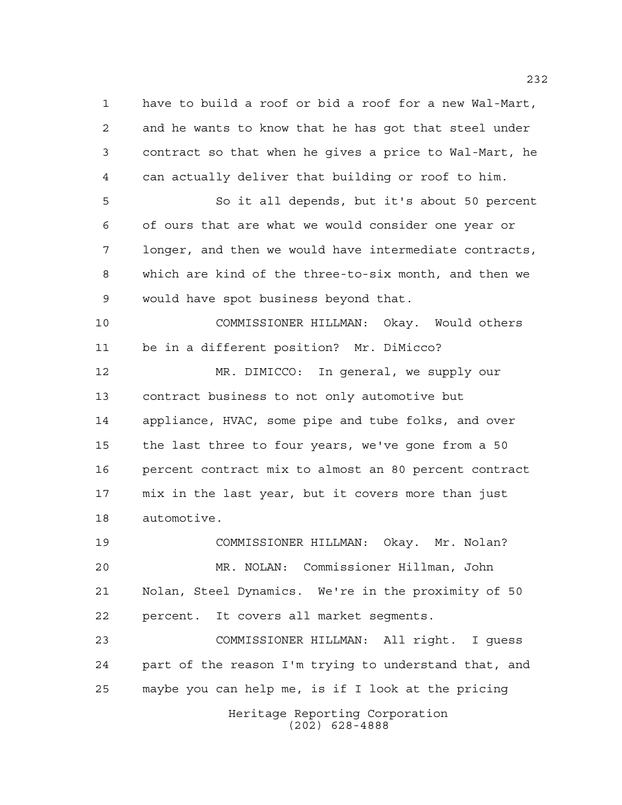have to build a roof or bid a roof for a new Wal-Mart, and he wants to know that he has got that steel under contract so that when he gives a price to Wal-Mart, he can actually deliver that building or roof to him. So it all depends, but it's about 50 percent of ours that are what we would consider one year or longer, and then we would have intermediate contracts, which are kind of the three-to-six month, and then we would have spot business beyond that. COMMISSIONER HILLMAN: Okay. Would others be in a different position? Mr. DiMicco? MR. DIMICCO: In general, we supply our contract business to not only automotive but appliance, HVAC, some pipe and tube folks, and over the last three to four years, we've gone from a 50 percent contract mix to almost an 80 percent contract mix in the last year, but it covers more than just automotive. COMMISSIONER HILLMAN: Okay. Mr. Nolan? MR. NOLAN: Commissioner Hillman, John Nolan, Steel Dynamics. We're in the proximity of 50 percent. It covers all market segments.

 COMMISSIONER HILLMAN: All right. I guess part of the reason I'm trying to understand that, and maybe you can help me, is if I look at the pricing

Heritage Reporting Corporation (202) 628-4888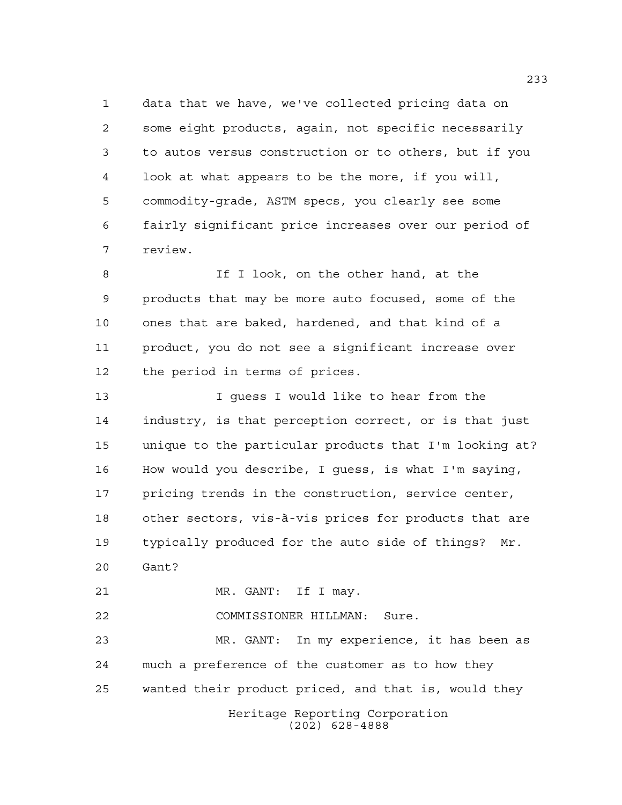data that we have, we've collected pricing data on some eight products, again, not specific necessarily to autos versus construction or to others, but if you look at what appears to be the more, if you will, commodity-grade, ASTM specs, you clearly see some fairly significant price increases over our period of review.

8 If I look, on the other hand, at the products that may be more auto focused, some of the ones that are baked, hardened, and that kind of a product, you do not see a significant increase over the period in terms of prices.

 I guess I would like to hear from the industry, is that perception correct, or is that just unique to the particular products that I'm looking at? How would you describe, I guess, is what I'm saying, pricing trends in the construction, service center, other sectors, vis-à-vis prices for products that are typically produced for the auto side of things? Mr. Gant?

21 MR. GANT: If I may.

COMMISSIONER HILLMAN: Sure.

Heritage Reporting Corporation (202) 628-4888 MR. GANT: In my experience, it has been as much a preference of the customer as to how they wanted their product priced, and that is, would they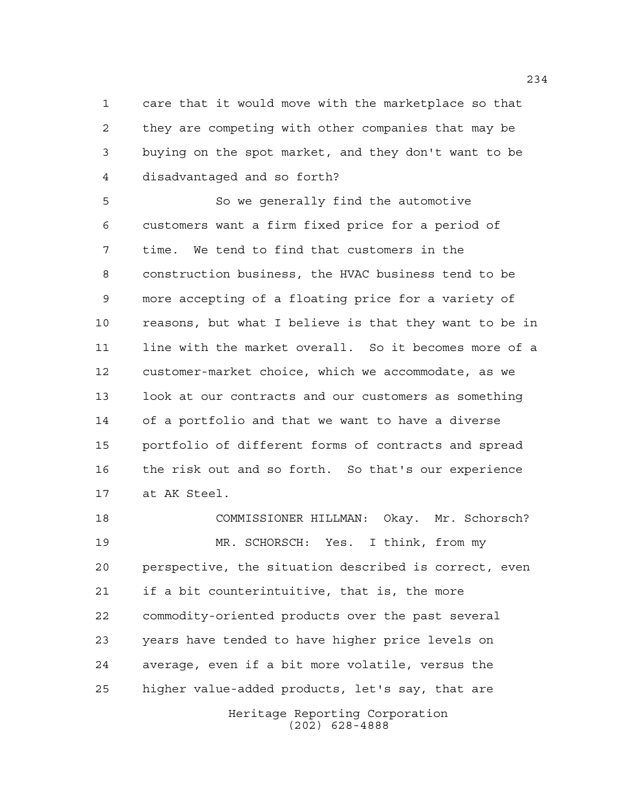care that it would move with the marketplace so that they are competing with other companies that may be buying on the spot market, and they don't want to be disadvantaged and so forth?

 So we generally find the automotive customers want a firm fixed price for a period of time. We tend to find that customers in the construction business, the HVAC business tend to be more accepting of a floating price for a variety of reasons, but what I believe is that they want to be in line with the market overall. So it becomes more of a customer-market choice, which we accommodate, as we look at our contracts and our customers as something of a portfolio and that we want to have a diverse portfolio of different forms of contracts and spread the risk out and so forth. So that's our experience at AK Steel.

Heritage Reporting Corporation (202) 628-4888 COMMISSIONER HILLMAN: Okay. Mr. Schorsch? MR. SCHORSCH: Yes. I think, from my perspective, the situation described is correct, even if a bit counterintuitive, that is, the more commodity-oriented products over the past several years have tended to have higher price levels on average, even if a bit more volatile, versus the higher value-added products, let's say, that are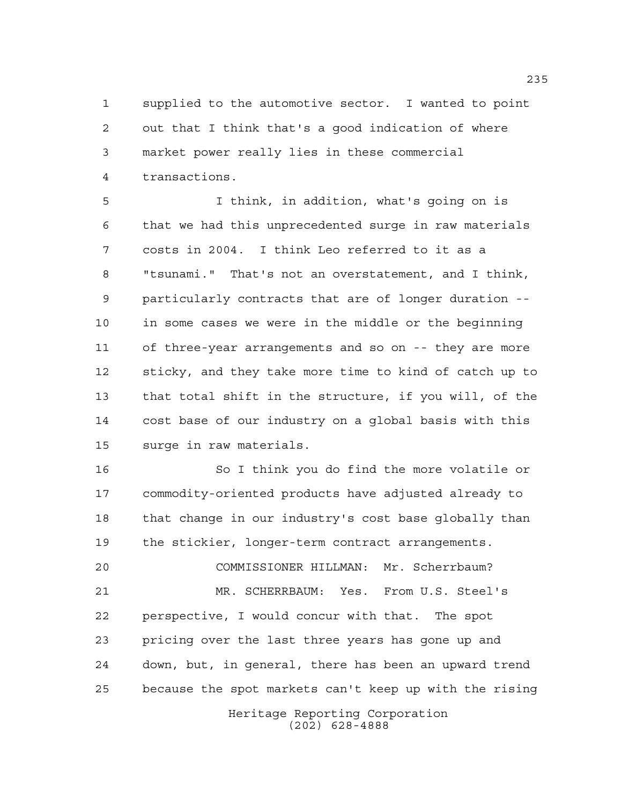supplied to the automotive sector. I wanted to point out that I think that's a good indication of where market power really lies in these commercial transactions.

 I think, in addition, what's going on is that we had this unprecedented surge in raw materials costs in 2004. I think Leo referred to it as a "tsunami." That's not an overstatement, and I think, particularly contracts that are of longer duration -- in some cases we were in the middle or the beginning of three-year arrangements and so on -- they are more sticky, and they take more time to kind of catch up to that total shift in the structure, if you will, of the cost base of our industry on a global basis with this surge in raw materials.

 So I think you do find the more volatile or commodity-oriented products have adjusted already to that change in our industry's cost base globally than the stickier, longer-term contract arrangements.

 COMMISSIONER HILLMAN: Mr. Scherrbaum? MR. SCHERRBAUM: Yes. From U.S. Steel's perspective, I would concur with that. The spot pricing over the last three years has gone up and down, but, in general, there has been an upward trend because the spot markets can't keep up with the rising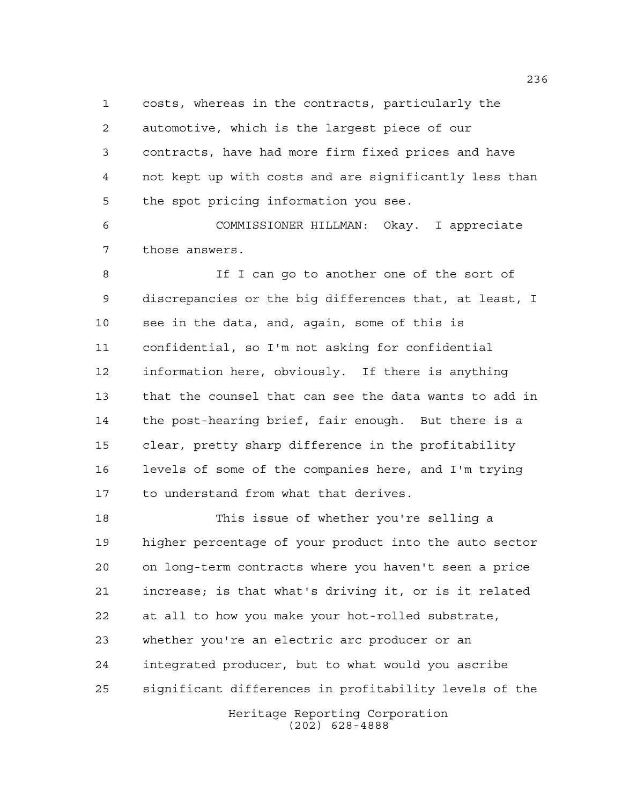costs, whereas in the contracts, particularly the automotive, which is the largest piece of our contracts, have had more firm fixed prices and have not kept up with costs and are significantly less than the spot pricing information you see.

 COMMISSIONER HILLMAN: Okay. I appreciate those answers.

8 If I can go to another one of the sort of discrepancies or the big differences that, at least, I see in the data, and, again, some of this is confidential, so I'm not asking for confidential information here, obviously. If there is anything that the counsel that can see the data wants to add in the post-hearing brief, fair enough. But there is a clear, pretty sharp difference in the profitability levels of some of the companies here, and I'm trying to understand from what that derives.

 This issue of whether you're selling a higher percentage of your product into the auto sector on long-term contracts where you haven't seen a price increase; is that what's driving it, or is it related at all to how you make your hot-rolled substrate, whether you're an electric arc producer or an integrated producer, but to what would you ascribe significant differences in profitability levels of the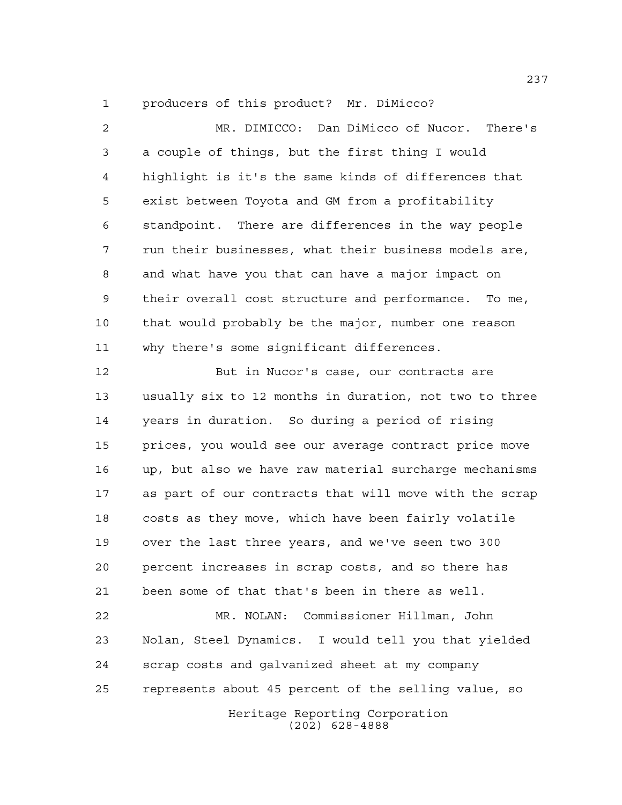producers of this product? Mr. DiMicco?

 MR. DIMICCO: Dan DiMicco of Nucor. There's a couple of things, but the first thing I would highlight is it's the same kinds of differences that exist between Toyota and GM from a profitability standpoint. There are differences in the way people run their businesses, what their business models are, and what have you that can have a major impact on their overall cost structure and performance. To me, that would probably be the major, number one reason why there's some significant differences.

12 But in Nucor's case, our contracts are usually six to 12 months in duration, not two to three years in duration. So during a period of rising prices, you would see our average contract price move up, but also we have raw material surcharge mechanisms as part of our contracts that will move with the scrap costs as they move, which have been fairly volatile over the last three years, and we've seen two 300 percent increases in scrap costs, and so there has been some of that that's been in there as well. MR. NOLAN: Commissioner Hillman, John Nolan, Steel Dynamics. I would tell you that yielded

 scrap costs and galvanized sheet at my company represents about 45 percent of the selling value, so

> Heritage Reporting Corporation (202) 628-4888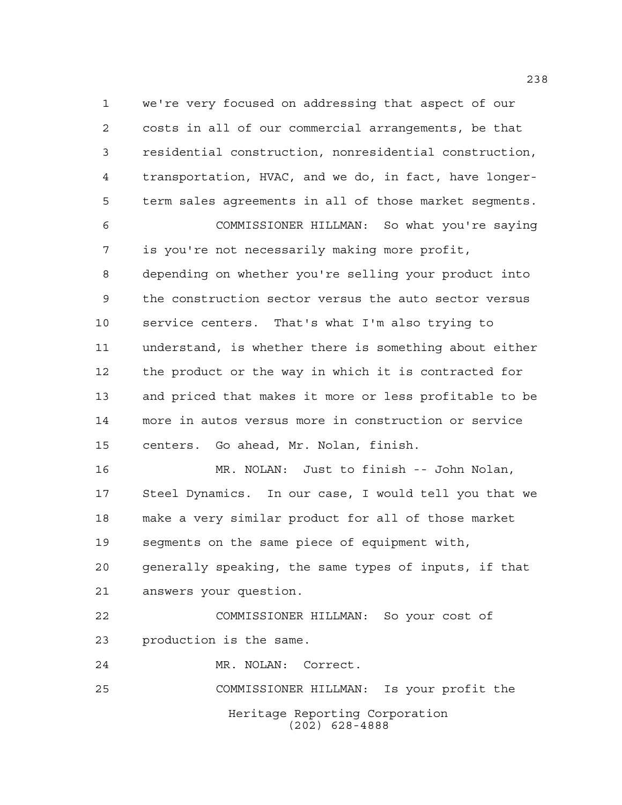we're very focused on addressing that aspect of our costs in all of our commercial arrangements, be that residential construction, nonresidential construction, transportation, HVAC, and we do, in fact, have longer- term sales agreements in all of those market segments. COMMISSIONER HILLMAN: So what you're saying is you're not necessarily making more profit, depending on whether you're selling your product into the construction sector versus the auto sector versus service centers. That's what I'm also trying to understand, is whether there is something about either the product or the way in which it is contracted for and priced that makes it more or less profitable to be more in autos versus more in construction or service centers. Go ahead, Mr. Nolan, finish. MR. NOLAN: Just to finish -- John Nolan,

 Steel Dynamics. In our case, I would tell you that we make a very similar product for all of those market segments on the same piece of equipment with, generally speaking, the same types of inputs, if that answers your question.

 COMMISSIONER HILLMAN: So your cost of production is the same.

MR. NOLAN: Correct.

Heritage Reporting Corporation (202) 628-4888 COMMISSIONER HILLMAN: Is your profit the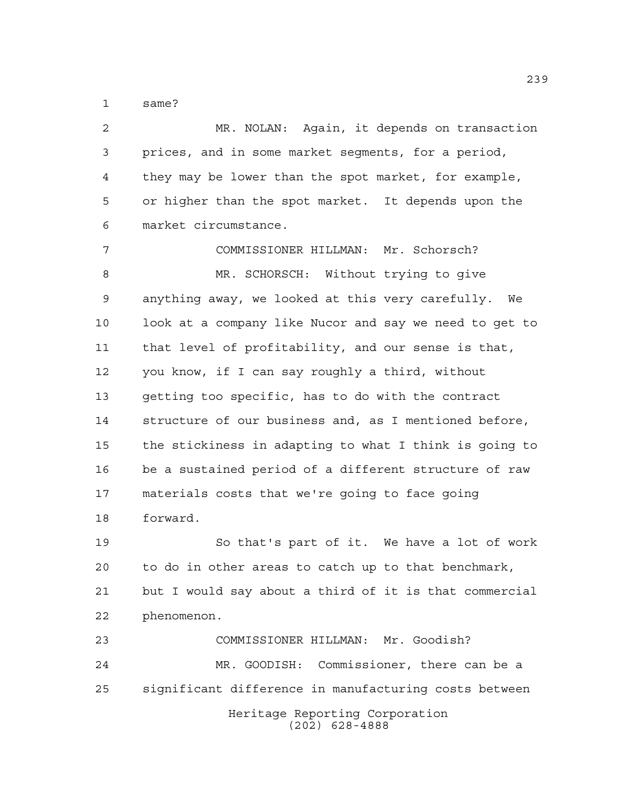same?

 MR. NOLAN: Again, it depends on transaction prices, and in some market segments, for a period, they may be lower than the spot market, for example, or higher than the spot market. It depends upon the market circumstance. COMMISSIONER HILLMAN: Mr. Schorsch? MR. SCHORSCH: Without trying to give anything away, we looked at this very carefully. We look at a company like Nucor and say we need to get to that level of profitability, and our sense is that, you know, if I can say roughly a third, without getting too specific, has to do with the contract structure of our business and, as I mentioned before, the stickiness in adapting to what I think is going to be a sustained period of a different structure of raw materials costs that we're going to face going forward. So that's part of it. We have a lot of work to do in other areas to catch up to that benchmark, but I would say about a third of it is that commercial phenomenon. COMMISSIONER HILLMAN: Mr. Goodish? MR. GOODISH: Commissioner, there can be a significant difference in manufacturing costs between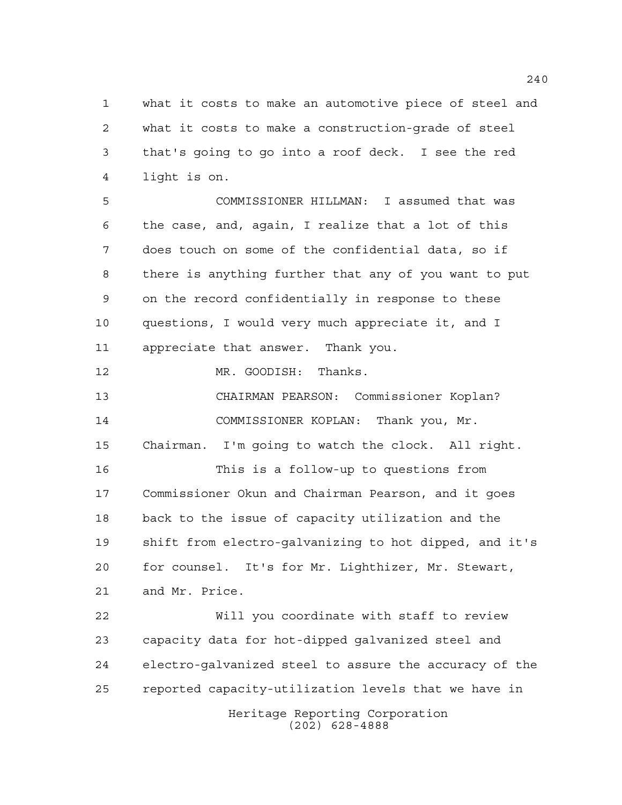what it costs to make an automotive piece of steel and what it costs to make a construction-grade of steel that's going to go into a roof deck. I see the red light is on.

 COMMISSIONER HILLMAN: I assumed that was the case, and, again, I realize that a lot of this does touch on some of the confidential data, so if there is anything further that any of you want to put on the record confidentially in response to these questions, I would very much appreciate it, and I appreciate that answer. Thank you.

MR. GOODISH: Thanks.

 CHAIRMAN PEARSON: Commissioner Koplan? COMMISSIONER KOPLAN: Thank you, Mr.

Chairman. I'm going to watch the clock. All right.

 This is a follow-up to questions from Commissioner Okun and Chairman Pearson, and it goes back to the issue of capacity utilization and the shift from electro-galvanizing to hot dipped, and it's for counsel. It's for Mr. Lighthizer, Mr. Stewart, and Mr. Price.

Heritage Reporting Corporation (202) 628-4888 Will you coordinate with staff to review capacity data for hot-dipped galvanized steel and electro-galvanized steel to assure the accuracy of the reported capacity-utilization levels that we have in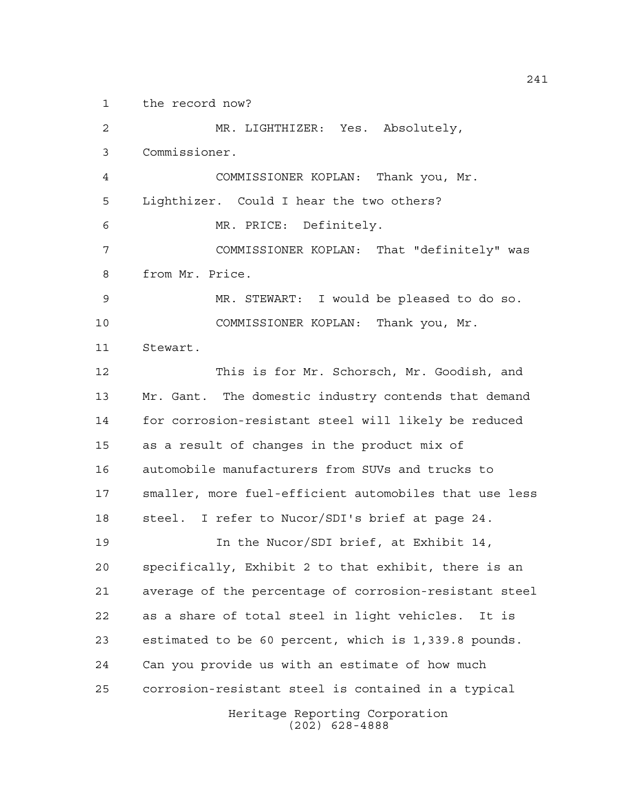the record now?

Heritage Reporting Corporation (202) 628-4888 MR. LIGHTHIZER: Yes. Absolutely, Commissioner. COMMISSIONER KOPLAN: Thank you, Mr. Lighthizer. Could I hear the two others? MR. PRICE: Definitely. COMMISSIONER KOPLAN: That "definitely" was from Mr. Price. MR. STEWART: I would be pleased to do so. COMMISSIONER KOPLAN: Thank you, Mr. Stewart. This is for Mr. Schorsch, Mr. Goodish, and 13 Mr. Gant. The domestic industry contends that demand for corrosion-resistant steel will likely be reduced as a result of changes in the product mix of automobile manufacturers from SUVs and trucks to smaller, more fuel-efficient automobiles that use less steel. I refer to Nucor/SDI's brief at page 24. 19 19 In the Nucor/SDI brief, at Exhibit 14, specifically, Exhibit 2 to that exhibit, there is an average of the percentage of corrosion-resistant steel as a share of total steel in light vehicles. It is estimated to be 60 percent, which is 1,339.8 pounds. Can you provide us with an estimate of how much corrosion-resistant steel is contained in a typical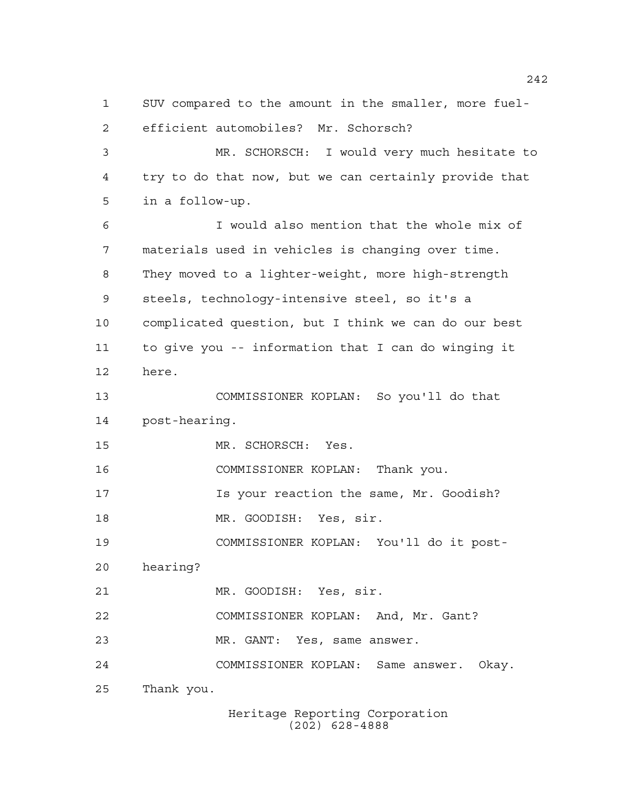SUV compared to the amount in the smaller, more fuel- efficient automobiles? Mr. Schorsch? MR. SCHORSCH: I would very much hesitate to try to do that now, but we can certainly provide that in a follow-up. I would also mention that the whole mix of materials used in vehicles is changing over time. They moved to a lighter-weight, more high-strength steels, technology-intensive steel, so it's a complicated question, but I think we can do our best to give you -- information that I can do winging it here. COMMISSIONER KOPLAN: So you'll do that post-hearing. MR. SCHORSCH: Yes. COMMISSIONER KOPLAN: Thank you. Is your reaction the same, Mr. Goodish? MR. GOODISH: Yes, sir. COMMISSIONER KOPLAN: You'll do it post- hearing? MR. GOODISH: Yes, sir. COMMISSIONER KOPLAN: And, Mr. Gant? MR. GANT: Yes, same answer. COMMISSIONER KOPLAN: Same answer. Okay. Thank you.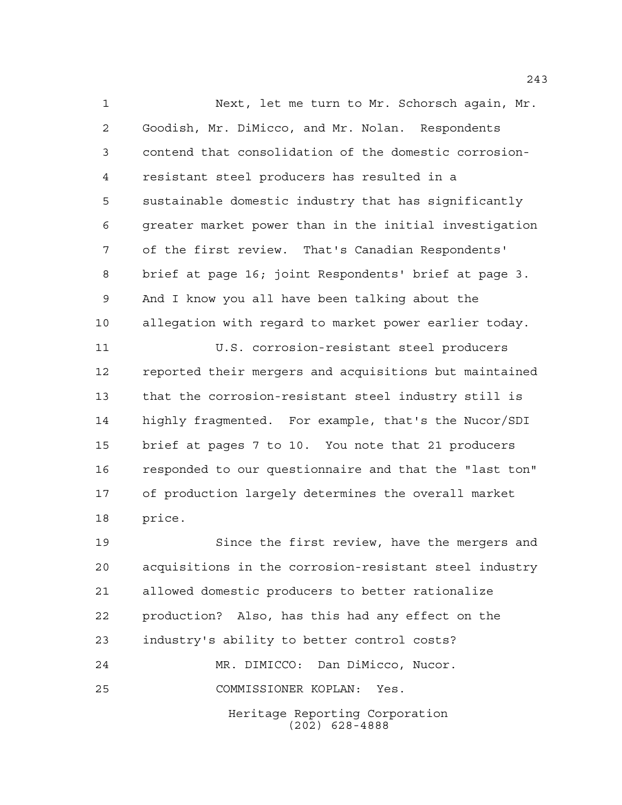Next, let me turn to Mr. Schorsch again, Mr. Goodish, Mr. DiMicco, and Mr. Nolan. Respondents contend that consolidation of the domestic corrosion- resistant steel producers has resulted in a sustainable domestic industry that has significantly greater market power than in the initial investigation of the first review. That's Canadian Respondents' brief at page 16; joint Respondents' brief at page 3. And I know you all have been talking about the allegation with regard to market power earlier today. U.S. corrosion-resistant steel producers reported their mergers and acquisitions but maintained that the corrosion-resistant steel industry still is highly fragmented. For example, that's the Nucor/SDI brief at pages 7 to 10. You note that 21 producers responded to our questionnaire and that the "last ton" of production largely determines the overall market price.

 Since the first review, have the mergers and acquisitions in the corrosion-resistant steel industry allowed domestic producers to better rationalize production? Also, has this had any effect on the industry's ability to better control costs? MR. DIMICCO: Dan DiMicco, Nucor.

COMMISSIONER KOPLAN: Yes.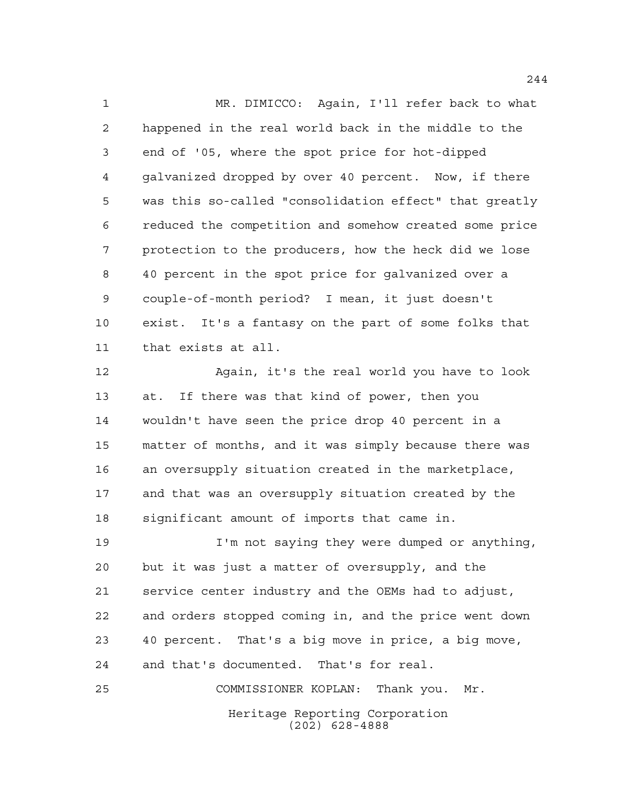MR. DIMICCO: Again, I'll refer back to what happened in the real world back in the middle to the end of '05, where the spot price for hot-dipped galvanized dropped by over 40 percent. Now, if there was this so-called "consolidation effect" that greatly reduced the competition and somehow created some price protection to the producers, how the heck did we lose 40 percent in the spot price for galvanized over a couple-of-month period? I mean, it just doesn't exist. It's a fantasy on the part of some folks that that exists at all.

 Again, it's the real world you have to look at. If there was that kind of power, then you wouldn't have seen the price drop 40 percent in a matter of months, and it was simply because there was an oversupply situation created in the marketplace, and that was an oversupply situation created by the significant amount of imports that came in.

 I'm not saying they were dumped or anything, but it was just a matter of oversupply, and the service center industry and the OEMs had to adjust, and orders stopped coming in, and the price went down 40 percent. That's a big move in price, a big move, and that's documented. That's for real. COMMISSIONER KOPLAN: Thank you. Mr.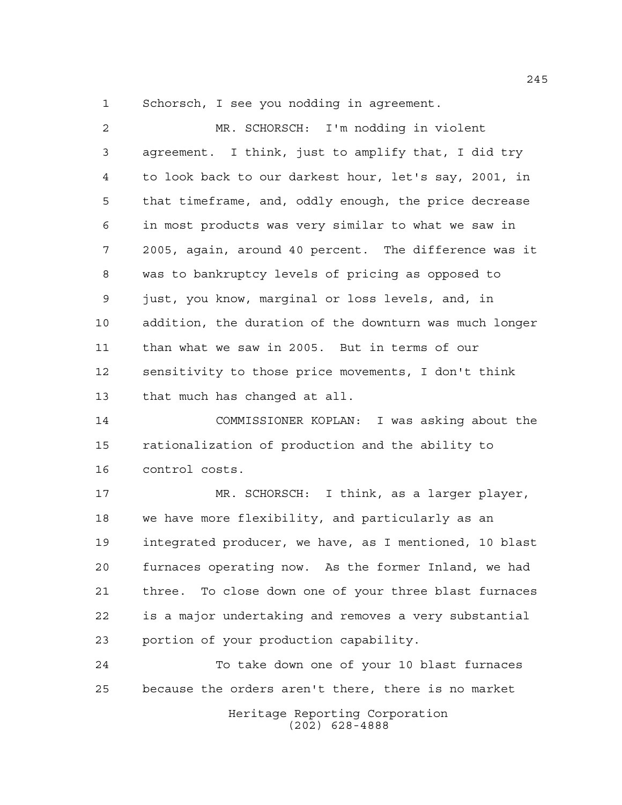Schorsch, I see you nodding in agreement.

| $\overline{a}$ | MR. SCHORSCH: I'm nodding in violent                   |
|----------------|--------------------------------------------------------|
| 3              | agreement. I think, just to amplify that, I did try    |
| 4              | to look back to our darkest hour, let's say, 2001, in  |
| 5              | that timeframe, and, oddly enough, the price decrease  |
| 6              | in most products was very similar to what we saw in    |
| 7              | 2005, again, around 40 percent. The difference was it  |
| 8              | was to bankruptcy levels of pricing as opposed to      |
| 9              | just, you know, marginal or loss levels, and, in       |
| 10             | addition, the duration of the downturn was much longer |
| 11             | than what we saw in 2005. But in terms of our          |
| 12             | sensitivity to those price movements, I don't think    |
| 13             | that much has changed at all.                          |
| 14             | COMMISSIONER KOPLAN: I was asking about the            |
| 15             | rationalization of production and the ability to       |
| 16             | control costs.                                         |
| 17             | MR. SCHORSCH: I think, as a larger player,             |
| 18             | we have more flexibility, and particularly as an       |
| 19             | integrated producer, we have, as I mentioned, 10 blast |
| 20             | furnaces operating now. As the former Inland, we had   |
| 21             | three. To close down one of your three blast furnaces  |
| 22             | is a major undertaking and removes a very substantial  |
| 23             | portion of your production capability.                 |

Heritage Reporting Corporation To take down one of your 10 blast furnaces because the orders aren't there, there is no market

(202) 628-4888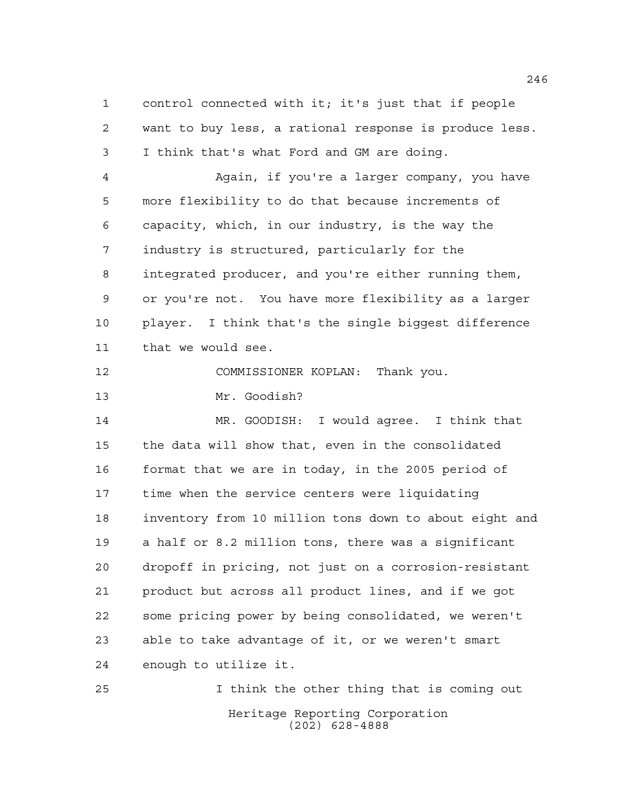control connected with it; it's just that if people want to buy less, a rational response is produce less. I think that's what Ford and GM are doing.

 Again, if you're a larger company, you have more flexibility to do that because increments of capacity, which, in our industry, is the way the industry is structured, particularly for the integrated producer, and you're either running them, or you're not. You have more flexibility as a larger player. I think that's the single biggest difference that we would see.

COMMISSIONER KOPLAN: Thank you.

Mr. Goodish?

 MR. GOODISH: I would agree. I think that the data will show that, even in the consolidated format that we are in today, in the 2005 period of time when the service centers were liquidating inventory from 10 million tons down to about eight and a half or 8.2 million tons, there was a significant dropoff in pricing, not just on a corrosion-resistant product but across all product lines, and if we got some pricing power by being consolidated, we weren't able to take advantage of it, or we weren't smart enough to utilize it.

Heritage Reporting Corporation (202) 628-4888 I think the other thing that is coming out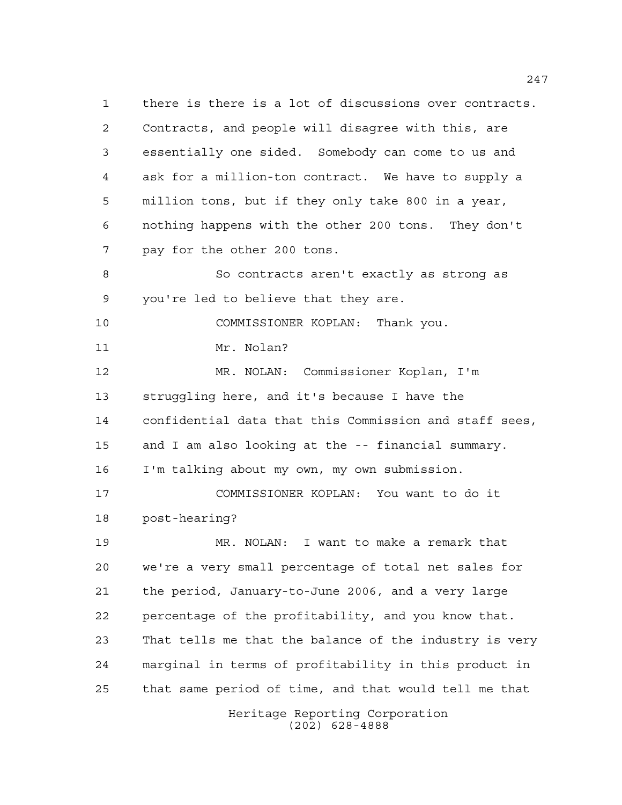Heritage Reporting Corporation (202) 628-4888 there is there is a lot of discussions over contracts. Contracts, and people will disagree with this, are essentially one sided. Somebody can come to us and ask for a million-ton contract. We have to supply a million tons, but if they only take 800 in a year, nothing happens with the other 200 tons. They don't pay for the other 200 tons. So contracts aren't exactly as strong as you're led to believe that they are. COMMISSIONER KOPLAN: Thank you. 11 Mr. Nolan? MR. NOLAN: Commissioner Koplan, I'm struggling here, and it's because I have the confidential data that this Commission and staff sees, and I am also looking at the -- financial summary. I'm talking about my own, my own submission. COMMISSIONER KOPLAN: You want to do it post-hearing? MR. NOLAN: I want to make a remark that we're a very small percentage of total net sales for the period, January-to-June 2006, and a very large percentage of the profitability, and you know that. That tells me that the balance of the industry is very marginal in terms of profitability in this product in that same period of time, and that would tell me that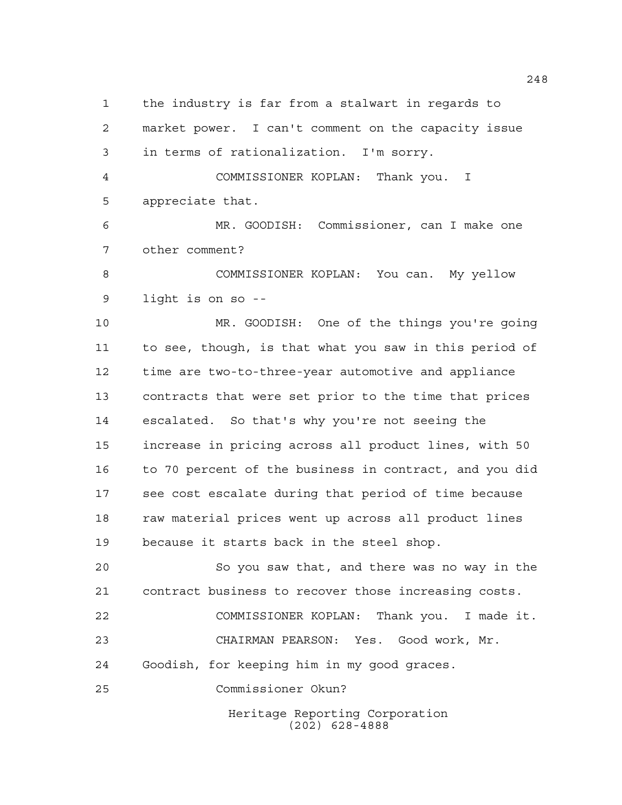the industry is far from a stalwart in regards to market power. I can't comment on the capacity issue in terms of rationalization. I'm sorry. COMMISSIONER KOPLAN: Thank you. I appreciate that. MR. GOODISH: Commissioner, can I make one other comment? COMMISSIONER KOPLAN: You can. My yellow light is on so -- MR. GOODISH: One of the things you're going to see, though, is that what you saw in this period of time are two-to-three-year automotive and appliance contracts that were set prior to the time that prices escalated. So that's why you're not seeing the increase in pricing across all product lines, with 50 to 70 percent of the business in contract, and you did see cost escalate during that period of time because 18 raw material prices went up across all product lines because it starts back in the steel shop. So you saw that, and there was no way in the contract business to recover those increasing costs.

 COMMISSIONER KOPLAN: Thank you. I made it. CHAIRMAN PEARSON: Yes. Good work, Mr. Goodish, for keeping him in my good graces.

Commissioner Okun?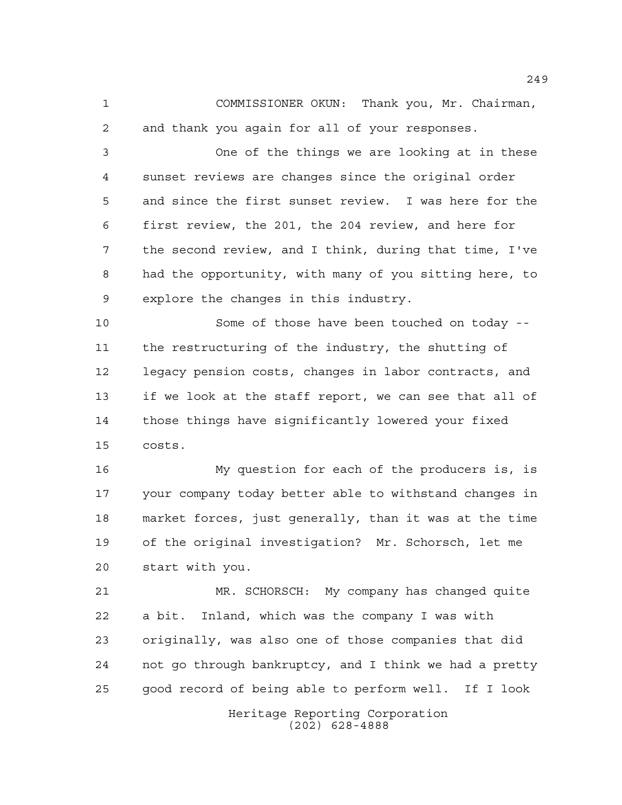COMMISSIONER OKUN: Thank you, Mr. Chairman, and thank you again for all of your responses.

 One of the things we are looking at in these sunset reviews are changes since the original order and since the first sunset review. I was here for the first review, the 201, the 204 review, and here for the second review, and I think, during that time, I've had the opportunity, with many of you sitting here, to explore the changes in this industry.

 Some of those have been touched on today -- the restructuring of the industry, the shutting of legacy pension costs, changes in labor contracts, and if we look at the staff report, we can see that all of those things have significantly lowered your fixed costs.

 My question for each of the producers is, is your company today better able to withstand changes in market forces, just generally, than it was at the time of the original investigation? Mr. Schorsch, let me start with you.

 MR. SCHORSCH: My company has changed quite a bit. Inland, which was the company I was with originally, was also one of those companies that did not go through bankruptcy, and I think we had a pretty good record of being able to perform well. If I look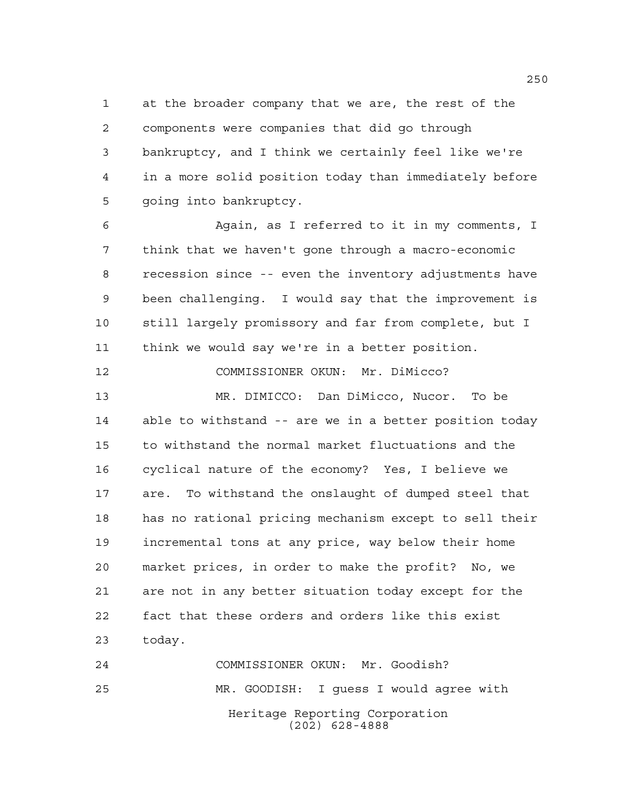at the broader company that we are, the rest of the components were companies that did go through bankruptcy, and I think we certainly feel like we're in a more solid position today than immediately before going into bankruptcy.

 Again, as I referred to it in my comments, I think that we haven't gone through a macro-economic recession since -- even the inventory adjustments have been challenging. I would say that the improvement is still largely promissory and far from complete, but I think we would say we're in a better position.

 COMMISSIONER OKUN: Mr. DiMicco? MR. DIMICCO: Dan DiMicco, Nucor. To be able to withstand -- are we in a better position today to withstand the normal market fluctuations and the cyclical nature of the economy? Yes, I believe we are. To withstand the onslaught of dumped steel that has no rational pricing mechanism except to sell their incremental tons at any price, way below their home market prices, in order to make the profit? No, we are not in any better situation today except for the fact that these orders and orders like this exist today.

Heritage Reporting Corporation (202) 628-4888 COMMISSIONER OKUN: Mr. Goodish? MR. GOODISH: I guess I would agree with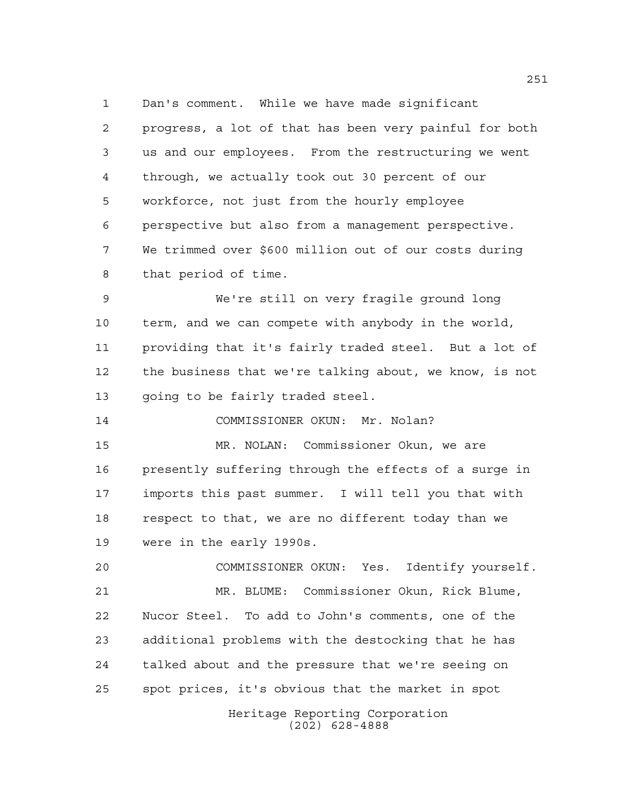Dan's comment. While we have made significant

 progress, a lot of that has been very painful for both us and our employees. From the restructuring we went through, we actually took out 30 percent of our workforce, not just from the hourly employee perspective but also from a management perspective. We trimmed over \$600 million out of our costs during that period of time.

 We're still on very fragile ground long term, and we can compete with anybody in the world, providing that it's fairly traded steel. But a lot of the business that we're talking about, we know, is not going to be fairly traded steel.

COMMISSIONER OKUN: Mr. Nolan?

 MR. NOLAN: Commissioner Okun, we are presently suffering through the effects of a surge in imports this past summer. I will tell you that with respect to that, we are no different today than we were in the early 1990s.

 COMMISSIONER OKUN: Yes. Identify yourself. MR. BLUME: Commissioner Okun, Rick Blume, Nucor Steel. To add to John's comments, one of the additional problems with the destocking that he has talked about and the pressure that we're seeing on spot prices, it's obvious that the market in spot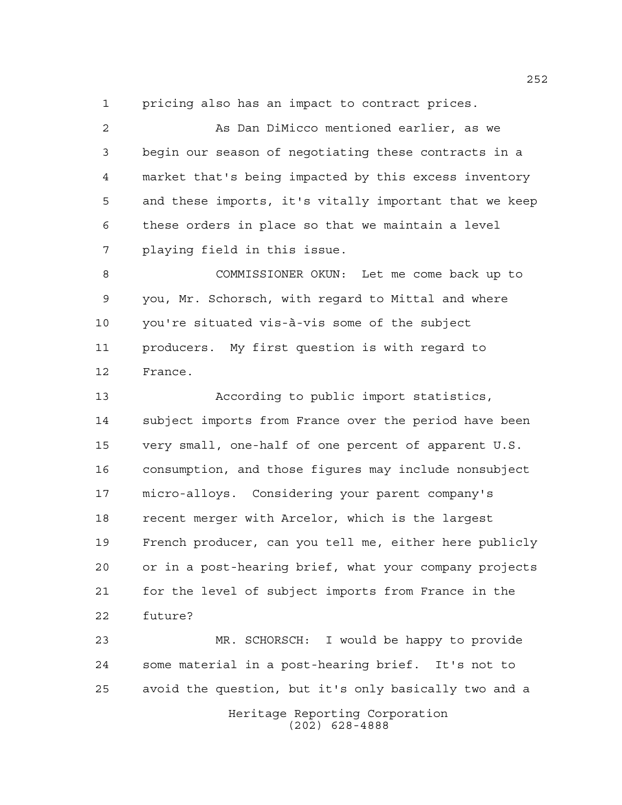pricing also has an impact to contract prices.

 As Dan DiMicco mentioned earlier, as we begin our season of negotiating these contracts in a market that's being impacted by this excess inventory and these imports, it's vitally important that we keep these orders in place so that we maintain a level playing field in this issue.

 COMMISSIONER OKUN: Let me come back up to you, Mr. Schorsch, with regard to Mittal and where you're situated vis-à-vis some of the subject producers. My first question is with regard to France.

 According to public import statistics, subject imports from France over the period have been very small, one-half of one percent of apparent U.S. consumption, and those figures may include nonsubject micro-alloys. Considering your parent company's recent merger with Arcelor, which is the largest French producer, can you tell me, either here publicly or in a post-hearing brief, what your company projects for the level of subject imports from France in the future?

Heritage Reporting Corporation (202) 628-4888 MR. SCHORSCH: I would be happy to provide some material in a post-hearing brief. It's not to avoid the question, but it's only basically two and a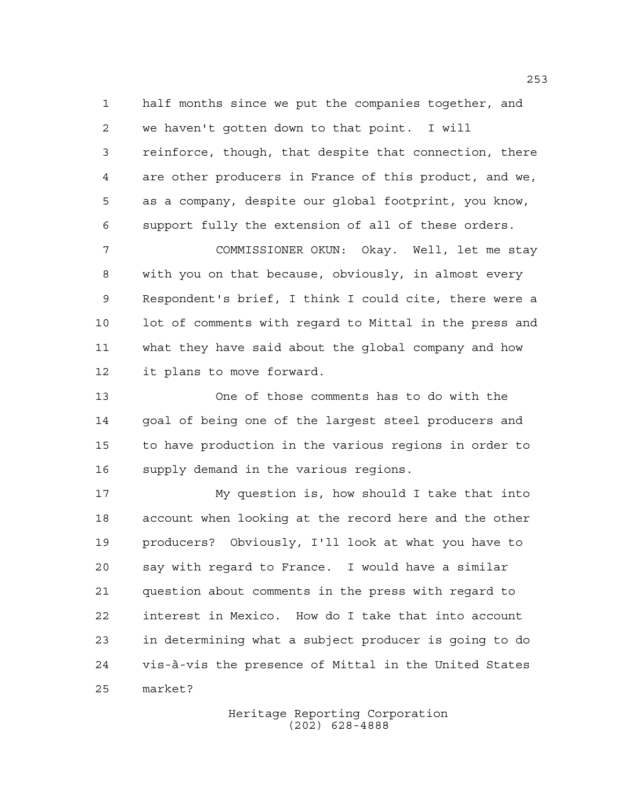half months since we put the companies together, and we haven't gotten down to that point. I will reinforce, though, that despite that connection, there are other producers in France of this product, and we, as a company, despite our global footprint, you know, support fully the extension of all of these orders.

 COMMISSIONER OKUN: Okay. Well, let me stay with you on that because, obviously, in almost every Respondent's brief, I think I could cite, there were a lot of comments with regard to Mittal in the press and what they have said about the global company and how it plans to move forward.

 One of those comments has to do with the goal of being one of the largest steel producers and to have production in the various regions in order to supply demand in the various regions.

 My question is, how should I take that into account when looking at the record here and the other producers? Obviously, I'll look at what you have to say with regard to France. I would have a similar question about comments in the press with regard to interest in Mexico. How do I take that into account in determining what a subject producer is going to do vis-à-vis the presence of Mittal in the United States market?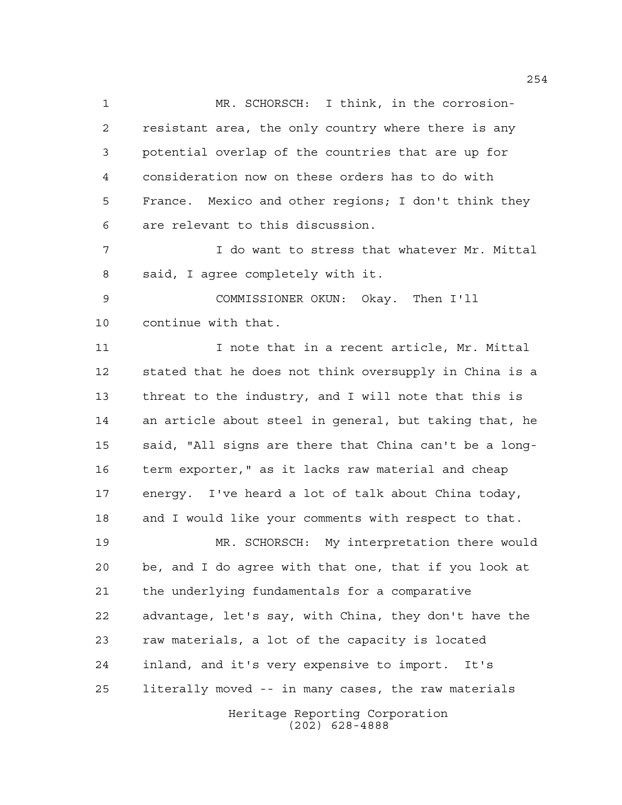MR. SCHORSCH: I think, in the corrosion- resistant area, the only country where there is any potential overlap of the countries that are up for consideration now on these orders has to do with France. Mexico and other regions; I don't think they are relevant to this discussion.

 I do want to stress that whatever Mr. Mittal said, I agree completely with it.

 COMMISSIONER OKUN: Okay. Then I'll continue with that.

11 11 I note that in a recent article, Mr. Mittal stated that he does not think oversupply in China is a threat to the industry, and I will note that this is an article about steel in general, but taking that, he said, "All signs are there that China can't be a long- term exporter," as it lacks raw material and cheap energy. I've heard a lot of talk about China today, and I would like your comments with respect to that.

Heritage Reporting Corporation MR. SCHORSCH: My interpretation there would be, and I do agree with that one, that if you look at the underlying fundamentals for a comparative advantage, let's say, with China, they don't have the raw materials, a lot of the capacity is located inland, and it's very expensive to import. It's literally moved -- in many cases, the raw materials

(202) 628-4888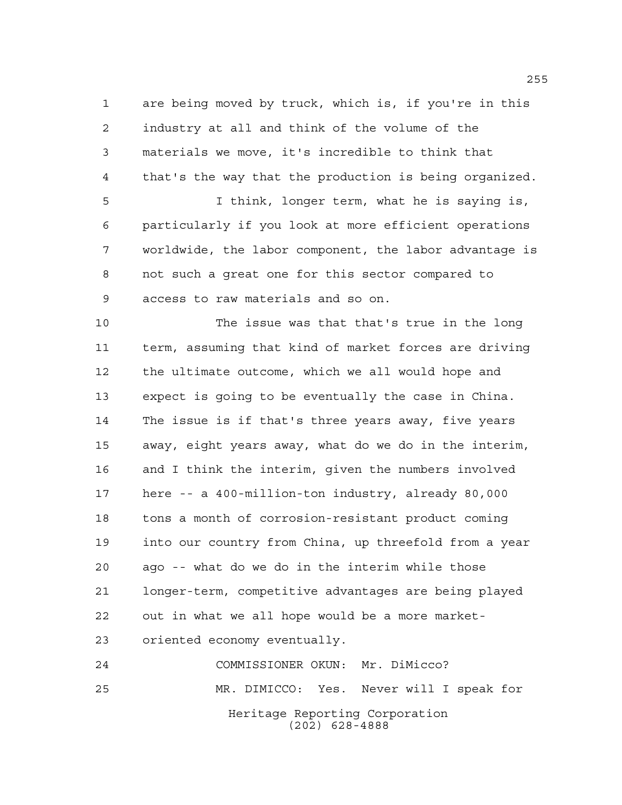are being moved by truck, which is, if you're in this industry at all and think of the volume of the materials we move, it's incredible to think that that's the way that the production is being organized.

 I think, longer term, what he is saying is, particularly if you look at more efficient operations worldwide, the labor component, the labor advantage is not such a great one for this sector compared to access to raw materials and so on.

 The issue was that that's true in the long term, assuming that kind of market forces are driving the ultimate outcome, which we all would hope and expect is going to be eventually the case in China. The issue is if that's three years away, five years away, eight years away, what do we do in the interim, and I think the interim, given the numbers involved here -- a 400-million-ton industry, already 80,000 tons a month of corrosion-resistant product coming into our country from China, up threefold from a year ago -- what do we do in the interim while those longer-term, competitive advantages are being played out in what we all hope would be a more market-oriented economy eventually.

Heritage Reporting Corporation (202) 628-4888 COMMISSIONER OKUN: Mr. DiMicco? MR. DIMICCO: Yes. Never will I speak for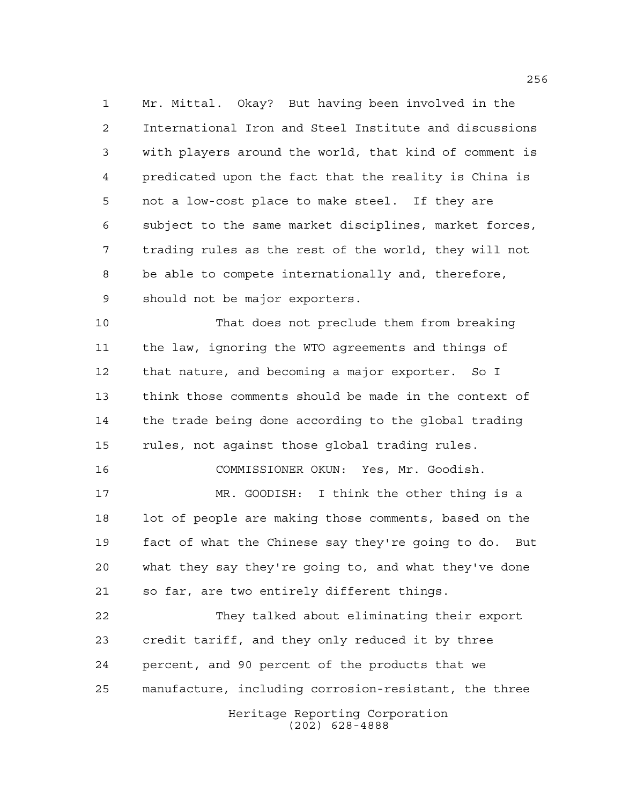Mr. Mittal. Okay? But having been involved in the International Iron and Steel Institute and discussions with players around the world, that kind of comment is predicated upon the fact that the reality is China is not a low-cost place to make steel. If they are subject to the same market disciplines, market forces, trading rules as the rest of the world, they will not be able to compete internationally and, therefore, should not be major exporters.

 That does not preclude them from breaking the law, ignoring the WTO agreements and things of that nature, and becoming a major exporter. So I think those comments should be made in the context of the trade being done according to the global trading rules, not against those global trading rules.

COMMISSIONER OKUN: Yes, Mr. Goodish.

 MR. GOODISH: I think the other thing is a lot of people are making those comments, based on the fact of what the Chinese say they're going to do. But what they say they're going to, and what they've done so far, are two entirely different things.

Heritage Reporting Corporation They talked about eliminating their export credit tariff, and they only reduced it by three percent, and 90 percent of the products that we manufacture, including corrosion-resistant, the three

(202) 628-4888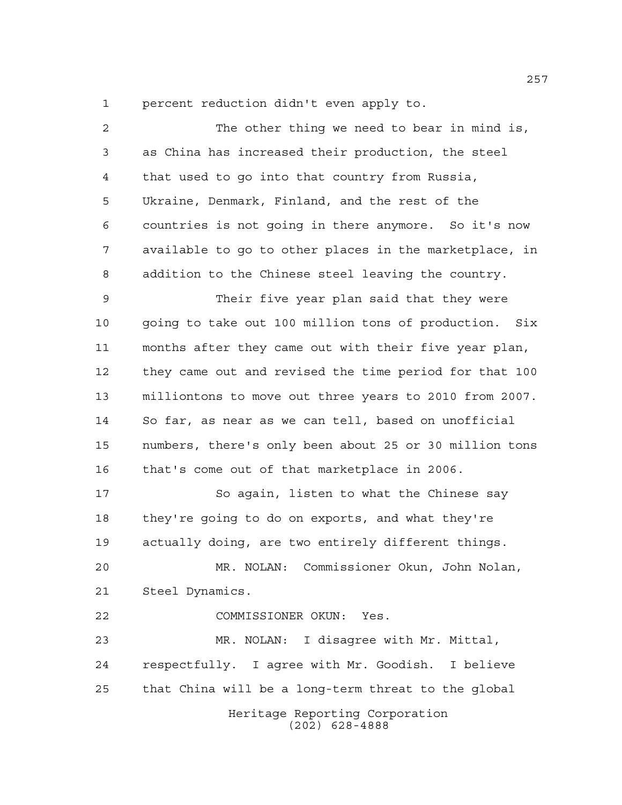percent reduction didn't even apply to.

| $\overline{a}$ | The other thing we need to bear in mind is,            |
|----------------|--------------------------------------------------------|
| 3              | as China has increased their production, the steel     |
| 4              | that used to go into that country from Russia,         |
| 5              | Ukraine, Denmark, Finland, and the rest of the         |
| 6              | countries is not going in there anymore. So it's now   |
| 7              | available to go to other places in the marketplace, in |
| 8              | addition to the Chinese steel leaving the country.     |
| 9              | Their five year plan said that they were               |
| 10             | going to take out 100 million tons of production. Six  |
| 11             | months after they came out with their five year plan,  |
| 12             | they came out and revised the time period for that 100 |
| 13             | milliontons to move out three years to 2010 from 2007. |
| 14             | So far, as near as we can tell, based on unofficial    |
| 15             | numbers, there's only been about 25 or 30 million tons |
| 16             | that's come out of that marketplace in 2006.           |
| 17             | So again, listen to what the Chinese say               |
| 18             | they're going to do on exports, and what they're       |
| 19             | actually doing, are two entirely different things.     |
| 20             | MR. NOLAN: Commissioner Okun, John Nolan,              |
| 21             | Steel Dynamics.                                        |
| 22             | COMMISSIONER OKUN: Yes.                                |
| 23             | MR. NOLAN:<br>I disagree with Mr. Mittal,              |
| 24             | respectfully. I agree with Mr. Goodish. I believe      |
| 25             | that China will be a long-term threat to the global    |
|                | Heritage Reporting Corporation<br>$(202)$ 628-4888     |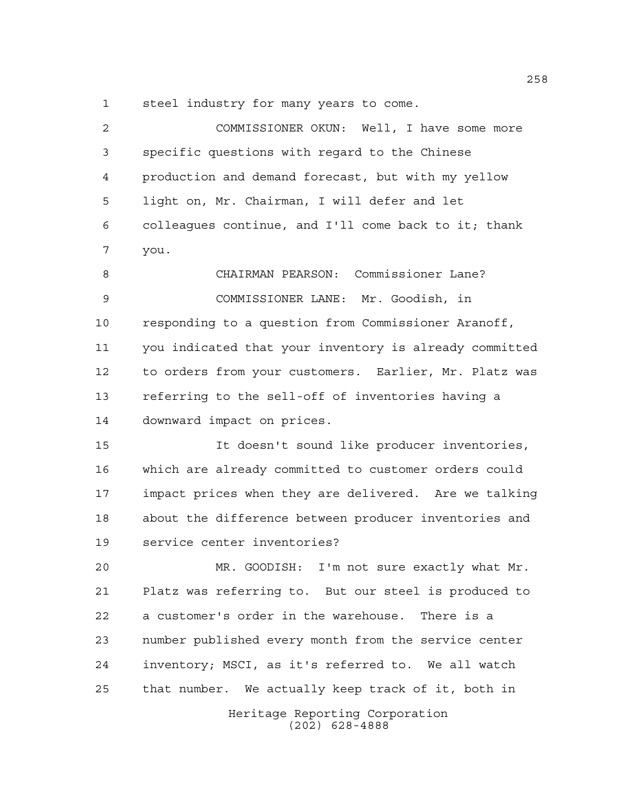steel industry for many years to come.

| 2  | COMMISSIONER OKUN: Well, I have some more              |
|----|--------------------------------------------------------|
| 3  | specific questions with regard to the Chinese          |
| 4  | production and demand forecast, but with my yellow     |
| 5  | light on, Mr. Chairman, I will defer and let           |
| 6  | colleaques continue, and I'll come back to it; thank   |
| 7  | you.                                                   |
| 8  | CHAIRMAN PEARSON: Commissioner Lane?                   |
| 9  | COMMISSIONER LANE: Mr. Goodish, in                     |
| 10 | responding to a question from Commissioner Aranoff,    |
| 11 | you indicated that your inventory is already committed |
| 12 | to orders from your customers. Earlier, Mr. Platz was  |
| 13 | referring to the sell-off of inventories having a      |
| 14 | downward impact on prices.                             |
| 15 | It doesn't sound like producer inventories,            |
| 16 | which are already committed to customer orders could   |
| 17 | impact prices when they are delivered. Are we talking  |
| 18 | about the difference between producer inventories and  |
| 19 | service center inventories?                            |
| 20 | MR. GOODISH: I'm not sure exactly what Mr.             |
| 21 | Platz was referring to. But our steel is produced to   |
| 22 | a customer's order in the warehouse. There is a        |
| 23 | number published every month from the service center   |
| 24 | inventory; MSCI, as it's referred to. We all watch     |
| 25 | that number. We actually keep track of it, both in     |
|    | Heritage Reporting Corporation<br>$(202)$ 628-4888     |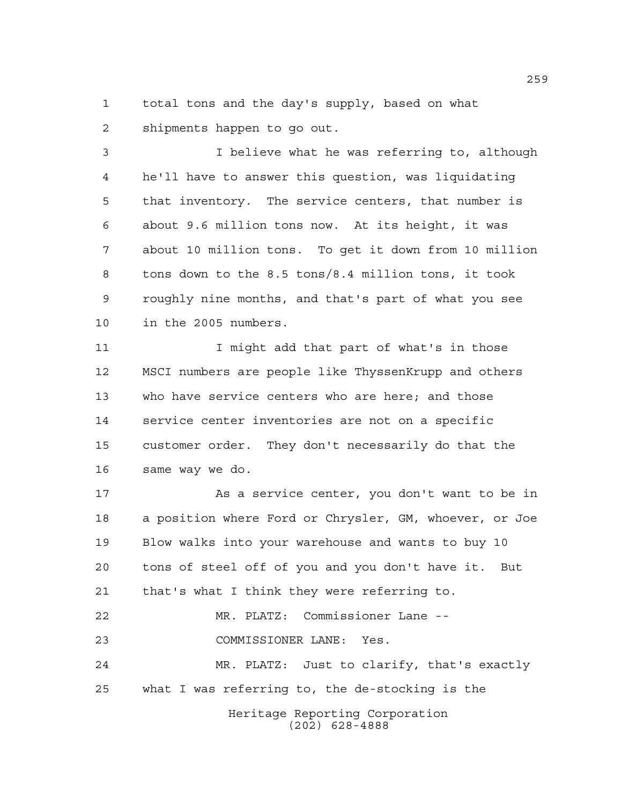total tons and the day's supply, based on what shipments happen to go out.

 I believe what he was referring to, although he'll have to answer this question, was liquidating that inventory. The service centers, that number is about 9.6 million tons now. At its height, it was about 10 million tons. To get it down from 10 million tons down to the 8.5 tons/8.4 million tons, it took roughly nine months, and that's part of what you see in the 2005 numbers.

11 I might add that part of what's in those MSCI numbers are people like ThyssenKrupp and others who have service centers who are here; and those service center inventories are not on a specific customer order. They don't necessarily do that the same way we do.

 As a service center, you don't want to be in a position where Ford or Chrysler, GM, whoever, or Joe Blow walks into your warehouse and wants to buy 10 tons of steel off of you and you don't have it. But that's what I think they were referring to. MR. PLATZ: Commissioner Lane -- COMMISSIONER LANE: Yes. MR. PLATZ: Just to clarify, that's exactly what I was referring to, the de-stocking is the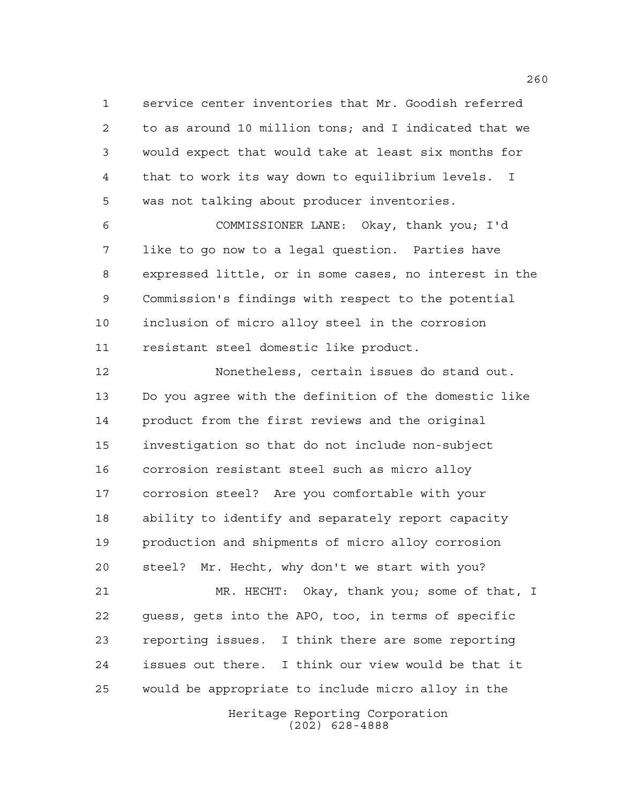service center inventories that Mr. Goodish referred to as around 10 million tons; and I indicated that we would expect that would take at least six months for that to work its way down to equilibrium levels. I was not talking about producer inventories.

 COMMISSIONER LANE: Okay, thank you; I'd like to go now to a legal question. Parties have expressed little, or in some cases, no interest in the Commission's findings with respect to the potential inclusion of micro alloy steel in the corrosion resistant steel domestic like product.

 Nonetheless, certain issues do stand out. Do you agree with the definition of the domestic like product from the first reviews and the original investigation so that do not include non-subject corrosion resistant steel such as micro alloy corrosion steel? Are you comfortable with your ability to identify and separately report capacity production and shipments of micro alloy corrosion steel? Mr. Hecht, why don't we start with you? MR. HECHT: Okay, thank you; some of that, I guess, gets into the APO, too, in terms of specific reporting issues. I think there are some reporting issues out there. I think our view would be that it

> Heritage Reporting Corporation (202) 628-4888

would be appropriate to include micro alloy in the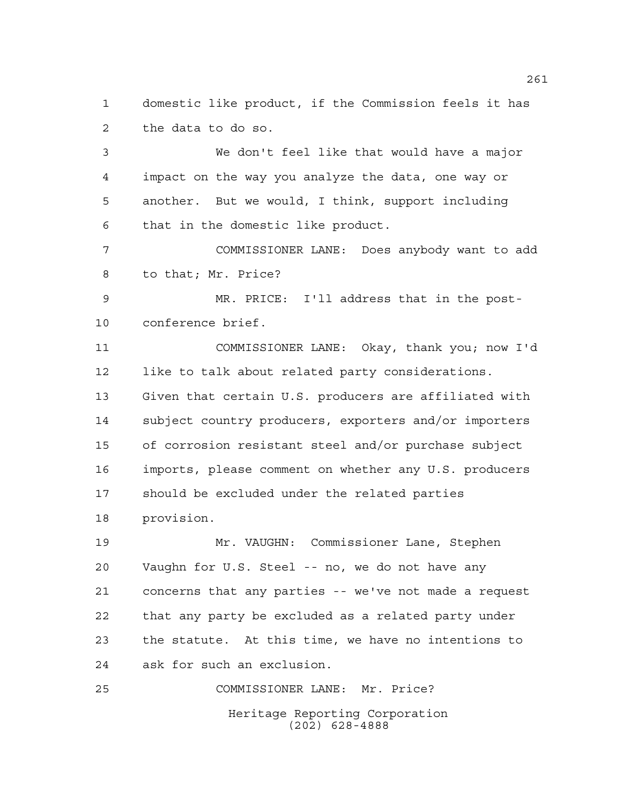domestic like product, if the Commission feels it has the data to do so.

 We don't feel like that would have a major impact on the way you analyze the data, one way or another. But we would, I think, support including that in the domestic like product.

 COMMISSIONER LANE: Does anybody want to add to that; Mr. Price?

 MR. PRICE: I'll address that in the post-conference brief.

11 COMMISSIONER LANE: Okay, thank you; now I'd like to talk about related party considerations. Given that certain U.S. producers are affiliated with subject country producers, exporters and/or importers of corrosion resistant steel and/or purchase subject imports, please comment on whether any U.S. producers should be excluded under the related parties provision.

 Mr. VAUGHN: Commissioner Lane, Stephen Vaughn for U.S. Steel -- no, we do not have any concerns that any parties -- we've not made a request that any party be excluded as a related party under the statute. At this time, we have no intentions to ask for such an exclusion.

Heritage Reporting Corporation (202) 628-4888 COMMISSIONER LANE: Mr. Price?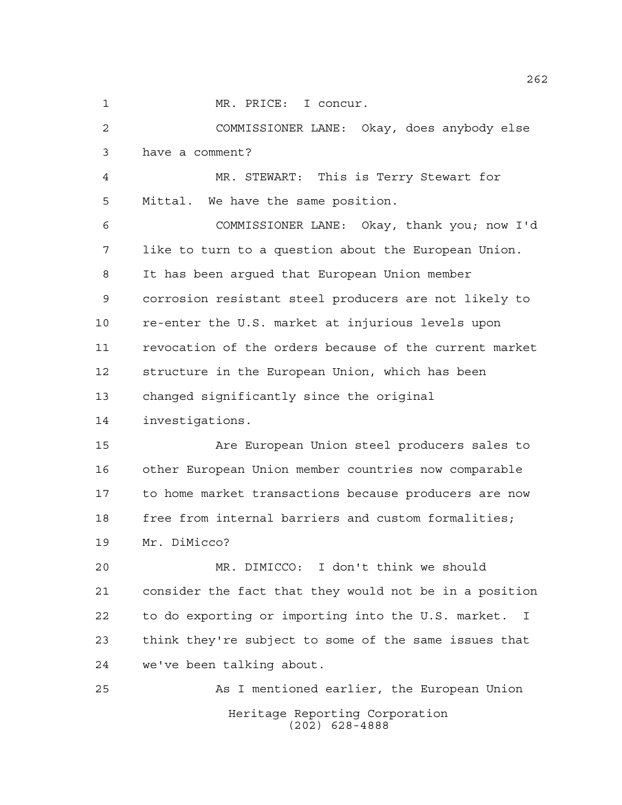MR. PRICE: I concur.

Heritage Reporting Corporation (202) 628-4888 COMMISSIONER LANE: Okay, does anybody else have a comment? MR. STEWART: This is Terry Stewart for Mittal. We have the same position. COMMISSIONER LANE: Okay, thank you; now I'd like to turn to a question about the European Union. It has been argued that European Union member corrosion resistant steel producers are not likely to re-enter the U.S. market at injurious levels upon revocation of the orders because of the current market structure in the European Union, which has been changed significantly since the original investigations. Are European Union steel producers sales to other European Union member countries now comparable to home market transactions because producers are now 18 free from internal barriers and custom formalities; Mr. DiMicco? MR. DIMICCO: I don't think we should consider the fact that they would not be in a position to do exporting or importing into the U.S. market. I think they're subject to some of the same issues that we've been talking about. As I mentioned earlier, the European Union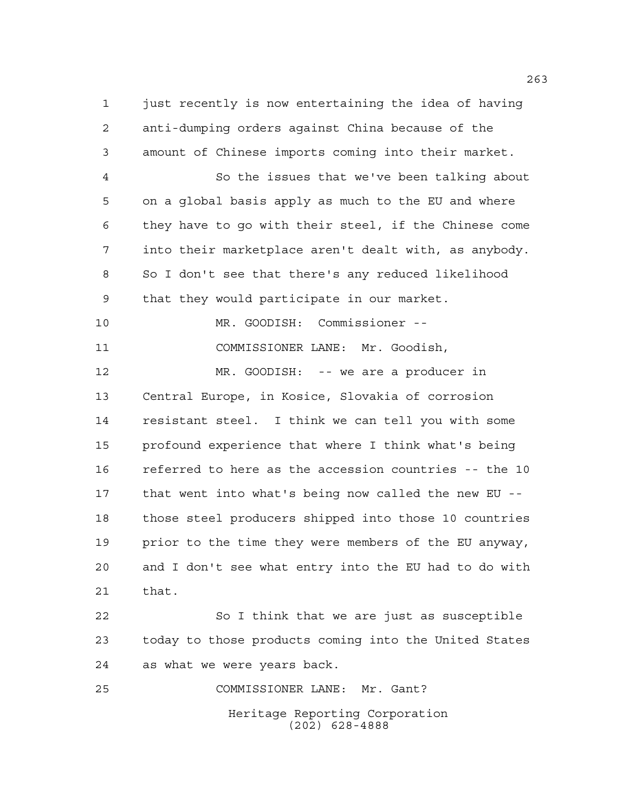1 just recently is now entertaining the idea of having anti-dumping orders against China because of the amount of Chinese imports coming into their market. So the issues that we've been talking about on a global basis apply as much to the EU and where they have to go with their steel, if the Chinese come into their marketplace aren't dealt with, as anybody. So I don't see that there's any reduced likelihood that they would participate in our market.

 MR. GOODISH: Commissioner -- COMMISSIONER LANE: Mr. Goodish,

 MR. GOODISH: -- we are a producer in Central Europe, in Kosice, Slovakia of corrosion resistant steel. I think we can tell you with some profound experience that where I think what's being referred to here as the accession countries -- the 10 that went into what's being now called the new EU -- those steel producers shipped into those 10 countries prior to the time they were members of the EU anyway, and I don't see what entry into the EU had to do with that.

22 So I think that we are just as susceptible today to those products coming into the United States as what we were years back.

Heritage Reporting Corporation (202) 628-4888 COMMISSIONER LANE: Mr. Gant?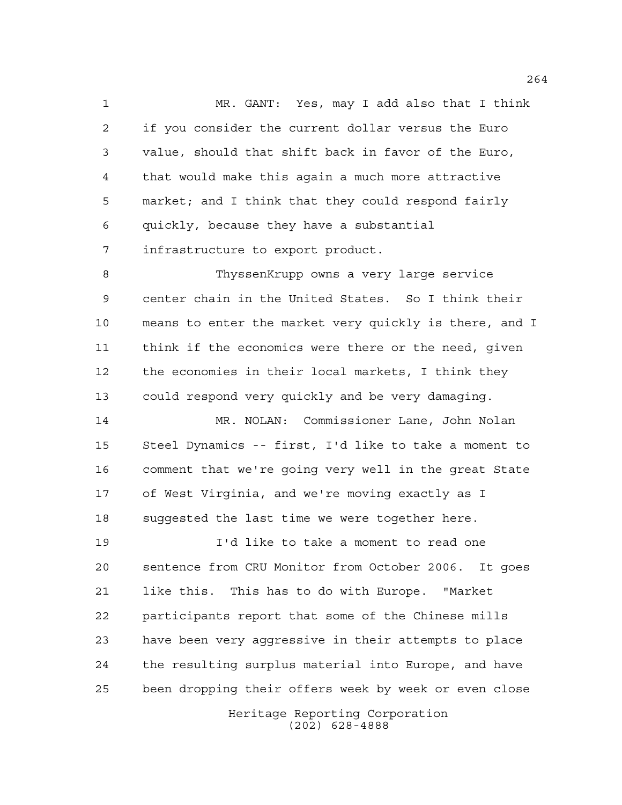MR. GANT: Yes, may I add also that I think if you consider the current dollar versus the Euro value, should that shift back in favor of the Euro, that would make this again a much more attractive market; and I think that they could respond fairly quickly, because they have a substantial infrastructure to export product.

 ThyssenKrupp owns a very large service center chain in the United States. So I think their means to enter the market very quickly is there, and I think if the economics were there or the need, given the economies in their local markets, I think they could respond very quickly and be very damaging.

 MR. NOLAN: Commissioner Lane, John Nolan Steel Dynamics -- first, I'd like to take a moment to comment that we're going very well in the great State of West Virginia, and we're moving exactly as I suggested the last time we were together here.

 I'd like to take a moment to read one sentence from CRU Monitor from October 2006. It goes like this. This has to do with Europe. "Market participants report that some of the Chinese mills have been very aggressive in their attempts to place the resulting surplus material into Europe, and have been dropping their offers week by week or even close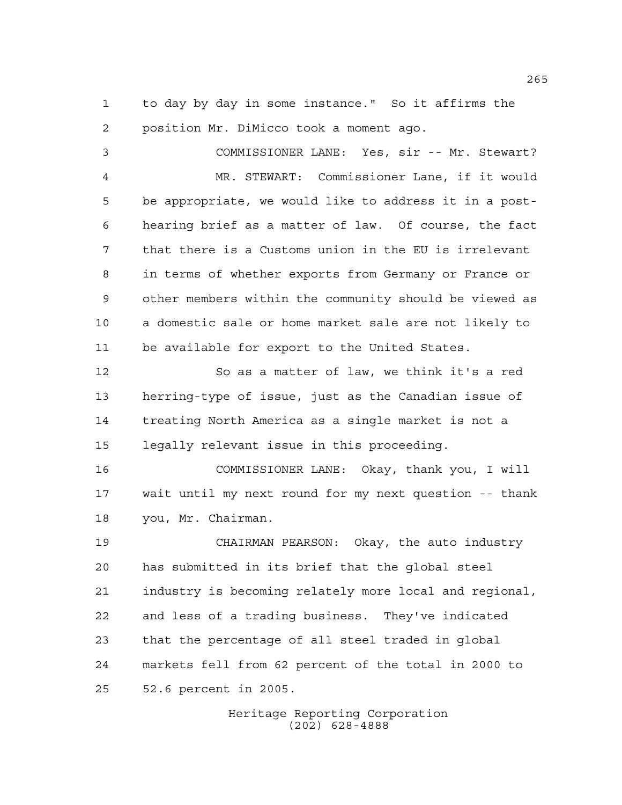to day by day in some instance." So it affirms the position Mr. DiMicco took a moment ago.

 COMMISSIONER LANE: Yes, sir -- Mr. Stewart? MR. STEWART: Commissioner Lane, if it would be appropriate, we would like to address it in a post- hearing brief as a matter of law. Of course, the fact that there is a Customs union in the EU is irrelevant in terms of whether exports from Germany or France or other members within the community should be viewed as a domestic sale or home market sale are not likely to be available for export to the United States.

 So as a matter of law, we think it's a red herring-type of issue, just as the Canadian issue of treating North America as a single market is not a legally relevant issue in this proceeding.

 COMMISSIONER LANE: Okay, thank you, I will wait until my next round for my next question -- thank you, Mr. Chairman.

 CHAIRMAN PEARSON: Okay, the auto industry has submitted in its brief that the global steel industry is becoming relately more local and regional, and less of a trading business. They've indicated that the percentage of all steel traded in global markets fell from 62 percent of the total in 2000 to 52.6 percent in 2005.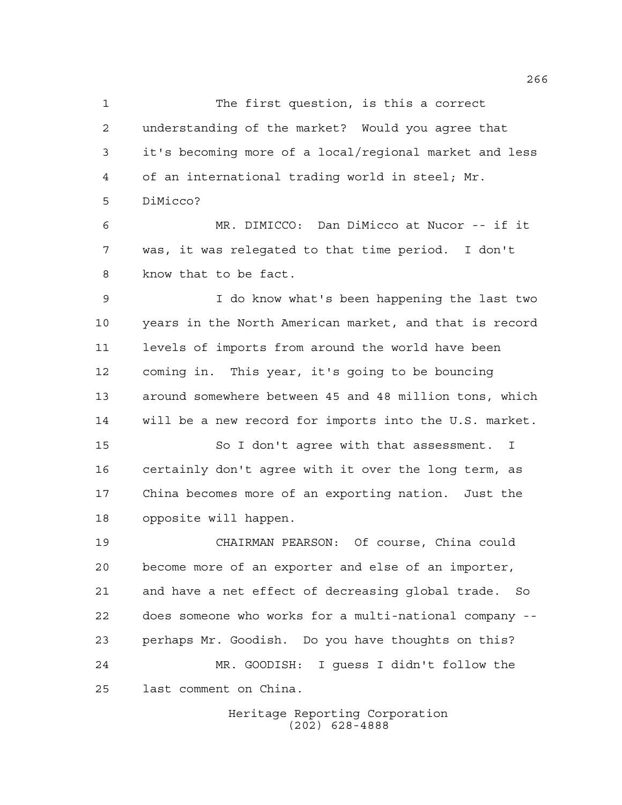The first question, is this a correct understanding of the market? Would you agree that it's becoming more of a local/regional market and less of an international trading world in steel; Mr. DiMicco?

 MR. DIMICCO: Dan DiMicco at Nucor -- if it was, it was relegated to that time period. I don't know that to be fact.

 I do know what's been happening the last two years in the North American market, and that is record levels of imports from around the world have been coming in. This year, it's going to be bouncing around somewhere between 45 and 48 million tons, which will be a new record for imports into the U.S. market.

15 So I don't agree with that assessment. I certainly don't agree with it over the long term, as China becomes more of an exporting nation. Just the opposite will happen.

 CHAIRMAN PEARSON: Of course, China could become more of an exporter and else of an importer, and have a net effect of decreasing global trade. So does someone who works for a multi-national company -- perhaps Mr. Goodish. Do you have thoughts on this? MR. GOODISH: I guess I didn't follow the last comment on China.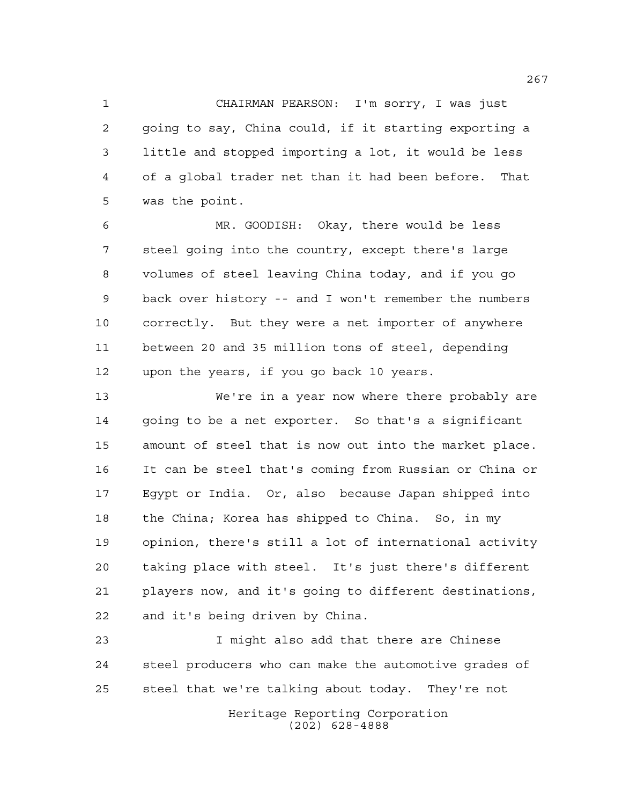CHAIRMAN PEARSON: I'm sorry, I was just going to say, China could, if it starting exporting a little and stopped importing a lot, it would be less of a global trader net than it had been before. That was the point.

 MR. GOODISH: Okay, there would be less steel going into the country, except there's large volumes of steel leaving China today, and if you go back over history -- and I won't remember the numbers correctly. But they were a net importer of anywhere between 20 and 35 million tons of steel, depending upon the years, if you go back 10 years.

 We're in a year now where there probably are going to be a net exporter. So that's a significant amount of steel that is now out into the market place. It can be steel that's coming from Russian or China or Egypt or India. Or, also because Japan shipped into the China; Korea has shipped to China. So, in my opinion, there's still a lot of international activity taking place with steel. It's just there's different players now, and it's going to different destinations, and it's being driven by China.

 I might also add that there are Chinese steel producers who can make the automotive grades of steel that we're talking about today. They're not

> Heritage Reporting Corporation (202) 628-4888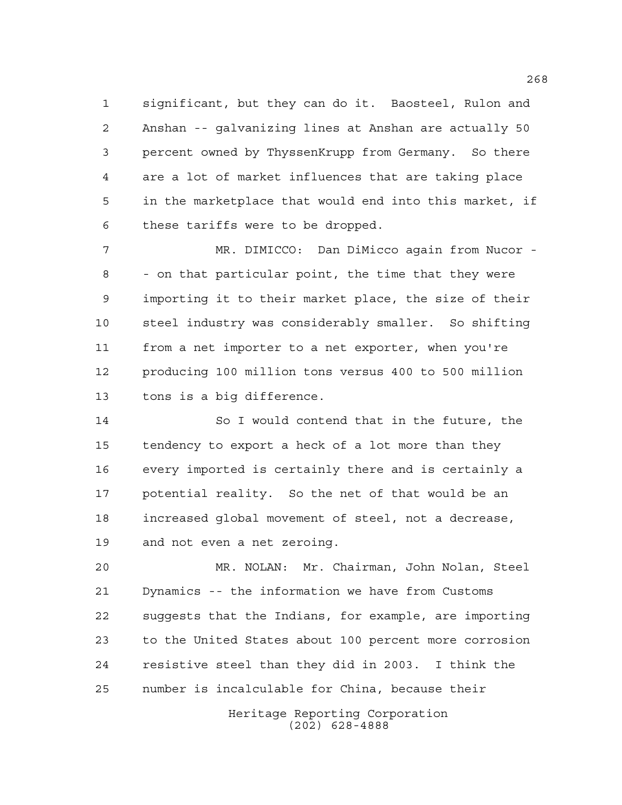significant, but they can do it. Baosteel, Rulon and Anshan -- galvanizing lines at Anshan are actually 50 percent owned by ThyssenKrupp from Germany. So there are a lot of market influences that are taking place in the marketplace that would end into this market, if these tariffs were to be dropped.

 MR. DIMICCO: Dan DiMicco again from Nucor - - on that particular point, the time that they were importing it to their market place, the size of their steel industry was considerably smaller. So shifting from a net importer to a net exporter, when you're producing 100 million tons versus 400 to 500 million tons is a big difference.

 So I would contend that in the future, the tendency to export a heck of a lot more than they every imported is certainly there and is certainly a potential reality. So the net of that would be an increased global movement of steel, not a decrease, and not even a net zeroing.

 MR. NOLAN: Mr. Chairman, John Nolan, Steel Dynamics -- the information we have from Customs suggests that the Indians, for example, are importing to the United States about 100 percent more corrosion resistive steel than they did in 2003. I think the number is incalculable for China, because their

> Heritage Reporting Corporation (202) 628-4888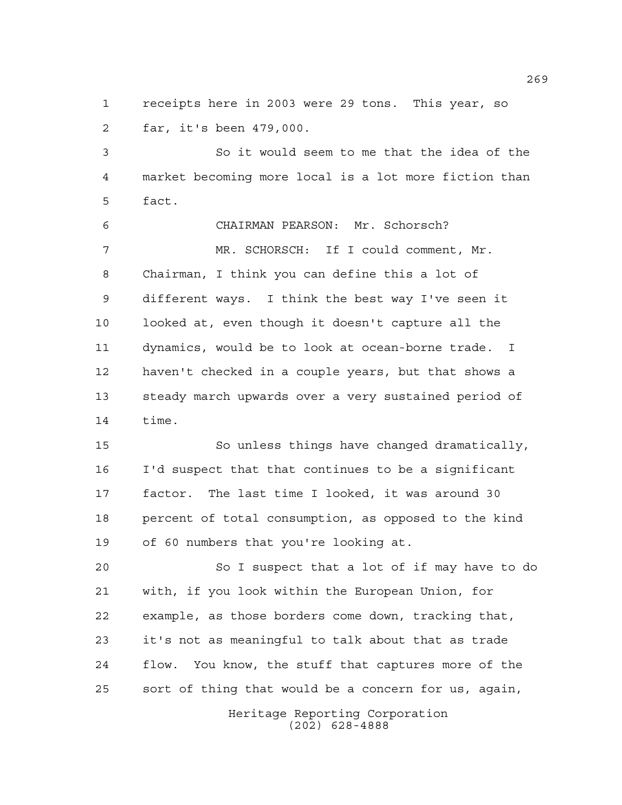receipts here in 2003 were 29 tons. This year, so far, it's been 479,000.

 So it would seem to me that the idea of the market becoming more local is a lot more fiction than fact.

 CHAIRMAN PEARSON: Mr. Schorsch? MR. SCHORSCH: If I could comment, Mr. Chairman, I think you can define this a lot of different ways. I think the best way I've seen it looked at, even though it doesn't capture all the dynamics, would be to look at ocean-borne trade. I haven't checked in a couple years, but that shows a steady march upwards over a very sustained period of time.

 So unless things have changed dramatically, I'd suspect that that continues to be a significant factor. The last time I looked, it was around 30 percent of total consumption, as opposed to the kind of 60 numbers that you're looking at.

 So I suspect that a lot of if may have to do with, if you look within the European Union, for example, as those borders come down, tracking that, it's not as meaningful to talk about that as trade flow. You know, the stuff that captures more of the sort of thing that would be a concern for us, again,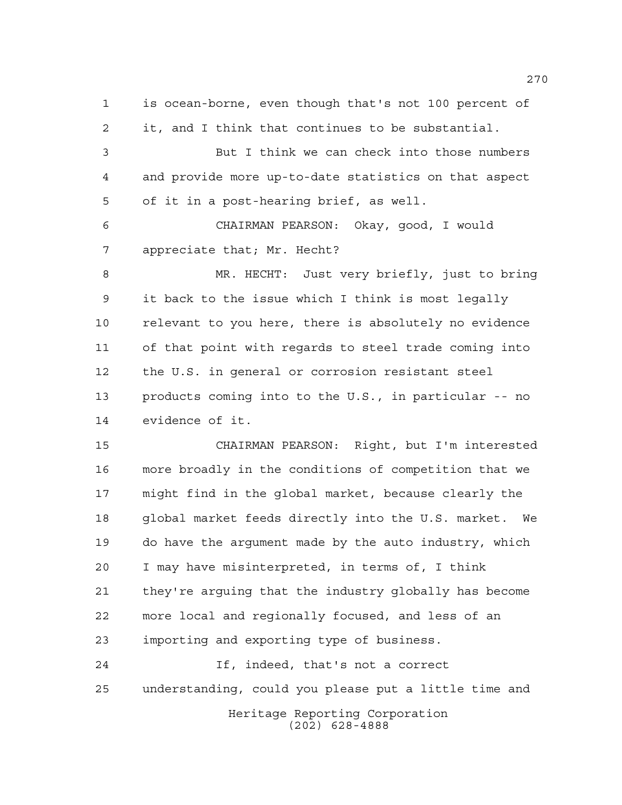is ocean-borne, even though that's not 100 percent of it, and I think that continues to be substantial. But I think we can check into those numbers and provide more up-to-date statistics on that aspect of it in a post-hearing brief, as well. CHAIRMAN PEARSON: Okay, good, I would appreciate that; Mr. Hecht? MR. HECHT: Just very briefly, just to bring it back to the issue which I think is most legally relevant to you here, there is absolutely no evidence of that point with regards to steel trade coming into the U.S. in general or corrosion resistant steel products coming into to the U.S., in particular -- no evidence of it. CHAIRMAN PEARSON: Right, but I'm interested more broadly in the conditions of competition that we might find in the global market, because clearly the global market feeds directly into the U.S. market. We do have the argument made by the auto industry, which I may have misinterpreted, in terms of, I think they're arguing that the industry globally has become more local and regionally focused, and less of an importing and exporting type of business. If, indeed, that's not a correct understanding, could you please put a little time and

> Heritage Reporting Corporation (202) 628-4888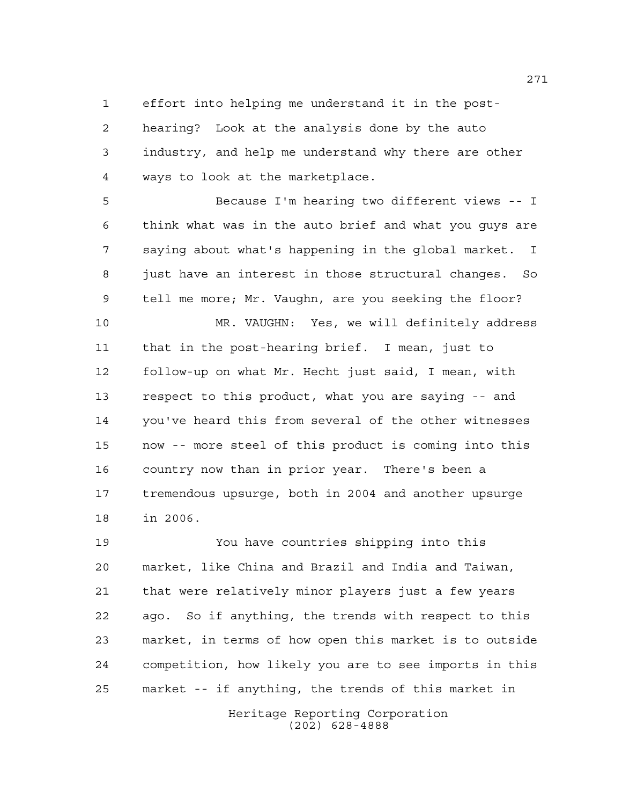effort into helping me understand it in the post-

 hearing? Look at the analysis done by the auto industry, and help me understand why there are other ways to look at the marketplace.

 Because I'm hearing two different views -- I think what was in the auto brief and what you guys are saying about what's happening in the global market. I just have an interest in those structural changes. So tell me more; Mr. Vaughn, are you seeking the floor? MR. VAUGHN: Yes, we will definitely address that in the post-hearing brief. I mean, just to follow-up on what Mr. Hecht just said, I mean, with respect to this product, what you are saying -- and

 you've heard this from several of the other witnesses now -- more steel of this product is coming into this country now than in prior year. There's been a tremendous upsurge, both in 2004 and another upsurge in 2006.

 You have countries shipping into this market, like China and Brazil and India and Taiwan, that were relatively minor players just a few years ago. So if anything, the trends with respect to this market, in terms of how open this market is to outside competition, how likely you are to see imports in this market -- if anything, the trends of this market in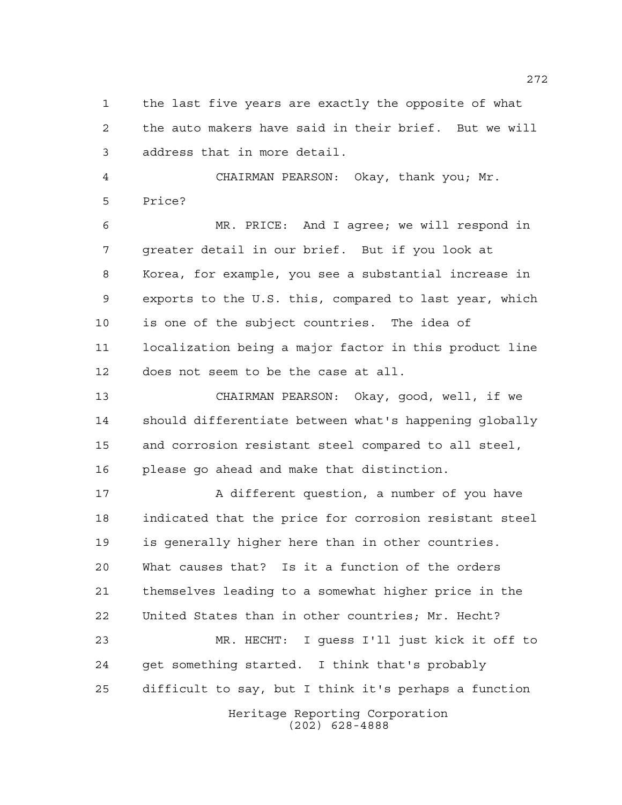the last five years are exactly the opposite of what the auto makers have said in their brief. But we will address that in more detail.

 CHAIRMAN PEARSON: Okay, thank you; Mr. Price?

 MR. PRICE: And I agree; we will respond in greater detail in our brief. But if you look at Korea, for example, you see a substantial increase in exports to the U.S. this, compared to last year, which is one of the subject countries. The idea of localization being a major factor in this product line does not seem to be the case at all.

 CHAIRMAN PEARSON: Okay, good, well, if we should differentiate between what's happening globally and corrosion resistant steel compared to all steel, please go ahead and make that distinction.

17 A different question, a number of you have indicated that the price for corrosion resistant steel is generally higher here than in other countries. What causes that? Is it a function of the orders themselves leading to a somewhat higher price in the United States than in other countries; Mr. Hecht? MR. HECHT: I guess I'll just kick it off to

Heritage Reporting Corporation get something started. I think that's probably difficult to say, but I think it's perhaps a function

(202) 628-4888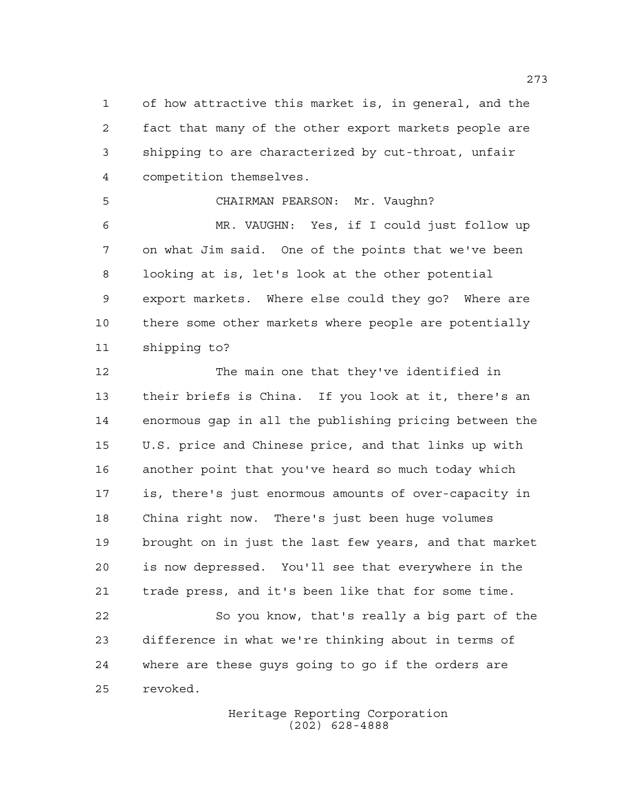of how attractive this market is, in general, and the fact that many of the other export markets people are shipping to are characterized by cut-throat, unfair competition themselves.

 CHAIRMAN PEARSON: Mr. Vaughn? MR. VAUGHN: Yes, if I could just follow up on what Jim said. One of the points that we've been looking at is, let's look at the other potential export markets. Where else could they go? Where are there some other markets where people are potentially shipping to?

 The main one that they've identified in their briefs is China. If you look at it, there's an enormous gap in all the publishing pricing between the U.S. price and Chinese price, and that links up with another point that you've heard so much today which is, there's just enormous amounts of over-capacity in China right now. There's just been huge volumes brought on in just the last few years, and that market is now depressed. You'll see that everywhere in the trade press, and it's been like that for some time. So you know, that's really a big part of the difference in what we're thinking about in terms of

 where are these guys going to go if the orders are revoked.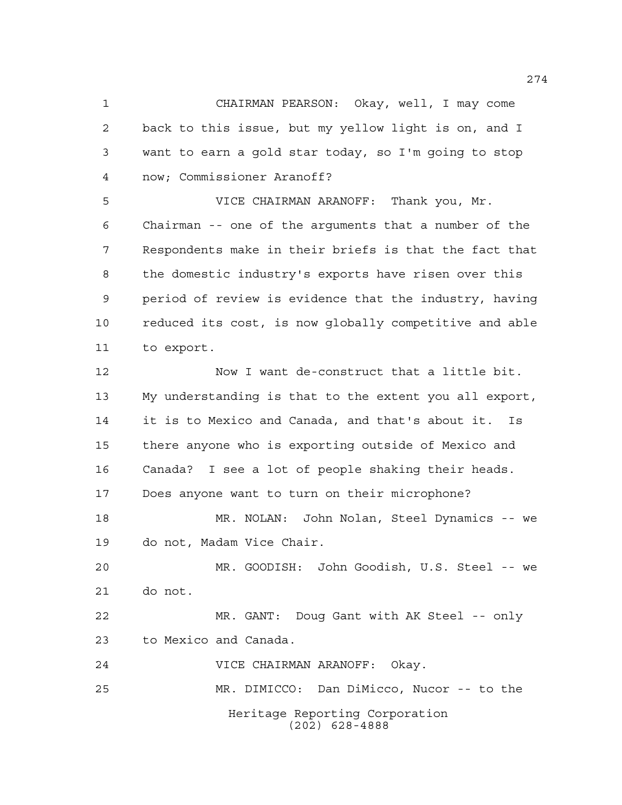CHAIRMAN PEARSON: Okay, well, I may come back to this issue, but my yellow light is on, and I want to earn a gold star today, so I'm going to stop now; Commissioner Aranoff?

 VICE CHAIRMAN ARANOFF: Thank you, Mr. Chairman -- one of the arguments that a number of the Respondents make in their briefs is that the fact that the domestic industry's exports have risen over this period of review is evidence that the industry, having reduced its cost, is now globally competitive and able to export.

 Now I want de-construct that a little bit. My understanding is that to the extent you all export, it is to Mexico and Canada, and that's about it. Is there anyone who is exporting outside of Mexico and Canada? I see a lot of people shaking their heads. Does anyone want to turn on their microphone? MR. NOLAN: John Nolan, Steel Dynamics -- we do not, Madam Vice Chair. MR. GOODISH: John Goodish, U.S. Steel -- we do not. MR. GANT: Doug Gant with AK Steel -- only

to Mexico and Canada.

VICE CHAIRMAN ARANOFF: Okay.

Heritage Reporting Corporation (202) 628-4888 MR. DIMICCO: Dan DiMicco, Nucor -- to the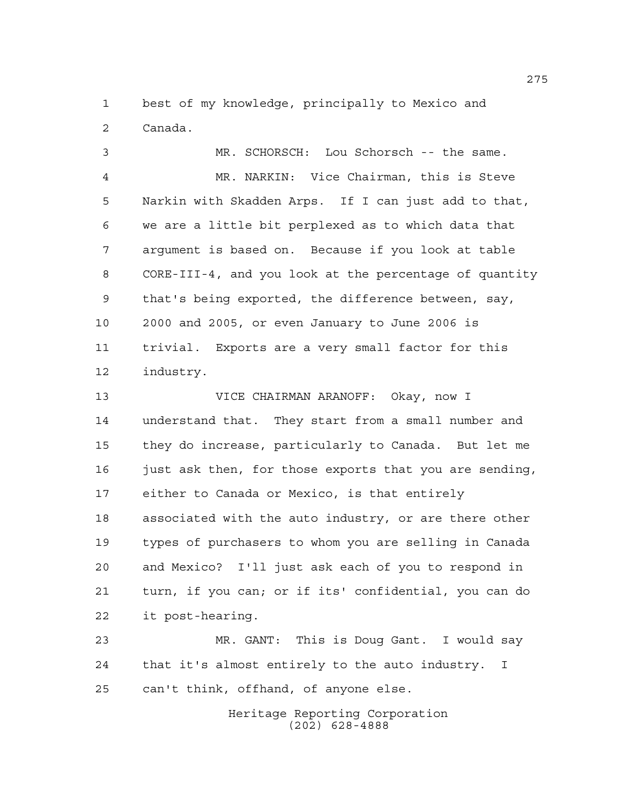best of my knowledge, principally to Mexico and Canada.

 MR. SCHORSCH: Lou Schorsch -- the same. MR. NARKIN: Vice Chairman, this is Steve Narkin with Skadden Arps. If I can just add to that, we are a little bit perplexed as to which data that argument is based on. Because if you look at table CORE-III-4, and you look at the percentage of quantity that's being exported, the difference between, say, 2000 and 2005, or even January to June 2006 is trivial. Exports are a very small factor for this industry.

 VICE CHAIRMAN ARANOFF: Okay, now I understand that. They start from a small number and they do increase, particularly to Canada. But let me just ask then, for those exports that you are sending, either to Canada or Mexico, is that entirely associated with the auto industry, or are there other types of purchasers to whom you are selling in Canada and Mexico? I'll just ask each of you to respond in turn, if you can; or if its' confidential, you can do it post-hearing.

 MR. GANT: This is Doug Gant. I would say that it's almost entirely to the auto industry. I can't think, offhand, of anyone else.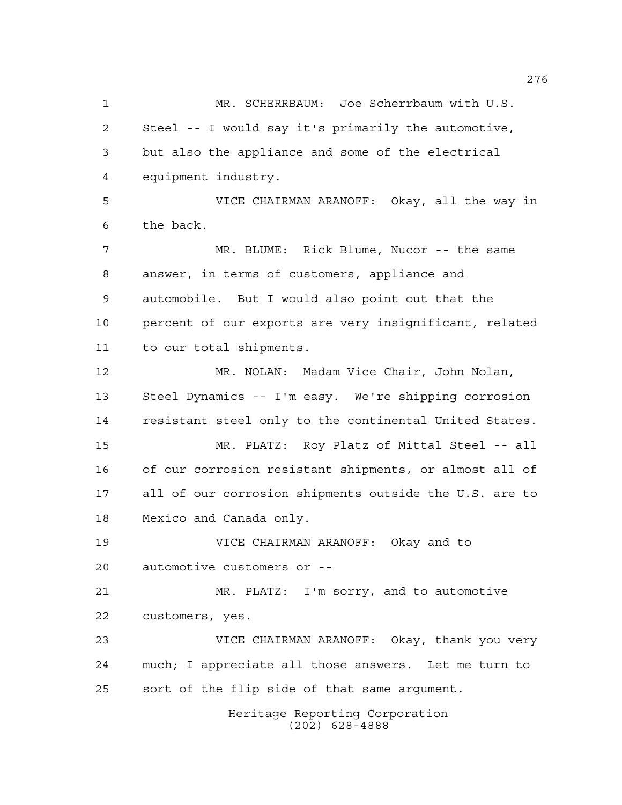Heritage Reporting Corporation (202) 628-4888 MR. SCHERRBAUM: Joe Scherrbaum with U.S. Steel -- I would say it's primarily the automotive, but also the appliance and some of the electrical equipment industry. VICE CHAIRMAN ARANOFF: Okay, all the way in the back. MR. BLUME: Rick Blume, Nucor -- the same answer, in terms of customers, appliance and automobile. But I would also point out that the percent of our exports are very insignificant, related to our total shipments. MR. NOLAN: Madam Vice Chair, John Nolan, Steel Dynamics -- I'm easy. We're shipping corrosion resistant steel only to the continental United States. MR. PLATZ: Roy Platz of Mittal Steel -- all of our corrosion resistant shipments, or almost all of all of our corrosion shipments outside the U.S. are to Mexico and Canada only. VICE CHAIRMAN ARANOFF: Okay and to automotive customers or -- MR. PLATZ: I'm sorry, and to automotive customers, yes. VICE CHAIRMAN ARANOFF: Okay, thank you very much; I appreciate all those answers. Let me turn to sort of the flip side of that same argument.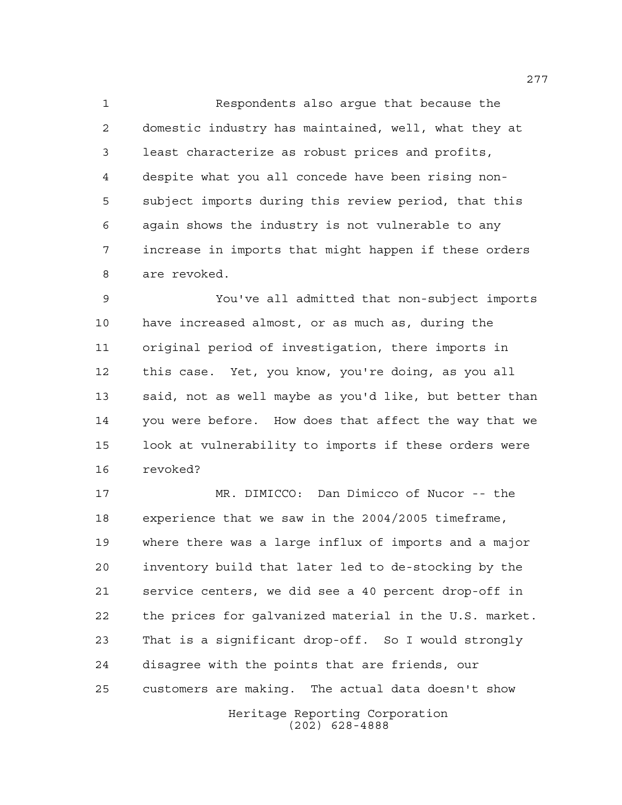Respondents also argue that because the domestic industry has maintained, well, what they at least characterize as robust prices and profits, despite what you all concede have been rising non- subject imports during this review period, that this again shows the industry is not vulnerable to any increase in imports that might happen if these orders are revoked.

 You've all admitted that non-subject imports have increased almost, or as much as, during the original period of investigation, there imports in this case. Yet, you know, you're doing, as you all said, not as well maybe as you'd like, but better than you were before. How does that affect the way that we look at vulnerability to imports if these orders were revoked?

Heritage Reporting Corporation (202) 628-4888 MR. DIMICCO: Dan Dimicco of Nucor -- the experience that we saw in the 2004/2005 timeframe, where there was a large influx of imports and a major inventory build that later led to de-stocking by the service centers, we did see a 40 percent drop-off in the prices for galvanized material in the U.S. market. That is a significant drop-off. So I would strongly disagree with the points that are friends, our customers are making. The actual data doesn't show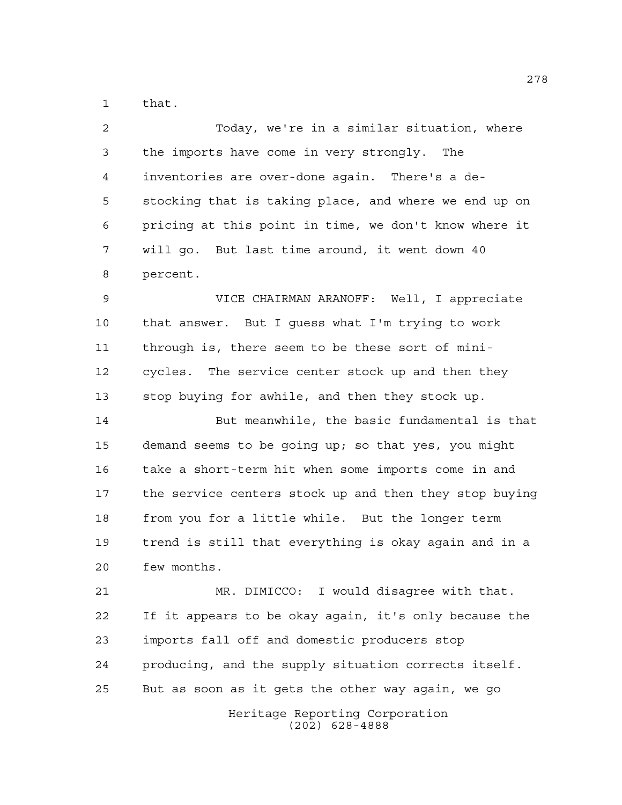that.

| 2  | Today, we're in a similar situation, where             |
|----|--------------------------------------------------------|
| 3  | the imports have come in very strongly. The            |
| 4  | inventories are over-done again. There's a de-         |
| 5  | stocking that is taking place, and where we end up on  |
| 6  | pricing at this point in time, we don't know where it  |
| 7  | will go. But last time around, it went down 40         |
| 8  | percent.                                               |
| 9  | VICE CHAIRMAN ARANOFF: Well, I appreciate              |
| 10 | that answer. But I guess what I'm trying to work       |
| 11 | through is, there seem to be these sort of mini-       |
| 12 | cycles. The service center stock up and then they      |
| 13 | stop buying for awhile, and then they stock up.        |
| 14 | But meanwhile, the basic fundamental is that           |
| 15 | demand seems to be going up; so that yes, you might    |
| 16 | take a short-term hit when some imports come in and    |
| 17 | the service centers stock up and then they stop buying |
| 18 | from you for a little while. But the longer term       |
| 19 | trend is still that everything is okay again and in a  |
| 20 | few months.                                            |
| 21 | MR. DIMICCO: I would disagree with that.               |
| 22 | If it appears to be okay again, it's only because the  |
| 23 | imports fall off and domestic producers stop           |
| 24 | producing, and the supply situation corrects itself.   |
| 25 | But as soon as it gets the other way again, we go      |
|    |                                                        |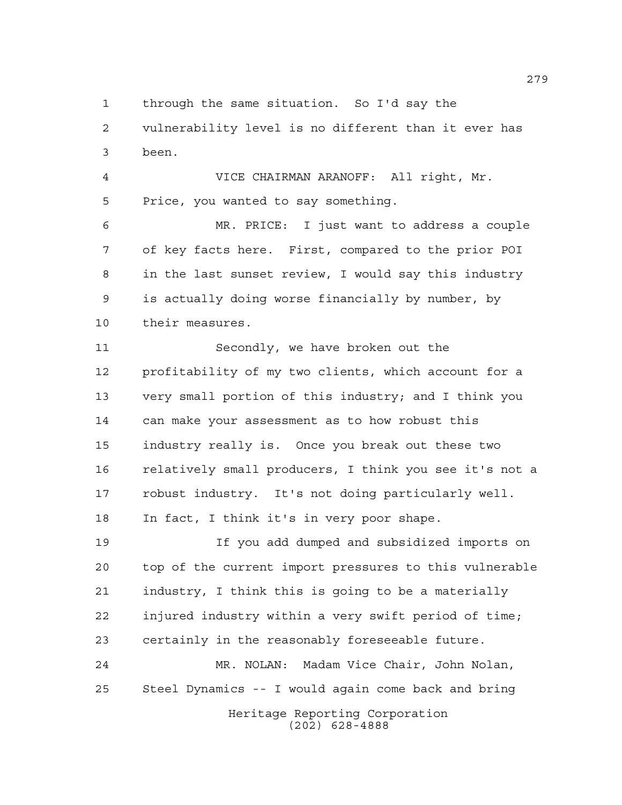through the same situation. So I'd say the

 vulnerability level is no different than it ever has been.

 VICE CHAIRMAN ARANOFF: All right, Mr. Price, you wanted to say something.

 MR. PRICE: I just want to address a couple of key facts here. First, compared to the prior POI in the last sunset review, I would say this industry is actually doing worse financially by number, by their measures.

 Secondly, we have broken out the profitability of my two clients, which account for a very small portion of this industry; and I think you can make your assessment as to how robust this industry really is. Once you break out these two relatively small producers, I think you see it's not a robust industry. It's not doing particularly well. In fact, I think it's in very poor shape.

 If you add dumped and subsidized imports on top of the current import pressures to this vulnerable industry, I think this is going to be a materially injured industry within a very swift period of time; certainly in the reasonably foreseeable future.

Heritage Reporting Corporation (202) 628-4888 MR. NOLAN: Madam Vice Chair, John Nolan, Steel Dynamics -- I would again come back and bring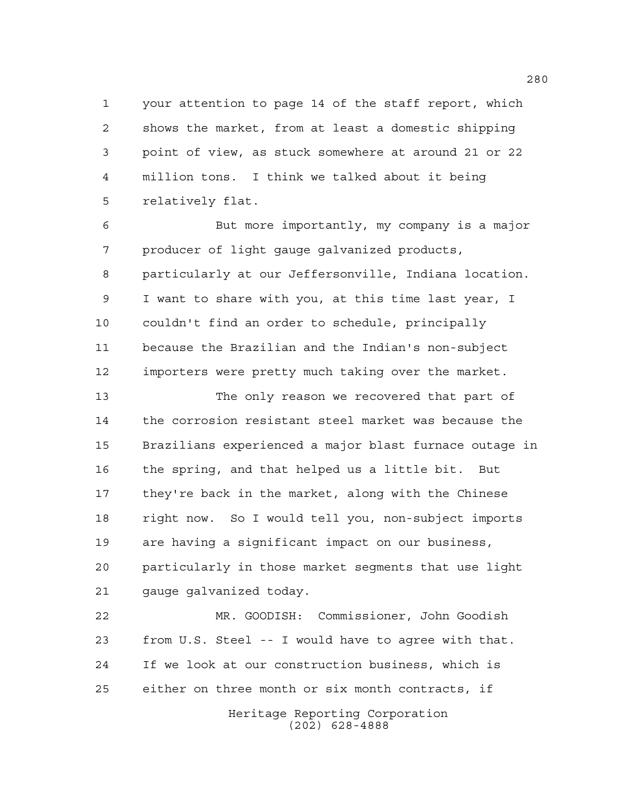your attention to page 14 of the staff report, which shows the market, from at least a domestic shipping point of view, as stuck somewhere at around 21 or 22 million tons. I think we talked about it being relatively flat.

 But more importantly, my company is a major producer of light gauge galvanized products, particularly at our Jeffersonville, Indiana location. I want to share with you, at this time last year, I couldn't find an order to schedule, principally because the Brazilian and the Indian's non-subject importers were pretty much taking over the market.

 The only reason we recovered that part of the corrosion resistant steel market was because the Brazilians experienced a major blast furnace outage in the spring, and that helped us a little bit. But they're back in the market, along with the Chinese right now. So I would tell you, non-subject imports are having a significant impact on our business, particularly in those market segments that use light gauge galvanized today.

 MR. GOODISH: Commissioner, John Goodish from U.S. Steel -- I would have to agree with that. If we look at our construction business, which is either on three month or six month contracts, if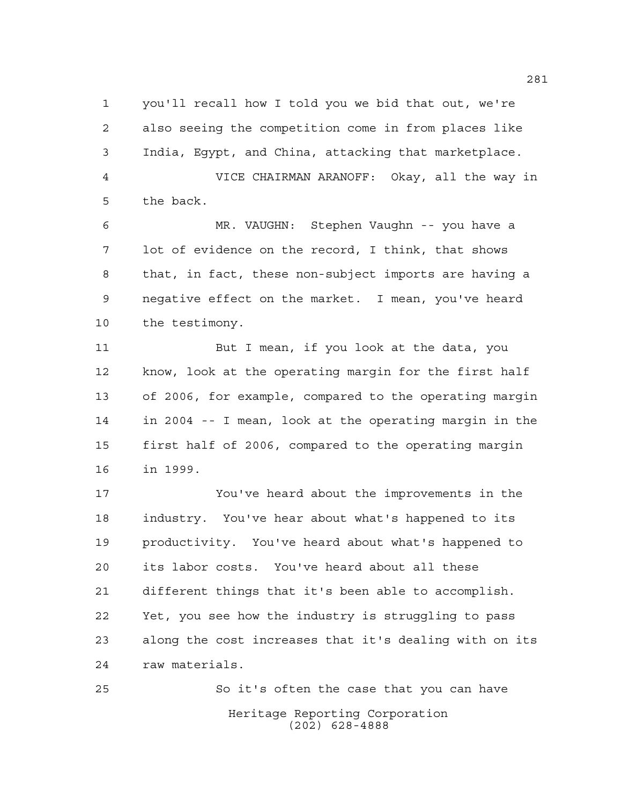you'll recall how I told you we bid that out, we're also seeing the competition come in from places like India, Egypt, and China, attacking that marketplace. VICE CHAIRMAN ARANOFF: Okay, all the way in

the back.

 MR. VAUGHN: Stephen Vaughn -- you have a lot of evidence on the record, I think, that shows that, in fact, these non-subject imports are having a negative effect on the market. I mean, you've heard the testimony.

11 But I mean, if you look at the data, you know, look at the operating margin for the first half of 2006, for example, compared to the operating margin in 2004 -- I mean, look at the operating margin in the first half of 2006, compared to the operating margin in 1999.

 You've heard about the improvements in the industry. You've hear about what's happened to its productivity. You've heard about what's happened to its labor costs. You've heard about all these different things that it's been able to accomplish. Yet, you see how the industry is struggling to pass along the cost increases that it's dealing with on its raw materials.

Heritage Reporting Corporation (202) 628-4888 So it's often the case that you can have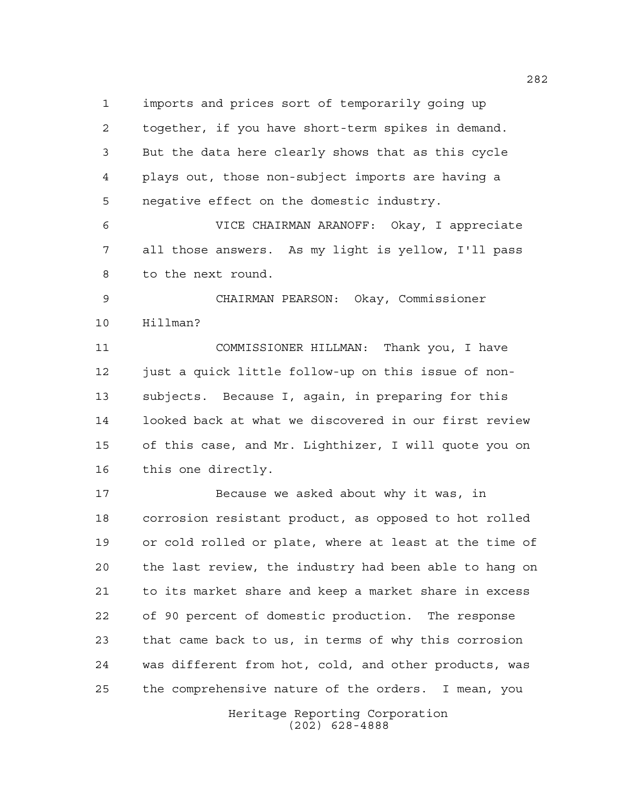imports and prices sort of temporarily going up together, if you have short-term spikes in demand. But the data here clearly shows that as this cycle plays out, those non-subject imports are having a negative effect on the domestic industry.

 VICE CHAIRMAN ARANOFF: Okay, I appreciate all those answers. As my light is yellow, I'll pass to the next round.

 CHAIRMAN PEARSON: Okay, Commissioner Hillman?

 COMMISSIONER HILLMAN: Thank you, I have just a quick little follow-up on this issue of non- subjects. Because I, again, in preparing for this looked back at what we discovered in our first review of this case, and Mr. Lighthizer, I will quote you on this one directly.

 Because we asked about why it was, in corrosion resistant product, as opposed to hot rolled or cold rolled or plate, where at least at the time of the last review, the industry had been able to hang on to its market share and keep a market share in excess of 90 percent of domestic production. The response that came back to us, in terms of why this corrosion was different from hot, cold, and other products, was the comprehensive nature of the orders. I mean, you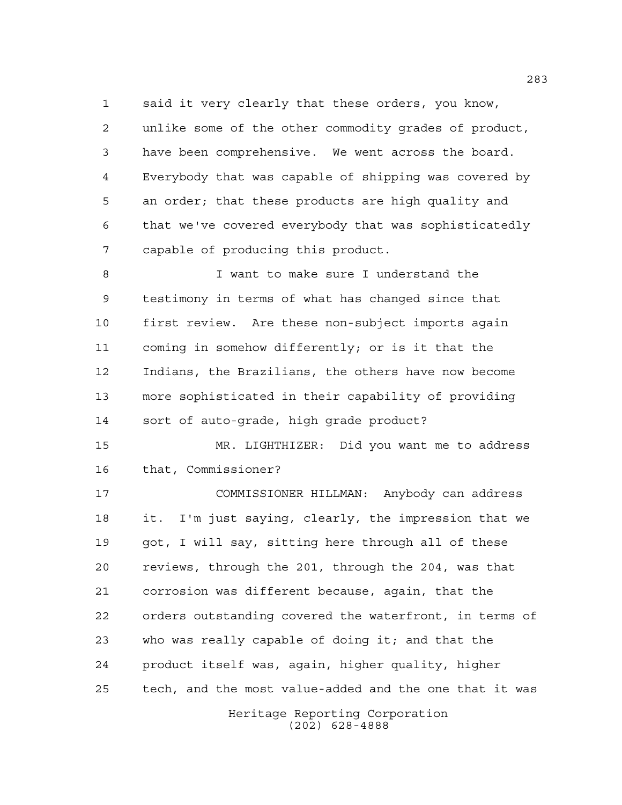said it very clearly that these orders, you know, unlike some of the other commodity grades of product, have been comprehensive. We went across the board. Everybody that was capable of shipping was covered by an order; that these products are high quality and that we've covered everybody that was sophisticatedly capable of producing this product.

 I want to make sure I understand the testimony in terms of what has changed since that first review. Are these non-subject imports again coming in somehow differently; or is it that the Indians, the Brazilians, the others have now become more sophisticated in their capability of providing sort of auto-grade, high grade product?

 MR. LIGHTHIZER: Did you want me to address that, Commissioner?

 COMMISSIONER HILLMAN: Anybody can address it. I'm just saying, clearly, the impression that we got, I will say, sitting here through all of these reviews, through the 201, through the 204, was that corrosion was different because, again, that the orders outstanding covered the waterfront, in terms of who was really capable of doing it; and that the product itself was, again, higher quality, higher tech, and the most value-added and the one that it was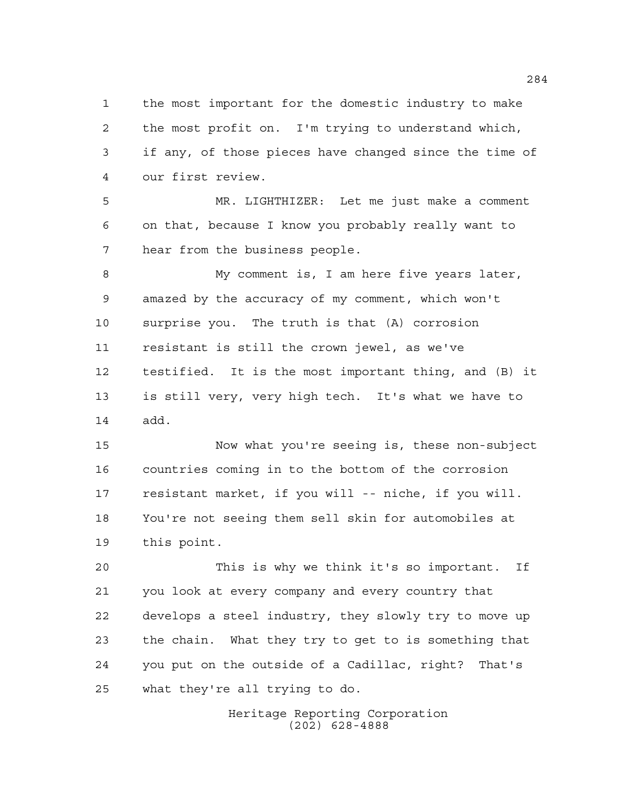the most important for the domestic industry to make the most profit on. I'm trying to understand which, if any, of those pieces have changed since the time of our first review.

 MR. LIGHTHIZER: Let me just make a comment on that, because I know you probably really want to hear from the business people.

 My comment is, I am here five years later, amazed by the accuracy of my comment, which won't surprise you. The truth is that (A) corrosion resistant is still the crown jewel, as we've testified. It is the most important thing, and (B) it is still very, very high tech. It's what we have to add.

 Now what you're seeing is, these non-subject countries coming in to the bottom of the corrosion resistant market, if you will -- niche, if you will. You're not seeing them sell skin for automobiles at this point.

 This is why we think it's so important. If you look at every company and every country that develops a steel industry, they slowly try to move up the chain. What they try to get to is something that you put on the outside of a Cadillac, right? That's what they're all trying to do.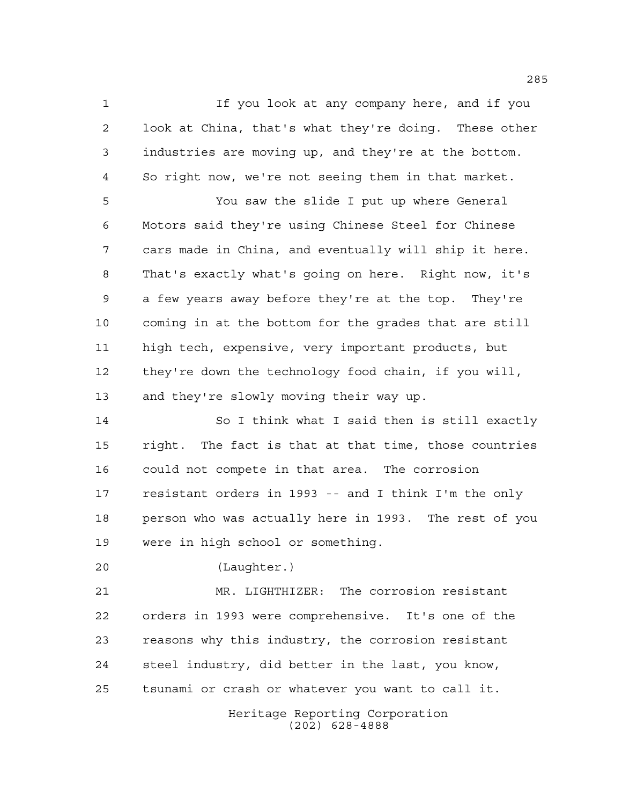If you look at any company here, and if you look at China, that's what they're doing. These other industries are moving up, and they're at the bottom. So right now, we're not seeing them in that market.

 You saw the slide I put up where General Motors said they're using Chinese Steel for Chinese cars made in China, and eventually will ship it here. That's exactly what's going on here. Right now, it's a few years away before they're at the top. They're coming in at the bottom for the grades that are still high tech, expensive, very important products, but they're down the technology food chain, if you will, and they're slowly moving their way up.

 So I think what I said then is still exactly right. The fact is that at that time, those countries could not compete in that area. The corrosion resistant orders in 1993 -- and I think I'm the only person who was actually here in 1993. The rest of you were in high school or something.

(Laughter.)

 MR. LIGHTHIZER: The corrosion resistant orders in 1993 were comprehensive. It's one of the reasons why this industry, the corrosion resistant steel industry, did better in the last, you know, tsunami or crash or whatever you want to call it.

> Heritage Reporting Corporation (202) 628-4888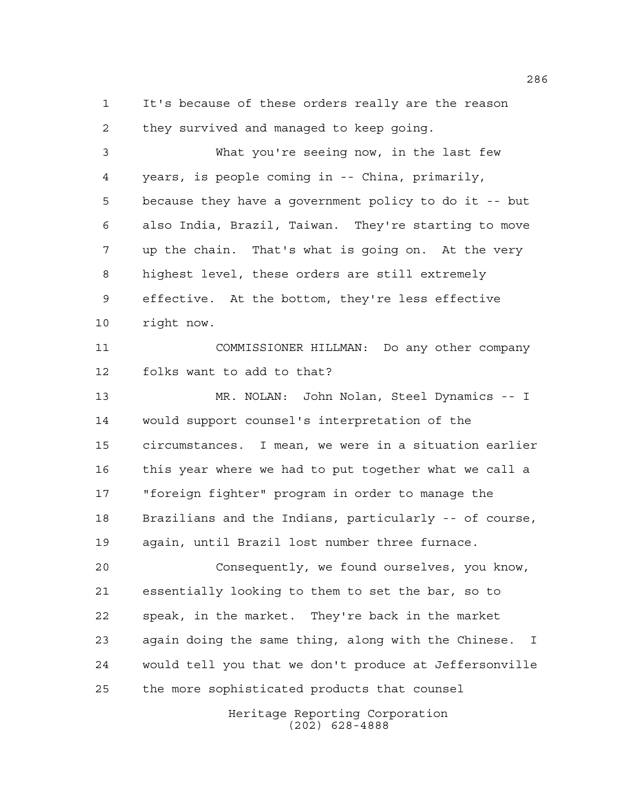It's because of these orders really are the reason they survived and managed to keep going.

 What you're seeing now, in the last few years, is people coming in -- China, primarily, because they have a government policy to do it -- but also India, Brazil, Taiwan. They're starting to move up the chain. That's what is going on. At the very highest level, these orders are still extremely effective. At the bottom, they're less effective right now.

 COMMISSIONER HILLMAN: Do any other company folks want to add to that?

 MR. NOLAN: John Nolan, Steel Dynamics -- I would support counsel's interpretation of the circumstances. I mean, we were in a situation earlier this year where we had to put together what we call a "foreign fighter" program in order to manage the Brazilians and the Indians, particularly -- of course, again, until Brazil lost number three furnace.

 Consequently, we found ourselves, you know, essentially looking to them to set the bar, so to speak, in the market. They're back in the market again doing the same thing, along with the Chinese. I would tell you that we don't produce at Jeffersonville the more sophisticated products that counsel

> Heritage Reporting Corporation (202) 628-4888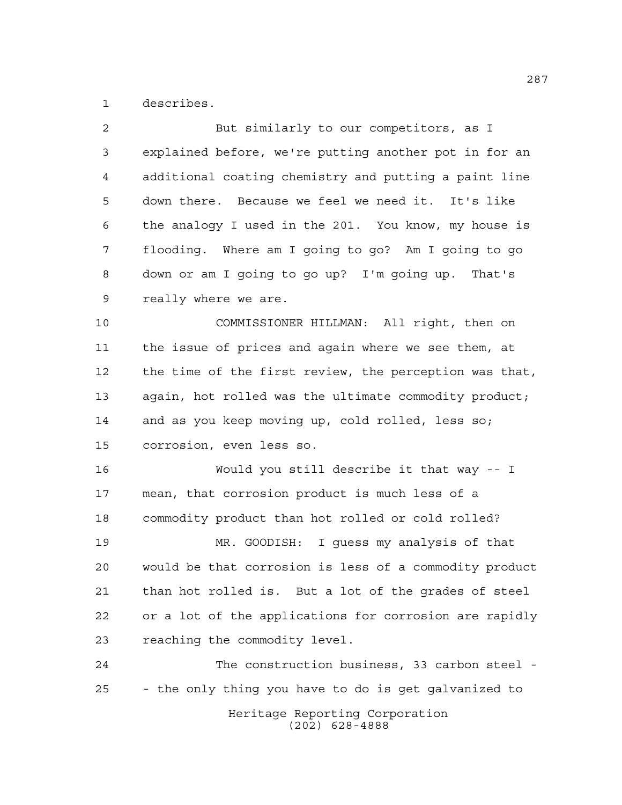describes.

| 2  | But similarly to our competitors, as I                 |
|----|--------------------------------------------------------|
| 3  | explained before, we're putting another pot in for an  |
| 4  | additional coating chemistry and putting a paint line  |
| 5  | down there. Because we feel we need it. It's like      |
| 6  | the analogy I used in the 201. You know, my house is   |
| 7  | flooding. Where am I going to go? Am I going to go     |
| 8  | down or am I going to go up? I'm going up. That's      |
| 9  | really where we are.                                   |
| 10 | COMMISSIONER HILLMAN: All right, then on               |
| 11 | the issue of prices and again where we see them, at    |
| 12 | the time of the first review, the perception was that, |
| 13 | again, hot rolled was the ultimate commodity product;  |
| 14 | and as you keep moving up, cold rolled, less so;       |
| 15 | corrosion, even less so.                               |
| 16 | Would you still describe it that way -- I              |
| 17 | mean, that corrosion product is much less of a         |
| 18 | commodity product than hot rolled or cold rolled?      |
| 19 | MR. GOODISH: I guess my analysis of that               |
| 20 | would be that corrosion is less of a commodity product |
| 21 | than hot rolled is. But a lot of the grades of steel   |
| 22 | or a lot of the applications for corrosion are rapidly |
| 23 | reaching the commodity level.                          |
| 24 | The construction business, 33 carbon steel -           |
| 25 | - the only thing you have to do is get galvanized to   |
|    | Heritage Reporting Corporation<br>$(202)$ 628-4888     |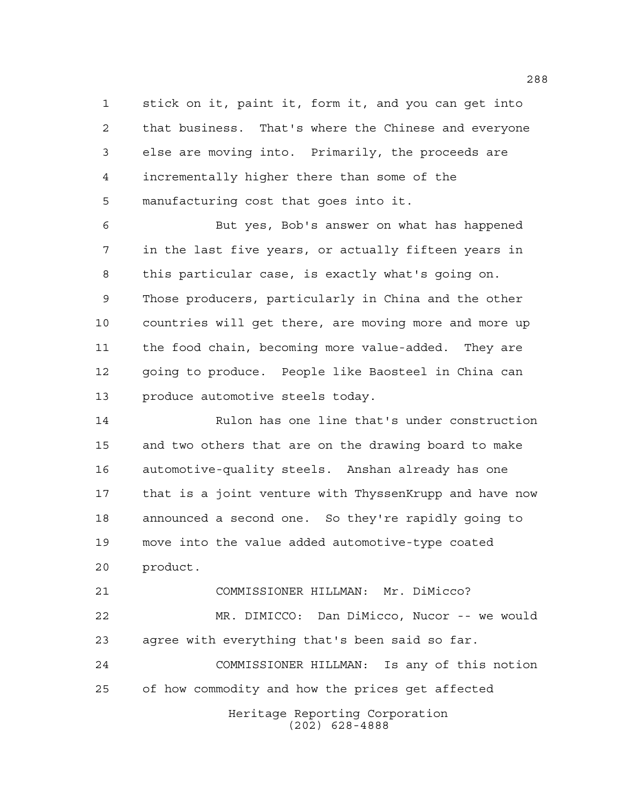stick on it, paint it, form it, and you can get into that business. That's where the Chinese and everyone else are moving into. Primarily, the proceeds are incrementally higher there than some of the manufacturing cost that goes into it.

 But yes, Bob's answer on what has happened in the last five years, or actually fifteen years in this particular case, is exactly what's going on. Those producers, particularly in China and the other countries will get there, are moving more and more up the food chain, becoming more value-added. They are going to produce. People like Baosteel in China can produce automotive steels today.

 Rulon has one line that's under construction and two others that are on the drawing board to make automotive-quality steels. Anshan already has one that is a joint venture with ThyssenKrupp and have now announced a second one. So they're rapidly going to move into the value added automotive-type coated product.

 COMMISSIONER HILLMAN: Mr. DiMicco? MR. DIMICCO: Dan DiMicco, Nucor -- we would agree with everything that's been said so far. COMMISSIONER HILLMAN: Is any of this notion

of how commodity and how the prices get affected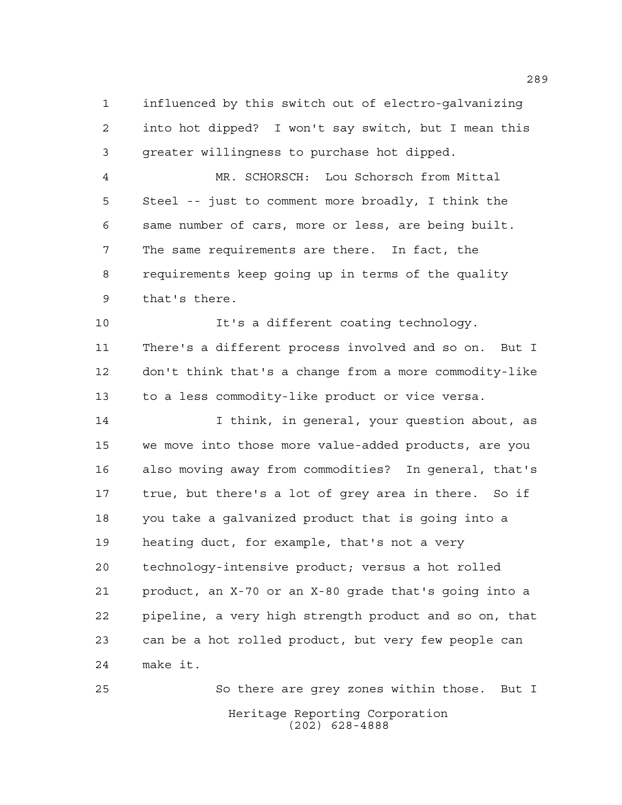influenced by this switch out of electro-galvanizing into hot dipped? I won't say switch, but I mean this greater willingness to purchase hot dipped.

 MR. SCHORSCH: Lou Schorsch from Mittal Steel -- just to comment more broadly, I think the same number of cars, more or less, are being built. The same requirements are there. In fact, the requirements keep going up in terms of the quality that's there.

 It's a different coating technology. There's a different process involved and so on. But I don't think that's a change from a more commodity-like to a less commodity-like product or vice versa.

 I think, in general, your question about, as we move into those more value-added products, are you also moving away from commodities? In general, that's true, but there's a lot of grey area in there. So if you take a galvanized product that is going into a heating duct, for example, that's not a very technology-intensive product; versus a hot rolled product, an X-70 or an X-80 grade that's going into a pipeline, a very high strength product and so on, that can be a hot rolled product, but very few people can make it.

Heritage Reporting Corporation (202) 628-4888 So there are grey zones within those. But I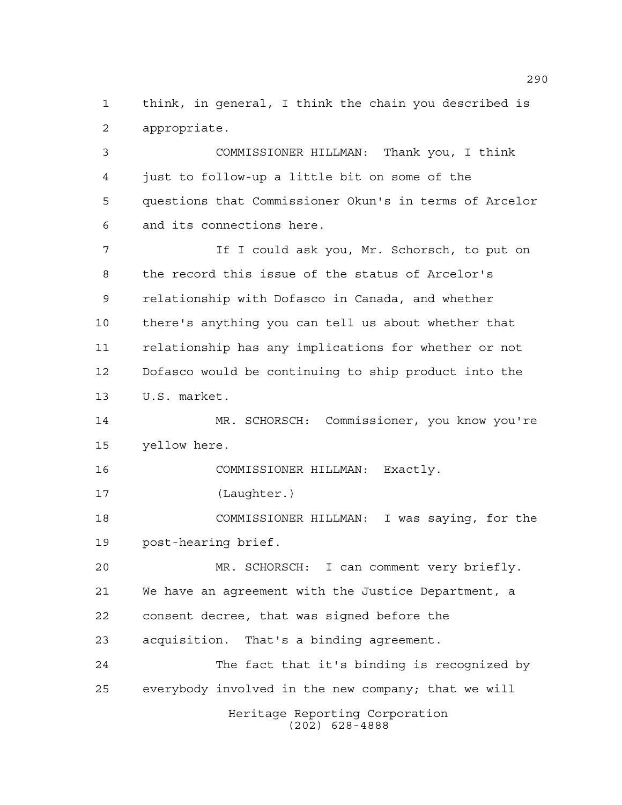think, in general, I think the chain you described is appropriate.

 COMMISSIONER HILLMAN: Thank you, I think just to follow-up a little bit on some of the questions that Commissioner Okun's in terms of Arcelor and its connections here.

 If I could ask you, Mr. Schorsch, to put on the record this issue of the status of Arcelor's relationship with Dofasco in Canada, and whether there's anything you can tell us about whether that relationship has any implications for whether or not Dofasco would be continuing to ship product into the U.S. market.

 MR. SCHORSCH: Commissioner, you know you're yellow here.

COMMISSIONER HILLMAN: Exactly.

(Laughter.)

 COMMISSIONER HILLMAN: I was saying, for the post-hearing brief.

 MR. SCHORSCH: I can comment very briefly. We have an agreement with the Justice Department, a consent decree, that was signed before the acquisition. That's a binding agreement. The fact that it's binding is recognized by

everybody involved in the new company; that we will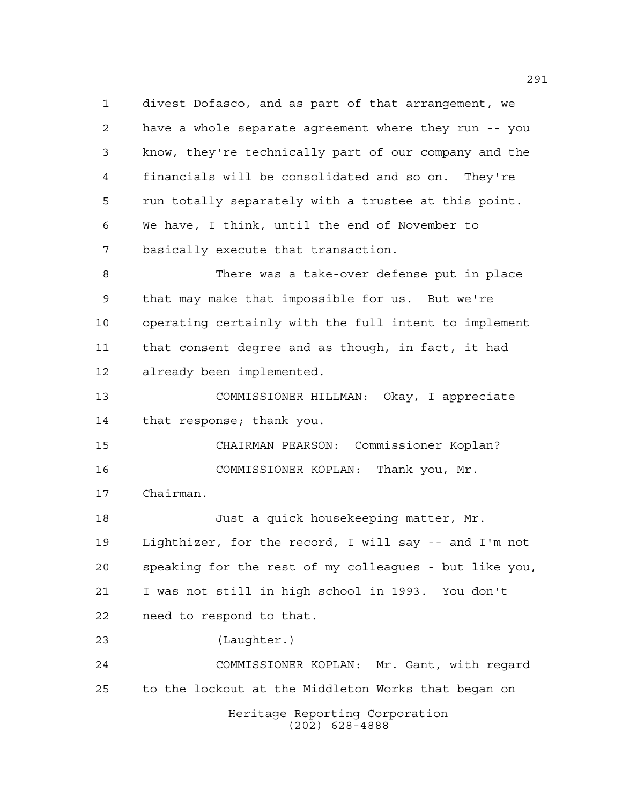divest Dofasco, and as part of that arrangement, we have a whole separate agreement where they run -- you know, they're technically part of our company and the financials will be consolidated and so on. They're run totally separately with a trustee at this point. We have, I think, until the end of November to basically execute that transaction.

 There was a take-over defense put in place that may make that impossible for us. But we're operating certainly with the full intent to implement that consent degree and as though, in fact, it had already been implemented.

 COMMISSIONER HILLMAN: Okay, I appreciate that response; thank you.

 CHAIRMAN PEARSON: Commissioner Koplan? COMMISSIONER KOPLAN: Thank you, Mr.

Chairman.

 Just a quick housekeeping matter, Mr. Lighthizer, for the record, I will say -- and I'm not speaking for the rest of my colleagues - but like you, I was not still in high school in 1993. You don't need to respond to that.

(Laughter.)

Heritage Reporting Corporation (202) 628-4888 COMMISSIONER KOPLAN: Mr. Gant, with regard to the lockout at the Middleton Works that began on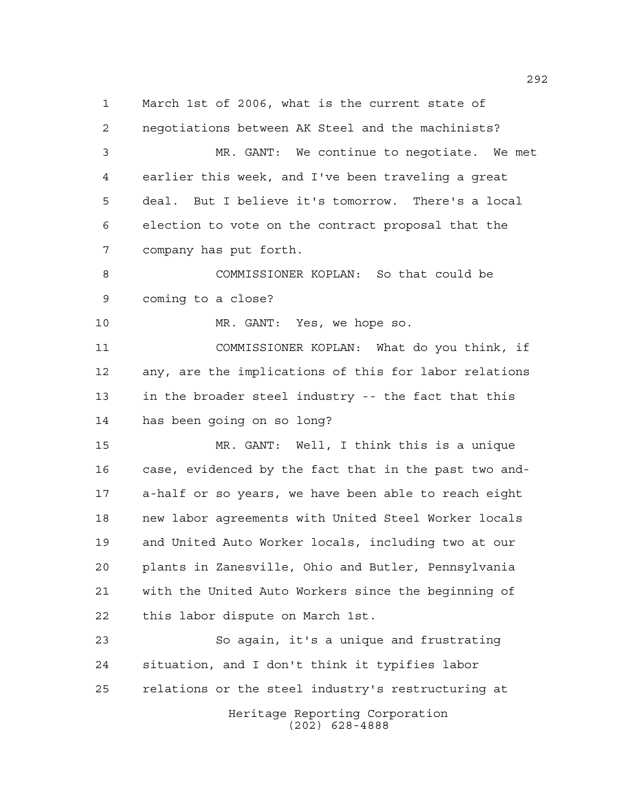Heritage Reporting Corporation March 1st of 2006, what is the current state of negotiations between AK Steel and the machinists? MR. GANT: We continue to negotiate. We met earlier this week, and I've been traveling a great deal. But I believe it's tomorrow. There's a local election to vote on the contract proposal that the company has put forth. COMMISSIONER KOPLAN: So that could be coming to a close? MR. GANT: Yes, we hope so. COMMISSIONER KOPLAN: What do you think, if any, are the implications of this for labor relations in the broader steel industry -- the fact that this has been going on so long? MR. GANT: Well, I think this is a unique case, evidenced by the fact that in the past two and- a-half or so years, we have been able to reach eight new labor agreements with United Steel Worker locals and United Auto Worker locals, including two at our plants in Zanesville, Ohio and Butler, Pennsylvania with the United Auto Workers since the beginning of this labor dispute on March 1st. So again, it's a unique and frustrating situation, and I don't think it typifies labor relations or the steel industry's restructuring at

(202) 628-4888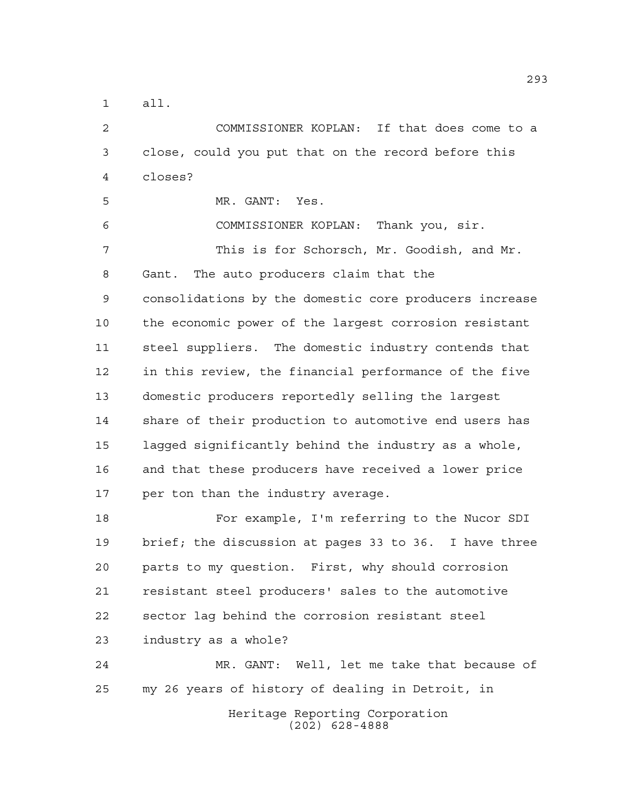all.

 COMMISSIONER KOPLAN: If that does come to a close, could you put that on the record before this closes?

MR. GANT: Yes.

 COMMISSIONER KOPLAN: Thank you, sir. This is for Schorsch, Mr. Goodish, and Mr. Gant. The auto producers claim that the consolidations by the domestic core producers increase the economic power of the largest corrosion resistant steel suppliers. The domestic industry contends that in this review, the financial performance of the five domestic producers reportedly selling the largest share of their production to automotive end users has lagged significantly behind the industry as a whole, and that these producers have received a lower price per ton than the industry average.

 For example, I'm referring to the Nucor SDI brief; the discussion at pages 33 to 36. I have three parts to my question. First, why should corrosion resistant steel producers' sales to the automotive sector lag behind the corrosion resistant steel industry as a whole?

 MR. GANT: Well, let me take that because of my 26 years of history of dealing in Detroit, in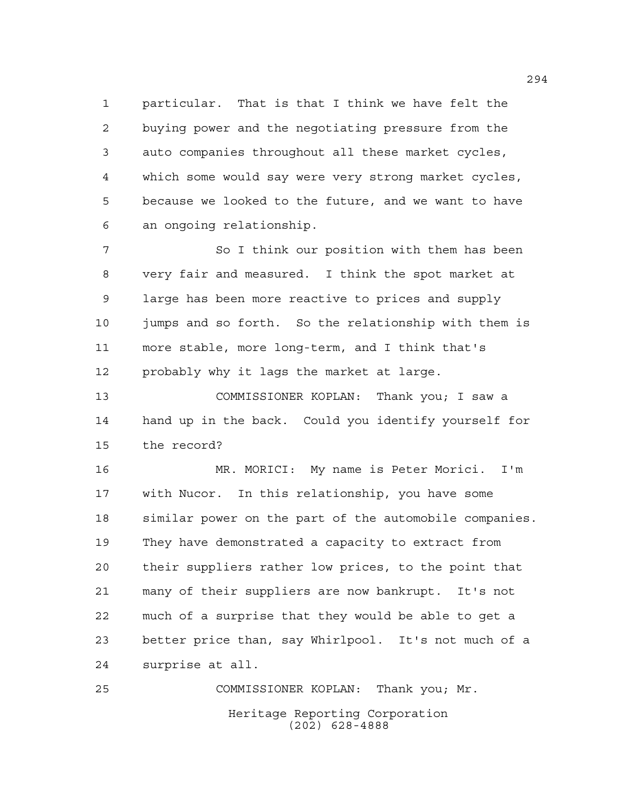particular. That is that I think we have felt the buying power and the negotiating pressure from the auto companies throughout all these market cycles, which some would say were very strong market cycles, because we looked to the future, and we want to have an ongoing relationship.

7 So I think our position with them has been very fair and measured. I think the spot market at large has been more reactive to prices and supply jumps and so forth. So the relationship with them is more stable, more long-term, and I think that's probably why it lags the market at large.

 COMMISSIONER KOPLAN: Thank you; I saw a hand up in the back. Could you identify yourself for the record?

 MR. MORICI: My name is Peter Morici. I'm with Nucor. In this relationship, you have some similar power on the part of the automobile companies. They have demonstrated a capacity to extract from their suppliers rather low prices, to the point that many of their suppliers are now bankrupt. It's not much of a surprise that they would be able to get a better price than, say Whirlpool. It's not much of a surprise at all.

Heritage Reporting Corporation (202) 628-4888 COMMISSIONER KOPLAN: Thank you; Mr.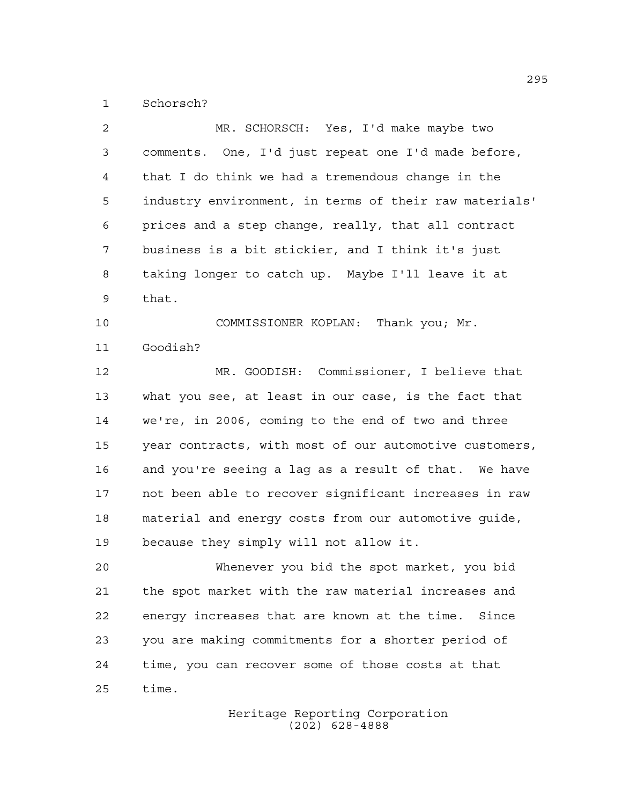Schorsch?

| $\mathbf{2}$ | MR. SCHORSCH: Yes, I'd make maybe two                  |
|--------------|--------------------------------------------------------|
| 3            | comments. One, I'd just repeat one I'd made before,    |
| 4            | that I do think we had a tremendous change in the      |
| 5            | industry environment, in terms of their raw materials' |
| 6            | prices and a step change, really, that all contract    |
| 7            | business is a bit stickier, and I think it's just      |
| 8            | taking longer to catch up. Maybe I'll leave it at      |
| 9            | that.                                                  |
| 10           | COMMISSIONER KOPLAN: Thank you; Mr.                    |
| 11           | Goodish?                                               |
| 12           | MR. GOODISH: Commissioner, I believe that              |
| 13           | what you see, at least in our case, is the fact that   |
| 14           | we're, in 2006, coming to the end of two and three     |
| 15           | year contracts, with most of our automotive customers, |
| 16           | and you're seeing a lag as a result of that. We have   |
| 17           | not been able to recover significant increases in raw  |
| 18           | material and energy costs from our automotive guide,   |
| 19           | because they simply will not allow it.                 |
| 20           | Whenever you bid the spot market, you bid              |
| 21           | the spot market with the raw material increases and    |
| 22           | energy increases that are known at the time. Since     |
| 23           | you are making commitments for a shorter period of     |
| 24           | time, you can recover some of those costs at that      |
| 25           | time.                                                  |
|              |                                                        |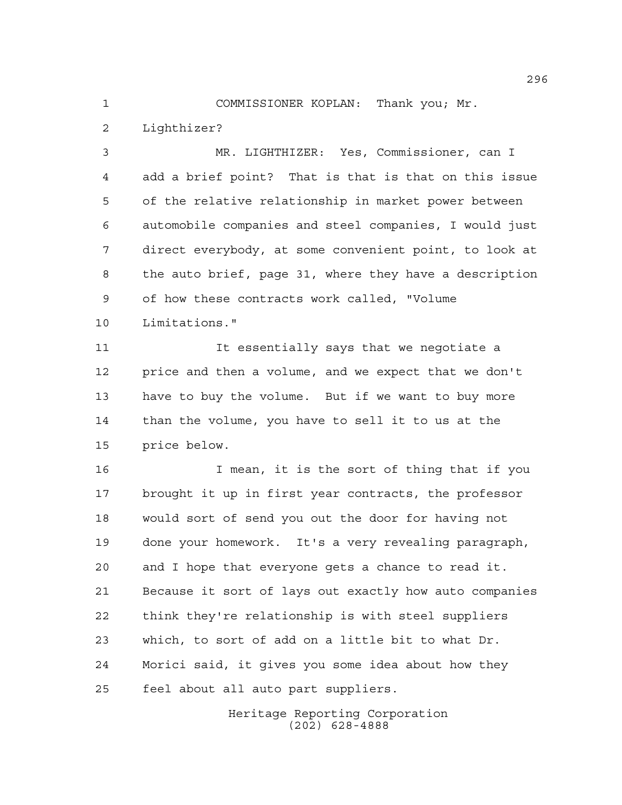COMMISSIONER KOPLAN: Thank you; Mr. Lighthizer?

 MR. LIGHTHIZER: Yes, Commissioner, can I add a brief point? That is that is that on this issue of the relative relationship in market power between automobile companies and steel companies, I would just direct everybody, at some convenient point, to look at the auto brief, page 31, where they have a description of how these contracts work called, "Volume Limitations."

11 11 It essentially says that we negotiate a price and then a volume, and we expect that we don't have to buy the volume. But if we want to buy more than the volume, you have to sell it to us at the price below.

 I mean, it is the sort of thing that if you brought it up in first year contracts, the professor would sort of send you out the door for having not done your homework. It's a very revealing paragraph, and I hope that everyone gets a chance to read it. Because it sort of lays out exactly how auto companies think they're relationship is with steel suppliers which, to sort of add on a little bit to what Dr. Morici said, it gives you some idea about how they feel about all auto part suppliers.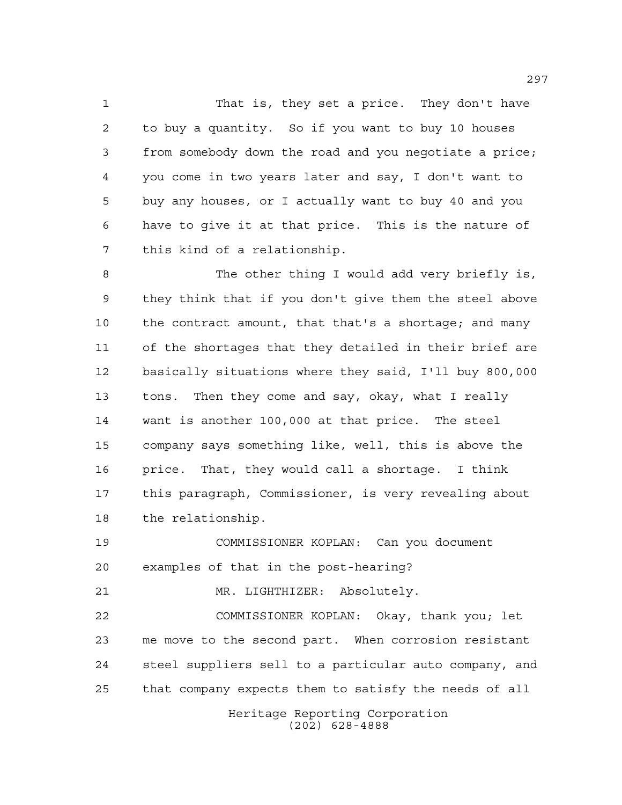That is, they set a price. They don't have to buy a quantity. So if you want to buy 10 houses from somebody down the road and you negotiate a price; you come in two years later and say, I don't want to buy any houses, or I actually want to buy 40 and you have to give it at that price. This is the nature of this kind of a relationship.

 The other thing I would add very briefly is, they think that if you don't give them the steel above the contract amount, that that's a shortage; and many of the shortages that they detailed in their brief are basically situations where they said, I'll buy 800,000 tons. Then they come and say, okay, what I really want is another 100,000 at that price. The steel company says something like, well, this is above the price. That, they would call a shortage. I think this paragraph, Commissioner, is very revealing about the relationship.

 COMMISSIONER KOPLAN: Can you document examples of that in the post-hearing?

MR. LIGHTHIZER: Absolutely.

 COMMISSIONER KOPLAN: Okay, thank you; let me move to the second part. When corrosion resistant steel suppliers sell to a particular auto company, and that company expects them to satisfy the needs of all

> Heritage Reporting Corporation (202) 628-4888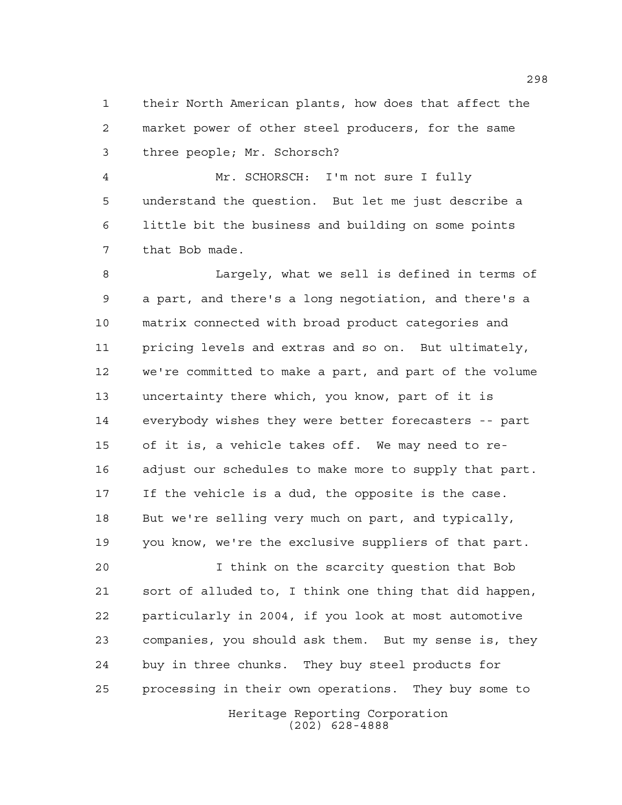their North American plants, how does that affect the market power of other steel producers, for the same three people; Mr. Schorsch?

 Mr. SCHORSCH: I'm not sure I fully understand the question. But let me just describe a little bit the business and building on some points that Bob made.

 Largely, what we sell is defined in terms of a part, and there's a long negotiation, and there's a matrix connected with broad product categories and pricing levels and extras and so on. But ultimately, we're committed to make a part, and part of the volume uncertainty there which, you know, part of it is everybody wishes they were better forecasters -- part of it is, a vehicle takes off. We may need to re- adjust our schedules to make more to supply that part. If the vehicle is a dud, the opposite is the case. But we're selling very much on part, and typically, you know, we're the exclusive suppliers of that part.

Heritage Reporting Corporation I think on the scarcity question that Bob sort of alluded to, I think one thing that did happen, particularly in 2004, if you look at most automotive companies, you should ask them. But my sense is, they buy in three chunks. They buy steel products for processing in their own operations. They buy some to

(202) 628-4888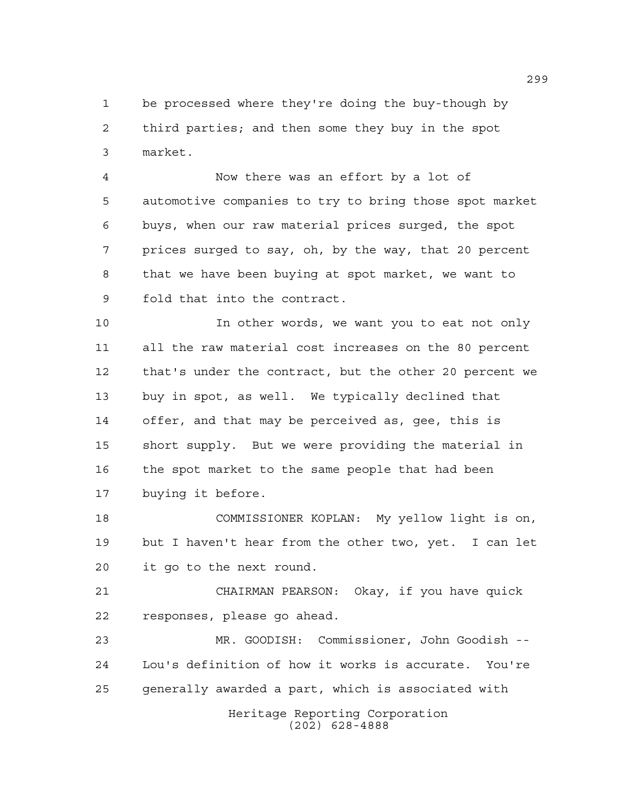be processed where they're doing the buy-though by third parties; and then some they buy in the spot market.

 Now there was an effort by a lot of automotive companies to try to bring those spot market buys, when our raw material prices surged, the spot prices surged to say, oh, by the way, that 20 percent that we have been buying at spot market, we want to fold that into the contract.

 In other words, we want you to eat not only all the raw material cost increases on the 80 percent that's under the contract, but the other 20 percent we buy in spot, as well. We typically declined that offer, and that may be perceived as, gee, this is short supply. But we were providing the material in the spot market to the same people that had been buying it before.

 COMMISSIONER KOPLAN: My yellow light is on, but I haven't hear from the other two, yet. I can let it go to the next round.

 CHAIRMAN PEARSON: Okay, if you have quick responses, please go ahead.

 MR. GOODISH: Commissioner, John Goodish -- Lou's definition of how it works is accurate. You're generally awarded a part, which is associated with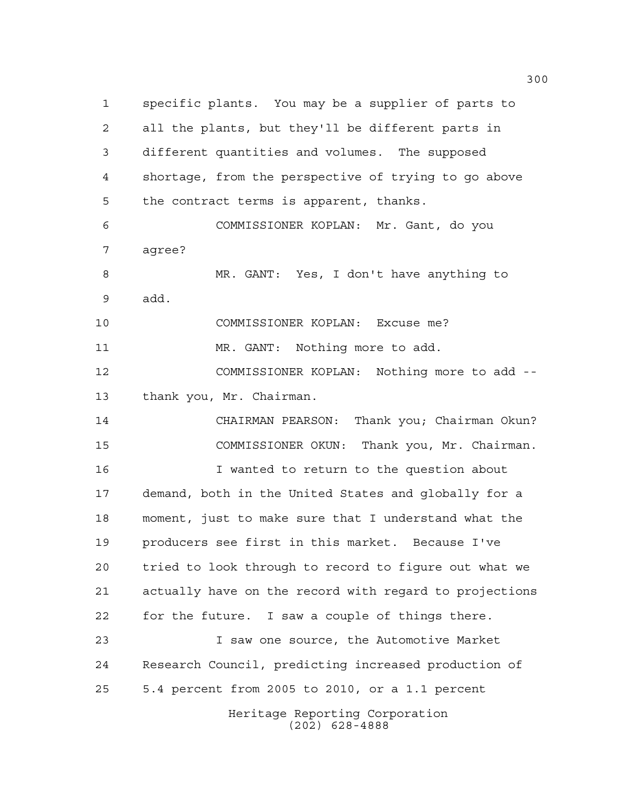Heritage Reporting Corporation (202) 628-4888 specific plants. You may be a supplier of parts to all the plants, but they'll be different parts in different quantities and volumes. The supposed shortage, from the perspective of trying to go above the contract terms is apparent, thanks. COMMISSIONER KOPLAN: Mr. Gant, do you agree? MR. GANT: Yes, I don't have anything to add. COMMISSIONER KOPLAN: Excuse me? 11 MR. GANT: Nothing more to add. COMMISSIONER KOPLAN: Nothing more to add -- thank you, Mr. Chairman. CHAIRMAN PEARSON: Thank you; Chairman Okun? COMMISSIONER OKUN: Thank you, Mr. Chairman. I wanted to return to the question about demand, both in the United States and globally for a moment, just to make sure that I understand what the producers see first in this market. Because I've tried to look through to record to figure out what we actually have on the record with regard to projections for the future. I saw a couple of things there. I saw one source, the Automotive Market Research Council, predicting increased production of 5.4 percent from 2005 to 2010, or a 1.1 percent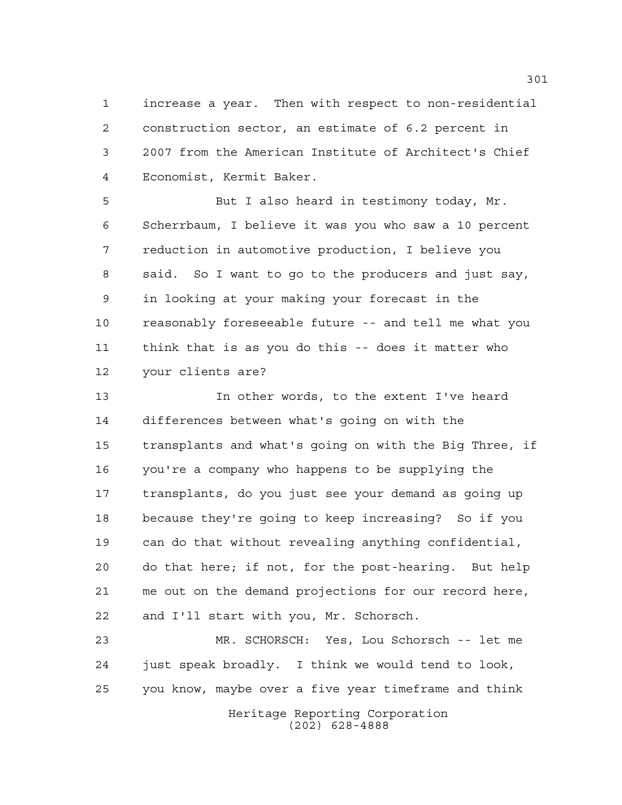increase a year. Then with respect to non-residential construction sector, an estimate of 6.2 percent in 2007 from the American Institute of Architect's Chief Economist, Kermit Baker.

 But I also heard in testimony today, Mr. Scherrbaum, I believe it was you who saw a 10 percent reduction in automotive production, I believe you said. So I want to go to the producers and just say, in looking at your making your forecast in the reasonably foreseeable future -- and tell me what you think that is as you do this -- does it matter who your clients are?

 In other words, to the extent I've heard differences between what's going on with the transplants and what's going on with the Big Three, if you're a company who happens to be supplying the transplants, do you just see your demand as going up because they're going to keep increasing? So if you can do that without revealing anything confidential, do that here; if not, for the post-hearing. But help me out on the demand projections for our record here, and I'll start with you, Mr. Schorsch.

 MR. SCHORSCH: Yes, Lou Schorsch -- let me just speak broadly. I think we would tend to look, you know, maybe over a five year timeframe and think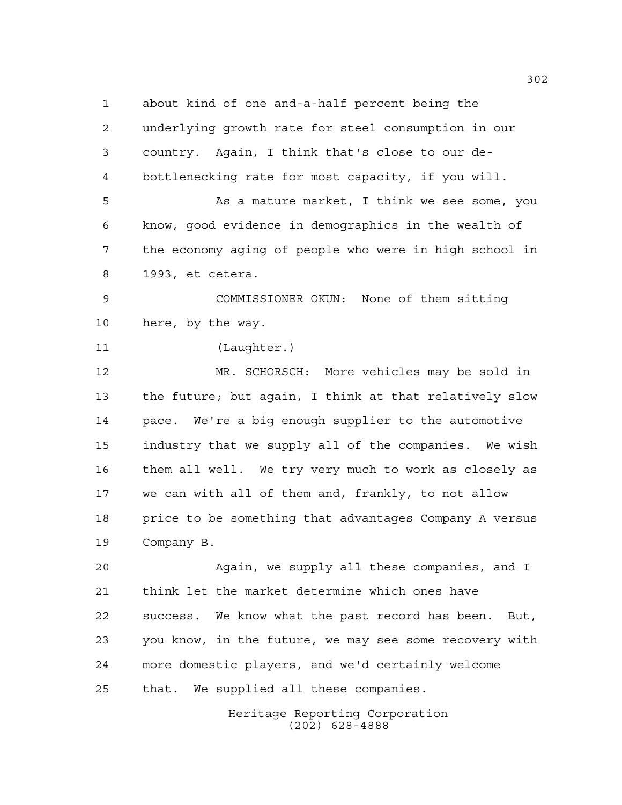about kind of one and-a-half percent being the underlying growth rate for steel consumption in our country. Again, I think that's close to our de- bottlenecking rate for most capacity, if you will. As a mature market, I think we see some, you know, good evidence in demographics in the wealth of the economy aging of people who were in high school in 1993, et cetera. COMMISSIONER OKUN: None of them sitting here, by the way. (Laughter.) MR. SCHORSCH: More vehicles may be sold in the future; but again, I think at that relatively slow pace. We're a big enough supplier to the automotive industry that we supply all of the companies. We wish them all well. We try very much to work as closely as we can with all of them and, frankly, to not allow price to be something that advantages Company A versus Company B. Again, we supply all these companies, and I think let the market determine which ones have success. We know what the past record has been. But, you know, in the future, we may see some recovery with more domestic players, and we'd certainly welcome

that. We supplied all these companies.

Heritage Reporting Corporation (202) 628-4888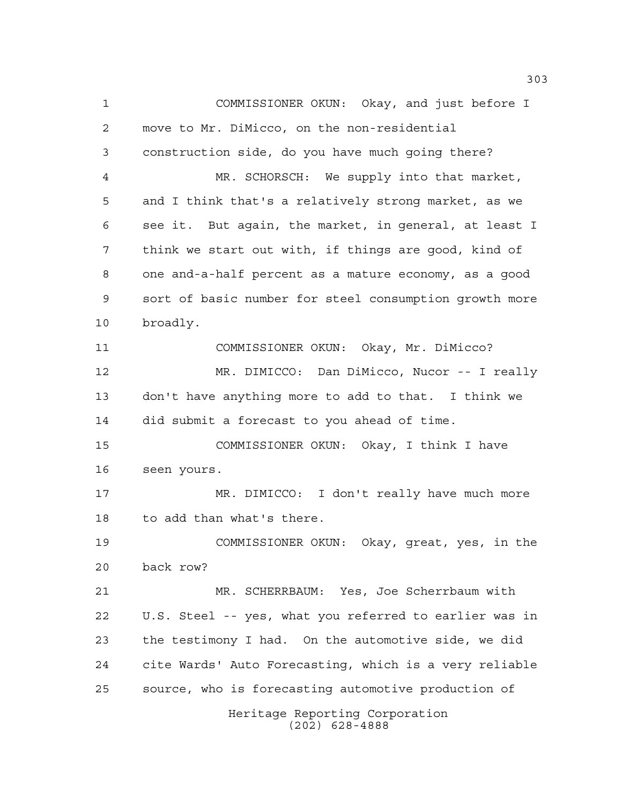Heritage Reporting Corporation COMMISSIONER OKUN: Okay, and just before I move to Mr. DiMicco, on the non-residential construction side, do you have much going there? MR. SCHORSCH: We supply into that market, and I think that's a relatively strong market, as we see it. But again, the market, in general, at least I think we start out with, if things are good, kind of one and-a-half percent as a mature economy, as a good sort of basic number for steel consumption growth more broadly. COMMISSIONER OKUN: Okay, Mr. DiMicco? MR. DIMICCO: Dan DiMicco, Nucor -- I really don't have anything more to add to that. I think we did submit a forecast to you ahead of time. COMMISSIONER OKUN: Okay, I think I have seen yours. MR. DIMICCO: I don't really have much more to add than what's there. COMMISSIONER OKUN: Okay, great, yes, in the back row? MR. SCHERRBAUM: Yes, Joe Scherrbaum with U.S. Steel -- yes, what you referred to earlier was in the testimony I had. On the automotive side, we did cite Wards' Auto Forecasting, which is a very reliable source, who is forecasting automotive production of

(202) 628-4888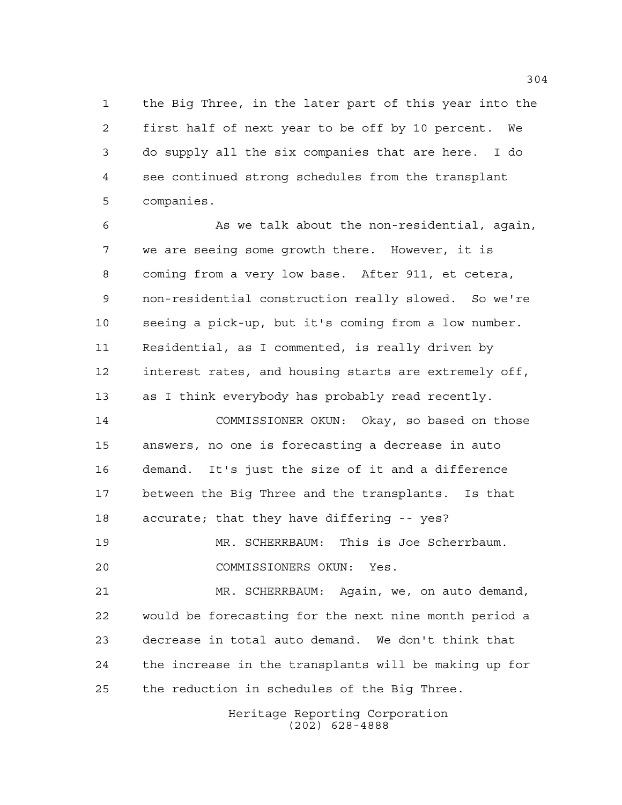the Big Three, in the later part of this year into the first half of next year to be off by 10 percent. We do supply all the six companies that are here. I do see continued strong schedules from the transplant companies.

 As we talk about the non-residential, again, we are seeing some growth there. However, it is coming from a very low base. After 911, et cetera, non-residential construction really slowed. So we're seeing a pick-up, but it's coming from a low number. Residential, as I commented, is really driven by interest rates, and housing starts are extremely off, as I think everybody has probably read recently.

 COMMISSIONER OKUN: Okay, so based on those answers, no one is forecasting a decrease in auto demand. It's just the size of it and a difference between the Big Three and the transplants. Is that accurate; that they have differing -- yes?

 MR. SCHERRBAUM: This is Joe Scherrbaum. COMMISSIONERS OKUN: Yes.

 MR. SCHERRBAUM: Again, we, on auto demand, would be forecasting for the next nine month period a decrease in total auto demand. We don't think that the increase in the transplants will be making up for the reduction in schedules of the Big Three.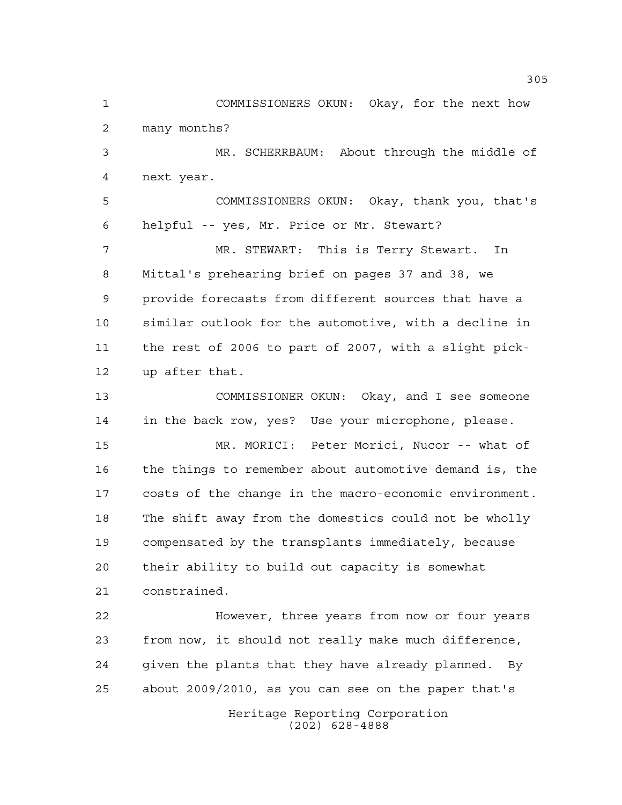Heritage Reporting Corporation (202) 628-4888 COMMISSIONERS OKUN: Okay, for the next how many months? MR. SCHERRBAUM: About through the middle of next year. COMMISSIONERS OKUN: Okay, thank you, that's helpful -- yes, Mr. Price or Mr. Stewart? MR. STEWART: This is Terry Stewart. In Mittal's prehearing brief on pages 37 and 38, we provide forecasts from different sources that have a similar outlook for the automotive, with a decline in the rest of 2006 to part of 2007, with a slight pick- up after that. COMMISSIONER OKUN: Okay, and I see someone in the back row, yes? Use your microphone, please. MR. MORICI: Peter Morici, Nucor -- what of the things to remember about automotive demand is, the costs of the change in the macro-economic environment. The shift away from the domestics could not be wholly compensated by the transplants immediately, because their ability to build out capacity is somewhat constrained. However, three years from now or four years from now, it should not really make much difference, given the plants that they have already planned. By about 2009/2010, as you can see on the paper that's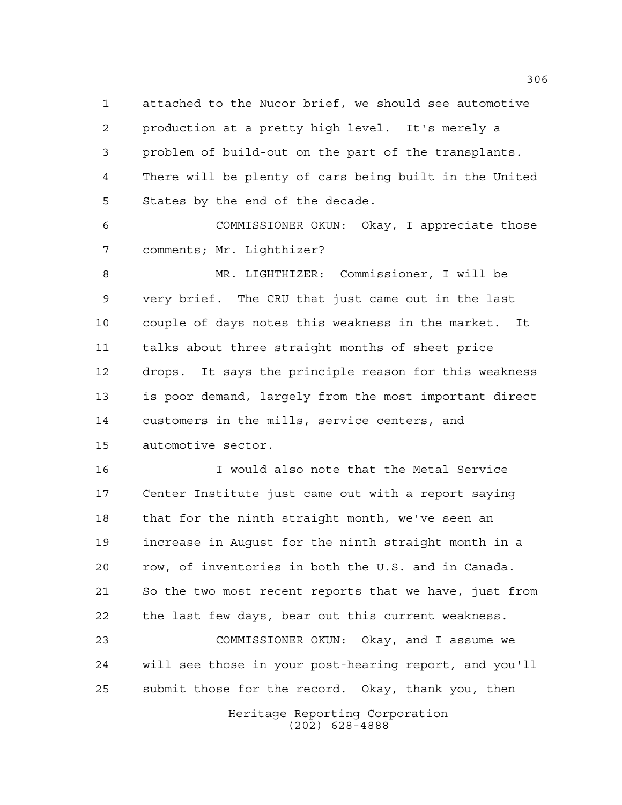attached to the Nucor brief, we should see automotive production at a pretty high level. It's merely a problem of build-out on the part of the transplants. There will be plenty of cars being built in the United States by the end of the decade.

 COMMISSIONER OKUN: Okay, I appreciate those comments; Mr. Lighthizer?

 MR. LIGHTHIZER: Commissioner, I will be very brief. The CRU that just came out in the last couple of days notes this weakness in the market. It talks about three straight months of sheet price drops. It says the principle reason for this weakness is poor demand, largely from the most important direct customers in the mills, service centers, and automotive sector.

 I would also note that the Metal Service Center Institute just came out with a report saying that for the ninth straight month, we've seen an increase in August for the ninth straight month in a row, of inventories in both the U.S. and in Canada. So the two most recent reports that we have, just from the last few days, bear out this current weakness.

 COMMISSIONER OKUN: Okay, and I assume we will see those in your post-hearing report, and you'll submit those for the record. Okay, thank you, then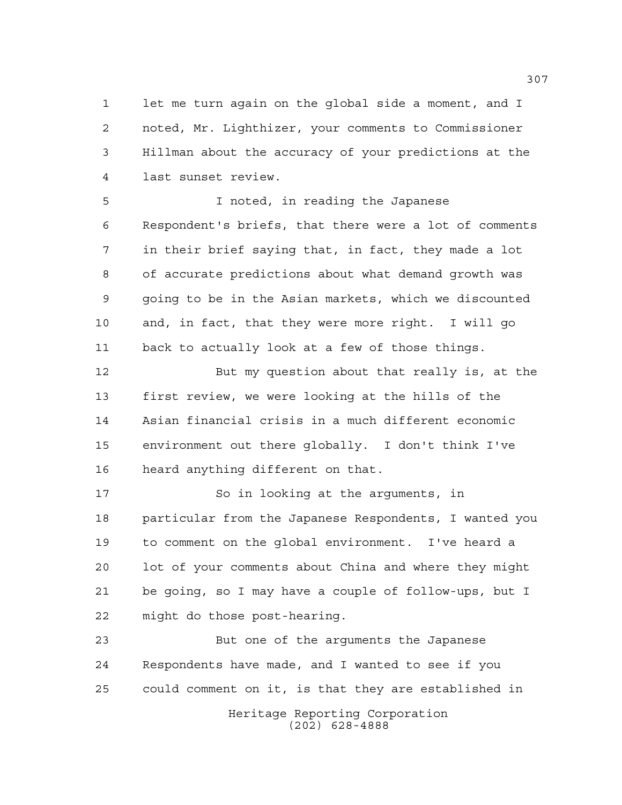let me turn again on the global side a moment, and I noted, Mr. Lighthizer, your comments to Commissioner Hillman about the accuracy of your predictions at the last sunset review.

 I noted, in reading the Japanese Respondent's briefs, that there were a lot of comments in their brief saying that, in fact, they made a lot of accurate predictions about what demand growth was going to be in the Asian markets, which we discounted and, in fact, that they were more right. I will go back to actually look at a few of those things.

 But my question about that really is, at the first review, we were looking at the hills of the Asian financial crisis in a much different economic environment out there globally. I don't think I've heard anything different on that.

 So in looking at the arguments, in particular from the Japanese Respondents, I wanted you to comment on the global environment. I've heard a lot of your comments about China and where they might be going, so I may have a couple of follow-ups, but I might do those post-hearing.

Heritage Reporting Corporation But one of the arguments the Japanese Respondents have made, and I wanted to see if you could comment on it, is that they are established in

(202) 628-4888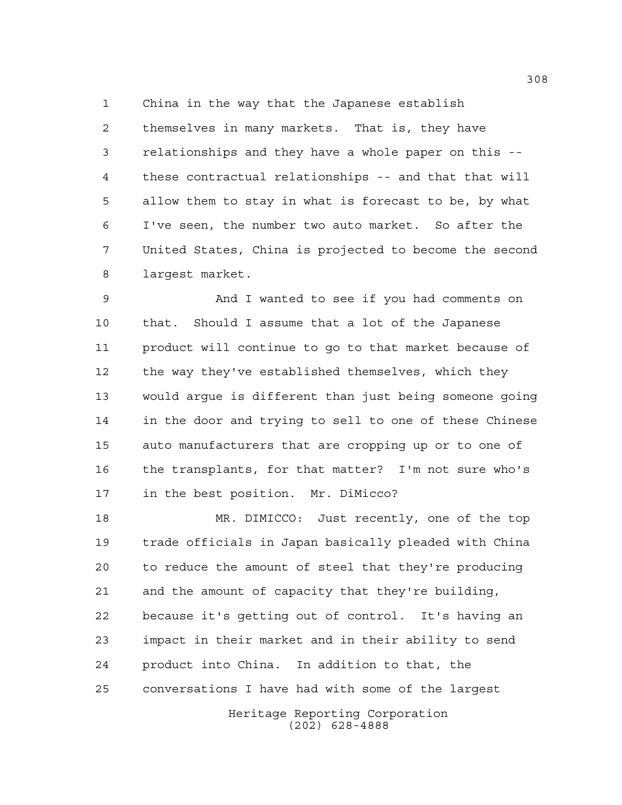China in the way that the Japanese establish themselves in many markets. That is, they have relationships and they have a whole paper on this -- these contractual relationships -- and that that will allow them to stay in what is forecast to be, by what I've seen, the number two auto market. So after the United States, China is projected to become the second largest market.

 And I wanted to see if you had comments on that. Should I assume that a lot of the Japanese product will continue to go to that market because of the way they've established themselves, which they would argue is different than just being someone going in the door and trying to sell to one of these Chinese auto manufacturers that are cropping up or to one of the transplants, for that matter? I'm not sure who's in the best position. Mr. DiMicco?

 MR. DIMICCO: Just recently, one of the top trade officials in Japan basically pleaded with China to reduce the amount of steel that they're producing and the amount of capacity that they're building, because it's getting out of control. It's having an impact in their market and in their ability to send product into China. In addition to that, the conversations I have had with some of the largest

Heritage Reporting Corporation (202) 628-4888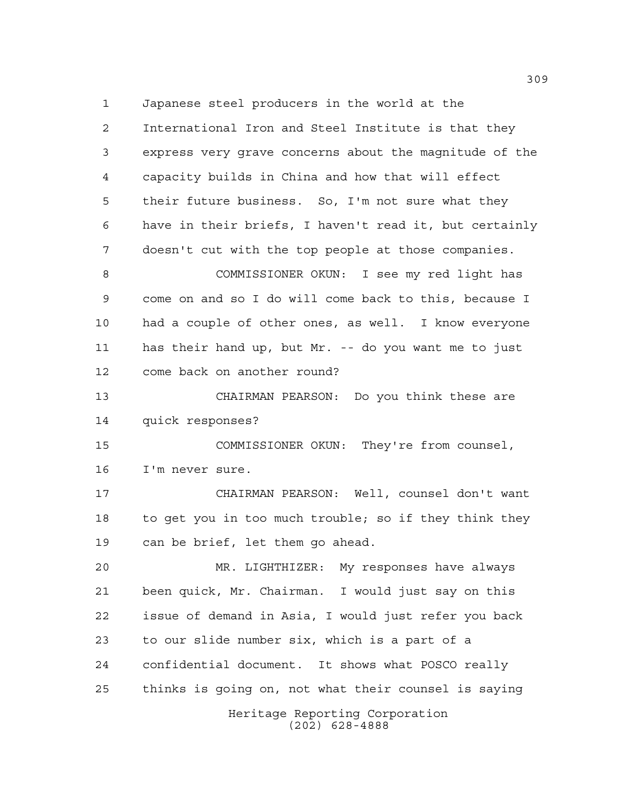Japanese steel producers in the world at the International Iron and Steel Institute is that they express very grave concerns about the magnitude of the capacity builds in China and how that will effect their future business. So, I'm not sure what they have in their briefs, I haven't read it, but certainly doesn't cut with the top people at those companies. COMMISSIONER OKUN: I see my red light has come on and so I do will come back to this, because I had a couple of other ones, as well. I know everyone has their hand up, but Mr. -- do you want me to just come back on another round? CHAIRMAN PEARSON: Do you think these are quick responses? COMMISSIONER OKUN: They're from counsel, I'm never sure. CHAIRMAN PEARSON: Well, counsel don't want to get you in too much trouble; so if they think they can be brief, let them go ahead. MR. LIGHTHIZER: My responses have always been quick, Mr. Chairman. I would just say on this issue of demand in Asia, I would just refer you back to our slide number six, which is a part of a confidential document. It shows what POSCO really thinks is going on, not what their counsel is saying

Heritage Reporting Corporation (202) 628-4888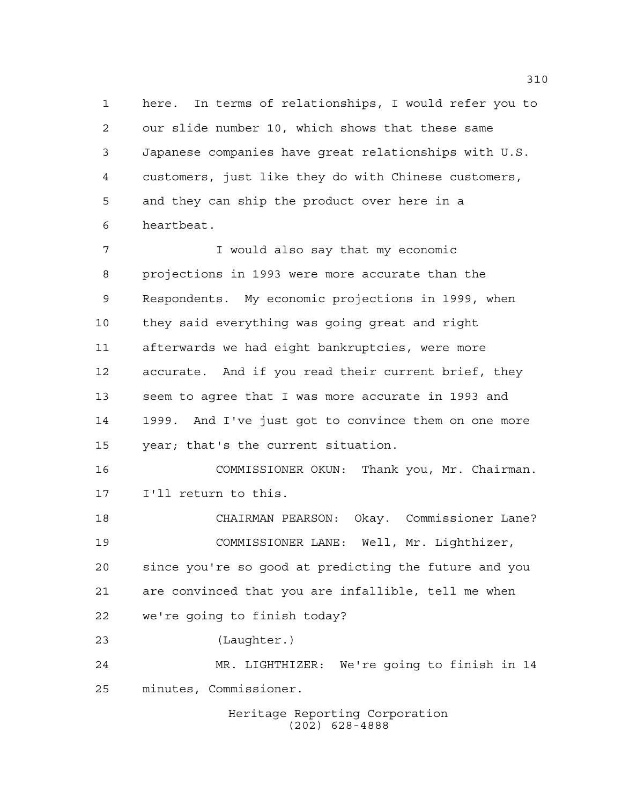here. In terms of relationships, I would refer you to our slide number 10, which shows that these same Japanese companies have great relationships with U.S. customers, just like they do with Chinese customers, and they can ship the product over here in a heartbeat.

 I would also say that my economic projections in 1993 were more accurate than the Respondents. My economic projections in 1999, when they said everything was going great and right afterwards we had eight bankruptcies, were more accurate. And if you read their current brief, they seem to agree that I was more accurate in 1993 and 1999. And I've just got to convince them on one more year; that's the current situation. COMMISSIONER OKUN: Thank you, Mr. Chairman. I'll return to this.

 CHAIRMAN PEARSON: Okay. Commissioner Lane? COMMISSIONER LANE: Well, Mr. Lighthizer, since you're so good at predicting the future and you are convinced that you are infallible, tell me when we're going to finish today? (Laughter.)

 MR. LIGHTHIZER: We're going to finish in 14 minutes, Commissioner.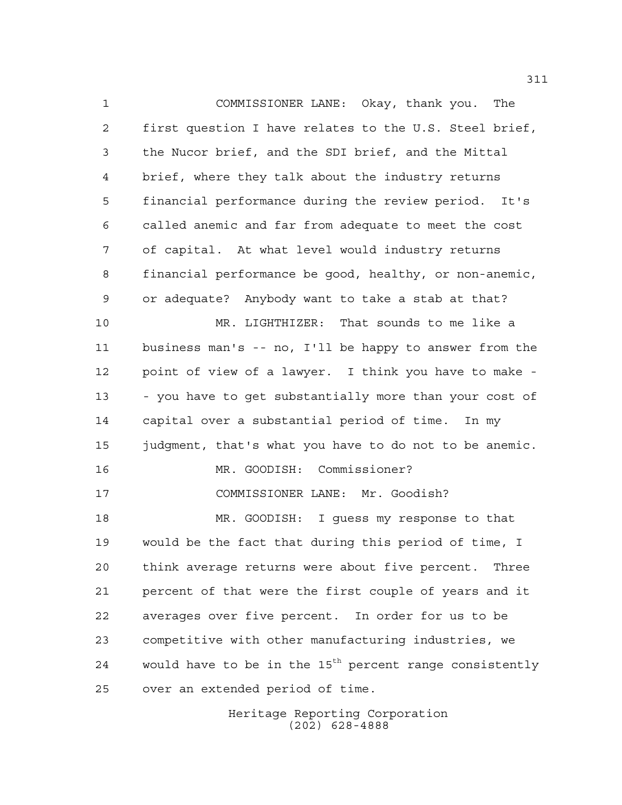COMMISSIONER LANE: Okay, thank you. The first question I have relates to the U.S. Steel brief, the Nucor brief, and the SDI brief, and the Mittal brief, where they talk about the industry returns financial performance during the review period. It's called anemic and far from adequate to meet the cost of capital. At what level would industry returns financial performance be good, healthy, or non-anemic, or adequate? Anybody want to take a stab at that? MR. LIGHTHIZER: That sounds to me like a business man's -- no, I'll be happy to answer from the point of view of a lawyer. I think you have to make - - you have to get substantially more than your cost of capital over a substantial period of time. In my judgment, that's what you have to do not to be anemic. MR. GOODISH: Commissioner? COMMISSIONER LANE: Mr. Goodish? MR. GOODISH: I guess my response to that would be the fact that during this period of time, I think average returns were about five percent. Three percent of that were the first couple of years and it averages over five percent. In order for us to be competitive with other manufacturing industries, we 24 would have to be in the  $15<sup>th</sup>$  percent range consistently over an extended period of time.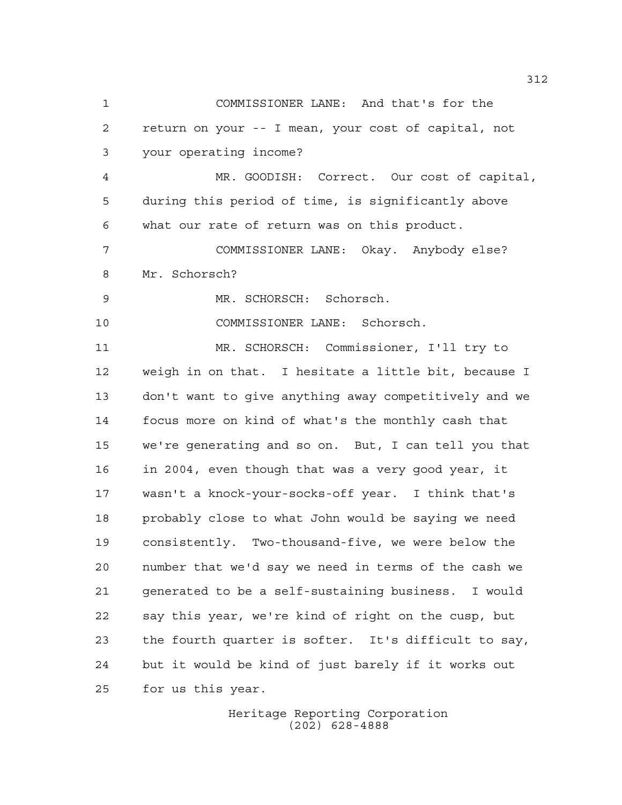COMMISSIONER LANE: And that's for the return on your -- I mean, your cost of capital, not your operating income? MR. GOODISH: Correct. Our cost of capital, during this period of time, is significantly above what our rate of return was on this product. COMMISSIONER LANE: Okay. Anybody else? Mr. Schorsch? MR. SCHORSCH: Schorsch. COMMISSIONER LANE: Schorsch. MR. SCHORSCH: Commissioner, I'll try to weigh in on that. I hesitate a little bit, because I don't want to give anything away competitively and we focus more on kind of what's the monthly cash that we're generating and so on. But, I can tell you that in 2004, even though that was a very good year, it wasn't a knock-your-socks-off year. I think that's probably close to what John would be saying we need consistently. Two-thousand-five, we were below the number that we'd say we need in terms of the cash we generated to be a self-sustaining business. I would say this year, we're kind of right on the cusp, but the fourth quarter is softer. It's difficult to say, but it would be kind of just barely if it works out for us this year.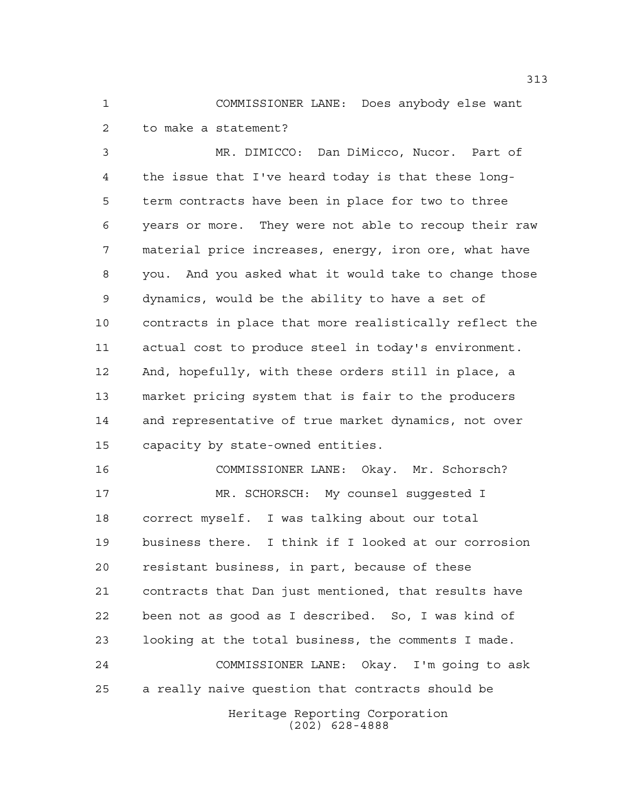COMMISSIONER LANE: Does anybody else want to make a statement?

 MR. DIMICCO: Dan DiMicco, Nucor. Part of the issue that I've heard today is that these long- term contracts have been in place for two to three years or more. They were not able to recoup their raw material price increases, energy, iron ore, what have you. And you asked what it would take to change those dynamics, would be the ability to have a set of contracts in place that more realistically reflect the actual cost to produce steel in today's environment. And, hopefully, with these orders still in place, a market pricing system that is fair to the producers and representative of true market dynamics, not over capacity by state-owned entities.

Heritage Reporting Corporation COMMISSIONER LANE: Okay. Mr. Schorsch? MR. SCHORSCH: My counsel suggested I correct myself. I was talking about our total business there. I think if I looked at our corrosion resistant business, in part, because of these contracts that Dan just mentioned, that results have been not as good as I described. So, I was kind of looking at the total business, the comments I made. COMMISSIONER LANE: Okay. I'm going to ask a really naive question that contracts should be

(202) 628-4888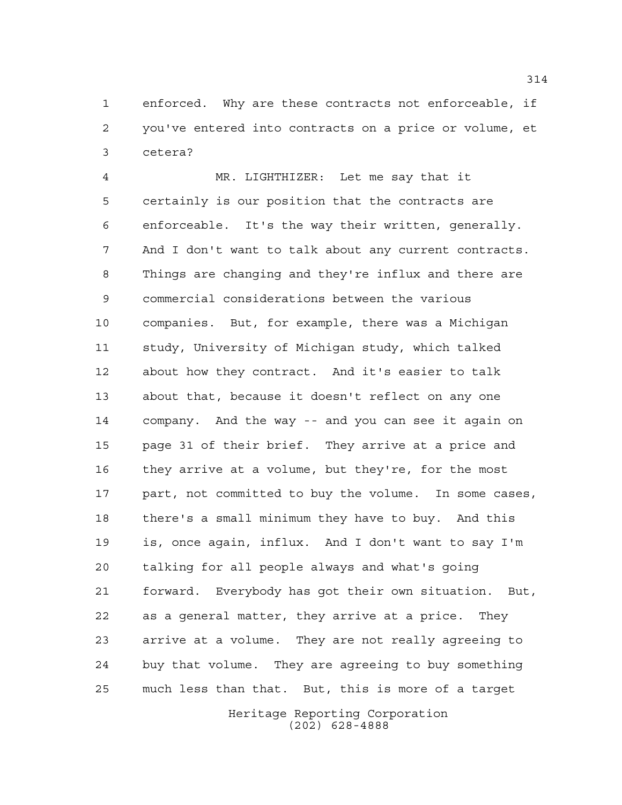enforced. Why are these contracts not enforceable, if you've entered into contracts on a price or volume, et cetera?

 MR. LIGHTHIZER: Let me say that it certainly is our position that the contracts are enforceable. It's the way their written, generally. And I don't want to talk about any current contracts. Things are changing and they're influx and there are commercial considerations between the various companies. But, for example, there was a Michigan study, University of Michigan study, which talked about how they contract. And it's easier to talk about that, because it doesn't reflect on any one company. And the way -- and you can see it again on page 31 of their brief. They arrive at a price and they arrive at a volume, but they're, for the most 17 part, not committed to buy the volume. In some cases, there's a small minimum they have to buy. And this is, once again, influx. And I don't want to say I'm talking for all people always and what's going forward. Everybody has got their own situation. But, as a general matter, they arrive at a price. They arrive at a volume. They are not really agreeing to buy that volume. They are agreeing to buy something much less than that. But, this is more of a target

> Heritage Reporting Corporation (202) 628-4888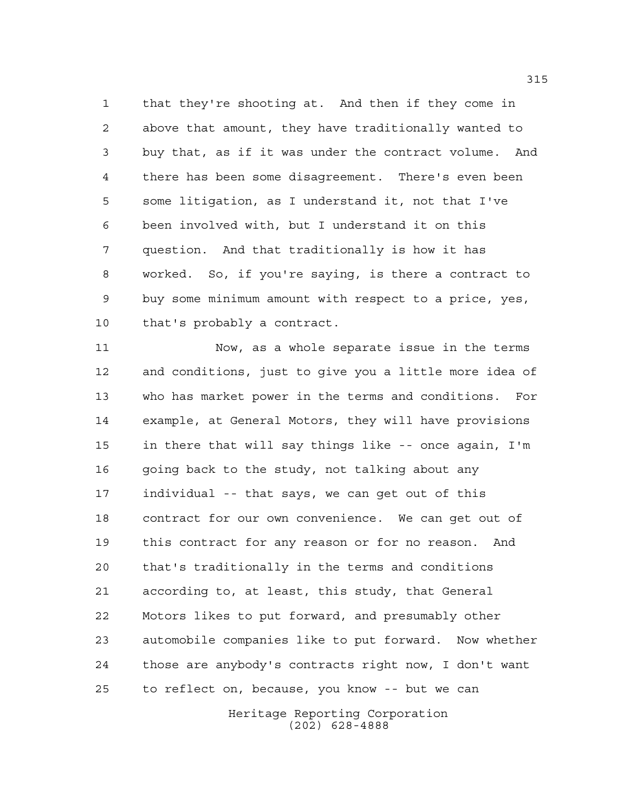that they're shooting at. And then if they come in above that amount, they have traditionally wanted to buy that, as if it was under the contract volume. And there has been some disagreement. There's even been some litigation, as I understand it, not that I've been involved with, but I understand it on this question. And that traditionally is how it has worked. So, if you're saying, is there a contract to buy some minimum amount with respect to a price, yes, that's probably a contract.

 Now, as a whole separate issue in the terms and conditions, just to give you a little more idea of who has market power in the terms and conditions. For example, at General Motors, they will have provisions in there that will say things like -- once again, I'm 16 going back to the study, not talking about any individual -- that says, we can get out of this contract for our own convenience. We can get out of this contract for any reason or for no reason. And that's traditionally in the terms and conditions according to, at least, this study, that General Motors likes to put forward, and presumably other automobile companies like to put forward. Now whether those are anybody's contracts right now, I don't want to reflect on, because, you know -- but we can

> Heritage Reporting Corporation (202) 628-4888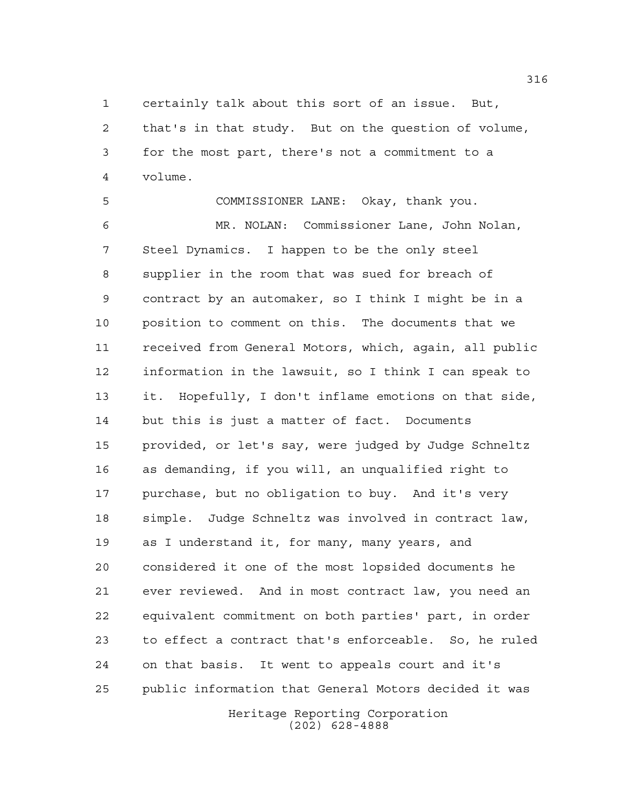certainly talk about this sort of an issue. But,

 that's in that study. But on the question of volume, for the most part, there's not a commitment to a volume.

 COMMISSIONER LANE: Okay, thank you. MR. NOLAN: Commissioner Lane, John Nolan, Steel Dynamics. I happen to be the only steel supplier in the room that was sued for breach of contract by an automaker, so I think I might be in a position to comment on this. The documents that we received from General Motors, which, again, all public information in the lawsuit, so I think I can speak to it. Hopefully, I don't inflame emotions on that side, but this is just a matter of fact. Documents provided, or let's say, were judged by Judge Schneltz as demanding, if you will, an unqualified right to purchase, but no obligation to buy. And it's very simple. Judge Schneltz was involved in contract law, as I understand it, for many, many years, and considered it one of the most lopsided documents he ever reviewed. And in most contract law, you need an equivalent commitment on both parties' part, in order to effect a contract that's enforceable. So, he ruled on that basis. It went to appeals court and it's public information that General Motors decided it was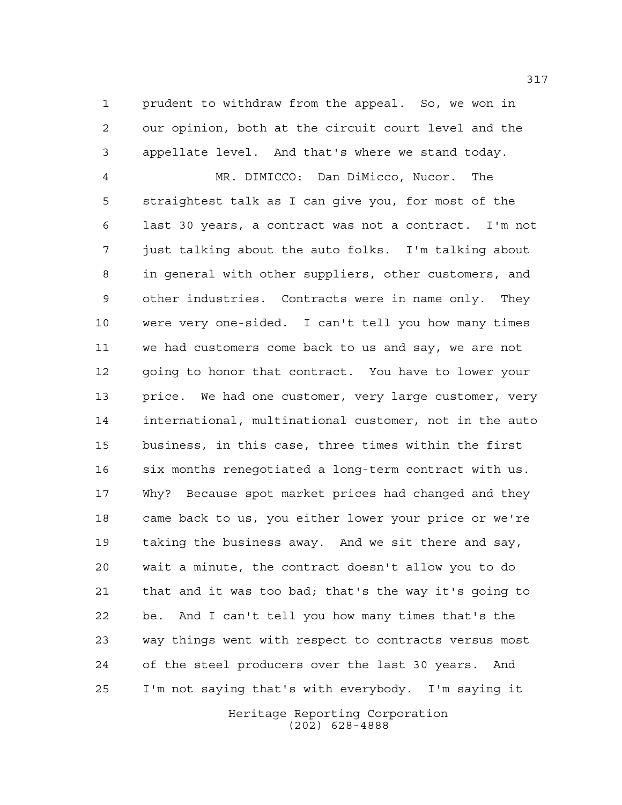prudent to withdraw from the appeal. So, we won in our opinion, both at the circuit court level and the appellate level. And that's where we stand today.

 MR. DIMICCO: Dan DiMicco, Nucor. The straightest talk as I can give you, for most of the last 30 years, a contract was not a contract. I'm not just talking about the auto folks. I'm talking about in general with other suppliers, other customers, and other industries. Contracts were in name only. They were very one-sided. I can't tell you how many times we had customers come back to us and say, we are not going to honor that contract. You have to lower your 13 price. We had one customer, very large customer, very international, multinational customer, not in the auto business, in this case, three times within the first six months renegotiated a long-term contract with us. Why? Because spot market prices had changed and they came back to us, you either lower your price or we're taking the business away. And we sit there and say, wait a minute, the contract doesn't allow you to do that and it was too bad; that's the way it's going to be. And I can't tell you how many times that's the way things went with respect to contracts versus most of the steel producers over the last 30 years. And I'm not saying that's with everybody. I'm saying it

> Heritage Reporting Corporation (202) 628-4888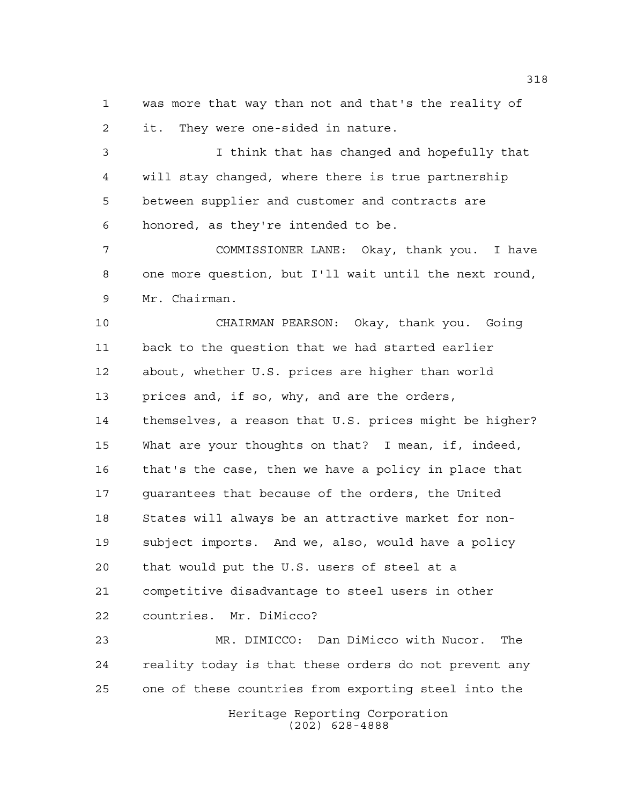was more that way than not and that's the reality of it. They were one-sided in nature.

 I think that has changed and hopefully that will stay changed, where there is true partnership between supplier and customer and contracts are honored, as they're intended to be.

 COMMISSIONER LANE: Okay, thank you. I have one more question, but I'll wait until the next round, Mr. Chairman.

 CHAIRMAN PEARSON: Okay, thank you. Going back to the question that we had started earlier about, whether U.S. prices are higher than world prices and, if so, why, and are the orders, themselves, a reason that U.S. prices might be higher? What are your thoughts on that? I mean, if, indeed, that's the case, then we have a policy in place that guarantees that because of the orders, the United States will always be an attractive market for non- subject imports. And we, also, would have a policy that would put the U.S. users of steel at a competitive disadvantage to steel users in other countries. Mr. DiMicco?

 MR. DIMICCO: Dan DiMicco with Nucor. The reality today is that these orders do not prevent any one of these countries from exporting steel into the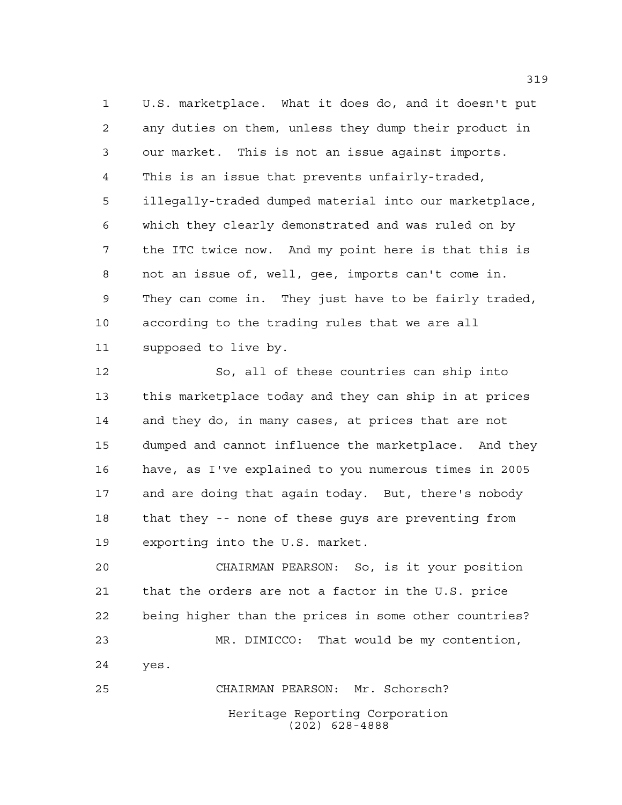U.S. marketplace. What it does do, and it doesn't put any duties on them, unless they dump their product in our market. This is not an issue against imports. This is an issue that prevents unfairly-traded, illegally-traded dumped material into our marketplace, which they clearly demonstrated and was ruled on by the ITC twice now. And my point here is that this is not an issue of, well, gee, imports can't come in. They can come in. They just have to be fairly traded, according to the trading rules that we are all supposed to live by.

 So, all of these countries can ship into this marketplace today and they can ship in at prices and they do, in many cases, at prices that are not dumped and cannot influence the marketplace. And they have, as I've explained to you numerous times in 2005 and are doing that again today. But, there's nobody that they -- none of these guys are preventing from exporting into the U.S. market.

 CHAIRMAN PEARSON: So, is it your position that the orders are not a factor in the U.S. price being higher than the prices in some other countries? MR. DIMICCO: That would be my contention, yes. CHAIRMAN PEARSON: Mr. Schorsch?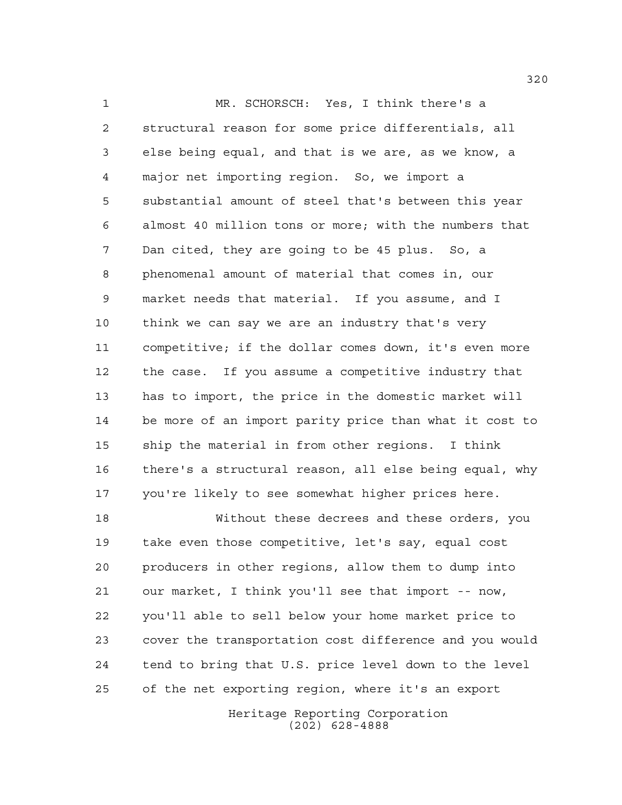MR. SCHORSCH: Yes, I think there's a structural reason for some price differentials, all else being equal, and that is we are, as we know, a major net importing region. So, we import a substantial amount of steel that's between this year almost 40 million tons or more; with the numbers that Dan cited, they are going to be 45 plus. So, a phenomenal amount of material that comes in, our market needs that material. If you assume, and I think we can say we are an industry that's very competitive; if the dollar comes down, it's even more the case. If you assume a competitive industry that has to import, the price in the domestic market will be more of an import parity price than what it cost to ship the material in from other regions. I think there's a structural reason, all else being equal, why you're likely to see somewhat higher prices here.

 Without these decrees and these orders, you take even those competitive, let's say, equal cost producers in other regions, allow them to dump into our market, I think you'll see that import -- now, you'll able to sell below your home market price to cover the transportation cost difference and you would tend to bring that U.S. price level down to the level of the net exporting region, where it's an export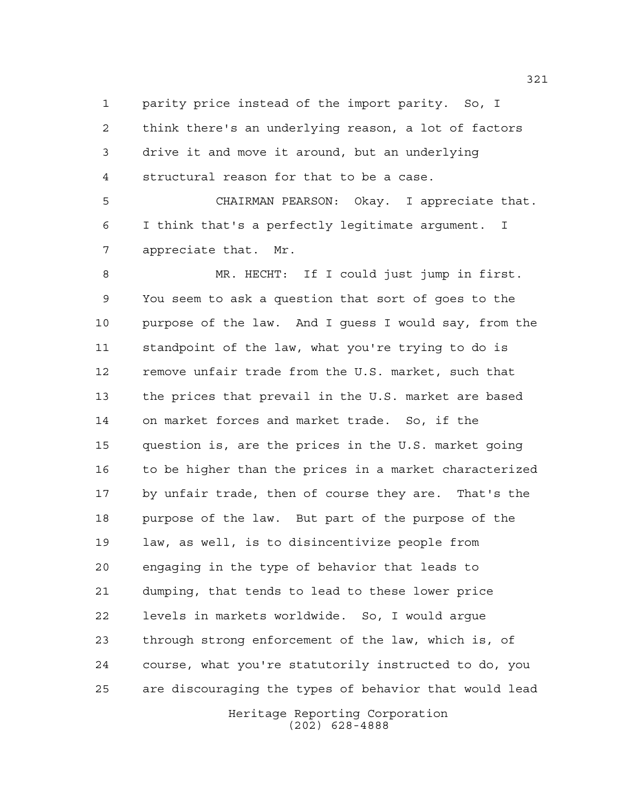parity price instead of the import parity. So, I think there's an underlying reason, a lot of factors drive it and move it around, but an underlying structural reason for that to be a case.

 CHAIRMAN PEARSON: Okay. I appreciate that. I think that's a perfectly legitimate argument. I appreciate that. Mr.

 MR. HECHT: If I could just jump in first. You seem to ask a question that sort of goes to the purpose of the law. And I guess I would say, from the standpoint of the law, what you're trying to do is remove unfair trade from the U.S. market, such that the prices that prevail in the U.S. market are based on market forces and market trade. So, if the question is, are the prices in the U.S. market going to be higher than the prices in a market characterized by unfair trade, then of course they are. That's the purpose of the law. But part of the purpose of the law, as well, is to disincentivize people from engaging in the type of behavior that leads to dumping, that tends to lead to these lower price levels in markets worldwide. So, I would argue through strong enforcement of the law, which is, of course, what you're statutorily instructed to do, you are discouraging the types of behavior that would lead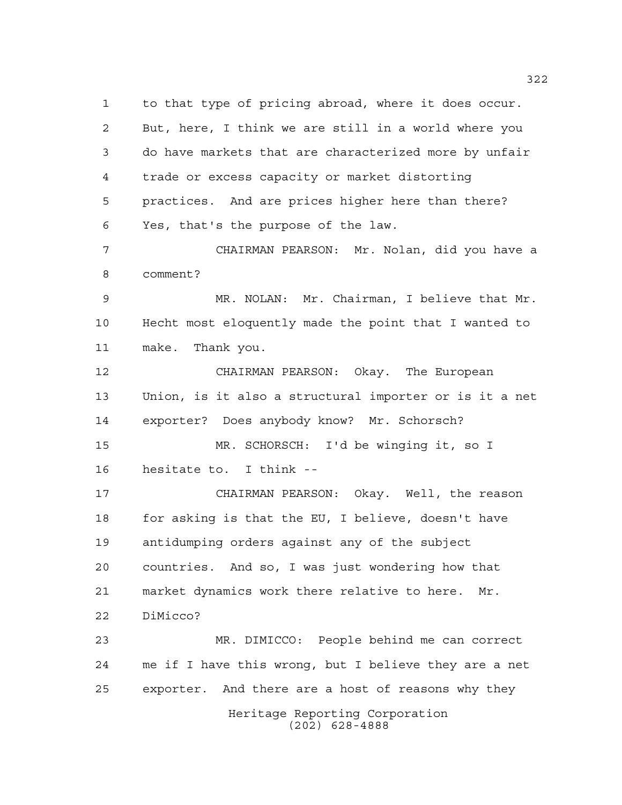Heritage Reporting Corporation (202) 628-4888 to that type of pricing abroad, where it does occur. But, here, I think we are still in a world where you do have markets that are characterized more by unfair trade or excess capacity or market distorting practices. And are prices higher here than there? Yes, that's the purpose of the law. CHAIRMAN PEARSON: Mr. Nolan, did you have a comment? MR. NOLAN: Mr. Chairman, I believe that Mr. Hecht most eloquently made the point that I wanted to make. Thank you. CHAIRMAN PEARSON: Okay. The European Union, is it also a structural importer or is it a net exporter? Does anybody know? Mr. Schorsch? MR. SCHORSCH: I'd be winging it, so I hesitate to. I think -- CHAIRMAN PEARSON: Okay. Well, the reason for asking is that the EU, I believe, doesn't have antidumping orders against any of the subject countries. And so, I was just wondering how that market dynamics work there relative to here. Mr. DiMicco? MR. DIMICCO: People behind me can correct me if I have this wrong, but I believe they are a net exporter. And there are a host of reasons why they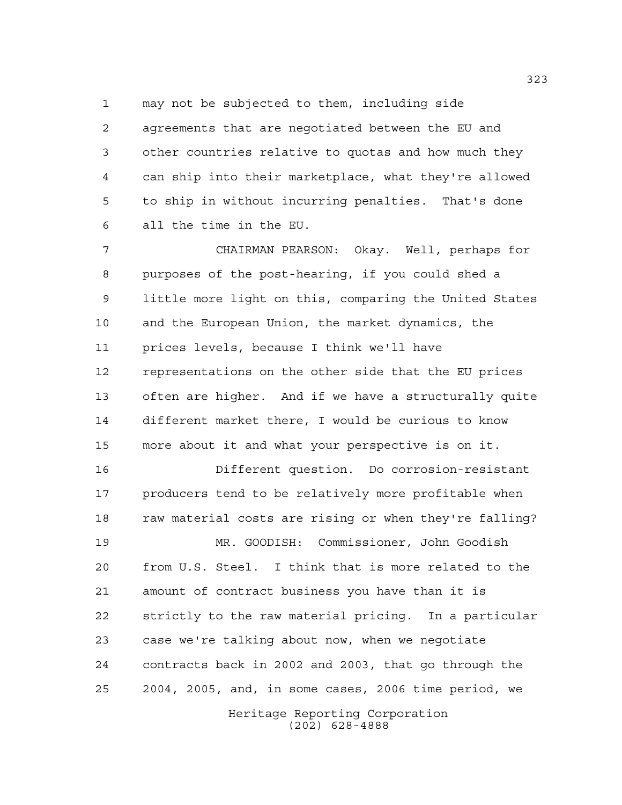may not be subjected to them, including side

 agreements that are negotiated between the EU and other countries relative to quotas and how much they can ship into their marketplace, what they're allowed to ship in without incurring penalties. That's done all the time in the EU.

 CHAIRMAN PEARSON: Okay. Well, perhaps for purposes of the post-hearing, if you could shed a little more light on this, comparing the United States and the European Union, the market dynamics, the prices levels, because I think we'll have representations on the other side that the EU prices often are higher. And if we have a structurally quite different market there, I would be curious to know more about it and what your perspective is on it.

 Different question. Do corrosion-resistant 17 producers tend to be relatively more profitable when 18 raw material costs are rising or when they're falling?

 MR. GOODISH: Commissioner, John Goodish from U.S. Steel. I think that is more related to the amount of contract business you have than it is strictly to the raw material pricing. In a particular case we're talking about now, when we negotiate contracts back in 2002 and 2003, that go through the 2004, 2005, and, in some cases, 2006 time period, we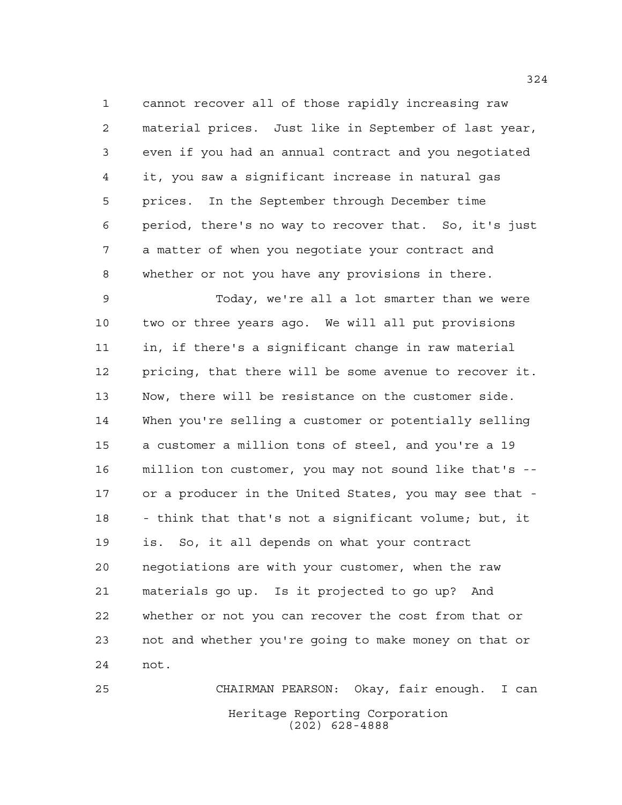cannot recover all of those rapidly increasing raw material prices. Just like in September of last year, even if you had an annual contract and you negotiated it, you saw a significant increase in natural gas prices. In the September through December time period, there's no way to recover that. So, it's just a matter of when you negotiate your contract and whether or not you have any provisions in there.

 Today, we're all a lot smarter than we were two or three years ago. We will all put provisions in, if there's a significant change in raw material pricing, that there will be some avenue to recover it. Now, there will be resistance on the customer side. When you're selling a customer or potentially selling a customer a million tons of steel, and you're a 19 million ton customer, you may not sound like that's -- or a producer in the United States, you may see that - - think that that's not a significant volume; but, it is. So, it all depends on what your contract negotiations are with your customer, when the raw materials go up. Is it projected to go up? And whether or not you can recover the cost from that or not and whether you're going to make money on that or not.

Heritage Reporting Corporation (202) 628-4888 CHAIRMAN PEARSON: Okay, fair enough. I can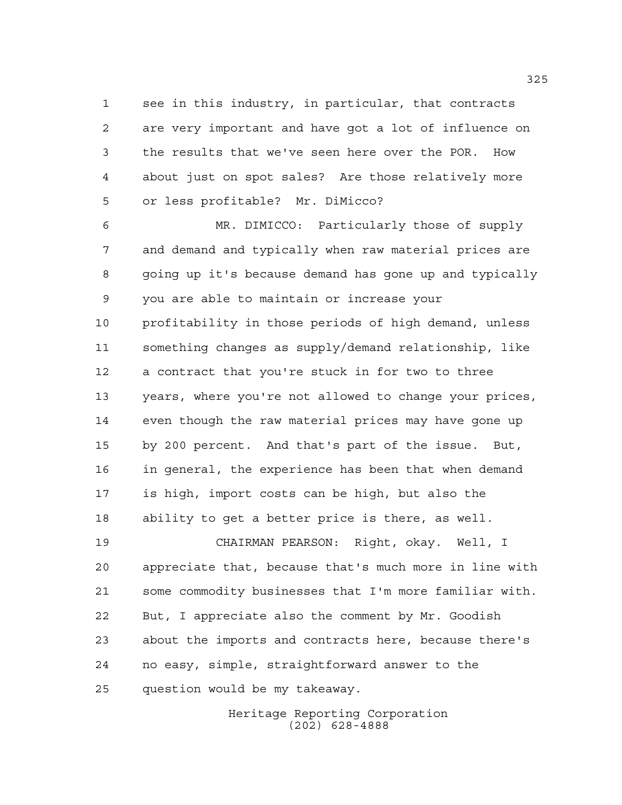see in this industry, in particular, that contracts are very important and have got a lot of influence on the results that we've seen here over the POR. How about just on spot sales? Are those relatively more or less profitable? Mr. DiMicco?

 MR. DIMICCO: Particularly those of supply and demand and typically when raw material prices are going up it's because demand has gone up and typically you are able to maintain or increase your profitability in those periods of high demand, unless something changes as supply/demand relationship, like a contract that you're stuck in for two to three years, where you're not allowed to change your prices, even though the raw material prices may have gone up by 200 percent. And that's part of the issue. But, in general, the experience has been that when demand is high, import costs can be high, but also the ability to get a better price is there, as well.

 CHAIRMAN PEARSON: Right, okay. Well, I appreciate that, because that's much more in line with some commodity businesses that I'm more familiar with. But, I appreciate also the comment by Mr. Goodish about the imports and contracts here, because there's no easy, simple, straightforward answer to the question would be my takeaway.

> Heritage Reporting Corporation (202) 628-4888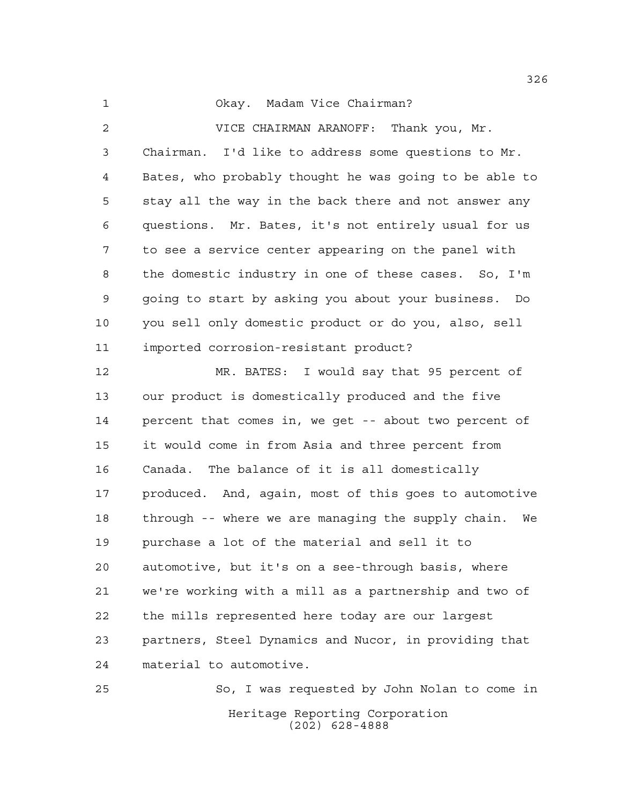Okay. Madam Vice Chairman?

 VICE CHAIRMAN ARANOFF: Thank you, Mr. Chairman. I'd like to address some questions to Mr. Bates, who probably thought he was going to be able to stay all the way in the back there and not answer any questions. Mr. Bates, it's not entirely usual for us to see a service center appearing on the panel with the domestic industry in one of these cases. So, I'm going to start by asking you about your business. Do you sell only domestic product or do you, also, sell imported corrosion-resistant product?

 MR. BATES: I would say that 95 percent of our product is domestically produced and the five percent that comes in, we get -- about two percent of it would come in from Asia and three percent from Canada. The balance of it is all domestically produced. And, again, most of this goes to automotive through -- where we are managing the supply chain. We purchase a lot of the material and sell it to automotive, but it's on a see-through basis, where we're working with a mill as a partnership and two of the mills represented here today are our largest partners, Steel Dynamics and Nucor, in providing that material to automotive.

Heritage Reporting Corporation (202) 628-4888 So, I was requested by John Nolan to come in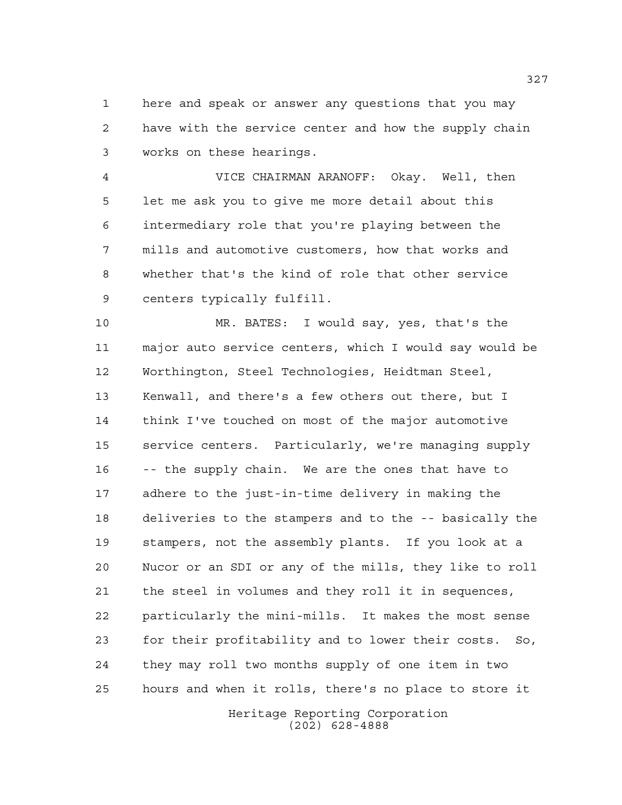here and speak or answer any questions that you may have with the service center and how the supply chain works on these hearings.

 VICE CHAIRMAN ARANOFF: Okay. Well, then let me ask you to give me more detail about this intermediary role that you're playing between the mills and automotive customers, how that works and whether that's the kind of role that other service centers typically fulfill.

 MR. BATES: I would say, yes, that's the major auto service centers, which I would say would be Worthington, Steel Technologies, Heidtman Steel, Kenwall, and there's a few others out there, but I think I've touched on most of the major automotive service centers. Particularly, we're managing supply -- the supply chain. We are the ones that have to adhere to the just-in-time delivery in making the deliveries to the stampers and to the -- basically the stampers, not the assembly plants. If you look at a Nucor or an SDI or any of the mills, they like to roll the steel in volumes and they roll it in sequences, particularly the mini-mills. It makes the most sense for their profitability and to lower their costs. So, they may roll two months supply of one item in two hours and when it rolls, there's no place to store it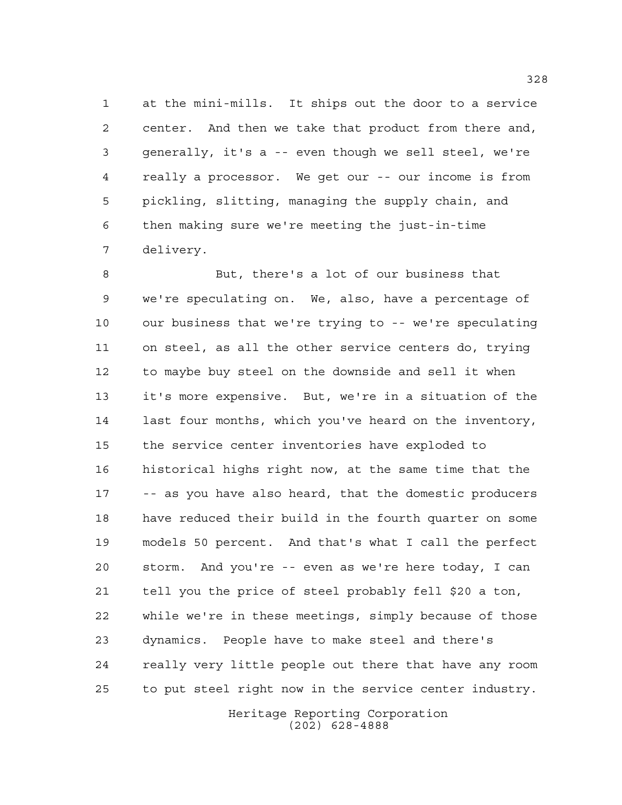at the mini-mills. It ships out the door to a service center. And then we take that product from there and, generally, it's a -- even though we sell steel, we're really a processor. We get our -- our income is from pickling, slitting, managing the supply chain, and then making sure we're meeting the just-in-time delivery.

 But, there's a lot of our business that we're speculating on. We, also, have a percentage of our business that we're trying to -- we're speculating on steel, as all the other service centers do, trying to maybe buy steel on the downside and sell it when it's more expensive. But, we're in a situation of the last four months, which you've heard on the inventory, the service center inventories have exploded to historical highs right now, at the same time that the -- as you have also heard, that the domestic producers have reduced their build in the fourth quarter on some models 50 percent. And that's what I call the perfect storm. And you're -- even as we're here today, I can tell you the price of steel probably fell \$20 a ton, while we're in these meetings, simply because of those dynamics. People have to make steel and there's really very little people out there that have any room to put steel right now in the service center industry.

> Heritage Reporting Corporation (202) 628-4888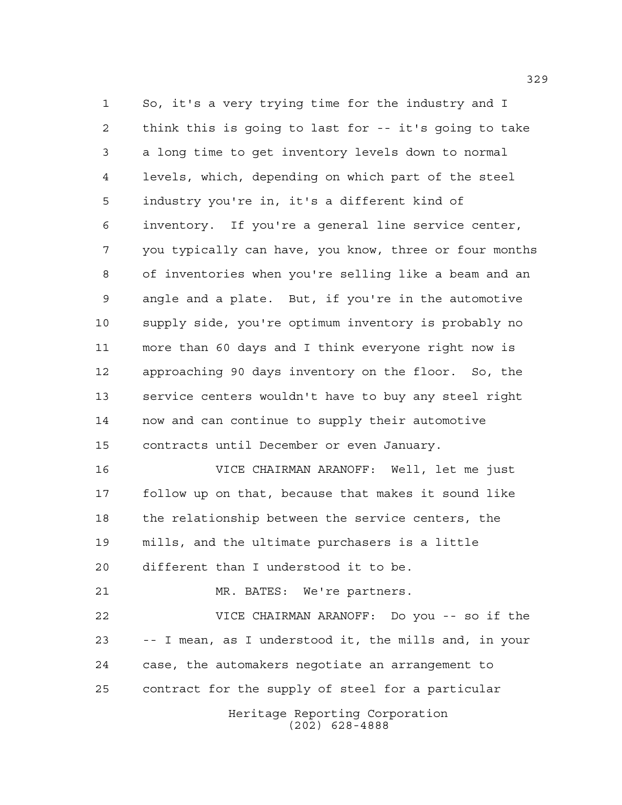So, it's a very trying time for the industry and I think this is going to last for -- it's going to take a long time to get inventory levels down to normal levels, which, depending on which part of the steel industry you're in, it's a different kind of inventory. If you're a general line service center, you typically can have, you know, three or four months of inventories when you're selling like a beam and an angle and a plate. But, if you're in the automotive supply side, you're optimum inventory is probably no more than 60 days and I think everyone right now is approaching 90 days inventory on the floor. So, the service centers wouldn't have to buy any steel right now and can continue to supply their automotive contracts until December or even January. VICE CHAIRMAN ARANOFF: Well, let me just follow up on that, because that makes it sound like the relationship between the service centers, the mills, and the ultimate purchasers is a little different than I understood it to be. MR. BATES: We're partners. VICE CHAIRMAN ARANOFF: Do you -- so if the -- I mean, as I understood it, the mills and, in your

contract for the supply of steel for a particular

case, the automakers negotiate an arrangement to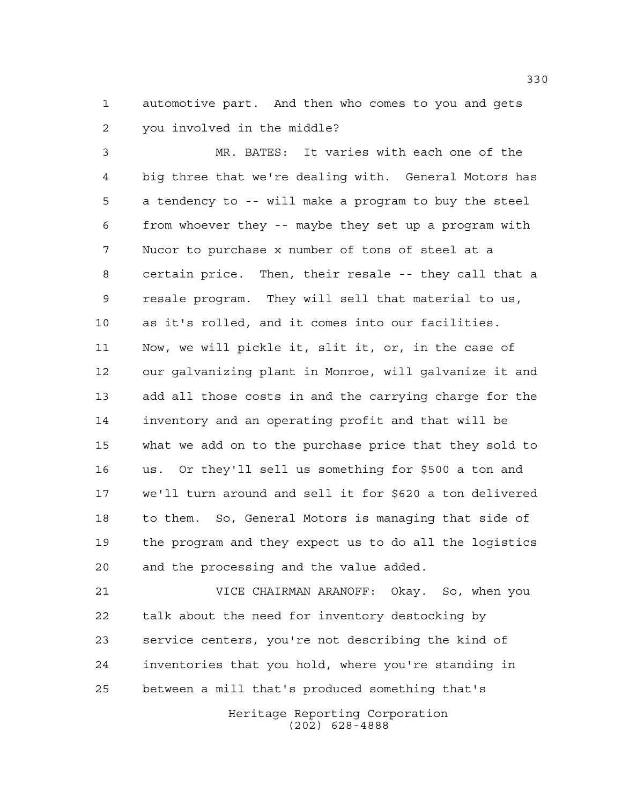automotive part. And then who comes to you and gets you involved in the middle?

 MR. BATES: It varies with each one of the big three that we're dealing with. General Motors has a tendency to -- will make a program to buy the steel from whoever they -- maybe they set up a program with Nucor to purchase x number of tons of steel at a certain price. Then, their resale -- they call that a resale program. They will sell that material to us, as it's rolled, and it comes into our facilities. Now, we will pickle it, slit it, or, in the case of our galvanizing plant in Monroe, will galvanize it and add all those costs in and the carrying charge for the inventory and an operating profit and that will be what we add on to the purchase price that they sold to us. Or they'll sell us something for \$500 a ton and we'll turn around and sell it for \$620 a ton delivered to them. So, General Motors is managing that side of the program and they expect us to do all the logistics and the processing and the value added.

 VICE CHAIRMAN ARANOFF: Okay. So, when you talk about the need for inventory destocking by service centers, you're not describing the kind of inventories that you hold, where you're standing in between a mill that's produced something that's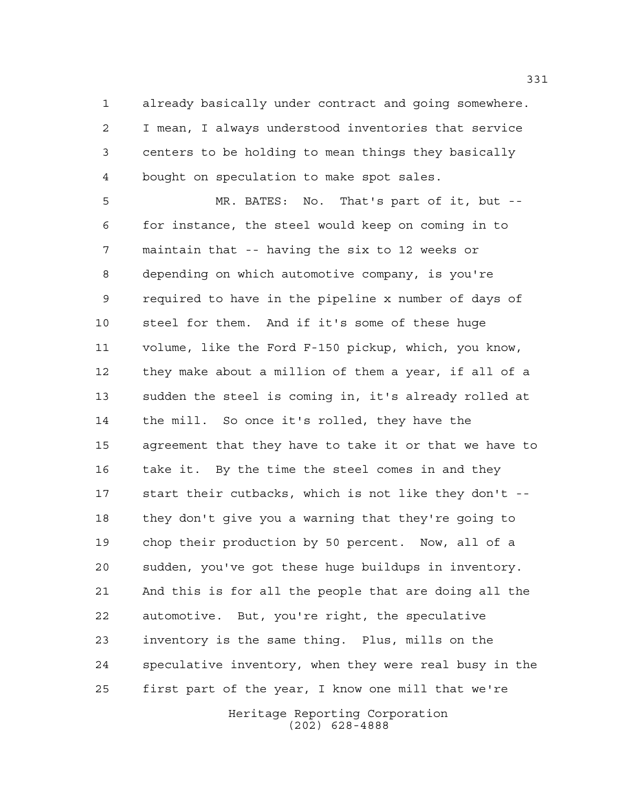already basically under contract and going somewhere. I mean, I always understood inventories that service centers to be holding to mean things they basically bought on speculation to make spot sales.

 MR. BATES: No. That's part of it, but -- for instance, the steel would keep on coming in to maintain that -- having the six to 12 weeks or depending on which automotive company, is you're required to have in the pipeline x number of days of steel for them. And if it's some of these huge volume, like the Ford F-150 pickup, which, you know, they make about a million of them a year, if all of a sudden the steel is coming in, it's already rolled at the mill. So once it's rolled, they have the agreement that they have to take it or that we have to take it. By the time the steel comes in and they start their cutbacks, which is not like they don't -- they don't give you a warning that they're going to chop their production by 50 percent. Now, all of a sudden, you've got these huge buildups in inventory. And this is for all the people that are doing all the automotive. But, you're right, the speculative inventory is the same thing. Plus, mills on the speculative inventory, when they were real busy in the first part of the year, I know one mill that we're

> Heritage Reporting Corporation (202) 628-4888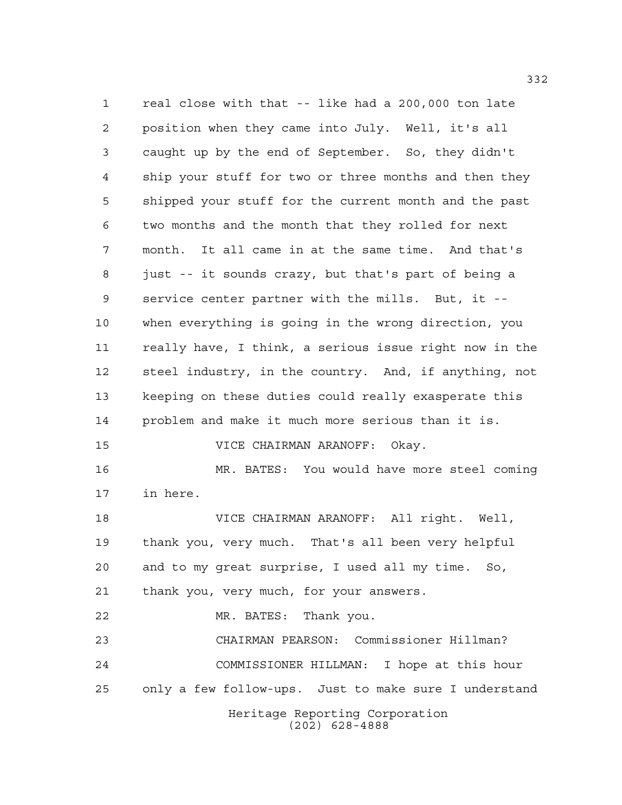Heritage Reporting Corporation (202) 628-4888 real close with that -- like had a 200,000 ton late position when they came into July. Well, it's all caught up by the end of September. So, they didn't ship your stuff for two or three months and then they shipped your stuff for the current month and the past two months and the month that they rolled for next month. It all came in at the same time. And that's just -- it sounds crazy, but that's part of being a service center partner with the mills. But, it -- when everything is going in the wrong direction, you really have, I think, a serious issue right now in the steel industry, in the country. And, if anything, not keeping on these duties could really exasperate this problem and make it much more serious than it is. VICE CHAIRMAN ARANOFF: Okay. MR. BATES: You would have more steel coming in here. VICE CHAIRMAN ARANOFF: All right. Well, thank you, very much. That's all been very helpful and to my great surprise, I used all my time. So, thank you, very much, for your answers. MR. BATES: Thank you. CHAIRMAN PEARSON: Commissioner Hillman? COMMISSIONER HILLMAN: I hope at this hour only a few follow-ups. Just to make sure I understand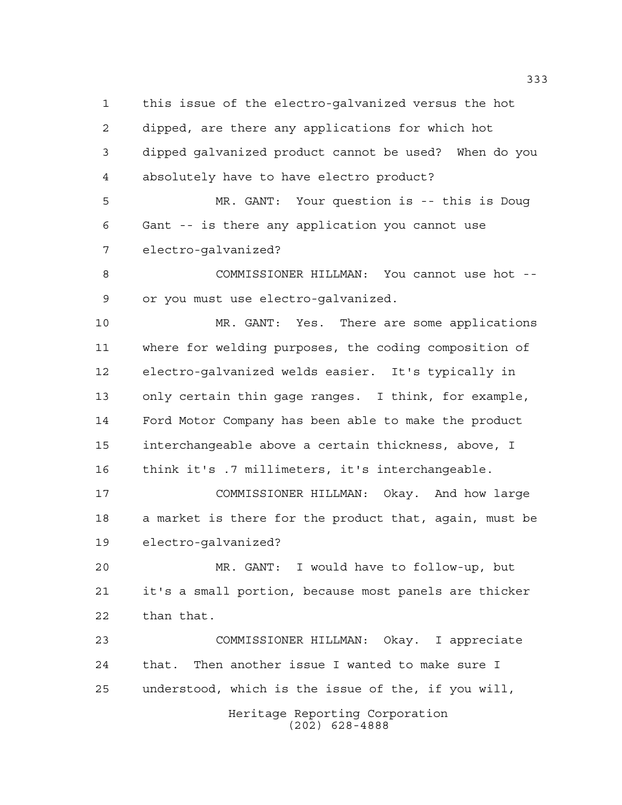this issue of the electro-galvanized versus the hot dipped, are there any applications for which hot dipped galvanized product cannot be used? When do you absolutely have to have electro product?

 MR. GANT: Your question is -- this is Doug Gant -- is there any application you cannot use electro-galvanized?

 COMMISSIONER HILLMAN: You cannot use hot -- or you must use electro-galvanized.

 MR. GANT: Yes. There are some applications where for welding purposes, the coding composition of electro-galvanized welds easier. It's typically in only certain thin gage ranges. I think, for example, Ford Motor Company has been able to make the product interchangeable above a certain thickness, above, I think it's .7 millimeters, it's interchangeable.

 COMMISSIONER HILLMAN: Okay. And how large a market is there for the product that, again, must be electro-galvanized?

 MR. GANT: I would have to follow-up, but it's a small portion, because most panels are thicker than that.

 COMMISSIONER HILLMAN: Okay. I appreciate that. Then another issue I wanted to make sure I understood, which is the issue of the, if you will,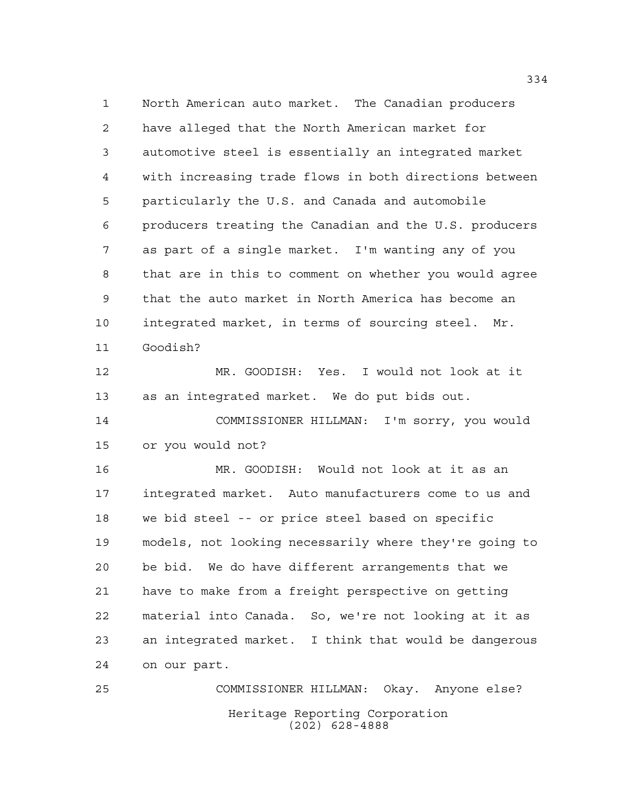North American auto market. The Canadian producers have alleged that the North American market for automotive steel is essentially an integrated market with increasing trade flows in both directions between particularly the U.S. and Canada and automobile producers treating the Canadian and the U.S. producers as part of a single market. I'm wanting any of you that are in this to comment on whether you would agree that the auto market in North America has become an integrated market, in terms of sourcing steel. Mr. Goodish?

 MR. GOODISH: Yes. I would not look at it as an integrated market. We do put bids out.

 COMMISSIONER HILLMAN: I'm sorry, you would or you would not?

 MR. GOODISH: Would not look at it as an integrated market. Auto manufacturers come to us and we bid steel -- or price steel based on specific models, not looking necessarily where they're going to be bid. We do have different arrangements that we have to make from a freight perspective on getting material into Canada. So, we're not looking at it as an integrated market. I think that would be dangerous on our part.

Heritage Reporting Corporation (202) 628-4888 COMMISSIONER HILLMAN: Okay. Anyone else?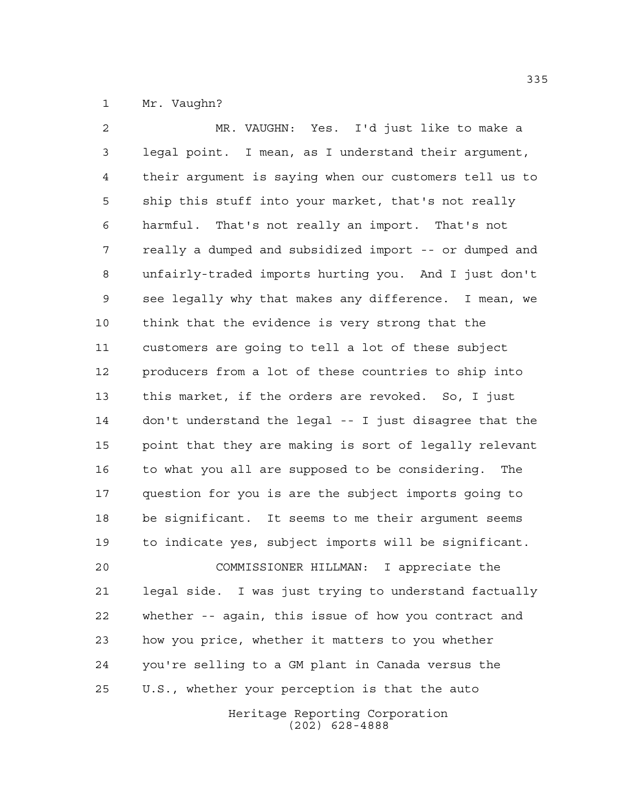Mr. Vaughn?

 MR. VAUGHN: Yes. I'd just like to make a legal point. I mean, as I understand their argument, their argument is saying when our customers tell us to ship this stuff into your market, that's not really harmful. That's not really an import. That's not really a dumped and subsidized import -- or dumped and unfairly-traded imports hurting you. And I just don't see legally why that makes any difference. I mean, we think that the evidence is very strong that the customers are going to tell a lot of these subject producers from a lot of these countries to ship into this market, if the orders are revoked. So, I just don't understand the legal -- I just disagree that the point that they are making is sort of legally relevant to what you all are supposed to be considering. The question for you is are the subject imports going to be significant. It seems to me their argument seems to indicate yes, subject imports will be significant. COMMISSIONER HILLMAN: I appreciate the legal side. I was just trying to understand factually whether -- again, this issue of how you contract and how you price, whether it matters to you whether you're selling to a GM plant in Canada versus the U.S., whether your perception is that the auto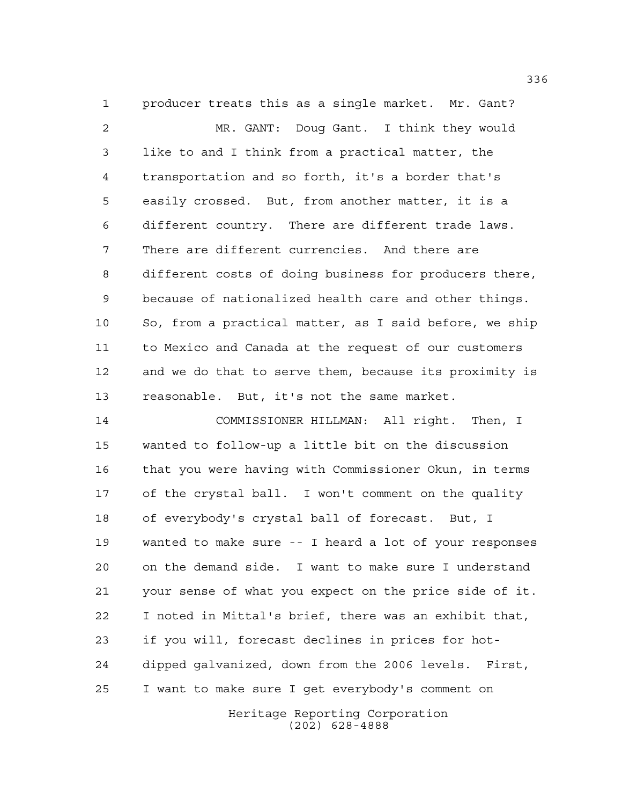producer treats this as a single market. Mr. Gant? MR. GANT: Doug Gant. I think they would like to and I think from a practical matter, the transportation and so forth, it's a border that's easily crossed. But, from another matter, it is a different country. There are different trade laws. There are different currencies. And there are different costs of doing business for producers there, because of nationalized health care and other things. So, from a practical matter, as I said before, we ship to Mexico and Canada at the request of our customers and we do that to serve them, because its proximity is reasonable. But, it's not the same market.

 COMMISSIONER HILLMAN: All right. Then, I wanted to follow-up a little bit on the discussion that you were having with Commissioner Okun, in terms of the crystal ball. I won't comment on the quality of everybody's crystal ball of forecast. But, I wanted to make sure -- I heard a lot of your responses on the demand side. I want to make sure I understand your sense of what you expect on the price side of it. I noted in Mittal's brief, there was an exhibit that, if you will, forecast declines in prices for hot- dipped galvanized, down from the 2006 levels. First, I want to make sure I get everybody's comment on

> Heritage Reporting Corporation (202) 628-4888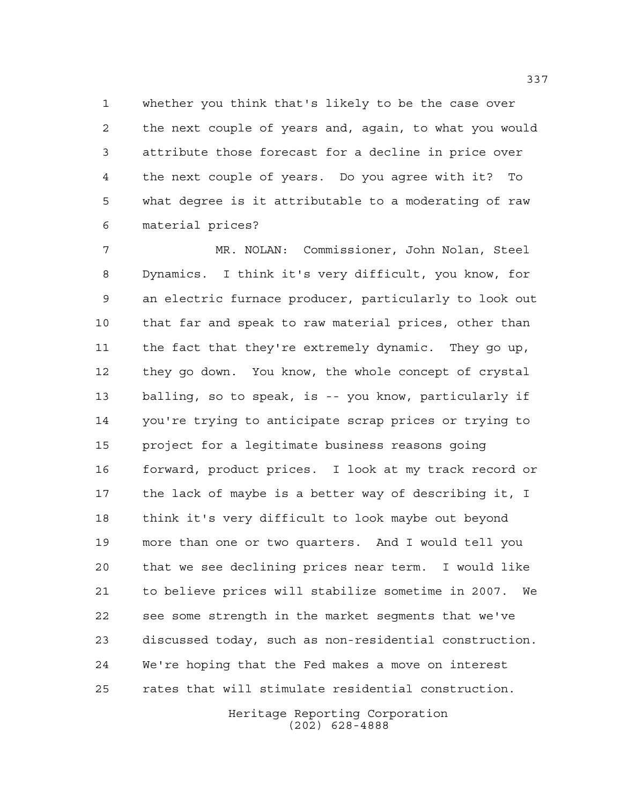whether you think that's likely to be the case over the next couple of years and, again, to what you would attribute those forecast for a decline in price over the next couple of years. Do you agree with it? To what degree is it attributable to a moderating of raw material prices?

 MR. NOLAN: Commissioner, John Nolan, Steel Dynamics. I think it's very difficult, you know, for an electric furnace producer, particularly to look out that far and speak to raw material prices, other than the fact that they're extremely dynamic. They go up, they go down. You know, the whole concept of crystal balling, so to speak, is -- you know, particularly if you're trying to anticipate scrap prices or trying to project for a legitimate business reasons going forward, product prices. I look at my track record or the lack of maybe is a better way of describing it, I think it's very difficult to look maybe out beyond more than one or two quarters. And I would tell you that we see declining prices near term. I would like to believe prices will stabilize sometime in 2007. We see some strength in the market segments that we've discussed today, such as non-residential construction. We're hoping that the Fed makes a move on interest rates that will stimulate residential construction.

> Heritage Reporting Corporation (202) 628-4888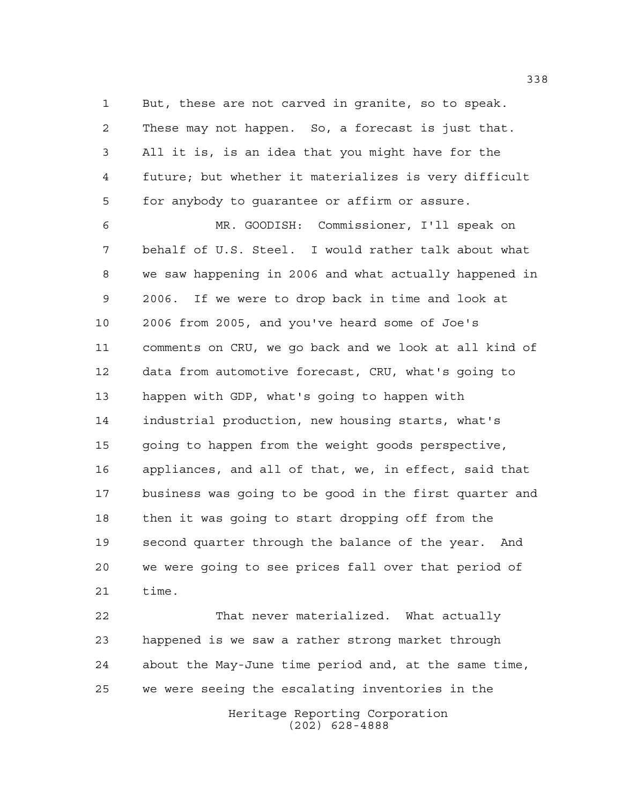But, these are not carved in granite, so to speak. These may not happen. So, a forecast is just that. All it is, is an idea that you might have for the future; but whether it materializes is very difficult for anybody to guarantee or affirm or assure.

 MR. GOODISH: Commissioner, I'll speak on behalf of U.S. Steel. I would rather talk about what we saw happening in 2006 and what actually happened in 2006. If we were to drop back in time and look at 2006 from 2005, and you've heard some of Joe's comments on CRU, we go back and we look at all kind of data from automotive forecast, CRU, what's going to happen with GDP, what's going to happen with industrial production, new housing starts, what's going to happen from the weight goods perspective, appliances, and all of that, we, in effect, said that business was going to be good in the first quarter and then it was going to start dropping off from the second quarter through the balance of the year. And we were going to see prices fall over that period of time.

Heritage Reporting Corporation That never materialized. What actually happened is we saw a rather strong market through about the May-June time period and, at the same time, we were seeing the escalating inventories in the

(202) 628-4888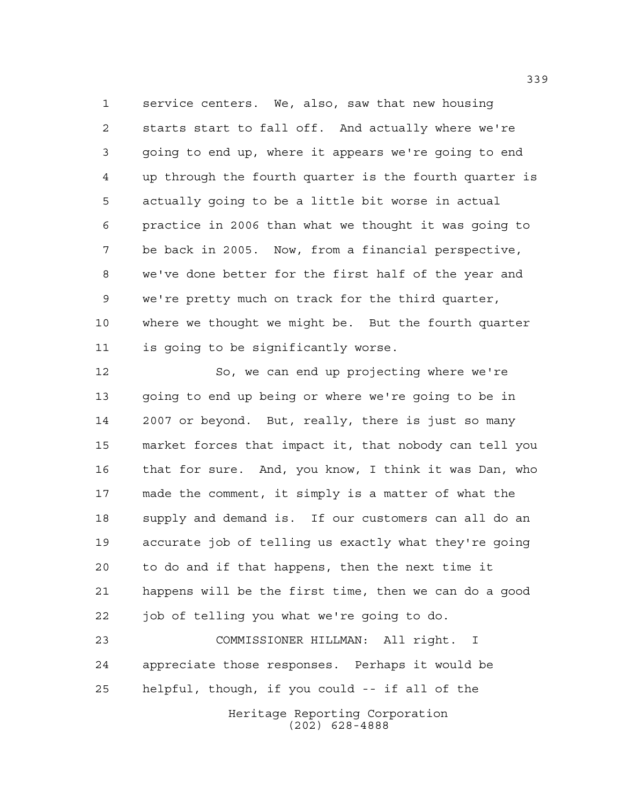service centers. We, also, saw that new housing starts start to fall off. And actually where we're going to end up, where it appears we're going to end up through the fourth quarter is the fourth quarter is actually going to be a little bit worse in actual practice in 2006 than what we thought it was going to be back in 2005. Now, from a financial perspective, we've done better for the first half of the year and we're pretty much on track for the third quarter, where we thought we might be. But the fourth quarter is going to be significantly worse.

 So, we can end up projecting where we're going to end up being or where we're going to be in 2007 or beyond. But, really, there is just so many market forces that impact it, that nobody can tell you that for sure. And, you know, I think it was Dan, who made the comment, it simply is a matter of what the supply and demand is. If our customers can all do an accurate job of telling us exactly what they're going to do and if that happens, then the next time it happens will be the first time, then we can do a good 22 job of telling you what we're going to do.

 COMMISSIONER HILLMAN: All right. I appreciate those responses. Perhaps it would be helpful, though, if you could -- if all of the

Heritage Reporting Corporation (202) 628-4888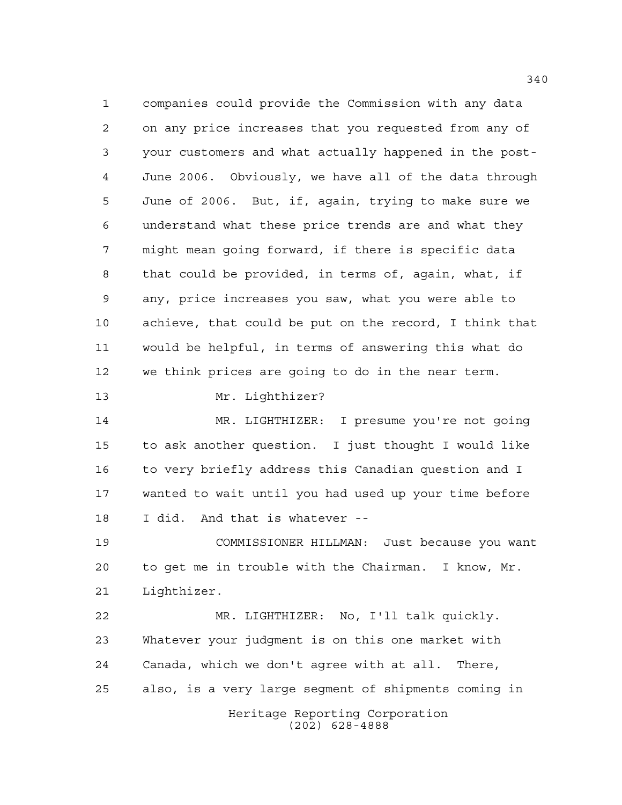companies could provide the Commission with any data on any price increases that you requested from any of your customers and what actually happened in the post- June 2006. Obviously, we have all of the data through June of 2006. But, if, again, trying to make sure we understand what these price trends are and what they might mean going forward, if there is specific data that could be provided, in terms of, again, what, if any, price increases you saw, what you were able to achieve, that could be put on the record, I think that would be helpful, in terms of answering this what do we think prices are going to do in the near term. Mr. Lighthizer? MR. LIGHTHIZER: I presume you're not going to ask another question. I just thought I would like to very briefly address this Canadian question and I wanted to wait until you had used up your time before I did. And that is whatever -- COMMISSIONER HILLMAN: Just because you want to get me in trouble with the Chairman. I know, Mr. Lighthizer. MR. LIGHTHIZER: No, I'll talk quickly. Whatever your judgment is on this one market with Canada, which we don't agree with at all. There, also, is a very large segment of shipments coming in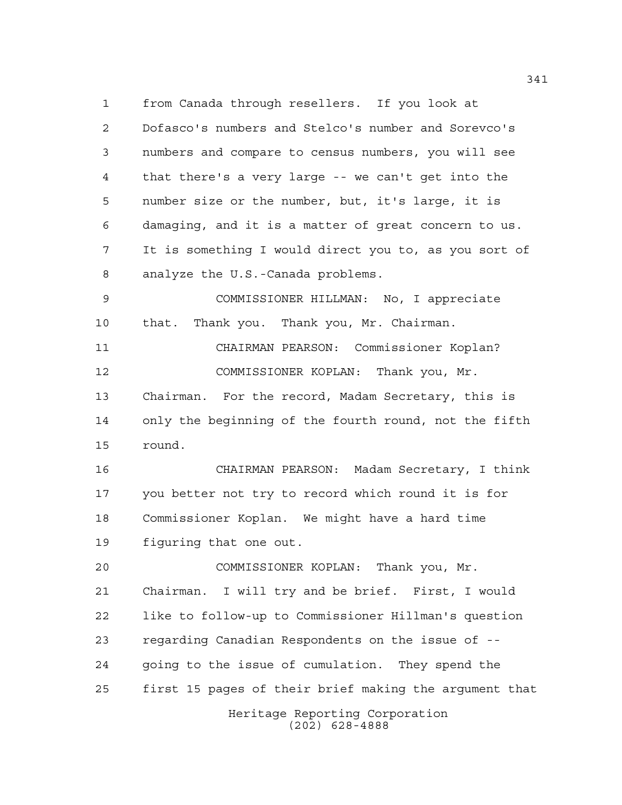from Canada through resellers. If you look at Dofasco's numbers and Stelco's number and Sorevco's numbers and compare to census numbers, you will see that there's a very large -- we can't get into the number size or the number, but, it's large, it is damaging, and it is a matter of great concern to us. It is something I would direct you to, as you sort of analyze the U.S.-Canada problems.

 COMMISSIONER HILLMAN: No, I appreciate that. Thank you. Thank you, Mr. Chairman.

 CHAIRMAN PEARSON: Commissioner Koplan? COMMISSIONER KOPLAN: Thank you, Mr. Chairman. For the record, Madam Secretary, this is only the beginning of the fourth round, not the fifth round.

 CHAIRMAN PEARSON: Madam Secretary, I think you better not try to record which round it is for Commissioner Koplan. We might have a hard time figuring that one out.

Heritage Reporting Corporation COMMISSIONER KOPLAN: Thank you, Mr. Chairman. I will try and be brief. First, I would like to follow-up to Commissioner Hillman's question regarding Canadian Respondents on the issue of -- going to the issue of cumulation. They spend the first 15 pages of their brief making the argument that

(202) 628-4888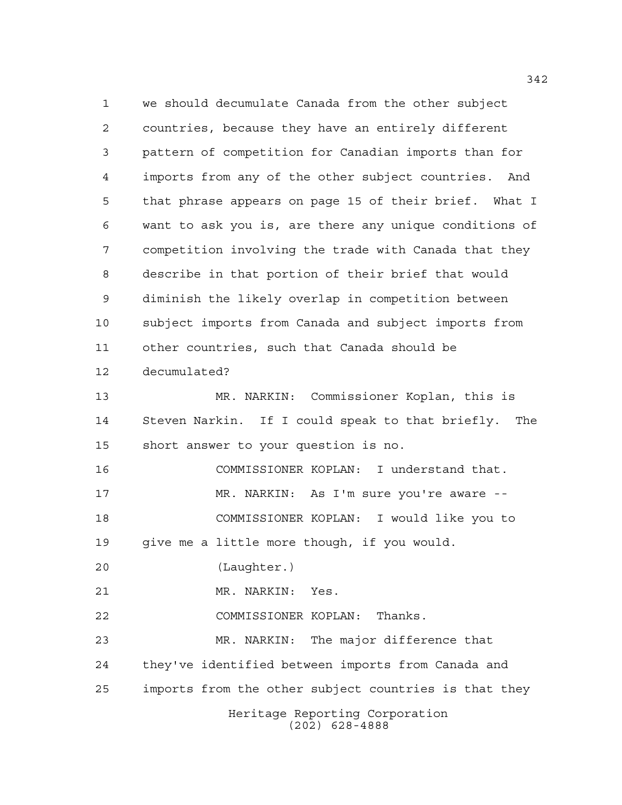Heritage Reporting Corporation (202) 628-4888 we should decumulate Canada from the other subject countries, because they have an entirely different pattern of competition for Canadian imports than for imports from any of the other subject countries. And that phrase appears on page 15 of their brief. What I want to ask you is, are there any unique conditions of competition involving the trade with Canada that they describe in that portion of their brief that would diminish the likely overlap in competition between subject imports from Canada and subject imports from other countries, such that Canada should be decumulated? MR. NARKIN: Commissioner Koplan, this is Steven Narkin. If I could speak to that briefly. The short answer to your question is no. COMMISSIONER KOPLAN: I understand that. MR. NARKIN: As I'm sure you're aware -- COMMISSIONER KOPLAN: I would like you to give me a little more though, if you would. (Laughter.) MR. NARKIN: Yes. COMMISSIONER KOPLAN: Thanks. MR. NARKIN: The major difference that they've identified between imports from Canada and imports from the other subject countries is that they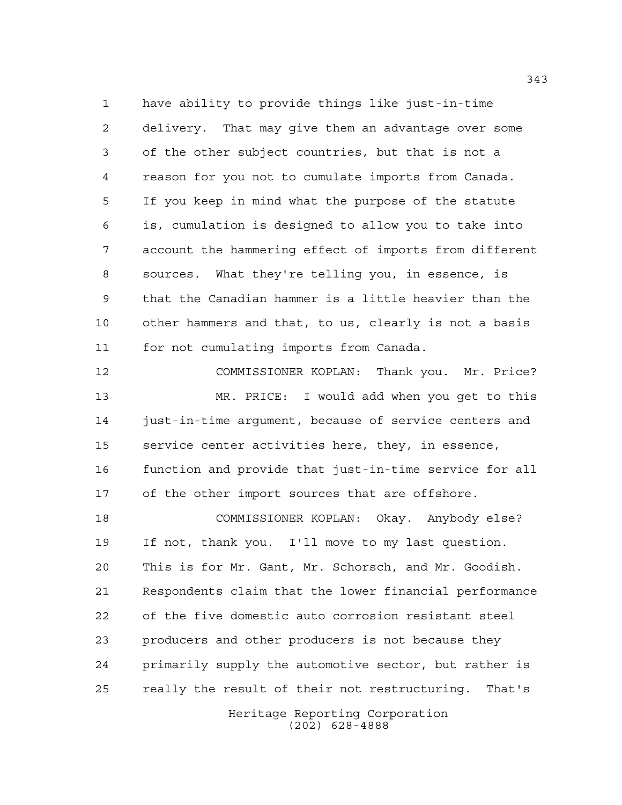have ability to provide things like just-in-time delivery. That may give them an advantage over some of the other subject countries, but that is not a reason for you not to cumulate imports from Canada. If you keep in mind what the purpose of the statute is, cumulation is designed to allow you to take into account the hammering effect of imports from different sources. What they're telling you, in essence, is that the Canadian hammer is a little heavier than the other hammers and that, to us, clearly is not a basis for not cumulating imports from Canada.

 COMMISSIONER KOPLAN: Thank you. Mr. Price? MR. PRICE: I would add when you get to this 14 just-in-time argument, because of service centers and service center activities here, they, in essence, function and provide that just-in-time service for all of the other import sources that are offshore.

 COMMISSIONER KOPLAN: Okay. Anybody else? If not, thank you. I'll move to my last question. This is for Mr. Gant, Mr. Schorsch, and Mr. Goodish. Respondents claim that the lower financial performance of the five domestic auto corrosion resistant steel producers and other producers is not because they primarily supply the automotive sector, but rather is really the result of their not restructuring. That's

> Heritage Reporting Corporation (202) 628-4888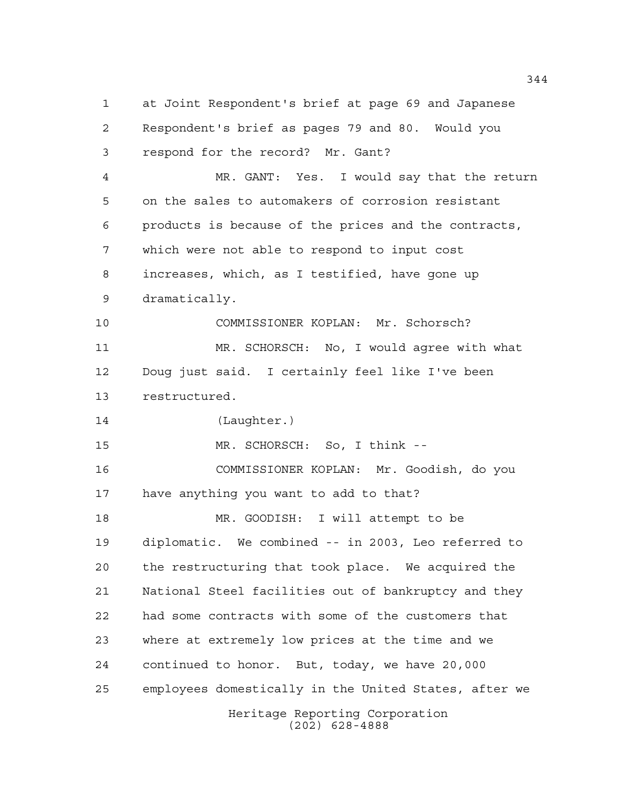Heritage Reporting Corporation at Joint Respondent's brief at page 69 and Japanese Respondent's brief as pages 79 and 80. Would you respond for the record? Mr. Gant? MR. GANT: Yes. I would say that the return on the sales to automakers of corrosion resistant products is because of the prices and the contracts, which were not able to respond to input cost increases, which, as I testified, have gone up dramatically. COMMISSIONER KOPLAN: Mr. Schorsch? MR. SCHORSCH: No, I would agree with what Doug just said. I certainly feel like I've been restructured. (Laughter.) MR. SCHORSCH: So, I think -- COMMISSIONER KOPLAN: Mr. Goodish, do you have anything you want to add to that? MR. GOODISH: I will attempt to be diplomatic. We combined -- in 2003, Leo referred to the restructuring that took place. We acquired the National Steel facilities out of bankruptcy and they had some contracts with some of the customers that where at extremely low prices at the time and we continued to honor. But, today, we have 20,000 employees domestically in the United States, after we

(202) 628-4888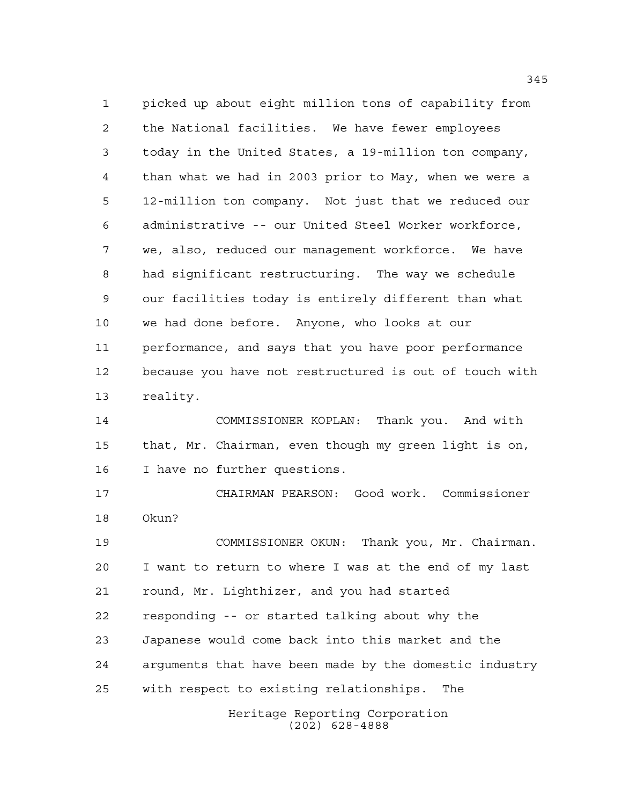picked up about eight million tons of capability from the National facilities. We have fewer employees today in the United States, a 19-million ton company, than what we had in 2003 prior to May, when we were a 12-million ton company. Not just that we reduced our administrative -- our United Steel Worker workforce, we, also, reduced our management workforce. We have had significant restructuring. The way we schedule our facilities today is entirely different than what we had done before. Anyone, who looks at our performance, and says that you have poor performance because you have not restructured is out of touch with reality.

 COMMISSIONER KOPLAN: Thank you. And with that, Mr. Chairman, even though my green light is on, I have no further questions.

 CHAIRMAN PEARSON: Good work. Commissioner Okun?

 COMMISSIONER OKUN: Thank you, Mr. Chairman. I want to return to where I was at the end of my last round, Mr. Lighthizer, and you had started responding -- or started talking about why the Japanese would come back into this market and the arguments that have been made by the domestic industry with respect to existing relationships. The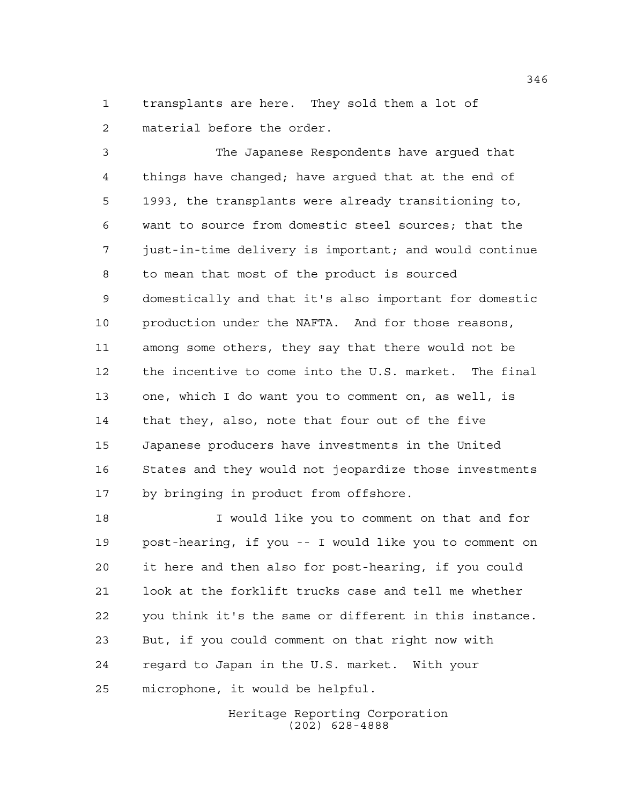transplants are here. They sold them a lot of material before the order.

 The Japanese Respondents have argued that things have changed; have argued that at the end of 1993, the transplants were already transitioning to, want to source from domestic steel sources; that the just-in-time delivery is important; and would continue to mean that most of the product is sourced domestically and that it's also important for domestic production under the NAFTA. And for those reasons, among some others, they say that there would not be the incentive to come into the U.S. market. The final one, which I do want you to comment on, as well, is that they, also, note that four out of the five Japanese producers have investments in the United States and they would not jeopardize those investments by bringing in product from offshore.

 I would like you to comment on that and for post-hearing, if you -- I would like you to comment on it here and then also for post-hearing, if you could look at the forklift trucks case and tell me whether you think it's the same or different in this instance. But, if you could comment on that right now with regard to Japan in the U.S. market. With your microphone, it would be helpful.

> Heritage Reporting Corporation (202) 628-4888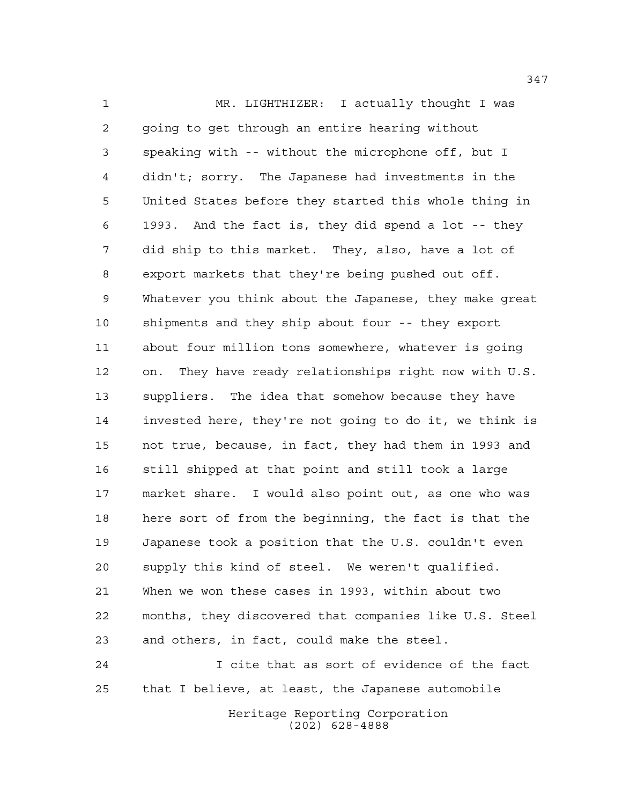MR. LIGHTHIZER: I actually thought I was going to get through an entire hearing without speaking with -- without the microphone off, but I didn't; sorry. The Japanese had investments in the United States before they started this whole thing in 1993. And the fact is, they did spend a lot -- they did ship to this market. They, also, have a lot of export markets that they're being pushed out off. Whatever you think about the Japanese, they make great shipments and they ship about four -- they export about four million tons somewhere, whatever is going on. They have ready relationships right now with U.S. suppliers. The idea that somehow because they have invested here, they're not going to do it, we think is not true, because, in fact, they had them in 1993 and still shipped at that point and still took a large market share. I would also point out, as one who was here sort of from the beginning, the fact is that the Japanese took a position that the U.S. couldn't even supply this kind of steel. We weren't qualified. When we won these cases in 1993, within about two months, they discovered that companies like U.S. Steel and others, in fact, could make the steel.

 I cite that as sort of evidence of the fact that I believe, at least, the Japanese automobile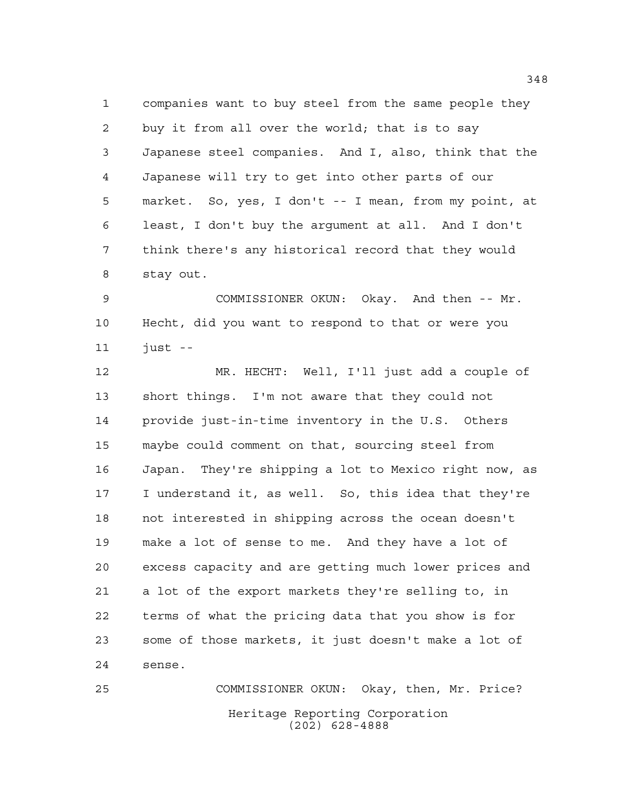companies want to buy steel from the same people they buy it from all over the world; that is to say Japanese steel companies. And I, also, think that the Japanese will try to get into other parts of our market. So, yes, I don't -- I mean, from my point, at least, I don't buy the argument at all. And I don't think there's any historical record that they would stay out.

 COMMISSIONER OKUN: Okay. And then -- Mr. Hecht, did you want to respond to that or were you just --

 MR. HECHT: Well, I'll just add a couple of short things. I'm not aware that they could not provide just-in-time inventory in the U.S. Others maybe could comment on that, sourcing steel from Japan. They're shipping a lot to Mexico right now, as I understand it, as well. So, this idea that they're not interested in shipping across the ocean doesn't make a lot of sense to me. And they have a lot of excess capacity and are getting much lower prices and a lot of the export markets they're selling to, in terms of what the pricing data that you show is for some of those markets, it just doesn't make a lot of sense.

Heritage Reporting Corporation (202) 628-4888 COMMISSIONER OKUN: Okay, then, Mr. Price?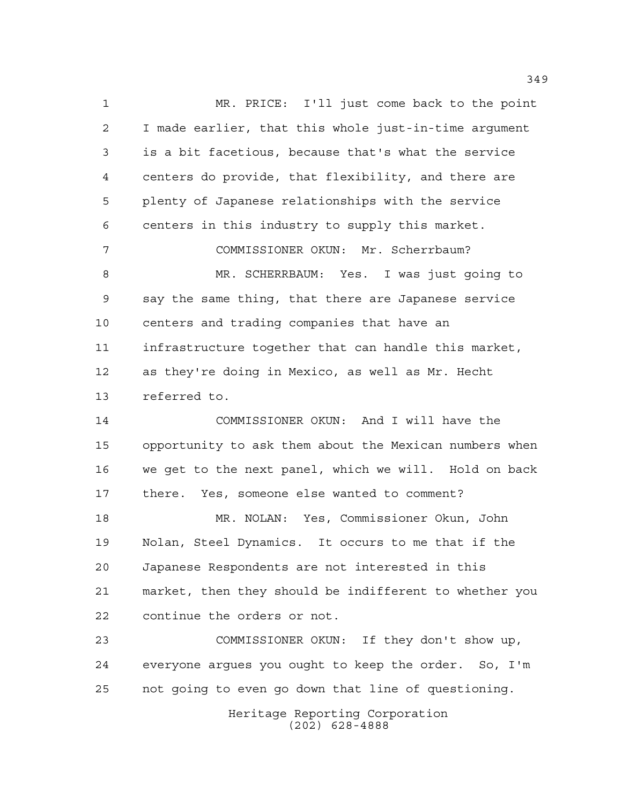MR. PRICE: I'll just come back to the point I made earlier, that this whole just-in-time argument is a bit facetious, because that's what the service centers do provide, that flexibility, and there are plenty of Japanese relationships with the service centers in this industry to supply this market. COMMISSIONER OKUN: Mr. Scherrbaum? MR. SCHERRBAUM: Yes. I was just going to say the same thing, that there are Japanese service centers and trading companies that have an infrastructure together that can handle this market, as they're doing in Mexico, as well as Mr. Hecht referred to. COMMISSIONER OKUN: And I will have the opportunity to ask them about the Mexican numbers when we get to the next panel, which we will. Hold on back there. Yes, someone else wanted to comment? MR. NOLAN: Yes, Commissioner Okun, John Nolan, Steel Dynamics. It occurs to me that if the Japanese Respondents are not interested in this market, then they should be indifferent to whether you continue the orders or not. COMMISSIONER OKUN: If they don't show up, everyone argues you ought to keep the order. So, I'm

not going to even go down that line of questioning.

Heritage Reporting Corporation (202) 628-4888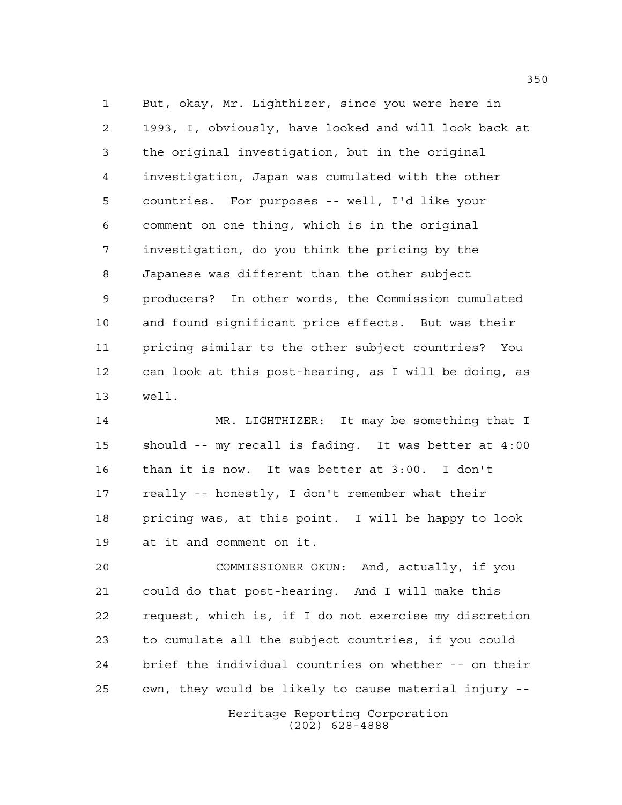But, okay, Mr. Lighthizer, since you were here in 1993, I, obviously, have looked and will look back at the original investigation, but in the original investigation, Japan was cumulated with the other countries. For purposes -- well, I'd like your comment on one thing, which is in the original investigation, do you think the pricing by the Japanese was different than the other subject producers? In other words, the Commission cumulated and found significant price effects. But was their pricing similar to the other subject countries? You can look at this post-hearing, as I will be doing, as well.

 MR. LIGHTHIZER: It may be something that I should -- my recall is fading. It was better at 4:00 than it is now. It was better at 3:00. I don't really -- honestly, I don't remember what their pricing was, at this point. I will be happy to look at it and comment on it.

Heritage Reporting Corporation COMMISSIONER OKUN: And, actually, if you could do that post-hearing. And I will make this request, which is, if I do not exercise my discretion to cumulate all the subject countries, if you could brief the individual countries on whether -- on their own, they would be likely to cause material injury --

(202) 628-4888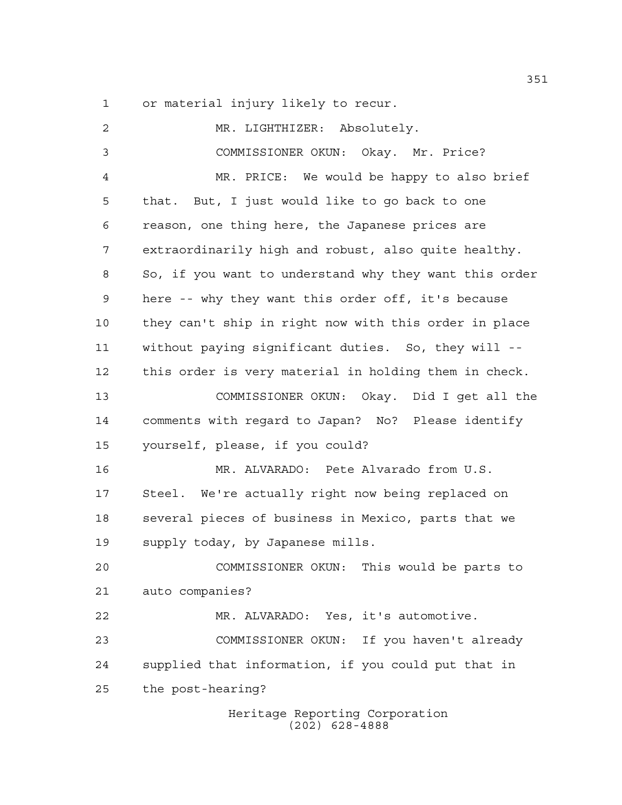or material injury likely to recur.

 MR. LIGHTHIZER: Absolutely. COMMISSIONER OKUN: Okay. Mr. Price? MR. PRICE: We would be happy to also brief that. But, I just would like to go back to one reason, one thing here, the Japanese prices are extraordinarily high and robust, also quite healthy. So, if you want to understand why they want this order here -- why they want this order off, it's because they can't ship in right now with this order in place without paying significant duties. So, they will -- this order is very material in holding them in check. COMMISSIONER OKUN: Okay. Did I get all the comments with regard to Japan? No? Please identify yourself, please, if you could? MR. ALVARADO: Pete Alvarado from U.S. Steel. We're actually right now being replaced on several pieces of business in Mexico, parts that we supply today, by Japanese mills. COMMISSIONER OKUN: This would be parts to auto companies? MR. ALVARADO: Yes, it's automotive. COMMISSIONER OKUN: If you haven't already supplied that information, if you could put that in the post-hearing?

Heritage Reporting Corporation (202) 628-4888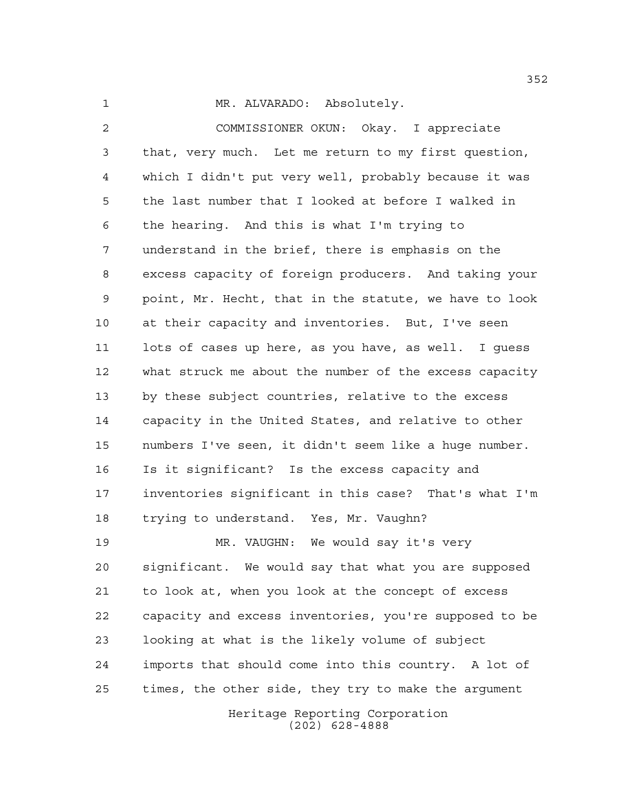1 MR. ALVARADO: Absolutely.

 COMMISSIONER OKUN: Okay. I appreciate that, very much. Let me return to my first question, which I didn't put very well, probably because it was the last number that I looked at before I walked in the hearing. And this is what I'm trying to understand in the brief, there is emphasis on the excess capacity of foreign producers. And taking your point, Mr. Hecht, that in the statute, we have to look at their capacity and inventories. But, I've seen lots of cases up here, as you have, as well. I guess what struck me about the number of the excess capacity by these subject countries, relative to the excess capacity in the United States, and relative to other numbers I've seen, it didn't seem like a huge number. Is it significant? Is the excess capacity and inventories significant in this case? That's what I'm trying to understand. Yes, Mr. Vaughn?

 MR. VAUGHN: We would say it's very significant. We would say that what you are supposed to look at, when you look at the concept of excess capacity and excess inventories, you're supposed to be looking at what is the likely volume of subject imports that should come into this country. A lot of times, the other side, they try to make the argument

> Heritage Reporting Corporation (202) 628-4888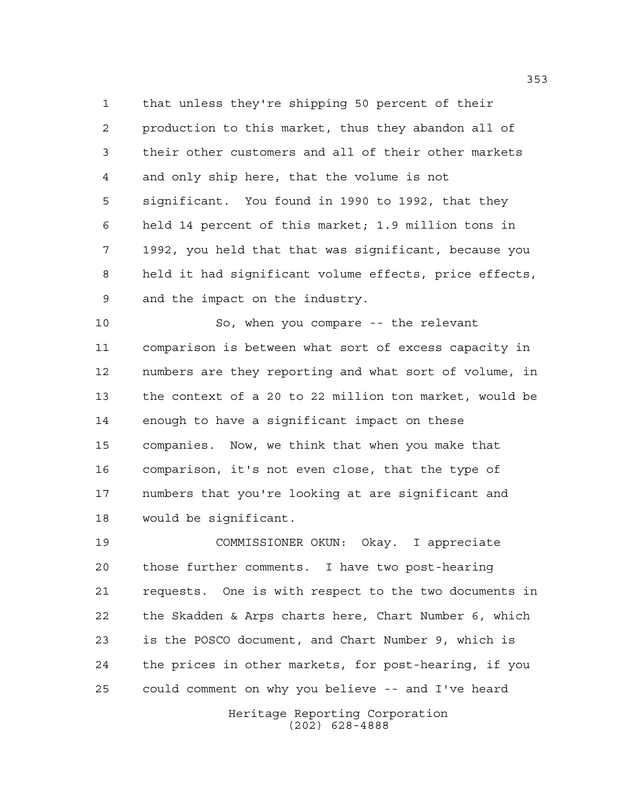that unless they're shipping 50 percent of their production to this market, thus they abandon all of their other customers and all of their other markets and only ship here, that the volume is not significant. You found in 1990 to 1992, that they held 14 percent of this market; 1.9 million tons in 1992, you held that that was significant, because you held it had significant volume effects, price effects, and the impact on the industry.

 So, when you compare -- the relevant comparison is between what sort of excess capacity in numbers are they reporting and what sort of volume, in the context of a 20 to 22 million ton market, would be enough to have a significant impact on these companies. Now, we think that when you make that comparison, it's not even close, that the type of numbers that you're looking at are significant and would be significant.

 COMMISSIONER OKUN: Okay. I appreciate those further comments. I have two post-hearing requests. One is with respect to the two documents in the Skadden & Arps charts here, Chart Number 6, which is the POSCO document, and Chart Number 9, which is the prices in other markets, for post-hearing, if you could comment on why you believe -- and I've heard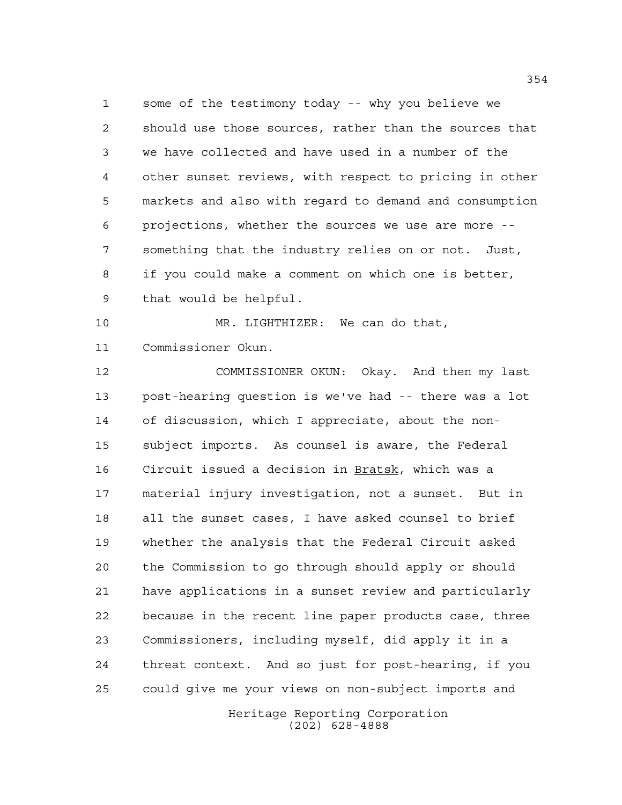some of the testimony today -- why you believe we should use those sources, rather than the sources that we have collected and have used in a number of the other sunset reviews, with respect to pricing in other markets and also with regard to demand and consumption projections, whether the sources we use are more -- something that the industry relies on or not. Just, if you could make a comment on which one is better, that would be helpful.

 MR. LIGHTHIZER: We can do that, Commissioner Okun.

 COMMISSIONER OKUN: Okay. And then my last post-hearing question is we've had -- there was a lot of discussion, which I appreciate, about the non- subject imports. As counsel is aware, the Federal Circuit issued a decision in Bratsk, which was a material injury investigation, not a sunset. But in all the sunset cases, I have asked counsel to brief whether the analysis that the Federal Circuit asked the Commission to go through should apply or should have applications in a sunset review and particularly because in the recent line paper products case, three Commissioners, including myself, did apply it in a threat context. And so just for post-hearing, if you could give me your views on non-subject imports and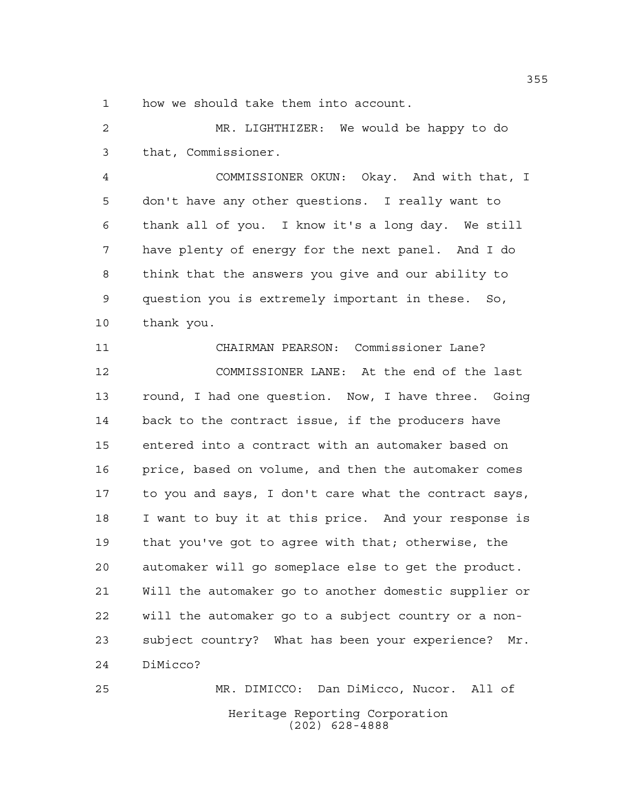how we should take them into account.

 MR. LIGHTHIZER: We would be happy to do that, Commissioner.

 COMMISSIONER OKUN: Okay. And with that, I don't have any other questions. I really want to thank all of you. I know it's a long day. We still have plenty of energy for the next panel. And I do think that the answers you give and our ability to question you is extremely important in these. So, thank you.

 CHAIRMAN PEARSON: Commissioner Lane? COMMISSIONER LANE: At the end of the last round, I had one question. Now, I have three. Going back to the contract issue, if the producers have entered into a contract with an automaker based on price, based on volume, and then the automaker comes to you and says, I don't care what the contract says, I want to buy it at this price. And your response is that you've got to agree with that; otherwise, the automaker will go someplace else to get the product. Will the automaker go to another domestic supplier or will the automaker go to a subject country or a non- subject country? What has been your experience? Mr. DiMicco?

Heritage Reporting Corporation (202) 628-4888 MR. DIMICCO: Dan DiMicco, Nucor. All of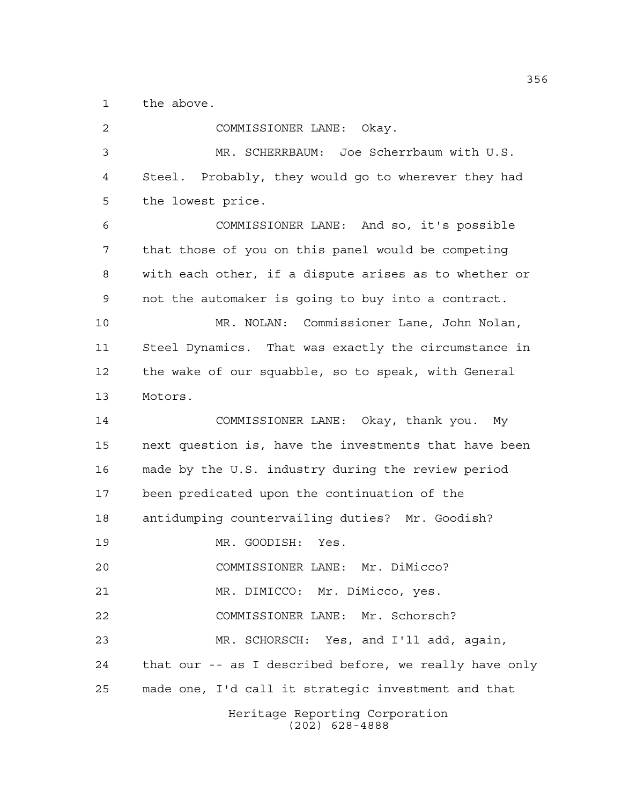the above.

| $\overline{a}$ | COMMISSIONER LANE: Okay.                               |
|----------------|--------------------------------------------------------|
| 3              | MR. SCHERRBAUM: Joe Scherrbaum with U.S.               |
| 4              | Steel. Probably, they would go to wherever they had    |
| 5              | the lowest price.                                      |
| 6              | COMMISSIONER LANE: And so, it's possible               |
| 7              | that those of you on this panel would be competing     |
| 8              | with each other, if a dispute arises as to whether or  |
| 9              | not the automaker is going to buy into a contract.     |
| 10             | MR. NOLAN: Commissioner Lane, John Nolan,              |
| 11             | Steel Dynamics. That was exactly the circumstance in   |
| 12             | the wake of our squabble, so to speak, with General    |
| 13             | Motors.                                                |
| 14             | COMMISSIONER LANE: Okay, thank you. My                 |
| 15             | next question is, have the investments that have been  |
| 16             | made by the U.S. industry during the review period     |
| 17             | been predicated upon the continuation of the           |
| 18             | antidumping countervailing duties? Mr. Goodish?        |
| 19             | MR. GOODISH: Yes.                                      |
| 20             | COMMISSIONER LANE: Mr. DiMicco?                        |
| 21             | MR. DIMICCO: Mr. DiMicco, yes.                         |
| 22             | COMMISSIONER LANE: Mr. Schorsch?                       |
| 23             | MR. SCHORSCH: Yes, and I'll add, again,                |
| 24             | that our -- as I described before, we really have only |
| 25             | made one, I'd call it strategic investment and that    |
|                | Heritage Reporting Corporation<br>$(202)$ 628-4888     |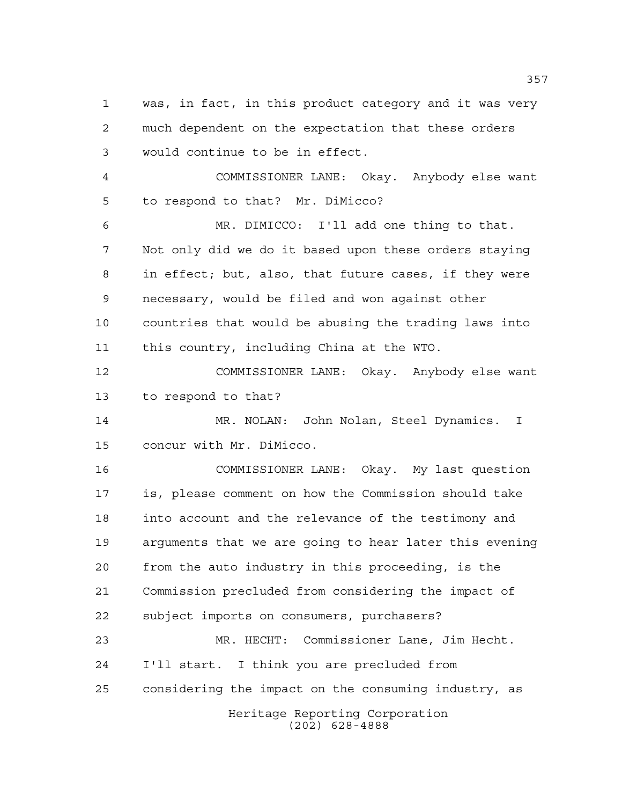was, in fact, in this product category and it was very much dependent on the expectation that these orders would continue to be in effect.

 COMMISSIONER LANE: Okay. Anybody else want to respond to that? Mr. DiMicco?

 MR. DIMICCO: I'll add one thing to that. Not only did we do it based upon these orders staying in effect; but, also, that future cases, if they were necessary, would be filed and won against other countries that would be abusing the trading laws into this country, including China at the WTO.

 COMMISSIONER LANE: Okay. Anybody else want to respond to that?

 MR. NOLAN: John Nolan, Steel Dynamics. I concur with Mr. DiMicco.

 COMMISSIONER LANE: Okay. My last question is, please comment on how the Commission should take into account and the relevance of the testimony and arguments that we are going to hear later this evening from the auto industry in this proceeding, is the Commission precluded from considering the impact of subject imports on consumers, purchasers?

 MR. HECHT: Commissioner Lane, Jim Hecht. I'll start. I think you are precluded from considering the impact on the consuming industry, as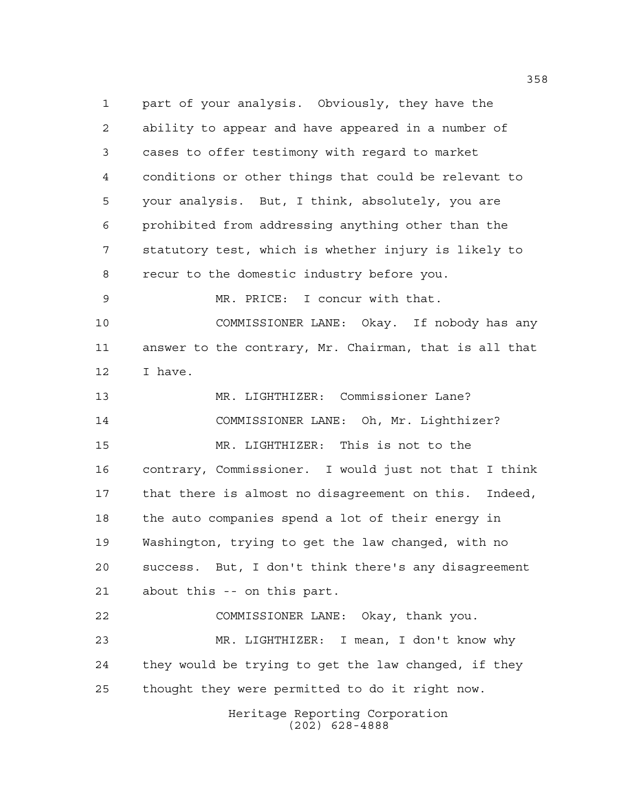Heritage Reporting Corporation part of your analysis. Obviously, they have the ability to appear and have appeared in a number of cases to offer testimony with regard to market conditions or other things that could be relevant to your analysis. But, I think, absolutely, you are prohibited from addressing anything other than the statutory test, which is whether injury is likely to recur to the domestic industry before you. MR. PRICE: I concur with that. COMMISSIONER LANE: Okay. If nobody has any answer to the contrary, Mr. Chairman, that is all that I have. MR. LIGHTHIZER: Commissioner Lane? COMMISSIONER LANE: Oh, Mr. Lighthizer? MR. LIGHTHIZER: This is not to the contrary, Commissioner. I would just not that I think that there is almost no disagreement on this. Indeed, the auto companies spend a lot of their energy in Washington, trying to get the law changed, with no success. But, I don't think there's any disagreement about this -- on this part. COMMISSIONER LANE: Okay, thank you. MR. LIGHTHIZER: I mean, I don't know why they would be trying to get the law changed, if they thought they were permitted to do it right now.

(202) 628-4888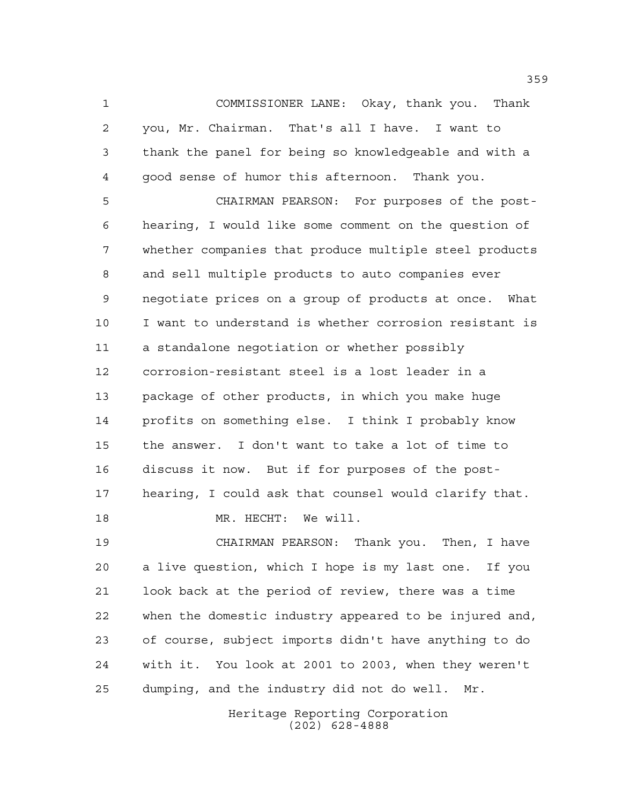COMMISSIONER LANE: Okay, thank you. Thank you, Mr. Chairman. That's all I have. I want to thank the panel for being so knowledgeable and with a good sense of humor this afternoon. Thank you.

 CHAIRMAN PEARSON: For purposes of the post- hearing, I would like some comment on the question of whether companies that produce multiple steel products and sell multiple products to auto companies ever negotiate prices on a group of products at once. What I want to understand is whether corrosion resistant is a standalone negotiation or whether possibly corrosion-resistant steel is a lost leader in a package of other products, in which you make huge profits on something else. I think I probably know the answer. I don't want to take a lot of time to discuss it now. But if for purposes of the post- hearing, I could ask that counsel would clarify that. MR. HECHT: We will.

 CHAIRMAN PEARSON: Thank you. Then, I have a live question, which I hope is my last one. If you look back at the period of review, there was a time when the domestic industry appeared to be injured and, of course, subject imports didn't have anything to do with it. You look at 2001 to 2003, when they weren't dumping, and the industry did not do well. Mr.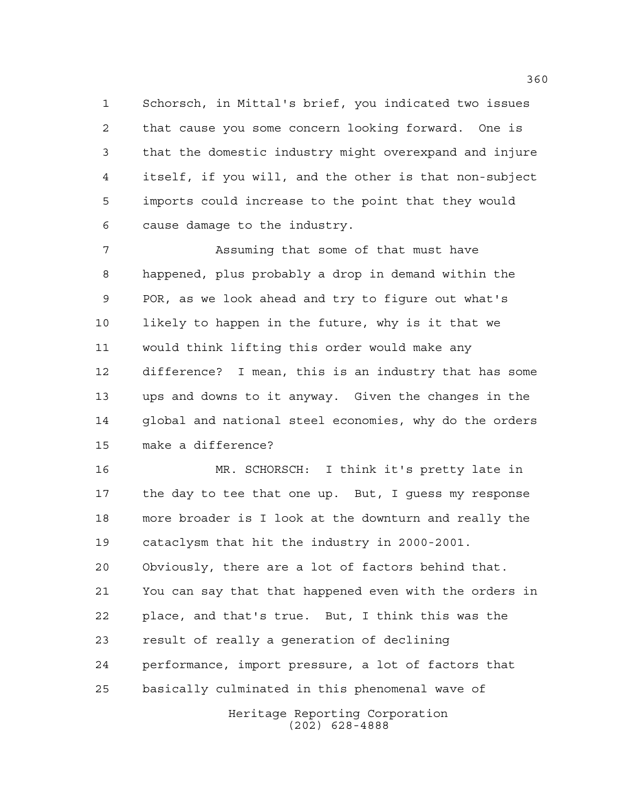Schorsch, in Mittal's brief, you indicated two issues that cause you some concern looking forward. One is that the domestic industry might overexpand and injure itself, if you will, and the other is that non-subject imports could increase to the point that they would cause damage to the industry.

 Assuming that some of that must have happened, plus probably a drop in demand within the POR, as we look ahead and try to figure out what's likely to happen in the future, why is it that we would think lifting this order would make any difference? I mean, this is an industry that has some ups and downs to it anyway. Given the changes in the global and national steel economies, why do the orders make a difference?

 MR. SCHORSCH: I think it's pretty late in the day to tee that one up. But, I guess my response more broader is I look at the downturn and really the cataclysm that hit the industry in 2000-2001. Obviously, there are a lot of factors behind that. You can say that that happened even with the orders in place, and that's true. But, I think this was the result of really a generation of declining performance, import pressure, a lot of factors that basically culminated in this phenomenal wave of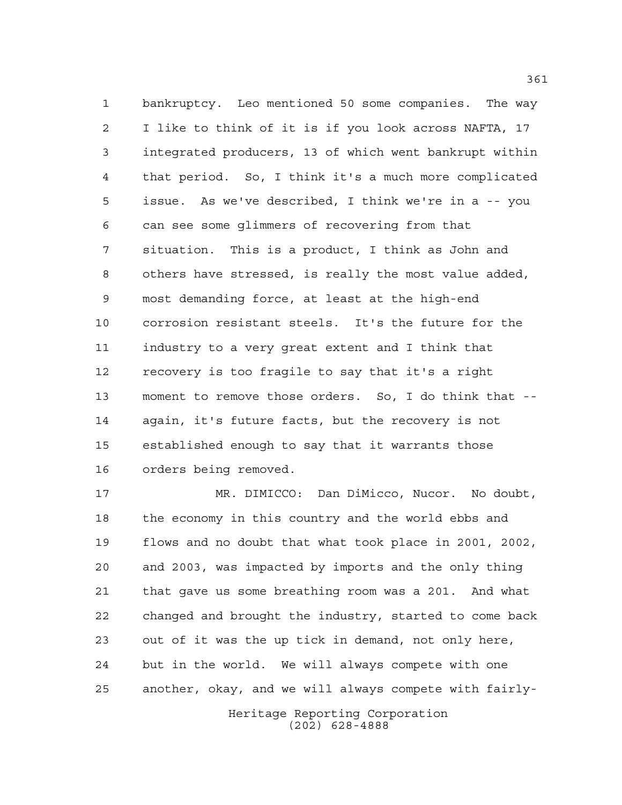bankruptcy. Leo mentioned 50 some companies. The way I like to think of it is if you look across NAFTA, 17 integrated producers, 13 of which went bankrupt within that period. So, I think it's a much more complicated issue. As we've described, I think we're in a -- you can see some glimmers of recovering from that situation. This is a product, I think as John and others have stressed, is really the most value added, most demanding force, at least at the high-end corrosion resistant steels. It's the future for the industry to a very great extent and I think that recovery is too fragile to say that it's a right moment to remove those orders. So, I do think that -- again, it's future facts, but the recovery is not established enough to say that it warrants those orders being removed.

 MR. DIMICCO: Dan DiMicco, Nucor. No doubt, the economy in this country and the world ebbs and flows and no doubt that what took place in 2001, 2002, and 2003, was impacted by imports and the only thing that gave us some breathing room was a 201. And what changed and brought the industry, started to come back out of it was the up tick in demand, not only here, but in the world. We will always compete with one another, okay, and we will always compete with fairly-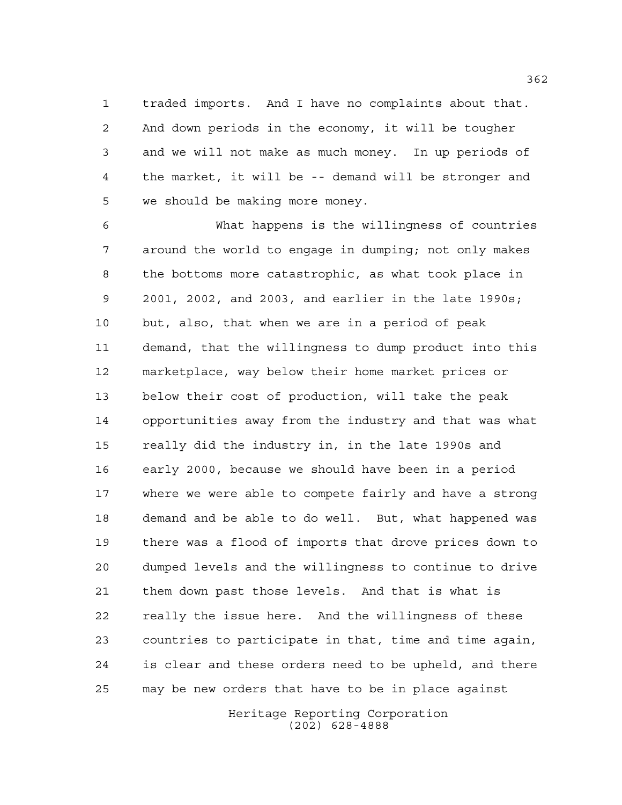traded imports. And I have no complaints about that. And down periods in the economy, it will be tougher and we will not make as much money. In up periods of the market, it will be -- demand will be stronger and we should be making more money.

 What happens is the willingness of countries around the world to engage in dumping; not only makes the bottoms more catastrophic, as what took place in 2001, 2002, and 2003, and earlier in the late 1990s; but, also, that when we are in a period of peak demand, that the willingness to dump product into this marketplace, way below their home market prices or below their cost of production, will take the peak opportunities away from the industry and that was what really did the industry in, in the late 1990s and early 2000, because we should have been in a period where we were able to compete fairly and have a strong demand and be able to do well. But, what happened was there was a flood of imports that drove prices down to dumped levels and the willingness to continue to drive them down past those levels. And that is what is really the issue here. And the willingness of these countries to participate in that, time and time again, is clear and these orders need to be upheld, and there may be new orders that have to be in place against

> Heritage Reporting Corporation (202) 628-4888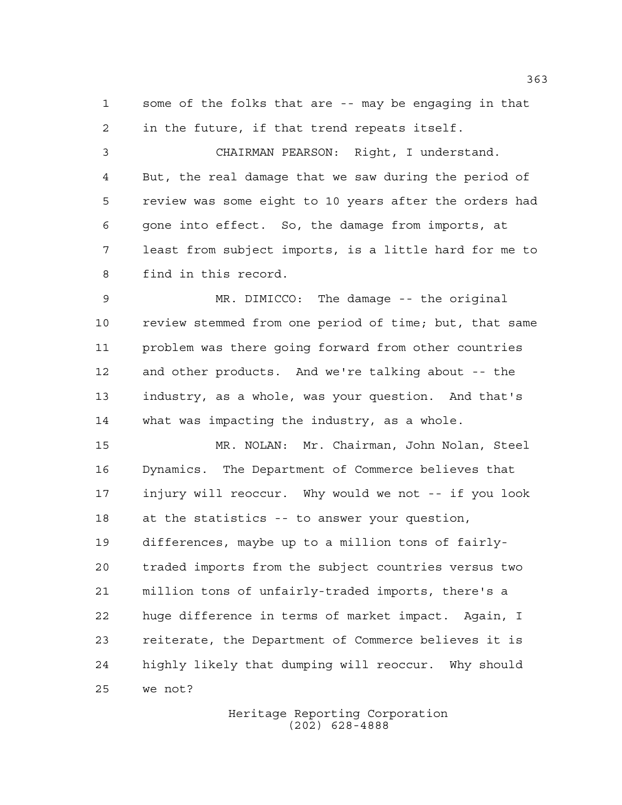some of the folks that are -- may be engaging in that in the future, if that trend repeats itself.

 CHAIRMAN PEARSON: Right, I understand. But, the real damage that we saw during the period of review was some eight to 10 years after the orders had gone into effect. So, the damage from imports, at least from subject imports, is a little hard for me to find in this record.

 MR. DIMICCO: The damage -- the original review stemmed from one period of time; but, that same problem was there going forward from other countries and other products. And we're talking about -- the industry, as a whole, was your question. And that's what was impacting the industry, as a whole.

 MR. NOLAN: Mr. Chairman, John Nolan, Steel Dynamics. The Department of Commerce believes that injury will reoccur. Why would we not -- if you look at the statistics -- to answer your question, differences, maybe up to a million tons of fairly- traded imports from the subject countries versus two million tons of unfairly-traded imports, there's a huge difference in terms of market impact. Again, I reiterate, the Department of Commerce believes it is highly likely that dumping will reoccur. Why should we not?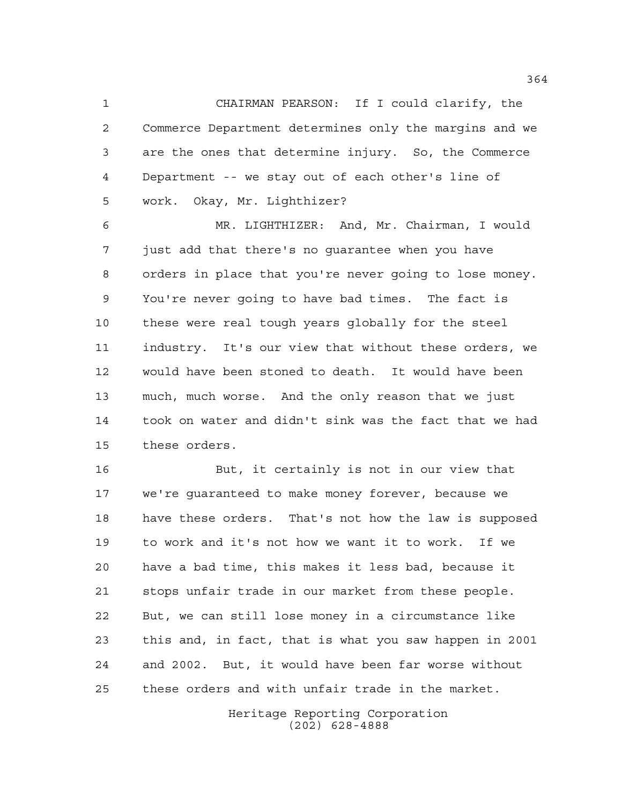CHAIRMAN PEARSON: If I could clarify, the Commerce Department determines only the margins and we are the ones that determine injury. So, the Commerce Department -- we stay out of each other's line of work. Okay, Mr. Lighthizer?

 MR. LIGHTHIZER: And, Mr. Chairman, I would just add that there's no guarantee when you have orders in place that you're never going to lose money. You're never going to have bad times. The fact is these were real tough years globally for the steel industry. It's our view that without these orders, we would have been stoned to death. It would have been much, much worse. And the only reason that we just took on water and didn't sink was the fact that we had these orders.

 But, it certainly is not in our view that we're guaranteed to make money forever, because we have these orders. That's not how the law is supposed to work and it's not how we want it to work. If we have a bad time, this makes it less bad, because it stops unfair trade in our market from these people. But, we can still lose money in a circumstance like this and, in fact, that is what you saw happen in 2001 and 2002. But, it would have been far worse without these orders and with unfair trade in the market.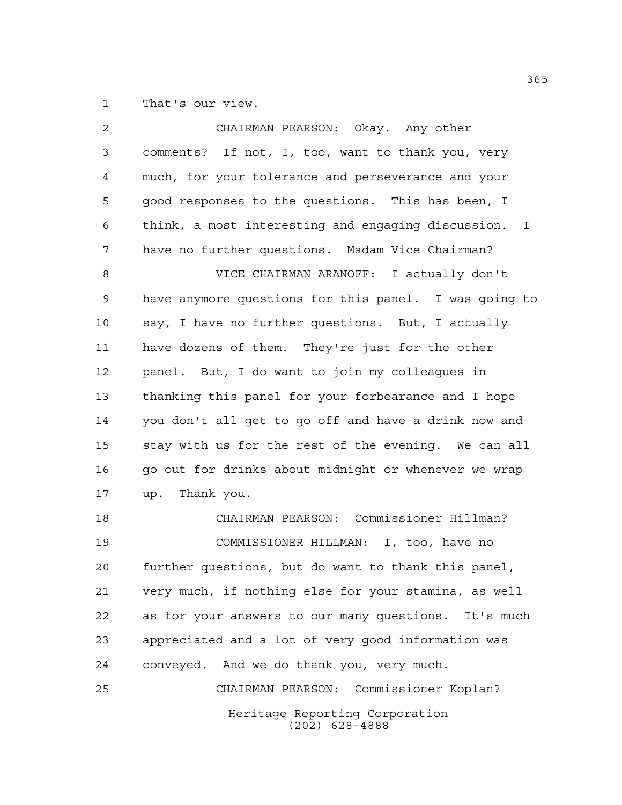That's our view.

| 2  | CHAIRMAN PEARSON: Okay. Any other                                  |
|----|--------------------------------------------------------------------|
| 3  | comments? If not, I, too, want to thank you, very                  |
| 4  | much, for your tolerance and perseverance and your                 |
| 5  | good responses to the questions. This has been, I                  |
| 6  | think, a most interesting and engaging discussion.<br>$\mathbf{I}$ |
| 7  | have no further questions. Madam Vice Chairman?                    |
| 8  | VICE CHAIRMAN ARANOFF: I actually don't                            |
| 9  | have anymore questions for this panel. I was going to              |
| 10 | say, I have no further questions. But, I actually                  |
| 11 | have dozens of them. They're just for the other                    |
| 12 | panel. But, I do want to join my colleagues in                     |
| 13 | thanking this panel for your forbearance and I hope                |
| 14 | you don't all get to go off and have a drink now and               |
| 15 | stay with us for the rest of the evening. We can all               |
| 16 | go out for drinks about midnight or whenever we wrap               |
| 17 | up. Thank you.                                                     |
| 18 | CHAIRMAN PEARSON: Commissioner Hillman?                            |
| 19 | COMMISSIONER HILLMAN: I, too, have no                              |
| 20 | further questions, but do want to thank this panel,                |
| 21 | very much, if nothing else for your stamina, as well               |
| 22 | as for your answers to our many questions. It's much               |
| 23 | appreciated and a lot of very good information was                 |
| 24 | conveyed. And we do thank you, very much.                          |
| 25 | CHAIRMAN PEARSON: Commissioner Koplan?                             |
|    | Heritage Reporting Corporation<br>$(202)$ 628-4888                 |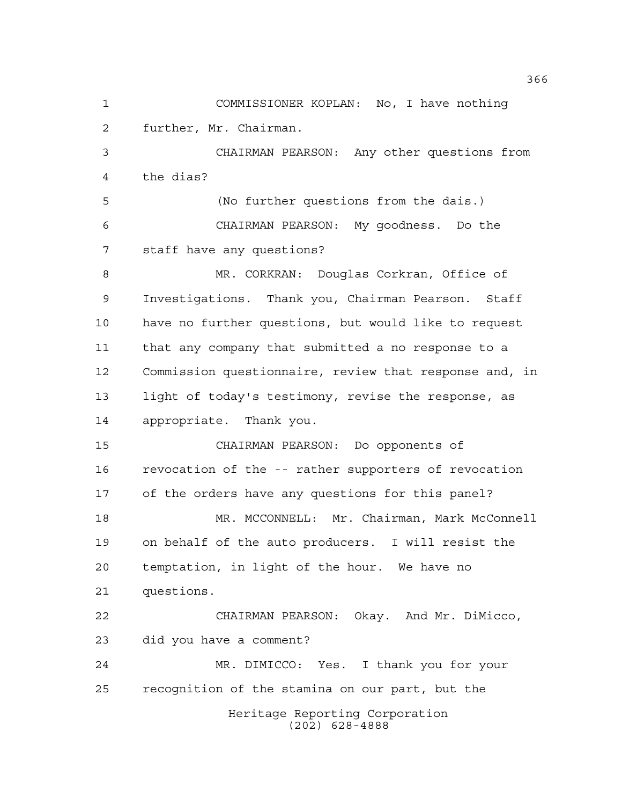Heritage Reporting Corporation (202) 628-4888 COMMISSIONER KOPLAN: No, I have nothing further, Mr. Chairman. CHAIRMAN PEARSON: Any other questions from the dias? (No further questions from the dais.) CHAIRMAN PEARSON: My goodness. Do the staff have any questions? MR. CORKRAN: Douglas Corkran, Office of Investigations. Thank you, Chairman Pearson. Staff have no further questions, but would like to request that any company that submitted a no response to a Commission questionnaire, review that response and, in light of today's testimony, revise the response, as appropriate. Thank you. CHAIRMAN PEARSON: Do opponents of revocation of the -- rather supporters of revocation of the orders have any questions for this panel? MR. MCCONNELL: Mr. Chairman, Mark McConnell on behalf of the auto producers. I will resist the temptation, in light of the hour. We have no questions. CHAIRMAN PEARSON: Okay. And Mr. DiMicco, did you have a comment? MR. DIMICCO: Yes. I thank you for your recognition of the stamina on our part, but the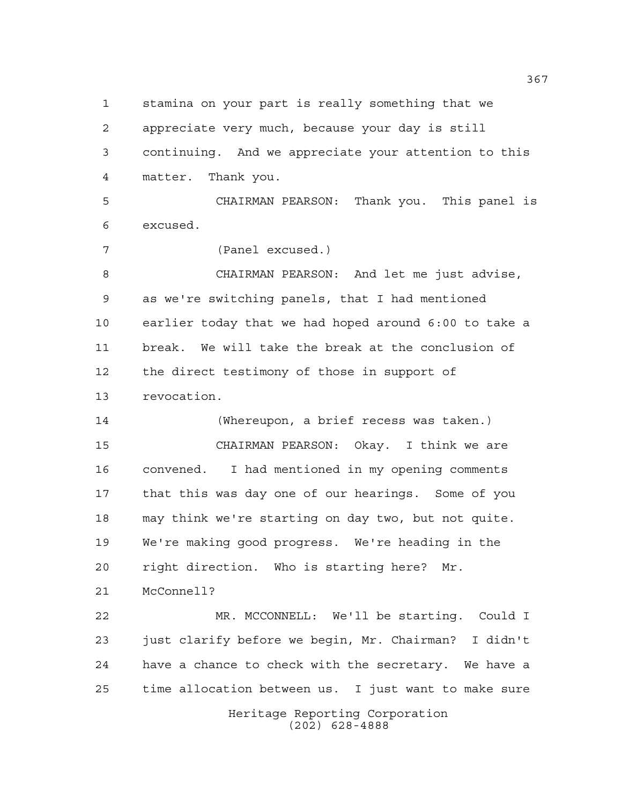stamina on your part is really something that we

 appreciate very much, because your day is still continuing. And we appreciate your attention to this matter. Thank you.

 CHAIRMAN PEARSON: Thank you. This panel is excused.

(Panel excused.)

 CHAIRMAN PEARSON: And let me just advise, as we're switching panels, that I had mentioned earlier today that we had hoped around 6:00 to take a break. We will take the break at the conclusion of the direct testimony of those in support of revocation.

 (Whereupon, a brief recess was taken.) CHAIRMAN PEARSON: Okay. I think we are convened. I had mentioned in my opening comments that this was day one of our hearings. Some of you may think we're starting on day two, but not quite. We're making good progress. We're heading in the right direction. Who is starting here? Mr.

McConnell?

 MR. MCCONNELL: We'll be starting. Could I just clarify before we begin, Mr. Chairman? I didn't have a chance to check with the secretary. We have a time allocation between us. I just want to make sure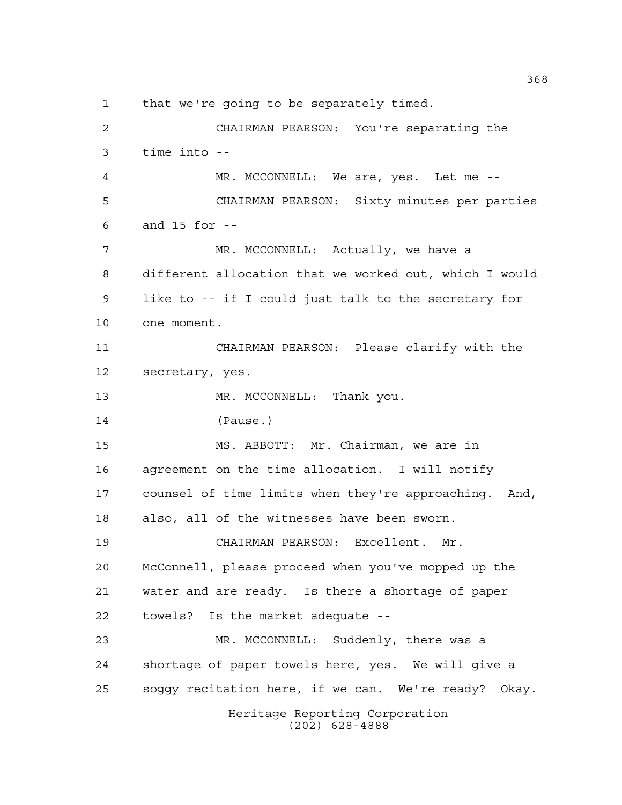that we're going to be separately timed.

Heritage Reporting Corporation (202) 628-4888 CHAIRMAN PEARSON: You're separating the time into -- MR. MCCONNELL: We are, yes. Let me -- CHAIRMAN PEARSON: Sixty minutes per parties and 15 for -- 7 MR. MCCONNELL: Actually, we have a different allocation that we worked out, which I would like to -- if I could just talk to the secretary for one moment. CHAIRMAN PEARSON: Please clarify with the secretary, yes. 13 MR. MCCONNELL: Thank you. (Pause.) MS. ABBOTT: Mr. Chairman, we are in agreement on the time allocation. I will notify counsel of time limits when they're approaching. And, also, all of the witnesses have been sworn. CHAIRMAN PEARSON: Excellent. Mr. McConnell, please proceed when you've mopped up the water and are ready. Is there a shortage of paper towels? Is the market adequate -- MR. MCCONNELL: Suddenly, there was a shortage of paper towels here, yes. We will give a soggy recitation here, if we can. We're ready? Okay.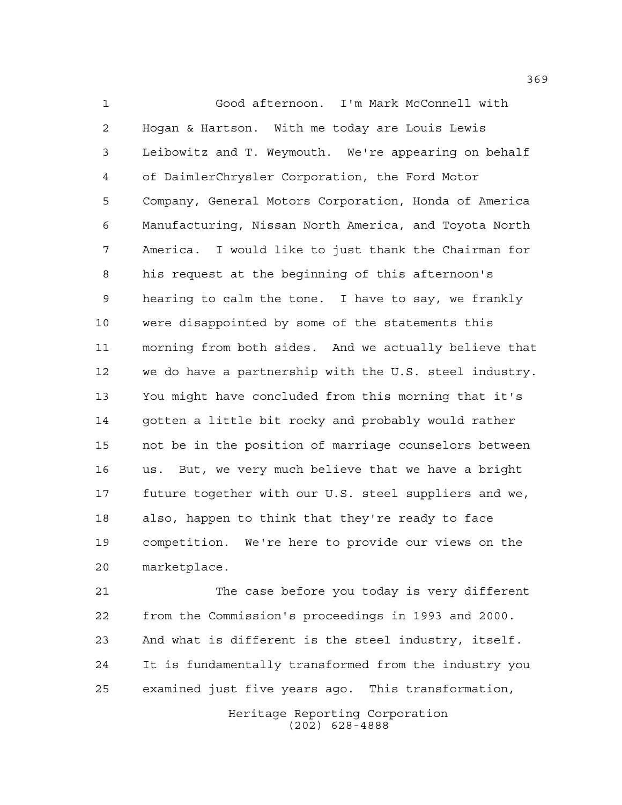Good afternoon. I'm Mark McConnell with Hogan & Hartson. With me today are Louis Lewis Leibowitz and T. Weymouth. We're appearing on behalf of DaimlerChrysler Corporation, the Ford Motor Company, General Motors Corporation, Honda of America Manufacturing, Nissan North America, and Toyota North America. I would like to just thank the Chairman for his request at the beginning of this afternoon's hearing to calm the tone. I have to say, we frankly were disappointed by some of the statements this morning from both sides. And we actually believe that we do have a partnership with the U.S. steel industry. You might have concluded from this morning that it's gotten a little bit rocky and probably would rather not be in the position of marriage counselors between us. But, we very much believe that we have a bright future together with our U.S. steel suppliers and we, also, happen to think that they're ready to face competition. We're here to provide our views on the marketplace.

 The case before you today is very different from the Commission's proceedings in 1993 and 2000. And what is different is the steel industry, itself. It is fundamentally transformed from the industry you examined just five years ago. This transformation,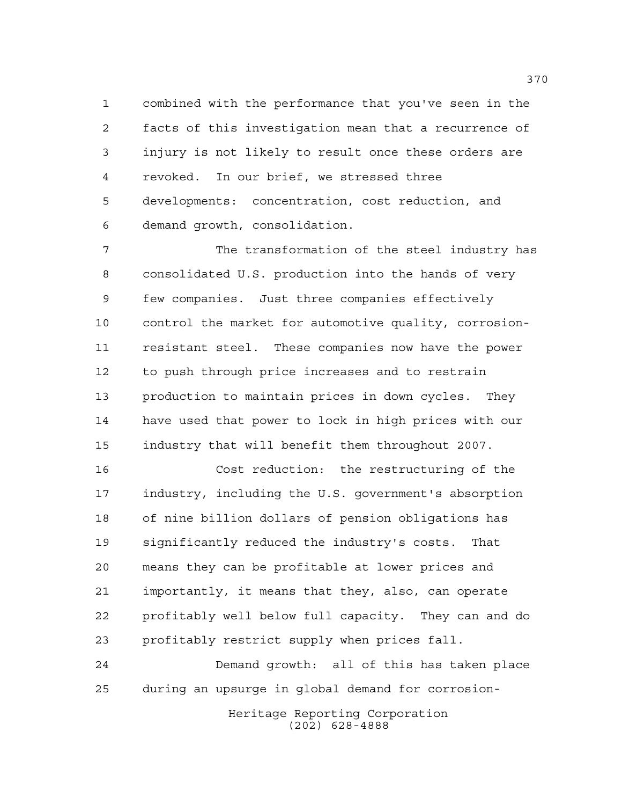combined with the performance that you've seen in the facts of this investigation mean that a recurrence of injury is not likely to result once these orders are revoked. In our brief, we stressed three developments: concentration, cost reduction, and demand growth, consolidation.

 The transformation of the steel industry has consolidated U.S. production into the hands of very few companies. Just three companies effectively control the market for automotive quality, corrosion- resistant steel. These companies now have the power to push through price increases and to restrain production to maintain prices in down cycles. They have used that power to lock in high prices with our industry that will benefit them throughout 2007.

 Cost reduction: the restructuring of the industry, including the U.S. government's absorption of nine billion dollars of pension obligations has significantly reduced the industry's costs. That means they can be profitable at lower prices and importantly, it means that they, also, can operate profitably well below full capacity. They can and do profitably restrict supply when prices fall.

 Demand growth: all of this has taken place during an upsurge in global demand for corrosion-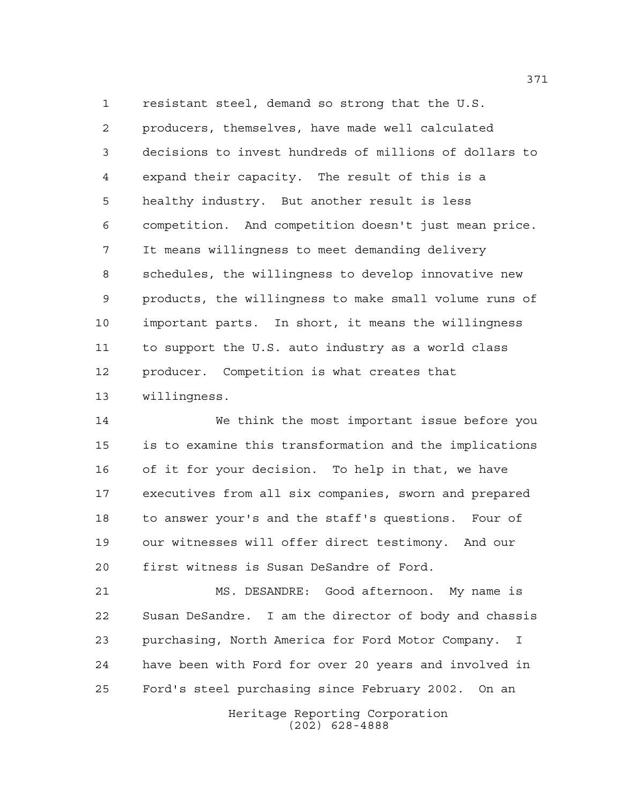resistant steel, demand so strong that the U.S.

 producers, themselves, have made well calculated decisions to invest hundreds of millions of dollars to expand their capacity. The result of this is a healthy industry. But another result is less competition. And competition doesn't just mean price. It means willingness to meet demanding delivery schedules, the willingness to develop innovative new products, the willingness to make small volume runs of important parts. In short, it means the willingness to support the U.S. auto industry as a world class producer. Competition is what creates that willingness.

 We think the most important issue before you is to examine this transformation and the implications of it for your decision. To help in that, we have executives from all six companies, sworn and prepared to answer your's and the staff's questions. Four of our witnesses will offer direct testimony. And our first witness is Susan DeSandre of Ford.

 MS. DESANDRE: Good afternoon. My name is Susan DeSandre. I am the director of body and chassis purchasing, North America for Ford Motor Company. I have been with Ford for over 20 years and involved in Ford's steel purchasing since February 2002. On an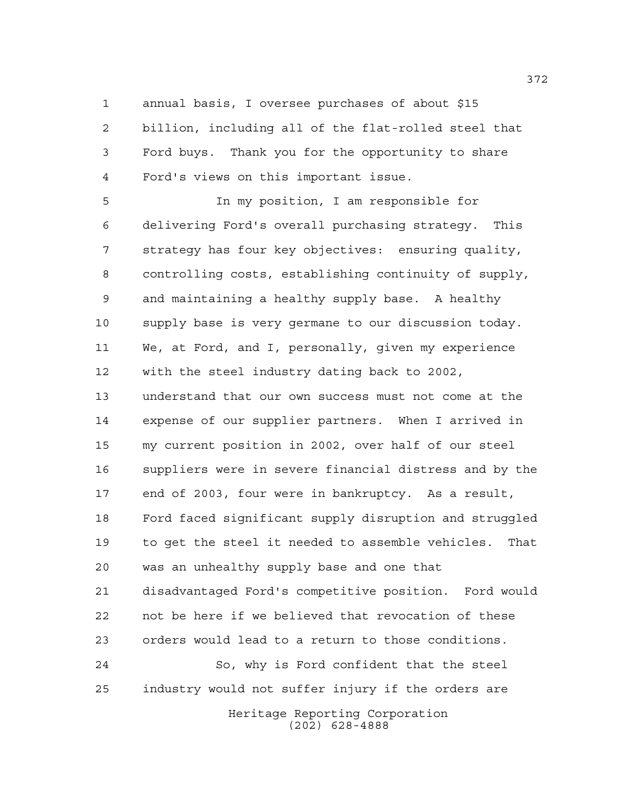annual basis, I oversee purchases of about \$15

 billion, including all of the flat-rolled steel that Ford buys. Thank you for the opportunity to share Ford's views on this important issue.

Heritage Reporting Corporation In my position, I am responsible for delivering Ford's overall purchasing strategy. This strategy has four key objectives: ensuring quality, controlling costs, establishing continuity of supply, and maintaining a healthy supply base. A healthy supply base is very germane to our discussion today. We, at Ford, and I, personally, given my experience with the steel industry dating back to 2002, understand that our own success must not come at the expense of our supplier partners. When I arrived in my current position in 2002, over half of our steel suppliers were in severe financial distress and by the end of 2003, four were in bankruptcy. As a result, Ford faced significant supply disruption and struggled to get the steel it needed to assemble vehicles. That was an unhealthy supply base and one that disadvantaged Ford's competitive position. Ford would not be here if we believed that revocation of these orders would lead to a return to those conditions. So, why is Ford confident that the steel industry would not suffer injury if the orders are

(202) 628-4888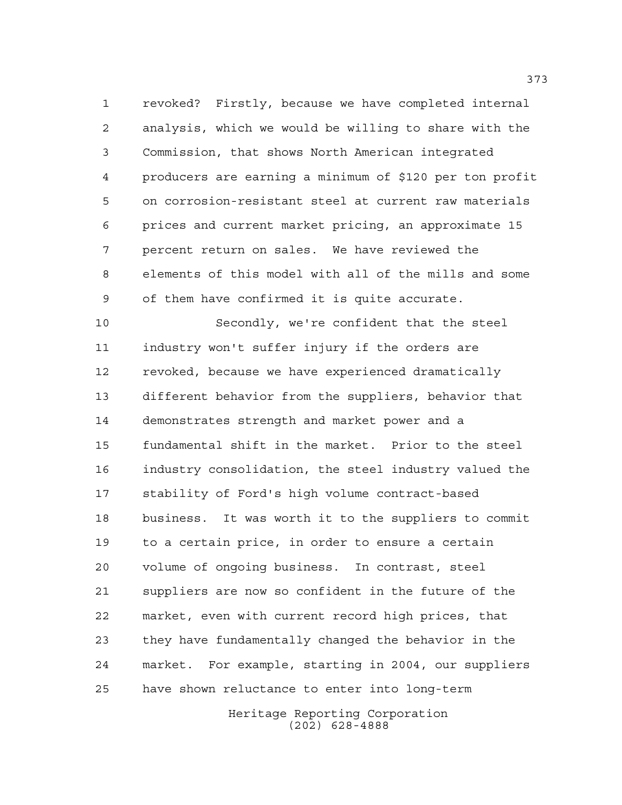revoked? Firstly, because we have completed internal analysis, which we would be willing to share with the Commission, that shows North American integrated producers are earning a minimum of \$120 per ton profit on corrosion-resistant steel at current raw materials prices and current market pricing, an approximate 15 percent return on sales. We have reviewed the elements of this model with all of the mills and some of them have confirmed it is quite accurate.

 Secondly, we're confident that the steel industry won't suffer injury if the orders are revoked, because we have experienced dramatically different behavior from the suppliers, behavior that demonstrates strength and market power and a fundamental shift in the market. Prior to the steel industry consolidation, the steel industry valued the stability of Ford's high volume contract-based business. It was worth it to the suppliers to commit to a certain price, in order to ensure a certain volume of ongoing business. In contrast, steel suppliers are now so confident in the future of the market, even with current record high prices, that they have fundamentally changed the behavior in the market. For example, starting in 2004, our suppliers have shown reluctance to enter into long-term

> Heritage Reporting Corporation (202) 628-4888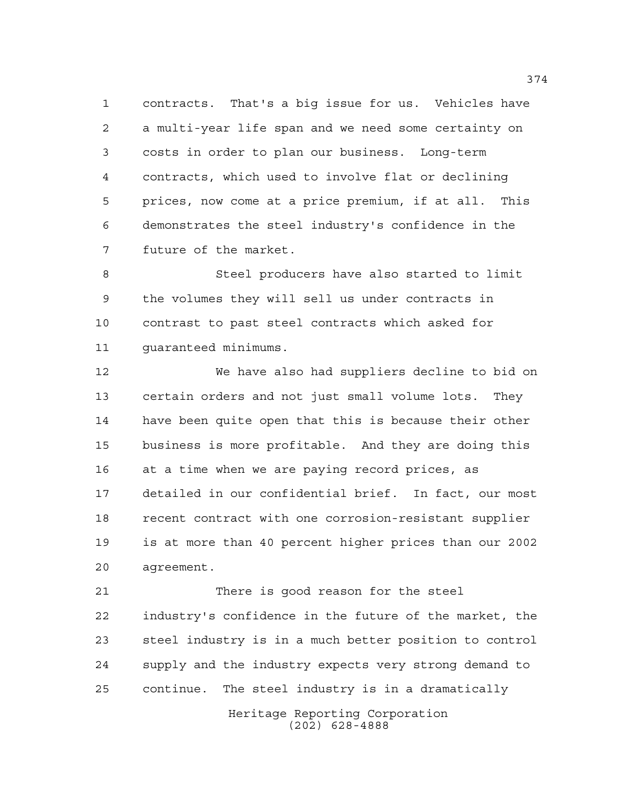contracts. That's a big issue for us. Vehicles have a multi-year life span and we need some certainty on costs in order to plan our business. Long-term contracts, which used to involve flat or declining prices, now come at a price premium, if at all. This demonstrates the steel industry's confidence in the future of the market.

 Steel producers have also started to limit the volumes they will sell us under contracts in contrast to past steel contracts which asked for guaranteed minimums.

 We have also had suppliers decline to bid on certain orders and not just small volume lots. They have been quite open that this is because their other business is more profitable. And they are doing this at a time when we are paying record prices, as detailed in our confidential brief. In fact, our most recent contract with one corrosion-resistant supplier is at more than 40 percent higher prices than our 2002 agreement.

 There is good reason for the steel industry's confidence in the future of the market, the steel industry is in a much better position to control supply and the industry expects very strong demand to continue. The steel industry is in a dramatically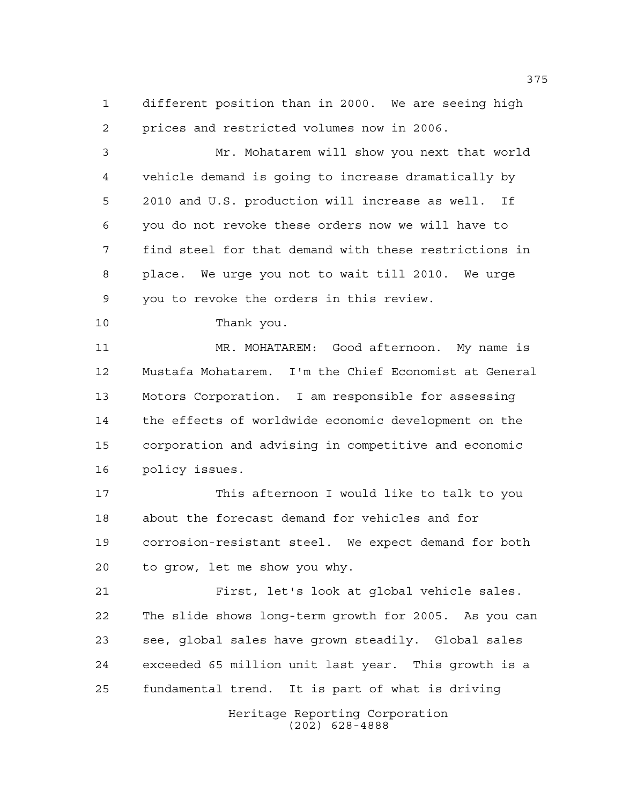different position than in 2000. We are seeing high prices and restricted volumes now in 2006.

 Mr. Mohatarem will show you next that world vehicle demand is going to increase dramatically by 2010 and U.S. production will increase as well. If you do not revoke these orders now we will have to find steel for that demand with these restrictions in place. We urge you not to wait till 2010. We urge you to revoke the orders in this review.

Thank you.

 MR. MOHATAREM: Good afternoon. My name is Mustafa Mohatarem. I'm the Chief Economist at General Motors Corporation. I am responsible for assessing the effects of worldwide economic development on the corporation and advising in competitive and economic policy issues.

 This afternoon I would like to talk to you about the forecast demand for vehicles and for corrosion-resistant steel. We expect demand for both to grow, let me show you why.

 First, let's look at global vehicle sales. The slide shows long-term growth for 2005. As you can see, global sales have grown steadily. Global sales exceeded 65 million unit last year. This growth is a fundamental trend. It is part of what is driving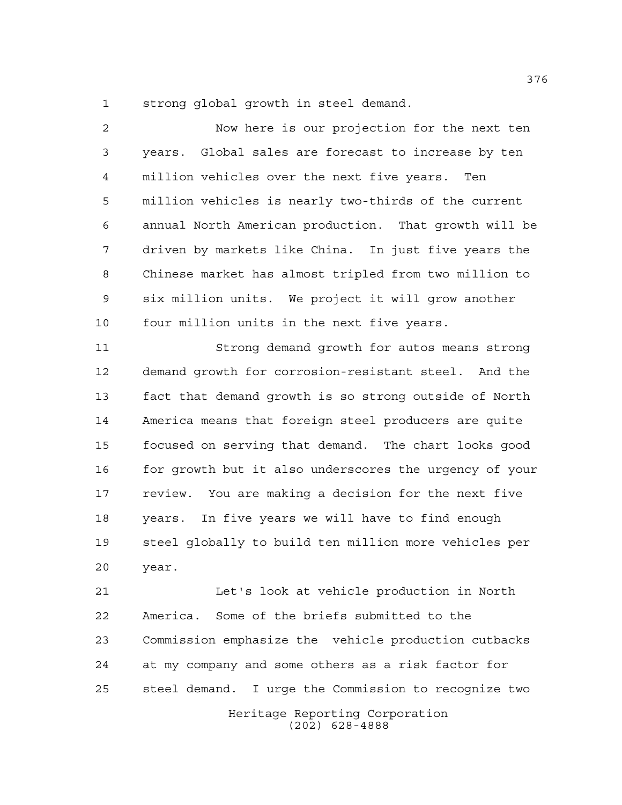strong global growth in steel demand.

 Now here is our projection for the next ten years. Global sales are forecast to increase by ten million vehicles over the next five years. Ten million vehicles is nearly two-thirds of the current annual North American production. That growth will be driven by markets like China. In just five years the Chinese market has almost tripled from two million to six million units. We project it will grow another four million units in the next five years.

 Strong demand growth for autos means strong demand growth for corrosion-resistant steel. And the fact that demand growth is so strong outside of North America means that foreign steel producers are quite focused on serving that demand. The chart looks good for growth but it also underscores the urgency of your review. You are making a decision for the next five years. In five years we will have to find enough steel globally to build ten million more vehicles per year.

 Let's look at vehicle production in North America. Some of the briefs submitted to the Commission emphasize the vehicle production cutbacks at my company and some others as a risk factor for steel demand. I urge the Commission to recognize two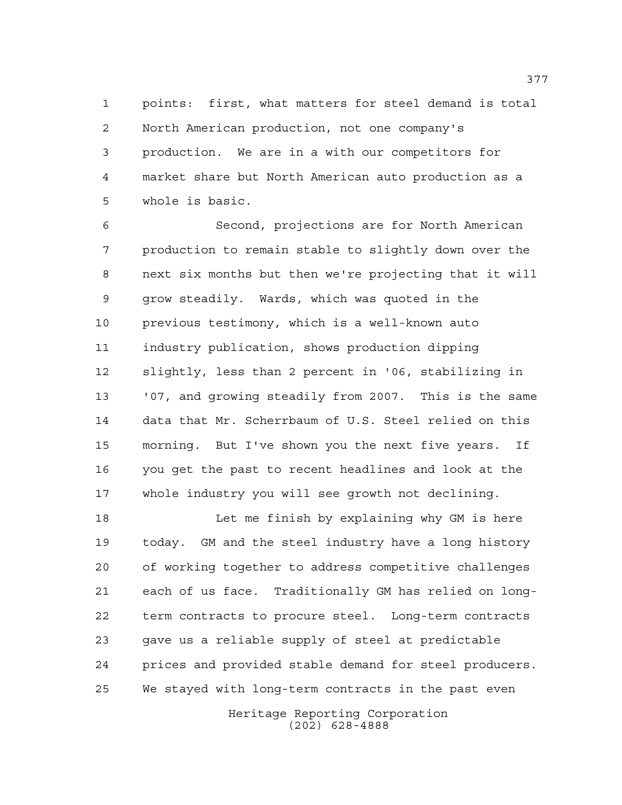points: first, what matters for steel demand is total North American production, not one company's production. We are in a with our competitors for market share but North American auto production as a whole is basic.

 Second, projections are for North American production to remain stable to slightly down over the next six months but then we're projecting that it will grow steadily. Wards, which was quoted in the previous testimony, which is a well-known auto industry publication, shows production dipping slightly, less than 2 percent in '06, stabilizing in '07, and growing steadily from 2007. This is the same data that Mr. Scherrbaum of U.S. Steel relied on this morning. But I've shown you the next five years. If you get the past to recent headlines and look at the whole industry you will see growth not declining.

 Let me finish by explaining why GM is here today. GM and the steel industry have a long history of working together to address competitive challenges each of us face. Traditionally GM has relied on long- term contracts to procure steel. Long-term contracts gave us a reliable supply of steel at predictable prices and provided stable demand for steel producers. We stayed with long-term contracts in the past even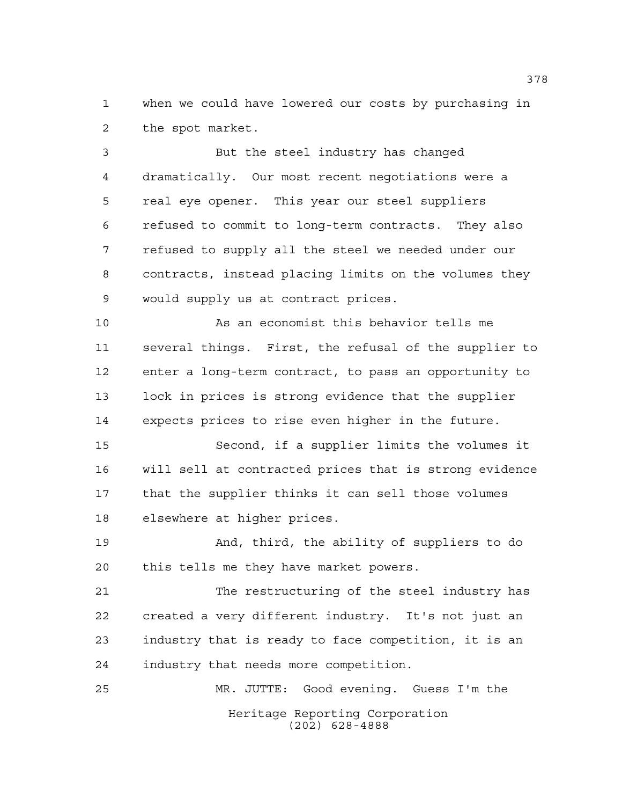when we could have lowered our costs by purchasing in the spot market.

 But the steel industry has changed dramatically. Our most recent negotiations were a real eye opener. This year our steel suppliers refused to commit to long-term contracts. They also refused to supply all the steel we needed under our contracts, instead placing limits on the volumes they would supply us at contract prices.

 As an economist this behavior tells me several things. First, the refusal of the supplier to enter a long-term contract, to pass an opportunity to lock in prices is strong evidence that the supplier expects prices to rise even higher in the future.

 Second, if a supplier limits the volumes it will sell at contracted prices that is strong evidence that the supplier thinks it can sell those volumes elsewhere at higher prices.

 And, third, the ability of suppliers to do this tells me they have market powers.

 The restructuring of the steel industry has created a very different industry. It's not just an industry that is ready to face competition, it is an industry that needs more competition.

Heritage Reporting Corporation (202) 628-4888 MR. JUTTE: Good evening. Guess I'm the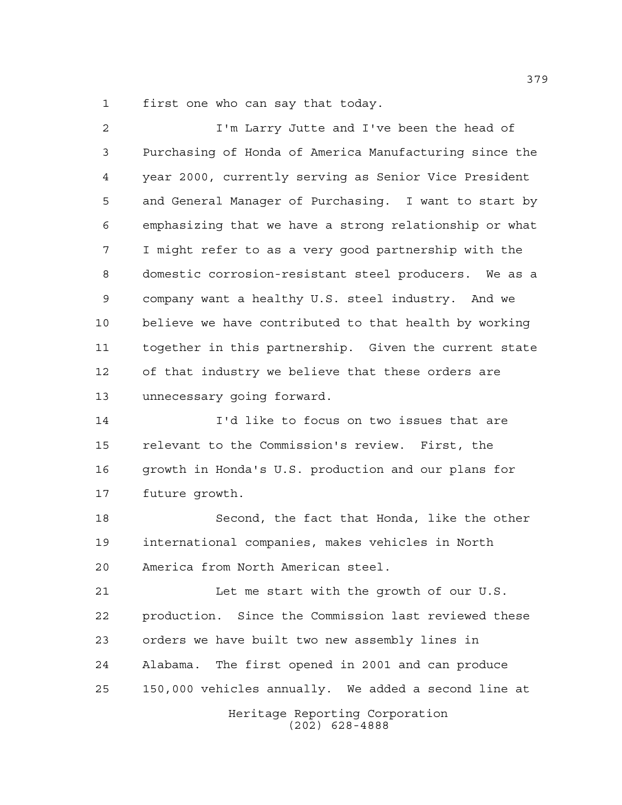first one who can say that today.

| $\overline{a}$ | I'm Larry Jutte and I've been the head of              |
|----------------|--------------------------------------------------------|
| 3              | Purchasing of Honda of America Manufacturing since the |
| 4              | year 2000, currently serving as Senior Vice President  |
| 5              | and General Manager of Purchasing. I want to start by  |
| 6              | emphasizing that we have a strong relationship or what |
| 7              | I might refer to as a very good partnership with the   |
| 8              | domestic corrosion-resistant steel producers. We as a  |
| 9              | company want a healthy U.S. steel industry. And we     |
| 10             | believe we have contributed to that health by working  |
| 11             | together in this partnership. Given the current state  |
| 12             | of that industry we believe that these orders are      |
| 13             | unnecessary going forward.                             |
| 14             | I'd like to focus on two issues that are               |
| 15             | relevant to the Commission's review. First, the        |
| 16             | growth in Honda's U.S. production and our plans for    |
| 17             | future growth.                                         |
| 18             | Second, the fact that Honda, like the other            |
| 19             | international companies, makes vehicles in North       |
| 20             | America from North American steel.                     |
| 21             | Let me start with the growth of our U.S.               |
| 22             | production. Since the Commission last reviewed these   |
| 23             | orders we have built two new assembly lines in         |
| 24             | Alabama. The first opened in 2001 and can produce      |
| 25             | 150,000 vehicles annually. We added a second line at   |
|                | Heritage Reporting Corporation<br>$(202)$ 628-4888     |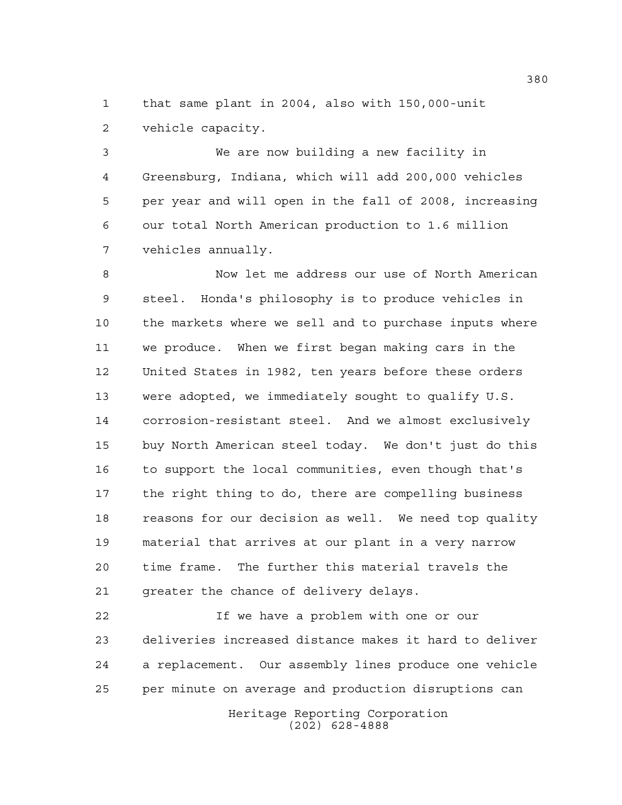that same plant in 2004, also with 150,000-unit vehicle capacity.

 We are now building a new facility in Greensburg, Indiana, which will add 200,000 vehicles per year and will open in the fall of 2008, increasing our total North American production to 1.6 million vehicles annually.

 Now let me address our use of North American steel. Honda's philosophy is to produce vehicles in the markets where we sell and to purchase inputs where we produce. When we first began making cars in the United States in 1982, ten years before these orders were adopted, we immediately sought to qualify U.S. corrosion-resistant steel. And we almost exclusively buy North American steel today. We don't just do this to support the local communities, even though that's the right thing to do, there are compelling business reasons for our decision as well. We need top quality material that arrives at our plant in a very narrow time frame. The further this material travels the greater the chance of delivery delays.

 If we have a problem with one or our deliveries increased distance makes it hard to deliver a replacement. Our assembly lines produce one vehicle per minute on average and production disruptions can

> Heritage Reporting Corporation (202) 628-4888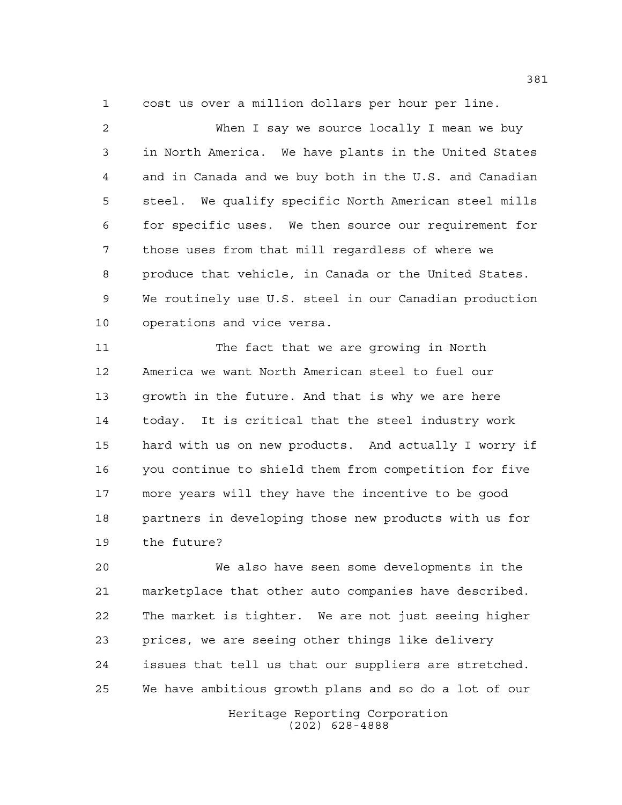cost us over a million dollars per hour per line.

 When I say we source locally I mean we buy in North America. We have plants in the United States and in Canada and we buy both in the U.S. and Canadian steel. We qualify specific North American steel mills for specific uses. We then source our requirement for those uses from that mill regardless of where we produce that vehicle, in Canada or the United States. We routinely use U.S. steel in our Canadian production operations and vice versa.

 The fact that we are growing in North America we want North American steel to fuel our growth in the future. And that is why we are here today. It is critical that the steel industry work hard with us on new products. And actually I worry if you continue to shield them from competition for five more years will they have the incentive to be good partners in developing those new products with us for the future?

 We also have seen some developments in the marketplace that other auto companies have described. The market is tighter. We are not just seeing higher prices, we are seeing other things like delivery issues that tell us that our suppliers are stretched. We have ambitious growth plans and so do a lot of our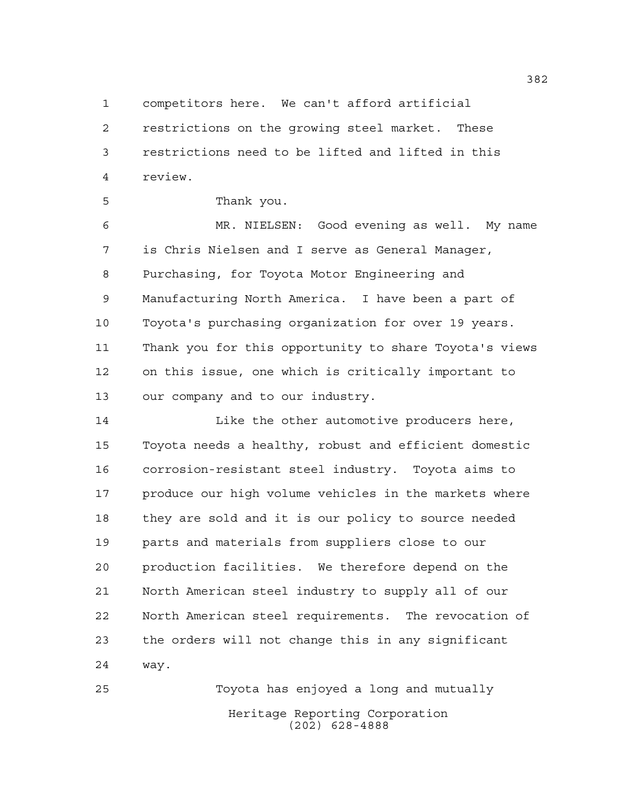competitors here. We can't afford artificial

 restrictions on the growing steel market. These restrictions need to be lifted and lifted in this review.

Thank you.

 MR. NIELSEN: Good evening as well. My name is Chris Nielsen and I serve as General Manager, Purchasing, for Toyota Motor Engineering and Manufacturing North America. I have been a part of Toyota's purchasing organization for over 19 years. Thank you for this opportunity to share Toyota's views on this issue, one which is critically important to our company and to our industry.

14 Like the other automotive producers here, Toyota needs a healthy, robust and efficient domestic corrosion-resistant steel industry. Toyota aims to produce our high volume vehicles in the markets where they are sold and it is our policy to source needed parts and materials from suppliers close to our production facilities. We therefore depend on the North American steel industry to supply all of our North American steel requirements. The revocation of the orders will not change this in any significant way.

Heritage Reporting Corporation (202) 628-4888 Toyota has enjoyed a long and mutually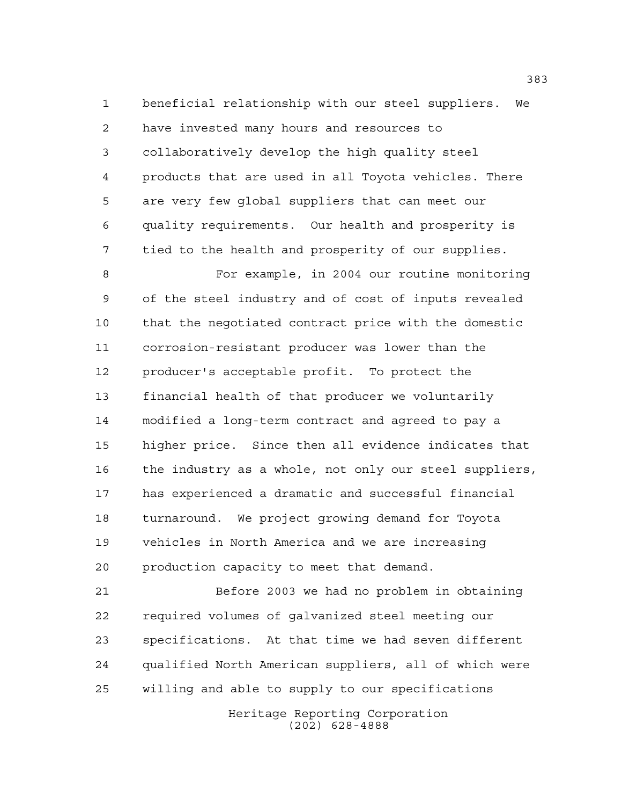beneficial relationship with our steel suppliers. We have invested many hours and resources to collaboratively develop the high quality steel products that are used in all Toyota vehicles. There are very few global suppliers that can meet our quality requirements. Our health and prosperity is tied to the health and prosperity of our supplies.

 For example, in 2004 our routine monitoring of the steel industry and of cost of inputs revealed that the negotiated contract price with the domestic corrosion-resistant producer was lower than the producer's acceptable profit. To protect the financial health of that producer we voluntarily modified a long-term contract and agreed to pay a higher price. Since then all evidence indicates that the industry as a whole, not only our steel suppliers, has experienced a dramatic and successful financial turnaround. We project growing demand for Toyota vehicles in North America and we are increasing production capacity to meet that demand.

 Before 2003 we had no problem in obtaining required volumes of galvanized steel meeting our specifications. At that time we had seven different qualified North American suppliers, all of which were willing and able to supply to our specifications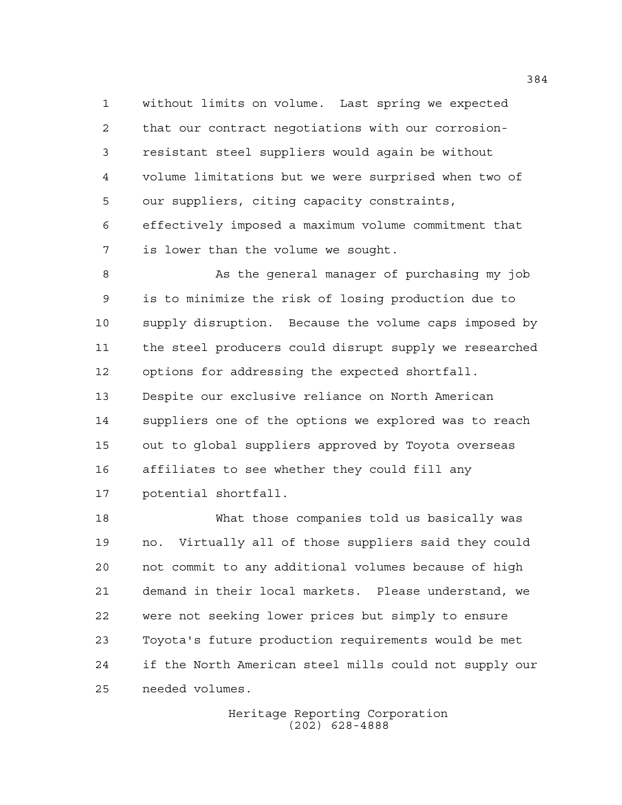without limits on volume. Last spring we expected that our contract negotiations with our corrosion- resistant steel suppliers would again be without volume limitations but we were surprised when two of our suppliers, citing capacity constraints, effectively imposed a maximum volume commitment that is lower than the volume we sought.

 As the general manager of purchasing my job is to minimize the risk of losing production due to supply disruption. Because the volume caps imposed by the steel producers could disrupt supply we researched options for addressing the expected shortfall. Despite our exclusive reliance on North American suppliers one of the options we explored was to reach out to global suppliers approved by Toyota overseas affiliates to see whether they could fill any potential shortfall.

 What those companies told us basically was no. Virtually all of those suppliers said they could not commit to any additional volumes because of high demand in their local markets. Please understand, we were not seeking lower prices but simply to ensure Toyota's future production requirements would be met if the North American steel mills could not supply our needed volumes.

> Heritage Reporting Corporation (202) 628-4888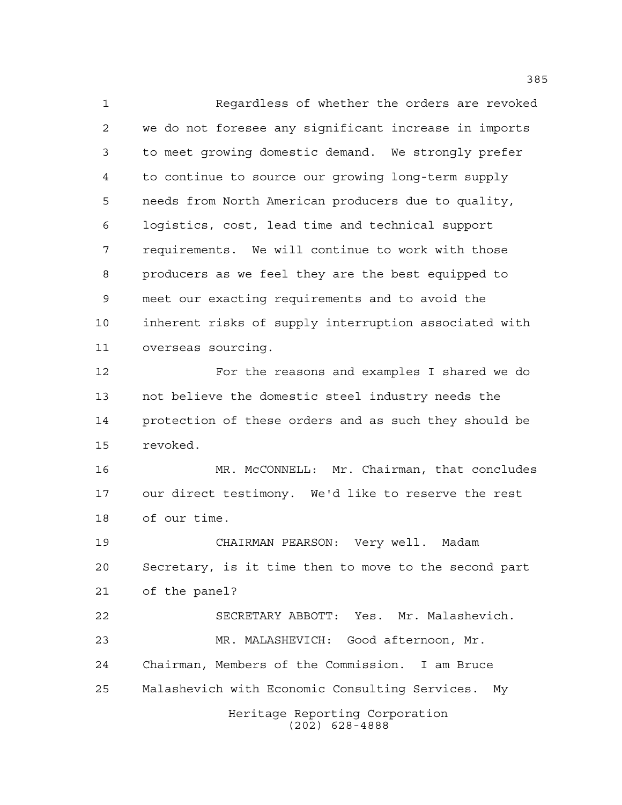Regardless of whether the orders are revoked we do not foresee any significant increase in imports to meet growing domestic demand. We strongly prefer to continue to source our growing long-term supply needs from North American producers due to quality, logistics, cost, lead time and technical support requirements. We will continue to work with those producers as we feel they are the best equipped to meet our exacting requirements and to avoid the inherent risks of supply interruption associated with overseas sourcing. For the reasons and examples I shared we do not believe the domestic steel industry needs the protection of these orders and as such they should be revoked. MR. McCONNELL: Mr. Chairman, that concludes our direct testimony. We'd like to reserve the rest of our time. CHAIRMAN PEARSON: Very well. Madam Secretary, is it time then to move to the second part of the panel? SECRETARY ABBOTT: Yes. Mr. Malashevich. MR. MALASHEVICH: Good afternoon, Mr. Chairman, Members of the Commission. I am Bruce

Malashevich with Economic Consulting Services. My

Heritage Reporting Corporation (202) 628-4888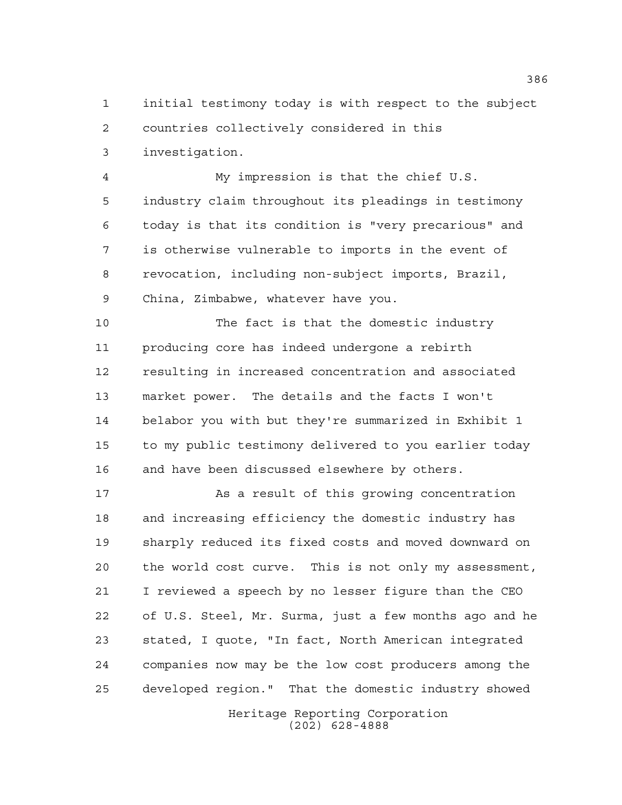initial testimony today is with respect to the subject

countries collectively considered in this

investigation.

 My impression is that the chief U.S. industry claim throughout its pleadings in testimony today is that its condition is "very precarious" and is otherwise vulnerable to imports in the event of revocation, including non-subject imports, Brazil, China, Zimbabwe, whatever have you.

 The fact is that the domestic industry producing core has indeed undergone a rebirth resulting in increased concentration and associated market power. The details and the facts I won't belabor you with but they're summarized in Exhibit 1 to my public testimony delivered to you earlier today and have been discussed elsewhere by others.

 As a result of this growing concentration and increasing efficiency the domestic industry has sharply reduced its fixed costs and moved downward on the world cost curve. This is not only my assessment, I reviewed a speech by no lesser figure than the CEO of U.S. Steel, Mr. Surma, just a few months ago and he stated, I quote, "In fact, North American integrated companies now may be the low cost producers among the developed region." That the domestic industry showed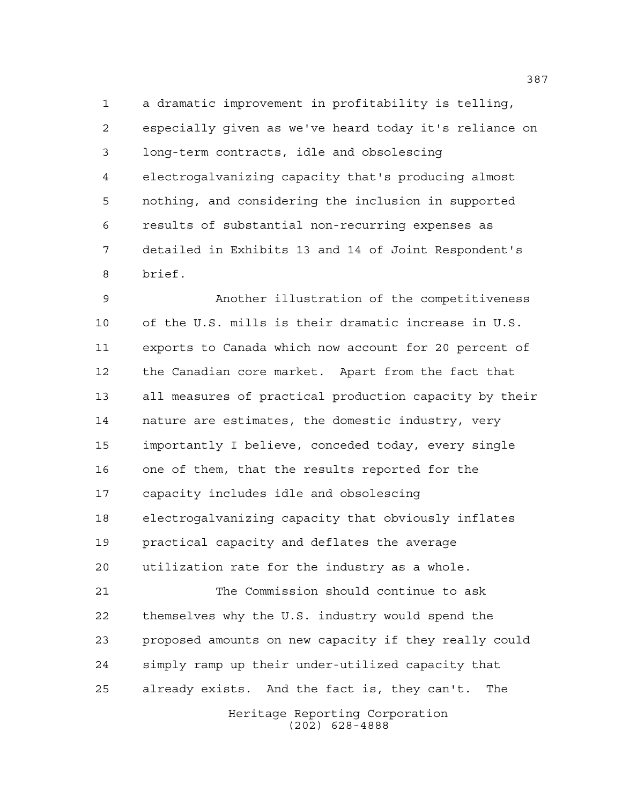a dramatic improvement in profitability is telling, especially given as we've heard today it's reliance on long-term contracts, idle and obsolescing electrogalvanizing capacity that's producing almost nothing, and considering the inclusion in supported results of substantial non-recurring expenses as detailed in Exhibits 13 and 14 of Joint Respondent's brief.

 Another illustration of the competitiveness of the U.S. mills is their dramatic increase in U.S. exports to Canada which now account for 20 percent of the Canadian core market. Apart from the fact that all measures of practical production capacity by their nature are estimates, the domestic industry, very importantly I believe, conceded today, every single one of them, that the results reported for the capacity includes idle and obsolescing electrogalvanizing capacity that obviously inflates practical capacity and deflates the average utilization rate for the industry as a whole. The Commission should continue to ask themselves why the U.S. industry would spend the proposed amounts on new capacity if they really could simply ramp up their under-utilized capacity that already exists. And the fact is, they can't. The

> Heritage Reporting Corporation (202) 628-4888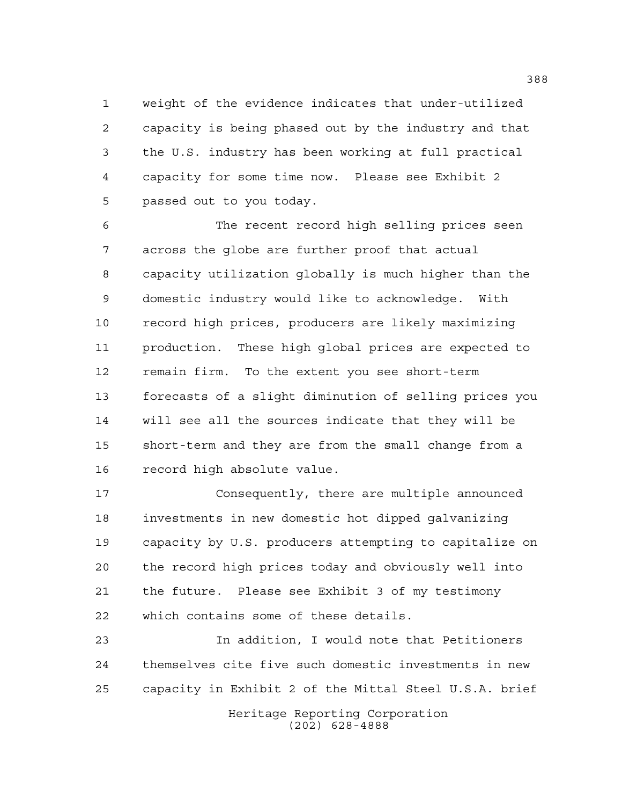weight of the evidence indicates that under-utilized capacity is being phased out by the industry and that the U.S. industry has been working at full practical capacity for some time now. Please see Exhibit 2 passed out to you today.

 The recent record high selling prices seen across the globe are further proof that actual capacity utilization globally is much higher than the domestic industry would like to acknowledge. With record high prices, producers are likely maximizing production. These high global prices are expected to remain firm. To the extent you see short-term forecasts of a slight diminution of selling prices you will see all the sources indicate that they will be short-term and they are from the small change from a record high absolute value.

 Consequently, there are multiple announced investments in new domestic hot dipped galvanizing capacity by U.S. producers attempting to capitalize on the record high prices today and obviously well into the future. Please see Exhibit 3 of my testimony which contains some of these details.

 In addition, I would note that Petitioners themselves cite five such domestic investments in new capacity in Exhibit 2 of the Mittal Steel U.S.A. brief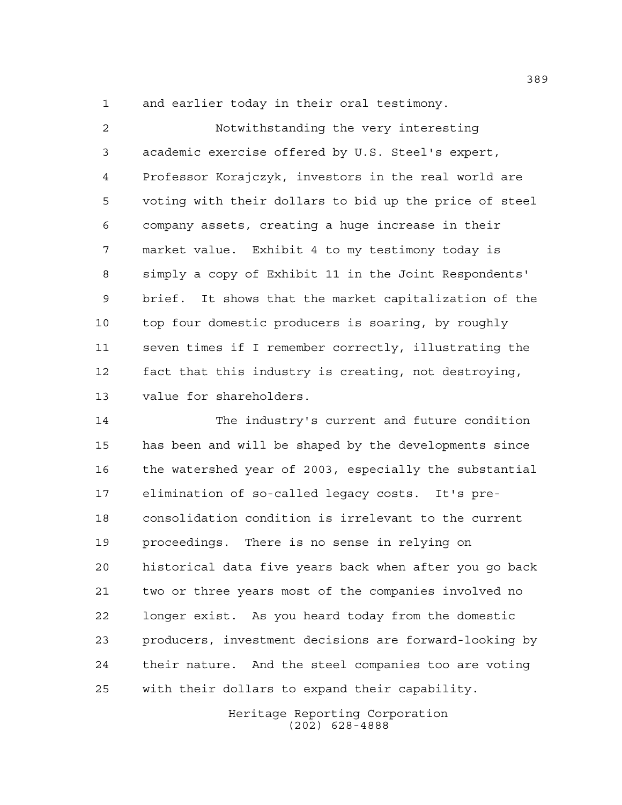and earlier today in their oral testimony.

 Notwithstanding the very interesting academic exercise offered by U.S. Steel's expert, Professor Korajczyk, investors in the real world are voting with their dollars to bid up the price of steel company assets, creating a huge increase in their market value. Exhibit 4 to my testimony today is simply a copy of Exhibit 11 in the Joint Respondents' brief. It shows that the market capitalization of the top four domestic producers is soaring, by roughly seven times if I remember correctly, illustrating the fact that this industry is creating, not destroying, value for shareholders.

 The industry's current and future condition has been and will be shaped by the developments since the watershed year of 2003, especially the substantial elimination of so-called legacy costs. It's pre- consolidation condition is irrelevant to the current proceedings. There is no sense in relying on historical data five years back when after you go back two or three years most of the companies involved no longer exist. As you heard today from the domestic producers, investment decisions are forward-looking by their nature. And the steel companies too are voting with their dollars to expand their capability.

> Heritage Reporting Corporation (202) 628-4888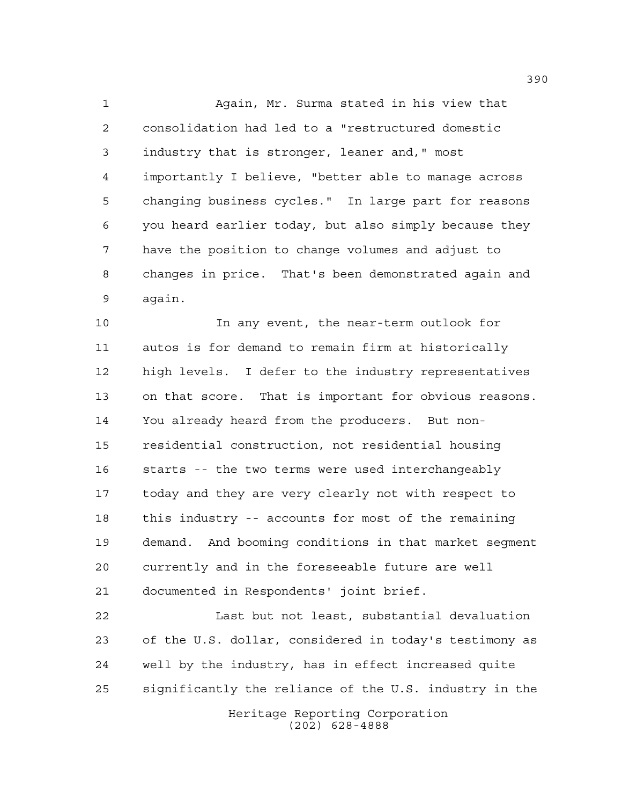Again, Mr. Surma stated in his view that consolidation had led to a "restructured domestic industry that is stronger, leaner and," most importantly I believe, "better able to manage across changing business cycles." In large part for reasons you heard earlier today, but also simply because they have the position to change volumes and adjust to changes in price. That's been demonstrated again and again.

 In any event, the near-term outlook for autos is for demand to remain firm at historically high levels. I defer to the industry representatives on that score. That is important for obvious reasons. You already heard from the producers. But non- residential construction, not residential housing starts -- the two terms were used interchangeably today and they are very clearly not with respect to this industry -- accounts for most of the remaining demand. And booming conditions in that market segment currently and in the foreseeable future are well documented in Respondents' joint brief.

 Last but not least, substantial devaluation of the U.S. dollar, considered in today's testimony as well by the industry, has in effect increased quite significantly the reliance of the U.S. industry in the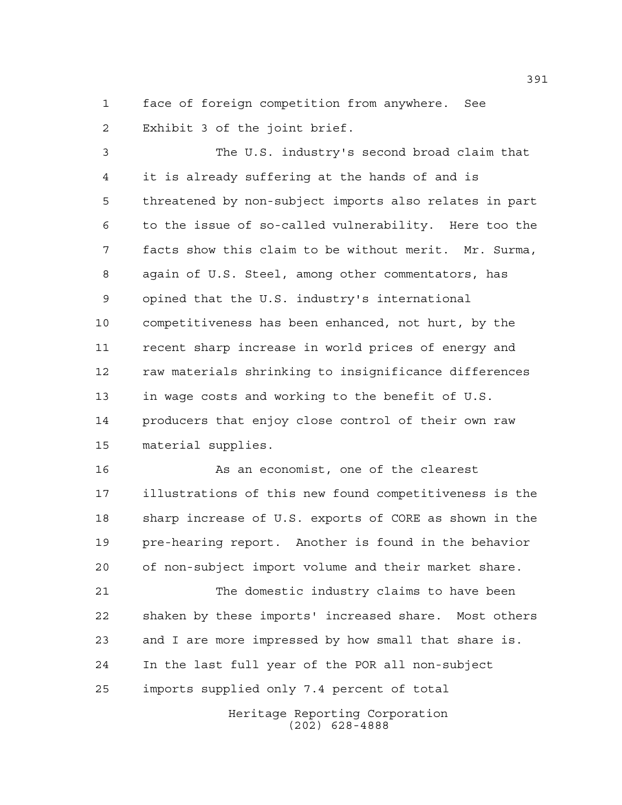face of foreign competition from anywhere. See Exhibit 3 of the joint brief.

 The U.S. industry's second broad claim that it is already suffering at the hands of and is threatened by non-subject imports also relates in part to the issue of so-called vulnerability. Here too the facts show this claim to be without merit. Mr. Surma, again of U.S. Steel, among other commentators, has opined that the U.S. industry's international competitiveness has been enhanced, not hurt, by the recent sharp increase in world prices of energy and raw materials shrinking to insignificance differences in wage costs and working to the benefit of U.S. producers that enjoy close control of their own raw material supplies.

16 As an economist, one of the clearest illustrations of this new found competitiveness is the sharp increase of U.S. exports of CORE as shown in the pre-hearing report. Another is found in the behavior of non-subject import volume and their market share.

 The domestic industry claims to have been shaken by these imports' increased share. Most others and I are more impressed by how small that share is. In the last full year of the POR all non-subject imports supplied only 7.4 percent of total

> Heritage Reporting Corporation (202) 628-4888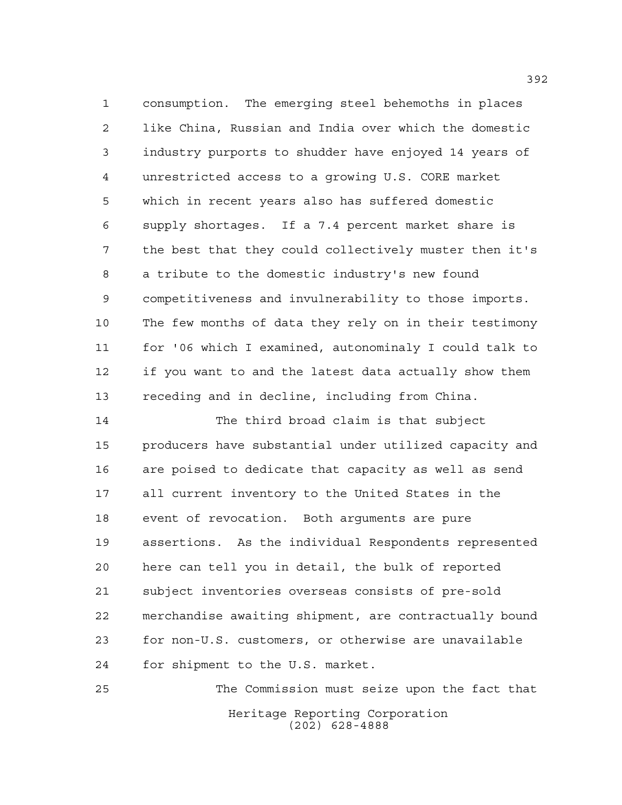consumption. The emerging steel behemoths in places like China, Russian and India over which the domestic industry purports to shudder have enjoyed 14 years of unrestricted access to a growing U.S. CORE market which in recent years also has suffered domestic supply shortages. If a 7.4 percent market share is the best that they could collectively muster then it's a tribute to the domestic industry's new found competitiveness and invulnerability to those imports. The few months of data they rely on in their testimony for '06 which I examined, autonominaly I could talk to if you want to and the latest data actually show them receding and in decline, including from China.

 The third broad claim is that subject producers have substantial under utilized capacity and are poised to dedicate that capacity as well as send all current inventory to the United States in the event of revocation. Both arguments are pure assertions. As the individual Respondents represented here can tell you in detail, the bulk of reported subject inventories overseas consists of pre-sold merchandise awaiting shipment, are contractually bound for non-U.S. customers, or otherwise are unavailable for shipment to the U.S. market.

Heritage Reporting Corporation (202) 628-4888 The Commission must seize upon the fact that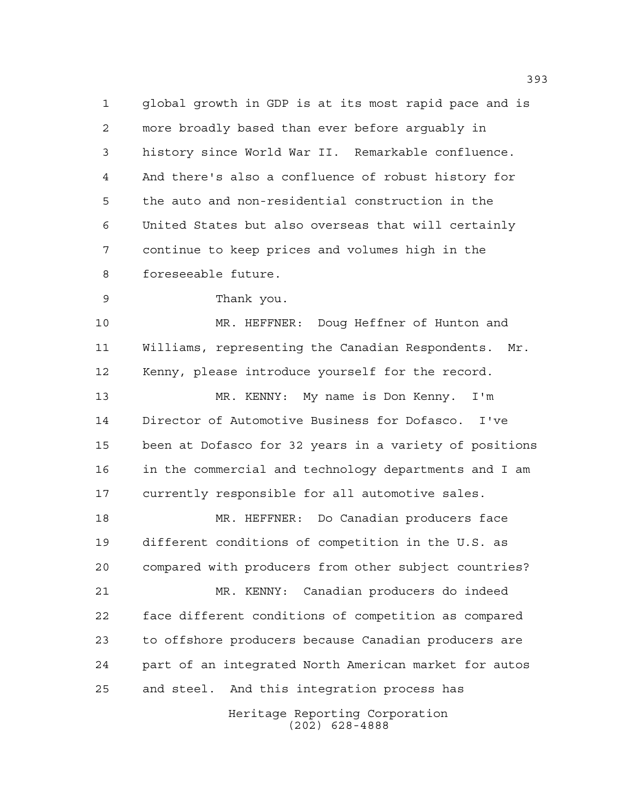global growth in GDP is at its most rapid pace and is more broadly based than ever before arguably in history since World War II. Remarkable confluence. And there's also a confluence of robust history for the auto and non-residential construction in the United States but also overseas that will certainly continue to keep prices and volumes high in the foreseeable future.

Thank you.

 MR. HEFFNER: Doug Heffner of Hunton and Williams, representing the Canadian Respondents. Mr. Kenny, please introduce yourself for the record. MR. KENNY: My name is Don Kenny. I'm Director of Automotive Business for Dofasco. I've been at Dofasco for 32 years in a variety of positions in the commercial and technology departments and I am currently responsible for all automotive sales. MR. HEFFNER: Do Canadian producers face different conditions of competition in the U.S. as compared with producers from other subject countries? MR. KENNY: Canadian producers do indeed face different conditions of competition as compared to offshore producers because Canadian producers are part of an integrated North American market for autos and steel. And this integration process has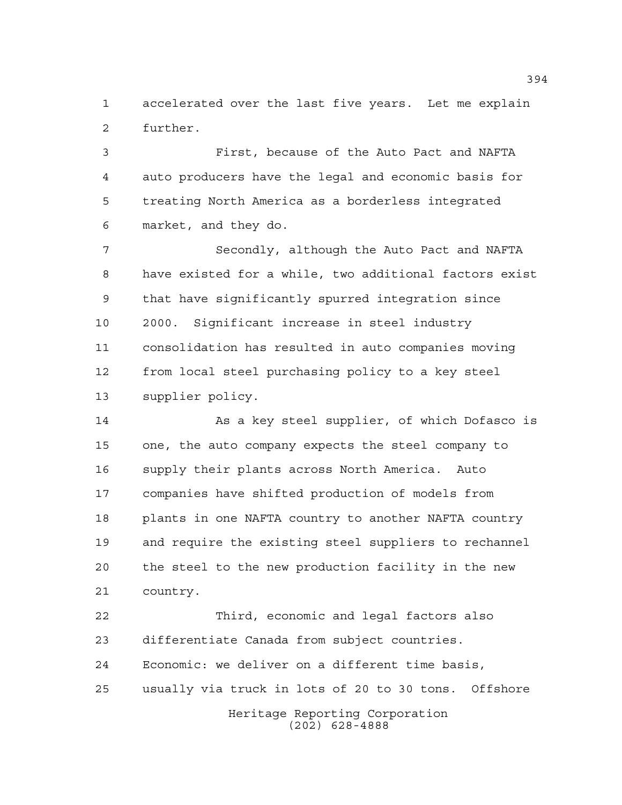accelerated over the last five years. Let me explain further.

 First, because of the Auto Pact and NAFTA auto producers have the legal and economic basis for treating North America as a borderless integrated market, and they do.

7 Secondly, although the Auto Pact and NAFTA have existed for a while, two additional factors exist that have significantly spurred integration since 2000. Significant increase in steel industry consolidation has resulted in auto companies moving from local steel purchasing policy to a key steel supplier policy.

 As a key steel supplier, of which Dofasco is one, the auto company expects the steel company to supply their plants across North America. Auto companies have shifted production of models from plants in one NAFTA country to another NAFTA country and require the existing steel suppliers to rechannel the steel to the new production facility in the new country.

Heritage Reporting Corporation (202) 628-4888 Third, economic and legal factors also differentiate Canada from subject countries. Economic: we deliver on a different time basis, usually via truck in lots of 20 to 30 tons. Offshore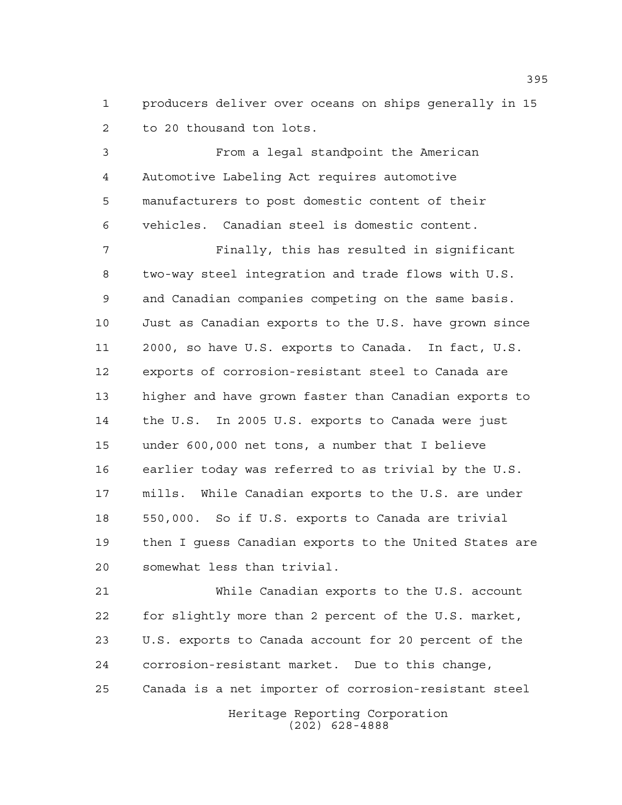producers deliver over oceans on ships generally in 15 to 20 thousand ton lots.

 From a legal standpoint the American Automotive Labeling Act requires automotive manufacturers to post domestic content of their vehicles. Canadian steel is domestic content.

 Finally, this has resulted in significant two-way steel integration and trade flows with U.S. and Canadian companies competing on the same basis. Just as Canadian exports to the U.S. have grown since 2000, so have U.S. exports to Canada. In fact, U.S. exports of corrosion-resistant steel to Canada are higher and have grown faster than Canadian exports to the U.S. In 2005 U.S. exports to Canada were just under 600,000 net tons, a number that I believe earlier today was referred to as trivial by the U.S. mills. While Canadian exports to the U.S. are under 550,000. So if U.S. exports to Canada are trivial then I guess Canadian exports to the United States are somewhat less than trivial.

 While Canadian exports to the U.S. account for slightly more than 2 percent of the U.S. market, U.S. exports to Canada account for 20 percent of the corrosion-resistant market. Due to this change, Canada is a net importer of corrosion-resistant steel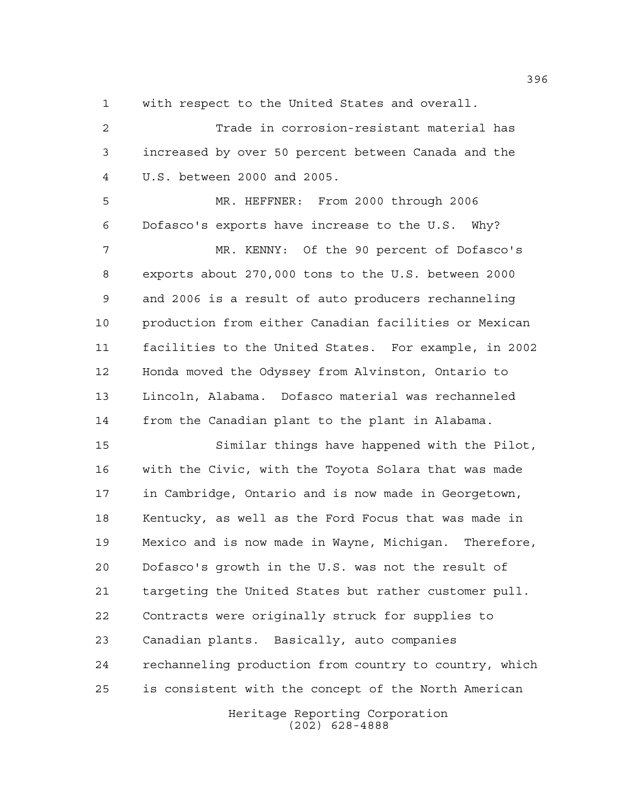with respect to the United States and overall.

 Trade in corrosion-resistant material has increased by over 50 percent between Canada and the U.S. between 2000 and 2005.

 MR. HEFFNER: From 2000 through 2006 Dofasco's exports have increase to the U.S. Why? MR. KENNY: Of the 90 percent of Dofasco's exports about 270,000 tons to the U.S. between 2000 and 2006 is a result of auto producers rechanneling production from either Canadian facilities or Mexican facilities to the United States. For example, in 2002 Honda moved the Odyssey from Alvinston, Ontario to Lincoln, Alabama. Dofasco material was rechanneled from the Canadian plant to the plant in Alabama.

 Similar things have happened with the Pilot, with the Civic, with the Toyota Solara that was made in Cambridge, Ontario and is now made in Georgetown, Kentucky, as well as the Ford Focus that was made in Mexico and is now made in Wayne, Michigan. Therefore, Dofasco's growth in the U.S. was not the result of targeting the United States but rather customer pull. Contracts were originally struck for supplies to Canadian plants. Basically, auto companies rechanneling production from country to country, which is consistent with the concept of the North American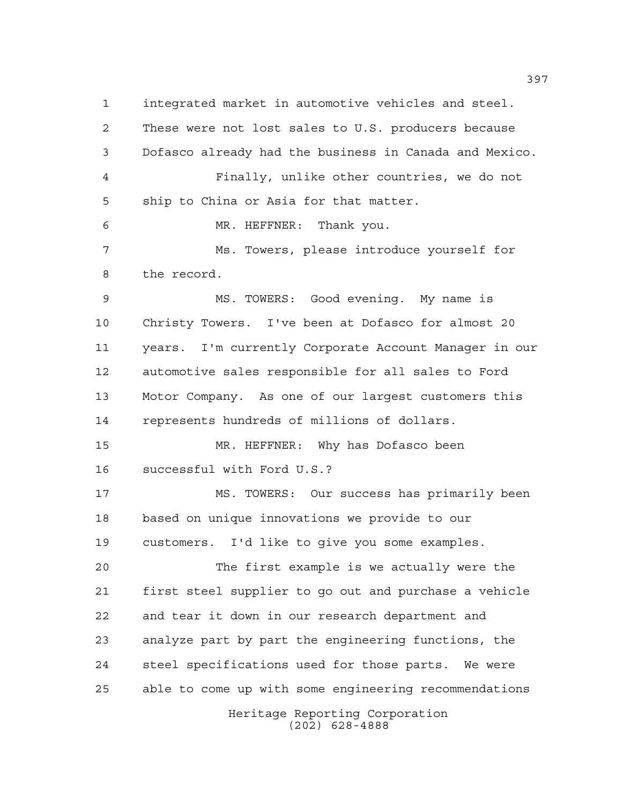integrated market in automotive vehicles and steel. These were not lost sales to U.S. producers because Dofasco already had the business in Canada and Mexico. Finally, unlike other countries, we do not ship to China or Asia for that matter. MR. HEFFNER: Thank you. Ms. Towers, please introduce yourself for the record. MS. TOWERS: Good evening. My name is Christy Towers. I've been at Dofasco for almost 20 years. I'm currently Corporate Account Manager in our automotive sales responsible for all sales to Ford Motor Company. As one of our largest customers this represents hundreds of millions of dollars. MR. HEFFNER: Why has Dofasco been successful with Ford U.S.? MS. TOWERS: Our success has primarily been based on unique innovations we provide to our customers. I'd like to give you some examples. The first example is we actually were the first steel supplier to go out and purchase a vehicle and tear it down in our research department and analyze part by part the engineering functions, the steel specifications used for those parts. We were able to come up with some engineering recommendations

Heritage Reporting Corporation (202) 628-4888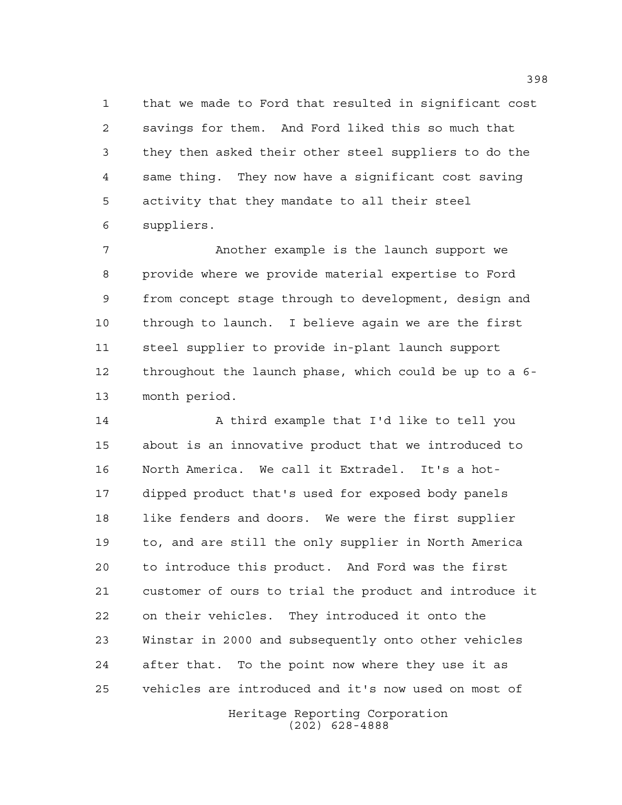that we made to Ford that resulted in significant cost savings for them. And Ford liked this so much that they then asked their other steel suppliers to do the same thing. They now have a significant cost saving activity that they mandate to all their steel suppliers.

 Another example is the launch support we provide where we provide material expertise to Ford from concept stage through to development, design and through to launch. I believe again we are the first steel supplier to provide in-plant launch support throughout the launch phase, which could be up to a 6- month period.

 A third example that I'd like to tell you about is an innovative product that we introduced to North America. We call it Extradel. It's a hot- dipped product that's used for exposed body panels 18 like fenders and doors. We were the first supplier to, and are still the only supplier in North America to introduce this product. And Ford was the first customer of ours to trial the product and introduce it on their vehicles. They introduced it onto the Winstar in 2000 and subsequently onto other vehicles after that. To the point now where they use it as vehicles are introduced and it's now used on most of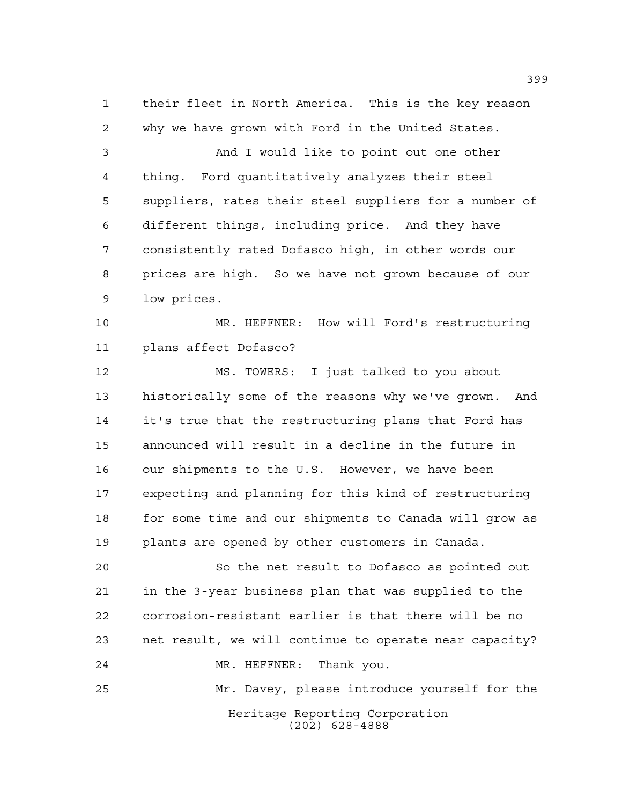their fleet in North America. This is the key reason why we have grown with Ford in the United States.

 And I would like to point out one other thing. Ford quantitatively analyzes their steel suppliers, rates their steel suppliers for a number of different things, including price. And they have consistently rated Dofasco high, in other words our prices are high. So we have not grown because of our low prices.

 MR. HEFFNER: How will Ford's restructuring plans affect Dofasco?

 MS. TOWERS: I just talked to you about historically some of the reasons why we've grown. And it's true that the restructuring plans that Ford has announced will result in a decline in the future in our shipments to the U.S. However, we have been expecting and planning for this kind of restructuring 18 for some time and our shipments to Canada will grow as plants are opened by other customers in Canada.

 So the net result to Dofasco as pointed out in the 3-year business plan that was supplied to the corrosion-resistant earlier is that there will be no net result, we will continue to operate near capacity? MR. HEFFNER: Thank you. Mr. Davey, please introduce yourself for the

> Heritage Reporting Corporation (202) 628-4888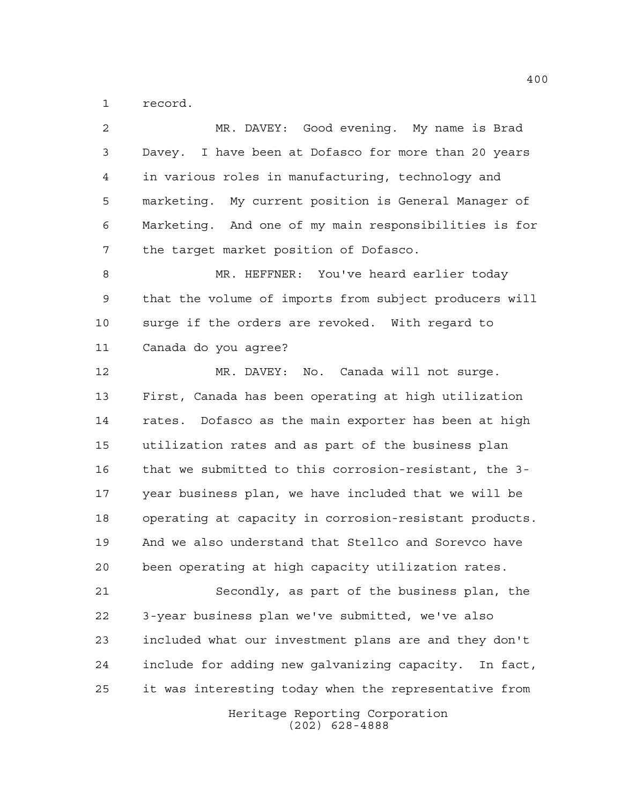record.

| 2  | MR. DAVEY: Good evening. My name is Brad               |
|----|--------------------------------------------------------|
| 3  | Davey. I have been at Dofasco for more than 20 years   |
| 4  | in various roles in manufacturing, technology and      |
| 5  | marketing. My current position is General Manager of   |
| 6  | Marketing. And one of my main responsibilities is for  |
| 7  | the target market position of Dofasco.                 |
| 8  | MR. HEFFNER: You've heard earlier today                |
| 9  | that the volume of imports from subject producers will |
| 10 | surge if the orders are revoked. With regard to        |
| 11 | Canada do you agree?                                   |
| 12 | MR. DAVEY: No. Canada will not surge.                  |
| 13 | First, Canada has been operating at high utilization   |
| 14 | rates. Dofasco as the main exporter has been at high   |
| 15 | utilization rates and as part of the business plan     |
| 16 | that we submitted to this corrosion-resistant, the 3-  |
| 17 | year business plan, we have included that we will be   |
| 18 | operating at capacity in corrosion-resistant products. |
| 19 | And we also understand that Stellco and Sorevco have   |
| 20 | been operating at high capacity utilization rates.     |
| 21 | Secondly, as part of the business plan, the            |
| 22 | 3-year business plan we've submitted, we've also       |
| 23 | included what our investment plans are and they don't  |
| 24 | include for adding new galvanizing capacity. In fact,  |
| 25 | it was interesting today when the representative from  |
|    | Heritage Reporting Corporation<br>$(202)$ 628-4888     |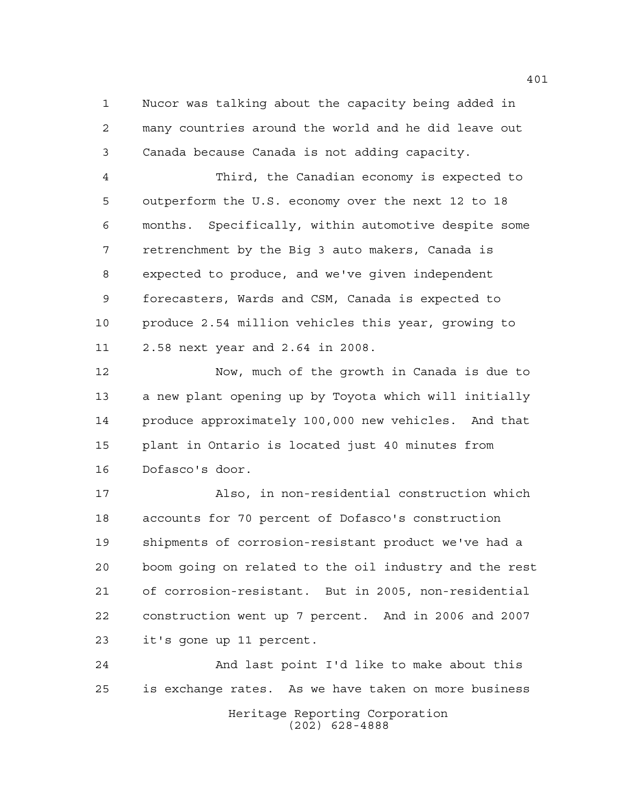Nucor was talking about the capacity being added in many countries around the world and he did leave out Canada because Canada is not adding capacity.

 Third, the Canadian economy is expected to outperform the U.S. economy over the next 12 to 18 months. Specifically, within automotive despite some retrenchment by the Big 3 auto makers, Canada is expected to produce, and we've given independent forecasters, Wards and CSM, Canada is expected to produce 2.54 million vehicles this year, growing to 2.58 next year and 2.64 in 2008.

 Now, much of the growth in Canada is due to a new plant opening up by Toyota which will initially produce approximately 100,000 new vehicles. And that plant in Ontario is located just 40 minutes from Dofasco's door.

 Also, in non-residential construction which accounts for 70 percent of Dofasco's construction shipments of corrosion-resistant product we've had a boom going on related to the oil industry and the rest of corrosion-resistant. But in 2005, non-residential construction went up 7 percent. And in 2006 and 2007 it's gone up 11 percent.

Heritage Reporting Corporation (202) 628-4888 And last point I'd like to make about this is exchange rates. As we have taken on more business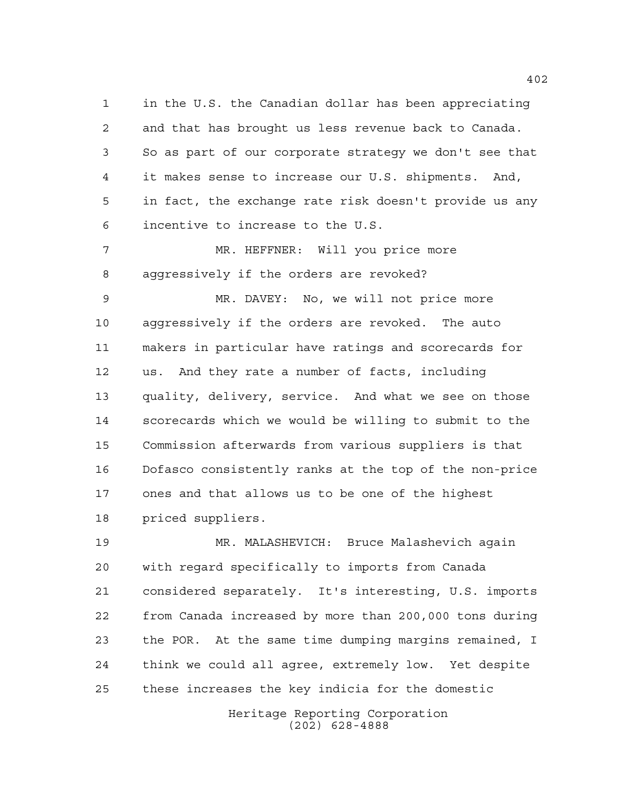in the U.S. the Canadian dollar has been appreciating and that has brought us less revenue back to Canada. So as part of our corporate strategy we don't see that it makes sense to increase our U.S. shipments. And, in fact, the exchange rate risk doesn't provide us any incentive to increase to the U.S.

 MR. HEFFNER: Will you price more aggressively if the orders are revoked?

 MR. DAVEY: No, we will not price more aggressively if the orders are revoked. The auto makers in particular have ratings and scorecards for us. And they rate a number of facts, including quality, delivery, service. And what we see on those scorecards which we would be willing to submit to the Commission afterwards from various suppliers is that Dofasco consistently ranks at the top of the non-price ones and that allows us to be one of the highest priced suppliers.

 MR. MALASHEVICH: Bruce Malashevich again with regard specifically to imports from Canada considered separately. It's interesting, U.S. imports from Canada increased by more than 200,000 tons during the POR. At the same time dumping margins remained, I think we could all agree, extremely low. Yet despite these increases the key indicia for the domestic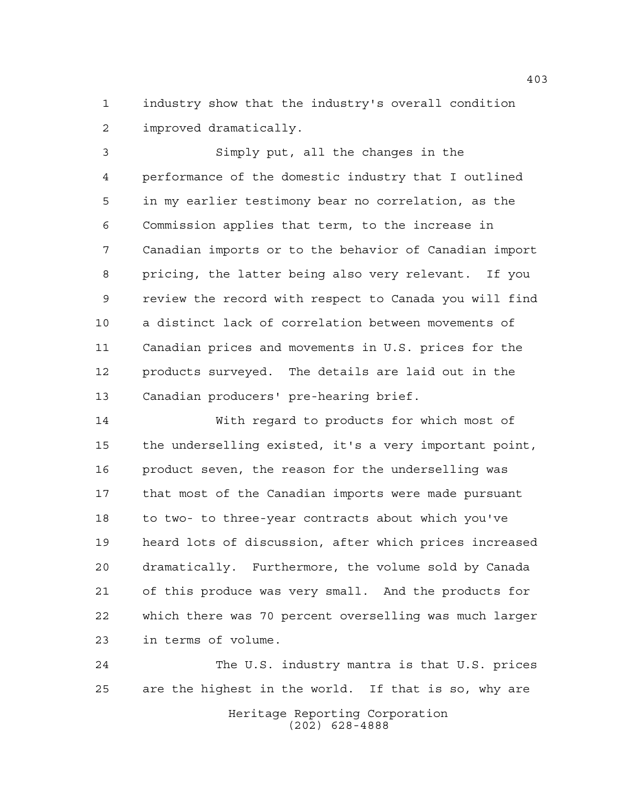industry show that the industry's overall condition improved dramatically.

 Simply put, all the changes in the performance of the domestic industry that I outlined in my earlier testimony bear no correlation, as the Commission applies that term, to the increase in Canadian imports or to the behavior of Canadian import pricing, the latter being also very relevant. If you review the record with respect to Canada you will find a distinct lack of correlation between movements of Canadian prices and movements in U.S. prices for the products surveyed. The details are laid out in the Canadian producers' pre-hearing brief.

 With regard to products for which most of the underselling existed, it's a very important point, product seven, the reason for the underselling was that most of the Canadian imports were made pursuant to two- to three-year contracts about which you've heard lots of discussion, after which prices increased dramatically. Furthermore, the volume sold by Canada of this produce was very small. And the products for which there was 70 percent overselling was much larger in terms of volume.

Heritage Reporting Corporation (202) 628-4888 The U.S. industry mantra is that U.S. prices are the highest in the world. If that is so, why are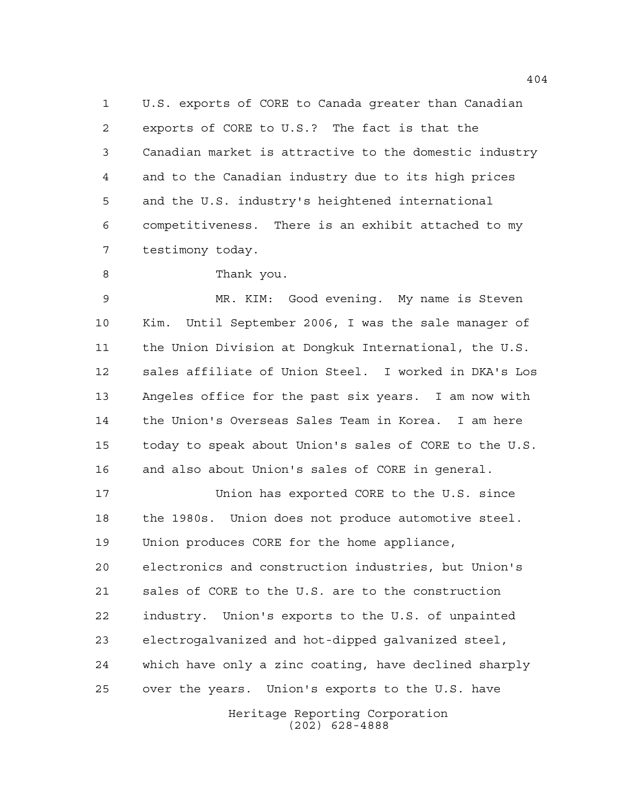U.S. exports of CORE to Canada greater than Canadian exports of CORE to U.S.? The fact is that the Canadian market is attractive to the domestic industry and to the Canadian industry due to its high prices and the U.S. industry's heightened international competitiveness. There is an exhibit attached to my testimony today.

8 Thank you.

 MR. KIM: Good evening. My name is Steven Kim. Until September 2006, I was the sale manager of the Union Division at Dongkuk International, the U.S. sales affiliate of Union Steel. I worked in DKA's Los Angeles office for the past six years. I am now with the Union's Overseas Sales Team in Korea. I am here today to speak about Union's sales of CORE to the U.S. and also about Union's sales of CORE in general.

 Union has exported CORE to the U.S. since the 1980s. Union does not produce automotive steel. Union produces CORE for the home appliance, electronics and construction industries, but Union's sales of CORE to the U.S. are to the construction industry. Union's exports to the U.S. of unpainted electrogalvanized and hot-dipped galvanized steel, which have only a zinc coating, have declined sharply over the years. Union's exports to the U.S. have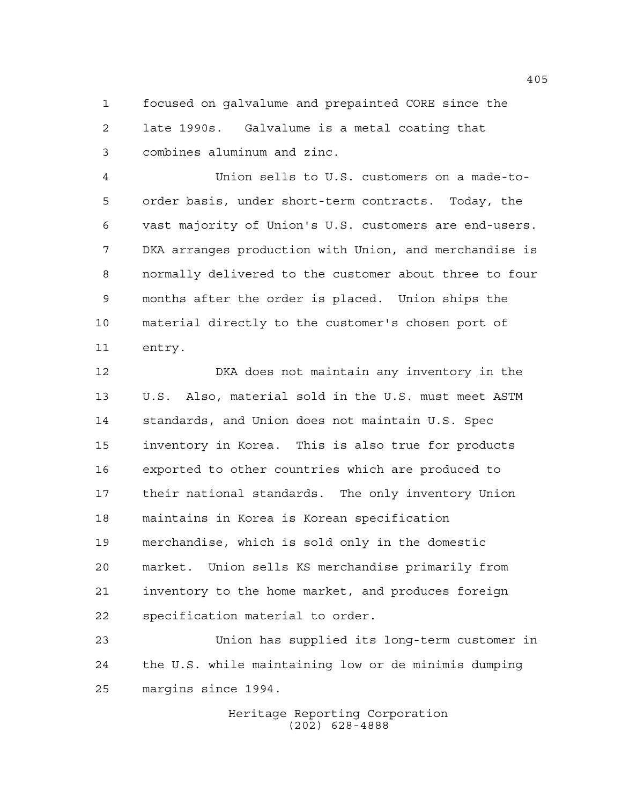focused on galvalume and prepainted CORE since the late 1990s. Galvalume is a metal coating that combines aluminum and zinc.

 Union sells to U.S. customers on a made-to- order basis, under short-term contracts. Today, the vast majority of Union's U.S. customers are end-users. DKA arranges production with Union, and merchandise is normally delivered to the customer about three to four months after the order is placed. Union ships the material directly to the customer's chosen port of entry.

 DKA does not maintain any inventory in the U.S. Also, material sold in the U.S. must meet ASTM standards, and Union does not maintain U.S. Spec inventory in Korea. This is also true for products exported to other countries which are produced to their national standards. The only inventory Union maintains in Korea is Korean specification merchandise, which is sold only in the domestic market. Union sells KS merchandise primarily from inventory to the home market, and produces foreign specification material to order.

 Union has supplied its long-term customer in the U.S. while maintaining low or de minimis dumping margins since 1994.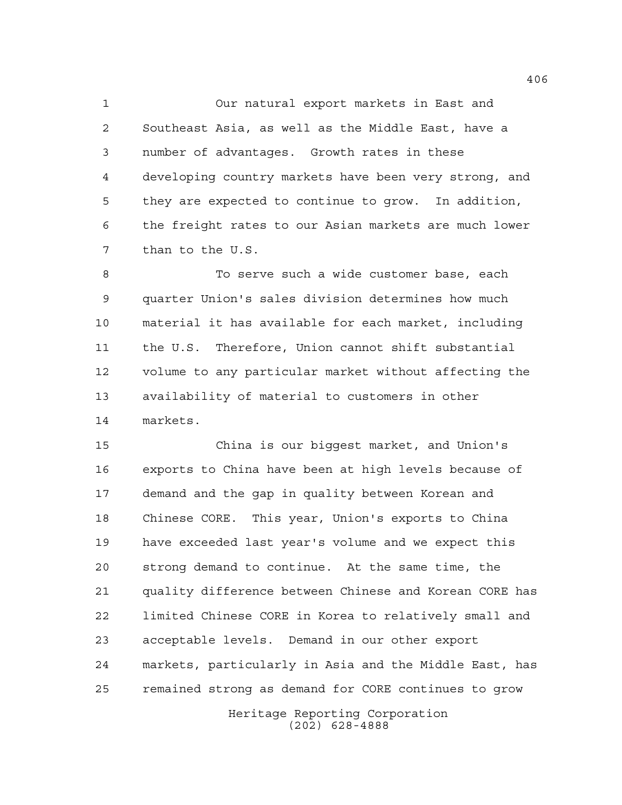Our natural export markets in East and Southeast Asia, as well as the Middle East, have a number of advantages. Growth rates in these developing country markets have been very strong, and they are expected to continue to grow. In addition, the freight rates to our Asian markets are much lower than to the U.S.

 To serve such a wide customer base, each quarter Union's sales division determines how much material it has available for each market, including the U.S. Therefore, Union cannot shift substantial volume to any particular market without affecting the availability of material to customers in other markets.

 China is our biggest market, and Union's exports to China have been at high levels because of demand and the gap in quality between Korean and Chinese CORE. This year, Union's exports to China have exceeded last year's volume and we expect this strong demand to continue. At the same time, the quality difference between Chinese and Korean CORE has limited Chinese CORE in Korea to relatively small and acceptable levels. Demand in our other export markets, particularly in Asia and the Middle East, has remained strong as demand for CORE continues to grow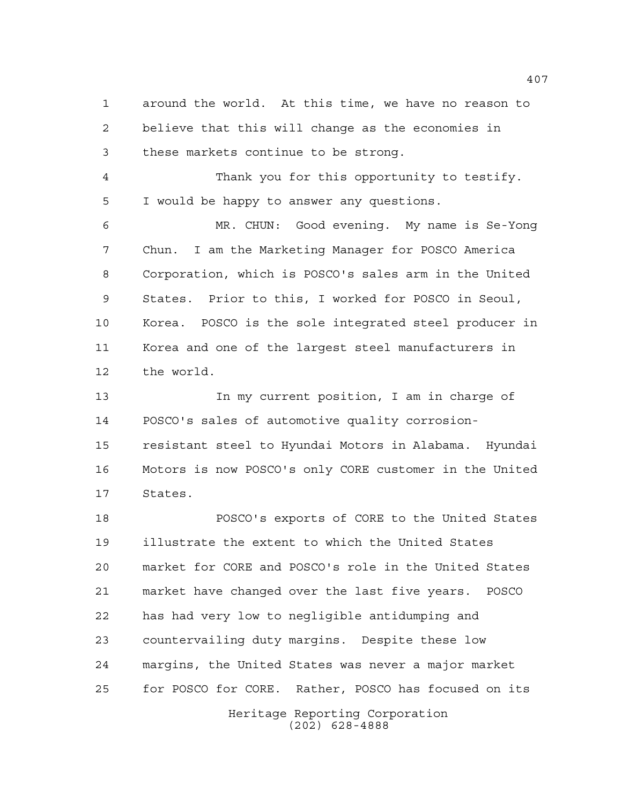around the world. At this time, we have no reason to believe that this will change as the economies in these markets continue to be strong.

 Thank you for this opportunity to testify. I would be happy to answer any questions.

 MR. CHUN: Good evening. My name is Se-Yong Chun. I am the Marketing Manager for POSCO America Corporation, which is POSCO's sales arm in the United States. Prior to this, I worked for POSCO in Seoul, Korea. POSCO is the sole integrated steel producer in Korea and one of the largest steel manufacturers in the world.

13 13 In my current position, I am in charge of POSCO's sales of automotive quality corrosion- resistant steel to Hyundai Motors in Alabama. Hyundai Motors is now POSCO's only CORE customer in the United States.

 POSCO's exports of CORE to the United States illustrate the extent to which the United States market for CORE and POSCO's role in the United States market have changed over the last five years. POSCO has had very low to negligible antidumping and countervailing duty margins. Despite these low margins, the United States was never a major market for POSCO for CORE. Rather, POSCO has focused on its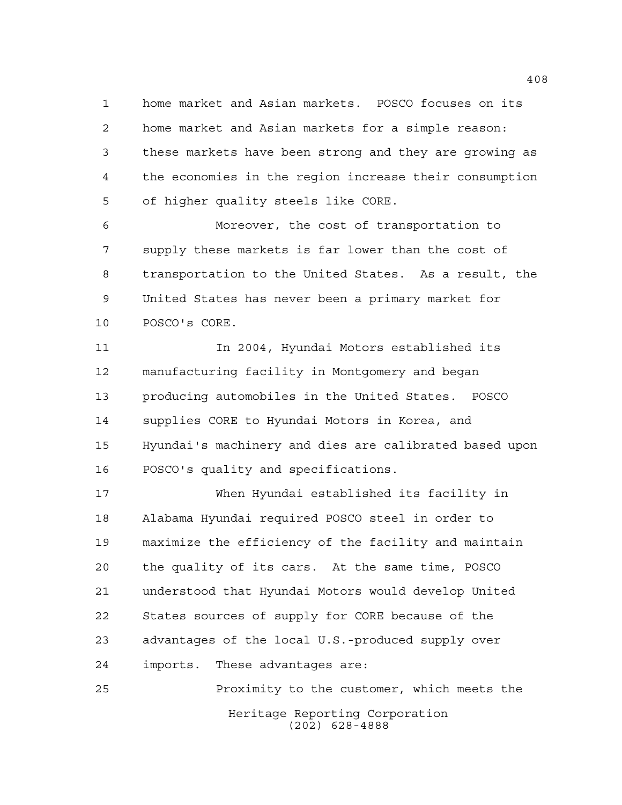home market and Asian markets. POSCO focuses on its home market and Asian markets for a simple reason: these markets have been strong and they are growing as the economies in the region increase their consumption of higher quality steels like CORE.

 Moreover, the cost of transportation to supply these markets is far lower than the cost of transportation to the United States. As a result, the United States has never been a primary market for POSCO's CORE.

 In 2004, Hyundai Motors established its manufacturing facility in Montgomery and began producing automobiles in the United States. POSCO supplies CORE to Hyundai Motors in Korea, and Hyundai's machinery and dies are calibrated based upon POSCO's quality and specifications.

 When Hyundai established its facility in Alabama Hyundai required POSCO steel in order to maximize the efficiency of the facility and maintain the quality of its cars. At the same time, POSCO understood that Hyundai Motors would develop United States sources of supply for CORE because of the advantages of the local U.S.-produced supply over imports. These advantages are:

Heritage Reporting Corporation (202) 628-4888 Proximity to the customer, which meets the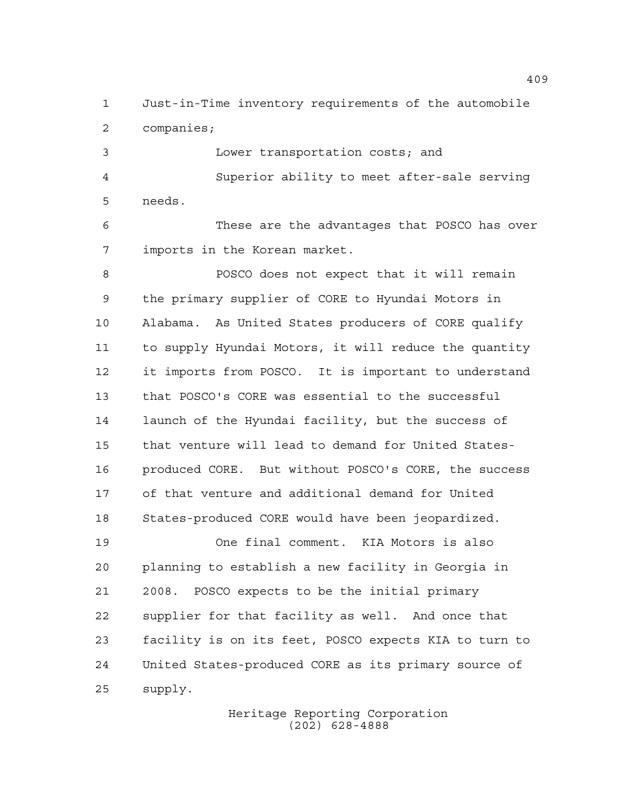Just-in-Time inventory requirements of the automobile companies;

 Lower transportation costs; and Superior ability to meet after-sale serving needs.

 These are the advantages that POSCO has over imports in the Korean market.

 POSCO does not expect that it will remain the primary supplier of CORE to Hyundai Motors in Alabama. As United States producers of CORE qualify to supply Hyundai Motors, it will reduce the quantity it imports from POSCO. It is important to understand that POSCO's CORE was essential to the successful launch of the Hyundai facility, but the success of that venture will lead to demand for United States- produced CORE. But without POSCO's CORE, the success of that venture and additional demand for United States-produced CORE would have been jeopardized.

 One final comment. KIA Motors is also planning to establish a new facility in Georgia in 2008. POSCO expects to be the initial primary supplier for that facility as well. And once that facility is on its feet, POSCO expects KIA to turn to United States-produced CORE as its primary source of supply.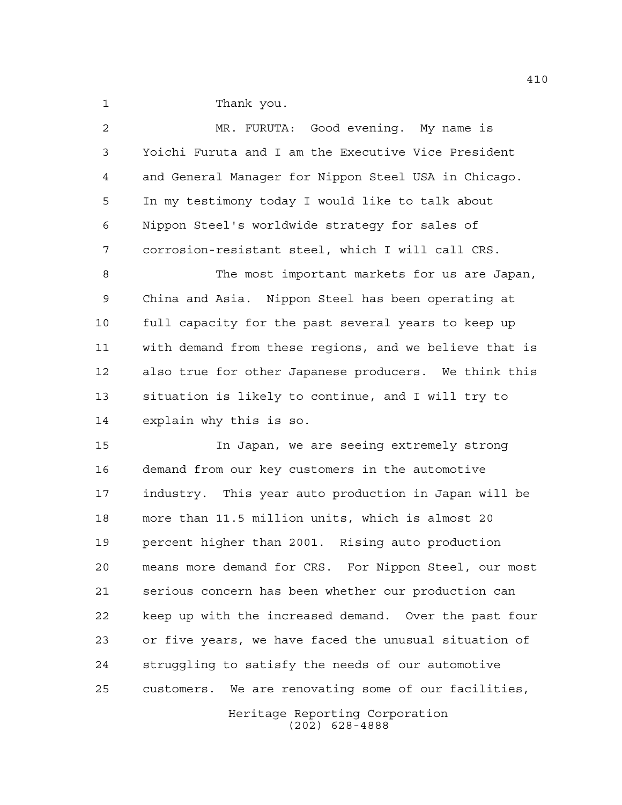Thank you.

| 2    | MR. FURUTA: Good evening. My name is                    |
|------|---------------------------------------------------------|
| 3    | Yoichi Furuta and I am the Executive Vice President     |
| 4    | and General Manager for Nippon Steel USA in Chicago.    |
| 5    | In my testimony today I would like to talk about        |
| 6    | Nippon Steel's worldwide strategy for sales of          |
| 7    | corrosion-resistant steel, which I will call CRS.       |
| 8    | The most important markets for us are Japan,            |
| 9    | China and Asia. Nippon Steel has been operating at      |
| $10$ | full capacity for the past several years to keep up     |
| 11   | with demand from these regions, and we believe that is  |
| 12   | also true for other Japanese producers. We think this   |
| 13   | situation is likely to continue, and I will try to      |
| 14   | explain why this is so.                                 |
| 15   | In Japan, we are seeing extremely strong                |
| 16   | demand from our key customers in the automotive         |
| 17   | industry. This year auto production in Japan will be    |
| 18   | more than 11.5 million units, which is almost 20        |
| 19   | percent higher than 2001. Rising auto production        |
| 20   | means more demand for CRS. For Nippon Steel, our most   |
| 21   | serious concern has been whether our production can     |
| 22   | keep up with the increased demand. Over the past four   |
| 23   | or five years, we have faced the unusual situation of   |
| 24   | struggling to satisfy the needs of our automotive       |
| 25   | We are renovating some of our facilities,<br>customers. |
|      |                                                         |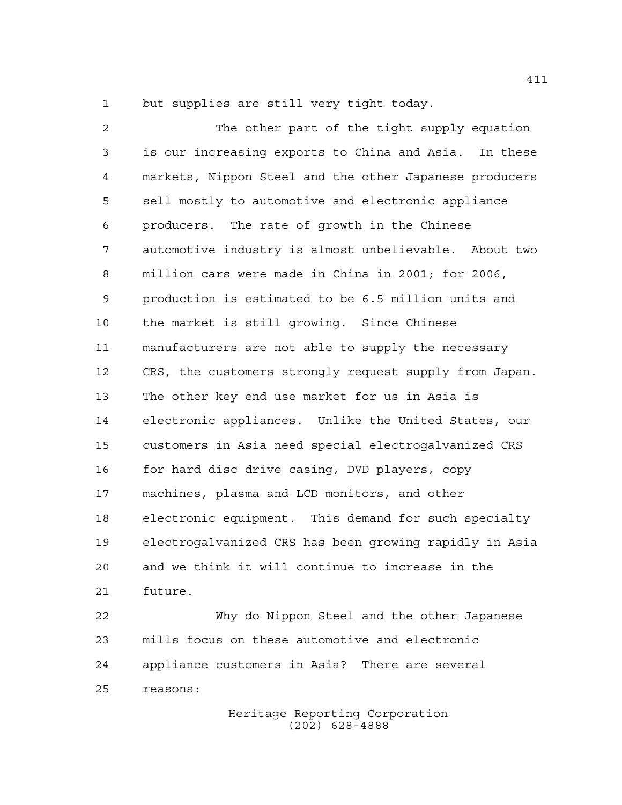but supplies are still very tight today.

 The other part of the tight supply equation is our increasing exports to China and Asia. In these markets, Nippon Steel and the other Japanese producers sell mostly to automotive and electronic appliance producers. The rate of growth in the Chinese automotive industry is almost unbelievable. About two million cars were made in China in 2001; for 2006, production is estimated to be 6.5 million units and the market is still growing. Since Chinese manufacturers are not able to supply the necessary CRS, the customers strongly request supply from Japan. The other key end use market for us in Asia is electronic appliances. Unlike the United States, our customers in Asia need special electrogalvanized CRS for hard disc drive casing, DVD players, copy machines, plasma and LCD monitors, and other electronic equipment. This demand for such specialty electrogalvanized CRS has been growing rapidly in Asia and we think it will continue to increase in the future.

 Why do Nippon Steel and the other Japanese mills focus on these automotive and electronic appliance customers in Asia? There are several reasons: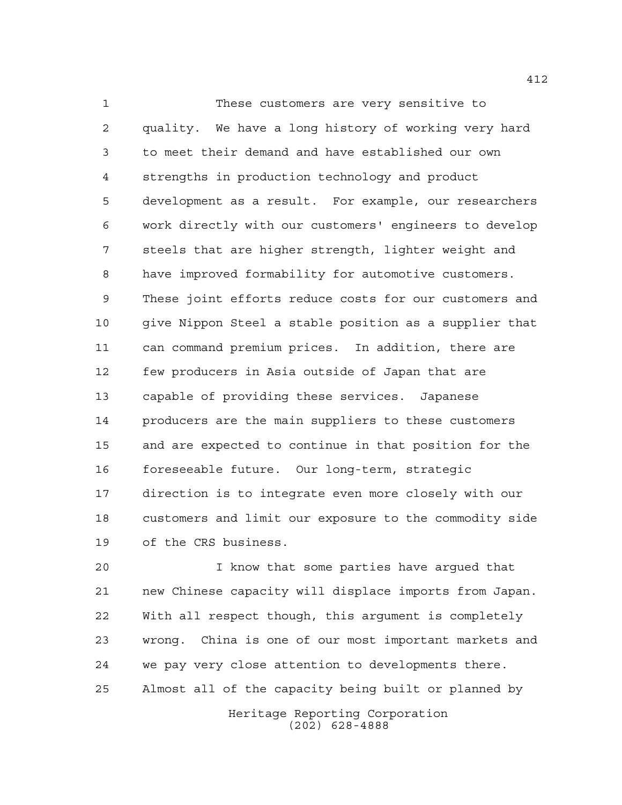These customers are very sensitive to quality. We have a long history of working very hard to meet their demand and have established our own strengths in production technology and product development as a result. For example, our researchers work directly with our customers' engineers to develop steels that are higher strength, lighter weight and have improved formability for automotive customers. These joint efforts reduce costs for our customers and give Nippon Steel a stable position as a supplier that can command premium prices. In addition, there are few producers in Asia outside of Japan that are capable of providing these services. Japanese producers are the main suppliers to these customers and are expected to continue in that position for the foreseeable future. Our long-term, strategic direction is to integrate even more closely with our customers and limit our exposure to the commodity side of the CRS business.

 I know that some parties have argued that new Chinese capacity will displace imports from Japan. With all respect though, this argument is completely wrong. China is one of our most important markets and we pay very close attention to developments there. Almost all of the capacity being built or planned by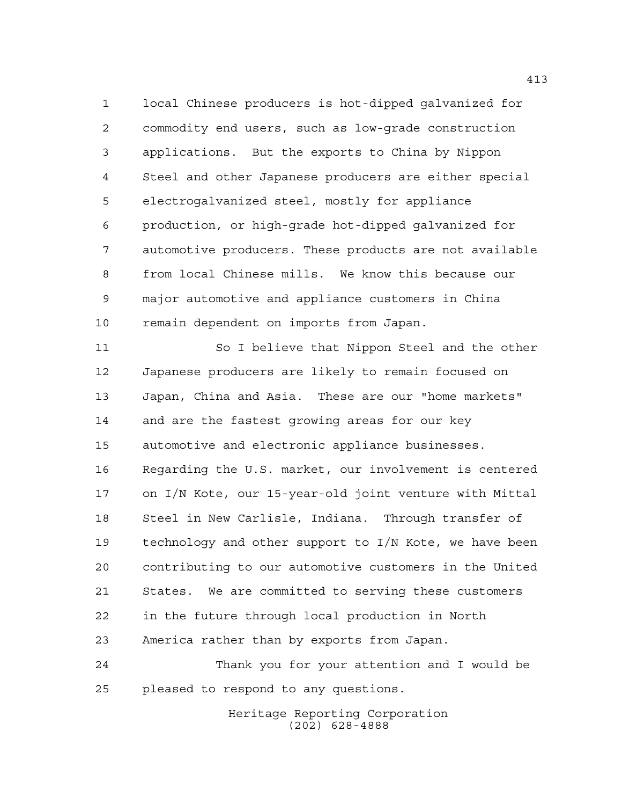local Chinese producers is hot-dipped galvanized for commodity end users, such as low-grade construction applications. But the exports to China by Nippon Steel and other Japanese producers are either special electrogalvanized steel, mostly for appliance production, or high-grade hot-dipped galvanized for automotive producers. These products are not available from local Chinese mills. We know this because our major automotive and appliance customers in China remain dependent on imports from Japan.

 So I believe that Nippon Steel and the other Japanese producers are likely to remain focused on Japan, China and Asia. These are our "home markets" and are the fastest growing areas for our key automotive and electronic appliance businesses. Regarding the U.S. market, our involvement is centered on I/N Kote, our 15-year-old joint venture with Mittal Steel in New Carlisle, Indiana. Through transfer of technology and other support to I/N Kote, we have been contributing to our automotive customers in the United States. We are committed to serving these customers in the future through local production in North America rather than by exports from Japan.

 Thank you for your attention and I would be pleased to respond to any questions.

> Heritage Reporting Corporation (202) 628-4888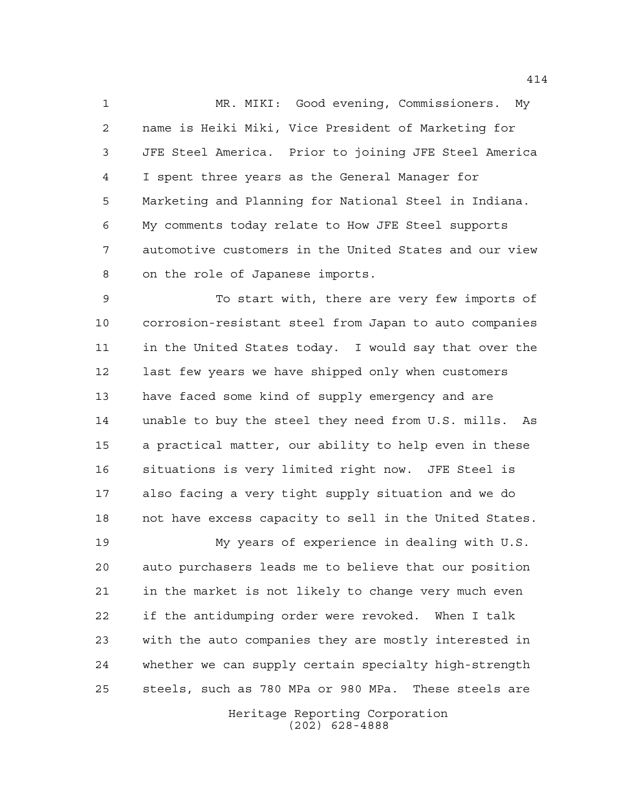MR. MIKI: Good evening, Commissioners. My name is Heiki Miki, Vice President of Marketing for JFE Steel America. Prior to joining JFE Steel America I spent three years as the General Manager for Marketing and Planning for National Steel in Indiana. My comments today relate to How JFE Steel supports automotive customers in the United States and our view on the role of Japanese imports.

 To start with, there are very few imports of corrosion-resistant steel from Japan to auto companies in the United States today. I would say that over the last few years we have shipped only when customers have faced some kind of supply emergency and are unable to buy the steel they need from U.S. mills. As a practical matter, our ability to help even in these situations is very limited right now. JFE Steel is also facing a very tight supply situation and we do not have excess capacity to sell in the United States.

 My years of experience in dealing with U.S. auto purchasers leads me to believe that our position in the market is not likely to change very much even if the antidumping order were revoked. When I talk with the auto companies they are mostly interested in whether we can supply certain specialty high-strength steels, such as 780 MPa or 980 MPa. These steels are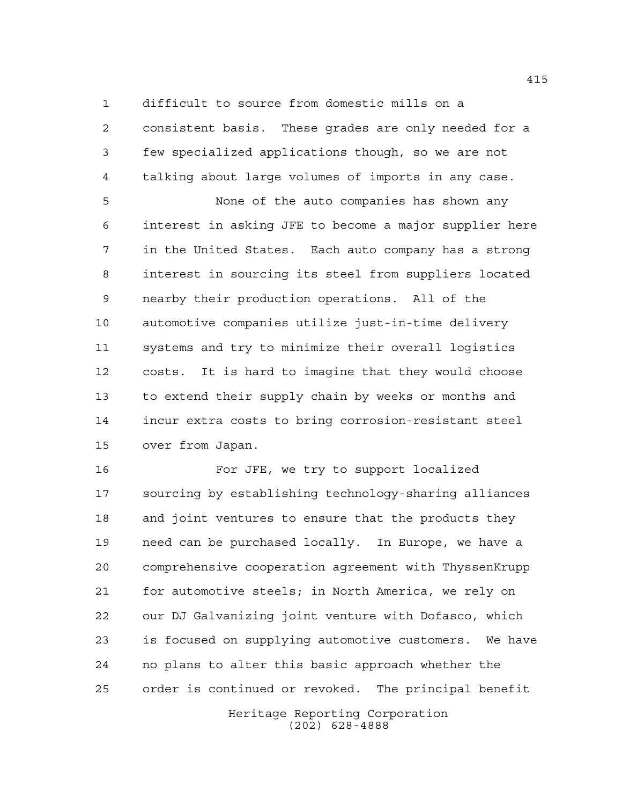difficult to source from domestic mills on a

 consistent basis. These grades are only needed for a few specialized applications though, so we are not talking about large volumes of imports in any case.

 None of the auto companies has shown any interest in asking JFE to become a major supplier here in the United States. Each auto company has a strong interest in sourcing its steel from suppliers located nearby their production operations. All of the automotive companies utilize just-in-time delivery systems and try to minimize their overall logistics costs. It is hard to imagine that they would choose to extend their supply chain by weeks or months and incur extra costs to bring corrosion-resistant steel over from Japan.

 For JFE, we try to support localized sourcing by establishing technology-sharing alliances and joint ventures to ensure that the products they need can be purchased locally. In Europe, we have a comprehensive cooperation agreement with ThyssenKrupp for automotive steels; in North America, we rely on our DJ Galvanizing joint venture with Dofasco, which is focused on supplying automotive customers. We have no plans to alter this basic approach whether the order is continued or revoked. The principal benefit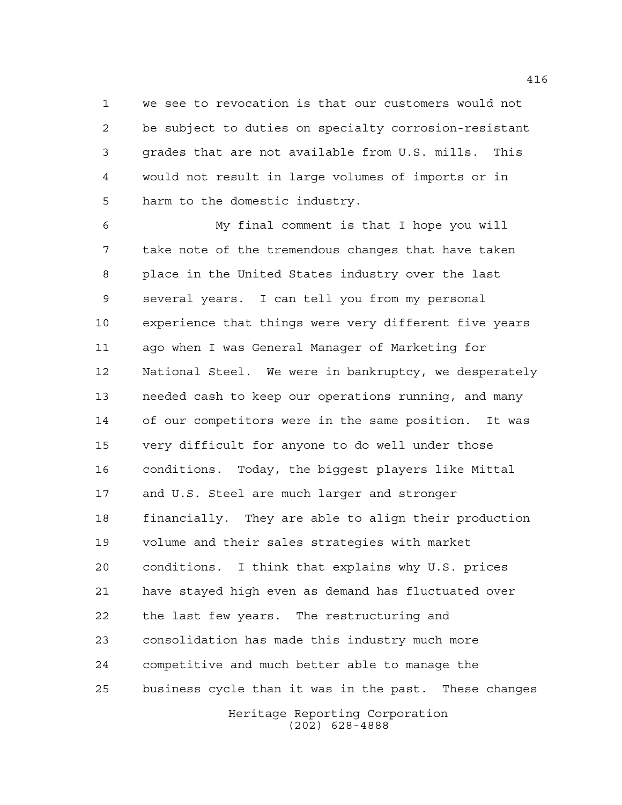we see to revocation is that our customers would not be subject to duties on specialty corrosion-resistant grades that are not available from U.S. mills. This would not result in large volumes of imports or in harm to the domestic industry.

Heritage Reporting Corporation My final comment is that I hope you will take note of the tremendous changes that have taken place in the United States industry over the last several years. I can tell you from my personal experience that things were very different five years ago when I was General Manager of Marketing for National Steel. We were in bankruptcy, we desperately needed cash to keep our operations running, and many of our competitors were in the same position. It was very difficult for anyone to do well under those conditions. Today, the biggest players like Mittal and U.S. Steel are much larger and stronger financially. They are able to align their production volume and their sales strategies with market conditions. I think that explains why U.S. prices have stayed high even as demand has fluctuated over the last few years. The restructuring and consolidation has made this industry much more competitive and much better able to manage the business cycle than it was in the past. These changes

(202) 628-4888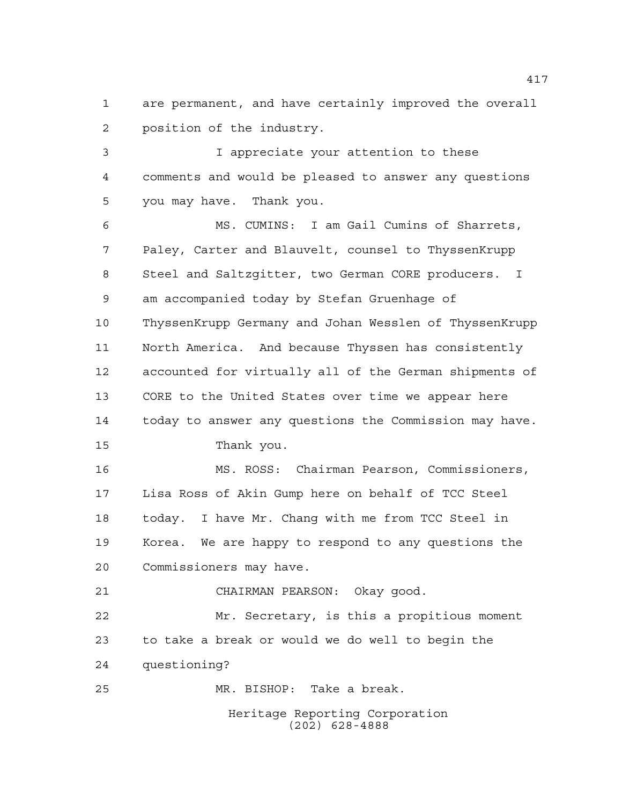are permanent, and have certainly improved the overall position of the industry.

 I appreciate your attention to these comments and would be pleased to answer any questions you may have. Thank you.

 MS. CUMINS: I am Gail Cumins of Sharrets, Paley, Carter and Blauvelt, counsel to ThyssenKrupp Steel and Saltzgitter, two German CORE producers. I am accompanied today by Stefan Gruenhage of ThyssenKrupp Germany and Johan Wesslen of ThyssenKrupp North America. And because Thyssen has consistently accounted for virtually all of the German shipments of CORE to the United States over time we appear here today to answer any questions the Commission may have. Thank you. MS. ROSS: Chairman Pearson, Commissioners,

 Lisa Ross of Akin Gump here on behalf of TCC Steel today. I have Mr. Chang with me from TCC Steel in Korea. We are happy to respond to any questions the Commissioners may have.

CHAIRMAN PEARSON: Okay good.

 Mr. Secretary, is this a propitious moment to take a break or would we do well to begin the questioning?

MR. BISHOP: Take a break.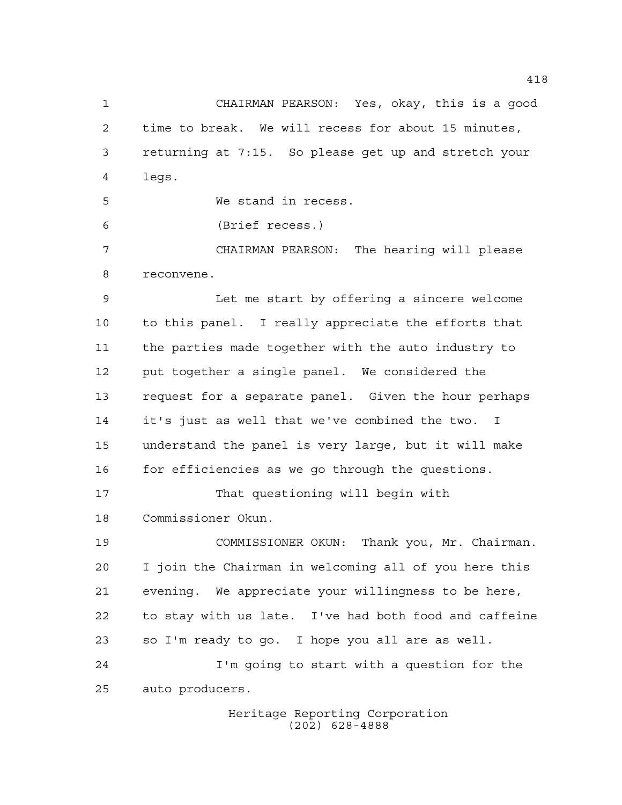CHAIRMAN PEARSON: Yes, okay, this is a good time to break. We will recess for about 15 minutes, returning at 7:15. So please get up and stretch your legs.

We stand in recess.

(Brief recess.)

auto producers.

 CHAIRMAN PEARSON: The hearing will please reconvene.

 Let me start by offering a sincere welcome to this panel. I really appreciate the efforts that the parties made together with the auto industry to put together a single panel. We considered the request for a separate panel. Given the hour perhaps it's just as well that we've combined the two. I understand the panel is very large, but it will make 16 for efficiencies as we go through the questions.

 That questioning will begin with Commissioner Okun.

 COMMISSIONER OKUN: Thank you, Mr. Chairman. I join the Chairman in welcoming all of you here this evening. We appreciate your willingness to be here, to stay with us late. I've had both food and caffeine so I'm ready to go. I hope you all are as well. I'm going to start with a question for the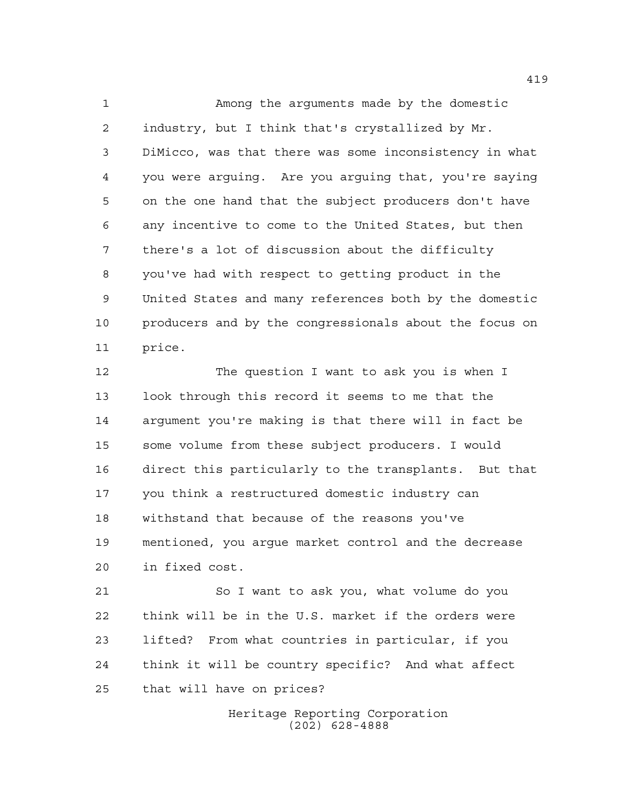Among the arguments made by the domestic industry, but I think that's crystallized by Mr. DiMicco, was that there was some inconsistency in what you were arguing. Are you arguing that, you're saying on the one hand that the subject producers don't have any incentive to come to the United States, but then there's a lot of discussion about the difficulty you've had with respect to getting product in the United States and many references both by the domestic producers and by the congressionals about the focus on price.

 The question I want to ask you is when I look through this record it seems to me that the argument you're making is that there will in fact be some volume from these subject producers. I would direct this particularly to the transplants. But that you think a restructured domestic industry can withstand that because of the reasons you've mentioned, you argue market control and the decrease in fixed cost.

 So I want to ask you, what volume do you think will be in the U.S. market if the orders were lifted? From what countries in particular, if you think it will be country specific? And what affect that will have on prices?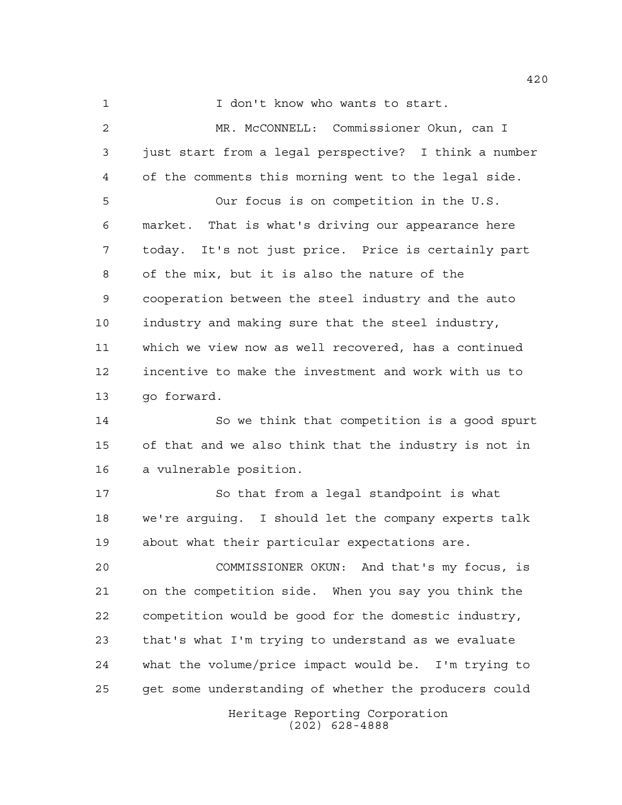1 I don't know who wants to start.

 MR. McCONNELL: Commissioner Okun, can I just start from a legal perspective? I think a number of the comments this morning went to the legal side. Our focus is on competition in the U.S. market. That is what's driving our appearance here today. It's not just price. Price is certainly part of the mix, but it is also the nature of the cooperation between the steel industry and the auto industry and making sure that the steel industry, which we view now as well recovered, has a continued incentive to make the investment and work with us to go forward. So we think that competition is a good spurt of that and we also think that the industry is not in a vulnerable position. 17 So that from a legal standpoint is what we're arguing. I should let the company experts talk

 COMMISSIONER OKUN: And that's my focus, is on the competition side. When you say you think the competition would be good for the domestic industry, that's what I'm trying to understand as we evaluate what the volume/price impact would be. I'm trying to get some understanding of whether the producers could

about what their particular expectations are.

Heritage Reporting Corporation (202) 628-4888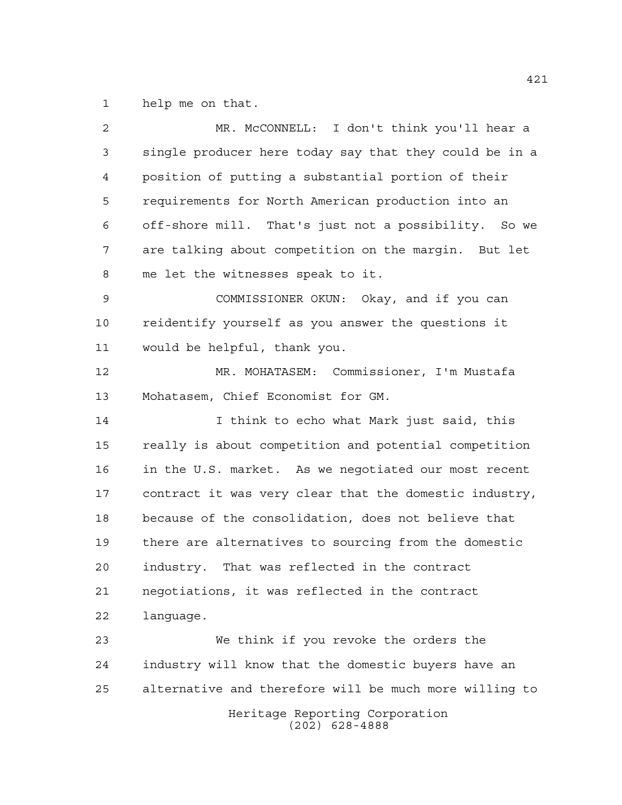help me on that.

| 2    | MR. McCONNELL: I don't think you'll hear a             |
|------|--------------------------------------------------------|
| 3    | single producer here today say that they could be in a |
| 4    | position of putting a substantial portion of their     |
| 5    | requirements for North American production into an     |
| 6    | off-shore mill. That's just not a possibility. So we   |
| 7    | are talking about competition on the margin. But let   |
| 8    | me let the witnesses speak to it.                      |
| 9    | COMMISSIONER OKUN: Okay, and if you can                |
| 10   | reidentify yourself as you answer the questions it     |
| 11   | would be helpful, thank you.                           |
| 12   | MR. MOHATASEM: Commissioner, I'm Mustafa               |
| 13   | Mohatasem, Chief Economist for GM.                     |
| 14   | I think to echo what Mark just said, this              |
| 15   | really is about competition and potential competition  |
| 16   | in the U.S. market. As we negotiated our most recent   |
| $17$ | contract it was very clear that the domestic industry, |
| 18   | because of the consolidation, does not believe that    |
| 19   | there are alternatives to sourcing from the domestic   |
| 20   | industry. That was reflected in the contract           |
| 21   | negotiations, it was reflected in the contract         |
| 22   | lanquage.                                              |
| 23   | We think if you revoke the orders the                  |
| 24   | industry will know that the domestic buyers have an    |
| 25   | alternative and therefore will be much more willing to |
|      | Heritage Reporting Corporation<br>$(202)$ 628-4888     |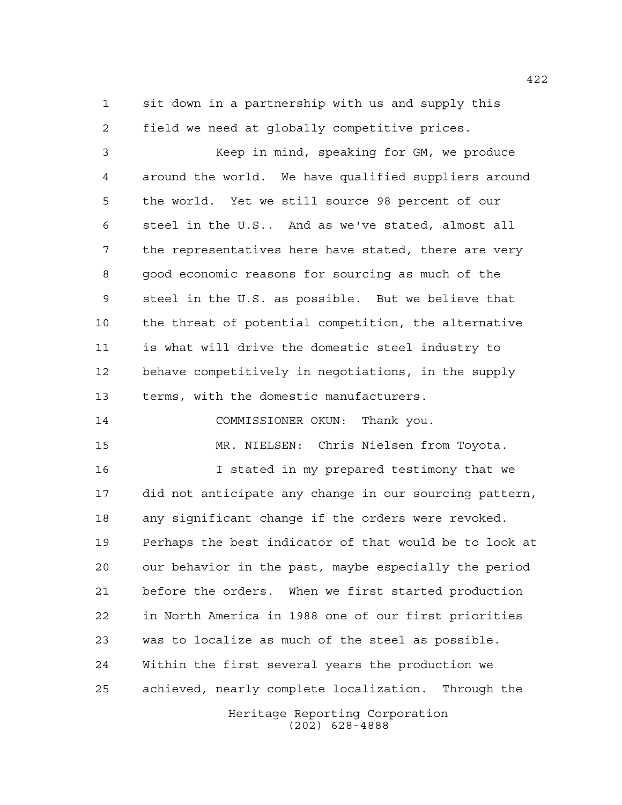sit down in a partnership with us and supply this field we need at globally competitive prices.

 Keep in mind, speaking for GM, we produce around the world. We have qualified suppliers around the world. Yet we still source 98 percent of our steel in the U.S.. And as we've stated, almost all the representatives here have stated, there are very good economic reasons for sourcing as much of the steel in the U.S. as possible. But we believe that the threat of potential competition, the alternative is what will drive the domestic steel industry to behave competitively in negotiations, in the supply terms, with the domestic manufacturers.

COMMISSIONER OKUN: Thank you.

MR. NIELSEN: Chris Nielsen from Toyota.

 I stated in my prepared testimony that we did not anticipate any change in our sourcing pattern, any significant change if the orders were revoked. Perhaps the best indicator of that would be to look at our behavior in the past, maybe especially the period before the orders. When we first started production in North America in 1988 one of our first priorities was to localize as much of the steel as possible. Within the first several years the production we achieved, nearly complete localization. Through the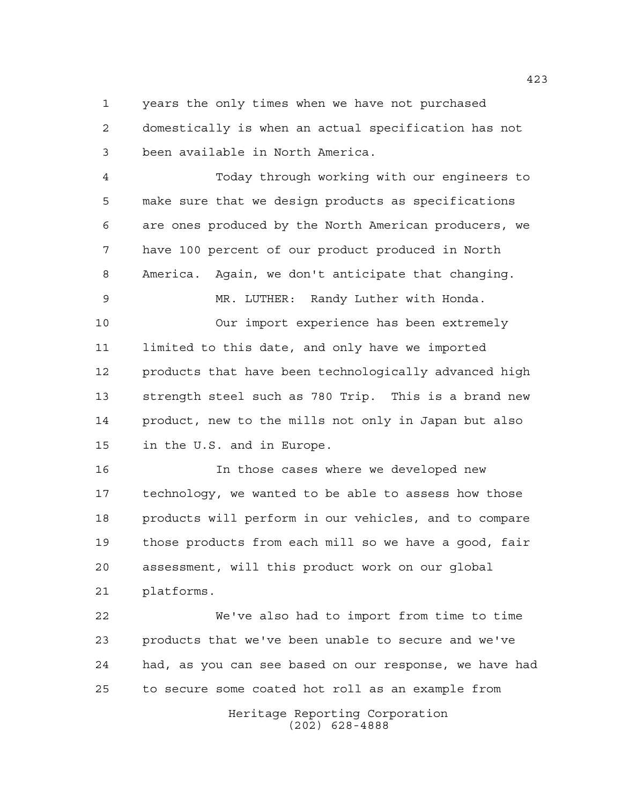years the only times when we have not purchased domestically is when an actual specification has not been available in North America.

 Today through working with our engineers to make sure that we design products as specifications are ones produced by the North American producers, we have 100 percent of our product produced in North America. Again, we don't anticipate that changing.

 Our import experience has been extremely limited to this date, and only have we imported products that have been technologically advanced high strength steel such as 780 Trip. This is a brand new product, new to the mills not only in Japan but also in the U.S. and in Europe.

MR. LUTHER: Randy Luther with Honda.

 In those cases where we developed new technology, we wanted to be able to assess how those products will perform in our vehicles, and to compare those products from each mill so we have a good, fair assessment, will this product work on our global platforms.

 We've also had to import from time to time products that we've been unable to secure and we've had, as you can see based on our response, we have had to secure some coated hot roll as an example from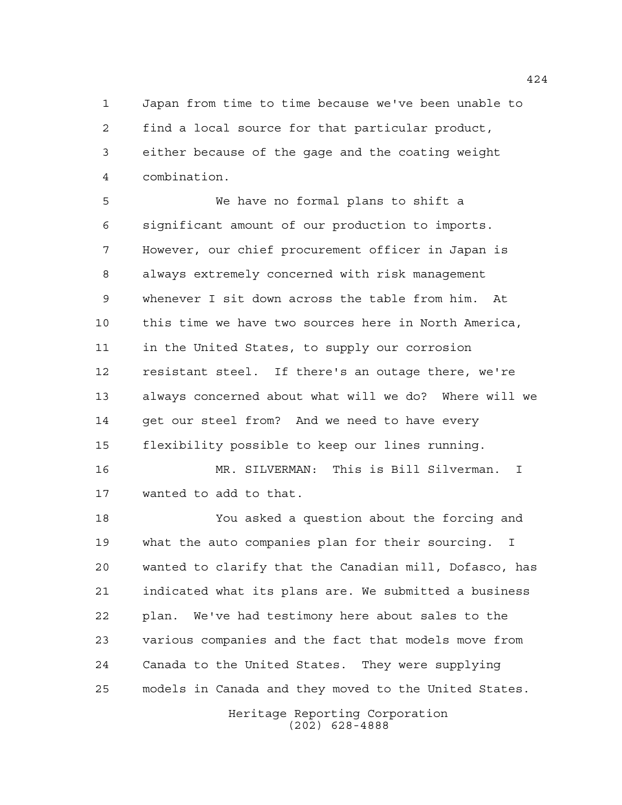Japan from time to time because we've been unable to find a local source for that particular product, either because of the gage and the coating weight combination.

 We have no formal plans to shift a significant amount of our production to imports. However, our chief procurement officer in Japan is always extremely concerned with risk management whenever I sit down across the table from him. At this time we have two sources here in North America, in the United States, to supply our corrosion resistant steel. If there's an outage there, we're always concerned about what will we do? Where will we 14 get our steel from? And we need to have every flexibility possible to keep our lines running.

 MR. SILVERMAN: This is Bill Silverman. I wanted to add to that.

 You asked a question about the forcing and what the auto companies plan for their sourcing. I wanted to clarify that the Canadian mill, Dofasco, has indicated what its plans are. We submitted a business plan. We've had testimony here about sales to the various companies and the fact that models move from Canada to the United States. They were supplying models in Canada and they moved to the United States.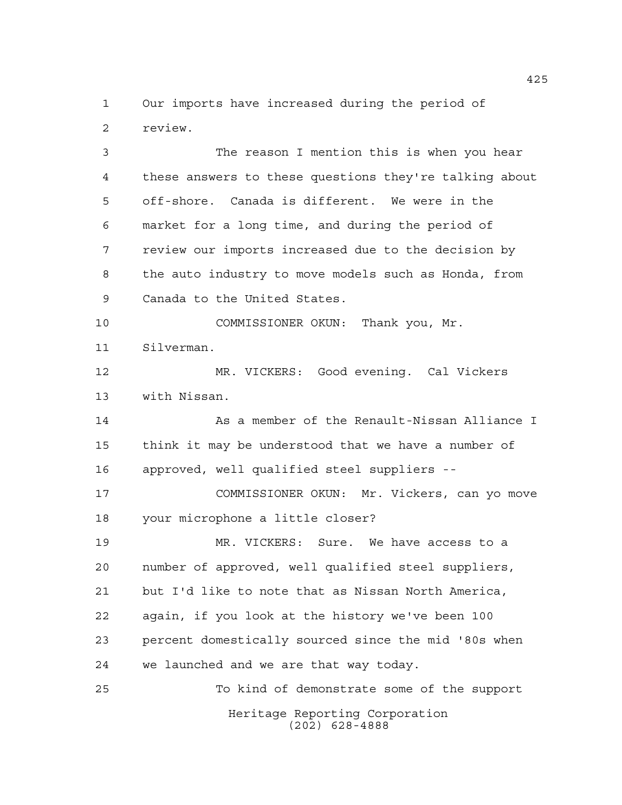Our imports have increased during the period of review.

 The reason I mention this is when you hear these answers to these questions they're talking about off-shore. Canada is different. We were in the market for a long time, and during the period of review our imports increased due to the decision by the auto industry to move models such as Honda, from Canada to the United States. COMMISSIONER OKUN: Thank you, Mr. Silverman. MR. VICKERS: Good evening. Cal Vickers with Nissan. 14 As a member of the Renault-Nissan Alliance I think it may be understood that we have a number of approved, well qualified steel suppliers -- COMMISSIONER OKUN: Mr. Vickers, can yo move your microphone a little closer? MR. VICKERS: Sure. We have access to a number of approved, well qualified steel suppliers, but I'd like to note that as Nissan North America, again, if you look at the history we've been 100 percent domestically sourced since the mid '80s when

Heritage Reporting Corporation (202) 628-4888 To kind of demonstrate some of the support

we launched and we are that way today.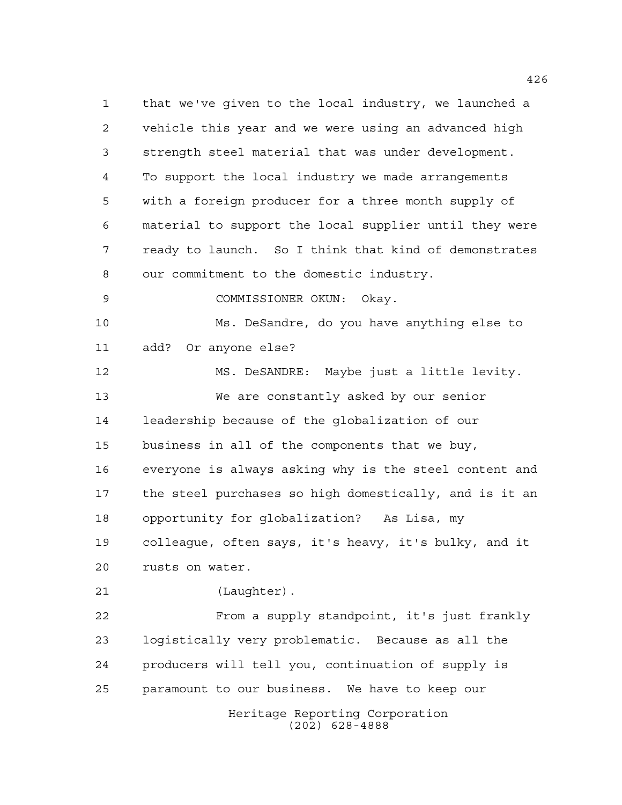Heritage Reporting Corporation (202) 628-4888 that we've given to the local industry, we launched a vehicle this year and we were using an advanced high strength steel material that was under development. To support the local industry we made arrangements with a foreign producer for a three month supply of material to support the local supplier until they were ready to launch. So I think that kind of demonstrates our commitment to the domestic industry. COMMISSIONER OKUN: Okay. Ms. DeSandre, do you have anything else to add? Or anyone else? MS. DeSANDRE: Maybe just a little levity. We are constantly asked by our senior leadership because of the globalization of our business in all of the components that we buy, everyone is always asking why is the steel content and the steel purchases so high domestically, and is it an opportunity for globalization? As Lisa, my colleague, often says, it's heavy, it's bulky, and it rusts on water. (Laughter). From a supply standpoint, it's just frankly logistically very problematic. Because as all the producers will tell you, continuation of supply is paramount to our business. We have to keep our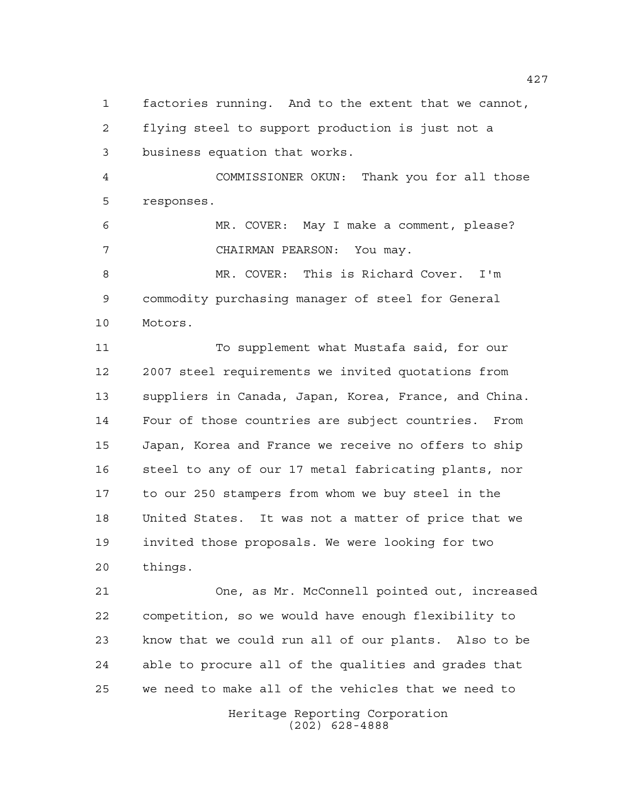factories running. And to the extent that we cannot, flying steel to support production is just not a business equation that works.

 COMMISSIONER OKUN: Thank you for all those responses.

 MR. COVER: May I make a comment, please? CHAIRMAN PEARSON: You may.

 MR. COVER: This is Richard Cover. I'm commodity purchasing manager of steel for General Motors.

 To supplement what Mustafa said, for our 2007 steel requirements we invited quotations from suppliers in Canada, Japan, Korea, France, and China. Four of those countries are subject countries. From Japan, Korea and France we receive no offers to ship steel to any of our 17 metal fabricating plants, nor to our 250 stampers from whom we buy steel in the United States. It was not a matter of price that we invited those proposals. We were looking for two things.

 One, as Mr. McConnell pointed out, increased competition, so we would have enough flexibility to know that we could run all of our plants. Also to be able to procure all of the qualities and grades that we need to make all of the vehicles that we need to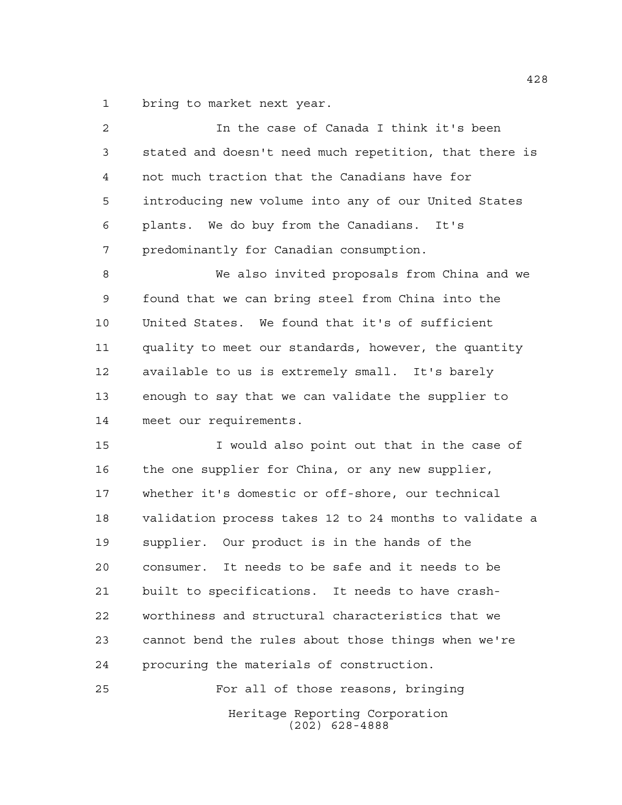bring to market next year.

| $\overline{2}$ | In the case of Canada I think it's been                |
|----------------|--------------------------------------------------------|
| 3              | stated and doesn't need much repetition, that there is |
| 4              | not much traction that the Canadians have for          |
| 5              | introducing new volume into any of our United States   |
| 6              | plants. We do buy from the Canadians. It's             |
| 7              | predominantly for Canadian consumption.                |
| 8              | We also invited proposals from China and we            |
| 9              | found that we can bring steel from China into the      |
| 10             | United States. We found that it's of sufficient        |
| 11             | quality to meet our standards, however, the quantity   |
| 12             | available to us is extremely small. It's barely        |
| 13             | enough to say that we can validate the supplier to     |
| 14             | meet our requirements.                                 |
| 15             | I would also point out that in the case of             |
| 16             | the one supplier for China, or any new supplier,       |
| 17             | whether it's domestic or off-shore, our technical      |
| 18             | validation process takes 12 to 24 months to validate a |
| 19             | supplier. Our product is in the hands of the           |
| 20             | consumer. It needs to be safe and it needs to be       |
| 21             | built to specifications. It needs to have crash-       |
| 22             | worthiness and structural characteristics that we      |
| 23             | cannot bend the rules about those things when we're    |
| 24             | procuring the materials of construction.               |
| 25             | For all of those reasons, bringing                     |
|                | Heritage Reporting Corporation<br>$(202)$ 628-4888     |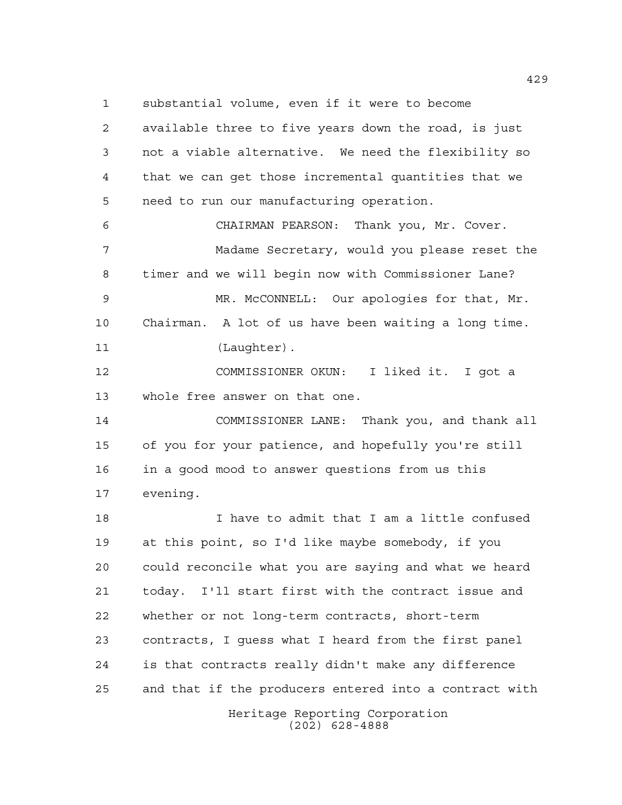substantial volume, even if it were to become

Heritage Reporting Corporation available three to five years down the road, is just not a viable alternative. We need the flexibility so that we can get those incremental quantities that we need to run our manufacturing operation. CHAIRMAN PEARSON: Thank you, Mr. Cover. Madame Secretary, would you please reset the timer and we will begin now with Commissioner Lane? MR. McCONNELL: Our apologies for that, Mr. Chairman. A lot of us have been waiting a long time. 11 (Laughter). COMMISSIONER OKUN: I liked it. I got a whole free answer on that one. COMMISSIONER LANE: Thank you, and thank all of you for your patience, and hopefully you're still in a good mood to answer questions from us this evening. I have to admit that I am a little confused at this point, so I'd like maybe somebody, if you could reconcile what you are saying and what we heard today. I'll start first with the contract issue and whether or not long-term contracts, short-term contracts, I guess what I heard from the first panel is that contracts really didn't make any difference and that if the producers entered into a contract with

(202) 628-4888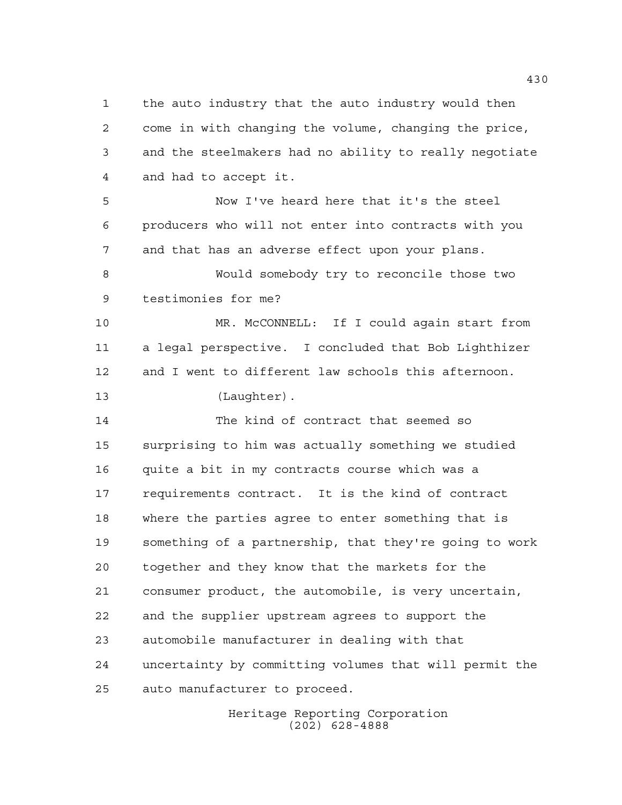the auto industry that the auto industry would then come in with changing the volume, changing the price, and the steelmakers had no ability to really negotiate and had to accept it.

 Now I've heard here that it's the steel producers who will not enter into contracts with you and that has an adverse effect upon your plans.

 Would somebody try to reconcile those two testimonies for me?

 MR. McCONNELL: If I could again start from a legal perspective. I concluded that Bob Lighthizer and I went to different law schools this afternoon. (Laughter).

 The kind of contract that seemed so surprising to him was actually something we studied quite a bit in my contracts course which was a requirements contract. It is the kind of contract where the parties agree to enter something that is something of a partnership, that they're going to work together and they know that the markets for the consumer product, the automobile, is very uncertain, and the supplier upstream agrees to support the automobile manufacturer in dealing with that uncertainty by committing volumes that will permit the auto manufacturer to proceed.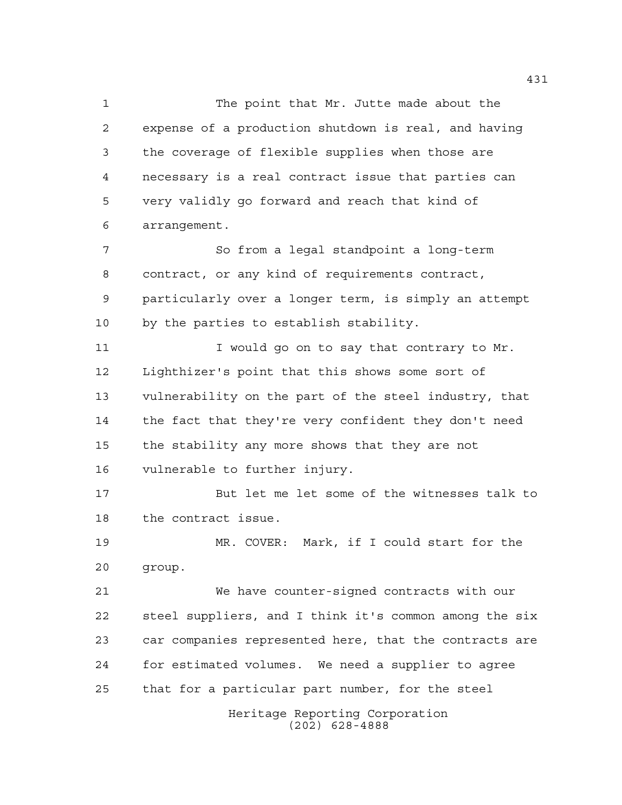The point that Mr. Jutte made about the expense of a production shutdown is real, and having the coverage of flexible supplies when those are necessary is a real contract issue that parties can very validly go forward and reach that kind of arrangement.

 So from a legal standpoint a long-term contract, or any kind of requirements contract, particularly over a longer term, is simply an attempt by the parties to establish stability.

11 I would go on to say that contrary to Mr. Lighthizer's point that this shows some sort of vulnerability on the part of the steel industry, that the fact that they're very confident they don't need the stability any more shows that they are not vulnerable to further injury.

 But let me let some of the witnesses talk to the contract issue.

 MR. COVER: Mark, if I could start for the group.

 We have counter-signed contracts with our steel suppliers, and I think it's common among the six car companies represented here, that the contracts are for estimated volumes. We need a supplier to agree that for a particular part number, for the steel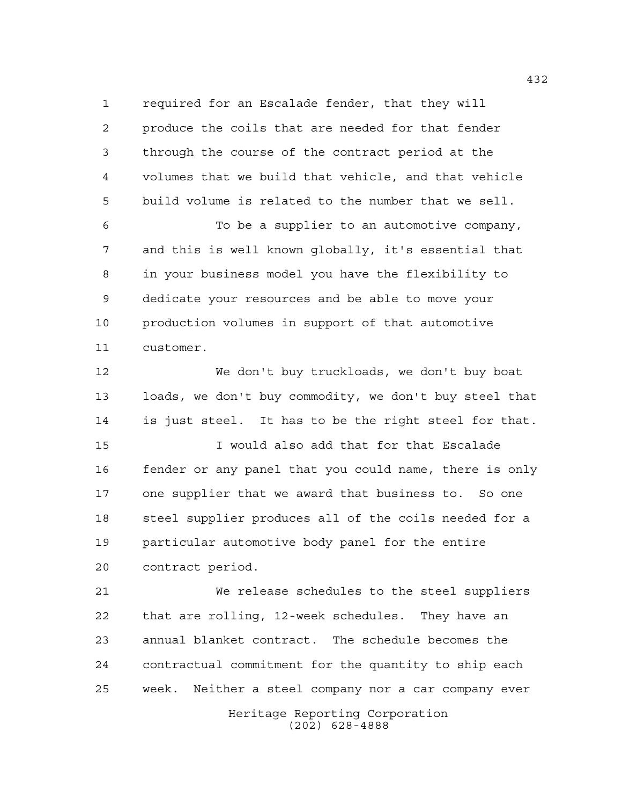required for an Escalade fender, that they will produce the coils that are needed for that fender through the course of the contract period at the volumes that we build that vehicle, and that vehicle build volume is related to the number that we sell.

 To be a supplier to an automotive company, and this is well known globally, it's essential that in your business model you have the flexibility to dedicate your resources and be able to move your production volumes in support of that automotive customer.

 We don't buy truckloads, we don't buy boat loads, we don't buy commodity, we don't buy steel that is just steel. It has to be the right steel for that.

 I would also add that for that Escalade fender or any panel that you could name, there is only one supplier that we award that business to. So one steel supplier produces all of the coils needed for a particular automotive body panel for the entire contract period.

 We release schedules to the steel suppliers that are rolling, 12-week schedules. They have an annual blanket contract. The schedule becomes the contractual commitment for the quantity to ship each week. Neither a steel company nor a car company ever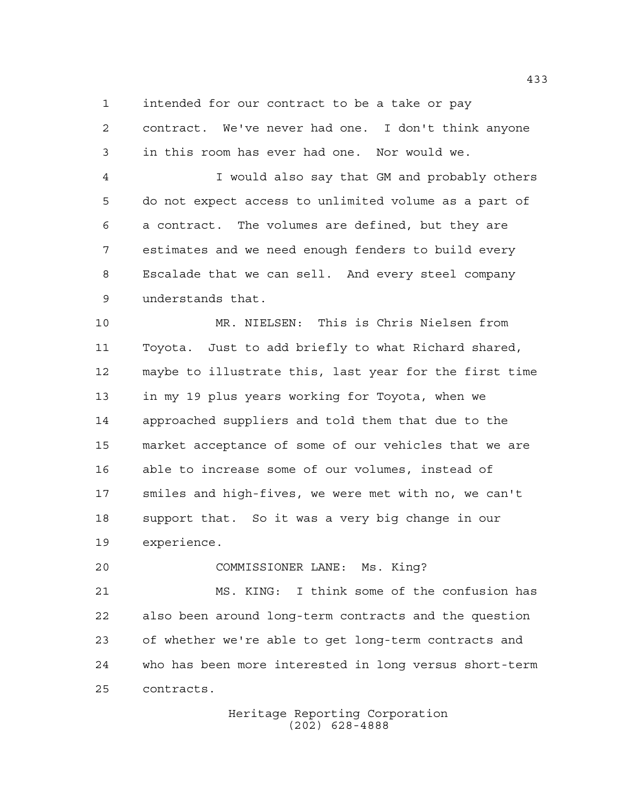intended for our contract to be a take or pay

 contract. We've never had one. I don't think anyone in this room has ever had one. Nor would we.

 I would also say that GM and probably others do not expect access to unlimited volume as a part of a contract. The volumes are defined, but they are estimates and we need enough fenders to build every Escalade that we can sell. And every steel company understands that.

 MR. NIELSEN: This is Chris Nielsen from Toyota. Just to add briefly to what Richard shared, maybe to illustrate this, last year for the first time in my 19 plus years working for Toyota, when we approached suppliers and told them that due to the market acceptance of some of our vehicles that we are able to increase some of our volumes, instead of smiles and high-fives, we were met with no, we can't support that. So it was a very big change in our experience.

COMMISSIONER LANE: Ms. King?

 MS. KING: I think some of the confusion has also been around long-term contracts and the question of whether we're able to get long-term contracts and who has been more interested in long versus short-term contracts.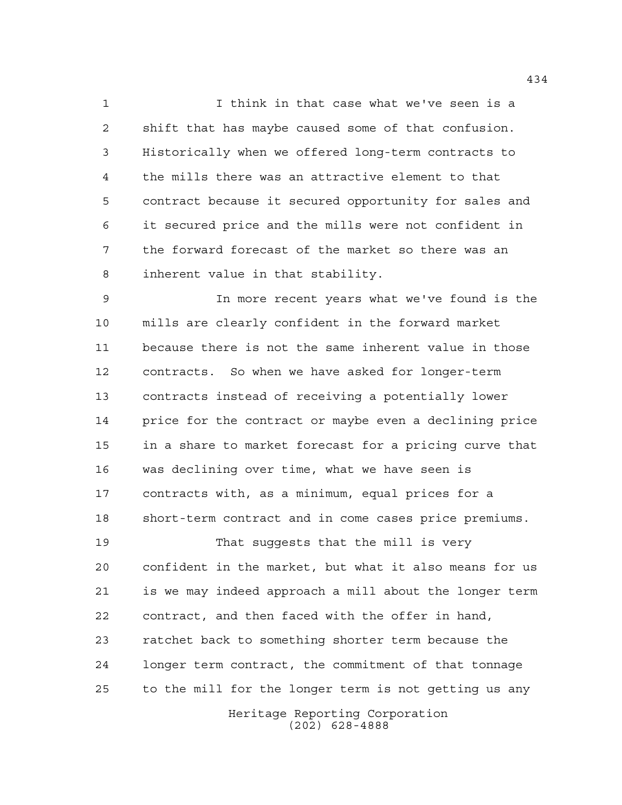I think in that case what we've seen is a shift that has maybe caused some of that confusion. Historically when we offered long-term contracts to the mills there was an attractive element to that contract because it secured opportunity for sales and it secured price and the mills were not confident in the forward forecast of the market so there was an inherent value in that stability.

 In more recent years what we've found is the mills are clearly confident in the forward market because there is not the same inherent value in those contracts. So when we have asked for longer-term contracts instead of receiving a potentially lower price for the contract or maybe even a declining price in a share to market forecast for a pricing curve that was declining over time, what we have seen is contracts with, as a minimum, equal prices for a short-term contract and in come cases price premiums.

 That suggests that the mill is very confident in the market, but what it also means for us is we may indeed approach a mill about the longer term contract, and then faced with the offer in hand, ratchet back to something shorter term because the longer term contract, the commitment of that tonnage to the mill for the longer term is not getting us any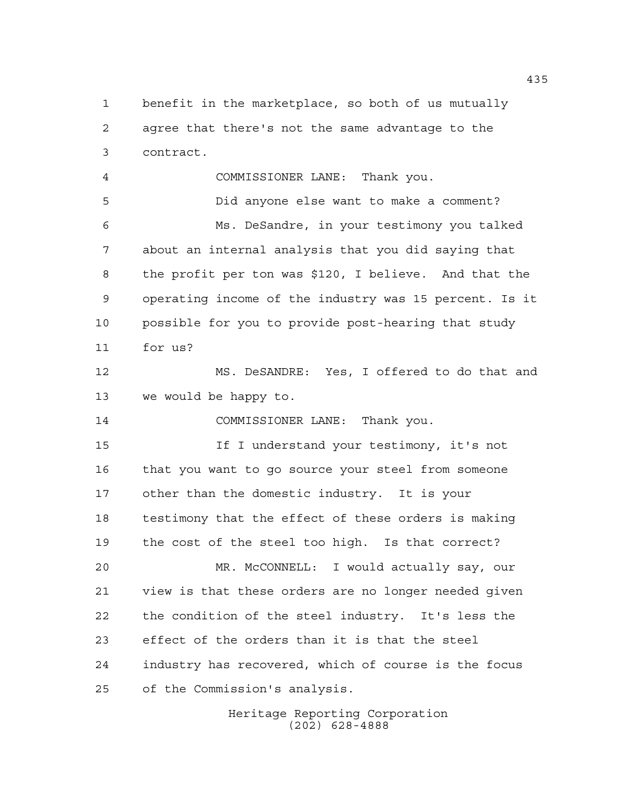benefit in the marketplace, so both of us mutually agree that there's not the same advantage to the contract. COMMISSIONER LANE: Thank you. Did anyone else want to make a comment? Ms. DeSandre, in your testimony you talked about an internal analysis that you did saying that the profit per ton was \$120, I believe. And that the operating income of the industry was 15 percent. Is it possible for you to provide post-hearing that study for us? MS. DeSANDRE: Yes, I offered to do that and we would be happy to. COMMISSIONER LANE: Thank you. If I understand your testimony, it's not that you want to go source your steel from someone other than the domestic industry. It is your testimony that the effect of these orders is making the cost of the steel too high. Is that correct? MR. McCONNELL: I would actually say, our view is that these orders are no longer needed given the condition of the steel industry. It's less the effect of the orders than it is that the steel industry has recovered, which of course is the focus of the Commission's analysis.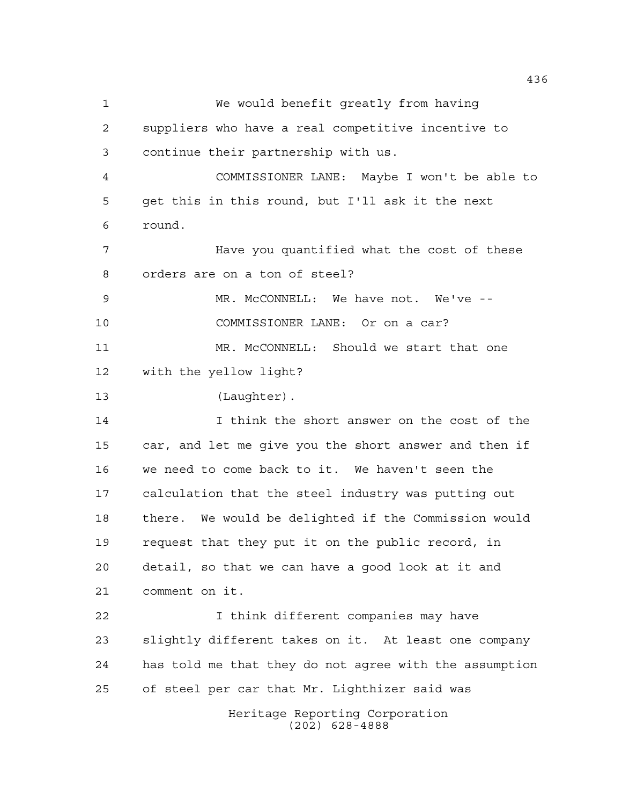Heritage Reporting Corporation (202) 628-4888 We would benefit greatly from having suppliers who have a real competitive incentive to continue their partnership with us. COMMISSIONER LANE: Maybe I won't be able to get this in this round, but I'll ask it the next round. Have you quantified what the cost of these orders are on a ton of steel? MR. McCONNELL: We have not. We've -- COMMISSIONER LANE: Or on a car? MR. McCONNELL: Should we start that one with the yellow light? (Laughter). I think the short answer on the cost of the car, and let me give you the short answer and then if we need to come back to it. We haven't seen the calculation that the steel industry was putting out there. We would be delighted if the Commission would request that they put it on the public record, in detail, so that we can have a good look at it and comment on it. I think different companies may have slightly different takes on it. At least one company has told me that they do not agree with the assumption of steel per car that Mr. Lighthizer said was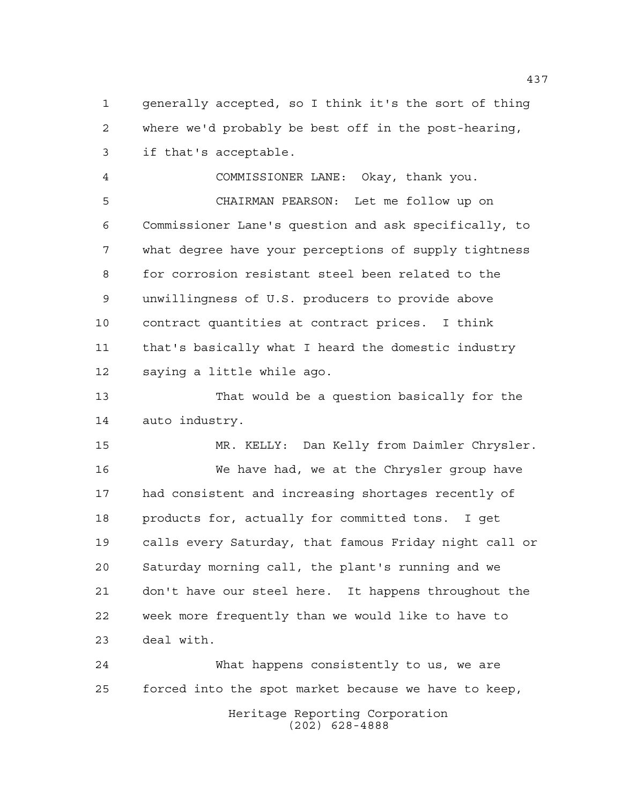generally accepted, so I think it's the sort of thing where we'd probably be best off in the post-hearing, if that's acceptable.

 COMMISSIONER LANE: Okay, thank you. CHAIRMAN PEARSON: Let me follow up on Commissioner Lane's question and ask specifically, to what degree have your perceptions of supply tightness for corrosion resistant steel been related to the unwillingness of U.S. producers to provide above contract quantities at contract prices. I think that's basically what I heard the domestic industry saying a little while ago.

 That would be a question basically for the auto industry.

 MR. KELLY: Dan Kelly from Daimler Chrysler. We have had, we at the Chrysler group have had consistent and increasing shortages recently of products for, actually for committed tons. I get calls every Saturday, that famous Friday night call or Saturday morning call, the plant's running and we don't have our steel here. It happens throughout the week more frequently than we would like to have to deal with.

Heritage Reporting Corporation (202) 628-4888 What happens consistently to us, we are forced into the spot market because we have to keep,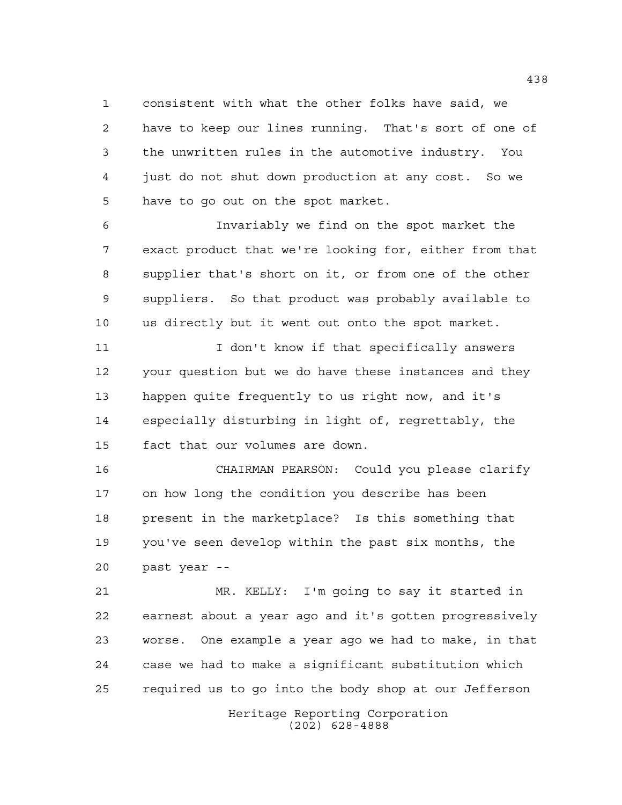consistent with what the other folks have said, we have to keep our lines running. That's sort of one of the unwritten rules in the automotive industry. You just do not shut down production at any cost. So we have to go out on the spot market.

 Invariably we find on the spot market the exact product that we're looking for, either from that supplier that's short on it, or from one of the other suppliers. So that product was probably available to us directly but it went out onto the spot market.

11 I don't know if that specifically answers your question but we do have these instances and they happen quite frequently to us right now, and it's especially disturbing in light of, regrettably, the fact that our volumes are down.

 CHAIRMAN PEARSON: Could you please clarify on how long the condition you describe has been present in the marketplace? Is this something that you've seen develop within the past six months, the past year --

 MR. KELLY: I'm going to say it started in earnest about a year ago and it's gotten progressively worse. One example a year ago we had to make, in that case we had to make a significant substitution which required us to go into the body shop at our Jefferson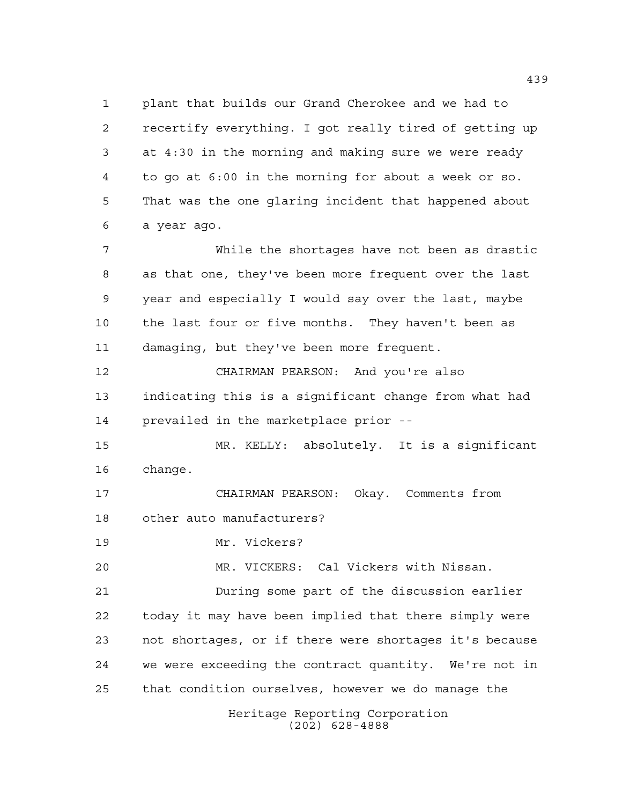Heritage Reporting Corporation (202) 628-4888 plant that builds our Grand Cherokee and we had to recertify everything. I got really tired of getting up at 4:30 in the morning and making sure we were ready to go at 6:00 in the morning for about a week or so. That was the one glaring incident that happened about a year ago. While the shortages have not been as drastic as that one, they've been more frequent over the last year and especially I would say over the last, maybe the last four or five months. They haven't been as damaging, but they've been more frequent. CHAIRMAN PEARSON: And you're also indicating this is a significant change from what had prevailed in the marketplace prior -- MR. KELLY: absolutely. It is a significant change. CHAIRMAN PEARSON: Okay. Comments from other auto manufacturers? Mr. Vickers? MR. VICKERS: Cal Vickers with Nissan. During some part of the discussion earlier today it may have been implied that there simply were not shortages, or if there were shortages it's because we were exceeding the contract quantity. We're not in that condition ourselves, however we do manage the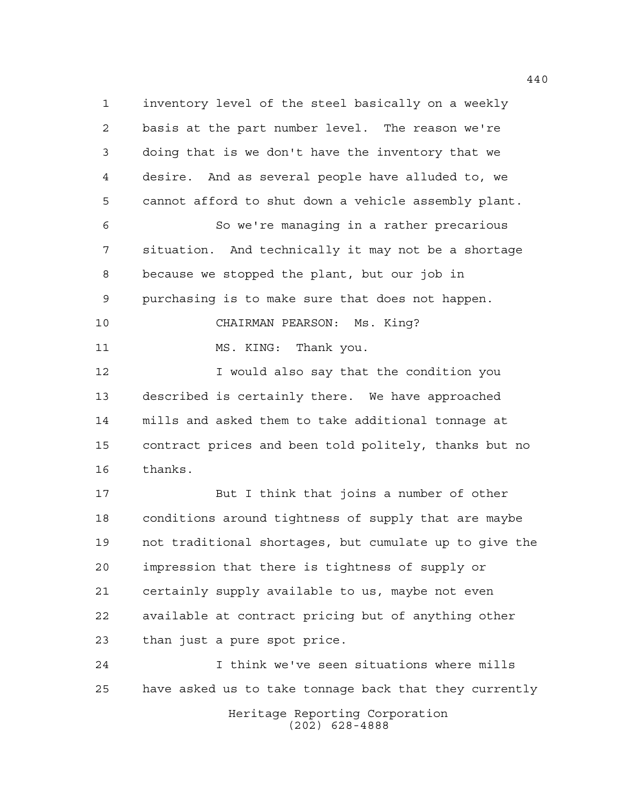inventory level of the steel basically on a weekly basis at the part number level. The reason we're doing that is we don't have the inventory that we desire. And as several people have alluded to, we cannot afford to shut down a vehicle assembly plant. So we're managing in a rather precarious situation. And technically it may not be a shortage because we stopped the plant, but our job in purchasing is to make sure that does not happen. CHAIRMAN PEARSON: Ms. King? 11 MS. KING: Thank you. I would also say that the condition you described is certainly there. We have approached mills and asked them to take additional tonnage at contract prices and been told politely, thanks but no thanks. But I think that joins a number of other conditions around tightness of supply that are maybe not traditional shortages, but cumulate up to give the impression that there is tightness of supply or certainly supply available to us, maybe not even available at contract pricing but of anything other than just a pure spot price. I think we've seen situations where mills

have asked us to take tonnage back that they currently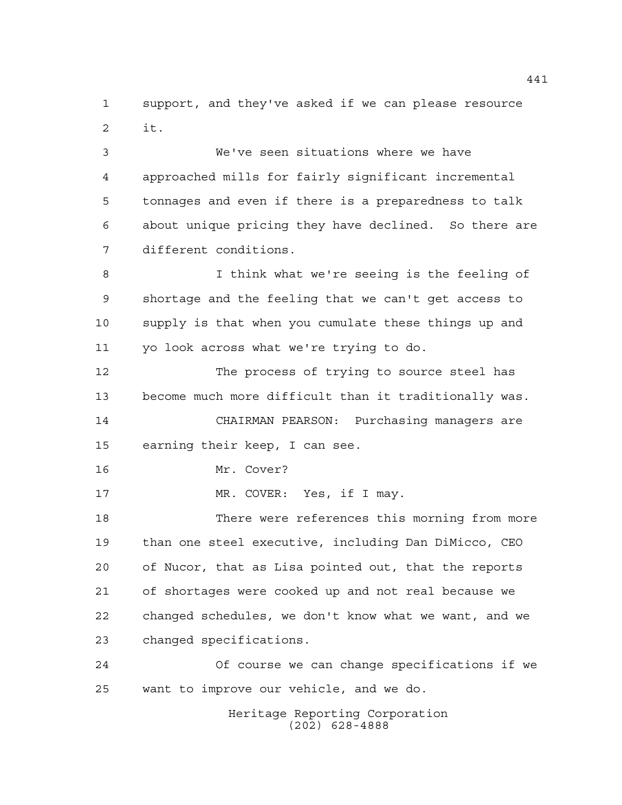support, and they've asked if we can please resource it.

 We've seen situations where we have approached mills for fairly significant incremental tonnages and even if there is a preparedness to talk about unique pricing they have declined. So there are different conditions.

 I think what we're seeing is the feeling of shortage and the feeling that we can't get access to supply is that when you cumulate these things up and yo look across what we're trying to do.

 The process of trying to source steel has become much more difficult than it traditionally was. CHAIRMAN PEARSON: Purchasing managers are earning their keep, I can see.

Mr. Cover?

17 MR. COVER: Yes, if I may.

 There were references this morning from more than one steel executive, including Dan DiMicco, CEO of Nucor, that as Lisa pointed out, that the reports of shortages were cooked up and not real because we changed schedules, we don't know what we want, and we changed specifications.

 Of course we can change specifications if we want to improve our vehicle, and we do.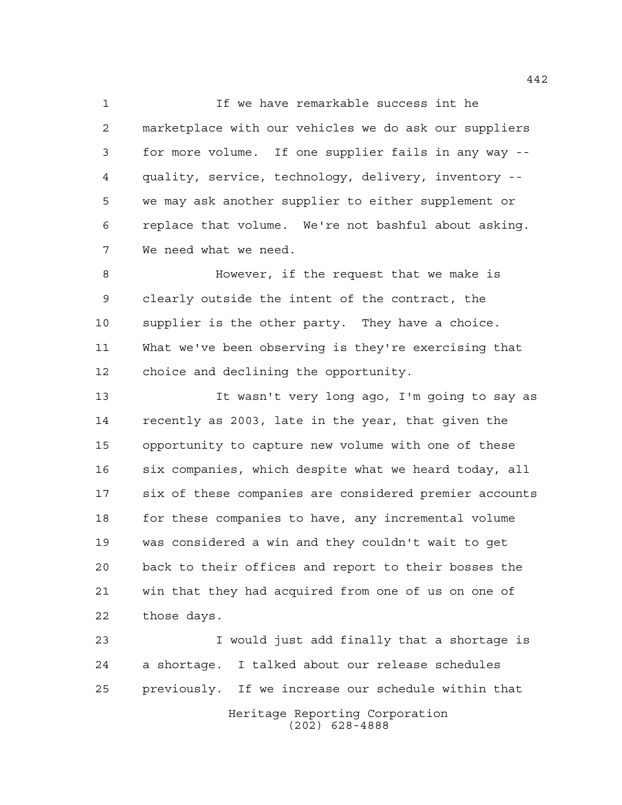If we have remarkable success int he marketplace with our vehicles we do ask our suppliers for more volume. If one supplier fails in any way -- quality, service, technology, delivery, inventory -- we may ask another supplier to either supplement or replace that volume. We're not bashful about asking. We need what we need.

 However, if the request that we make is clearly outside the intent of the contract, the supplier is the other party. They have a choice. What we've been observing is they're exercising that choice and declining the opportunity.

 It wasn't very long ago, I'm going to say as recently as 2003, late in the year, that given the opportunity to capture new volume with one of these six companies, which despite what we heard today, all six of these companies are considered premier accounts 18 for these companies to have, any incremental volume was considered a win and they couldn't wait to get back to their offices and report to their bosses the win that they had acquired from one of us on one of those days.

 I would just add finally that a shortage is a shortage. I talked about our release schedules previously. If we increase our schedule within that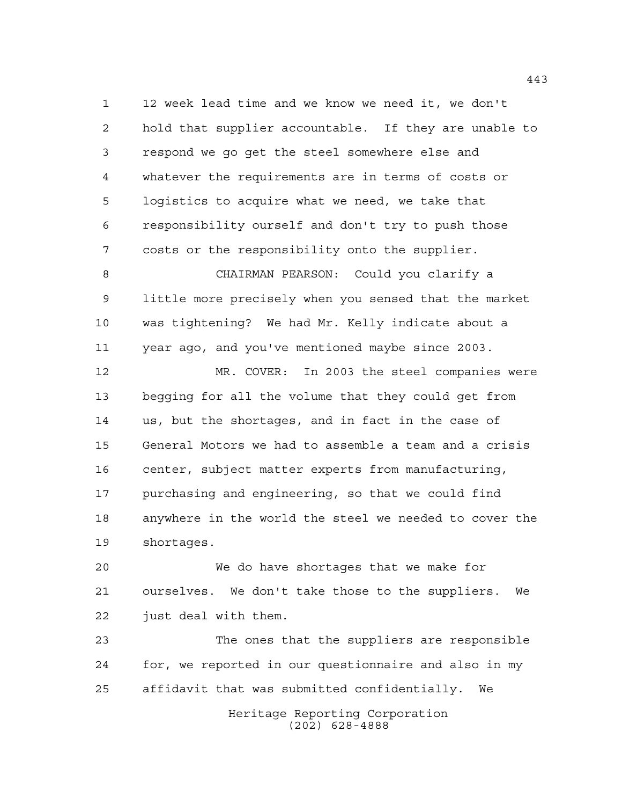12 week lead time and we know we need it, we don't hold that supplier accountable. If they are unable to respond we go get the steel somewhere else and whatever the requirements are in terms of costs or logistics to acquire what we need, we take that responsibility ourself and don't try to push those costs or the responsibility onto the supplier.

 CHAIRMAN PEARSON: Could you clarify a little more precisely when you sensed that the market was tightening? We had Mr. Kelly indicate about a year ago, and you've mentioned maybe since 2003.

 MR. COVER: In 2003 the steel companies were begging for all the volume that they could get from us, but the shortages, and in fact in the case of General Motors we had to assemble a team and a crisis center, subject matter experts from manufacturing, purchasing and engineering, so that we could find anywhere in the world the steel we needed to cover the shortages.

 We do have shortages that we make for ourselves. We don't take those to the suppliers. We just deal with them.

 The ones that the suppliers are responsible for, we reported in our questionnaire and also in my affidavit that was submitted confidentially. We

> Heritage Reporting Corporation (202) 628-4888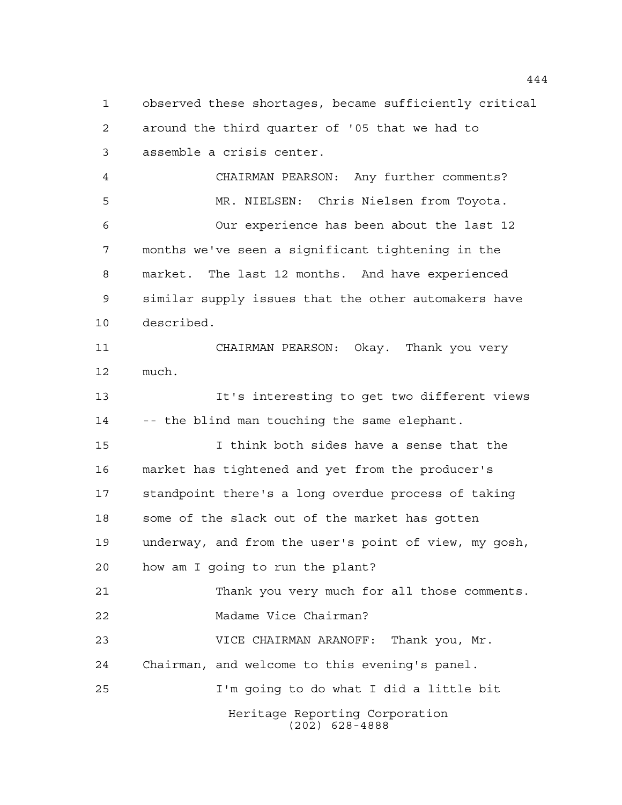Heritage Reporting Corporation (202) 628-4888 observed these shortages, became sufficiently critical around the third quarter of '05 that we had to assemble a crisis center. CHAIRMAN PEARSON: Any further comments? MR. NIELSEN: Chris Nielsen from Toyota. Our experience has been about the last 12 months we've seen a significant tightening in the market. The last 12 months. And have experienced similar supply issues that the other automakers have described. CHAIRMAN PEARSON: Okay. Thank you very much. It's interesting to get two different views -- the blind man touching the same elephant. I think both sides have a sense that the market has tightened and yet from the producer's standpoint there's a long overdue process of taking some of the slack out of the market has gotten underway, and from the user's point of view, my gosh, how am I going to run the plant? Thank you very much for all those comments. Madame Vice Chairman? VICE CHAIRMAN ARANOFF: Thank you, Mr. Chairman, and welcome to this evening's panel. I'm going to do what I did a little bit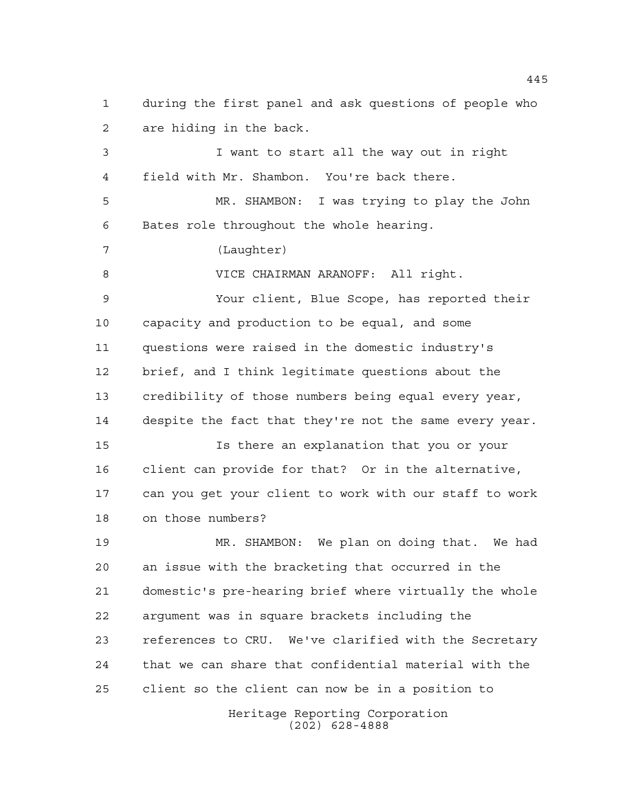are hiding in the back. I want to start all the way out in right field with Mr. Shambon. You're back there. MR. SHAMBON: I was trying to play the John Bates role throughout the whole hearing. (Laughter) VICE CHAIRMAN ARANOFF: All right. Your client, Blue Scope, has reported their capacity and production to be equal, and some

during the first panel and ask questions of people who

 questions were raised in the domestic industry's brief, and I think legitimate questions about the credibility of those numbers being equal every year, despite the fact that they're not the same every year. Is there an explanation that you or your

 client can provide for that? Or in the alternative, can you get your client to work with our staff to work on those numbers?

 MR. SHAMBON: We plan on doing that. We had an issue with the bracketing that occurred in the domestic's pre-hearing brief where virtually the whole argument was in square brackets including the references to CRU. We've clarified with the Secretary that we can share that confidential material with the client so the client can now be in a position to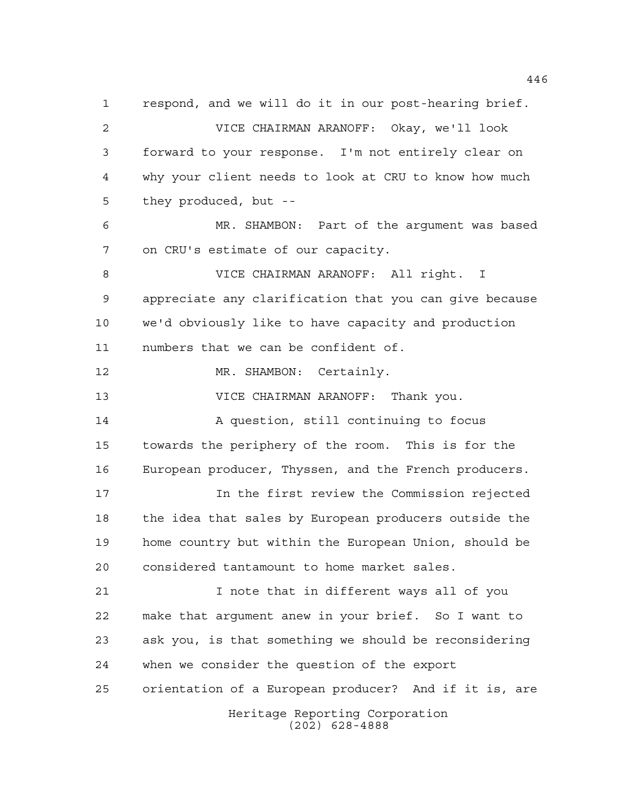Heritage Reporting Corporation (202) 628-4888 respond, and we will do it in our post-hearing brief. VICE CHAIRMAN ARANOFF: Okay, we'll look forward to your response. I'm not entirely clear on why your client needs to look at CRU to know how much they produced, but -- MR. SHAMBON: Part of the argument was based on CRU's estimate of our capacity. VICE CHAIRMAN ARANOFF: All right. I appreciate any clarification that you can give because we'd obviously like to have capacity and production numbers that we can be confident of. 12 MR. SHAMBON: Certainly. VICE CHAIRMAN ARANOFF: Thank you. A question, still continuing to focus towards the periphery of the room. This is for the European producer, Thyssen, and the French producers. In the first review the Commission rejected the idea that sales by European producers outside the home country but within the European Union, should be considered tantamount to home market sales. I note that in different ways all of you make that argument anew in your brief. So I want to ask you, is that something we should be reconsidering when we consider the question of the export orientation of a European producer? And if it is, are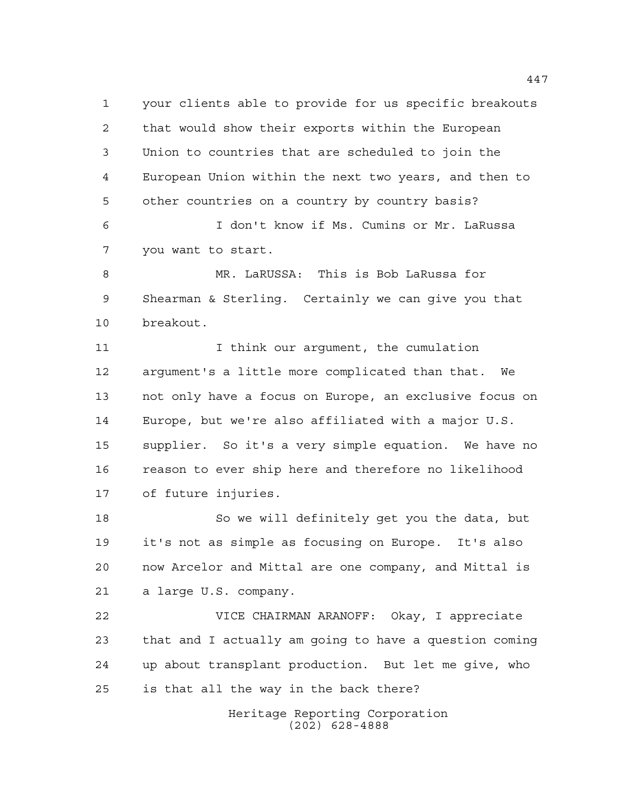your clients able to provide for us specific breakouts that would show their exports within the European Union to countries that are scheduled to join the European Union within the next two years, and then to other countries on a country by country basis?

 I don't know if Ms. Cumins or Mr. LaRussa you want to start.

 MR. LaRUSSA: This is Bob LaRussa for Shearman & Sterling. Certainly we can give you that breakout.

11 11 I think our argument, the cumulation argument's a little more complicated than that. We not only have a focus on Europe, an exclusive focus on Europe, but we're also affiliated with a major U.S. supplier. So it's a very simple equation. We have no reason to ever ship here and therefore no likelihood of future injuries.

 So we will definitely get you the data, but it's not as simple as focusing on Europe. It's also now Arcelor and Mittal are one company, and Mittal is a large U.S. company.

 VICE CHAIRMAN ARANOFF: Okay, I appreciate that and I actually am going to have a question coming up about transplant production. But let me give, who is that all the way in the back there?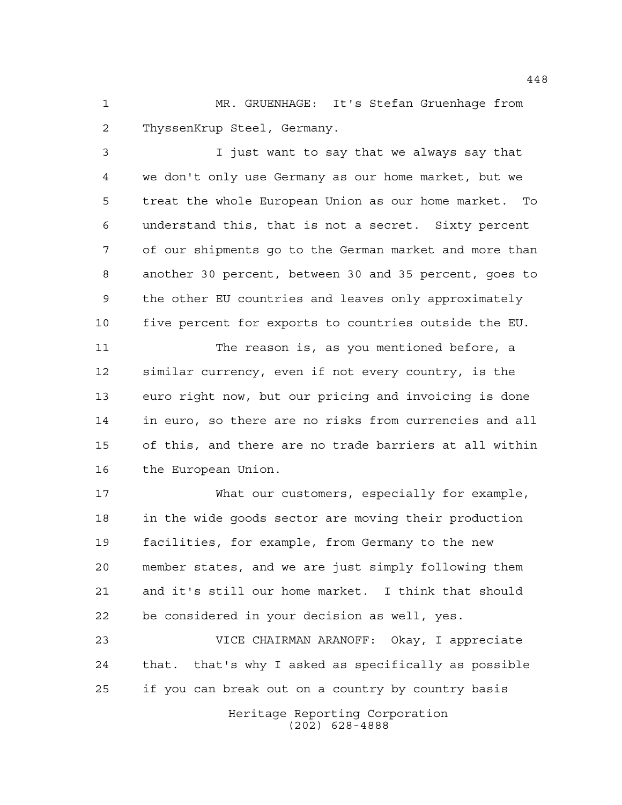MR. GRUENHAGE: It's Stefan Gruenhage from ThyssenKrup Steel, Germany.

 I just want to say that we always say that we don't only use Germany as our home market, but we treat the whole European Union as our home market. To understand this, that is not a secret. Sixty percent of our shipments go to the German market and more than another 30 percent, between 30 and 35 percent, goes to the other EU countries and leaves only approximately five percent for exports to countries outside the EU.

 The reason is, as you mentioned before, a similar currency, even if not every country, is the euro right now, but our pricing and invoicing is done in euro, so there are no risks from currencies and all of this, and there are no trade barriers at all within the European Union.

 What our customers, especially for example, in the wide goods sector are moving their production facilities, for example, from Germany to the new member states, and we are just simply following them and it's still our home market. I think that should be considered in your decision as well, yes.

 VICE CHAIRMAN ARANOFF: Okay, I appreciate that. that's why I asked as specifically as possible if you can break out on a country by country basis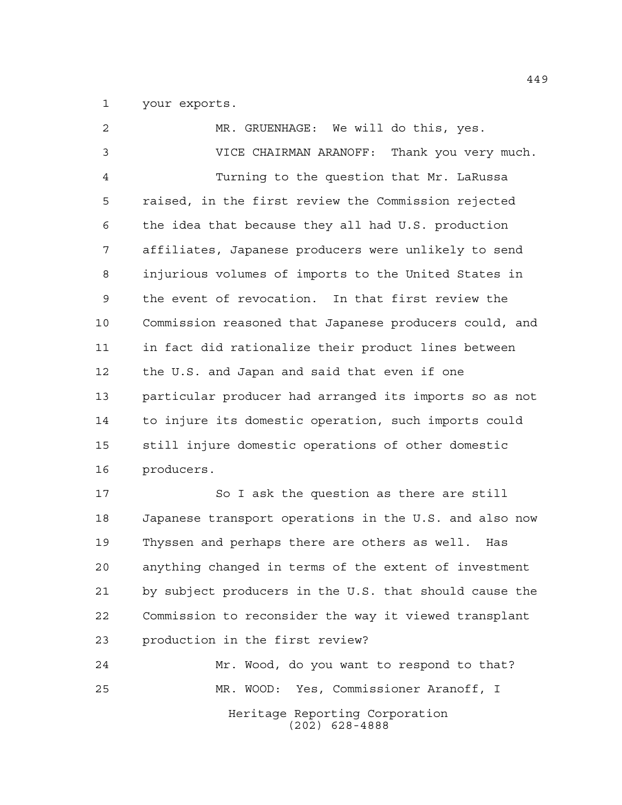your exports.

| 2              | MR. GRUENHAGE: We will do this, yes.                   |
|----------------|--------------------------------------------------------|
| $\mathfrak{Z}$ | VICE CHAIRMAN ARANOFF: Thank you very much.            |
| $\overline{4}$ | Turning to the question that Mr. LaRussa               |
| 5              | raised, in the first review the Commission rejected    |
| 6              | the idea that because they all had U.S. production     |
| 7              | affiliates, Japanese producers were unlikely to send   |
| 8              | injurious volumes of imports to the United States in   |
| 9              | the event of revocation. In that first review the      |
| 10             | Commission reasoned that Japanese producers could, and |
| 11             | in fact did rationalize their product lines between    |
| 12             | the U.S. and Japan and said that even if one           |
| 13             | particular producer had arranged its imports so as not |
| 14             | to injure its domestic operation, such imports could   |
| 15             | still injure domestic operations of other domestic     |
| 16             | producers.                                             |
| 17             | So I ask the question as there are still               |
| 18             | Japanese transport operations in the U.S. and also now |
| 19             | Thyssen and perhaps there are others as well. Has      |
| 20             | anything changed in terms of the extent of investment  |
| 21             | by subject producers in the U.S. that should cause the |
| 22             | Commission to reconsider the way it viewed transplant  |
| 23             | production in the first review?                        |
| 24             | Mr. Wood, do you want to respond to that?              |

Heritage Reporting Corporation (202) 628-4888 MR. WOOD: Yes, Commissioner Aranoff, I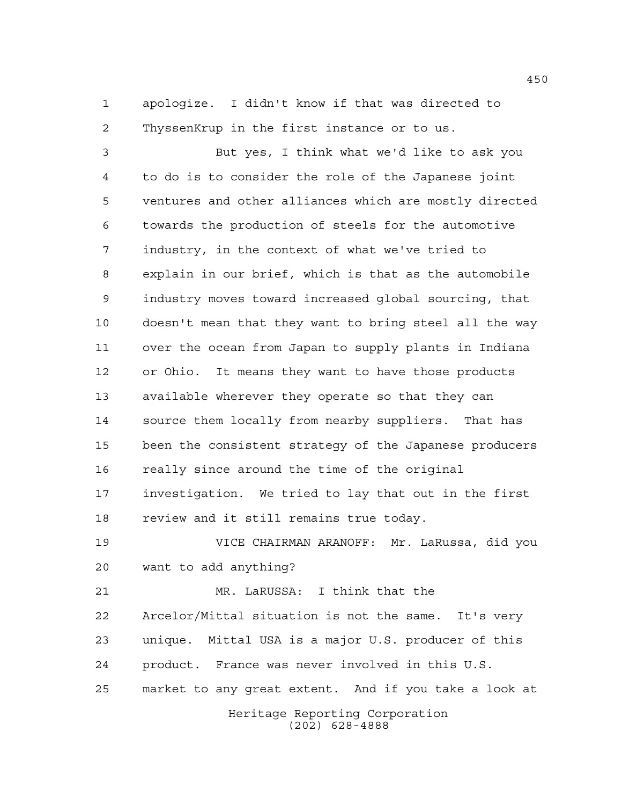apologize. I didn't know if that was directed to ThyssenKrup in the first instance or to us.

 But yes, I think what we'd like to ask you to do is to consider the role of the Japanese joint ventures and other alliances which are mostly directed towards the production of steels for the automotive industry, in the context of what we've tried to explain in our brief, which is that as the automobile industry moves toward increased global sourcing, that doesn't mean that they want to bring steel all the way over the ocean from Japan to supply plants in Indiana or Ohio. It means they want to have those products available wherever they operate so that they can source them locally from nearby suppliers. That has been the consistent strategy of the Japanese producers really since around the time of the original investigation. We tried to lay that out in the first review and it still remains true today.

 VICE CHAIRMAN ARANOFF: Mr. LaRussa, did you want to add anything?

 MR. LaRUSSA: I think that the Arcelor/Mittal situation is not the same. It's very unique. Mittal USA is a major U.S. producer of this product. France was never involved in this U.S. market to any great extent. And if you take a look at

Heritage Reporting Corporation (202) 628-4888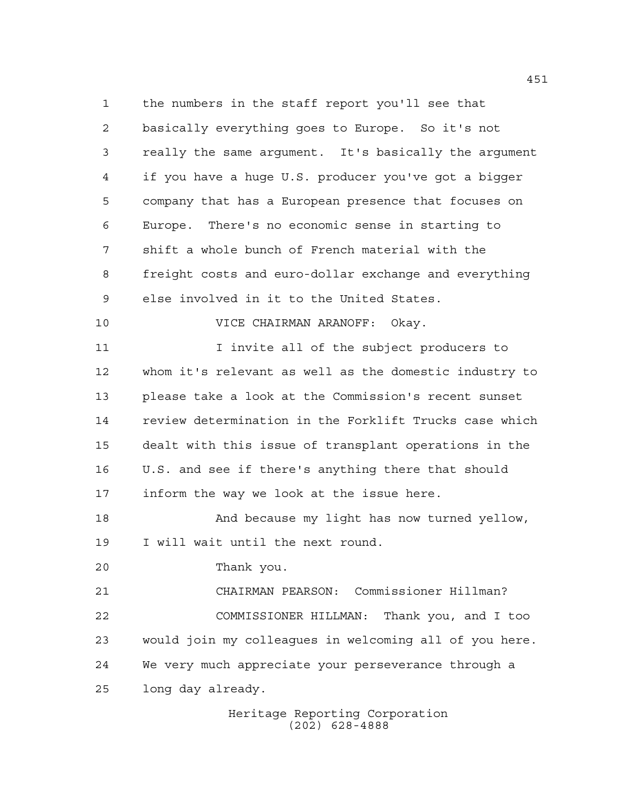the numbers in the staff report you'll see that basically everything goes to Europe. So it's not really the same argument. It's basically the argument if you have a huge U.S. producer you've got a bigger company that has a European presence that focuses on Europe. There's no economic sense in starting to shift a whole bunch of French material with the freight costs and euro-dollar exchange and everything else involved in it to the United States. VICE CHAIRMAN ARANOFF: Okay. I invite all of the subject producers to whom it's relevant as well as the domestic industry to please take a look at the Commission's recent sunset review determination in the Forklift Trucks case which dealt with this issue of transplant operations in the U.S. and see if there's anything there that should inform the way we look at the issue here. And because my light has now turned yellow, I will wait until the next round. Thank you. CHAIRMAN PEARSON: Commissioner Hillman? COMMISSIONER HILLMAN: Thank you, and I too would join my colleagues in welcoming all of you here. We very much appreciate your perseverance through a long day already.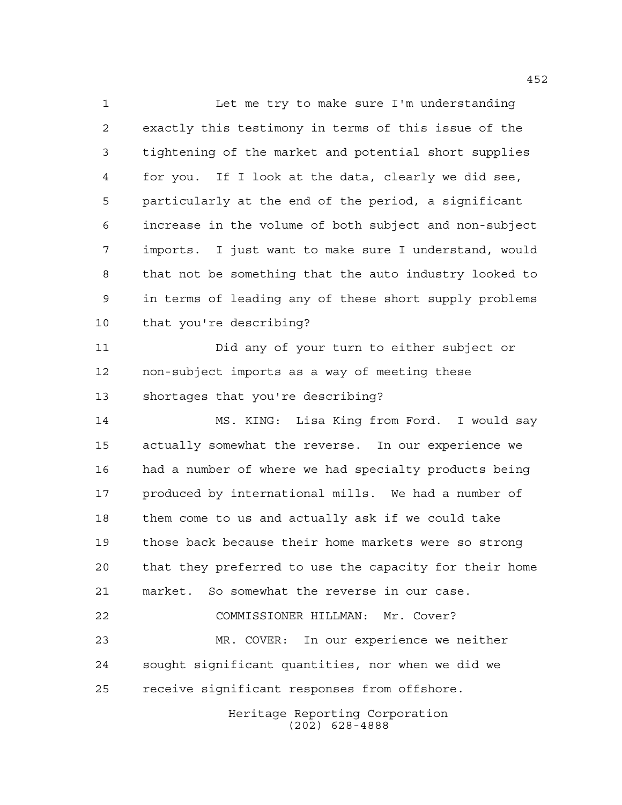Let me try to make sure I'm understanding exactly this testimony in terms of this issue of the tightening of the market and potential short supplies for you. If I look at the data, clearly we did see, particularly at the end of the period, a significant increase in the volume of both subject and non-subject imports. I just want to make sure I understand, would that not be something that the auto industry looked to in terms of leading any of these short supply problems that you're describing? Did any of your turn to either subject or non-subject imports as a way of meeting these shortages that you're describing? MS. KING: Lisa King from Ford. I would say actually somewhat the reverse. In our experience we had a number of where we had specialty products being produced by international mills. We had a number of them come to us and actually ask if we could take those back because their home markets were so strong that they preferred to use the capacity for their home market. So somewhat the reverse in our case. COMMISSIONER HILLMAN: Mr. Cover? MR. COVER: In our experience we neither sought significant quantities, nor when we did we receive significant responses from offshore.

Heritage Reporting Corporation (202) 628-4888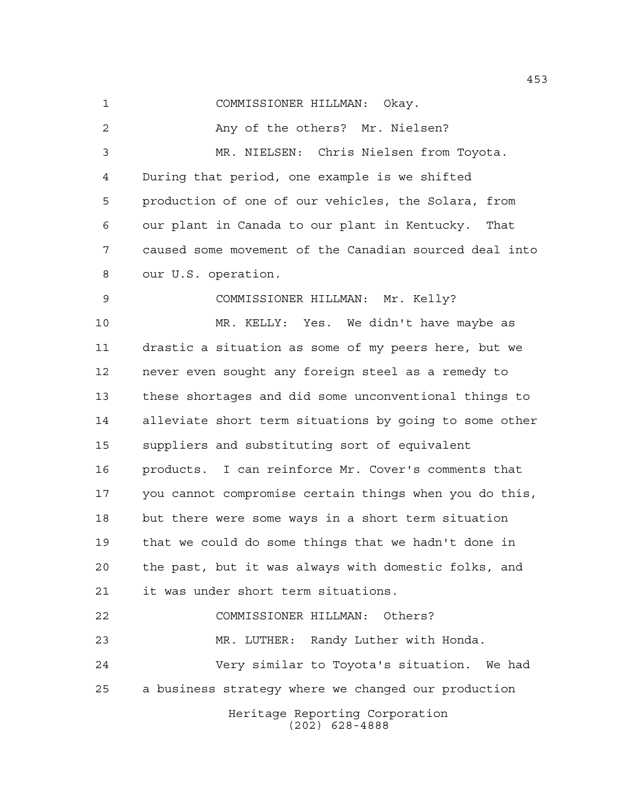COMMISSIONER HILLMAN: Okay.

2 Any of the others? Mr. Nielsen? MR. NIELSEN: Chris Nielsen from Toyota. During that period, one example is we shifted production of one of our vehicles, the Solara, from our plant in Canada to our plant in Kentucky. That caused some movement of the Canadian sourced deal into our U.S. operation.

 COMMISSIONER HILLMAN: Mr. Kelly? MR. KELLY: Yes. We didn't have maybe as drastic a situation as some of my peers here, but we never even sought any foreign steel as a remedy to these shortages and did some unconventional things to alleviate short term situations by going to some other suppliers and substituting sort of equivalent products. I can reinforce Mr. Cover's comments that you cannot compromise certain things when you do this, but there were some ways in a short term situation that we could do some things that we hadn't done in the past, but it was always with domestic folks, and it was under short term situations. COMMISSIONER HILLMAN: Others?

Heritage Reporting Corporation MR. LUTHER: Randy Luther with Honda. Very similar to Toyota's situation. We had a business strategy where we changed our production

(202) 628-4888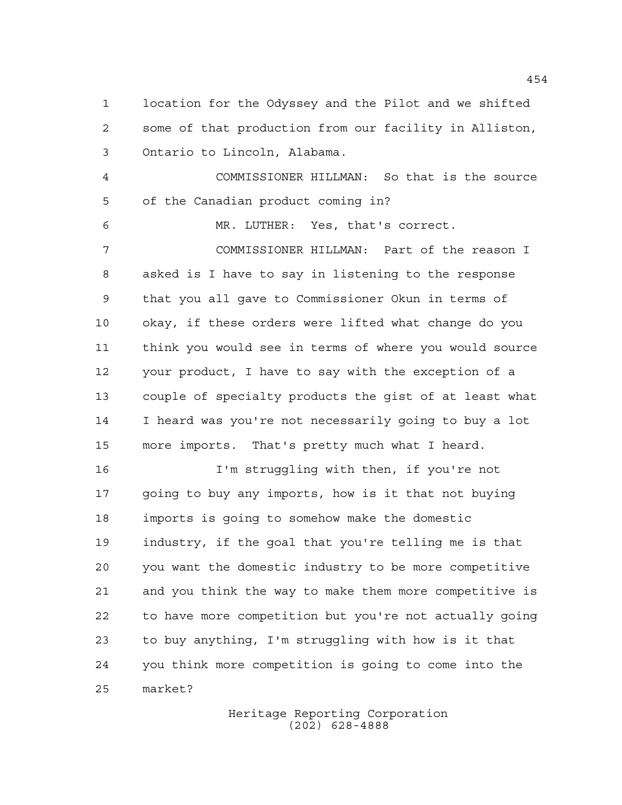location for the Odyssey and the Pilot and we shifted some of that production from our facility in Alliston, Ontario to Lincoln, Alabama.

 COMMISSIONER HILLMAN: So that is the source of the Canadian product coming in?

MR. LUTHER: Yes, that's correct.

 COMMISSIONER HILLMAN: Part of the reason I asked is I have to say in listening to the response that you all gave to Commissioner Okun in terms of okay, if these orders were lifted what change do you think you would see in terms of where you would source your product, I have to say with the exception of a couple of specialty products the gist of at least what I heard was you're not necessarily going to buy a lot more imports. That's pretty much what I heard.

 I'm struggling with then, if you're not going to buy any imports, how is it that not buying imports is going to somehow make the domestic industry, if the goal that you're telling me is that you want the domestic industry to be more competitive and you think the way to make them more competitive is to have more competition but you're not actually going to buy anything, I'm struggling with how is it that you think more competition is going to come into the market?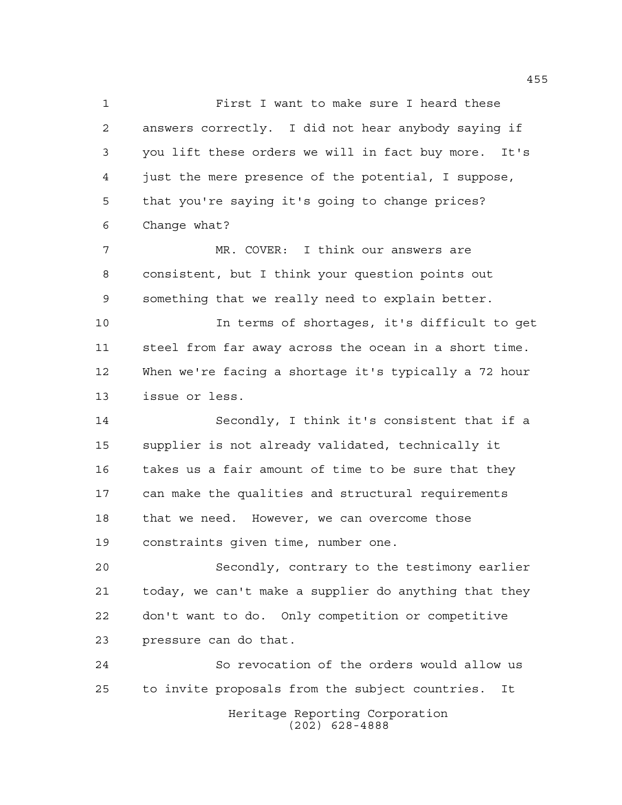First I want to make sure I heard these answers correctly. I did not hear anybody saying if you lift these orders we will in fact buy more. It's just the mere presence of the potential, I suppose, that you're saying it's going to change prices? Change what? MR. COVER: I think our answers are consistent, but I think your question points out something that we really need to explain better. In terms of shortages, it's difficult to get steel from far away across the ocean in a short time. When we're facing a shortage it's typically a 72 hour issue or less.

 Secondly, I think it's consistent that if a supplier is not already validated, technically it takes us a fair amount of time to be sure that they can make the qualities and structural requirements that we need. However, we can overcome those constraints given time, number one.

 Secondly, contrary to the testimony earlier today, we can't make a supplier do anything that they don't want to do. Only competition or competitive pressure can do that.

Heritage Reporting Corporation (202) 628-4888 So revocation of the orders would allow us to invite proposals from the subject countries. It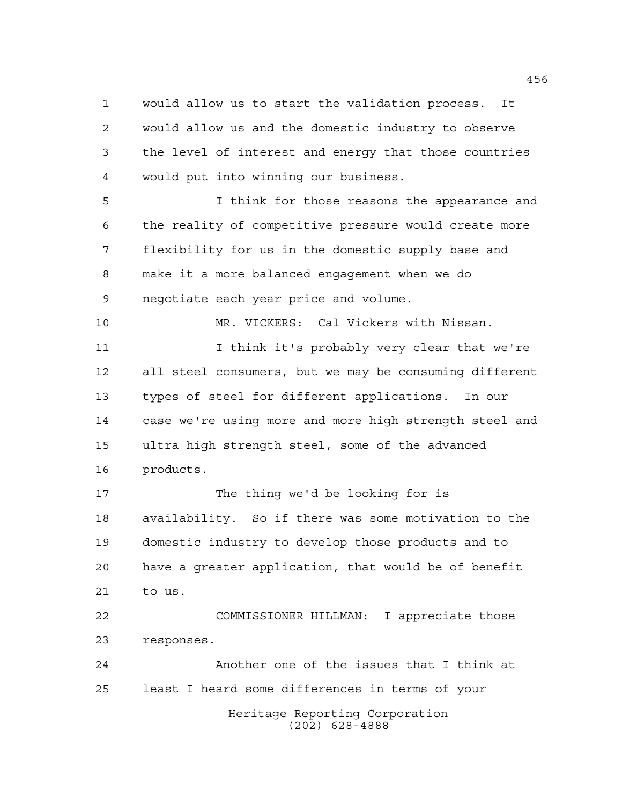would allow us to start the validation process. It would allow us and the domestic industry to observe the level of interest and energy that those countries would put into winning our business.

 I think for those reasons the appearance and the reality of competitive pressure would create more flexibility for us in the domestic supply base and make it a more balanced engagement when we do negotiate each year price and volume.

11 I think it's probably very clear that we're all steel consumers, but we may be consuming different types of steel for different applications. In our case we're using more and more high strength steel and ultra high strength steel, some of the advanced products.

MR. VICKERS: Cal Vickers with Nissan.

 The thing we'd be looking for is availability. So if there was some motivation to the domestic industry to develop those products and to have a greater application, that would be of benefit to us.

 COMMISSIONER HILLMAN: I appreciate those responses.

Heritage Reporting Corporation (202) 628-4888 Another one of the issues that I think at least I heard some differences in terms of your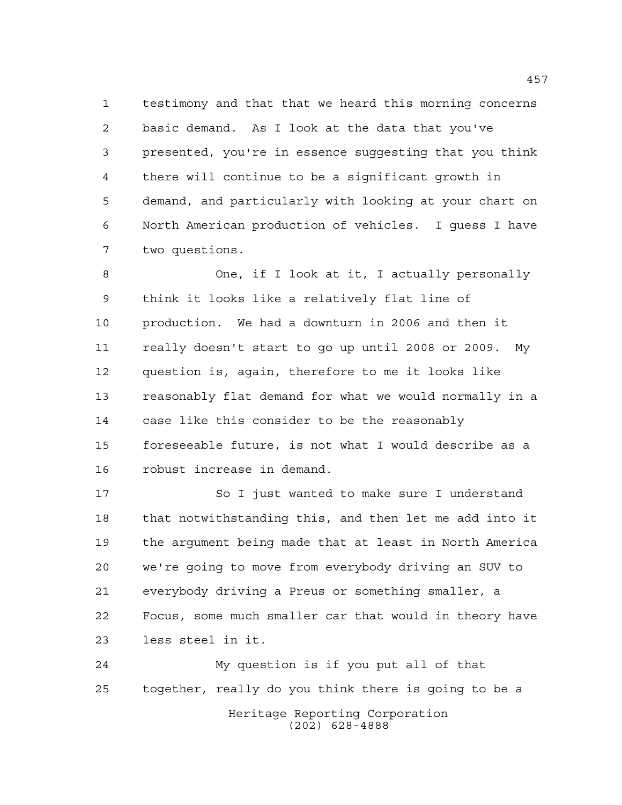testimony and that that we heard this morning concerns basic demand. As I look at the data that you've presented, you're in essence suggesting that you think there will continue to be a significant growth in demand, and particularly with looking at your chart on North American production of vehicles. I guess I have two questions.

 One, if I look at it, I actually personally think it looks like a relatively flat line of production. We had a downturn in 2006 and then it really doesn't start to go up until 2008 or 2009. My question is, again, therefore to me it looks like reasonably flat demand for what we would normally in a case like this consider to be the reasonably foreseeable future, is not what I would describe as a robust increase in demand.

17 So I just wanted to make sure I understand that notwithstanding this, and then let me add into it the argument being made that at least in North America we're going to move from everybody driving an SUV to everybody driving a Preus or something smaller, a Focus, some much smaller car that would in theory have less steel in it.

Heritage Reporting Corporation (202) 628-4888 My question is if you put all of that together, really do you think there is going to be a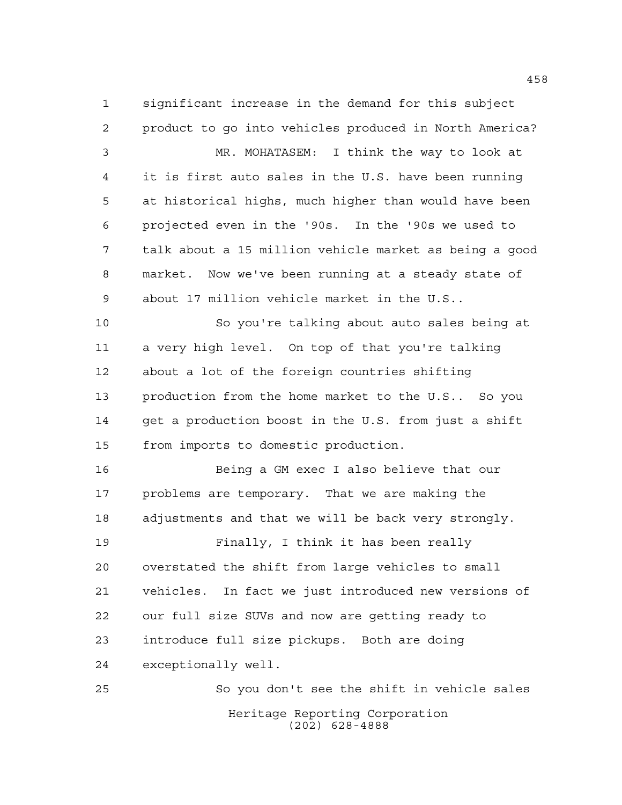significant increase in the demand for this subject product to go into vehicles produced in North America? MR. MOHATASEM: I think the way to look at it is first auto sales in the U.S. have been running at historical highs, much higher than would have been projected even in the '90s. In the '90s we used to talk about a 15 million vehicle market as being a good market. Now we've been running at a steady state of about 17 million vehicle market in the U.S.. So you're talking about auto sales being at a very high level. On top of that you're talking about a lot of the foreign countries shifting production from the home market to the U.S.. So you get a production boost in the U.S. from just a shift from imports to domestic production. Being a GM exec I also believe that our problems are temporary. That we are making the adjustments and that we will be back very strongly. Finally, I think it has been really overstated the shift from large vehicles to small vehicles. In fact we just introduced new versions of our full size SUVs and now are getting ready to introduce full size pickups. Both are doing exceptionally well.

Heritage Reporting Corporation (202) 628-4888 So you don't see the shift in vehicle sales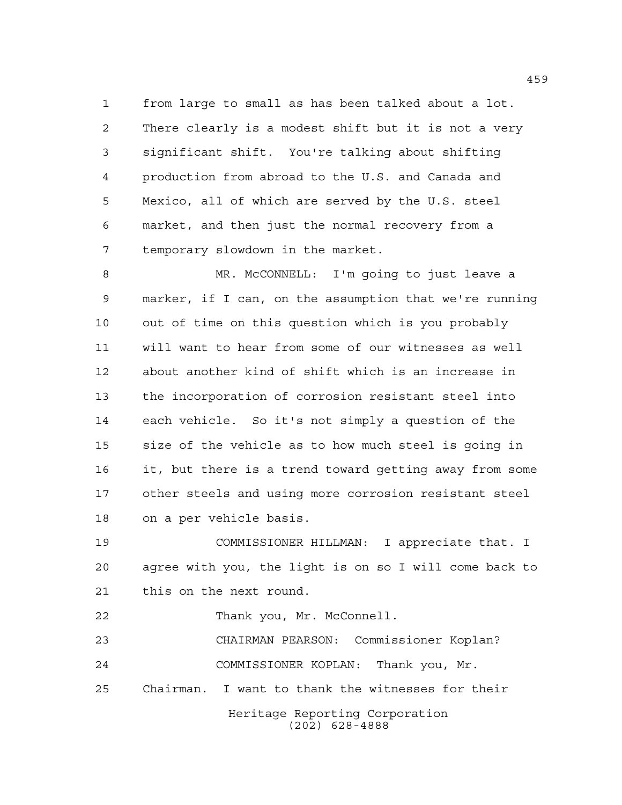from large to small as has been talked about a lot. There clearly is a modest shift but it is not a very significant shift. You're talking about shifting production from abroad to the U.S. and Canada and Mexico, all of which are served by the U.S. steel market, and then just the normal recovery from a temporary slowdown in the market.

 MR. McCONNELL: I'm going to just leave a marker, if I can, on the assumption that we're running out of time on this question which is you probably will want to hear from some of our witnesses as well about another kind of shift which is an increase in the incorporation of corrosion resistant steel into each vehicle. So it's not simply a question of the size of the vehicle as to how much steel is going in it, but there is a trend toward getting away from some other steels and using more corrosion resistant steel on a per vehicle basis.

 COMMISSIONER HILLMAN: I appreciate that. I agree with you, the light is on so I will come back to this on the next round.

Thank you, Mr. McConnell.

 CHAIRMAN PEARSON: Commissioner Koplan? COMMISSIONER KOPLAN: Thank you, Mr.

Chairman. I want to thank the witnesses for their

Heritage Reporting Corporation (202) 628-4888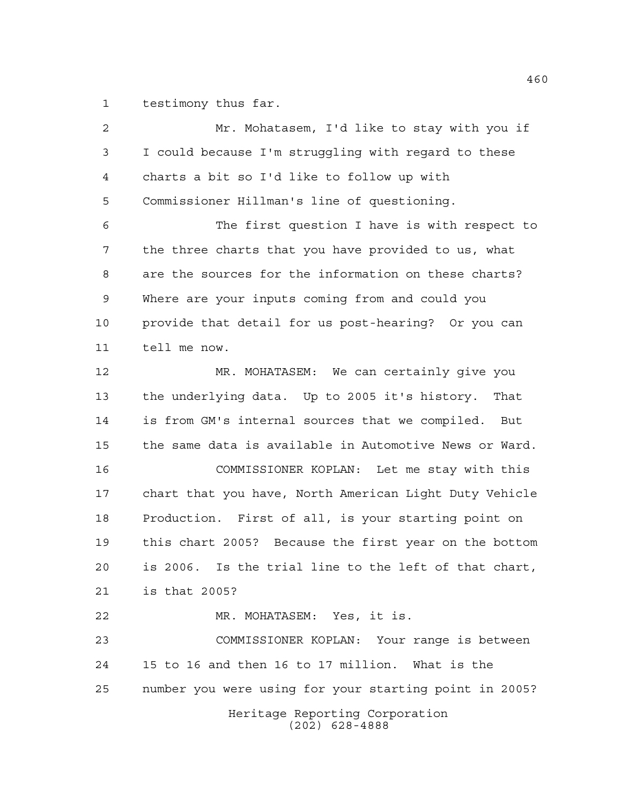testimony thus far.

Heritage Reporting Corporation (202) 628-4888 Mr. Mohatasem, I'd like to stay with you if I could because I'm struggling with regard to these charts a bit so I'd like to follow up with Commissioner Hillman's line of questioning. The first question I have is with respect to the three charts that you have provided to us, what are the sources for the information on these charts? Where are your inputs coming from and could you provide that detail for us post-hearing? Or you can tell me now. MR. MOHATASEM: We can certainly give you the underlying data. Up to 2005 it's history. That is from GM's internal sources that we compiled. But the same data is available in Automotive News or Ward. COMMISSIONER KOPLAN: Let me stay with this chart that you have, North American Light Duty Vehicle Production. First of all, is your starting point on this chart 2005? Because the first year on the bottom is 2006. Is the trial line to the left of that chart, is that 2005? MR. MOHATASEM: Yes, it is. COMMISSIONER KOPLAN: Your range is between 15 to 16 and then 16 to 17 million. What is the number you were using for your starting point in 2005?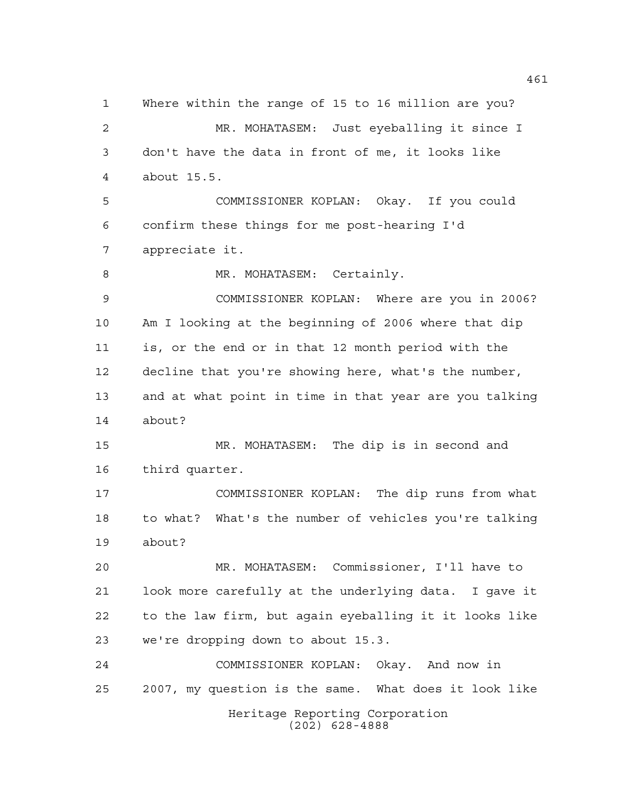Heritage Reporting Corporation (202) 628-4888 Where within the range of 15 to 16 million are you? MR. MOHATASEM: Just eyeballing it since I don't have the data in front of me, it looks like about 15.5. COMMISSIONER KOPLAN: Okay. If you could confirm these things for me post-hearing I'd appreciate it. 8 MR. MOHATASEM: Certainly. COMMISSIONER KOPLAN: Where are you in 2006? Am I looking at the beginning of 2006 where that dip is, or the end or in that 12 month period with the decline that you're showing here, what's the number, and at what point in time in that year are you talking about? MR. MOHATASEM: The dip is in second and third quarter. COMMISSIONER KOPLAN: The dip runs from what to what? What's the number of vehicles you're talking about? MR. MOHATASEM: Commissioner, I'll have to look more carefully at the underlying data. I gave it to the law firm, but again eyeballing it it looks like we're dropping down to about 15.3. COMMISSIONER KOPLAN: Okay. And now in 2007, my question is the same. What does it look like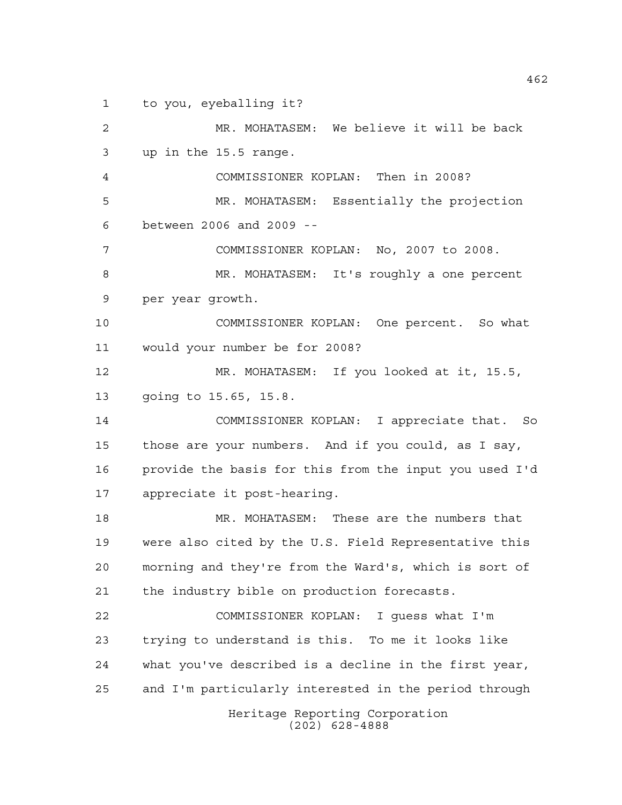to you, eyeballing it?

Heritage Reporting Corporation (202) 628-4888 MR. MOHATASEM: We believe it will be back up in the 15.5 range. COMMISSIONER KOPLAN: Then in 2008? MR. MOHATASEM: Essentially the projection between 2006 and 2009 -- COMMISSIONER KOPLAN: No, 2007 to 2008. MR. MOHATASEM: It's roughly a one percent per year growth. COMMISSIONER KOPLAN: One percent. So what would your number be for 2008? MR. MOHATASEM: If you looked at it, 15.5, going to 15.65, 15.8. COMMISSIONER KOPLAN: I appreciate that. So those are your numbers. And if you could, as I say, provide the basis for this from the input you used I'd appreciate it post-hearing. MR. MOHATASEM: These are the numbers that were also cited by the U.S. Field Representative this morning and they're from the Ward's, which is sort of the industry bible on production forecasts. COMMISSIONER KOPLAN: I guess what I'm trying to understand is this. To me it looks like what you've described is a decline in the first year, and I'm particularly interested in the period through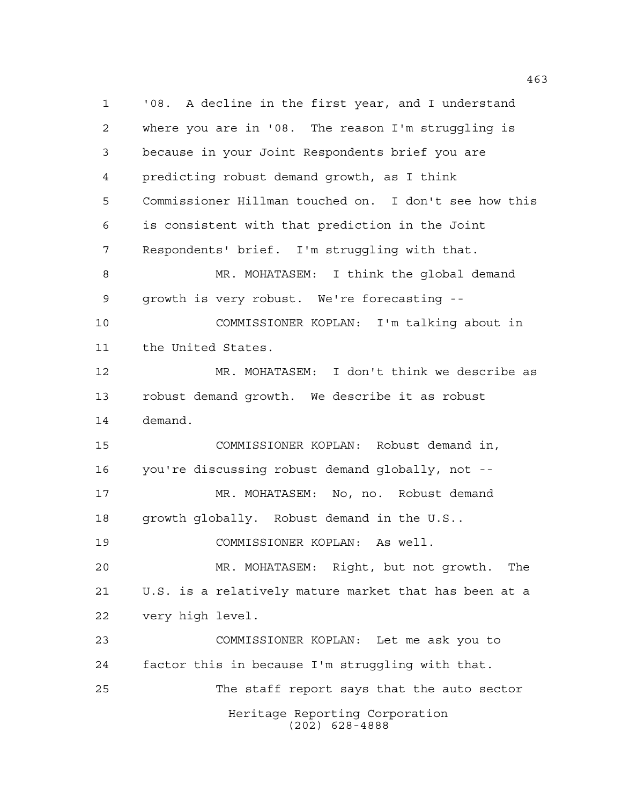Heritage Reporting Corporation (202) 628-4888 '08. A decline in the first year, and I understand where you are in '08. The reason I'm struggling is because in your Joint Respondents brief you are predicting robust demand growth, as I think Commissioner Hillman touched on. I don't see how this is consistent with that prediction in the Joint Respondents' brief. I'm struggling with that. MR. MOHATASEM: I think the global demand growth is very robust. We're forecasting -- COMMISSIONER KOPLAN: I'm talking about in the United States. MR. MOHATASEM: I don't think we describe as robust demand growth. We describe it as robust demand. COMMISSIONER KOPLAN: Robust demand in, you're discussing robust demand globally, not -- MR. MOHATASEM: No, no. Robust demand growth globally. Robust demand in the U.S.. COMMISSIONER KOPLAN: As well. MR. MOHATASEM: Right, but not growth. The U.S. is a relatively mature market that has been at a very high level. COMMISSIONER KOPLAN: Let me ask you to factor this in because I'm struggling with that. The staff report says that the auto sector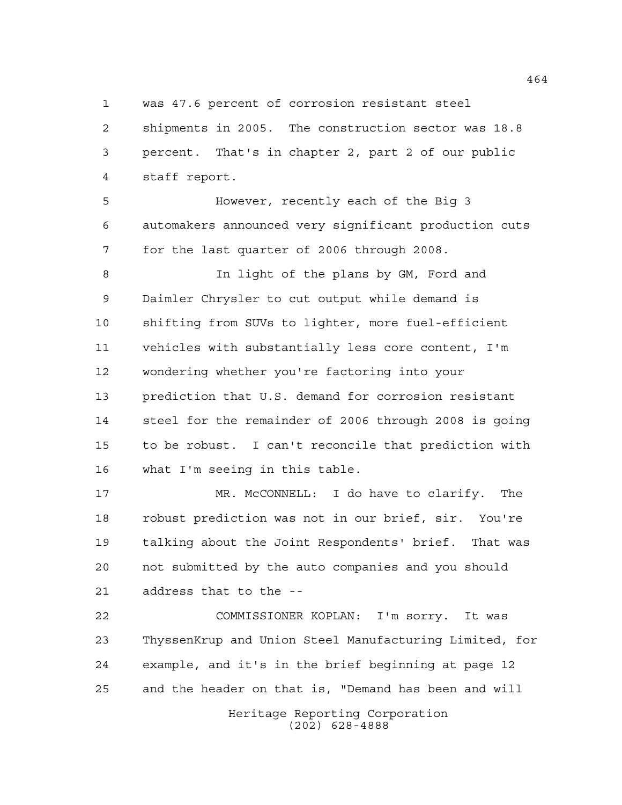was 47.6 percent of corrosion resistant steel

 shipments in 2005. The construction sector was 18.8 percent. That's in chapter 2, part 2 of our public staff report.

 However, recently each of the Big 3 automakers announced very significant production cuts for the last quarter of 2006 through 2008.

 In light of the plans by GM, Ford and Daimler Chrysler to cut output while demand is shifting from SUVs to lighter, more fuel-efficient vehicles with substantially less core content, I'm wondering whether you're factoring into your prediction that U.S. demand for corrosion resistant steel for the remainder of 2006 through 2008 is going to be robust. I can't reconcile that prediction with what I'm seeing in this table.

 MR. McCONNELL: I do have to clarify. The robust prediction was not in our brief, sir. You're talking about the Joint Respondents' brief. That was not submitted by the auto companies and you should address that to the --

 COMMISSIONER KOPLAN: I'm sorry. It was ThyssenKrup and Union Steel Manufacturing Limited, for example, and it's in the brief beginning at page 12 and the header on that is, "Demand has been and will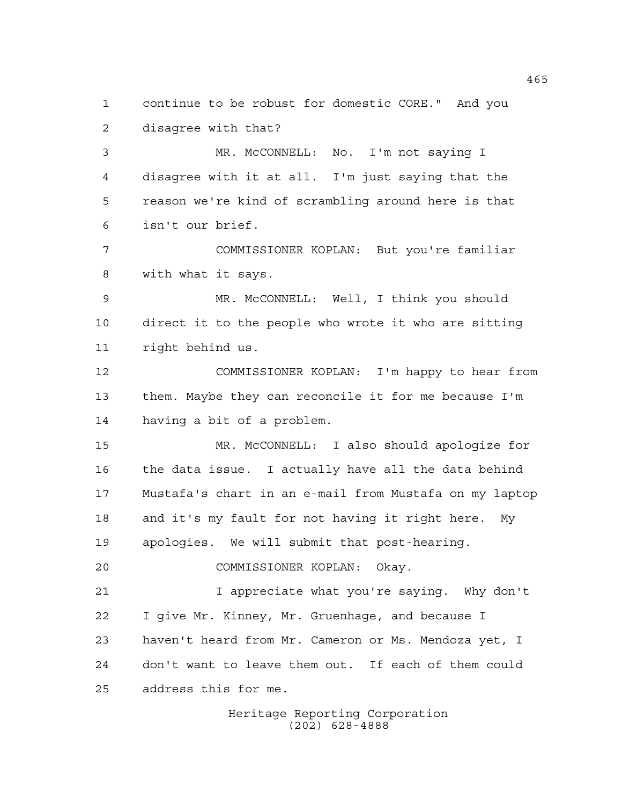continue to be robust for domestic CORE." And you disagree with that?

 MR. McCONNELL: No. I'm not saying I disagree with it at all. I'm just saying that the reason we're kind of scrambling around here is that isn't our brief.

 COMMISSIONER KOPLAN: But you're familiar with what it says.

 MR. McCONNELL: Well, I think you should direct it to the people who wrote it who are sitting right behind us.

 COMMISSIONER KOPLAN: I'm happy to hear from them. Maybe they can reconcile it for me because I'm having a bit of a problem.

 MR. McCONNELL: I also should apologize for the data issue. I actually have all the data behind Mustafa's chart in an e-mail from Mustafa on my laptop and it's my fault for not having it right here. My apologies. We will submit that post-hearing.

COMMISSIONER KOPLAN: Okay.

 I appreciate what you're saying. Why don't I give Mr. Kinney, Mr. Gruenhage, and because I haven't heard from Mr. Cameron or Ms. Mendoza yet, I don't want to leave them out. If each of them could address this for me.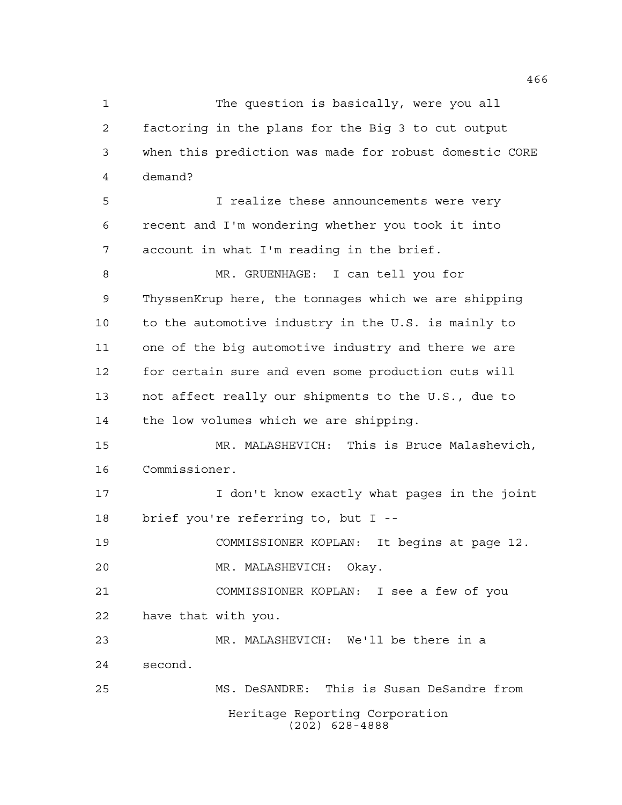The question is basically, were you all factoring in the plans for the Big 3 to cut output when this prediction was made for robust domestic CORE demand? I realize these announcements were very

 recent and I'm wondering whether you took it into account in what I'm reading in the brief.

 MR. GRUENHAGE: I can tell you for ThyssenKrup here, the tonnages which we are shipping to the automotive industry in the U.S. is mainly to one of the big automotive industry and there we are for certain sure and even some production cuts will not affect really our shipments to the U.S., due to the low volumes which we are shipping.

 MR. MALASHEVICH: This is Bruce Malashevich, Commissioner.

 I don't know exactly what pages in the joint brief you're referring to, but I --

COMMISSIONER KOPLAN: It begins at page 12.

MR. MALASHEVICH: Okay.

 COMMISSIONER KOPLAN: I see a few of you have that with you.

 MR. MALASHEVICH: We'll be there in a second.

Heritage Reporting Corporation (202) 628-4888 MS. DeSANDRE: This is Susan DeSandre from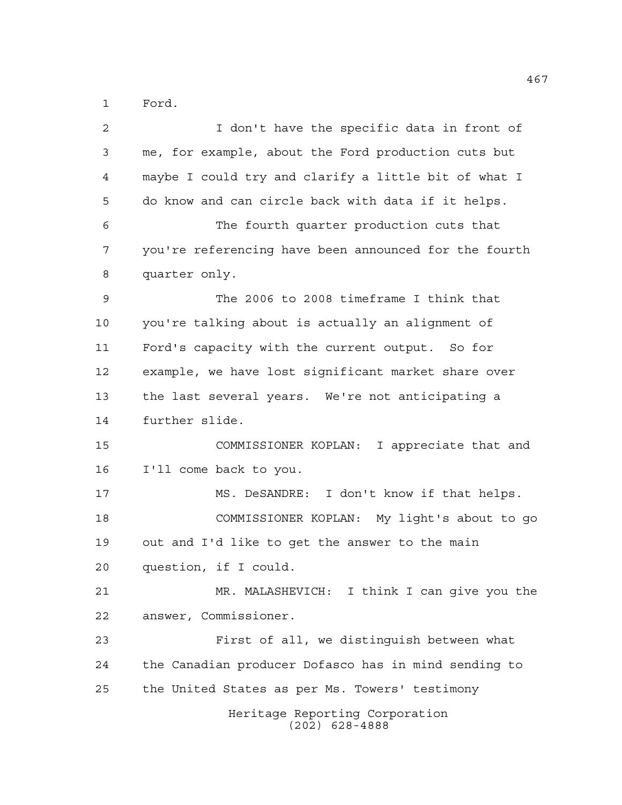Ford.

| 2  | I don't have the specific data in front of            |
|----|-------------------------------------------------------|
| 3  | me, for example, about the Ford production cuts but   |
| 4  | maybe I could try and clarify a little bit of what I  |
| 5  | do know and can circle back with data if it helps.    |
| 6  | The fourth quarter production cuts that               |
| 7  | you're referencing have been announced for the fourth |
| 8  | quarter only.                                         |
| 9  | The 2006 to 2008 timeframe I think that               |
| 10 | you're talking about is actually an alignment of      |
| 11 | Ford's capacity with the current output. So for       |
| 12 | example, we have lost significant market share over   |
| 13 | the last several years. We're not anticipating a      |
| 14 | further slide.                                        |
| 15 | COMMISSIONER KOPLAN: I appreciate that and            |
| 16 | I'll come back to you.                                |
| 17 | MS. DeSANDRE: I don't know if that helps.             |
| 18 | COMMISSIONER KOPLAN: My light's about to go           |
| 19 | out and I'd like to get the answer to the main        |
| 20 | question, if I could.                                 |
| 21 | MR. MALASHEVICH: I think I can give you the           |
| 22 | answer, Commissioner.                                 |
| 23 | First of all, we distinguish between what             |
| 24 | the Canadian producer Dofasco has in mind sending to  |
| 25 | the United States as per Ms. Towers' testimony        |
|    | Heritage Reporting Corporation<br>$(202)$ 628-4888    |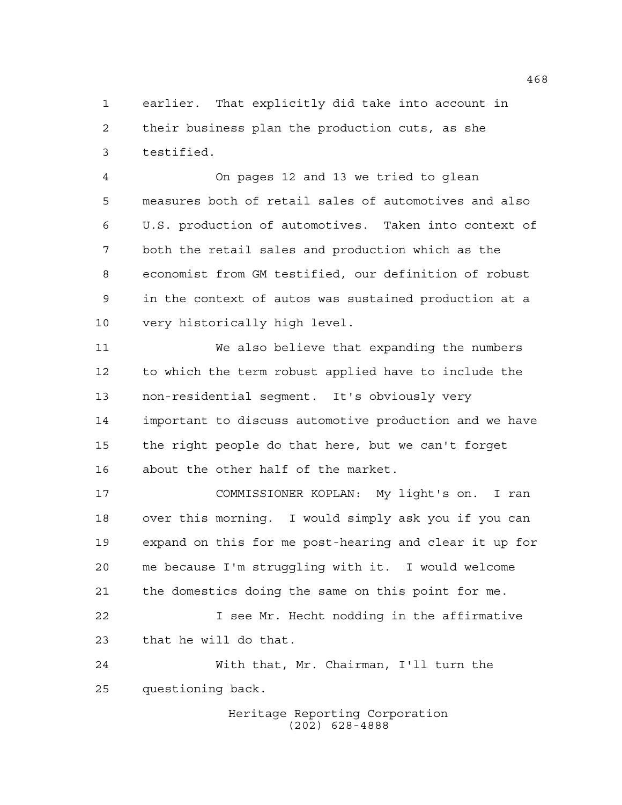earlier. That explicitly did take into account in their business plan the production cuts, as she testified.

 On pages 12 and 13 we tried to glean measures both of retail sales of automotives and also U.S. production of automotives. Taken into context of both the retail sales and production which as the economist from GM testified, our definition of robust in the context of autos was sustained production at a very historically high level.

 We also believe that expanding the numbers to which the term robust applied have to include the non-residential segment. It's obviously very important to discuss automotive production and we have the right people do that here, but we can't forget about the other half of the market.

 COMMISSIONER KOPLAN: My light's on. I ran over this morning. I would simply ask you if you can expand on this for me post-hearing and clear it up for me because I'm struggling with it. I would welcome the domestics doing the same on this point for me. I see Mr. Hecht nodding in the affirmative

that he will do that.

 With that, Mr. Chairman, I'll turn the questioning back.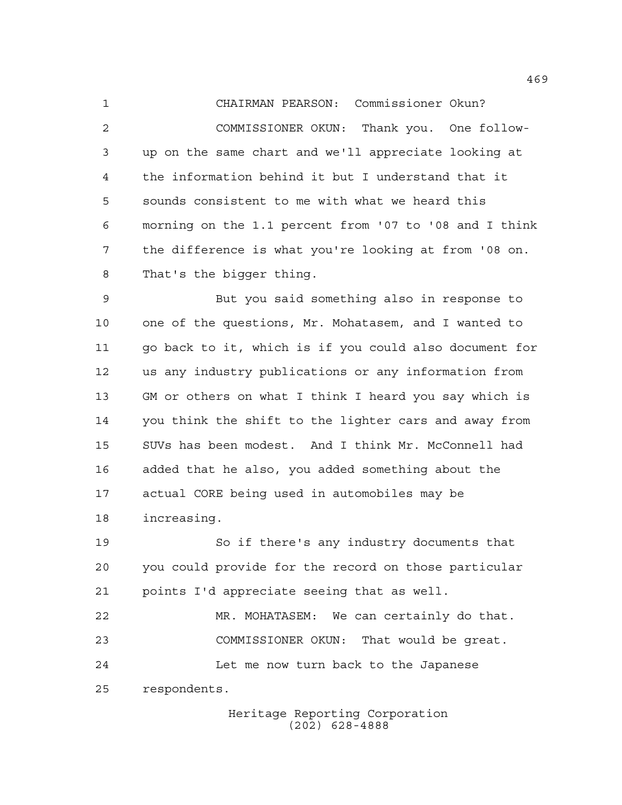CHAIRMAN PEARSON: Commissioner Okun? COMMISSIONER OKUN: Thank you. One follow- up on the same chart and we'll appreciate looking at the information behind it but I understand that it sounds consistent to me with what we heard this morning on the 1.1 percent from '07 to '08 and I think the difference is what you're looking at from '08 on. That's the bigger thing.

 But you said something also in response to one of the questions, Mr. Mohatasem, and I wanted to go back to it, which is if you could also document for us any industry publications or any information from GM or others on what I think I heard you say which is you think the shift to the lighter cars and away from SUVs has been modest. And I think Mr. McConnell had added that he also, you added something about the actual CORE being used in automobiles may be increasing.

 So if there's any industry documents that you could provide for the record on those particular points I'd appreciate seeing that as well.

 MR. MOHATASEM: We can certainly do that. COMMISSIONER OKUN: That would be great. Let me now turn back to the Japanese respondents.

> Heritage Reporting Corporation (202) 628-4888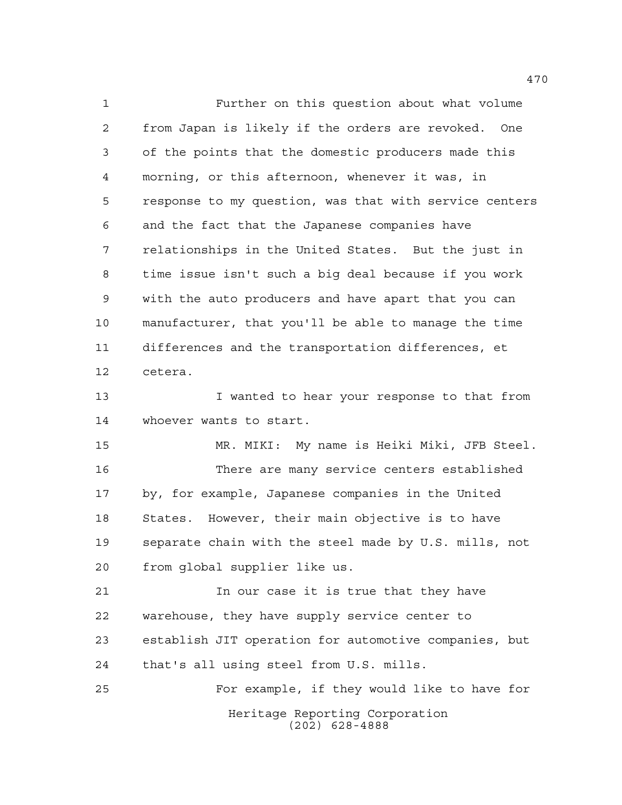Further on this question about what volume from Japan is likely if the orders are revoked. One of the points that the domestic producers made this morning, or this afternoon, whenever it was, in response to my question, was that with service centers and the fact that the Japanese companies have relationships in the United States. But the just in time issue isn't such a big deal because if you work with the auto producers and have apart that you can manufacturer, that you'll be able to manage the time differences and the transportation differences, et cetera. I wanted to hear your response to that from whoever wants to start. MR. MIKI: My name is Heiki Miki, JFB Steel. There are many service centers established by, for example, Japanese companies in the United States. However, their main objective is to have separate chain with the steel made by U.S. mills, not

from global supplier like us.

 In our case it is true that they have warehouse, they have supply service center to establish JIT operation for automotive companies, but that's all using steel from U.S. mills.

Heritage Reporting Corporation (202) 628-4888 For example, if they would like to have for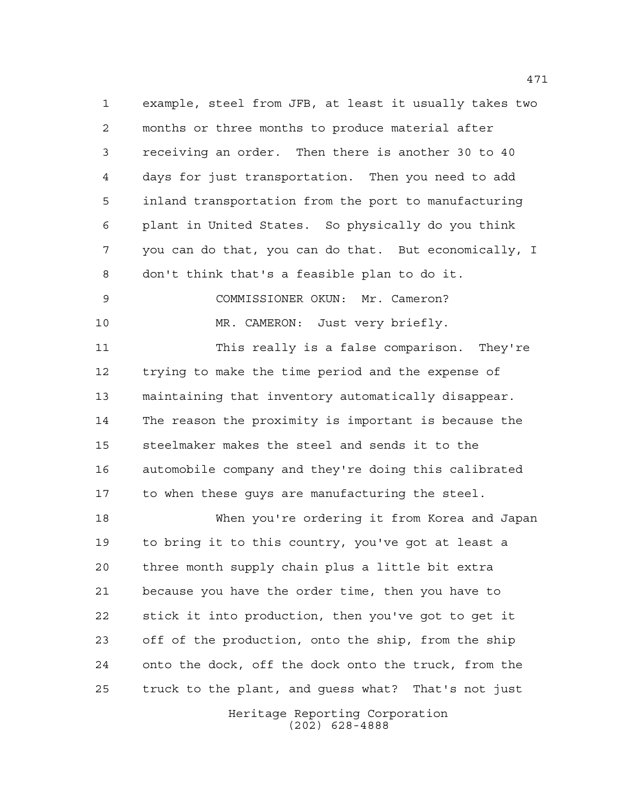example, steel from JFB, at least it usually takes two months or three months to produce material after receiving an order. Then there is another 30 to 40 days for just transportation. Then you need to add inland transportation from the port to manufacturing plant in United States. So physically do you think you can do that, you can do that. But economically, I don't think that's a feasible plan to do it. COMMISSIONER OKUN: Mr. Cameron?

MR. CAMERON: Just very briefly.

 This really is a false comparison. They're trying to make the time period and the expense of maintaining that inventory automatically disappear. The reason the proximity is important is because the steelmaker makes the steel and sends it to the automobile company and they're doing this calibrated to when these guys are manufacturing the steel.

 When you're ordering it from Korea and Japan to bring it to this country, you've got at least a three month supply chain plus a little bit extra because you have the order time, then you have to stick it into production, then you've got to get it off of the production, onto the ship, from the ship onto the dock, off the dock onto the truck, from the truck to the plant, and guess what? That's not just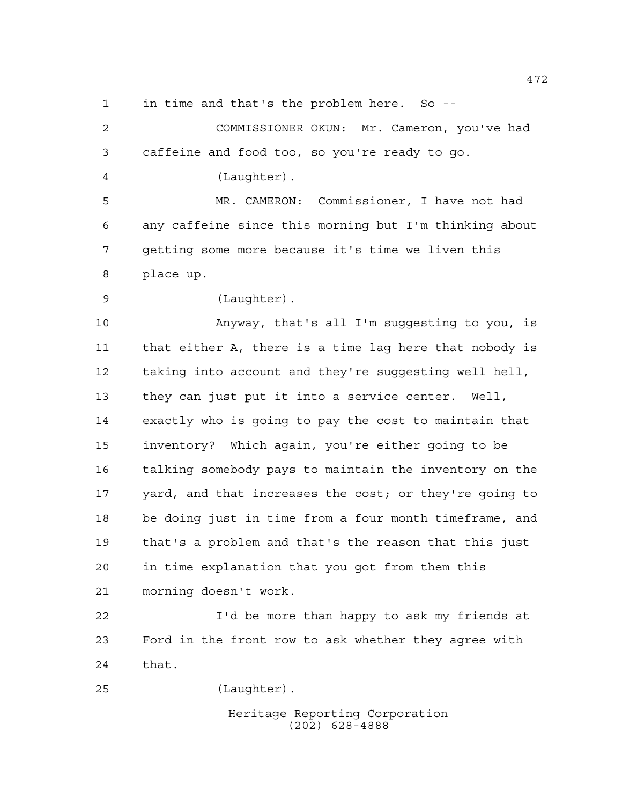in time and that's the problem here. So --

 COMMISSIONER OKUN: Mr. Cameron, you've had caffeine and food too, so you're ready to go. (Laughter). MR. CAMERON: Commissioner, I have not had any caffeine since this morning but I'm thinking about getting some more because it's time we liven this place up. (Laughter). Anyway, that's all I'm suggesting to you, is that either A, there is a time lag here that nobody is taking into account and they're suggesting well hell, they can just put it into a service center. Well, exactly who is going to pay the cost to maintain that inventory? Which again, you're either going to be talking somebody pays to maintain the inventory on the yard, and that increases the cost; or they're going to be doing just in time from a four month timeframe, and that's a problem and that's the reason that this just in time explanation that you got from them this morning doesn't work.

 I'd be more than happy to ask my friends at Ford in the front row to ask whether they agree with that.

(Laughter).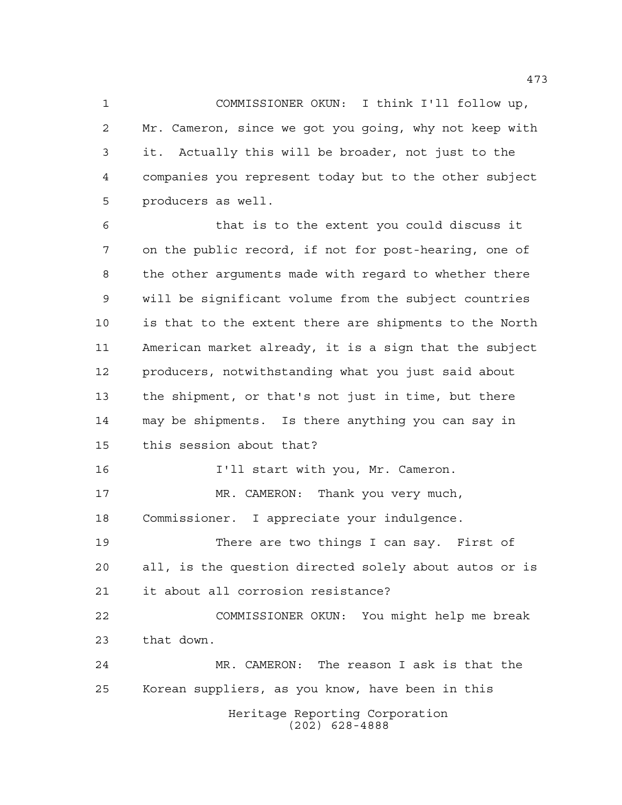COMMISSIONER OKUN: I think I'll follow up, Mr. Cameron, since we got you going, why not keep with it. Actually this will be broader, not just to the companies you represent today but to the other subject producers as well.

 that is to the extent you could discuss it on the public record, if not for post-hearing, one of the other arguments made with regard to whether there will be significant volume from the subject countries is that to the extent there are shipments to the North American market already, it is a sign that the subject producers, notwithstanding what you just said about the shipment, or that's not just in time, but there may be shipments. Is there anything you can say in this session about that? I'll start with you, Mr. Cameron. MR. CAMERON: Thank you very much,

Commissioner. I appreciate your indulgence.

 There are two things I can say. First of all, is the question directed solely about autos or is it about all corrosion resistance?

 COMMISSIONER OKUN: You might help me break that down.

Heritage Reporting Corporation (202) 628-4888 MR. CAMERON: The reason I ask is that the Korean suppliers, as you know, have been in this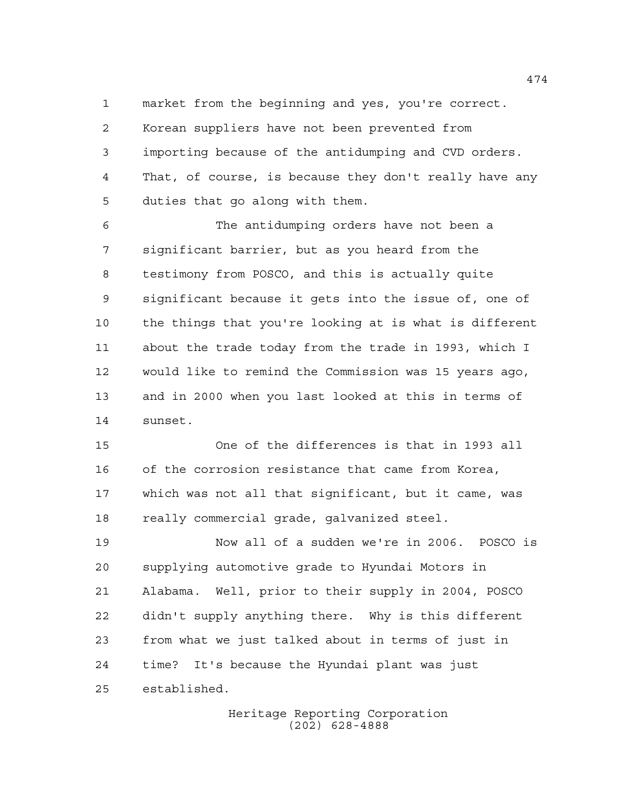market from the beginning and yes, you're correct.

 Korean suppliers have not been prevented from importing because of the antidumping and CVD orders. That, of course, is because they don't really have any duties that go along with them.

 The antidumping orders have not been a significant barrier, but as you heard from the testimony from POSCO, and this is actually quite significant because it gets into the issue of, one of the things that you're looking at is what is different about the trade today from the trade in 1993, which I would like to remind the Commission was 15 years ago, and in 2000 when you last looked at this in terms of sunset.

 One of the differences is that in 1993 all of the corrosion resistance that came from Korea, which was not all that significant, but it came, was really commercial grade, galvanized steel.

 Now all of a sudden we're in 2006. POSCO is supplying automotive grade to Hyundai Motors in Alabama. Well, prior to their supply in 2004, POSCO didn't supply anything there. Why is this different from what we just talked about in terms of just in time? It's because the Hyundai plant was just established.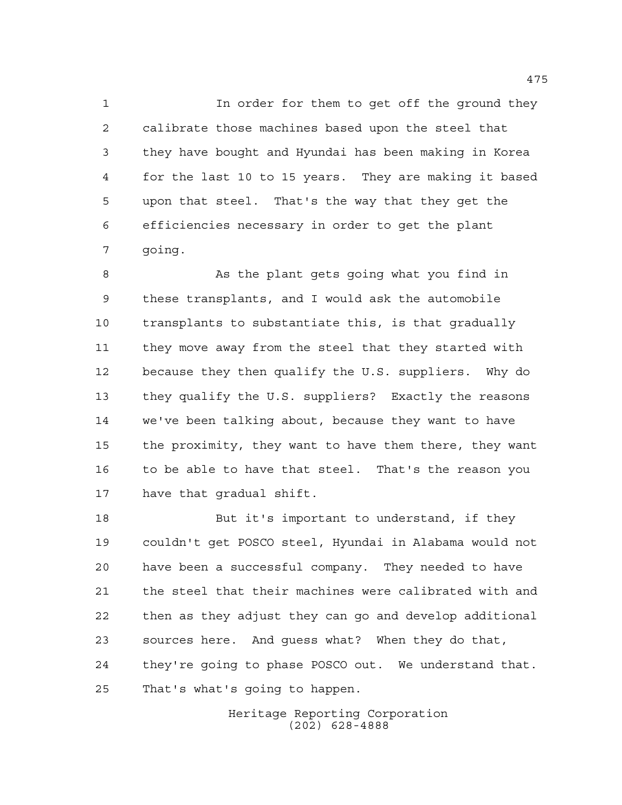In order for them to get off the ground they calibrate those machines based upon the steel that they have bought and Hyundai has been making in Korea for the last 10 to 15 years. They are making it based upon that steel. That's the way that they get the efficiencies necessary in order to get the plant going.

 As the plant gets going what you find in these transplants, and I would ask the automobile transplants to substantiate this, is that gradually they move away from the steel that they started with because they then qualify the U.S. suppliers. Why do they qualify the U.S. suppliers? Exactly the reasons we've been talking about, because they want to have the proximity, they want to have them there, they want to be able to have that steel. That's the reason you have that gradual shift.

18 But it's important to understand, if they couldn't get POSCO steel, Hyundai in Alabama would not have been a successful company. They needed to have the steel that their machines were calibrated with and then as they adjust they can go and develop additional sources here. And guess what? When they do that, they're going to phase POSCO out. We understand that. That's what's going to happen.

> Heritage Reporting Corporation (202) 628-4888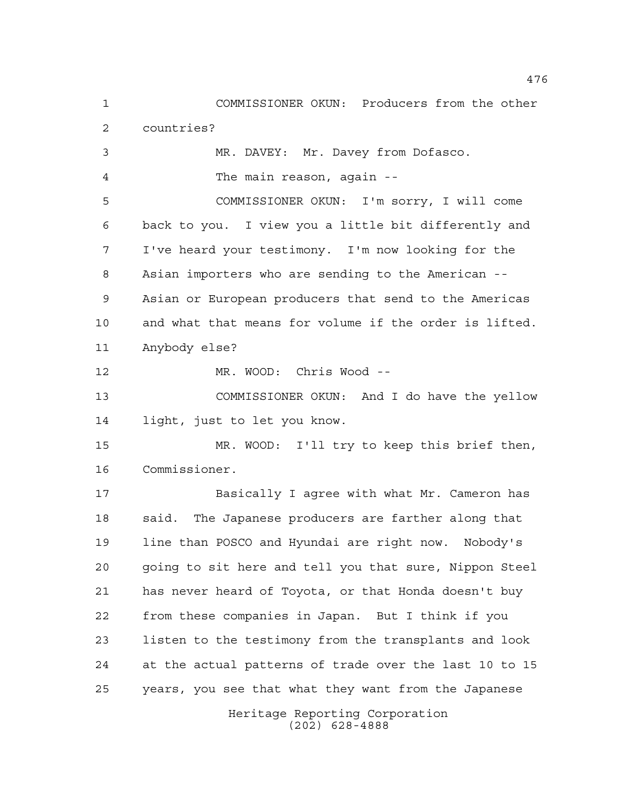COMMISSIONER OKUN: Producers from the other countries?

 MR. DAVEY: Mr. Davey from Dofasco. The main reason, again --

 COMMISSIONER OKUN: I'm sorry, I will come back to you. I view you a little bit differently and I've heard your testimony. I'm now looking for the Asian importers who are sending to the American -- Asian or European producers that send to the Americas and what that means for volume if the order is lifted. Anybody else?

MR. WOOD: Chris Wood --

 COMMISSIONER OKUN: And I do have the yellow light, just to let you know.

 MR. WOOD: I'll try to keep this brief then, Commissioner.

 Basically I agree with what Mr. Cameron has said. The Japanese producers are farther along that line than POSCO and Hyundai are right now. Nobody's going to sit here and tell you that sure, Nippon Steel has never heard of Toyota, or that Honda doesn't buy from these companies in Japan. But I think if you listen to the testimony from the transplants and look at the actual patterns of trade over the last 10 to 15 years, you see that what they want from the Japanese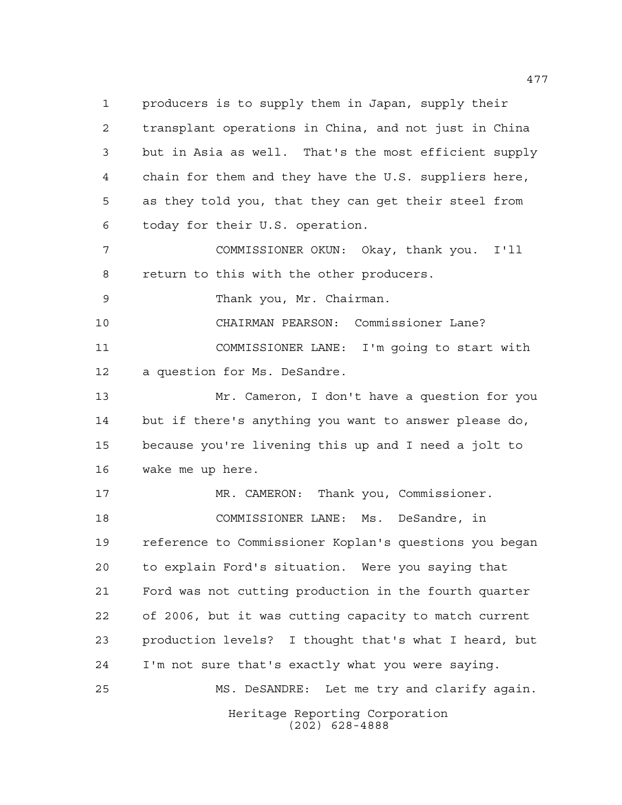producers is to supply them in Japan, supply their transplant operations in China, and not just in China but in Asia as well. That's the most efficient supply chain for them and they have the U.S. suppliers here, as they told you, that they can get their steel from today for their U.S. operation.

 COMMISSIONER OKUN: Okay, thank you. I'll return to this with the other producers.

Thank you, Mr. Chairman.

 CHAIRMAN PEARSON: Commissioner Lane? COMMISSIONER LANE: I'm going to start with a question for Ms. DeSandre.

 Mr. Cameron, I don't have a question for you but if there's anything you want to answer please do, because you're livening this up and I need a jolt to wake me up here.

 MR. CAMERON: Thank you, Commissioner. COMMISSIONER LANE: Ms. DeSandre, in reference to Commissioner Koplan's questions you began to explain Ford's situation. Were you saying that Ford was not cutting production in the fourth quarter of 2006, but it was cutting capacity to match current production levels? I thought that's what I heard, but I'm not sure that's exactly what you were saying. MS. DeSANDRE: Let me try and clarify again.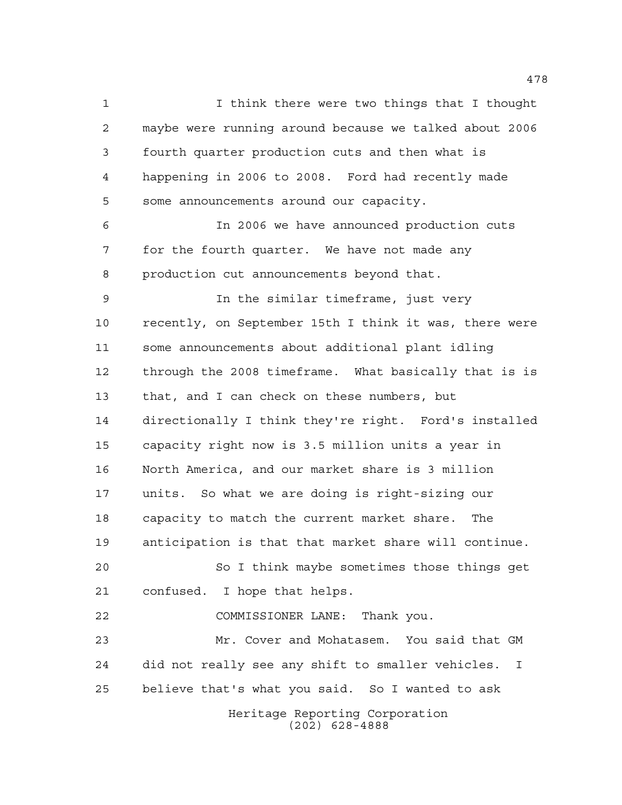I think there were two things that I thought maybe were running around because we talked about 2006 fourth quarter production cuts and then what is happening in 2006 to 2008. Ford had recently made some announcements around our capacity. In 2006 we have announced production cuts for the fourth quarter. We have not made any production cut announcements beyond that. In the similar timeframe, just very recently, on September 15th I think it was, there were some announcements about additional plant idling through the 2008 timeframe. What basically that is is that, and I can check on these numbers, but directionally I think they're right. Ford's installed capacity right now is 3.5 million units a year in North America, and our market share is 3 million units. So what we are doing is right-sizing our capacity to match the current market share. The anticipation is that that market share will continue. So I think maybe sometimes those things get

confused. I hope that helps.

COMMISSIONER LANE: Thank you.

 Mr. Cover and Mohatasem. You said that GM did not really see any shift to smaller vehicles. I believe that's what you said. So I wanted to ask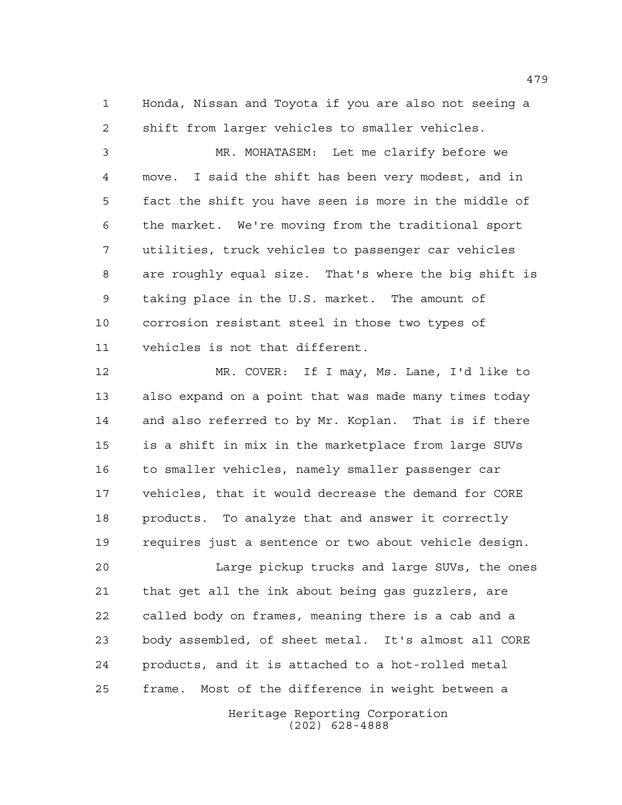Honda, Nissan and Toyota if you are also not seeing a shift from larger vehicles to smaller vehicles.

 MR. MOHATASEM: Let me clarify before we move. I said the shift has been very modest, and in fact the shift you have seen is more in the middle of the market. We're moving from the traditional sport utilities, truck vehicles to passenger car vehicles are roughly equal size. That's where the big shift is taking place in the U.S. market. The amount of corrosion resistant steel in those two types of vehicles is not that different.

 MR. COVER: If I may, Ms. Lane, I'd like to also expand on a point that was made many times today and also referred to by Mr. Koplan. That is if there is a shift in mix in the marketplace from large SUVs to smaller vehicles, namely smaller passenger car vehicles, that it would decrease the demand for CORE products. To analyze that and answer it correctly requires just a sentence or two about vehicle design.

Heritage Reporting Corporation Large pickup trucks and large SUVs, the ones that get all the ink about being gas guzzlers, are called body on frames, meaning there is a cab and a body assembled, of sheet metal. It's almost all CORE products, and it is attached to a hot-rolled metal frame. Most of the difference in weight between a

(202) 628-4888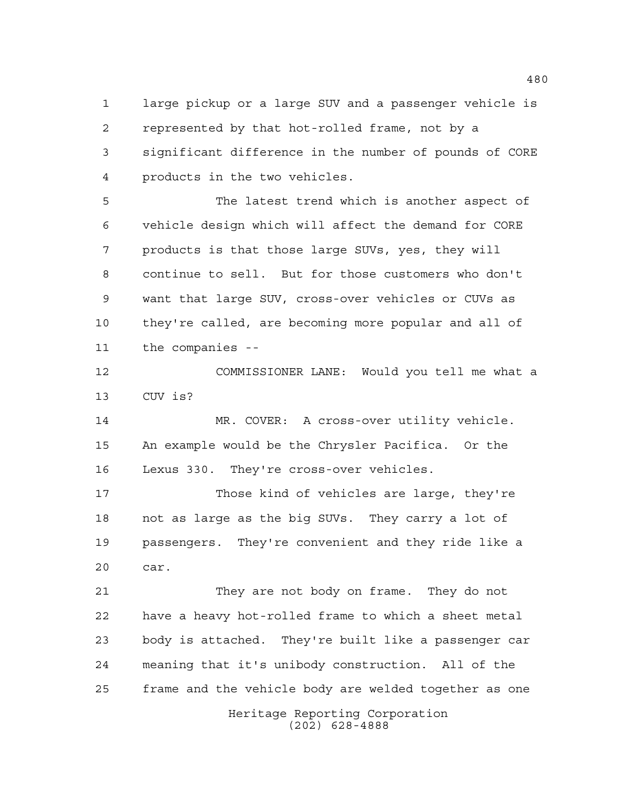large pickup or a large SUV and a passenger vehicle is represented by that hot-rolled frame, not by a significant difference in the number of pounds of CORE products in the two vehicles.

 The latest trend which is another aspect of vehicle design which will affect the demand for CORE products is that those large SUVs, yes, they will continue to sell. But for those customers who don't want that large SUV, cross-over vehicles or CUVs as they're called, are becoming more popular and all of the companies --

 COMMISSIONER LANE: Would you tell me what a CUV is?

 MR. COVER: A cross-over utility vehicle. An example would be the Chrysler Pacifica. Or the Lexus 330. They're cross-over vehicles.

 Those kind of vehicles are large, they're not as large as the big SUVs. They carry a lot of passengers. They're convenient and they ride like a car.

Heritage Reporting Corporation They are not body on frame. They do not have a heavy hot-rolled frame to which a sheet metal body is attached. They're built like a passenger car meaning that it's unibody construction. All of the frame and the vehicle body are welded together as one

(202) 628-4888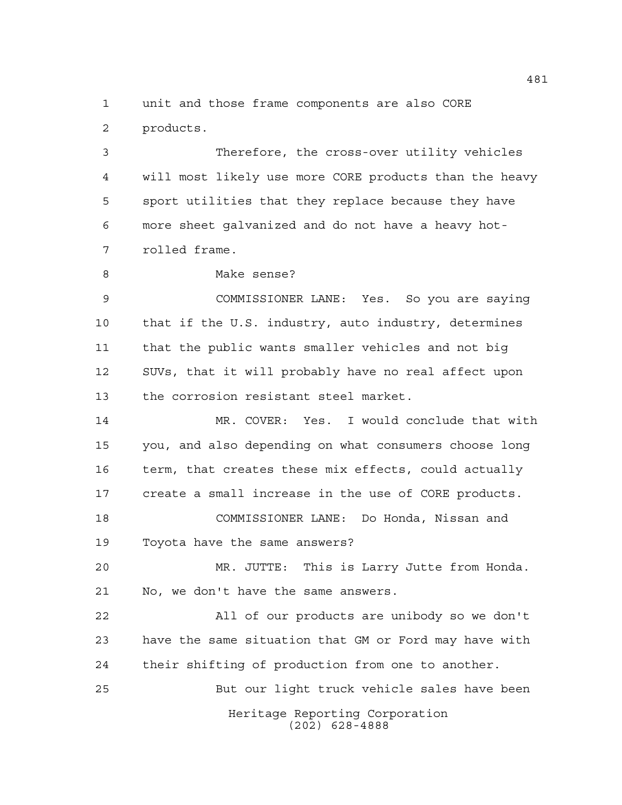unit and those frame components are also CORE products.

 Therefore, the cross-over utility vehicles will most likely use more CORE products than the heavy sport utilities that they replace because they have more sheet galvanized and do not have a heavy hot-rolled frame.

Make sense?

 COMMISSIONER LANE: Yes. So you are saying that if the U.S. industry, auto industry, determines that the public wants smaller vehicles and not big SUVs, that it will probably have no real affect upon the corrosion resistant steel market.

 MR. COVER: Yes. I would conclude that with you, and also depending on what consumers choose long term, that creates these mix effects, could actually create a small increase in the use of CORE products. COMMISSIONER LANE: Do Honda, Nissan and

Toyota have the same answers?

 MR. JUTTE: This is Larry Jutte from Honda. No, we don't have the same answers.

 All of our products are unibody so we don't have the same situation that GM or Ford may have with their shifting of production from one to another.

But our light truck vehicle sales have been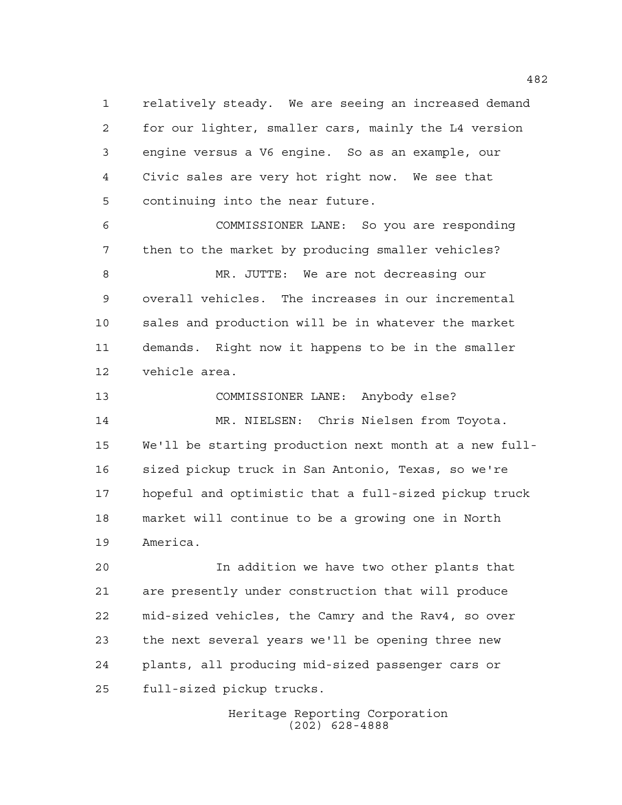relatively steady. We are seeing an increased demand for our lighter, smaller cars, mainly the L4 version engine versus a V6 engine. So as an example, our Civic sales are very hot right now. We see that continuing into the near future.

 COMMISSIONER LANE: So you are responding then to the market by producing smaller vehicles? MR. JUTTE: We are not decreasing our overall vehicles. The increases in our incremental sales and production will be in whatever the market demands. Right now it happens to be in the smaller

vehicle area.

 COMMISSIONER LANE: Anybody else? MR. NIELSEN: Chris Nielsen from Toyota. We'll be starting production next month at a new full- sized pickup truck in San Antonio, Texas, so we're hopeful and optimistic that a full-sized pickup truck market will continue to be a growing one in North America.

 In addition we have two other plants that are presently under construction that will produce mid-sized vehicles, the Camry and the Rav4, so over the next several years we'll be opening three new plants, all producing mid-sized passenger cars or full-sized pickup trucks.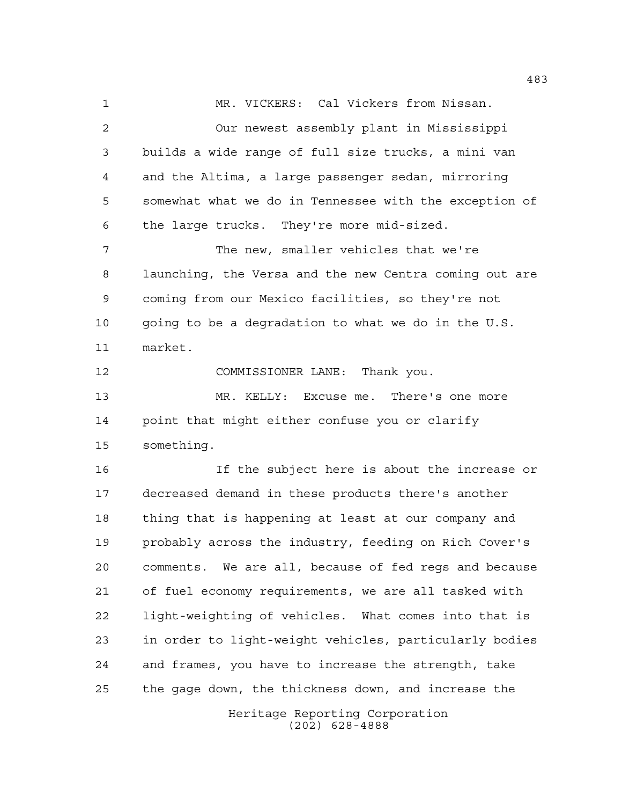MR. VICKERS: Cal Vickers from Nissan. Our newest assembly plant in Mississippi builds a wide range of full size trucks, a mini van and the Altima, a large passenger sedan, mirroring somewhat what we do in Tennessee with the exception of the large trucks. They're more mid-sized. The new, smaller vehicles that we're launching, the Versa and the new Centra coming out are coming from our Mexico facilities, so they're not going to be a degradation to what we do in the U.S. market. COMMISSIONER LANE: Thank you. MR. KELLY: Excuse me. There's one more point that might either confuse you or clarify something. If the subject here is about the increase or decreased demand in these products there's another thing that is happening at least at our company and probably across the industry, feeding on Rich Cover's comments. We are all, because of fed regs and because of fuel economy requirements, we are all tasked with

 in order to light-weight vehicles, particularly bodies and frames, you have to increase the strength, take the gage down, the thickness down, and increase the

light-weighting of vehicles. What comes into that is

Heritage Reporting Corporation (202) 628-4888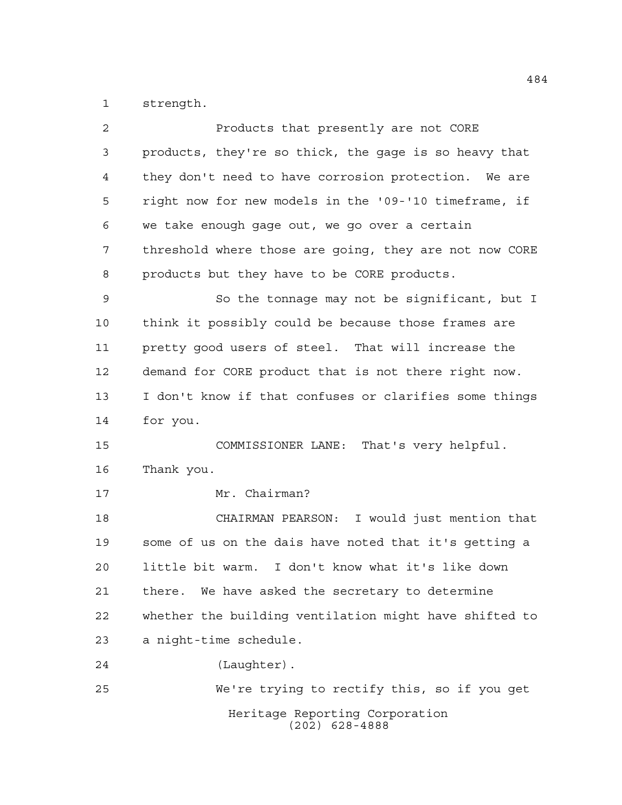strength.

| 2  | Products that presently are not CORE                   |
|----|--------------------------------------------------------|
| 3  | products, they're so thick, the gage is so heavy that  |
| 4  | they don't need to have corrosion protection. We are   |
| 5  | right now for new models in the '09-'10 timeframe, if  |
| 6  | we take enough gage out, we go over a certain          |
| 7  | threshold where those are going, they are not now CORE |
| 8  | products but they have to be CORE products.            |
| 9  | So the tonnage may not be significant, but I           |
| 10 | think it possibly could be because those frames are    |
| 11 | pretty good users of steel. That will increase the     |
| 12 | demand for CORE product that is not there right now.   |
| 13 | I don't know if that confuses or clarifies some things |
|    |                                                        |
| 14 | for you.                                               |
| 15 | COMMISSIONER LANE: That's very helpful.                |
| 16 | Thank you.                                             |
| 17 | Mr. Chairman?                                          |
| 18 | CHAIRMAN PEARSON: I would just mention that            |
| 19 | some of us on the dais have noted that it's getting a  |
| 20 | little bit warm.<br>I don't know what it's like down   |
| 21 | there. We have asked the secretary to determine        |
| 22 | whether the building ventilation might have shifted to |
| 23 | a night-time schedule.                                 |
| 24 | (Laughter).                                            |
| 25 | We're trying to rectify this, so if you get            |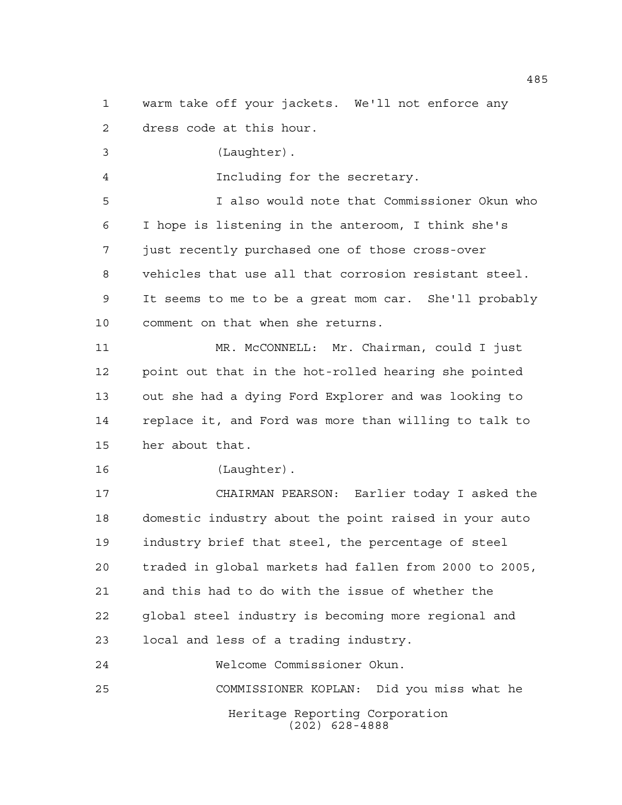warm take off your jackets. We'll not enforce any

dress code at this hour.

(Laughter).

Including for the secretary.

 I also would note that Commissioner Okun who I hope is listening in the anteroom, I think she's just recently purchased one of those cross-over vehicles that use all that corrosion resistant steel. It seems to me to be a great mom car. She'll probably comment on that when she returns.

 MR. McCONNELL: Mr. Chairman, could I just point out that in the hot-rolled hearing she pointed out she had a dying Ford Explorer and was looking to replace it, and Ford was more than willing to talk to her about that.

```
16 (Laughter).
```
 CHAIRMAN PEARSON: Earlier today I asked the domestic industry about the point raised in your auto industry brief that steel, the percentage of steel traded in global markets had fallen from 2000 to 2005, and this had to do with the issue of whether the global steel industry is becoming more regional and local and less of a trading industry.

Heritage Reporting Corporation (202) 628-4888 Welcome Commissioner Okun. COMMISSIONER KOPLAN: Did you miss what he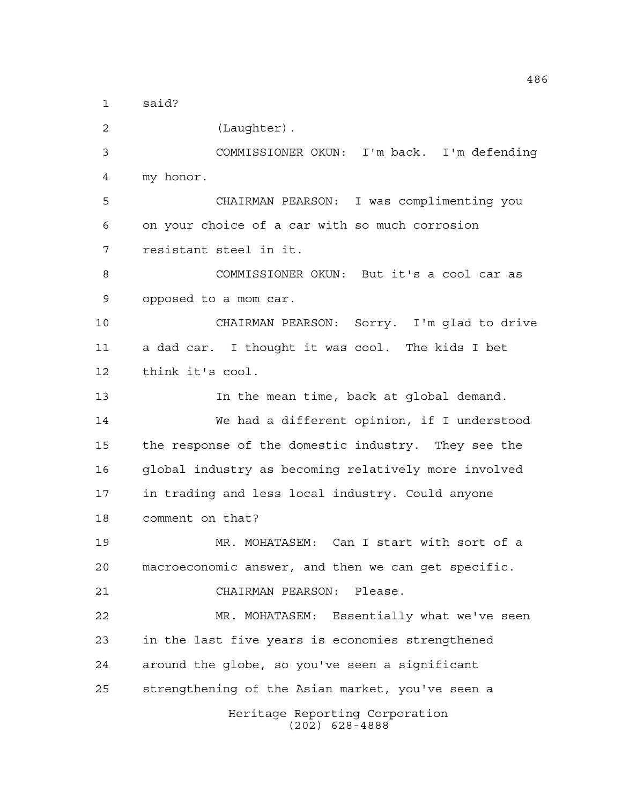said?

Heritage Reporting Corporation (202) 628-4888 (Laughter). COMMISSIONER OKUN: I'm back. I'm defending my honor. CHAIRMAN PEARSON: I was complimenting you on your choice of a car with so much corrosion resistant steel in it. COMMISSIONER OKUN: But it's a cool car as opposed to a mom car. CHAIRMAN PEARSON: Sorry. I'm glad to drive a dad car. I thought it was cool. The kids I bet think it's cool. In the mean time, back at global demand. We had a different opinion, if I understood the response of the domestic industry. They see the global industry as becoming relatively more involved in trading and less local industry. Could anyone comment on that? MR. MOHATASEM: Can I start with sort of a macroeconomic answer, and then we can get specific. CHAIRMAN PEARSON: Please. MR. MOHATASEM: Essentially what we've seen in the last five years is economies strengthened around the globe, so you've seen a significant strengthening of the Asian market, you've seen a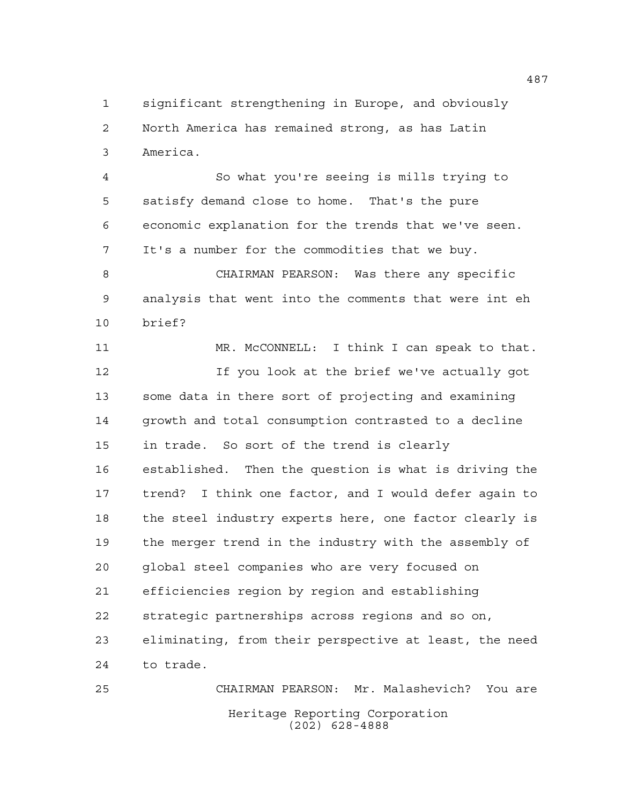significant strengthening in Europe, and obviously North America has remained strong, as has Latin America.

 So what you're seeing is mills trying to satisfy demand close to home. That's the pure economic explanation for the trends that we've seen. It's a number for the commodities that we buy.

 CHAIRMAN PEARSON: Was there any specific analysis that went into the comments that were int eh brief?

 MR. McCONNELL: I think I can speak to that. If you look at the brief we've actually got some data in there sort of projecting and examining growth and total consumption contrasted to a decline in trade. So sort of the trend is clearly established. Then the question is what is driving the trend? I think one factor, and I would defer again to the steel industry experts here, one factor clearly is the merger trend in the industry with the assembly of global steel companies who are very focused on efficiencies region by region and establishing strategic partnerships across regions and so on, eliminating, from their perspective at least, the need to trade.

Heritage Reporting Corporation (202) 628-4888 CHAIRMAN PEARSON: Mr. Malashevich? You are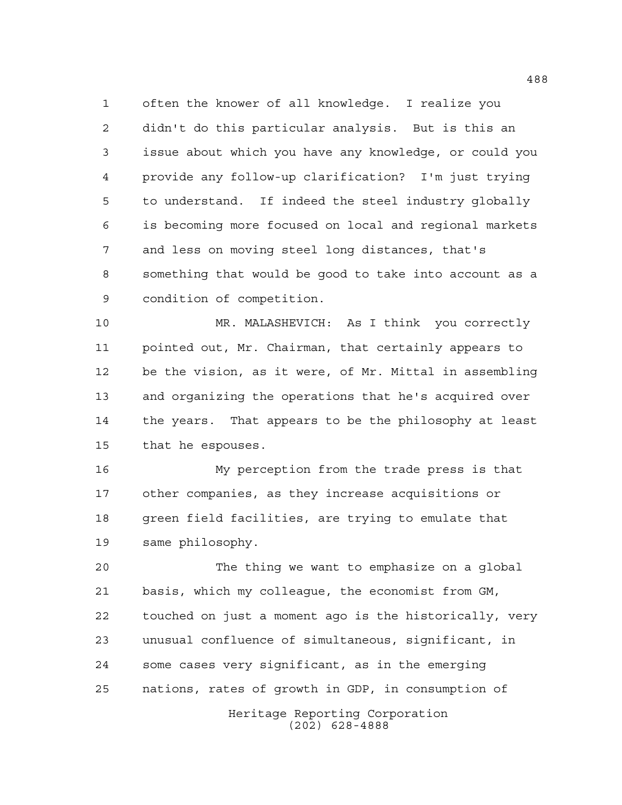often the knower of all knowledge. I realize you didn't do this particular analysis. But is this an issue about which you have any knowledge, or could you provide any follow-up clarification? I'm just trying to understand. If indeed the steel industry globally is becoming more focused on local and regional markets and less on moving steel long distances, that's something that would be good to take into account as a condition of competition.

 MR. MALASHEVICH: As I think you correctly pointed out, Mr. Chairman, that certainly appears to be the vision, as it were, of Mr. Mittal in assembling and organizing the operations that he's acquired over the years. That appears to be the philosophy at least that he espouses.

 My perception from the trade press is that other companies, as they increase acquisitions or green field facilities, are trying to emulate that same philosophy.

 The thing we want to emphasize on a global basis, which my colleague, the economist from GM, touched on just a moment ago is the historically, very unusual confluence of simultaneous, significant, in some cases very significant, as in the emerging nations, rates of growth in GDP, in consumption of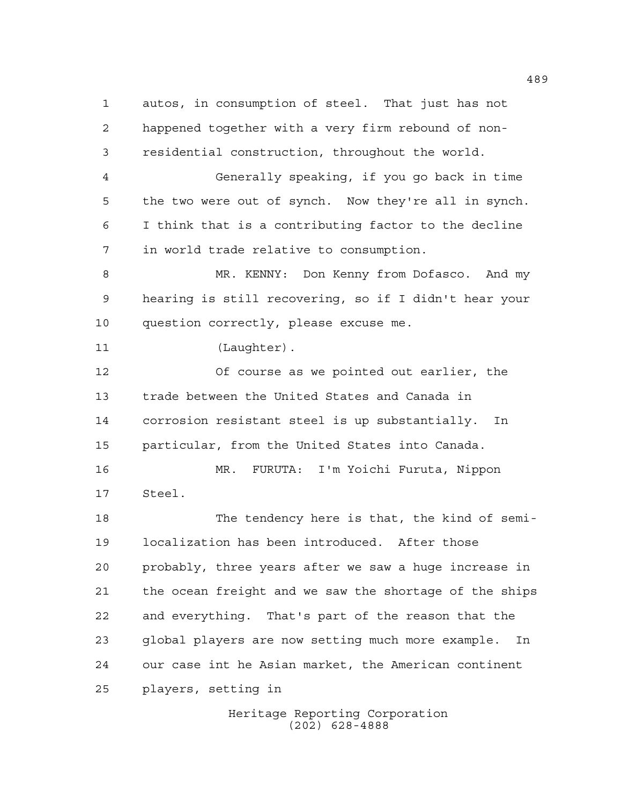autos, in consumption of steel. That just has not happened together with a very firm rebound of non- residential construction, throughout the world. Generally speaking, if you go back in time the two were out of synch. Now they're all in synch. I think that is a contributing factor to the decline in world trade relative to consumption. MR. KENNY: Don Kenny from Dofasco. And my hearing is still recovering, so if I didn't hear your question correctly, please excuse me. 11 (Laughter). Of course as we pointed out earlier, the trade between the United States and Canada in corrosion resistant steel is up substantially. In particular, from the United States into Canada. MR. FURUTA: I'm Yoichi Furuta, Nippon Steel. The tendency here is that, the kind of semi- localization has been introduced. After those probably, three years after we saw a huge increase in the ocean freight and we saw the shortage of the ships and everything. That's part of the reason that the global players are now setting much more example. In our case int he Asian market, the American continent players, setting in

> Heritage Reporting Corporation (202) 628-4888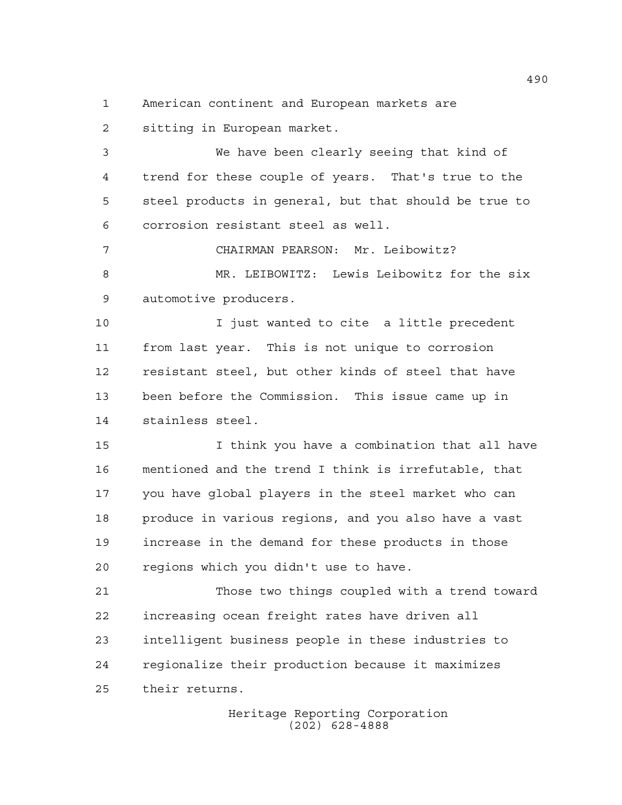American continent and European markets are

sitting in European market.

 We have been clearly seeing that kind of trend for these couple of years. That's true to the steel products in general, but that should be true to corrosion resistant steel as well.

 CHAIRMAN PEARSON: Mr. Leibowitz? MR. LEIBOWITZ: Lewis Leibowitz for the six automotive producers.

 I just wanted to cite a little precedent from last year. This is not unique to corrosion resistant steel, but other kinds of steel that have been before the Commission. This issue came up in stainless steel.

 I think you have a combination that all have mentioned and the trend I think is irrefutable, that you have global players in the steel market who can produce in various regions, and you also have a vast increase in the demand for these products in those regions which you didn't use to have.

 Those two things coupled with a trend toward increasing ocean freight rates have driven all intelligent business people in these industries to regionalize their production because it maximizes their returns.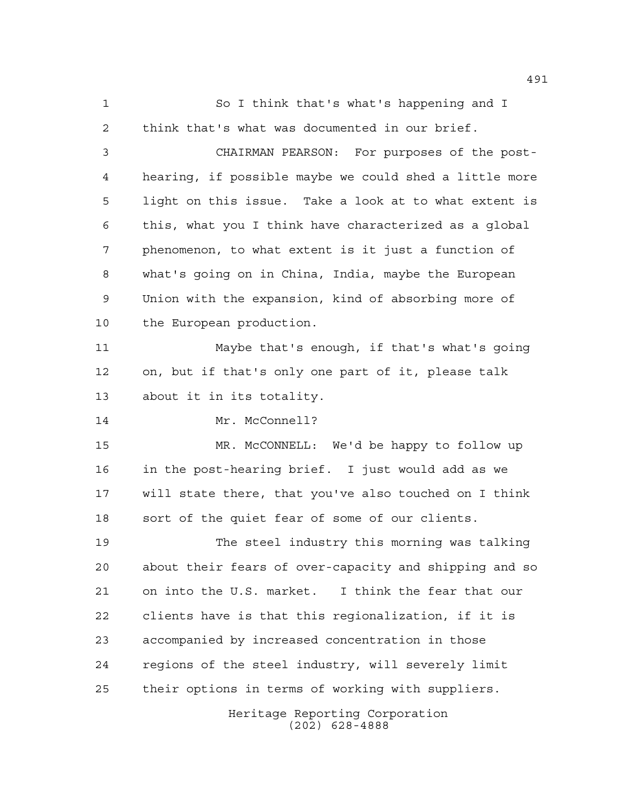Heritage Reporting Corporation (202) 628-4888 So I think that's what's happening and I think that's what was documented in our brief. CHAIRMAN PEARSON: For purposes of the post- hearing, if possible maybe we could shed a little more light on this issue. Take a look at to what extent is this, what you I think have characterized as a global phenomenon, to what extent is it just a function of what's going on in China, India, maybe the European Union with the expansion, kind of absorbing more of the European production. Maybe that's enough, if that's what's going on, but if that's only one part of it, please talk about it in its totality. 14 Mr. McConnell? MR. McCONNELL: We'd be happy to follow up in the post-hearing brief. I just would add as we will state there, that you've also touched on I think sort of the quiet fear of some of our clients. The steel industry this morning was talking about their fears of over-capacity and shipping and so on into the U.S. market. I think the fear that our clients have is that this regionalization, if it is accompanied by increased concentration in those regions of the steel industry, will severely limit their options in terms of working with suppliers.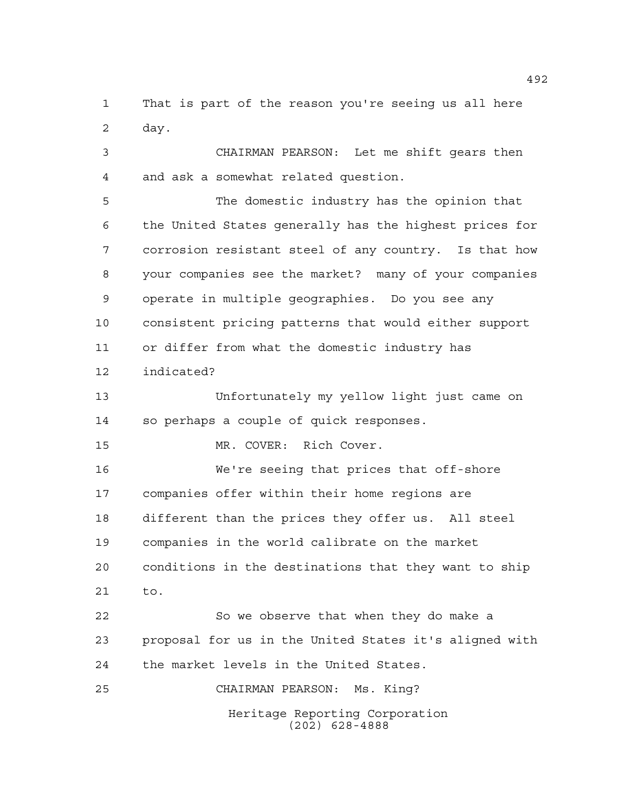That is part of the reason you're seeing us all here day.

 CHAIRMAN PEARSON: Let me shift gears then and ask a somewhat related question.

 The domestic industry has the opinion that the United States generally has the highest prices for corrosion resistant steel of any country. Is that how your companies see the market? many of your companies operate in multiple geographies. Do you see any consistent pricing patterns that would either support or differ from what the domestic industry has indicated?

 Unfortunately my yellow light just came on so perhaps a couple of quick responses.

MR. COVER: Rich Cover.

 We're seeing that prices that off-shore companies offer within their home regions are different than the prices they offer us. All steel companies in the world calibrate on the market conditions in the destinations that they want to ship to. So we observe that when they do make a

 proposal for us in the United States it's aligned with the market levels in the United States.

CHAIRMAN PEARSON: Ms. King?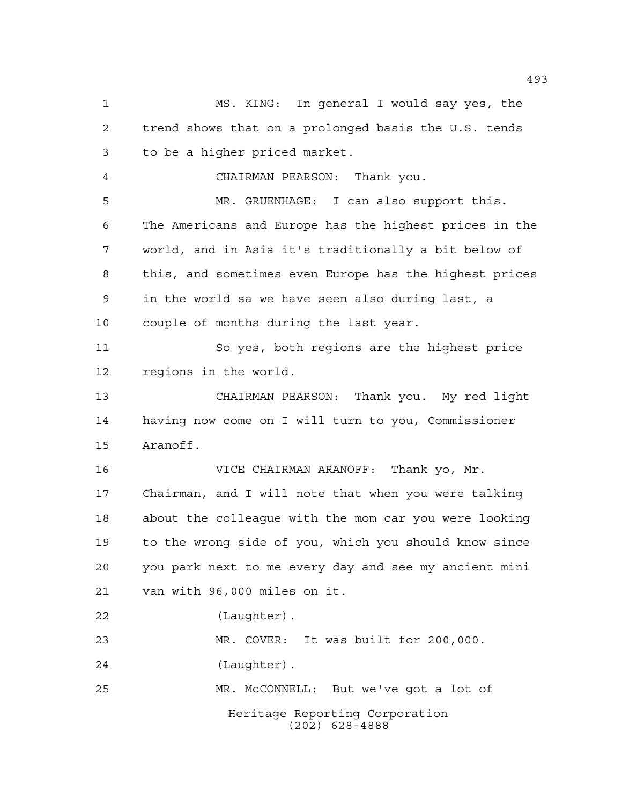Heritage Reporting Corporation (202) 628-4888 MS. KING: In general I would say yes, the trend shows that on a prolonged basis the U.S. tends to be a higher priced market. CHAIRMAN PEARSON: Thank you. MR. GRUENHAGE: I can also support this. The Americans and Europe has the highest prices in the world, and in Asia it's traditionally a bit below of this, and sometimes even Europe has the highest prices in the world sa we have seen also during last, a couple of months during the last year. So yes, both regions are the highest price regions in the world. CHAIRMAN PEARSON: Thank you. My red light having now come on I will turn to you, Commissioner Aranoff. VICE CHAIRMAN ARANOFF: Thank yo, Mr. Chairman, and I will note that when you were talking about the colleague with the mom car you were looking to the wrong side of you, which you should know since you park next to me every day and see my ancient mini van with 96,000 miles on it. (Laughter). MR. COVER: It was built for 200,000. (Laughter). MR. McCONNELL: But we've got a lot of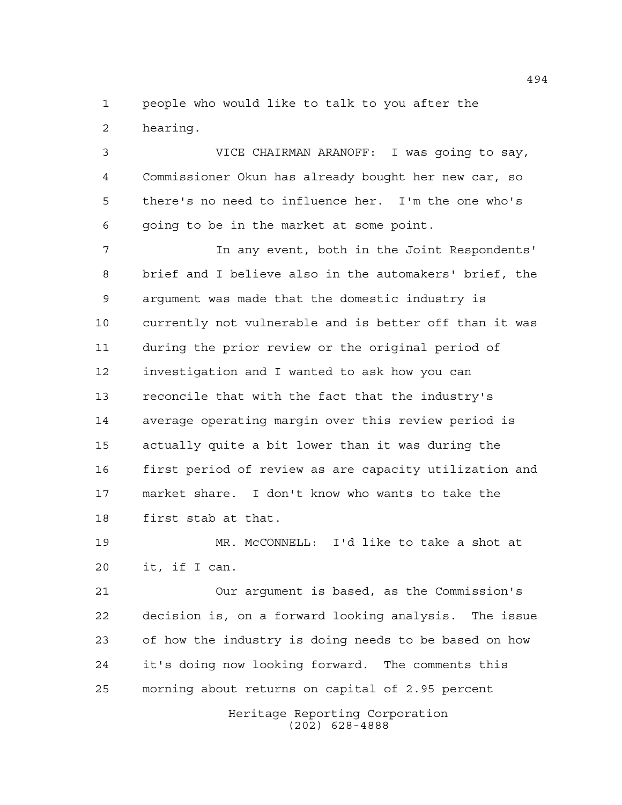people who would like to talk to you after the hearing.

 VICE CHAIRMAN ARANOFF: I was going to say, Commissioner Okun has already bought her new car, so there's no need to influence her. I'm the one who's going to be in the market at some point.

 In any event, both in the Joint Respondents' brief and I believe also in the automakers' brief, the argument was made that the domestic industry is currently not vulnerable and is better off than it was during the prior review or the original period of investigation and I wanted to ask how you can reconcile that with the fact that the industry's average operating margin over this review period is actually quite a bit lower than it was during the first period of review as are capacity utilization and market share. I don't know who wants to take the first stab at that.

 MR. McCONNELL: I'd like to take a shot at it, if I can.

 Our argument is based, as the Commission's decision is, on a forward looking analysis. The issue of how the industry is doing needs to be based on how it's doing now looking forward. The comments this morning about returns on capital of 2.95 percent

> Heritage Reporting Corporation (202) 628-4888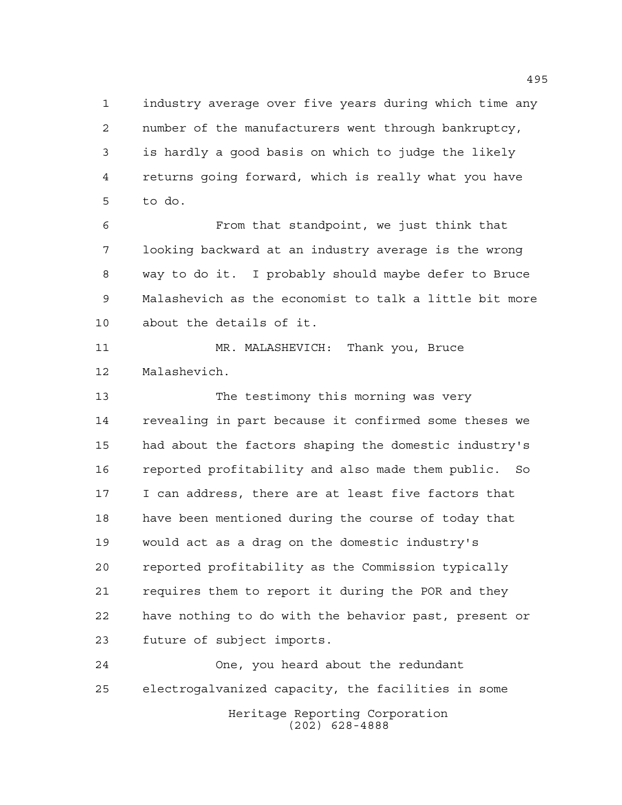industry average over five years during which time any number of the manufacturers went through bankruptcy, is hardly a good basis on which to judge the likely returns going forward, which is really what you have to do.

 From that standpoint, we just think that looking backward at an industry average is the wrong way to do it. I probably should maybe defer to Bruce Malashevich as the economist to talk a little bit more about the details of it.

 MR. MALASHEVICH: Thank you, Bruce Malashevich.

 The testimony this morning was very revealing in part because it confirmed some theses we had about the factors shaping the domestic industry's reported profitability and also made them public. So I can address, there are at least five factors that have been mentioned during the course of today that would act as a drag on the domestic industry's reported profitability as the Commission typically requires them to report it during the POR and they have nothing to do with the behavior past, present or future of subject imports.

Heritage Reporting Corporation (202) 628-4888 One, you heard about the redundant electrogalvanized capacity, the facilities in some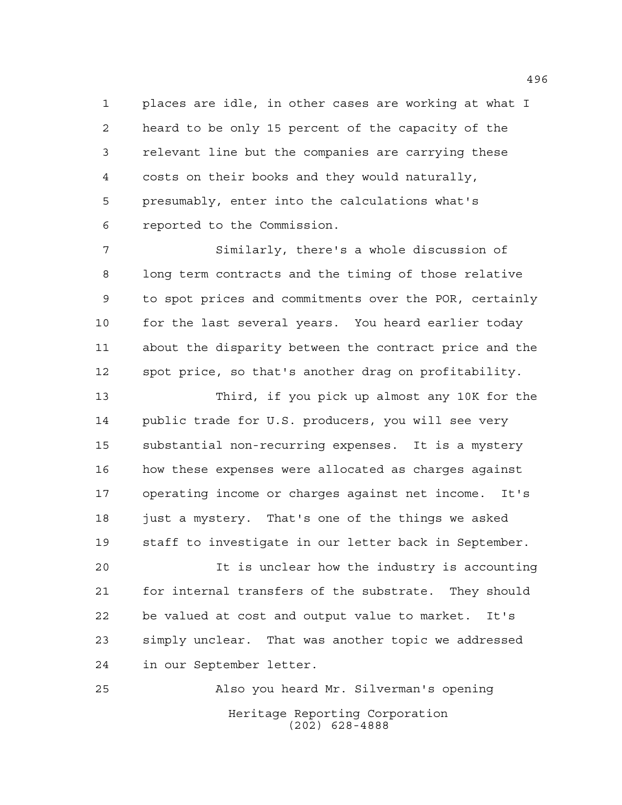places are idle, in other cases are working at what I heard to be only 15 percent of the capacity of the relevant line but the companies are carrying these costs on their books and they would naturally, presumably, enter into the calculations what's reported to the Commission.

 Similarly, there's a whole discussion of long term contracts and the timing of those relative to spot prices and commitments over the POR, certainly for the last several years. You heard earlier today about the disparity between the contract price and the spot price, so that's another drag on profitability.

 Third, if you pick up almost any 10K for the public trade for U.S. producers, you will see very substantial non-recurring expenses. It is a mystery how these expenses were allocated as charges against operating income or charges against net income. It's 18 just a mystery. That's one of the things we asked staff to investigate in our letter back in September.

 It is unclear how the industry is accounting for internal transfers of the substrate. They should be valued at cost and output value to market. It's simply unclear. That was another topic we addressed in our September letter.

Heritage Reporting Corporation (202) 628-4888 Also you heard Mr. Silverman's opening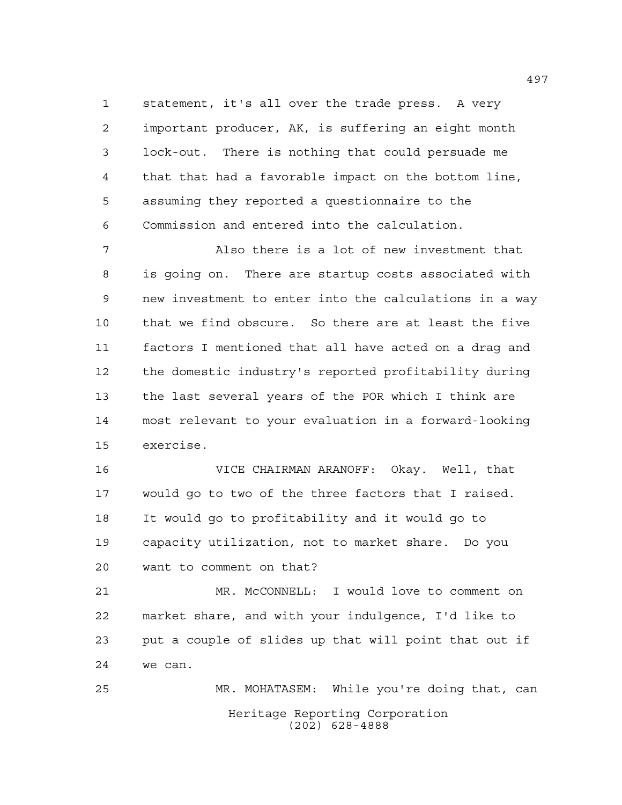statement, it's all over the trade press. A very important producer, AK, is suffering an eight month lock-out. There is nothing that could persuade me that that had a favorable impact on the bottom line, assuming they reported a questionnaire to the Commission and entered into the calculation.

 Also there is a lot of new investment that is going on. There are startup costs associated with new investment to enter into the calculations in a way that we find obscure. So there are at least the five factors I mentioned that all have acted on a drag and the domestic industry's reported profitability during the last several years of the POR which I think are most relevant to your evaluation in a forward-looking exercise.

 VICE CHAIRMAN ARANOFF: Okay. Well, that would go to two of the three factors that I raised. It would go to profitability and it would go to capacity utilization, not to market share. Do you want to comment on that?

 MR. McCONNELL: I would love to comment on market share, and with your indulgence, I'd like to put a couple of slides up that will point that out if we can.

Heritage Reporting Corporation (202) 628-4888 MR. MOHATASEM: While you're doing that, can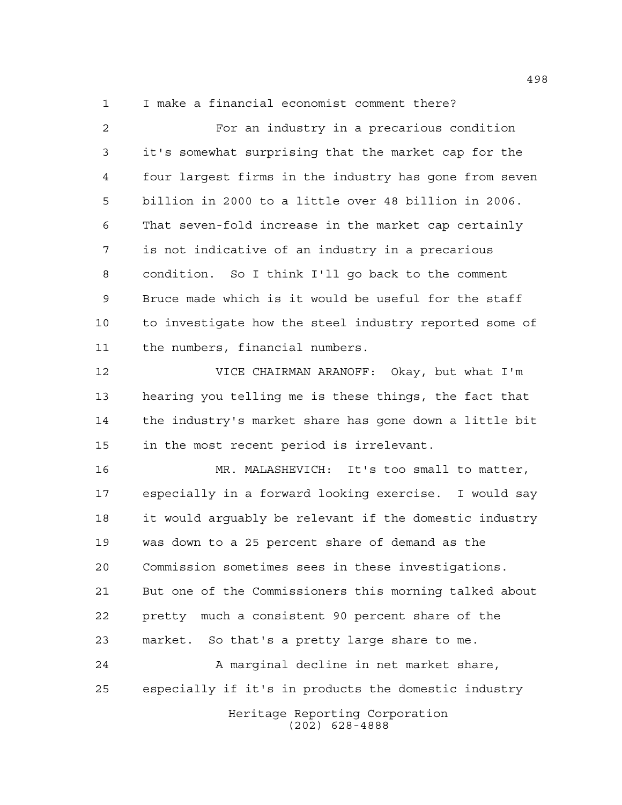I make a financial economist comment there?

 For an industry in a precarious condition it's somewhat surprising that the market cap for the four largest firms in the industry has gone from seven billion in 2000 to a little over 48 billion in 2006. That seven-fold increase in the market cap certainly is not indicative of an industry in a precarious condition. So I think I'll go back to the comment Bruce made which is it would be useful for the staff to investigate how the steel industry reported some of the numbers, financial numbers.

 VICE CHAIRMAN ARANOFF: Okay, but what I'm hearing you telling me is these things, the fact that the industry's market share has gone down a little bit in the most recent period is irrelevant.

 MR. MALASHEVICH: It's too small to matter, especially in a forward looking exercise. I would say it would arguably be relevant if the domestic industry was down to a 25 percent share of demand as the Commission sometimes sees in these investigations. But one of the Commissioners this morning talked about pretty much a consistent 90 percent share of the market. So that's a pretty large share to me. A marginal decline in net market share,

especially if it's in products the domestic industry

Heritage Reporting Corporation (202) 628-4888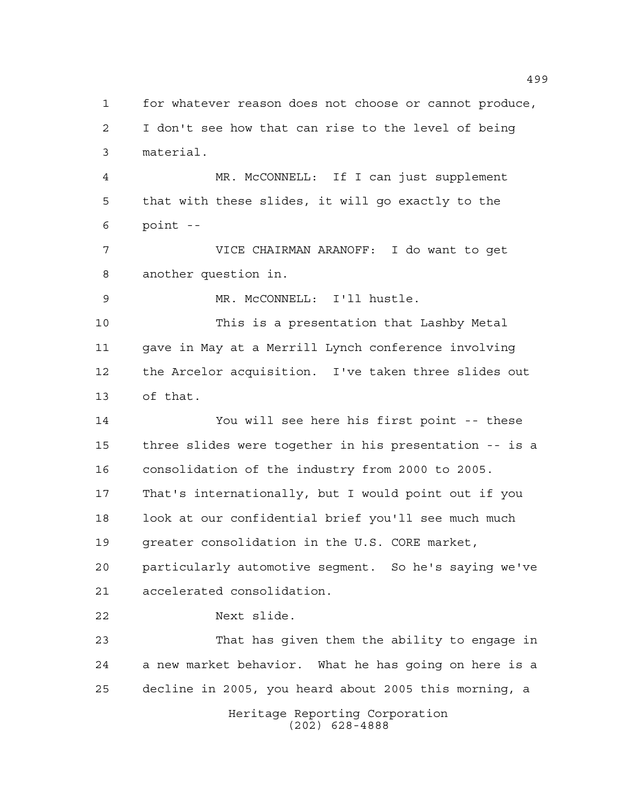Heritage Reporting Corporation (202) 628-4888 for whatever reason does not choose or cannot produce, I don't see how that can rise to the level of being material. MR. McCONNELL: If I can just supplement that with these slides, it will go exactly to the point -- VICE CHAIRMAN ARANOFF: I do want to get another question in. MR. McCONNELL: I'll hustle. This is a presentation that Lashby Metal gave in May at a Merrill Lynch conference involving the Arcelor acquisition. I've taken three slides out of that. You will see here his first point -- these three slides were together in his presentation -- is a consolidation of the industry from 2000 to 2005. That's internationally, but I would point out if you look at our confidential brief you'll see much much greater consolidation in the U.S. CORE market, particularly automotive segment. So he's saying we've accelerated consolidation. Next slide. That has given them the ability to engage in a new market behavior. What he has going on here is a decline in 2005, you heard about 2005 this morning, a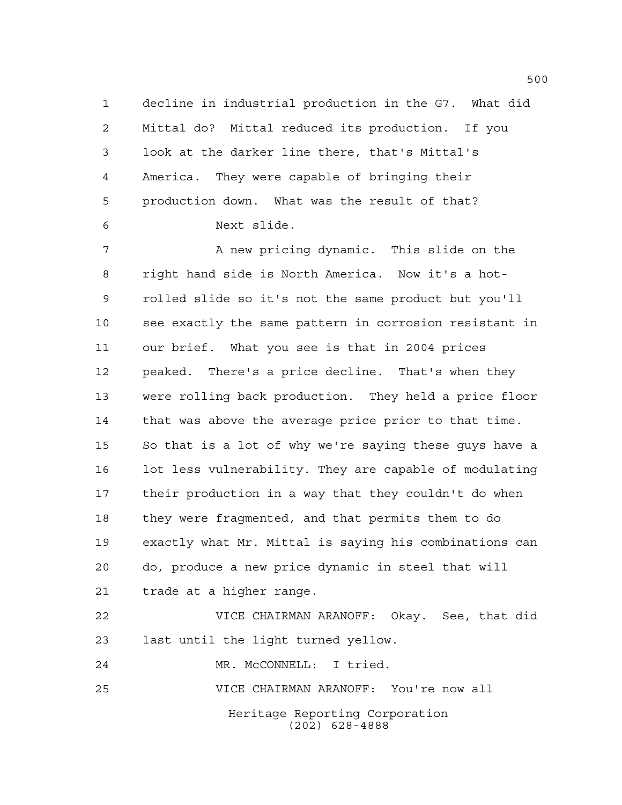decline in industrial production in the G7. What did Mittal do? Mittal reduced its production. If you look at the darker line there, that's Mittal's America. They were capable of bringing their production down. What was the result of that? Next slide.

 A new pricing dynamic. This slide on the right hand side is North America. Now it's a hot- rolled slide so it's not the same product but you'll see exactly the same pattern in corrosion resistant in our brief. What you see is that in 2004 prices peaked. There's a price decline. That's when they were rolling back production. They held a price floor that was above the average price prior to that time. So that is a lot of why we're saying these guys have a lot less vulnerability. They are capable of modulating their production in a way that they couldn't do when they were fragmented, and that permits them to do exactly what Mr. Mittal is saying his combinations can do, produce a new price dynamic in steel that will trade at a higher range.

 VICE CHAIRMAN ARANOFF: Okay. See, that did last until the light turned yellow.

MR. McCONNELL: I tried.

VICE CHAIRMAN ARANOFF: You're now all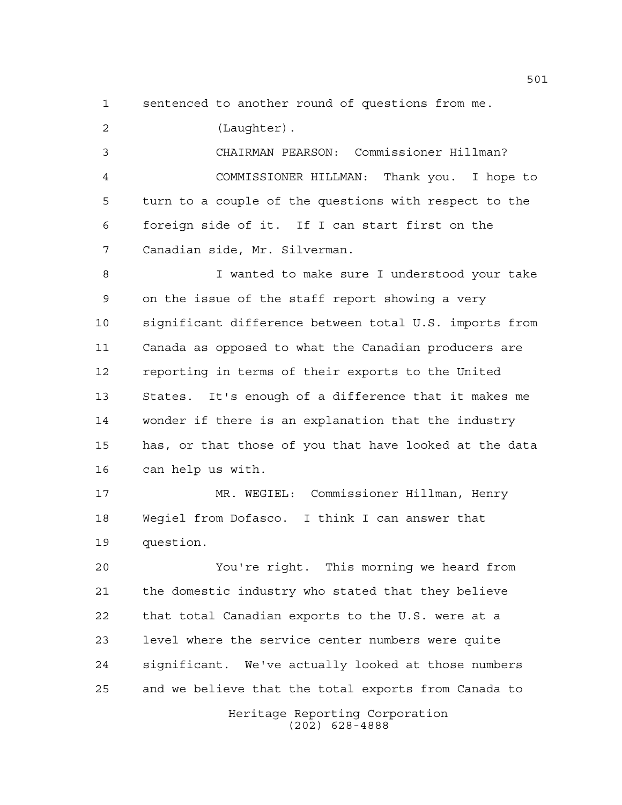sentenced to another round of questions from me.

(Laughter).

 CHAIRMAN PEARSON: Commissioner Hillman? COMMISSIONER HILLMAN: Thank you. I hope to turn to a couple of the questions with respect to the foreign side of it. If I can start first on the Canadian side, Mr. Silverman.

 I wanted to make sure I understood your take on the issue of the staff report showing a very significant difference between total U.S. imports from Canada as opposed to what the Canadian producers are reporting in terms of their exports to the United States. It's enough of a difference that it makes me wonder if there is an explanation that the industry has, or that those of you that have looked at the data can help us with.

 MR. WEGIEL: Commissioner Hillman, Henry Wegiel from Dofasco. I think I can answer that question.

 You're right. This morning we heard from the domestic industry who stated that they believe that total Canadian exports to the U.S. were at a level where the service center numbers were quite significant. We've actually looked at those numbers and we believe that the total exports from Canada to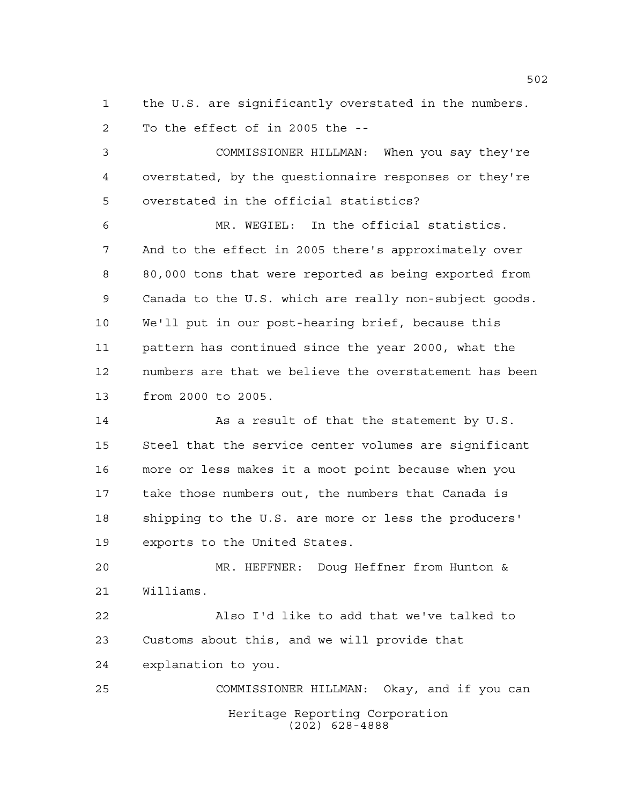the U.S. are significantly overstated in the numbers. To the effect of in 2005 the --

 COMMISSIONER HILLMAN: When you say they're overstated, by the questionnaire responses or they're overstated in the official statistics?

 MR. WEGIEL: In the official statistics. And to the effect in 2005 there's approximately over 80,000 tons that were reported as being exported from Canada to the U.S. which are really non-subject goods. We'll put in our post-hearing brief, because this pattern has continued since the year 2000, what the numbers are that we believe the overstatement has been from 2000 to 2005.

14 As a result of that the statement by U.S. Steel that the service center volumes are significant more or less makes it a moot point because when you take those numbers out, the numbers that Canada is shipping to the U.S. are more or less the producers' exports to the United States.

 MR. HEFFNER: Doug Heffner from Hunton & Williams.

 Also I'd like to add that we've talked to Customs about this, and we will provide that explanation to you.

Heritage Reporting Corporation (202) 628-4888 COMMISSIONER HILLMAN: Okay, and if you can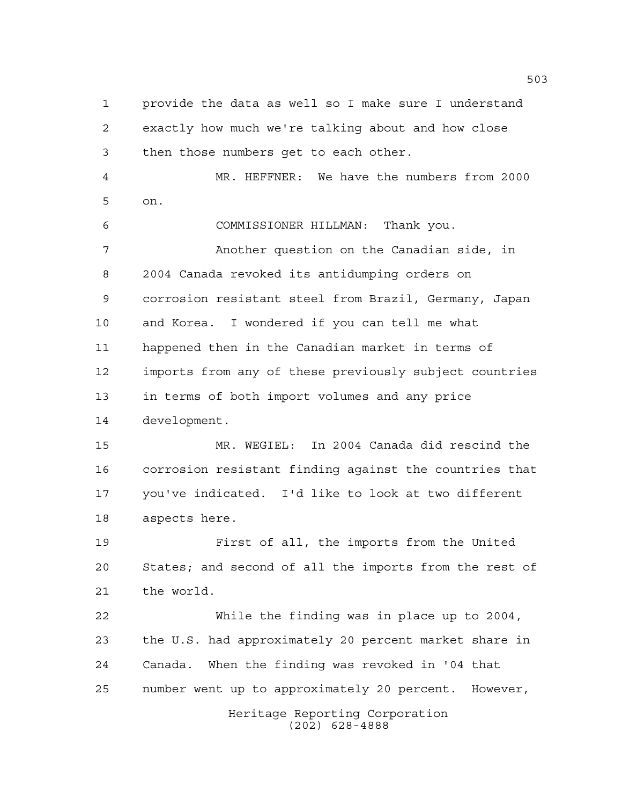Heritage Reporting Corporation (202) 628-4888 provide the data as well so I make sure I understand exactly how much we're talking about and how close then those numbers get to each other. MR. HEFFNER: We have the numbers from 2000 on. COMMISSIONER HILLMAN: Thank you. Another question on the Canadian side, in 2004 Canada revoked its antidumping orders on corrosion resistant steel from Brazil, Germany, Japan and Korea. I wondered if you can tell me what happened then in the Canadian market in terms of imports from any of these previously subject countries in terms of both import volumes and any price development. MR. WEGIEL: In 2004 Canada did rescind the corrosion resistant finding against the countries that you've indicated. I'd like to look at two different aspects here. First of all, the imports from the United States; and second of all the imports from the rest of the world. While the finding was in place up to 2004, the U.S. had approximately 20 percent market share in Canada. When the finding was revoked in '04 that number went up to approximately 20 percent. However,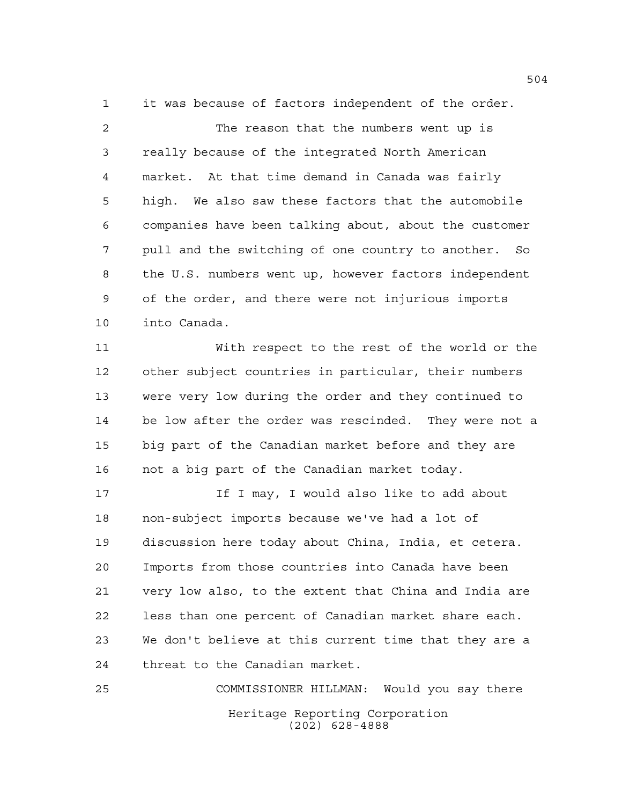it was because of factors independent of the order.

2 The reason that the numbers went up is really because of the integrated North American market. At that time demand in Canada was fairly high. We also saw these factors that the automobile companies have been talking about, about the customer pull and the switching of one country to another. So the U.S. numbers went up, however factors independent of the order, and there were not injurious imports into Canada.

 With respect to the rest of the world or the other subject countries in particular, their numbers were very low during the order and they continued to be low after the order was rescinded. They were not a big part of the Canadian market before and they are not a big part of the Canadian market today.

**If I may, I would also like to add about**  non-subject imports because we've had a lot of discussion here today about China, India, et cetera. Imports from those countries into Canada have been very low also, to the extent that China and India are less than one percent of Canadian market share each. We don't believe at this current time that they are a threat to the Canadian market.

Heritage Reporting Corporation (202) 628-4888 COMMISSIONER HILLMAN: Would you say there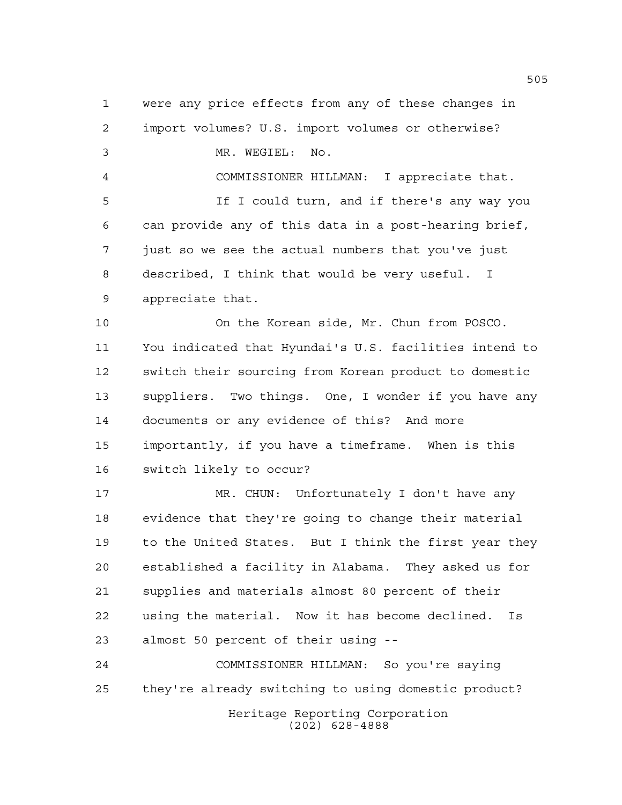were any price effects from any of these changes in import volumes? U.S. import volumes or otherwise? MR. WEGIEL: No. COMMISSIONER HILLMAN: I appreciate that. **If I could turn, and if there's any way you**  can provide any of this data in a post-hearing brief, just so we see the actual numbers that you've just described, I think that would be very useful. I appreciate that. On the Korean side, Mr. Chun from POSCO. You indicated that Hyundai's U.S. facilities intend to switch their sourcing from Korean product to domestic suppliers. Two things. One, I wonder if you have any documents or any evidence of this? And more importantly, if you have a timeframe. When is this switch likely to occur? MR. CHUN: Unfortunately I don't have any evidence that they're going to change their material to the United States. But I think the first year they established a facility in Alabama. They asked us for supplies and materials almost 80 percent of their using the material. Now it has become declined. Is almost 50 percent of their using -- COMMISSIONER HILLMAN: So you're saying they're already switching to using domestic product?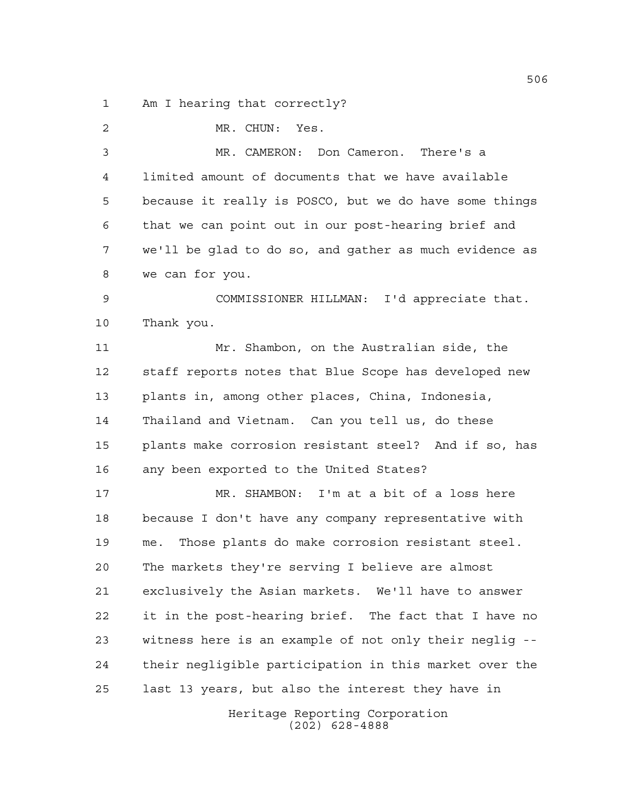Am I hearing that correctly?

 MR. CHUN: Yes. MR. CAMERON: Don Cameron. There's a limited amount of documents that we have available because it really is POSCO, but we do have some things that we can point out in our post-hearing brief and we'll be glad to do so, and gather as much evidence as we can for you. COMMISSIONER HILLMAN: I'd appreciate that. Thank you. Mr. Shambon, on the Australian side, the staff reports notes that Blue Scope has developed new plants in, among other places, China, Indonesia, Thailand and Vietnam. Can you tell us, do these plants make corrosion resistant steel? And if so, has any been exported to the United States? MR. SHAMBON: I'm at a bit of a loss here because I don't have any company representative with me. Those plants do make corrosion resistant steel. The markets they're serving I believe are almost exclusively the Asian markets. We'll have to answer it in the post-hearing brief. The fact that I have no witness here is an example of not only their neglig -- their negligible participation in this market over the last 13 years, but also the interest they have in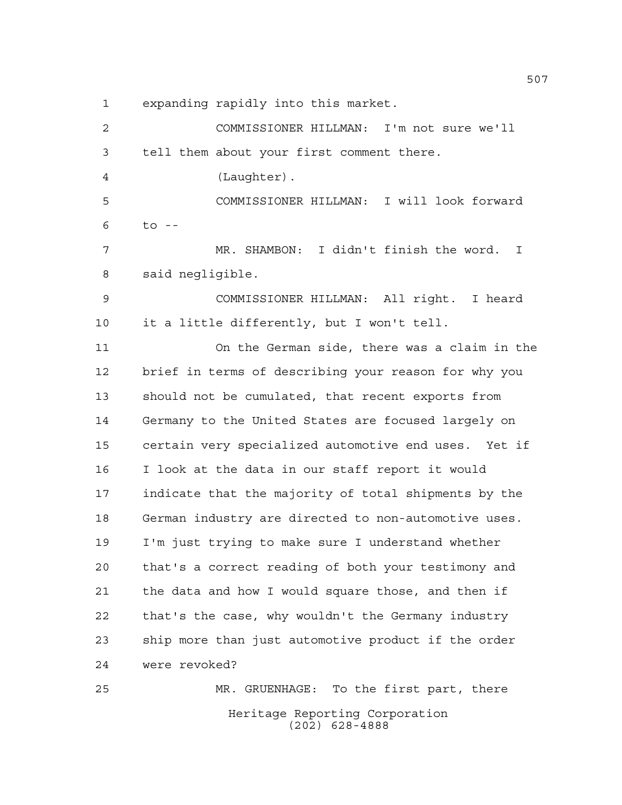expanding rapidly into this market.

Heritage Reporting Corporation (202) 628-4888 COMMISSIONER HILLMAN: I'm not sure we'll tell them about your first comment there. (Laughter). COMMISSIONER HILLMAN: I will look forward to -- MR. SHAMBON: I didn't finish the word. I said negligible. COMMISSIONER HILLMAN: All right. I heard it a little differently, but I won't tell. On the German side, there was a claim in the brief in terms of describing your reason for why you should not be cumulated, that recent exports from Germany to the United States are focused largely on certain very specialized automotive end uses. Yet if I look at the data in our staff report it would indicate that the majority of total shipments by the German industry are directed to non-automotive uses. I'm just trying to make sure I understand whether that's a correct reading of both your testimony and the data and how I would square those, and then if that's the case, why wouldn't the Germany industry ship more than just automotive product if the order were revoked? MR. GRUENHAGE: To the first part, there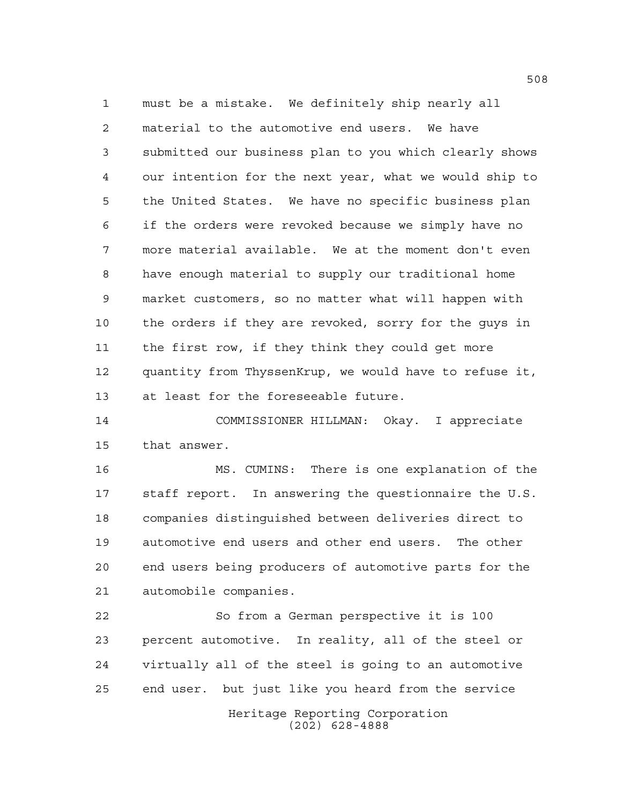must be a mistake. We definitely ship nearly all material to the automotive end users. We have submitted our business plan to you which clearly shows our intention for the next year, what we would ship to the United States. We have no specific business plan if the orders were revoked because we simply have no more material available. We at the moment don't even have enough material to supply our traditional home market customers, so no matter what will happen with the orders if they are revoked, sorry for the guys in the first row, if they think they could get more quantity from ThyssenKrup, we would have to refuse it, at least for the foreseeable future.

 COMMISSIONER HILLMAN: Okay. I appreciate that answer.

 MS. CUMINS: There is one explanation of the staff report. In answering the questionnaire the U.S. companies distinguished between deliveries direct to automotive end users and other end users. The other end users being producers of automotive parts for the automobile companies.

 So from a German perspective it is 100 percent automotive. In reality, all of the steel or virtually all of the steel is going to an automotive end user. but just like you heard from the service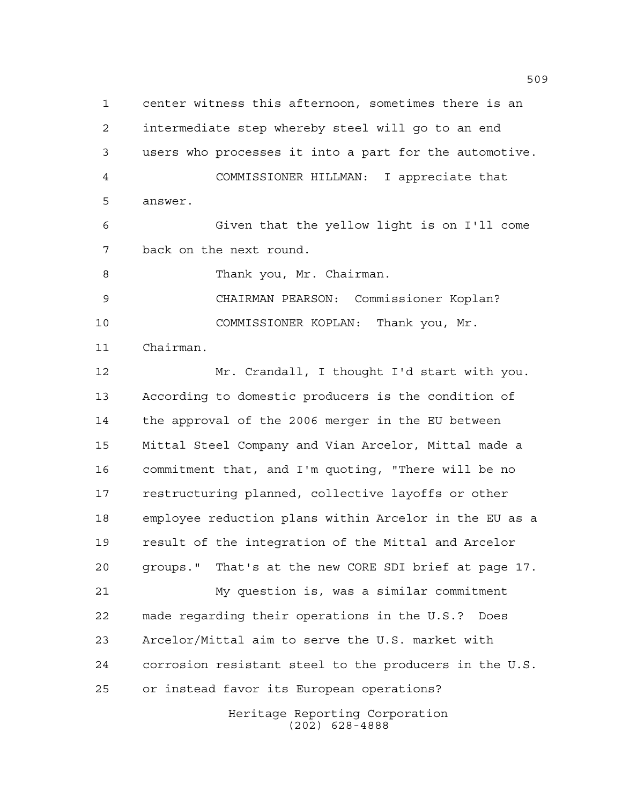Heritage Reporting Corporation center witness this afternoon, sometimes there is an intermediate step whereby steel will go to an end users who processes it into a part for the automotive. COMMISSIONER HILLMAN: I appreciate that answer. Given that the yellow light is on I'll come back on the next round. 8 Thank you, Mr. Chairman. CHAIRMAN PEARSON: Commissioner Koplan? COMMISSIONER KOPLAN: Thank you, Mr. Chairman. Mr. Crandall, I thought I'd start with you. According to domestic producers is the condition of the approval of the 2006 merger in the EU between Mittal Steel Company and Vian Arcelor, Mittal made a commitment that, and I'm quoting, "There will be no restructuring planned, collective layoffs or other employee reduction plans within Arcelor in the EU as a result of the integration of the Mittal and Arcelor groups." That's at the new CORE SDI brief at page 17. My question is, was a similar commitment made regarding their operations in the U.S.? Does Arcelor/Mittal aim to serve the U.S. market with corrosion resistant steel to the producers in the U.S. or instead favor its European operations?

(202) 628-4888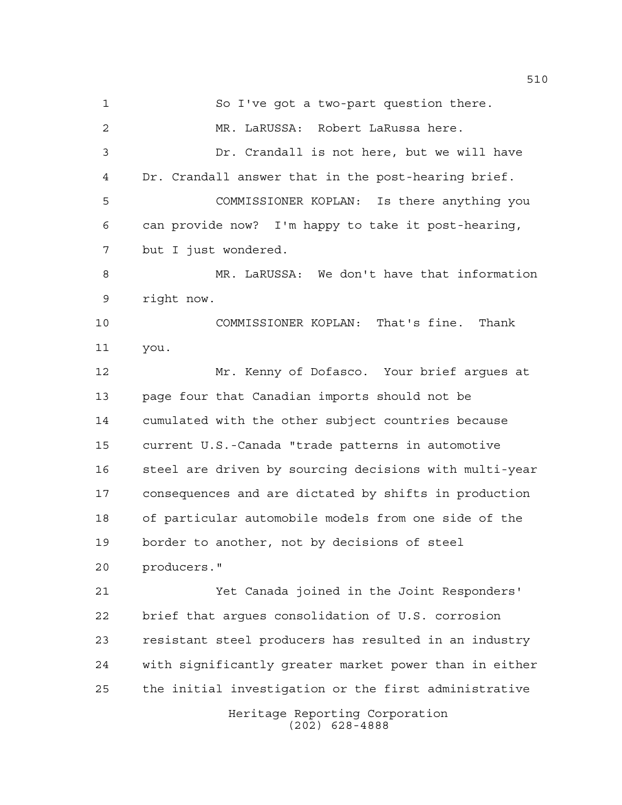So I've got a two-part question there. MR. LaRUSSA: Robert LaRussa here. Dr. Crandall is not here, but we will have Dr. Crandall answer that in the post-hearing brief. COMMISSIONER KOPLAN: Is there anything you can provide now? I'm happy to take it post-hearing, but I just wondered. MR. LaRUSSA: We don't have that information right now. COMMISSIONER KOPLAN: That's fine. Thank you. Mr. Kenny of Dofasco. Your brief argues at page four that Canadian imports should not be cumulated with the other subject countries because current U.S.-Canada "trade patterns in automotive steel are driven by sourcing decisions with multi-year consequences and are dictated by shifts in production of particular automobile models from one side of the border to another, not by decisions of steel producers." Yet Canada joined in the Joint Responders' brief that argues consolidation of U.S. corrosion resistant steel producers has resulted in an industry with significantly greater market power than in either the initial investigation or the first administrative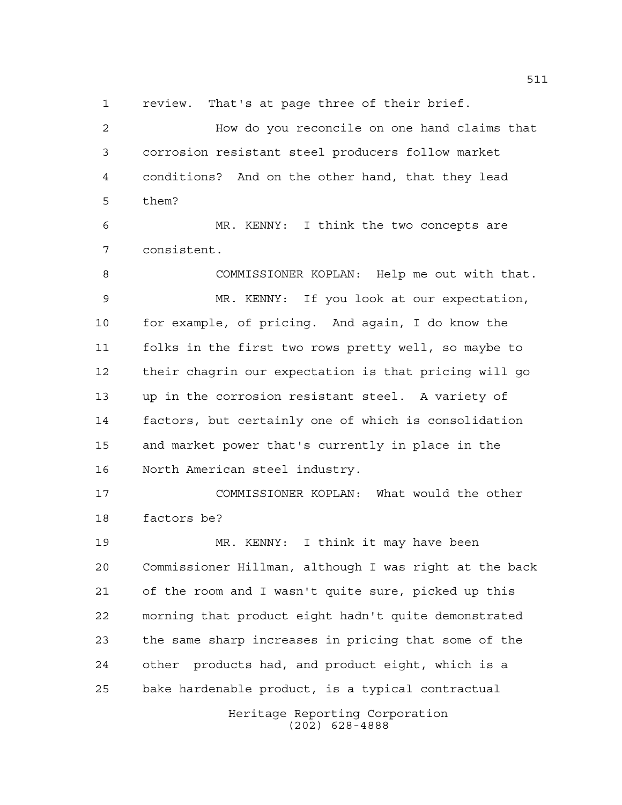review. That's at page three of their brief.

 How do you reconcile on one hand claims that corrosion resistant steel producers follow market conditions? And on the other hand, that they lead them?

 MR. KENNY: I think the two concepts are consistent.

 COMMISSIONER KOPLAN: Help me out with that. MR. KENNY: If you look at our expectation, for example, of pricing. And again, I do know the folks in the first two rows pretty well, so maybe to their chagrin our expectation is that pricing will go up in the corrosion resistant steel. A variety of factors, but certainly one of which is consolidation and market power that's currently in place in the North American steel industry.

 COMMISSIONER KOPLAN: What would the other factors be?

 MR. KENNY: I think it may have been Commissioner Hillman, although I was right at the back of the room and I wasn't quite sure, picked up this morning that product eight hadn't quite demonstrated the same sharp increases in pricing that some of the other products had, and product eight, which is a bake hardenable product, is a typical contractual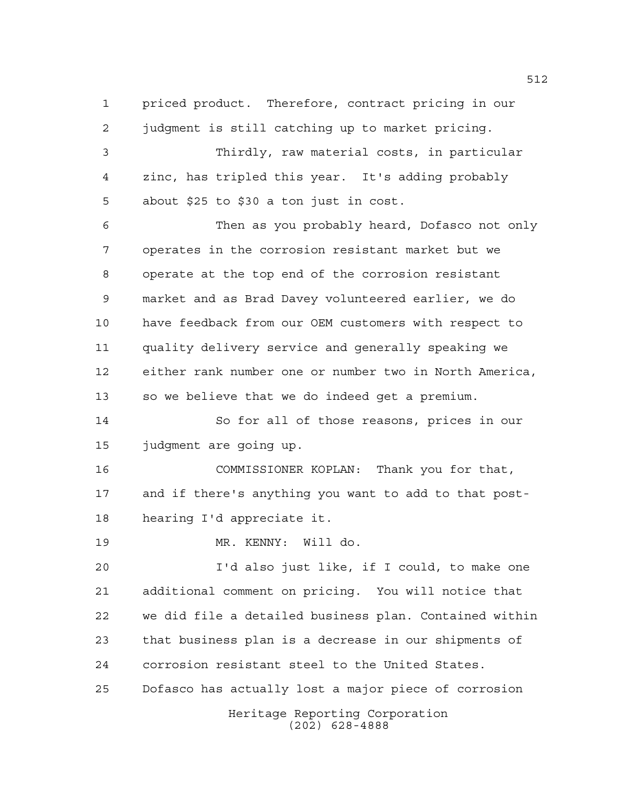priced product. Therefore, contract pricing in our judgment is still catching up to market pricing. Thirdly, raw material costs, in particular zinc, has tripled this year. It's adding probably about \$25 to \$30 a ton just in cost. Then as you probably heard, Dofasco not only operates in the corrosion resistant market but we operate at the top end of the corrosion resistant market and as Brad Davey volunteered earlier, we do have feedback from our OEM customers with respect to quality delivery service and generally speaking we either rank number one or number two in North America, so we believe that we do indeed get a premium. So for all of those reasons, prices in our judgment are going up. COMMISSIONER KOPLAN: Thank you for that, and if there's anything you want to add to that post- hearing I'd appreciate it. MR. KENNY: Will do. I'd also just like, if I could, to make one additional comment on pricing. You will notice that we did file a detailed business plan. Contained within

 that business plan is a decrease in our shipments of corrosion resistant steel to the United States.

Dofasco has actually lost a major piece of corrosion

Heritage Reporting Corporation (202) 628-4888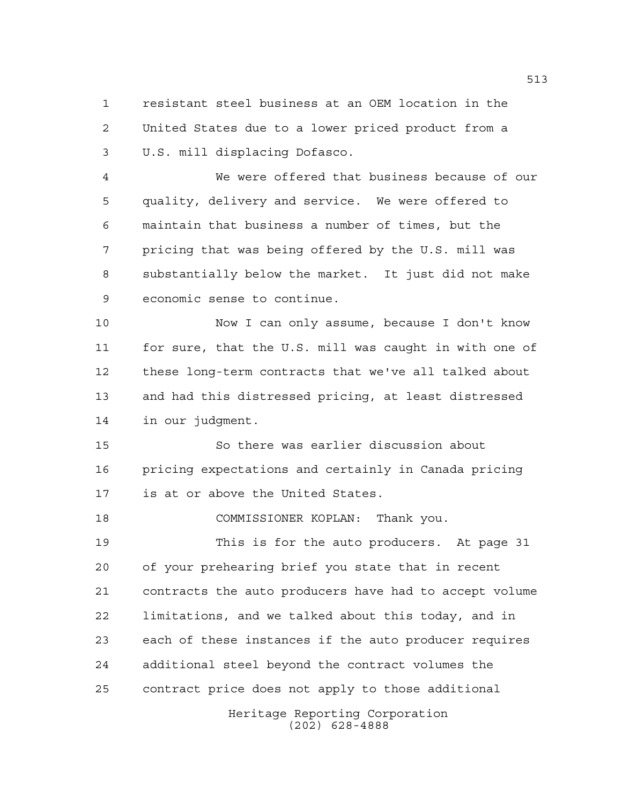resistant steel business at an OEM location in the United States due to a lower priced product from a U.S. mill displacing Dofasco.

 We were offered that business because of our quality, delivery and service. We were offered to maintain that business a number of times, but the pricing that was being offered by the U.S. mill was substantially below the market. It just did not make economic sense to continue.

 Now I can only assume, because I don't know for sure, that the U.S. mill was caught in with one of these long-term contracts that we've all talked about and had this distressed pricing, at least distressed in our judgment.

 So there was earlier discussion about pricing expectations and certainly in Canada pricing is at or above the United States.

COMMISSIONER KOPLAN: Thank you.

 This is for the auto producers. At page 31 of your prehearing brief you state that in recent contracts the auto producers have had to accept volume limitations, and we talked about this today, and in each of these instances if the auto producer requires additional steel beyond the contract volumes the contract price does not apply to those additional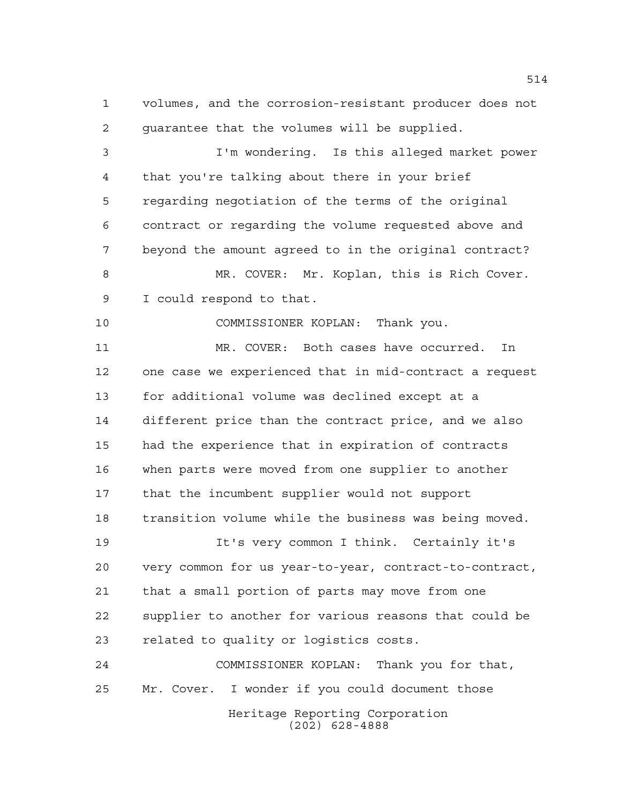volumes, and the corrosion-resistant producer does not guarantee that the volumes will be supplied.

 I'm wondering. Is this alleged market power that you're talking about there in your brief regarding negotiation of the terms of the original contract or regarding the volume requested above and beyond the amount agreed to in the original contract? MR. COVER: Mr. Koplan, this is Rich Cover. I could respond to that.

COMMISSIONER KOPLAN: Thank you.

 MR. COVER: Both cases have occurred. In one case we experienced that in mid-contract a request for additional volume was declined except at a different price than the contract price, and we also had the experience that in expiration of contracts when parts were moved from one supplier to another that the incumbent supplier would not support transition volume while the business was being moved.

 It's very common I think. Certainly it's very common for us year-to-year, contract-to-contract, that a small portion of parts may move from one supplier to another for various reasons that could be related to quality or logistics costs.

Heritage Reporting Corporation (202) 628-4888 COMMISSIONER KOPLAN: Thank you for that, Mr. Cover. I wonder if you could document those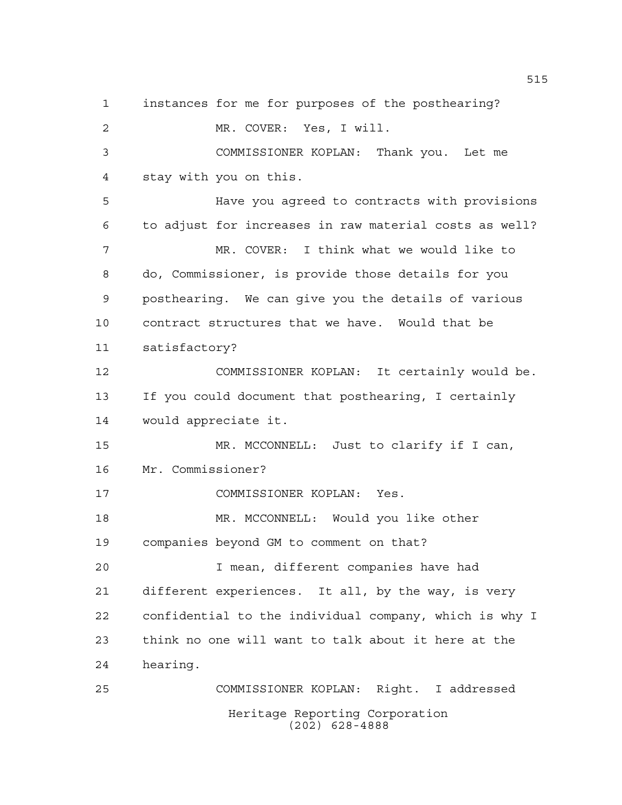Heritage Reporting Corporation instances for me for purposes of the posthearing? MR. COVER: Yes, I will. COMMISSIONER KOPLAN: Thank you. Let me stay with you on this. Have you agreed to contracts with provisions to adjust for increases in raw material costs as well? MR. COVER: I think what we would like to do, Commissioner, is provide those details for you posthearing. We can give you the details of various contract structures that we have. Would that be satisfactory? COMMISSIONER KOPLAN: It certainly would be. If you could document that posthearing, I certainly would appreciate it. MR. MCCONNELL: Just to clarify if I can, Mr. Commissioner? COMMISSIONER KOPLAN: Yes. MR. MCCONNELL: Would you like other companies beyond GM to comment on that? I mean, different companies have had different experiences. It all, by the way, is very confidential to the individual company, which is why I think no one will want to talk about it here at the hearing. COMMISSIONER KOPLAN: Right. I addressed

(202) 628-4888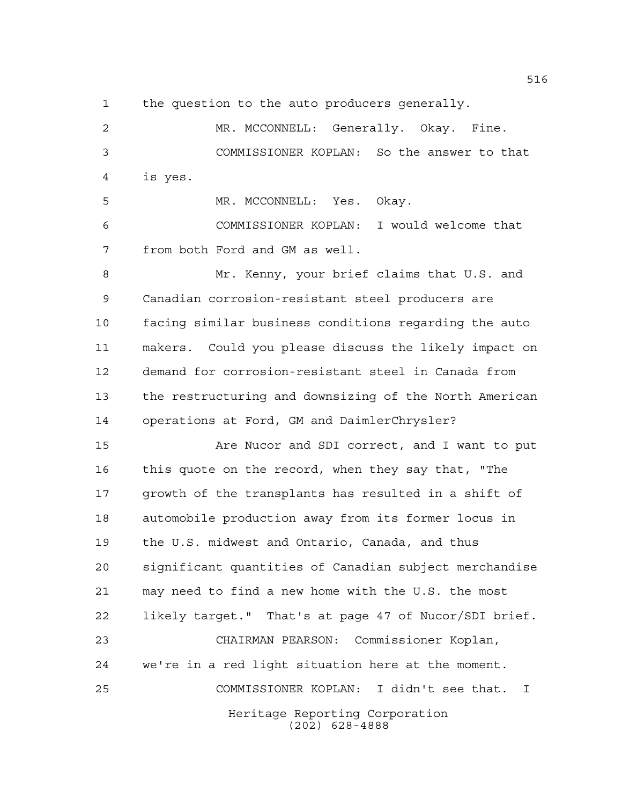the question to the auto producers generally.

 MR. MCCONNELL: Generally. Okay. Fine. COMMISSIONER KOPLAN: So the answer to that is yes.

 MR. MCCONNELL: Yes. Okay. COMMISSIONER KOPLAN: I would welcome that from both Ford and GM as well.

 Mr. Kenny, your brief claims that U.S. and Canadian corrosion-resistant steel producers are facing similar business conditions regarding the auto makers. Could you please discuss the likely impact on demand for corrosion-resistant steel in Canada from the restructuring and downsizing of the North American operations at Ford, GM and DaimlerChrysler?

 Are Nucor and SDI correct, and I want to put this quote on the record, when they say that, "The growth of the transplants has resulted in a shift of automobile production away from its former locus in the U.S. midwest and Ontario, Canada, and thus significant quantities of Canadian subject merchandise may need to find a new home with the U.S. the most likely target." That's at page 47 of Nucor/SDI brief. CHAIRMAN PEARSON: Commissioner Koplan, we're in a red light situation here at the moment. COMMISSIONER KOPLAN: I didn't see that. I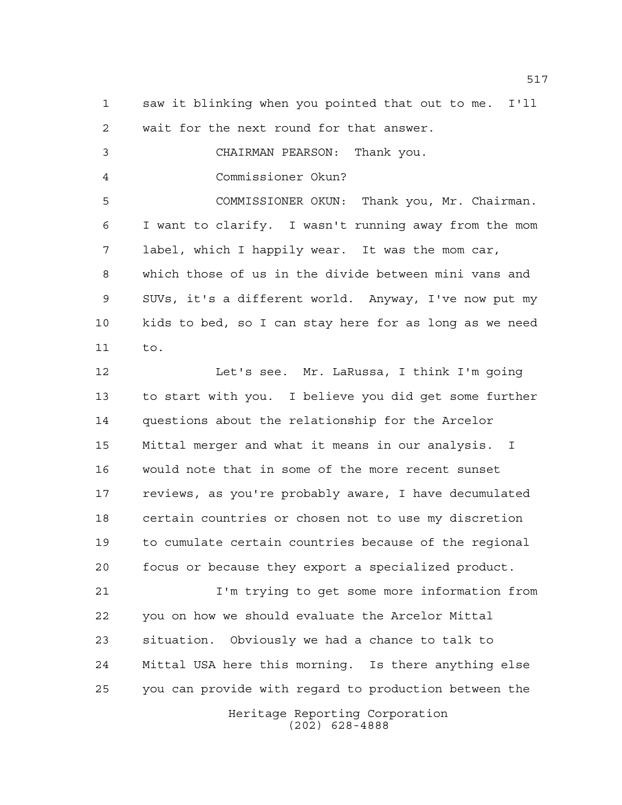saw it blinking when you pointed that out to me. I'll wait for the next round for that answer.

CHAIRMAN PEARSON: Thank you.

Commissioner Okun?

 COMMISSIONER OKUN: Thank you, Mr. Chairman. I want to clarify. I wasn't running away from the mom label, which I happily wear. It was the mom car, which those of us in the divide between mini vans and SUVs, it's a different world. Anyway, I've now put my kids to bed, so I can stay here for as long as we need to.

 Let's see. Mr. LaRussa, I think I'm going to start with you. I believe you did get some further questions about the relationship for the Arcelor Mittal merger and what it means in our analysis. I would note that in some of the more recent sunset reviews, as you're probably aware, I have decumulated certain countries or chosen not to use my discretion to cumulate certain countries because of the regional focus or because they export a specialized product.

Heritage Reporting Corporation I'm trying to get some more information from you on how we should evaluate the Arcelor Mittal situation. Obviously we had a chance to talk to Mittal USA here this morning. Is there anything else you can provide with regard to production between the

(202) 628-4888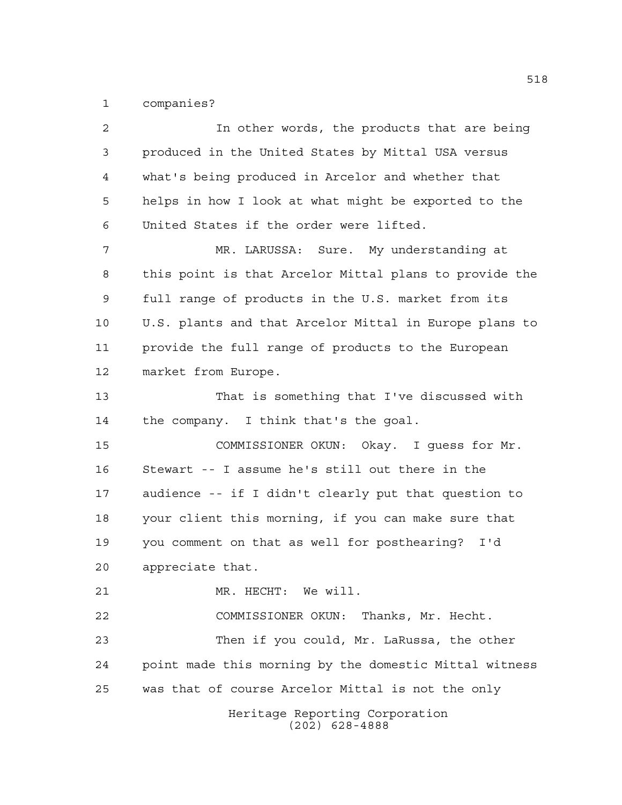companies?

| $\overline{a}$ | In other words, the products that are being            |
|----------------|--------------------------------------------------------|
| 3              | produced in the United States by Mittal USA versus     |
| 4              | what's being produced in Arcelor and whether that      |
| 5              | helps in how I look at what might be exported to the   |
| 6              | United States if the order were lifted.                |
| 7              | MR. LARUSSA: Sure. My understanding at                 |
| 8              | this point is that Arcelor Mittal plans to provide the |
| 9              | full range of products in the U.S. market from its     |
| 10             | U.S. plants and that Arcelor Mittal in Europe plans to |
| 11             | provide the full range of products to the European     |
| 12             | market from Europe.                                    |
| 13             | That is something that I've discussed with             |
| 14             | the company. I think that's the goal.                  |
| 15             | COMMISSIONER OKUN: Okay. I guess for Mr.               |
| 16             | Stewart -- I assume he's still out there in the        |
| 17             | audience -- if I didn't clearly put that question to   |
| 18             | your client this morning, if you can make sure that    |
| 19             | you comment on that as well for posthearing? I'd       |
| 20             | appreciate that.                                       |
| 21             | MR. HECHT: We will.                                    |
| 22             | COMMISSIONER OKUN: Thanks, Mr. Hecht.                  |
| 23             | Then if you could, Mr. LaRussa, the other              |
| 24             | point made this morning by the domestic Mittal witness |
| 25             | was that of course Arcelor Mittal is not the only      |
|                | Heritage Reporting Corporation<br>$(202)$ 628-4888     |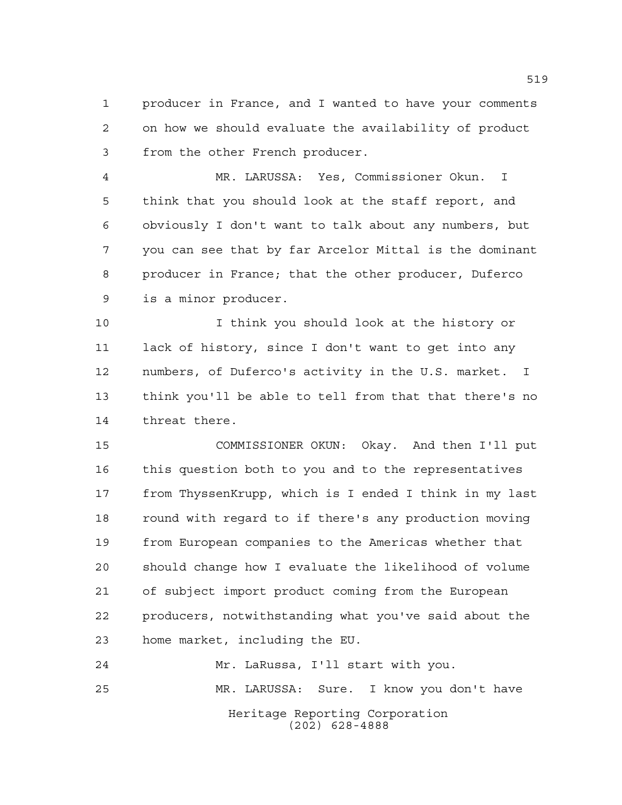producer in France, and I wanted to have your comments on how we should evaluate the availability of product from the other French producer.

 MR. LARUSSA: Yes, Commissioner Okun. I think that you should look at the staff report, and obviously I don't want to talk about any numbers, but you can see that by far Arcelor Mittal is the dominant producer in France; that the other producer, Duferco is a minor producer.

 I think you should look at the history or lack of history, since I don't want to get into any numbers, of Duferco's activity in the U.S. market. I think you'll be able to tell from that that there's no threat there.

 COMMISSIONER OKUN: Okay. And then I'll put this question both to you and to the representatives from ThyssenKrupp, which is I ended I think in my last round with regard to if there's any production moving from European companies to the Americas whether that should change how I evaluate the likelihood of volume of subject import product coming from the European producers, notwithstanding what you've said about the home market, including the EU.

Heritage Reporting Corporation (202) 628-4888 Mr. LaRussa, I'll start with you. MR. LARUSSA: Sure. I know you don't have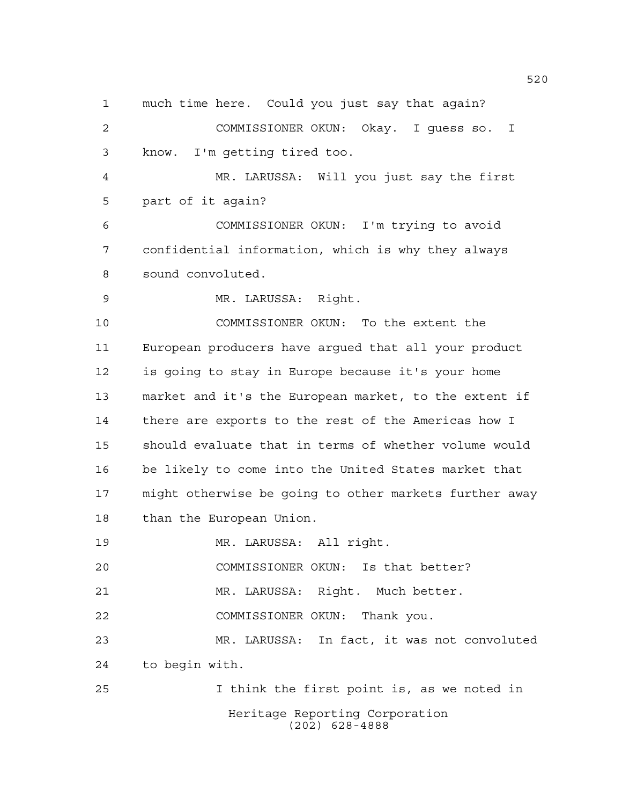much time here. Could you just say that again?

 COMMISSIONER OKUN: Okay. I guess so. I know. I'm getting tired too.

 MR. LARUSSA: Will you just say the first part of it again?

 COMMISSIONER OKUN: I'm trying to avoid confidential information, which is why they always sound convoluted.

MR. LARUSSA: Right.

 COMMISSIONER OKUN: To the extent the European producers have argued that all your product is going to stay in Europe because it's your home market and it's the European market, to the extent if there are exports to the rest of the Americas how I should evaluate that in terms of whether volume would be likely to come into the United States market that might otherwise be going to other markets further away than the European Union.

MR. LARUSSA: All right.

COMMISSIONER OKUN: Is that better?

MR. LARUSSA: Right. Much better.

COMMISSIONER OKUN: Thank you.

 MR. LARUSSA: In fact, it was not convoluted to begin with.

Heritage Reporting Corporation (202) 628-4888 I think the first point is, as we noted in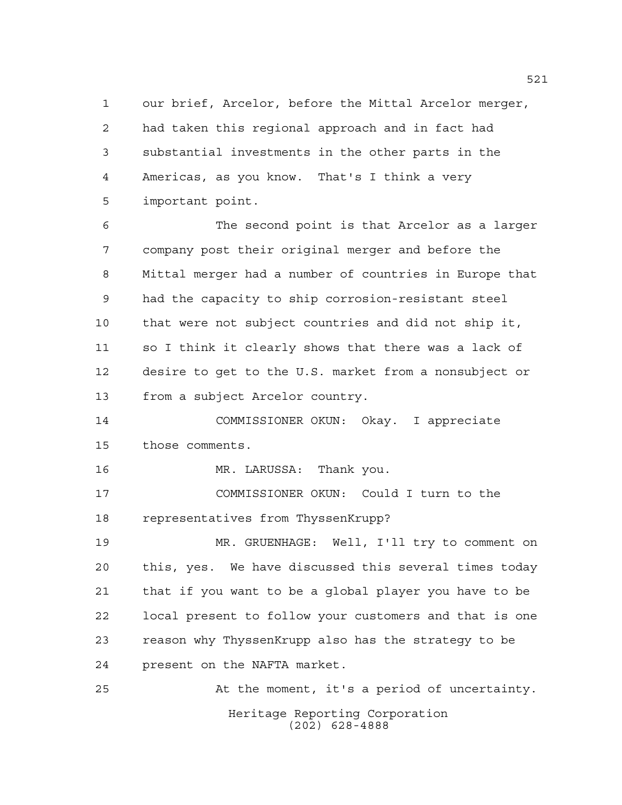our brief, Arcelor, before the Mittal Arcelor merger, had taken this regional approach and in fact had substantial investments in the other parts in the Americas, as you know. That's I think a very important point.

 The second point is that Arcelor as a larger company post their original merger and before the Mittal merger had a number of countries in Europe that had the capacity to ship corrosion-resistant steel that were not subject countries and did not ship it, so I think it clearly shows that there was a lack of desire to get to the U.S. market from a nonsubject or from a subject Arcelor country.

 COMMISSIONER OKUN: Okay. I appreciate those comments.

MR. LARUSSA: Thank you.

 COMMISSIONER OKUN: Could I turn to the representatives from ThyssenKrupp?

 MR. GRUENHAGE: Well, I'll try to comment on this, yes. We have discussed this several times today that if you want to be a global player you have to be local present to follow your customers and that is one reason why ThyssenKrupp also has the strategy to be present on the NAFTA market.

Heritage Reporting Corporation (202) 628-4888 At the moment, it's a period of uncertainty.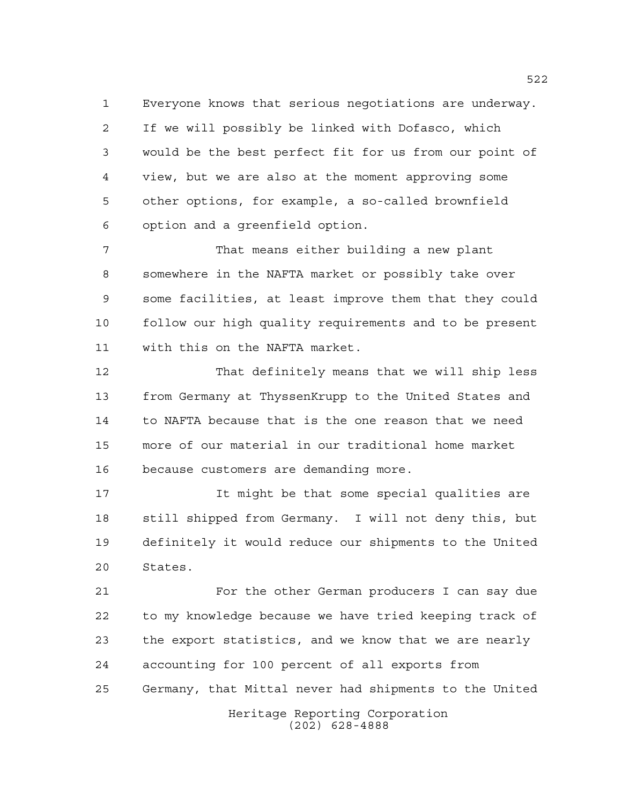Everyone knows that serious negotiations are underway. If we will possibly be linked with Dofasco, which would be the best perfect fit for us from our point of view, but we are also at the moment approving some other options, for example, a so-called brownfield option and a greenfield option.

 That means either building a new plant somewhere in the NAFTA market or possibly take over some facilities, at least improve them that they could follow our high quality requirements and to be present with this on the NAFTA market.

 That definitely means that we will ship less from Germany at ThyssenKrupp to the United States and to NAFTA because that is the one reason that we need more of our material in our traditional home market because customers are demanding more.

 It might be that some special qualities are still shipped from Germany. I will not deny this, but definitely it would reduce our shipments to the United States.

 For the other German producers I can say due to my knowledge because we have tried keeping track of the export statistics, and we know that we are nearly accounting for 100 percent of all exports from Germany, that Mittal never had shipments to the United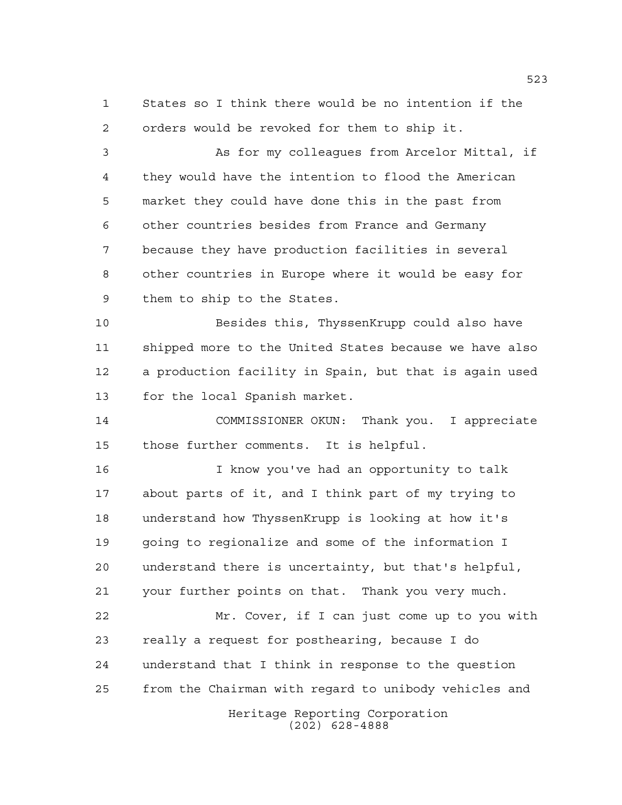States so I think there would be no intention if the orders would be revoked for them to ship it.

 As for my colleagues from Arcelor Mittal, if they would have the intention to flood the American market they could have done this in the past from other countries besides from France and Germany because they have production facilities in several other countries in Europe where it would be easy for them to ship to the States.

 Besides this, ThyssenKrupp could also have shipped more to the United States because we have also a production facility in Spain, but that is again used for the local Spanish market.

 COMMISSIONER OKUN: Thank you. I appreciate those further comments. It is helpful.

 I know you've had an opportunity to talk about parts of it, and I think part of my trying to understand how ThyssenKrupp is looking at how it's going to regionalize and some of the information I understand there is uncertainty, but that's helpful, your further points on that. Thank you very much.

 Mr. Cover, if I can just come up to you with really a request for posthearing, because I do understand that I think in response to the question from the Chairman with regard to unibody vehicles and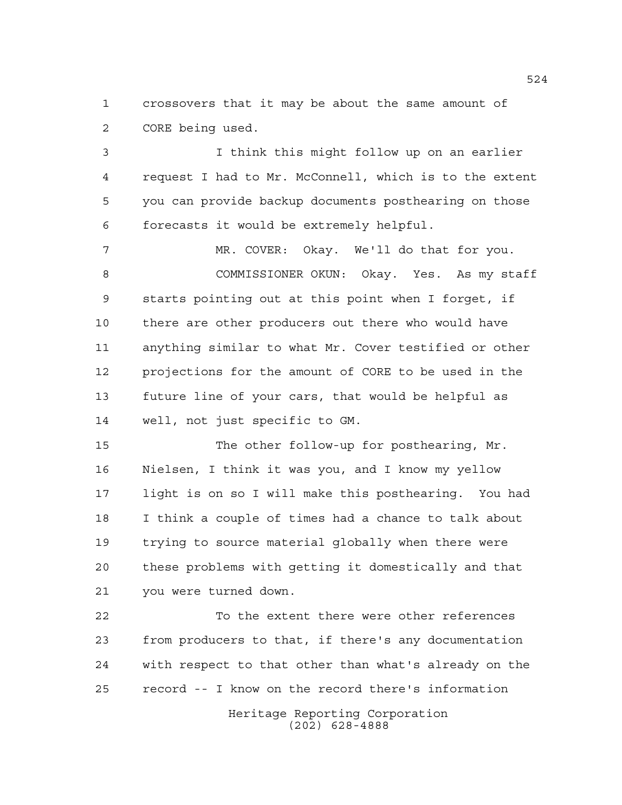crossovers that it may be about the same amount of CORE being used.

 I think this might follow up on an earlier request I had to Mr. McConnell, which is to the extent you can provide backup documents posthearing on those forecasts it would be extremely helpful.

 MR. COVER: Okay. We'll do that for you. COMMISSIONER OKUN: Okay. Yes. As my staff starts pointing out at this point when I forget, if there are other producers out there who would have anything similar to what Mr. Cover testified or other projections for the amount of CORE to be used in the future line of your cars, that would be helpful as well, not just specific to GM.

 The other follow-up for posthearing, Mr. Nielsen, I think it was you, and I know my yellow light is on so I will make this posthearing. You had I think a couple of times had a chance to talk about trying to source material globally when there were these problems with getting it domestically and that you were turned down.

 To the extent there were other references from producers to that, if there's any documentation with respect to that other than what's already on the record -- I know on the record there's information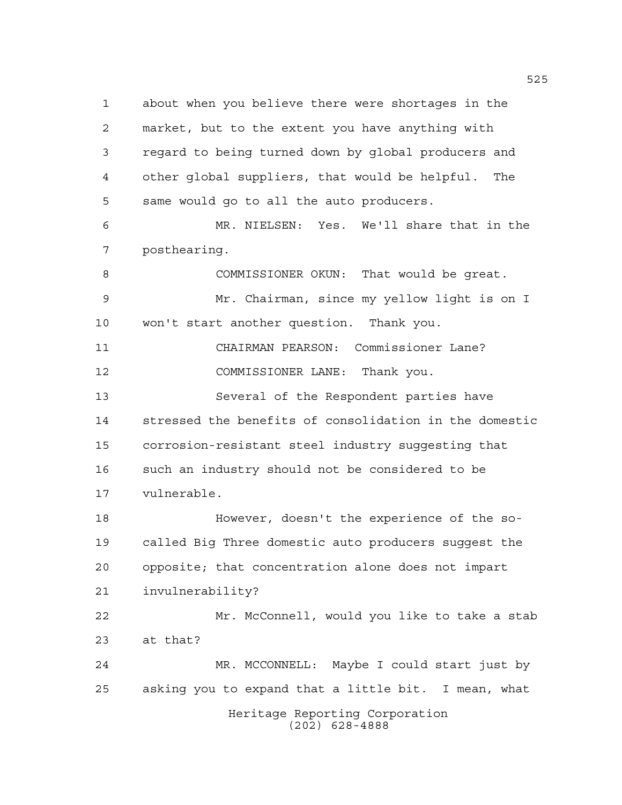Heritage Reporting Corporation (202) 628-4888 about when you believe there were shortages in the market, but to the extent you have anything with regard to being turned down by global producers and other global suppliers, that would be helpful. The same would go to all the auto producers. MR. NIELSEN: Yes. We'll share that in the posthearing. COMMISSIONER OKUN: That would be great. Mr. Chairman, since my yellow light is on I won't start another question. Thank you. CHAIRMAN PEARSON: Commissioner Lane? COMMISSIONER LANE: Thank you. Several of the Respondent parties have stressed the benefits of consolidation in the domestic corrosion-resistant steel industry suggesting that such an industry should not be considered to be vulnerable. However, doesn't the experience of the so- called Big Three domestic auto producers suggest the opposite; that concentration alone does not impart invulnerability? Mr. McConnell, would you like to take a stab at that? MR. MCCONNELL: Maybe I could start just by asking you to expand that a little bit. I mean, what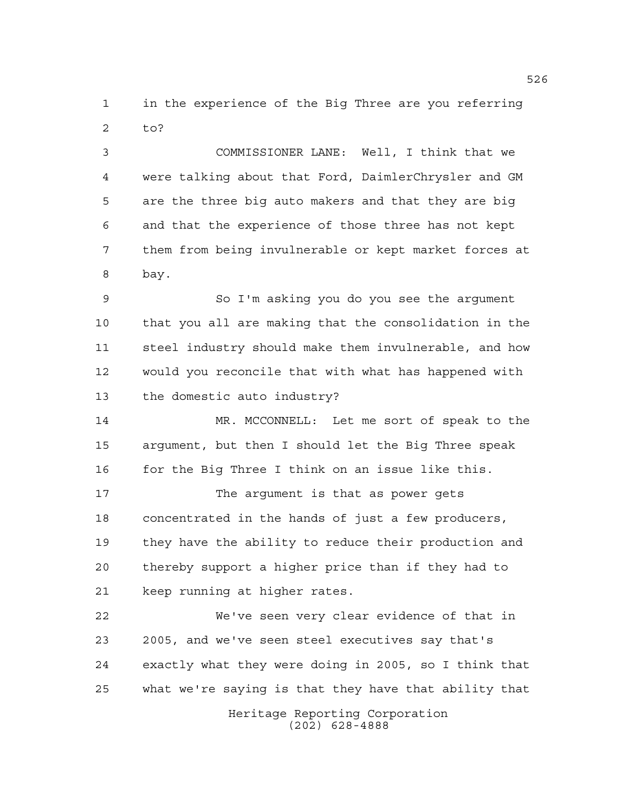in the experience of the Big Three are you referring to?

 COMMISSIONER LANE: Well, I think that we were talking about that Ford, DaimlerChrysler and GM are the three big auto makers and that they are big and that the experience of those three has not kept them from being invulnerable or kept market forces at bay.

 So I'm asking you do you see the argument that you all are making that the consolidation in the steel industry should make them invulnerable, and how would you reconcile that with what has happened with the domestic auto industry?

 MR. MCCONNELL: Let me sort of speak to the argument, but then I should let the Big Three speak 16 for the Big Three I think on an issue like this.

 The argument is that as power gets concentrated in the hands of just a few producers, they have the ability to reduce their production and thereby support a higher price than if they had to keep running at higher rates.

 We've seen very clear evidence of that in 2005, and we've seen steel executives say that's exactly what they were doing in 2005, so I think that what we're saying is that they have that ability that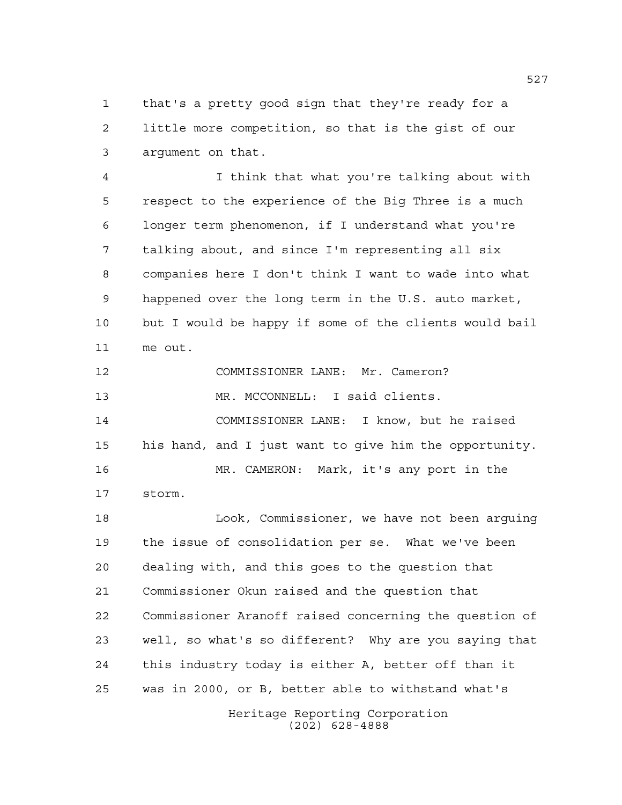that's a pretty good sign that they're ready for a little more competition, so that is the gist of our argument on that.

 I think that what you're talking about with respect to the experience of the Big Three is a much longer term phenomenon, if I understand what you're talking about, and since I'm representing all six companies here I don't think I want to wade into what happened over the long term in the U.S. auto market, but I would be happy if some of the clients would bail me out.

Heritage Reporting Corporation COMMISSIONER LANE: Mr. Cameron? MR. MCCONNELL: I said clients. COMMISSIONER LANE: I know, but he raised his hand, and I just want to give him the opportunity. MR. CAMERON: Mark, it's any port in the storm. Look, Commissioner, we have not been arguing the issue of consolidation per se. What we've been dealing with, and this goes to the question that Commissioner Okun raised and the question that Commissioner Aranoff raised concerning the question of well, so what's so different? Why are you saying that this industry today is either A, better off than it was in 2000, or B, better able to withstand what's

(202) 628-4888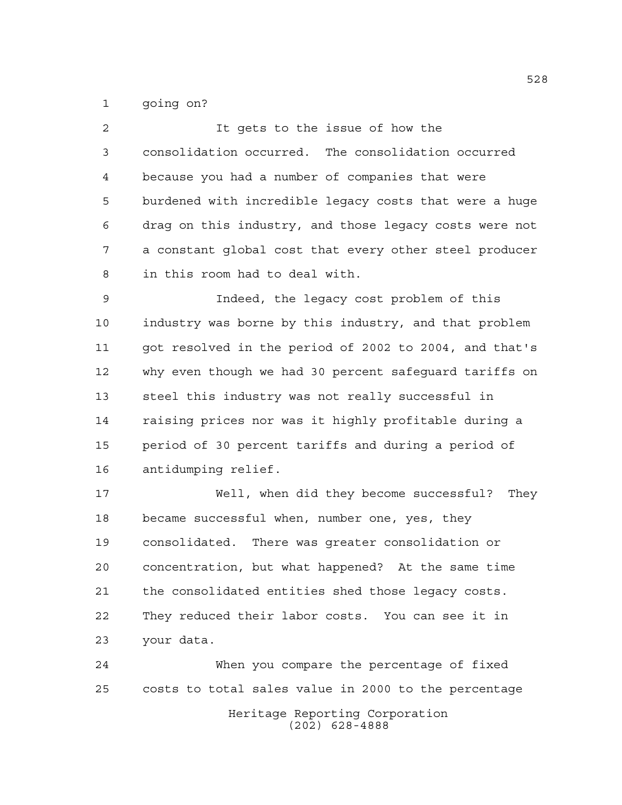going on?

| $\overline{a}$ | It gets to the issue of how the                        |
|----------------|--------------------------------------------------------|
| 3              | consolidation occurred. The consolidation occurred     |
| 4              | because you had a number of companies that were        |
| 5              | burdened with incredible legacy costs that were a huge |
| 6              | drag on this industry, and those legacy costs were not |
| 7              | a constant global cost that every other steel producer |
| 8              | in this room had to deal with.                         |
| 9              | Indeed, the legacy cost problem of this                |
| 10             | industry was borne by this industry, and that problem  |
| 11             | got resolved in the period of 2002 to 2004, and that's |
| 12             | why even though we had 30 percent safeguard tariffs on |
| 13             | steel this industry was not really successful in       |
| 14             | raising prices nor was it highly profitable during a   |
| 15             | period of 30 percent tariffs and during a period of    |
| 16             | antidumping relief.                                    |
| 17             | Well, when did they become successful?<br>They         |
| 18             | became successful when, number one, yes, they          |
| 19             | consolidated. There was greater consolidation or       |
| 20             | concentration, but what happened? At the same time     |
| 21             | the consolidated entities shed those legacy costs.     |
| 22             | They reduced their labor costs. You can see it in      |
| 23             | your data.                                             |

Heritage Reporting Corporation (202) 628-4888 When you compare the percentage of fixed costs to total sales value in 2000 to the percentage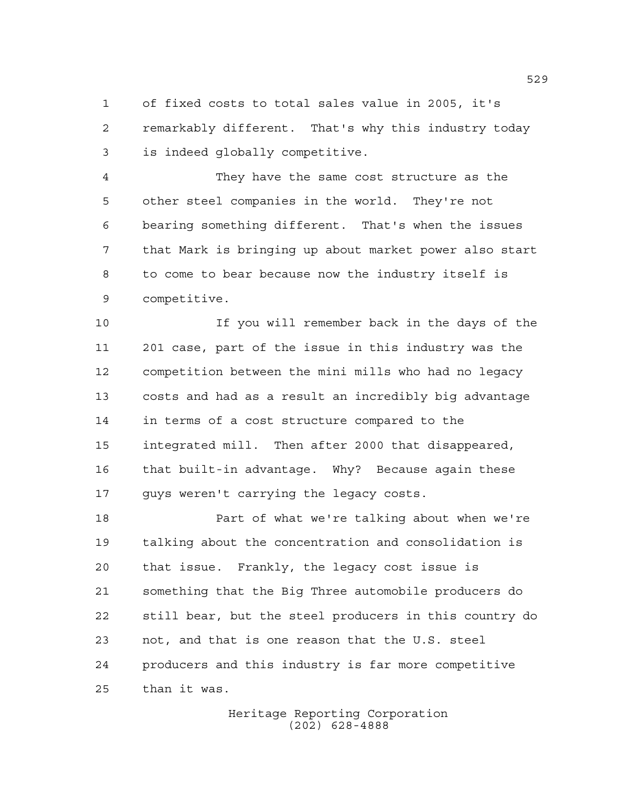of fixed costs to total sales value in 2005, it's remarkably different. That's why this industry today is indeed globally competitive.

 They have the same cost structure as the other steel companies in the world. They're not bearing something different. That's when the issues that Mark is bringing up about market power also start to come to bear because now the industry itself is competitive.

 If you will remember back in the days of the 201 case, part of the issue in this industry was the competition between the mini mills who had no legacy costs and had as a result an incredibly big advantage in terms of a cost structure compared to the integrated mill. Then after 2000 that disappeared, that built-in advantage. Why? Because again these guys weren't carrying the legacy costs.

 Part of what we're talking about when we're talking about the concentration and consolidation is that issue. Frankly, the legacy cost issue is something that the Big Three automobile producers do still bear, but the steel producers in this country do not, and that is one reason that the U.S. steel producers and this industry is far more competitive than it was.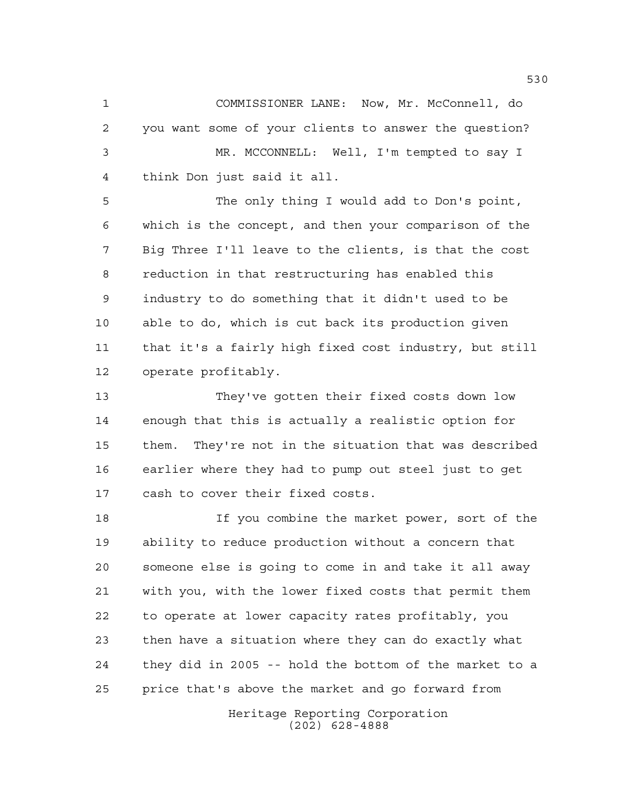COMMISSIONER LANE: Now, Mr. McConnell, do you want some of your clients to answer the question? MR. MCCONNELL: Well, I'm tempted to say I think Don just said it all.

 The only thing I would add to Don's point, which is the concept, and then your comparison of the Big Three I'll leave to the clients, is that the cost reduction in that restructuring has enabled this industry to do something that it didn't used to be able to do, which is cut back its production given that it's a fairly high fixed cost industry, but still operate profitably.

 They've gotten their fixed costs down low enough that this is actually a realistic option for them. They're not in the situation that was described earlier where they had to pump out steel just to get cash to cover their fixed costs.

 If you combine the market power, sort of the ability to reduce production without a concern that someone else is going to come in and take it all away with you, with the lower fixed costs that permit them to operate at lower capacity rates profitably, you then have a situation where they can do exactly what they did in 2005 -- hold the bottom of the market to a price that's above the market and go forward from

> Heritage Reporting Corporation (202) 628-4888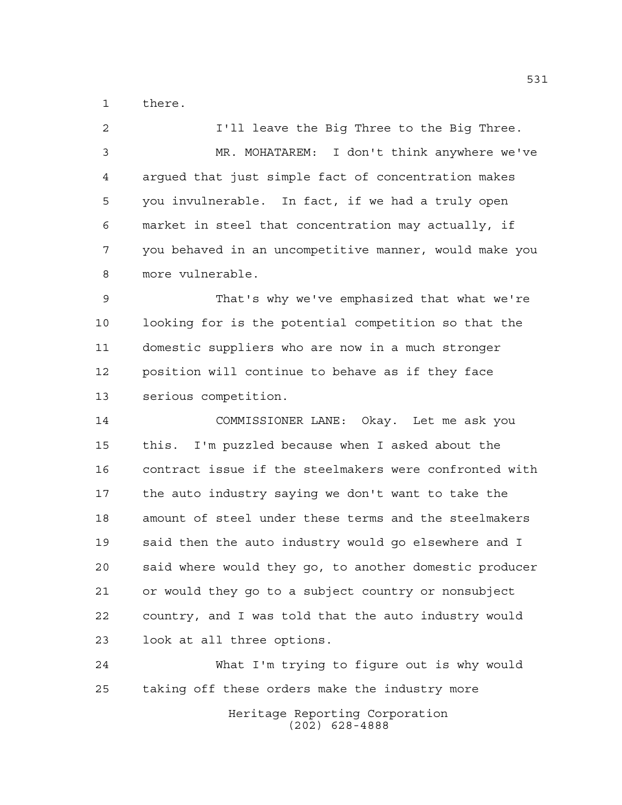there.

**I'll leave the Big Three to the Big Three.**  MR. MOHATAREM: I don't think anywhere we've argued that just simple fact of concentration makes you invulnerable. In fact, if we had a truly open market in steel that concentration may actually, if you behaved in an uncompetitive manner, would make you more vulnerable. That's why we've emphasized that what we're looking for is the potential competition so that the domestic suppliers who are now in a much stronger position will continue to behave as if they face serious competition. COMMISSIONER LANE: Okay. Let me ask you this. I'm puzzled because when I asked about the contract issue if the steelmakers were confronted with the auto industry saying we don't want to take the amount of steel under these terms and the steelmakers said then the auto industry would go elsewhere and I said where would they go, to another domestic producer or would they go to a subject country or nonsubject country, and I was told that the auto industry would look at all three options. What I'm trying to figure out is why would

taking off these orders make the industry more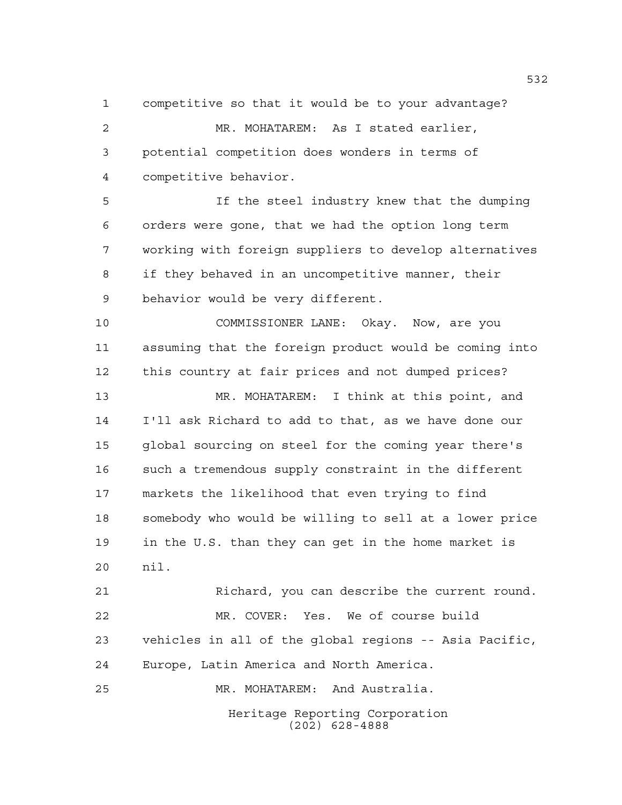competitive so that it would be to your advantage? MR. MOHATAREM: As I stated earlier, potential competition does wonders in terms of competitive behavior.

 If the steel industry knew that the dumping orders were gone, that we had the option long term working with foreign suppliers to develop alternatives if they behaved in an uncompetitive manner, their behavior would be very different.

 COMMISSIONER LANE: Okay. Now, are you assuming that the foreign product would be coming into this country at fair prices and not dumped prices?

 MR. MOHATAREM: I think at this point, and I'll ask Richard to add to that, as we have done our global sourcing on steel for the coming year there's such a tremendous supply constraint in the different markets the likelihood that even trying to find somebody who would be willing to sell at a lower price in the U.S. than they can get in the home market is nil.

 Richard, you can describe the current round. MR. COVER: Yes. We of course build vehicles in all of the global regions -- Asia Pacific, Europe, Latin America and North America. MR. MOHATAREM: And Australia.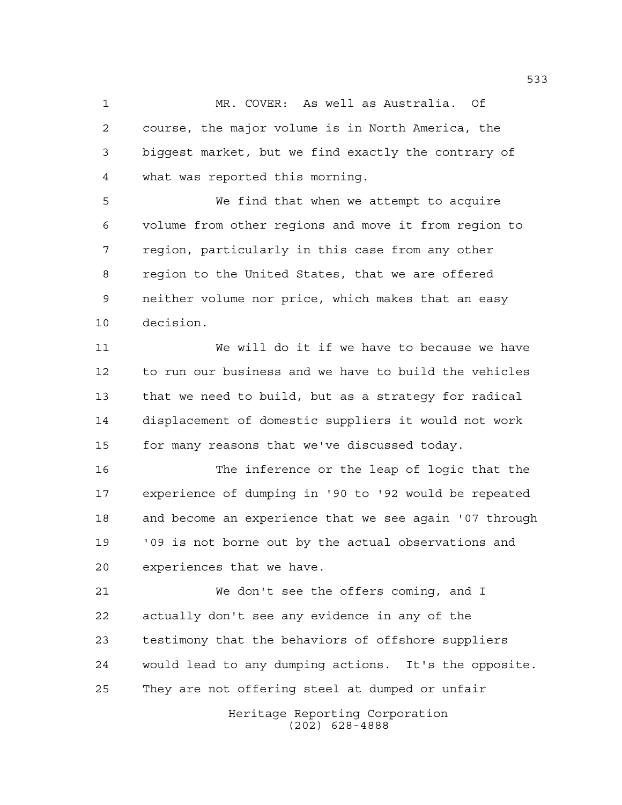MR. COVER: As well as Australia. Of course, the major volume is in North America, the biggest market, but we find exactly the contrary of what was reported this morning.

 We find that when we attempt to acquire volume from other regions and move it from region to region, particularly in this case from any other region to the United States, that we are offered neither volume nor price, which makes that an easy decision.

 We will do it if we have to because we have to run our business and we have to build the vehicles that we need to build, but as a strategy for radical displacement of domestic suppliers it would not work for many reasons that we've discussed today.

 The inference or the leap of logic that the experience of dumping in '90 to '92 would be repeated and become an experience that we see again '07 through '09 is not borne out by the actual observations and experiences that we have.

 We don't see the offers coming, and I actually don't see any evidence in any of the testimony that the behaviors of offshore suppliers would lead to any dumping actions. It's the opposite. They are not offering steel at dumped or unfair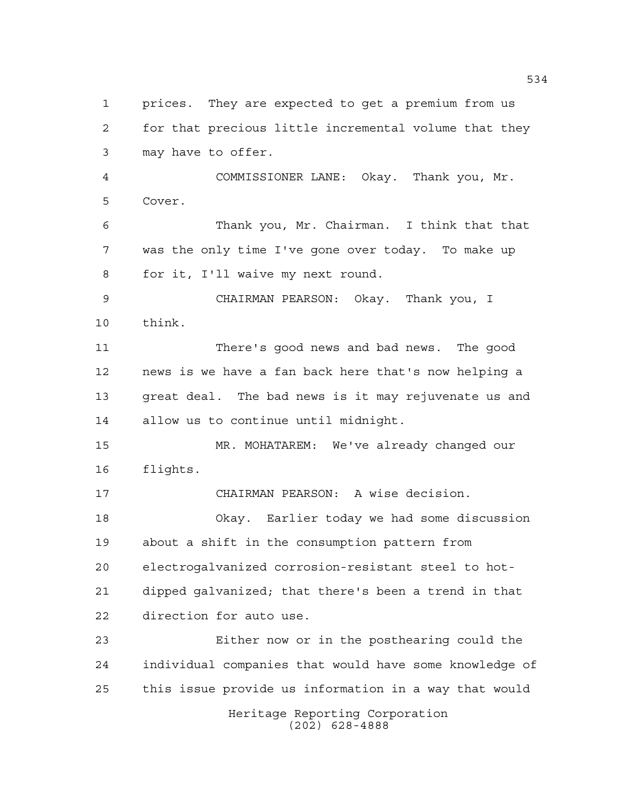Heritage Reporting Corporation (202) 628-4888 prices. They are expected to get a premium from us for that precious little incremental volume that they may have to offer. COMMISSIONER LANE: Okay. Thank you, Mr. Cover. Thank you, Mr. Chairman. I think that that was the only time I've gone over today. To make up for it, I'll waive my next round. CHAIRMAN PEARSON: Okay. Thank you, I think. There's good news and bad news. The good news is we have a fan back here that's now helping a great deal. The bad news is it may rejuvenate us and allow us to continue until midnight. MR. MOHATAREM: We've already changed our flights. CHAIRMAN PEARSON: A wise decision. Okay. Earlier today we had some discussion about a shift in the consumption pattern from electrogalvanized corrosion-resistant steel to hot- dipped galvanized; that there's been a trend in that direction for auto use. Either now or in the posthearing could the individual companies that would have some knowledge of this issue provide us information in a way that would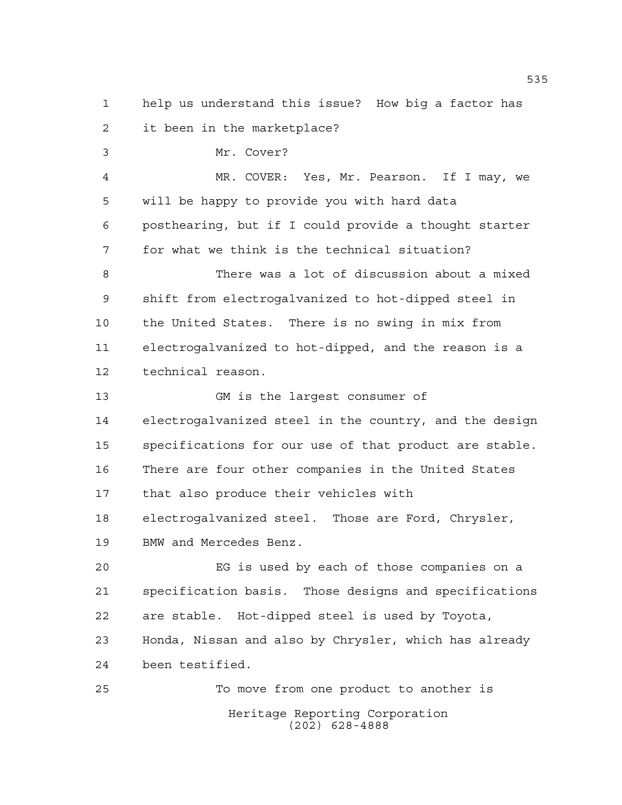help us understand this issue? How big a factor has it been in the marketplace?

 Mr. Cover? MR. COVER: Yes, Mr. Pearson. If I may, we will be happy to provide you with hard data posthearing, but if I could provide a thought starter for what we think is the technical situation? There was a lot of discussion about a mixed shift from electrogalvanized to hot-dipped steel in the United States. There is no swing in mix from electrogalvanized to hot-dipped, and the reason is a technical reason. GM is the largest consumer of

 electrogalvanized steel in the country, and the design specifications for our use of that product are stable. There are four other companies in the United States that also produce their vehicles with electrogalvanized steel. Those are Ford, Chrysler, BMW and Mercedes Benz.

 EG is used by each of those companies on a specification basis. Those designs and specifications are stable. Hot-dipped steel is used by Toyota, Honda, Nissan and also by Chrysler, which has already been testified.

Heritage Reporting Corporation (202) 628-4888 To move from one product to another is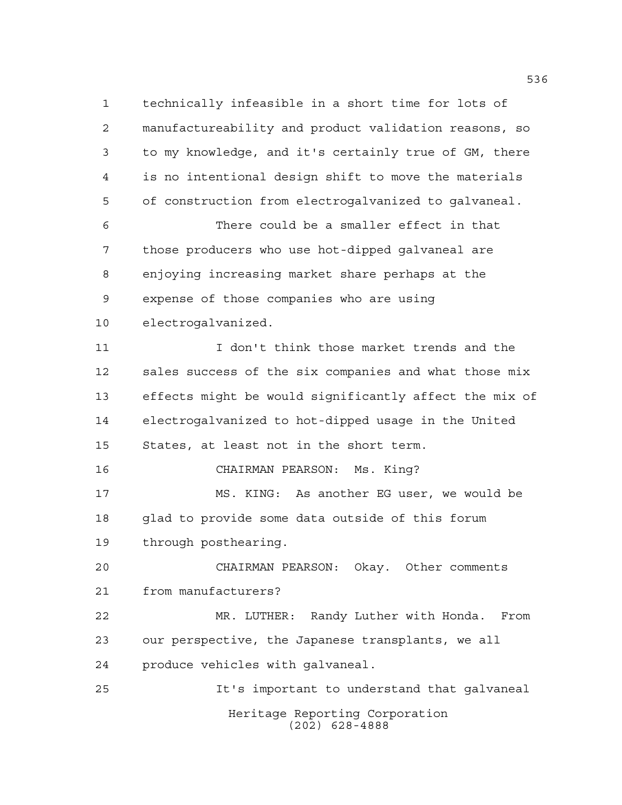Heritage Reporting Corporation (202) 628-4888 technically infeasible in a short time for lots of manufactureability and product validation reasons, so to my knowledge, and it's certainly true of GM, there is no intentional design shift to move the materials of construction from electrogalvanized to galvaneal. There could be a smaller effect in that those producers who use hot-dipped galvaneal are enjoying increasing market share perhaps at the expense of those companies who are using electrogalvanized. I don't think those market trends and the sales success of the six companies and what those mix effects might be would significantly affect the mix of electrogalvanized to hot-dipped usage in the United States, at least not in the short term. CHAIRMAN PEARSON: Ms. King? MS. KING: As another EG user, we would be glad to provide some data outside of this forum through posthearing. CHAIRMAN PEARSON: Okay. Other comments from manufacturers? MR. LUTHER: Randy Luther with Honda. From our perspective, the Japanese transplants, we all produce vehicles with galvaneal. It's important to understand that galvaneal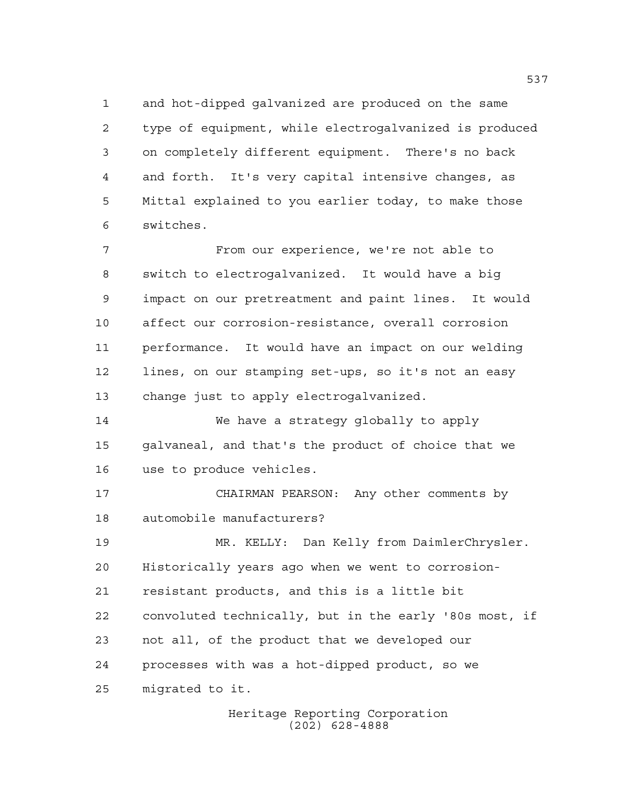and hot-dipped galvanized are produced on the same type of equipment, while electrogalvanized is produced on completely different equipment. There's no back and forth. It's very capital intensive changes, as Mittal explained to you earlier today, to make those switches.

 From our experience, we're not able to switch to electrogalvanized. It would have a big impact on our pretreatment and paint lines. It would affect our corrosion-resistance, overall corrosion performance. It would have an impact on our welding lines, on our stamping set-ups, so it's not an easy change just to apply electrogalvanized.

 We have a strategy globally to apply galvaneal, and that's the product of choice that we use to produce vehicles.

 CHAIRMAN PEARSON: Any other comments by automobile manufacturers?

 MR. KELLY: Dan Kelly from DaimlerChrysler. Historically years ago when we went to corrosion- resistant products, and this is a little bit convoluted technically, but in the early '80s most, if not all, of the product that we developed our processes with was a hot-dipped product, so we migrated to it.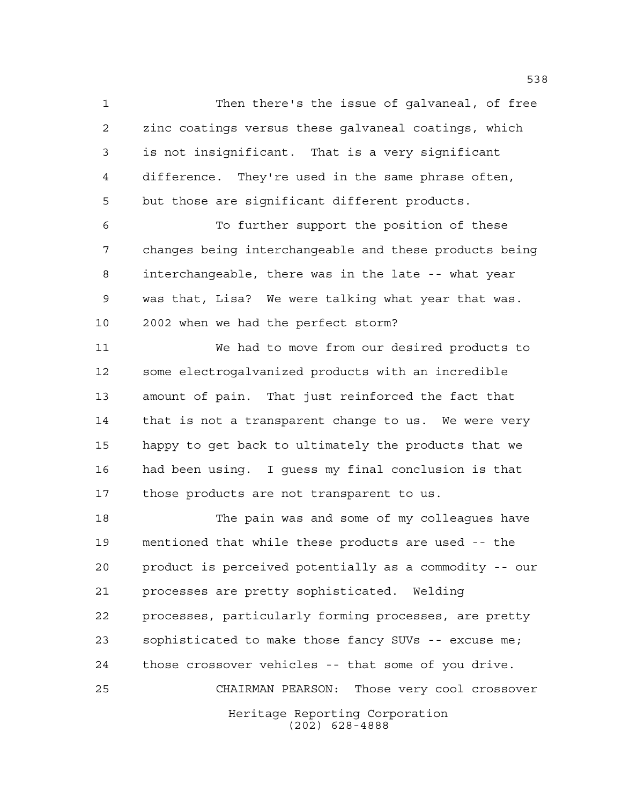Then there's the issue of galvaneal, of free zinc coatings versus these galvaneal coatings, which is not insignificant. That is a very significant difference. They're used in the same phrase often, but those are significant different products.

 To further support the position of these changes being interchangeable and these products being interchangeable, there was in the late -- what year was that, Lisa? We were talking what year that was. 2002 when we had the perfect storm?

 We had to move from our desired products to some electrogalvanized products with an incredible amount of pain. That just reinforced the fact that 14 that is not a transparent change to us. We were very happy to get back to ultimately the products that we had been using. I guess my final conclusion is that those products are not transparent to us.

Heritage Reporting Corporation (202) 628-4888 The pain was and some of my colleagues have mentioned that while these products are used -- the product is perceived potentially as a commodity -- our processes are pretty sophisticated. Welding processes, particularly forming processes, are pretty sophisticated to make those fancy SUVs -- excuse me; those crossover vehicles -- that some of you drive. CHAIRMAN PEARSON: Those very cool crossover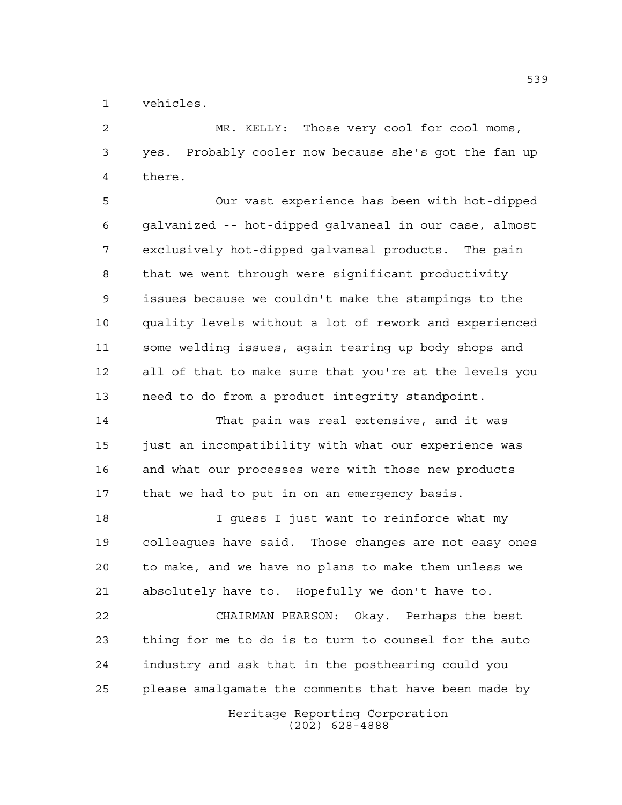vehicles.

 MR. KELLY: Those very cool for cool moms, yes. Probably cooler now because she's got the fan up there.

 Our vast experience has been with hot-dipped galvanized -- hot-dipped galvaneal in our case, almost exclusively hot-dipped galvaneal products. The pain that we went through were significant productivity issues because we couldn't make the stampings to the quality levels without a lot of rework and experienced some welding issues, again tearing up body shops and all of that to make sure that you're at the levels you need to do from a product integrity standpoint.

 That pain was real extensive, and it was 15 just an incompatibility with what our experience was and what our processes were with those new products that we had to put in on an emergency basis.

 I guess I just want to reinforce what my colleagues have said. Those changes are not easy ones to make, and we have no plans to make them unless we absolutely have to. Hopefully we don't have to.

 CHAIRMAN PEARSON: Okay. Perhaps the best thing for me to do is to turn to counsel for the auto industry and ask that in the posthearing could you please amalgamate the comments that have been made by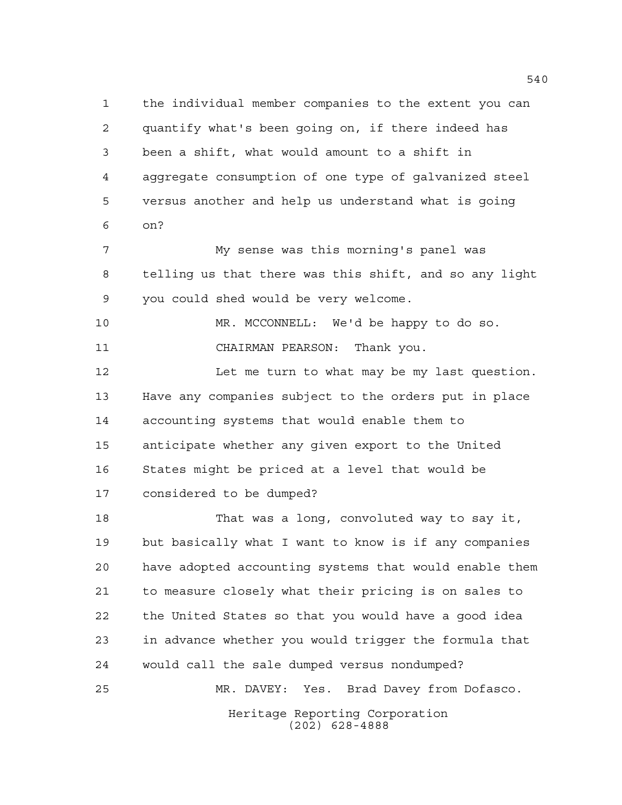the individual member companies to the extent you can quantify what's been going on, if there indeed has been a shift, what would amount to a shift in aggregate consumption of one type of galvanized steel versus another and help us understand what is going on? My sense was this morning's panel was telling us that there was this shift, and so any light you could shed would be very welcome. MR. MCCONNELL: We'd be happy to do so. CHAIRMAN PEARSON: Thank you. 12 Let me turn to what may be my last question. Have any companies subject to the orders put in place accounting systems that would enable them to anticipate whether any given export to the United States might be priced at a level that would be considered to be dumped? That was a long, convoluted way to say it, but basically what I want to know is if any companies have adopted accounting systems that would enable them to measure closely what their pricing is on sales to

> Heritage Reporting Corporation (202) 628-4888

the United States so that you would have a good idea

in advance whether you would trigger the formula that

MR. DAVEY: Yes. Brad Davey from Dofasco.

would call the sale dumped versus nondumped?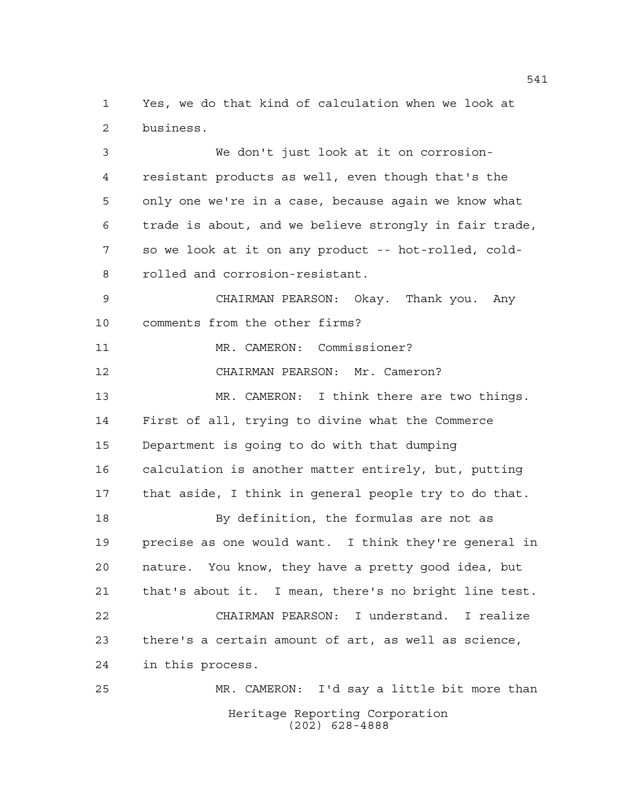Yes, we do that kind of calculation when we look at business.

 We don't just look at it on corrosion- resistant products as well, even though that's the only one we're in a case, because again we know what trade is about, and we believe strongly in fair trade, so we look at it on any product -- hot-rolled, cold- rolled and corrosion-resistant. CHAIRMAN PEARSON: Okay. Thank you. Any comments from the other firms? 11 MR. CAMERON: Commissioner?

CHAIRMAN PEARSON: Mr. Cameron?

 MR. CAMERON: I think there are two things. First of all, trying to divine what the Commerce Department is going to do with that dumping calculation is another matter entirely, but, putting that aside, I think in general people try to do that.

 By definition, the formulas are not as precise as one would want. I think they're general in nature. You know, they have a pretty good idea, but that's about it. I mean, there's no bright line test. CHAIRMAN PEARSON: I understand. I realize there's a certain amount of art, as well as science, in this process.

Heritage Reporting Corporation (202) 628-4888 MR. CAMERON: I'd say a little bit more than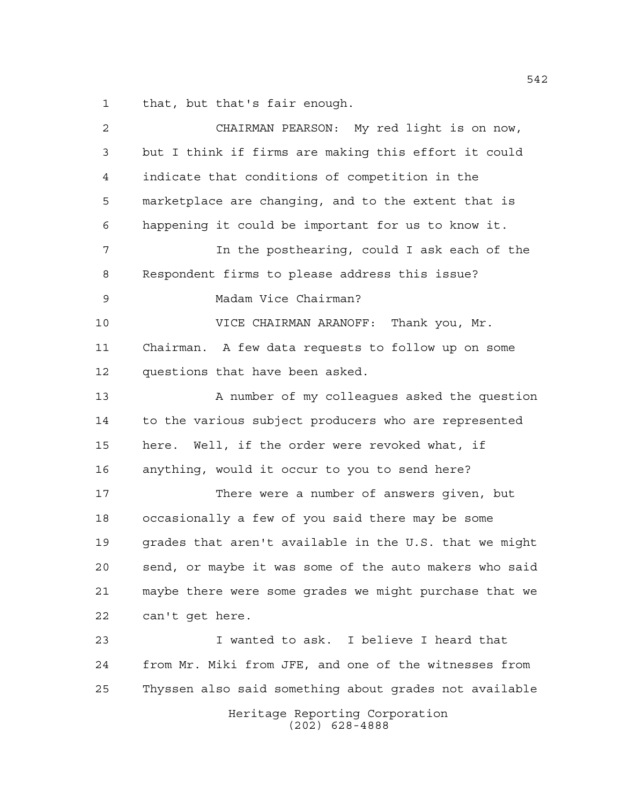that, but that's fair enough.

Heritage Reporting Corporation (202) 628-4888 CHAIRMAN PEARSON: My red light is on now, but I think if firms are making this effort it could indicate that conditions of competition in the marketplace are changing, and to the extent that is happening it could be important for us to know it. In the posthearing, could I ask each of the Respondent firms to please address this issue? Madam Vice Chairman? VICE CHAIRMAN ARANOFF: Thank you, Mr. Chairman. A few data requests to follow up on some questions that have been asked. 13 A number of my colleagues asked the question to the various subject producers who are represented here. Well, if the order were revoked what, if anything, would it occur to you to send here? There were a number of answers given, but occasionally a few of you said there may be some grades that aren't available in the U.S. that we might send, or maybe it was some of the auto makers who said maybe there were some grades we might purchase that we can't get here. I wanted to ask. I believe I heard that from Mr. Miki from JFE, and one of the witnesses from Thyssen also said something about grades not available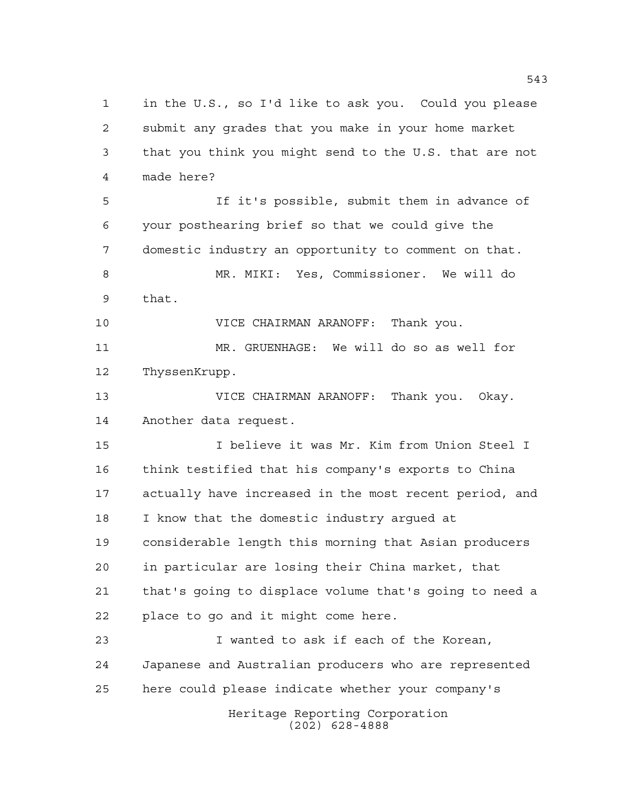Heritage Reporting Corporation (202) 628-4888 in the U.S., so I'd like to ask you. Could you please submit any grades that you make in your home market that you think you might send to the U.S. that are not made here? If it's possible, submit them in advance of your posthearing brief so that we could give the domestic industry an opportunity to comment on that. MR. MIKI: Yes, Commissioner. We will do that. VICE CHAIRMAN ARANOFF: Thank you. MR. GRUENHAGE: We will do so as well for ThyssenKrupp. VICE CHAIRMAN ARANOFF: Thank you. Okay. Another data request. I believe it was Mr. Kim from Union Steel I think testified that his company's exports to China actually have increased in the most recent period, and I know that the domestic industry argued at considerable length this morning that Asian producers in particular are losing their China market, that that's going to displace volume that's going to need a place to go and it might come here. I wanted to ask if each of the Korean, Japanese and Australian producers who are represented here could please indicate whether your company's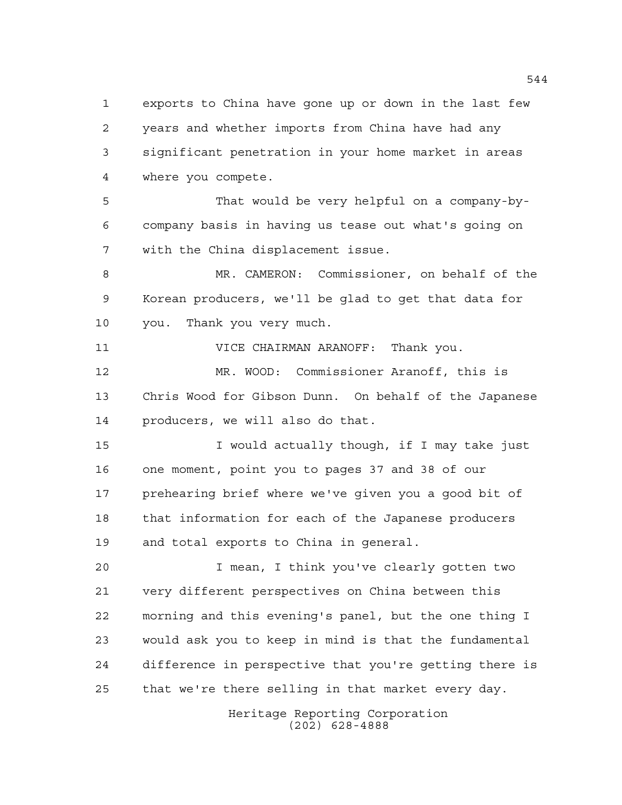exports to China have gone up or down in the last few years and whether imports from China have had any significant penetration in your home market in areas where you compete.

 That would be very helpful on a company-by- company basis in having us tease out what's going on with the China displacement issue.

 MR. CAMERON: Commissioner, on behalf of the Korean producers, we'll be glad to get that data for you. Thank you very much.

VICE CHAIRMAN ARANOFF: Thank you.

 MR. WOOD: Commissioner Aranoff, this is Chris Wood for Gibson Dunn. On behalf of the Japanese producers, we will also do that.

 I would actually though, if I may take just one moment, point you to pages 37 and 38 of our prehearing brief where we've given you a good bit of that information for each of the Japanese producers and total exports to China in general.

 I mean, I think you've clearly gotten two very different perspectives on China between this morning and this evening's panel, but the one thing I would ask you to keep in mind is that the fundamental difference in perspective that you're getting there is that we're there selling in that market every day.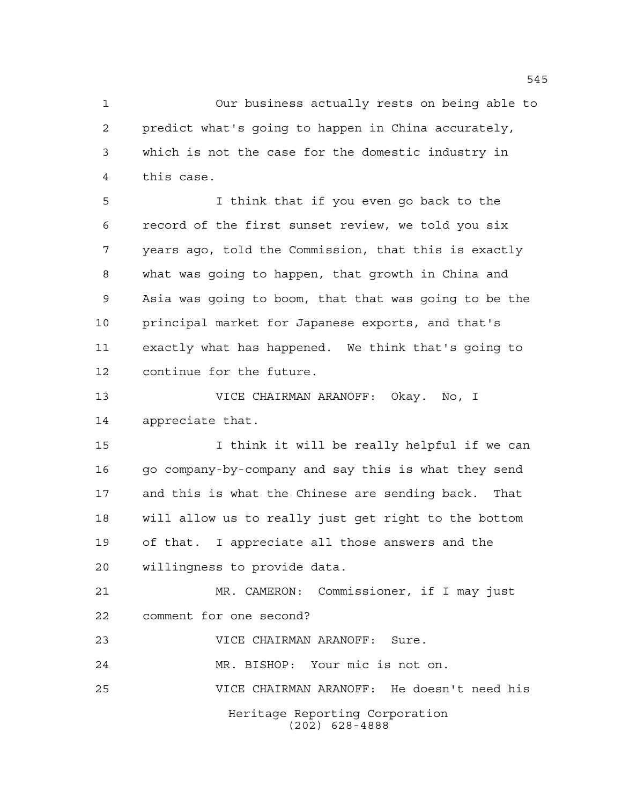Our business actually rests on being able to predict what's going to happen in China accurately, which is not the case for the domestic industry in this case.

 I think that if you even go back to the record of the first sunset review, we told you six years ago, told the Commission, that this is exactly what was going to happen, that growth in China and Asia was going to boom, that that was going to be the principal market for Japanese exports, and that's exactly what has happened. We think that's going to continue for the future.

 VICE CHAIRMAN ARANOFF: Okay. No, I appreciate that.

 I think it will be really helpful if we can 16 go company-by-company and say this is what they send and this is what the Chinese are sending back. That will allow us to really just get right to the bottom of that. I appreciate all those answers and the willingness to provide data.

 MR. CAMERON: Commissioner, if I may just comment for one second?

VICE CHAIRMAN ARANOFF: Sure.

MR. BISHOP: Your mic is not on.

VICE CHAIRMAN ARANOFF: He doesn't need his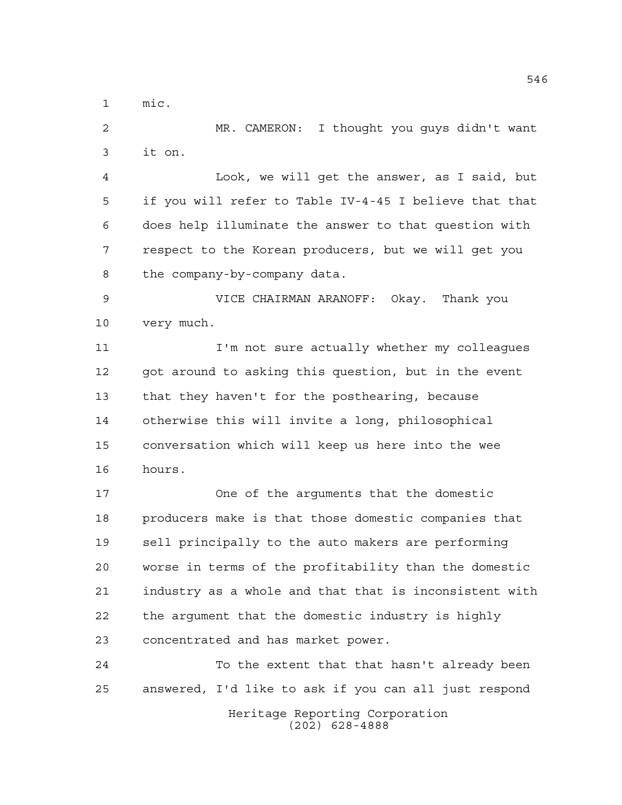mic.

 MR. CAMERON: I thought you guys didn't want it on.

 Look, we will get the answer, as I said, but if you will refer to Table IV-4-45 I believe that that does help illuminate the answer to that question with respect to the Korean producers, but we will get you the company-by-company data.

 VICE CHAIRMAN ARANOFF: Okay. Thank you very much.

11 I'm not sure actually whether my colleagues got around to asking this question, but in the event that they haven't for the posthearing, because otherwise this will invite a long, philosophical conversation which will keep us here into the wee hours.

 One of the arguments that the domestic producers make is that those domestic companies that sell principally to the auto makers are performing worse in terms of the profitability than the domestic industry as a whole and that that is inconsistent with the argument that the domestic industry is highly concentrated and has market power.

24 To the extent that that hasn't already been answered, I'd like to ask if you can all just respond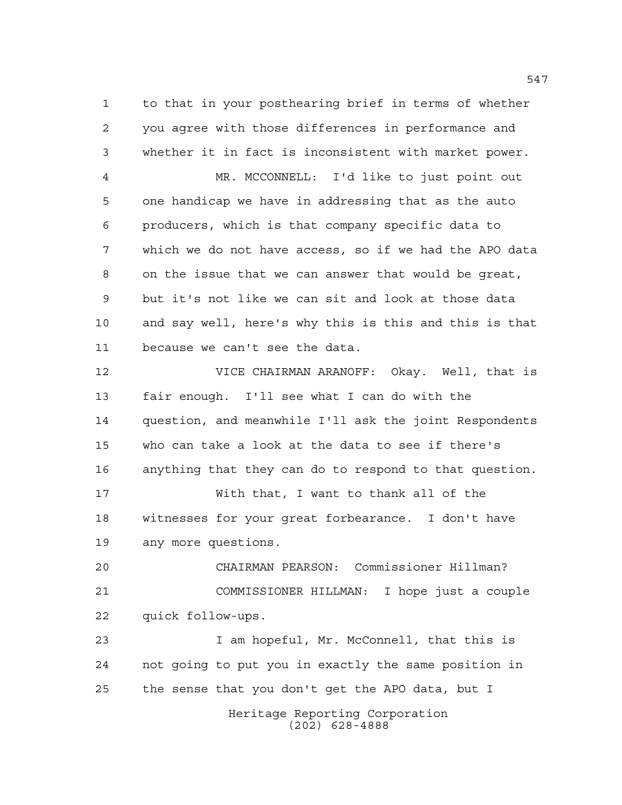to that in your posthearing brief in terms of whether you agree with those differences in performance and whether it in fact is inconsistent with market power.

 MR. MCCONNELL: I'd like to just point out one handicap we have in addressing that as the auto producers, which is that company specific data to which we do not have access, so if we had the APO data on the issue that we can answer that would be great, but it's not like we can sit and look at those data and say well, here's why this is this and this is that because we can't see the data.

 VICE CHAIRMAN ARANOFF: Okay. Well, that is fair enough. I'll see what I can do with the question, and meanwhile I'll ask the joint Respondents who can take a look at the data to see if there's anything that they can do to respond to that question. With that, I want to thank all of the

 witnesses for your great forbearance. I don't have any more questions.

 CHAIRMAN PEARSON: Commissioner Hillman? COMMISSIONER HILLMAN: I hope just a couple quick follow-ups.

 I am hopeful, Mr. McConnell, that this is not going to put you in exactly the same position in the sense that you don't get the APO data, but I

> Heritage Reporting Corporation (202) 628-4888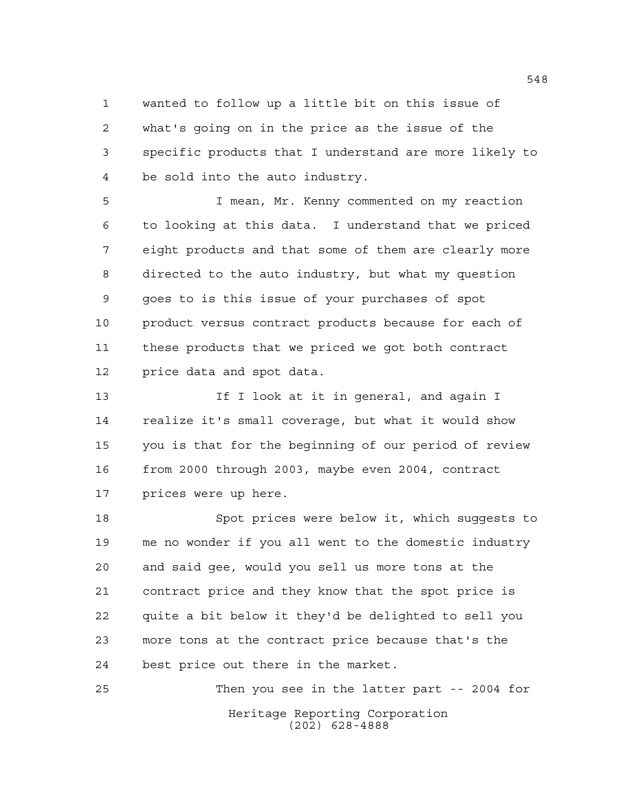wanted to follow up a little bit on this issue of what's going on in the price as the issue of the specific products that I understand are more likely to be sold into the auto industry.

 I mean, Mr. Kenny commented on my reaction to looking at this data. I understand that we priced eight products and that some of them are clearly more directed to the auto industry, but what my question goes to is this issue of your purchases of spot product versus contract products because for each of these products that we priced we got both contract price data and spot data.

13 13 If I look at it in general, and again I realize it's small coverage, but what it would show you is that for the beginning of our period of review from 2000 through 2003, maybe even 2004, contract prices were up here.

 Spot prices were below it, which suggests to me no wonder if you all went to the domestic industry and said gee, would you sell us more tons at the contract price and they know that the spot price is quite a bit below it they'd be delighted to sell you more tons at the contract price because that's the best price out there in the market.

Heritage Reporting Corporation (202) 628-4888 Then you see in the latter part -- 2004 for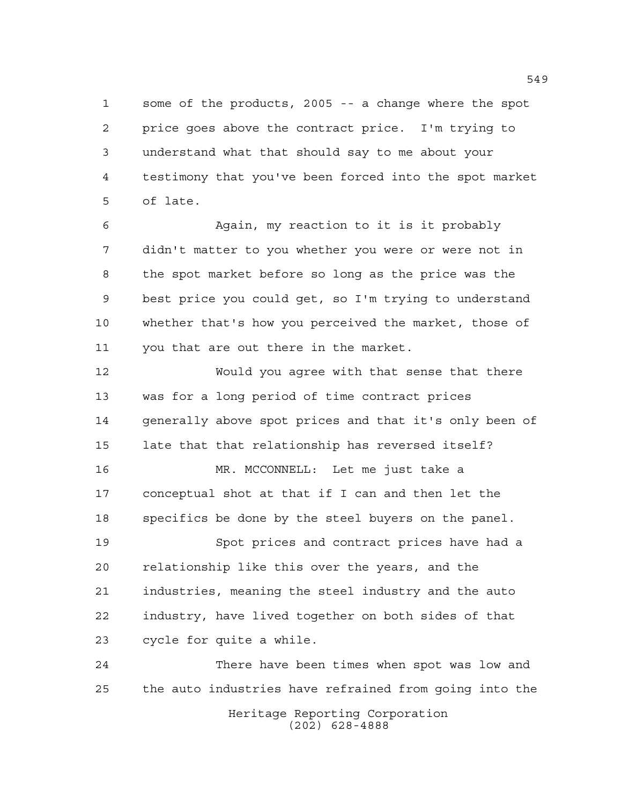some of the products, 2005 -- a change where the spot price goes above the contract price. I'm trying to understand what that should say to me about your testimony that you've been forced into the spot market of late.

 Again, my reaction to it is it probably didn't matter to you whether you were or were not in the spot market before so long as the price was the best price you could get, so I'm trying to understand whether that's how you perceived the market, those of you that are out there in the market.

 Would you agree with that sense that there was for a long period of time contract prices 14 generally above spot prices and that it's only been of late that that relationship has reversed itself?

 MR. MCCONNELL: Let me just take a conceptual shot at that if I can and then let the specifics be done by the steel buyers on the panel.

 Spot prices and contract prices have had a relationship like this over the years, and the industries, meaning the steel industry and the auto industry, have lived together on both sides of that cycle for quite a while.

Heritage Reporting Corporation (202) 628-4888 There have been times when spot was low and the auto industries have refrained from going into the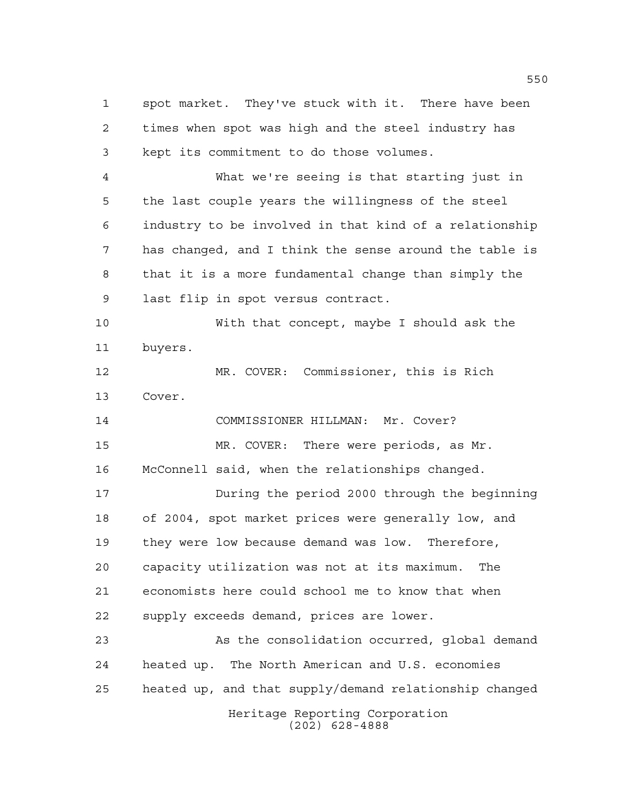Heritage Reporting Corporation spot market. They've stuck with it. There have been times when spot was high and the steel industry has kept its commitment to do those volumes. What we're seeing is that starting just in the last couple years the willingness of the steel industry to be involved in that kind of a relationship has changed, and I think the sense around the table is that it is a more fundamental change than simply the last flip in spot versus contract. With that concept, maybe I should ask the buyers. MR. COVER: Commissioner, this is Rich Cover. COMMISSIONER HILLMAN: Mr. Cover? MR. COVER: There were periods, as Mr. McConnell said, when the relationships changed. During the period 2000 through the beginning of 2004, spot market prices were generally low, and they were low because demand was low. Therefore, capacity utilization was not at its maximum. The economists here could school me to know that when supply exceeds demand, prices are lower. As the consolidation occurred, global demand heated up. The North American and U.S. economies heated up, and that supply/demand relationship changed

(202) 628-4888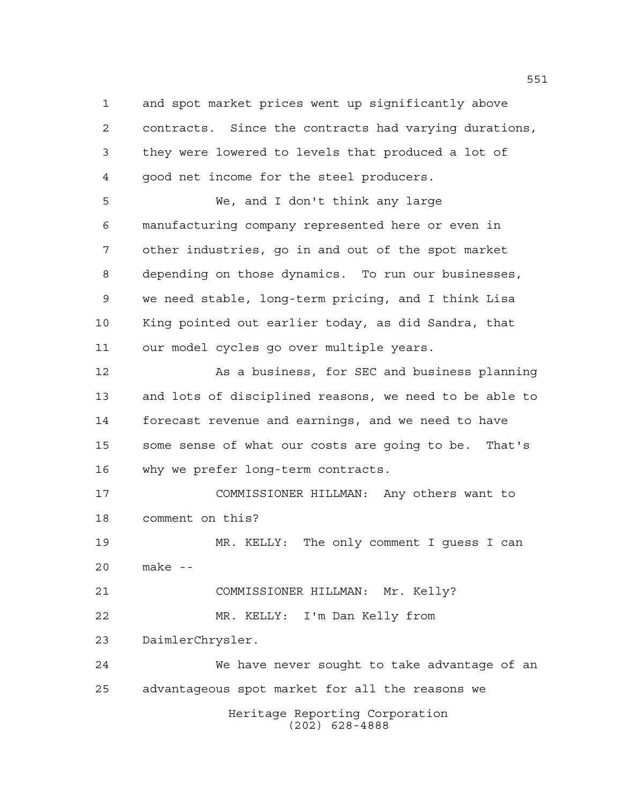and spot market prices went up significantly above

 contracts. Since the contracts had varying durations, they were lowered to levels that produced a lot of good net income for the steel producers.

 We, and I don't think any large manufacturing company represented here or even in other industries, go in and out of the spot market depending on those dynamics. To run our businesses, we need stable, long-term pricing, and I think Lisa King pointed out earlier today, as did Sandra, that our model cycles go over multiple years.

 As a business, for SEC and business planning and lots of disciplined reasons, we need to be able to forecast revenue and earnings, and we need to have some sense of what our costs are going to be. That's why we prefer long-term contracts.

 COMMISSIONER HILLMAN: Any others want to comment on this?

 MR. KELLY: The only comment I guess I can make --

 COMMISSIONER HILLMAN: Mr. Kelly? MR. KELLY: I'm Dan Kelly from

DaimlerChrysler.

Heritage Reporting Corporation (202) 628-4888 We have never sought to take advantage of an advantageous spot market for all the reasons we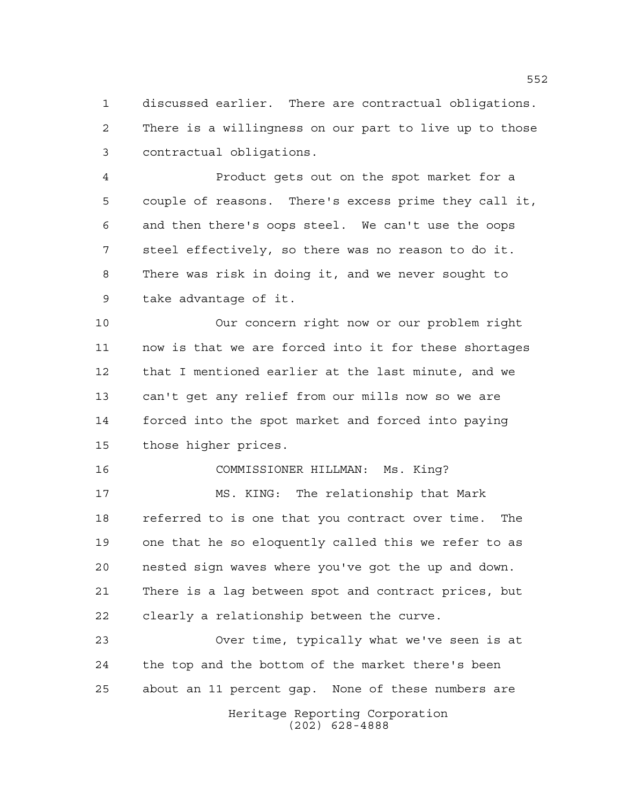discussed earlier. There are contractual obligations. There is a willingness on our part to live up to those contractual obligations.

 Product gets out on the spot market for a couple of reasons. There's excess prime they call it, and then there's oops steel. We can't use the oops steel effectively, so there was no reason to do it. There was risk in doing it, and we never sought to take advantage of it.

 Our concern right now or our problem right now is that we are forced into it for these shortages that I mentioned earlier at the last minute, and we can't get any relief from our mills now so we are forced into the spot market and forced into paying those higher prices.

 COMMISSIONER HILLMAN: Ms. King? MS. KING: The relationship that Mark referred to is one that you contract over time. The one that he so eloquently called this we refer to as nested sign waves where you've got the up and down. There is a lag between spot and contract prices, but clearly a relationship between the curve.

Heritage Reporting Corporation (202) 628-4888 Over time, typically what we've seen is at the top and the bottom of the market there's been about an 11 percent gap. None of these numbers are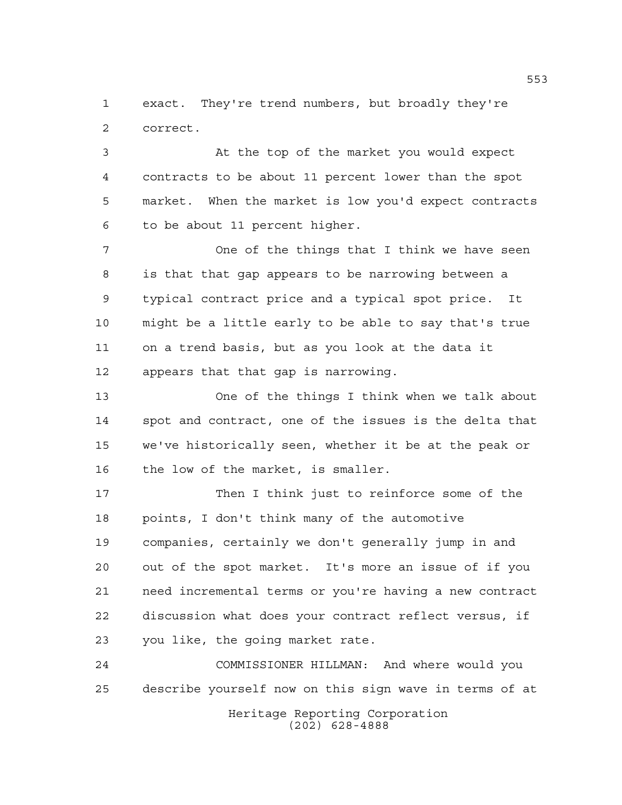exact. They're trend numbers, but broadly they're correct.

 At the top of the market you would expect contracts to be about 11 percent lower than the spot market. When the market is low you'd expect contracts to be about 11 percent higher.

 One of the things that I think we have seen is that that gap appears to be narrowing between a typical contract price and a typical spot price. It might be a little early to be able to say that's true on a trend basis, but as you look at the data it appears that that gap is narrowing.

 One of the things I think when we talk about spot and contract, one of the issues is the delta that we've historically seen, whether it be at the peak or the low of the market, is smaller.

 Then I think just to reinforce some of the points, I don't think many of the automotive companies, certainly we don't generally jump in and out of the spot market. It's more an issue of if you need incremental terms or you're having a new contract discussion what does your contract reflect versus, if you like, the going market rate.

 COMMISSIONER HILLMAN: And where would you describe yourself now on this sign wave in terms of at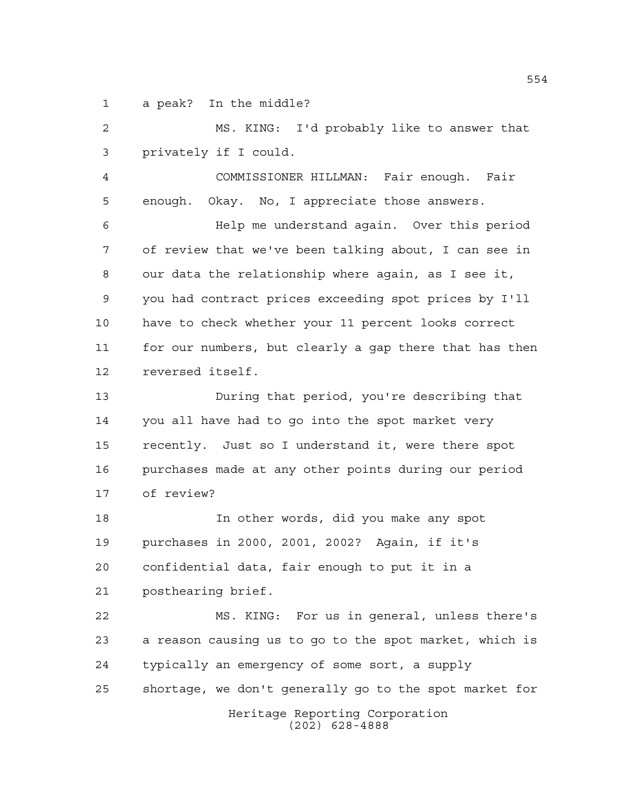a peak? In the middle?

 MS. KING: I'd probably like to answer that privately if I could. COMMISSIONER HILLMAN: Fair enough. Fair enough. Okay. No, I appreciate those answers. Help me understand again. Over this period

 of review that we've been talking about, I can see in our data the relationship where again, as I see it, you had contract prices exceeding spot prices by I'll have to check whether your 11 percent looks correct for our numbers, but clearly a gap there that has then reversed itself.

 During that period, you're describing that you all have had to go into the spot market very recently. Just so I understand it, were there spot purchases made at any other points during our period of review?

 In other words, did you make any spot purchases in 2000, 2001, 2002? Again, if it's confidential data, fair enough to put it in a posthearing brief.

 MS. KING: For us in general, unless there's a reason causing us to go to the spot market, which is typically an emergency of some sort, a supply shortage, we don't generally go to the spot market for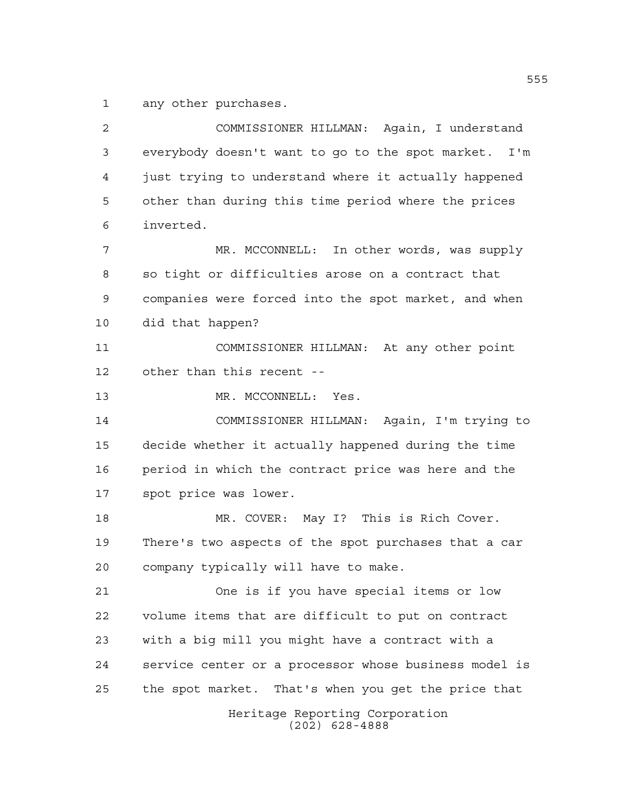any other purchases.

Heritage Reporting Corporation (202) 628-4888 COMMISSIONER HILLMAN: Again, I understand everybody doesn't want to go to the spot market. I'm just trying to understand where it actually happened other than during this time period where the prices inverted. MR. MCCONNELL: In other words, was supply so tight or difficulties arose on a contract that companies were forced into the spot market, and when did that happen? COMMISSIONER HILLMAN: At any other point other than this recent -- 13 MR. MCCONNELL: Yes. COMMISSIONER HILLMAN: Again, I'm trying to decide whether it actually happened during the time period in which the contract price was here and the spot price was lower. MR. COVER: May I? This is Rich Cover. There's two aspects of the spot purchases that a car company typically will have to make. One is if you have special items or low volume items that are difficult to put on contract with a big mill you might have a contract with a service center or a processor whose business model is the spot market. That's when you get the price that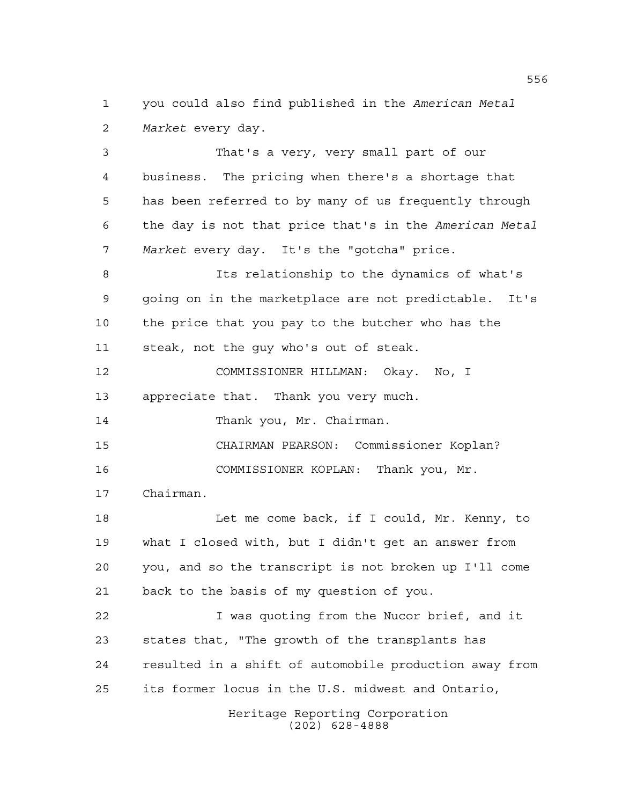you could also find published in the *American Metal Market* every day.

 That's a very, very small part of our business. The pricing when there's a shortage that has been referred to by many of us frequently through the day is not that price that's in the *American Metal Market* every day. It's the "gotcha" price.

 Its relationship to the dynamics of what's going on in the marketplace are not predictable. It's the price that you pay to the butcher who has the steak, not the guy who's out of steak.

 COMMISSIONER HILLMAN: Okay. No, I appreciate that. Thank you very much. 14 Thank you, Mr. Chairman.

CHAIRMAN PEARSON: Commissioner Koplan?

COMMISSIONER KOPLAN: Thank you, Mr.

Chairman.

 Let me come back, if I could, Mr. Kenny, to what I closed with, but I didn't get an answer from you, and so the transcript is not broken up I'll come back to the basis of my question of you.

 I was quoting from the Nucor brief, and it states that, "The growth of the transplants has resulted in a shift of automobile production away from its former locus in the U.S. midwest and Ontario,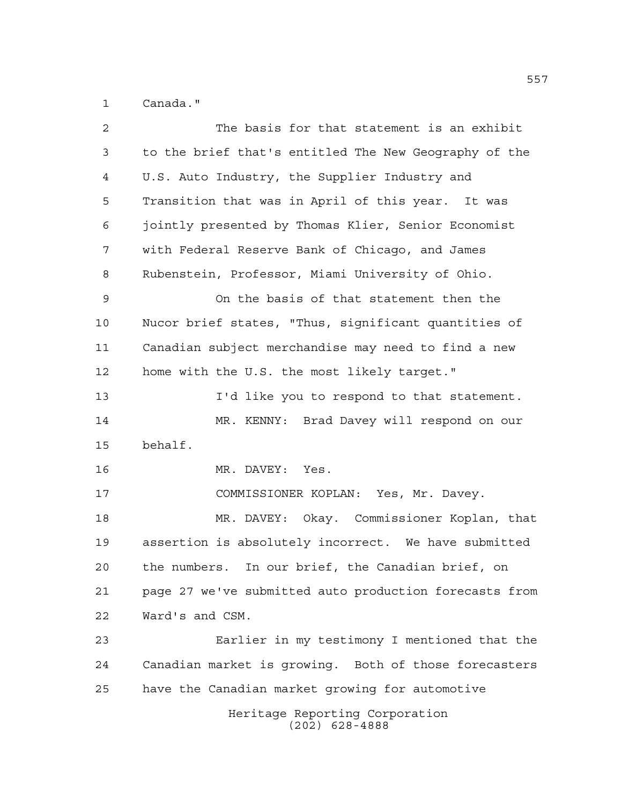Canada."

| $\overline{a}$ | The basis for that statement is an exhibit             |
|----------------|--------------------------------------------------------|
| 3              | to the brief that's entitled The New Geography of the  |
| $\overline{4}$ | U.S. Auto Industry, the Supplier Industry and          |
| 5              | Transition that was in April of this year. It was      |
| 6              | jointly presented by Thomas Klier, Senior Economist    |
| 7              | with Federal Reserve Bank of Chicago, and James        |
| 8              | Rubenstein, Professor, Miami University of Ohio.       |
| 9              | On the basis of that statement then the                |
| 10             | Nucor brief states, "Thus, significant quantities of   |
| 11             | Canadian subject merchandise may need to find a new    |
| 12             | home with the U.S. the most likely target."            |
| 13             | I'd like you to respond to that statement.             |
| 14             | MR. KENNY: Brad Davey will respond on our              |
| 15             | behalf.                                                |
| 16             | MR. DAVEY: Yes.                                        |
| 17             | COMMISSIONER KOPLAN: Yes, Mr. Davey.                   |
| 18             | MR. DAVEY: Okay. Commissioner Koplan, that             |
| 19             | assertion is absolutely incorrect. We have submitted   |
| 20             | the numbers. In our brief, the Canadian brief, on      |
| 21             | page 27 we've submitted auto production forecasts from |
| 22             | Ward's and CSM.                                        |
| 23             | Earlier in my testimony I mentioned that the           |
| 24             | Canadian market is growing. Both of those forecasters  |
| 25             | have the Canadian market growing for automotive        |
|                | Heritage Reporting Corporation<br>$(202)$ 628-4888     |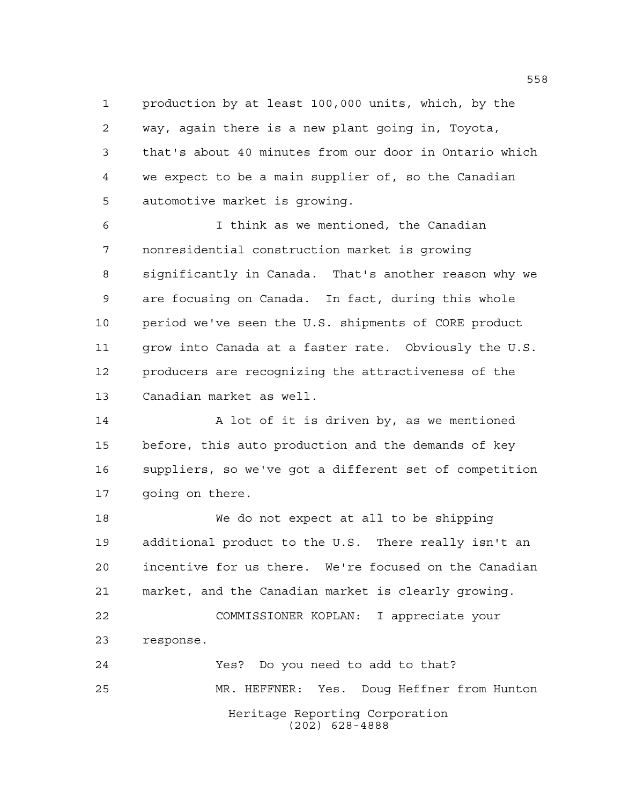production by at least 100,000 units, which, by the way, again there is a new plant going in, Toyota, that's about 40 minutes from our door in Ontario which we expect to be a main supplier of, so the Canadian automotive market is growing.

 I think as we mentioned, the Canadian nonresidential construction market is growing significantly in Canada. That's another reason why we are focusing on Canada. In fact, during this whole period we've seen the U.S. shipments of CORE product grow into Canada at a faster rate. Obviously the U.S. producers are recognizing the attractiveness of the Canadian market as well.

14 A lot of it is driven by, as we mentioned before, this auto production and the demands of key suppliers, so we've got a different set of competition going on there.

 We do not expect at all to be shipping additional product to the U.S. There really isn't an incentive for us there. We're focused on the Canadian market, and the Canadian market is clearly growing. COMMISSIONER KOPLAN: I appreciate your response. Yes? Do you need to add to that? MR. HEFFNER: Yes. Doug Heffner from Hunton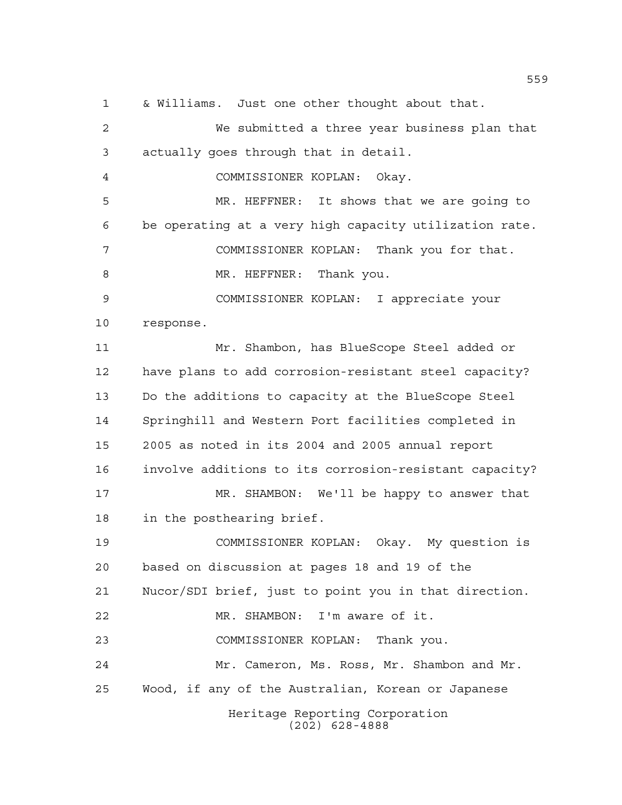Heritage Reporting Corporation (202) 628-4888 We submitted a three year business plan that actually goes through that in detail. COMMISSIONER KOPLAN: Okay. MR. HEFFNER: It shows that we are going to be operating at a very high capacity utilization rate. COMMISSIONER KOPLAN: Thank you for that. 8 MR. HEFFNER: Thank you. COMMISSIONER KOPLAN: I appreciate your response. Mr. Shambon, has BlueScope Steel added or have plans to add corrosion-resistant steel capacity? Do the additions to capacity at the BlueScope Steel Springhill and Western Port facilities completed in 2005 as noted in its 2004 and 2005 annual report involve additions to its corrosion-resistant capacity? MR. SHAMBON: We'll be happy to answer that in the posthearing brief. COMMISSIONER KOPLAN: Okay. My question is based on discussion at pages 18 and 19 of the Nucor/SDI brief, just to point you in that direction. MR. SHAMBON: I'm aware of it. COMMISSIONER KOPLAN: Thank you. Mr. Cameron, Ms. Ross, Mr. Shambon and Mr. Wood, if any of the Australian, Korean or Japanese

& Williams. Just one other thought about that.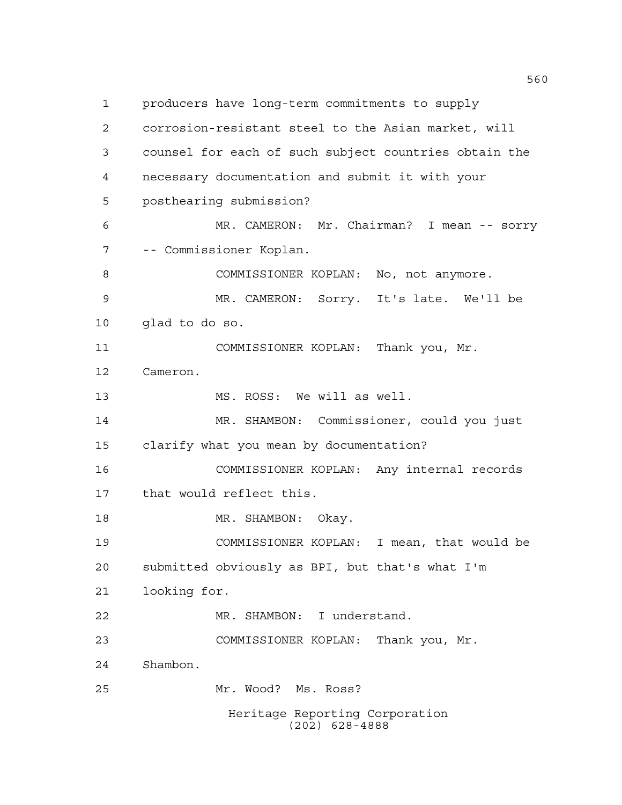Heritage Reporting Corporation (202) 628-4888 producers have long-term commitments to supply corrosion-resistant steel to the Asian market, will counsel for each of such subject countries obtain the necessary documentation and submit it with your posthearing submission? MR. CAMERON: Mr. Chairman? I mean -- sorry -- Commissioner Koplan. COMMISSIONER KOPLAN: No, not anymore. MR. CAMERON: Sorry. It's late. We'll be glad to do so. COMMISSIONER KOPLAN: Thank you, Mr. Cameron. MS. ROSS: We will as well. MR. SHAMBON: Commissioner, could you just clarify what you mean by documentation? COMMISSIONER KOPLAN: Any internal records that would reflect this. 18 MR. SHAMBON: Okay. COMMISSIONER KOPLAN: I mean, that would be submitted obviously as BPI, but that's what I'm looking for. MR. SHAMBON: I understand. COMMISSIONER KOPLAN: Thank you, Mr. Shambon. Mr. Wood? Ms. Ross?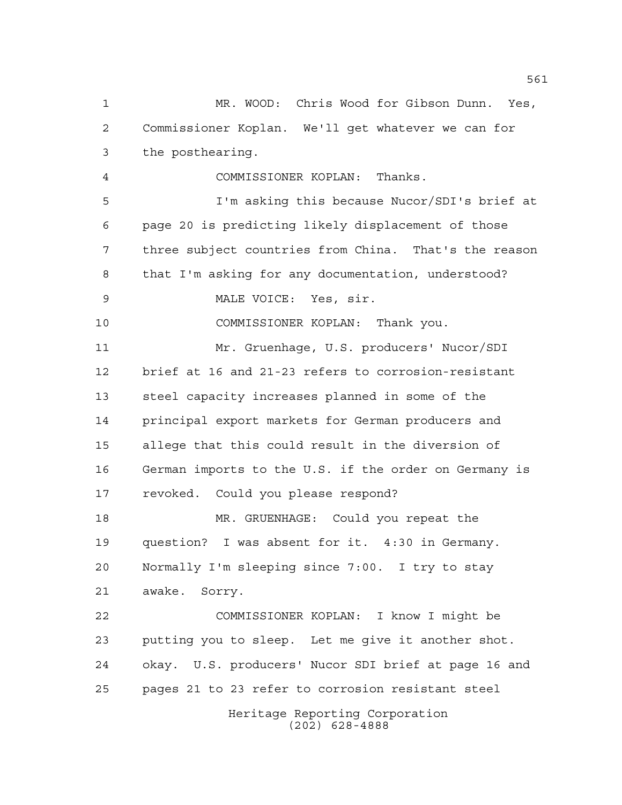Heritage Reporting Corporation (202) 628-4888 MR. WOOD: Chris Wood for Gibson Dunn. Yes, Commissioner Koplan. We'll get whatever we can for the posthearing. COMMISSIONER KOPLAN: Thanks. I'm asking this because Nucor/SDI's brief at page 20 is predicting likely displacement of those three subject countries from China. That's the reason that I'm asking for any documentation, understood? MALE VOICE: Yes, sir. COMMISSIONER KOPLAN: Thank you. Mr. Gruenhage, U.S. producers' Nucor/SDI brief at 16 and 21-23 refers to corrosion-resistant steel capacity increases planned in some of the principal export markets for German producers and allege that this could result in the diversion of German imports to the U.S. if the order on Germany is revoked. Could you please respond? MR. GRUENHAGE: Could you repeat the question? I was absent for it. 4:30 in Germany. Normally I'm sleeping since 7:00. I try to stay awake. Sorry. COMMISSIONER KOPLAN: I know I might be putting you to sleep. Let me give it another shot. okay. U.S. producers' Nucor SDI brief at page 16 and pages 21 to 23 refer to corrosion resistant steel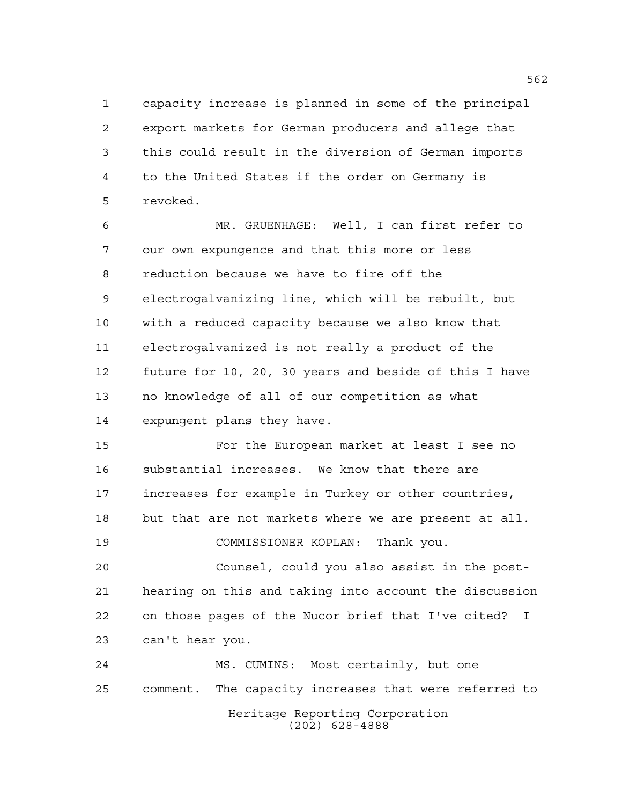capacity increase is planned in some of the principal export markets for German producers and allege that this could result in the diversion of German imports to the United States if the order on Germany is revoked.

 MR. GRUENHAGE: Well, I can first refer to our own expungence and that this more or less reduction because we have to fire off the electrogalvanizing line, which will be rebuilt, but with a reduced capacity because we also know that electrogalvanized is not really a product of the future for 10, 20, 30 years and beside of this I have no knowledge of all of our competition as what expungent plans they have.

 For the European market at least I see no substantial increases. We know that there are increases for example in Turkey or other countries, but that are not markets where we are present at all.

COMMISSIONER KOPLAN: Thank you.

 Counsel, could you also assist in the post- hearing on this and taking into account the discussion on those pages of the Nucor brief that I've cited? I can't hear you.

Heritage Reporting Corporation (202) 628-4888 MS. CUMINS: Most certainly, but one comment. The capacity increases that were referred to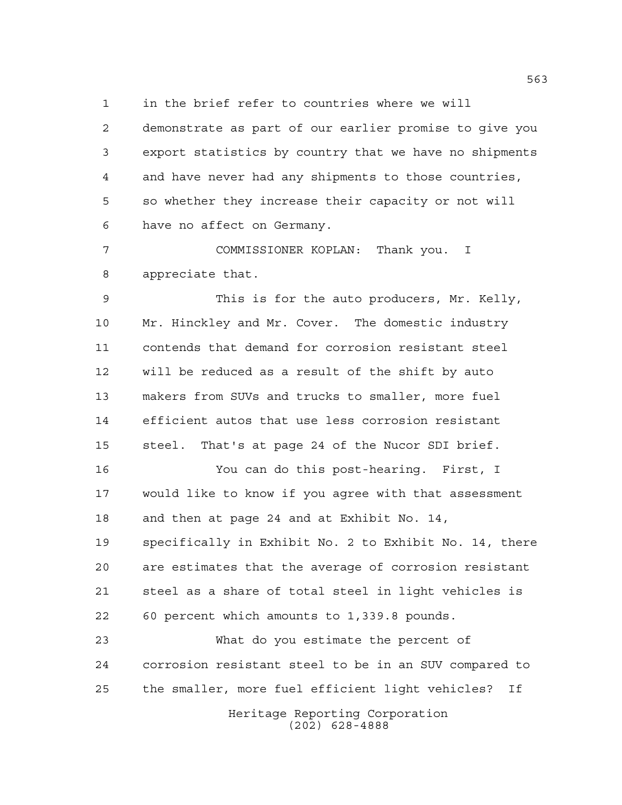in the brief refer to countries where we will

 demonstrate as part of our earlier promise to give you export statistics by country that we have no shipments and have never had any shipments to those countries, so whether they increase their capacity or not will have no affect on Germany.

 COMMISSIONER KOPLAN: Thank you. I appreciate that.

 This is for the auto producers, Mr. Kelly, Mr. Hinckley and Mr. Cover. The domestic industry contends that demand for corrosion resistant steel will be reduced as a result of the shift by auto makers from SUVs and trucks to smaller, more fuel efficient autos that use less corrosion resistant steel. That's at page 24 of the Nucor SDI brief.

 You can do this post-hearing. First, I would like to know if you agree with that assessment and then at page 24 and at Exhibit No. 14, specifically in Exhibit No. 2 to Exhibit No. 14, there are estimates that the average of corrosion resistant steel as a share of total steel in light vehicles is 60 percent which amounts to 1,339.8 pounds.

 What do you estimate the percent of corrosion resistant steel to be in an SUV compared to the smaller, more fuel efficient light vehicles? If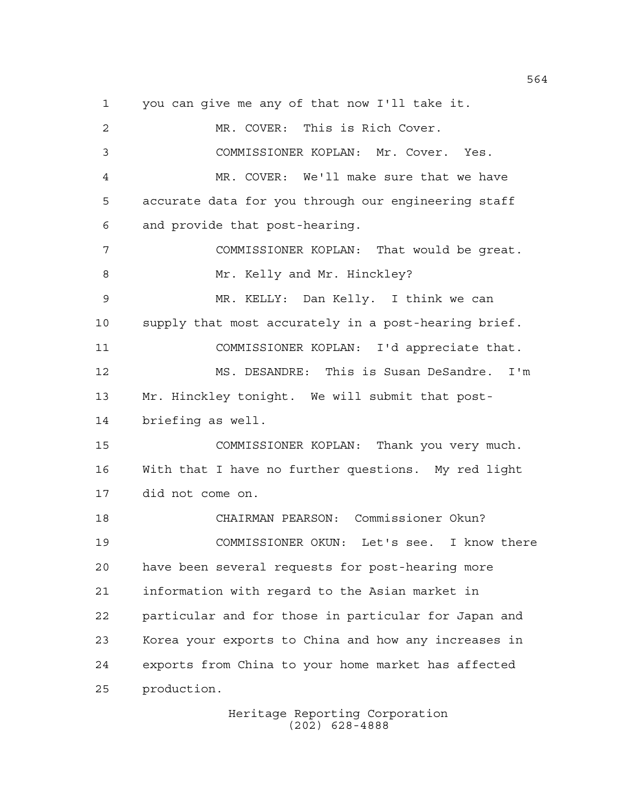you can give me any of that now I'll take it. MR. COVER: This is Rich Cover. COMMISSIONER KOPLAN: Mr. Cover. Yes. MR. COVER: We'll make sure that we have accurate data for you through our engineering staff and provide that post-hearing. COMMISSIONER KOPLAN: That would be great. 8 Mr. Kelly and Mr. Hinckley? MR. KELLY: Dan Kelly. I think we can supply that most accurately in a post-hearing brief. COMMISSIONER KOPLAN: I'd appreciate that. MS. DESANDRE: This is Susan DeSandre. I'm Mr. Hinckley tonight. We will submit that post- briefing as well. COMMISSIONER KOPLAN: Thank you very much. With that I have no further questions. My red light did not come on. CHAIRMAN PEARSON: Commissioner Okun? COMMISSIONER OKUN: Let's see. I know there have been several requests for post-hearing more information with regard to the Asian market in particular and for those in particular for Japan and Korea your exports to China and how any increases in exports from China to your home market has affected production.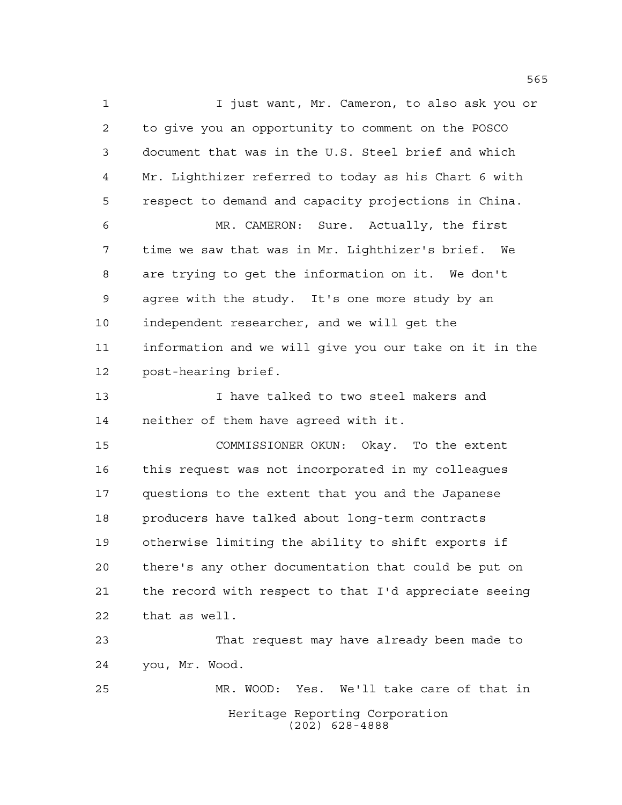Heritage Reporting Corporation (202) 628-4888 I just want, Mr. Cameron, to also ask you or to give you an opportunity to comment on the POSCO document that was in the U.S. Steel brief and which Mr. Lighthizer referred to today as his Chart 6 with respect to demand and capacity projections in China. MR. CAMERON: Sure. Actually, the first time we saw that was in Mr. Lighthizer's brief. We are trying to get the information on it. We don't agree with the study. It's one more study by an independent researcher, and we will get the information and we will give you our take on it in the post-hearing brief. I have talked to two steel makers and neither of them have agreed with it. COMMISSIONER OKUN: Okay. To the extent this request was not incorporated in my colleagues questions to the extent that you and the Japanese producers have talked about long-term contracts otherwise limiting the ability to shift exports if there's any other documentation that could be put on the record with respect to that I'd appreciate seeing that as well. That request may have already been made to you, Mr. Wood. MR. WOOD: Yes. We'll take care of that in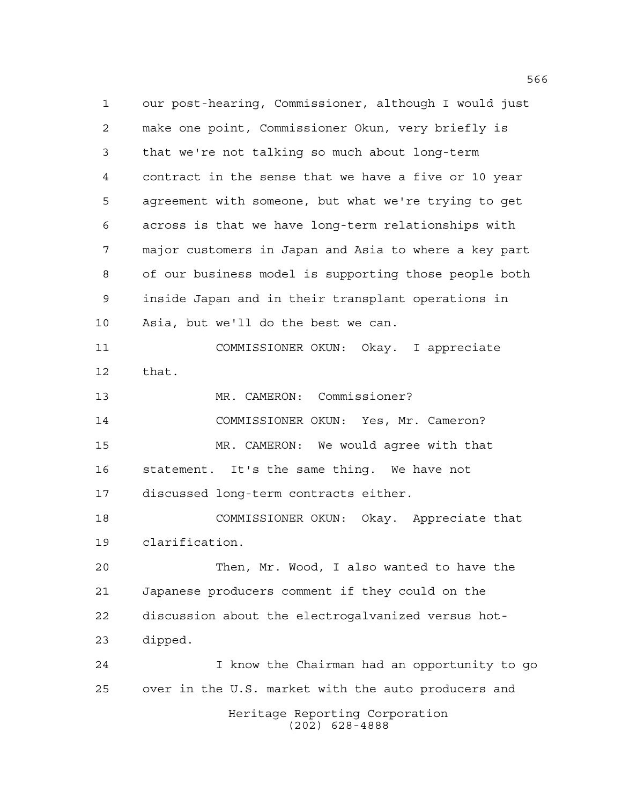Heritage Reporting Corporation (202) 628-4888 our post-hearing, Commissioner, although I would just make one point, Commissioner Okun, very briefly is that we're not talking so much about long-term contract in the sense that we have a five or 10 year agreement with someone, but what we're trying to get across is that we have long-term relationships with major customers in Japan and Asia to where a key part of our business model is supporting those people both inside Japan and in their transplant operations in Asia, but we'll do the best we can. COMMISSIONER OKUN: Okay. I appreciate that. MR. CAMERON: Commissioner? COMMISSIONER OKUN: Yes, Mr. Cameron? MR. CAMERON: We would agree with that statement. It's the same thing. We have not discussed long-term contracts either. COMMISSIONER OKUN: Okay. Appreciate that clarification. Then, Mr. Wood, I also wanted to have the Japanese producers comment if they could on the discussion about the electrogalvanized versus hot- dipped. I know the Chairman had an opportunity to go over in the U.S. market with the auto producers and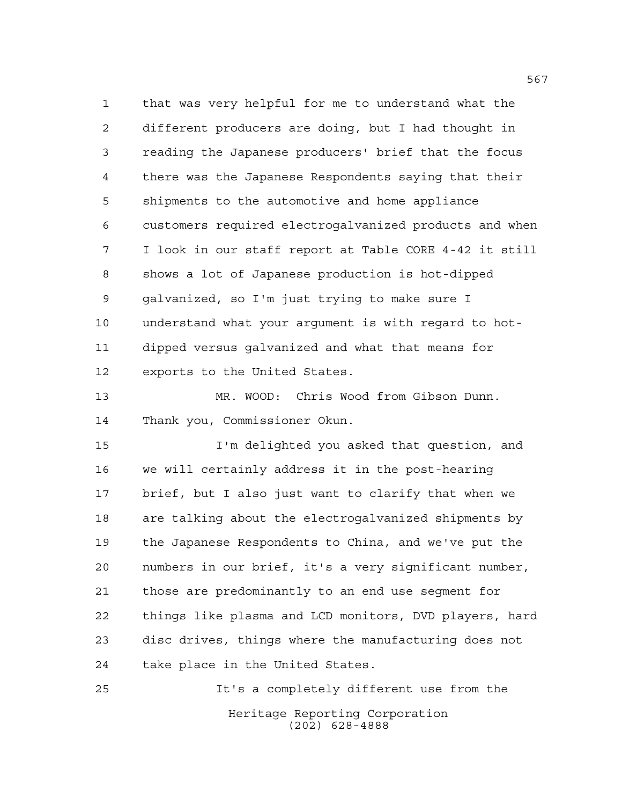that was very helpful for me to understand what the different producers are doing, but I had thought in reading the Japanese producers' brief that the focus there was the Japanese Respondents saying that their shipments to the automotive and home appliance customers required electrogalvanized products and when I look in our staff report at Table CORE 4-42 it still shows a lot of Japanese production is hot-dipped galvanized, so I'm just trying to make sure I understand what your argument is with regard to hot- dipped versus galvanized and what that means for exports to the United States.

 MR. WOOD: Chris Wood from Gibson Dunn. Thank you, Commissioner Okun.

 I'm delighted you asked that question, and we will certainly address it in the post-hearing brief, but I also just want to clarify that when we are talking about the electrogalvanized shipments by the Japanese Respondents to China, and we've put the numbers in our brief, it's a very significant number, those are predominantly to an end use segment for things like plasma and LCD monitors, DVD players, hard disc drives, things where the manufacturing does not take place in the United States.

Heritage Reporting Corporation (202) 628-4888 It's a completely different use from the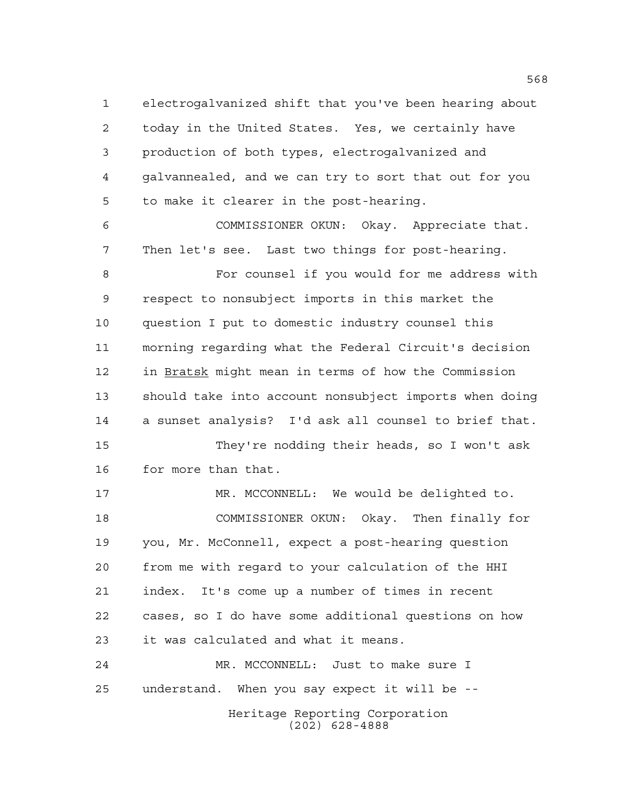electrogalvanized shift that you've been hearing about today in the United States. Yes, we certainly have production of both types, electrogalvanized and galvannealed, and we can try to sort that out for you to make it clearer in the post-hearing.

 COMMISSIONER OKUN: Okay. Appreciate that. Then let's see. Last two things for post-hearing.

 For counsel if you would for me address with respect to nonsubject imports in this market the question I put to domestic industry counsel this morning regarding what the Federal Circuit's decision in Bratsk might mean in terms of how the Commission should take into account nonsubject imports when doing a sunset analysis? I'd ask all counsel to brief that. They're nodding their heads, so I won't ask

 MR. MCCONNELL: We would be delighted to. COMMISSIONER OKUN: Okay. Then finally for you, Mr. McConnell, expect a post-hearing question from me with regard to your calculation of the HHI index. It's come up a number of times in recent cases, so I do have some additional questions on how it was calculated and what it means.

Heritage Reporting Corporation (202) 628-4888 MR. MCCONNELL: Just to make sure I understand. When you say expect it will be --

for more than that.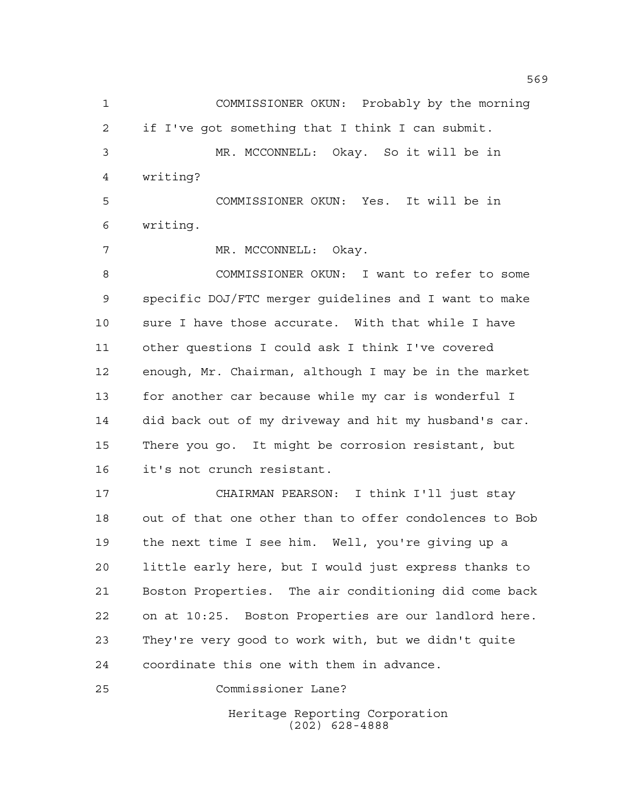COMMISSIONER OKUN: Probably by the morning if I've got something that I think I can submit. MR. MCCONNELL: Okay. So it will be in writing? COMMISSIONER OKUN: Yes. It will be in

writing.

7 MR. MCCONNELL: Okay.

 COMMISSIONER OKUN: I want to refer to some specific DOJ/FTC merger guidelines and I want to make sure I have those accurate. With that while I have other questions I could ask I think I've covered enough, Mr. Chairman, although I may be in the market for another car because while my car is wonderful I did back out of my driveway and hit my husband's car. There you go. It might be corrosion resistant, but it's not crunch resistant.

 CHAIRMAN PEARSON: I think I'll just stay out of that one other than to offer condolences to Bob the next time I see him. Well, you're giving up a little early here, but I would just express thanks to Boston Properties. The air conditioning did come back on at 10:25. Boston Properties are our landlord here. They're very good to work with, but we didn't quite coordinate this one with them in advance.

Commissioner Lane?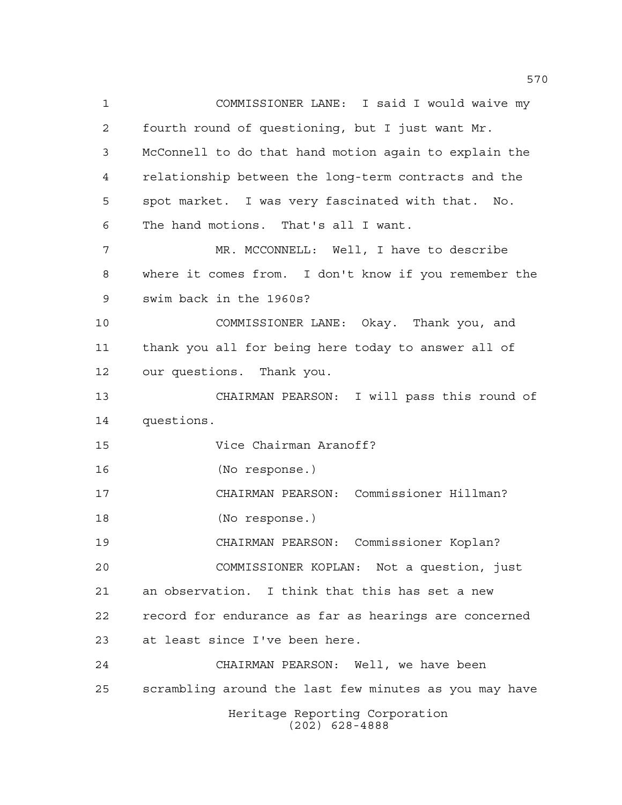Heritage Reporting Corporation (202) 628-4888 COMMISSIONER LANE: I said I would waive my fourth round of questioning, but I just want Mr. McConnell to do that hand motion again to explain the relationship between the long-term contracts and the spot market. I was very fascinated with that. No. The hand motions. That's all I want. MR. MCCONNELL: Well, I have to describe where it comes from. I don't know if you remember the swim back in the 1960s? COMMISSIONER LANE: Okay. Thank you, and thank you all for being here today to answer all of our questions. Thank you. CHAIRMAN PEARSON: I will pass this round of questions. Vice Chairman Aranoff? (No response.) CHAIRMAN PEARSON: Commissioner Hillman? (No response.) CHAIRMAN PEARSON: Commissioner Koplan? COMMISSIONER KOPLAN: Not a question, just an observation. I think that this has set a new record for endurance as far as hearings are concerned at least since I've been here. CHAIRMAN PEARSON: Well, we have been scrambling around the last few minutes as you may have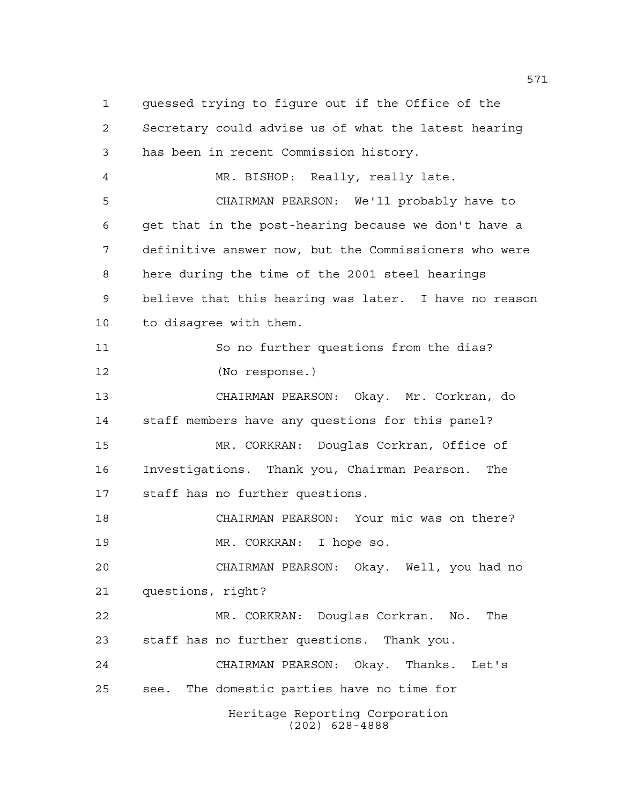Heritage Reporting Corporation (202) 628-4888 guessed trying to figure out if the Office of the Secretary could advise us of what the latest hearing has been in recent Commission history. MR. BISHOP: Really, really late. CHAIRMAN PEARSON: We'll probably have to get that in the post-hearing because we don't have a definitive answer now, but the Commissioners who were here during the time of the 2001 steel hearings believe that this hearing was later. I have no reason to disagree with them. So no further questions from the dias? (No response.) CHAIRMAN PEARSON: Okay. Mr. Corkran, do staff members have any questions for this panel? MR. CORKRAN: Douglas Corkran, Office of Investigations. Thank you, Chairman Pearson. The staff has no further questions. CHAIRMAN PEARSON: Your mic was on there? MR. CORKRAN: I hope so. CHAIRMAN PEARSON: Okay. Well, you had no questions, right? MR. CORKRAN: Douglas Corkran. No. The staff has no further questions. Thank you. CHAIRMAN PEARSON: Okay. Thanks. Let's see. The domestic parties have no time for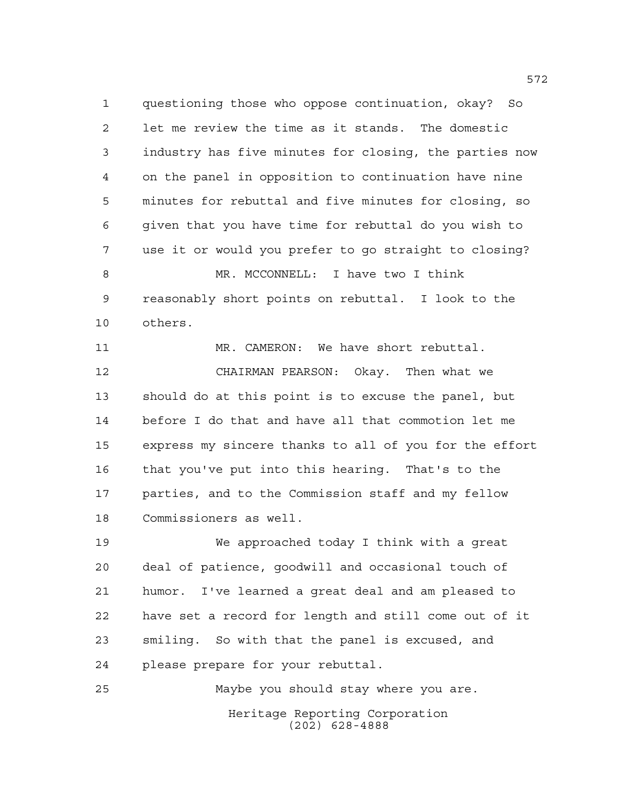questioning those who oppose continuation, okay? So let me review the time as it stands. The domestic industry has five minutes for closing, the parties now on the panel in opposition to continuation have nine minutes for rebuttal and five minutes for closing, so given that you have time for rebuttal do you wish to use it or would you prefer to go straight to closing? MR. MCCONNELL: I have two I think reasonably short points on rebuttal. I look to the others.

 MR. CAMERON: We have short rebuttal. CHAIRMAN PEARSON: Okay. Then what we should do at this point is to excuse the panel, but before I do that and have all that commotion let me express my sincere thanks to all of you for the effort that you've put into this hearing. That's to the parties, and to the Commission staff and my fellow Commissioners as well.

 We approached today I think with a great deal of patience, goodwill and occasional touch of humor. I've learned a great deal and am pleased to have set a record for length and still come out of it smiling. So with that the panel is excused, and please prepare for your rebuttal.

Heritage Reporting Corporation (202) 628-4888 Maybe you should stay where you are.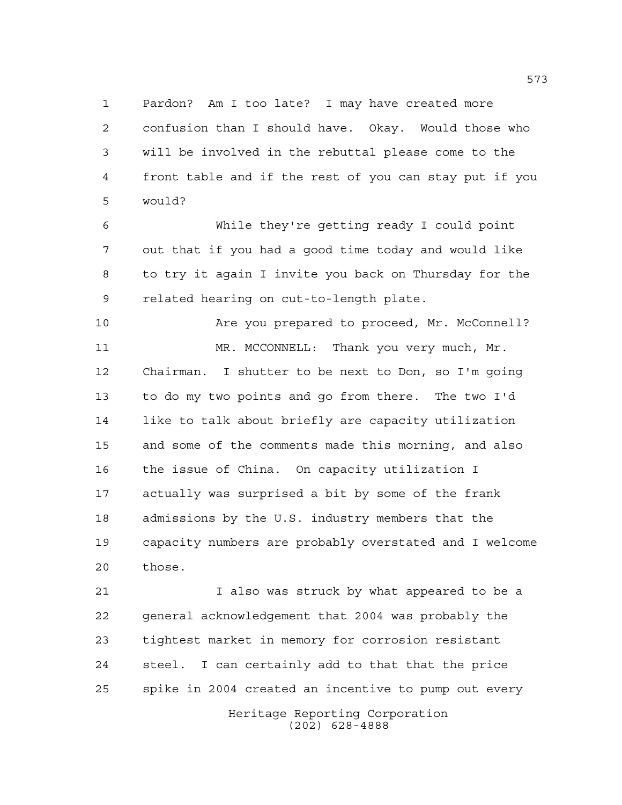Pardon? Am I too late? I may have created more confusion than I should have. Okay. Would those who will be involved in the rebuttal please come to the front table and if the rest of you can stay put if you would?

 While they're getting ready I could point out that if you had a good time today and would like to try it again I invite you back on Thursday for the related hearing on cut-to-length plate.

 Are you prepared to proceed, Mr. McConnell? MR. MCCONNELL: Thank you very much, Mr. Chairman. I shutter to be next to Don, so I'm going to do my two points and go from there. The two I'd like to talk about briefly are capacity utilization and some of the comments made this morning, and also the issue of China. On capacity utilization I actually was surprised a bit by some of the frank admissions by the U.S. industry members that the capacity numbers are probably overstated and I welcome those.

 I also was struck by what appeared to be a general acknowledgement that 2004 was probably the tightest market in memory for corrosion resistant steel. I can certainly add to that that the price spike in 2004 created an incentive to pump out every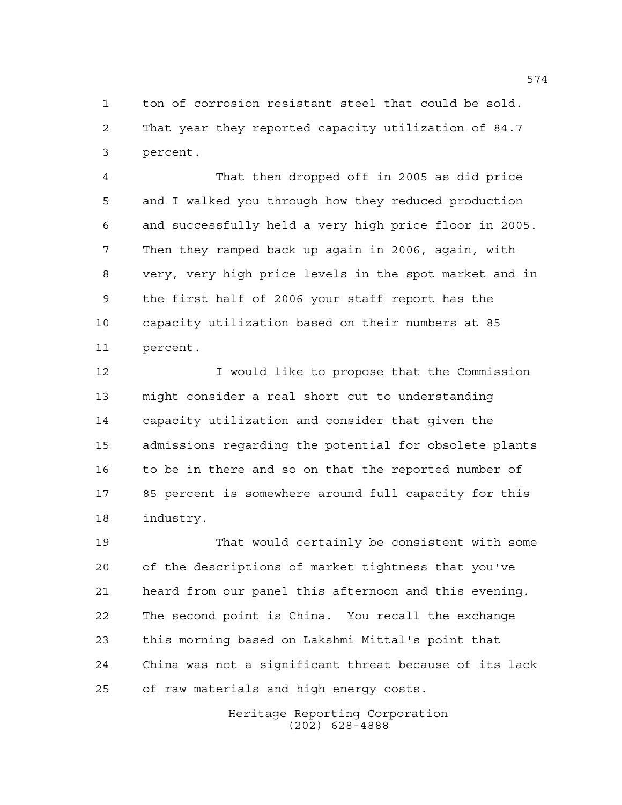ton of corrosion resistant steel that could be sold. That year they reported capacity utilization of 84.7 percent.

 That then dropped off in 2005 as did price and I walked you through how they reduced production and successfully held a very high price floor in 2005. Then they ramped back up again in 2006, again, with very, very high price levels in the spot market and in the first half of 2006 your staff report has the capacity utilization based on their numbers at 85 percent.

**I** would like to propose that the Commission might consider a real short cut to understanding capacity utilization and consider that given the admissions regarding the potential for obsolete plants to be in there and so on that the reported number of 85 percent is somewhere around full capacity for this industry.

 That would certainly be consistent with some of the descriptions of market tightness that you've heard from our panel this afternoon and this evening. The second point is China. You recall the exchange this morning based on Lakshmi Mittal's point that China was not a significant threat because of its lack of raw materials and high energy costs.

> Heritage Reporting Corporation (202) 628-4888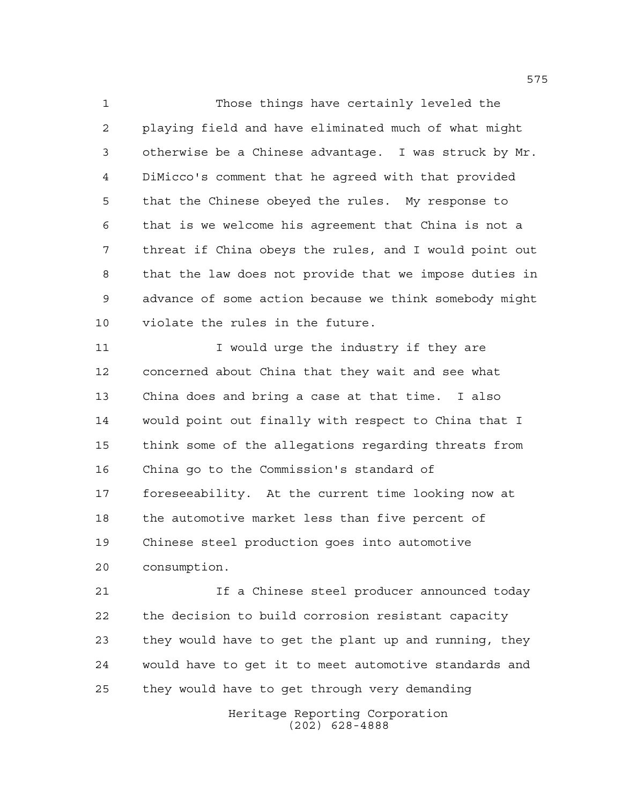Those things have certainly leveled the playing field and have eliminated much of what might otherwise be a Chinese advantage. I was struck by Mr. DiMicco's comment that he agreed with that provided that the Chinese obeyed the rules. My response to that is we welcome his agreement that China is not a threat if China obeys the rules, and I would point out that the law does not provide that we impose duties in advance of some action because we think somebody might violate the rules in the future.

11 I would urge the industry if they are concerned about China that they wait and see what China does and bring a case at that time. I also would point out finally with respect to China that I think some of the allegations regarding threats from China go to the Commission's standard of foreseeability. At the current time looking now at the automotive market less than five percent of Chinese steel production goes into automotive consumption.

 If a Chinese steel producer announced today the decision to build corrosion resistant capacity they would have to get the plant up and running, they would have to get it to meet automotive standards and they would have to get through very demanding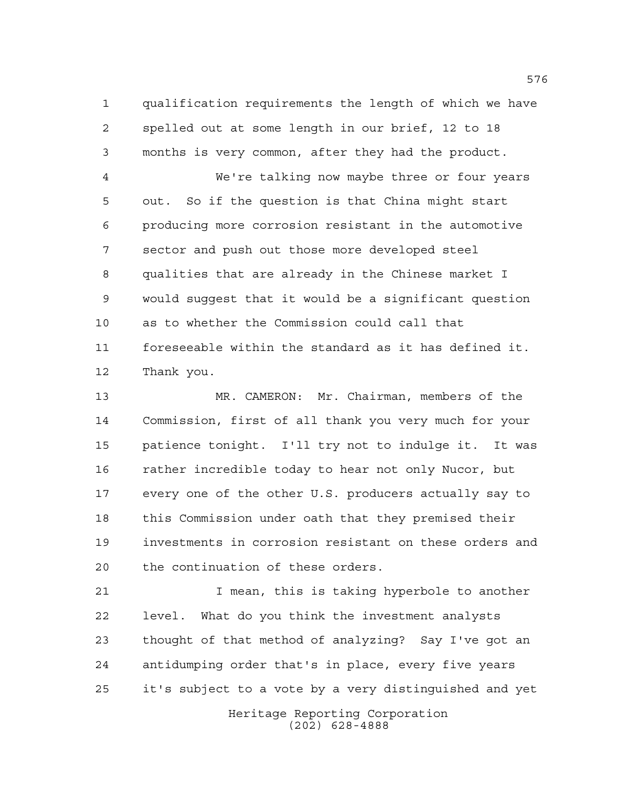qualification requirements the length of which we have spelled out at some length in our brief, 12 to 18 months is very common, after they had the product.

 We're talking now maybe three or four years out. So if the question is that China might start producing more corrosion resistant in the automotive sector and push out those more developed steel qualities that are already in the Chinese market I would suggest that it would be a significant question as to whether the Commission could call that foreseeable within the standard as it has defined it. Thank you.

 MR. CAMERON: Mr. Chairman, members of the Commission, first of all thank you very much for your patience tonight. I'll try not to indulge it. It was rather incredible today to hear not only Nucor, but every one of the other U.S. producers actually say to this Commission under oath that they premised their investments in corrosion resistant on these orders and the continuation of these orders.

 I mean, this is taking hyperbole to another level. What do you think the investment analysts thought of that method of analyzing? Say I've got an antidumping order that's in place, every five years it's subject to a vote by a very distinguished and yet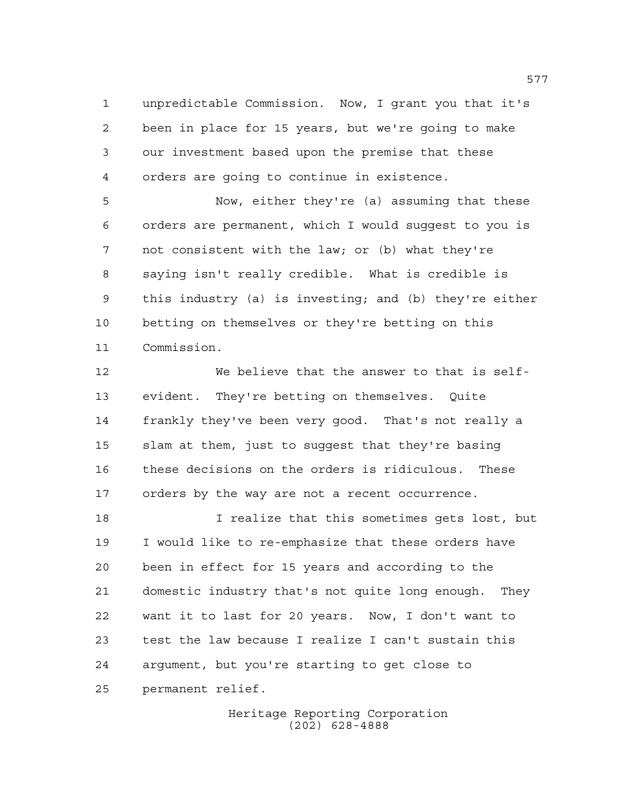unpredictable Commission. Now, I grant you that it's been in place for 15 years, but we're going to make our investment based upon the premise that these orders are going to continue in existence.

 Now, either they're (a) assuming that these orders are permanent, which I would suggest to you is not consistent with the law; or (b) what they're saying isn't really credible. What is credible is this industry (a) is investing; and (b) they're either betting on themselves or they're betting on this Commission.

 We believe that the answer to that is self- evident. They're betting on themselves. Quite frankly they've been very good. That's not really a slam at them, just to suggest that they're basing these decisions on the orders is ridiculous. These orders by the way are not a recent occurrence.

 I realize that this sometimes gets lost, but I would like to re-emphasize that these orders have been in effect for 15 years and according to the domestic industry that's not quite long enough. They want it to last for 20 years. Now, I don't want to test the law because I realize I can't sustain this argument, but you're starting to get close to permanent relief.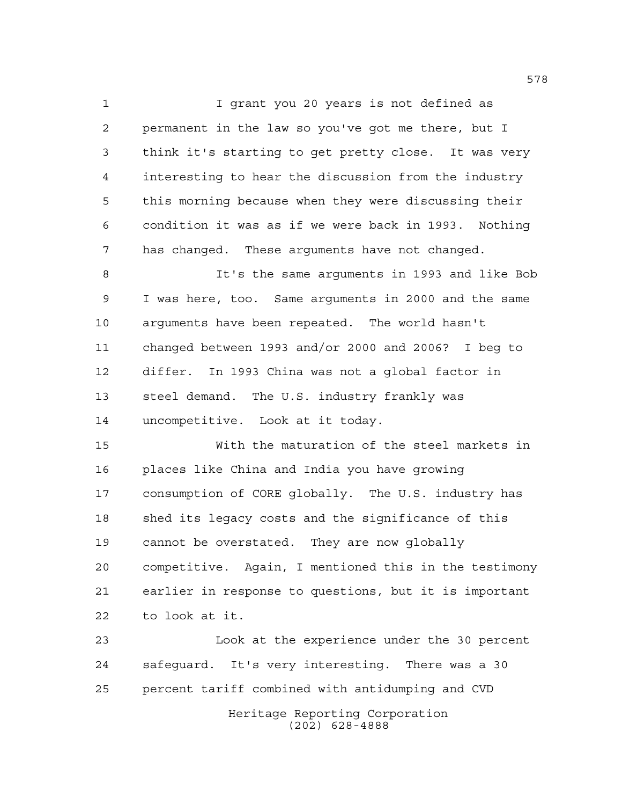I grant you 20 years is not defined as permanent in the law so you've got me there, but I think it's starting to get pretty close. It was very interesting to hear the discussion from the industry this morning because when they were discussing their condition it was as if we were back in 1993. Nothing has changed. These arguments have not changed.

 It's the same arguments in 1993 and like Bob I was here, too. Same arguments in 2000 and the same arguments have been repeated. The world hasn't changed between 1993 and/or 2000 and 2006? I beg to differ. In 1993 China was not a global factor in steel demand. The U.S. industry frankly was uncompetitive. Look at it today.

 With the maturation of the steel markets in places like China and India you have growing consumption of CORE globally. The U.S. industry has shed its legacy costs and the significance of this cannot be overstated. They are now globally competitive. Again, I mentioned this in the testimony earlier in response to questions, but it is important to look at it.

 Look at the experience under the 30 percent safeguard. It's very interesting. There was a 30 percent tariff combined with antidumping and CVD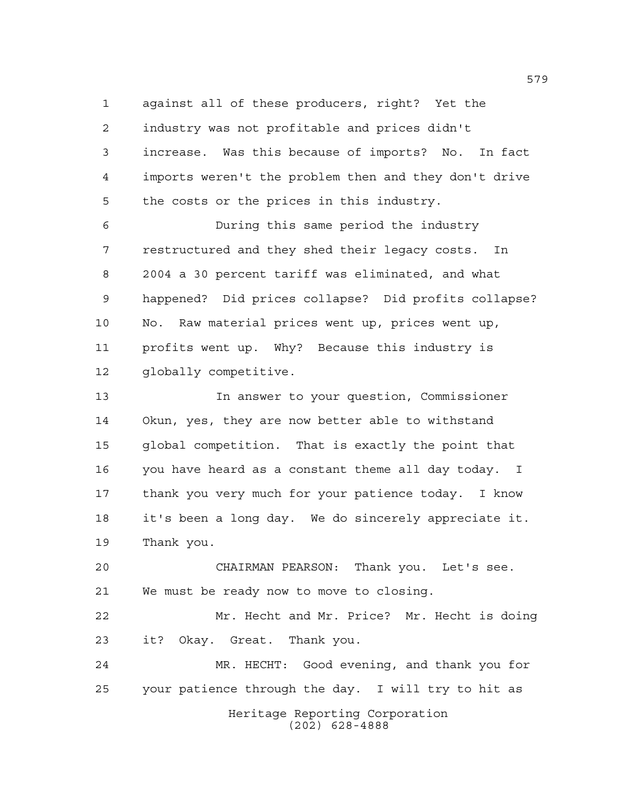against all of these producers, right? Yet the industry was not profitable and prices didn't increase. Was this because of imports? No. In fact imports weren't the problem then and they don't drive the costs or the prices in this industry.

 During this same period the industry restructured and they shed their legacy costs. In 2004 a 30 percent tariff was eliminated, and what happened? Did prices collapse? Did profits collapse? No. Raw material prices went up, prices went up, profits went up. Why? Because this industry is globally competitive.

 In answer to your question, Commissioner Okun, yes, they are now better able to withstand global competition. That is exactly the point that you have heard as a constant theme all day today. I thank you very much for your patience today. I know it's been a long day. We do sincerely appreciate it. Thank you.

 CHAIRMAN PEARSON: Thank you. Let's see. We must be ready now to move to closing.

 Mr. Hecht and Mr. Price? Mr. Hecht is doing it? Okay. Great. Thank you.

Heritage Reporting Corporation (202) 628-4888 MR. HECHT: Good evening, and thank you for your patience through the day. I will try to hit as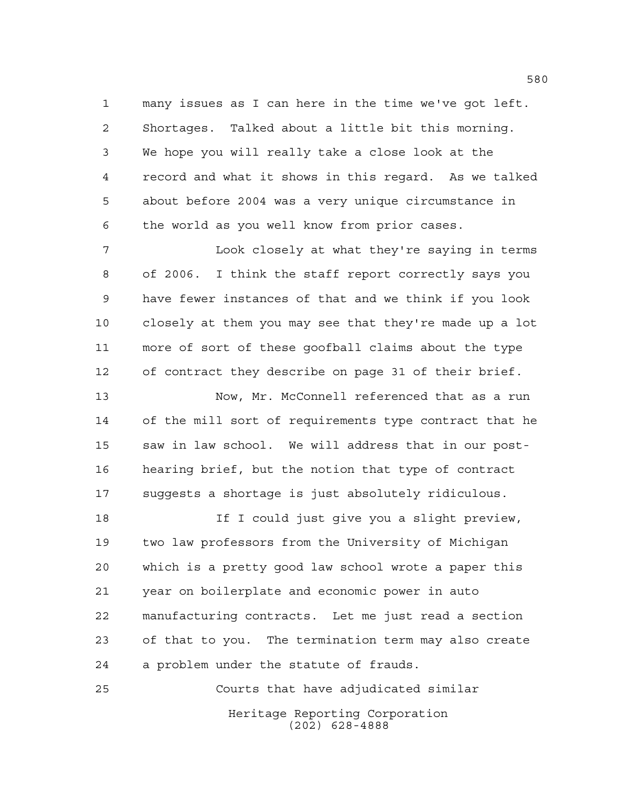many issues as I can here in the time we've got left. Shortages. Talked about a little bit this morning. We hope you will really take a close look at the record and what it shows in this regard. As we talked about before 2004 was a very unique circumstance in the world as you well know from prior cases.

 Look closely at what they're saying in terms of 2006. I think the staff report correctly says you have fewer instances of that and we think if you look closely at them you may see that they're made up a lot more of sort of these goofball claims about the type of contract they describe on page 31 of their brief.

 Now, Mr. McConnell referenced that as a run of the mill sort of requirements type contract that he saw in law school. We will address that in our post- hearing brief, but the notion that type of contract suggests a shortage is just absolutely ridiculous.

18 18 If I could just give you a slight preview, two law professors from the University of Michigan which is a pretty good law school wrote a paper this year on boilerplate and economic power in auto manufacturing contracts. Let me just read a section of that to you. The termination term may also create a problem under the statute of frauds.

Heritage Reporting Corporation (202) 628-4888 Courts that have adjudicated similar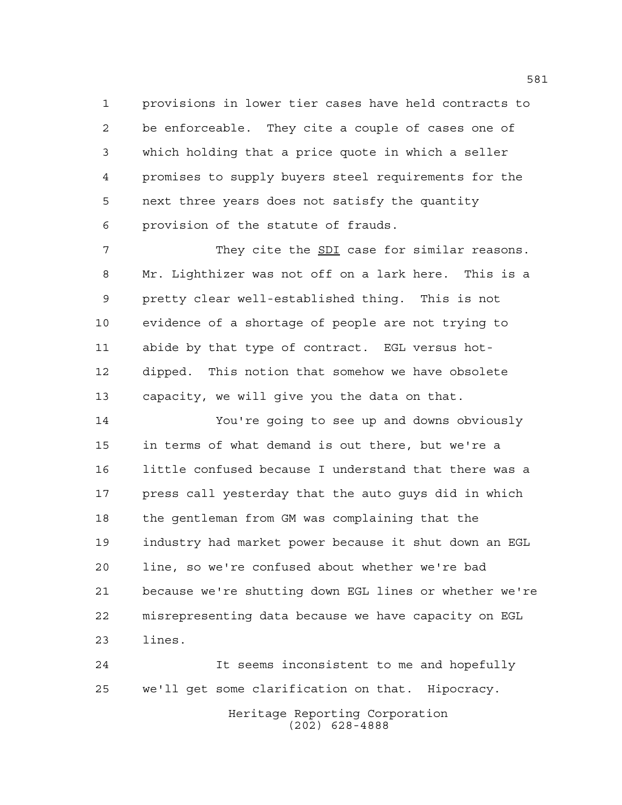provisions in lower tier cases have held contracts to be enforceable. They cite a couple of cases one of which holding that a price quote in which a seller promises to supply buyers steel requirements for the next three years does not satisfy the quantity provision of the statute of frauds.

 They cite the SDI case for similar reasons. Mr. Lighthizer was not off on a lark here. This is a pretty clear well-established thing. This is not evidence of a shortage of people are not trying to abide by that type of contract. EGL versus hot- dipped. This notion that somehow we have obsolete capacity, we will give you the data on that.

 You're going to see up and downs obviously in terms of what demand is out there, but we're a little confused because I understand that there was a press call yesterday that the auto guys did in which the gentleman from GM was complaining that the industry had market power because it shut down an EGL line, so we're confused about whether we're bad because we're shutting down EGL lines or whether we're misrepresenting data because we have capacity on EGL lines.

 It seems inconsistent to me and hopefully we'll get some clarification on that. Hipocracy.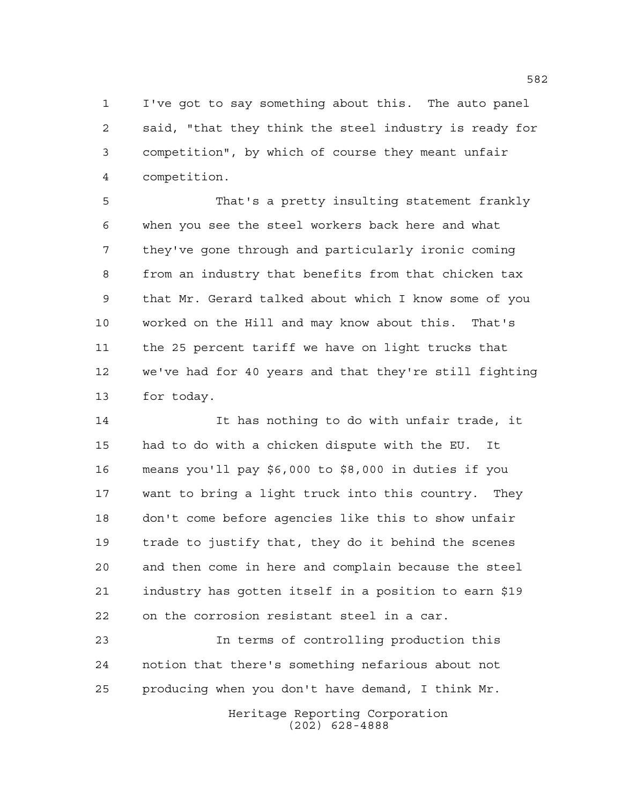I've got to say something about this. The auto panel said, "that they think the steel industry is ready for competition", by which of course they meant unfair competition.

 That's a pretty insulting statement frankly when you see the steel workers back here and what they've gone through and particularly ironic coming from an industry that benefits from that chicken tax that Mr. Gerard talked about which I know some of you worked on the Hill and may know about this. That's the 25 percent tariff we have on light trucks that we've had for 40 years and that they're still fighting for today.

 It has nothing to do with unfair trade, it had to do with a chicken dispute with the EU. It means you'll pay \$6,000 to \$8,000 in duties if you want to bring a light truck into this country. They don't come before agencies like this to show unfair trade to justify that, they do it behind the scenes and then come in here and complain because the steel industry has gotten itself in a position to earn \$19 on the corrosion resistant steel in a car.

 In terms of controlling production this notion that there's something nefarious about not producing when you don't have demand, I think Mr.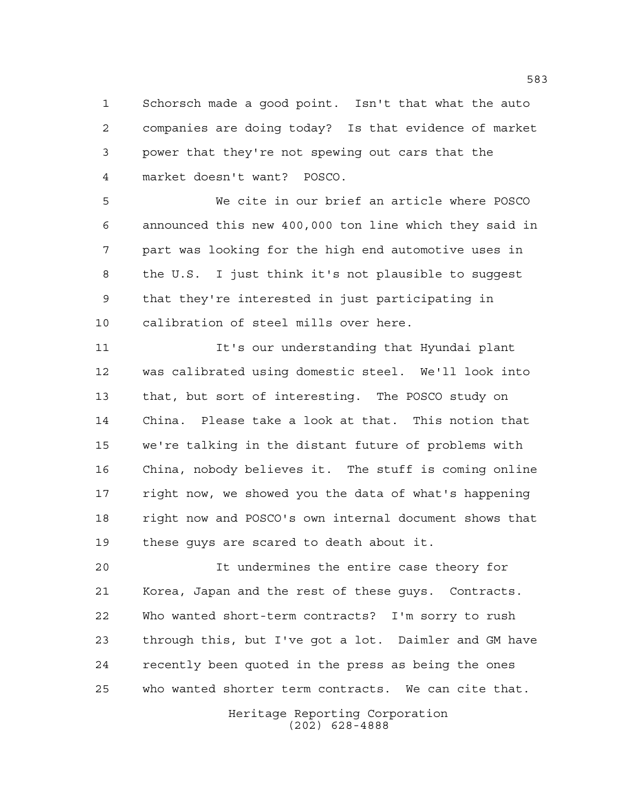Schorsch made a good point. Isn't that what the auto companies are doing today? Is that evidence of market power that they're not spewing out cars that the market doesn't want? POSCO.

 We cite in our brief an article where POSCO announced this new 400,000 ton line which they said in part was looking for the high end automotive uses in the U.S. I just think it's not plausible to suggest that they're interested in just participating in calibration of steel mills over here.

 It's our understanding that Hyundai plant was calibrated using domestic steel. We'll look into that, but sort of interesting. The POSCO study on China. Please take a look at that. This notion that we're talking in the distant future of problems with China, nobody believes it. The stuff is coming online right now, we showed you the data of what's happening right now and POSCO's own internal document shows that these guys are scared to death about it.

 It undermines the entire case theory for Korea, Japan and the rest of these guys. Contracts. Who wanted short-term contracts? I'm sorry to rush through this, but I've got a lot. Daimler and GM have recently been quoted in the press as being the ones who wanted shorter term contracts. We can cite that.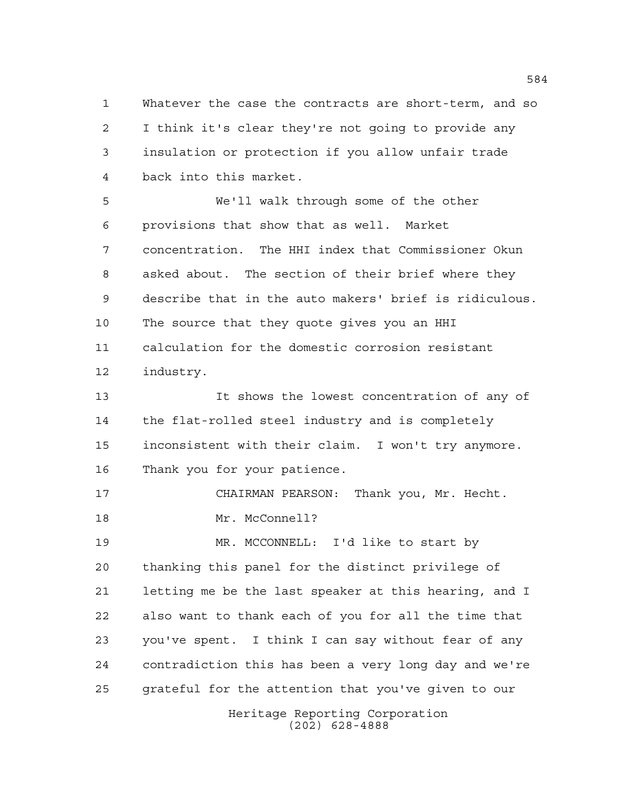Whatever the case the contracts are short-term, and so I think it's clear they're not going to provide any insulation or protection if you allow unfair trade back into this market.

 We'll walk through some of the other provisions that show that as well. Market concentration. The HHI index that Commissioner Okun asked about. The section of their brief where they describe that in the auto makers' brief is ridiculous. The source that they quote gives you an HHI calculation for the domestic corrosion resistant industry.

 It shows the lowest concentration of any of the flat-rolled steel industry and is completely inconsistent with their claim. I won't try anymore. Thank you for your patience.

 CHAIRMAN PEARSON: Thank you, Mr. Hecht. Mr. McConnell?

 MR. MCCONNELL: I'd like to start by thanking this panel for the distinct privilege of letting me be the last speaker at this hearing, and I also want to thank each of you for all the time that you've spent. I think I can say without fear of any contradiction this has been a very long day and we're grateful for the attention that you've given to our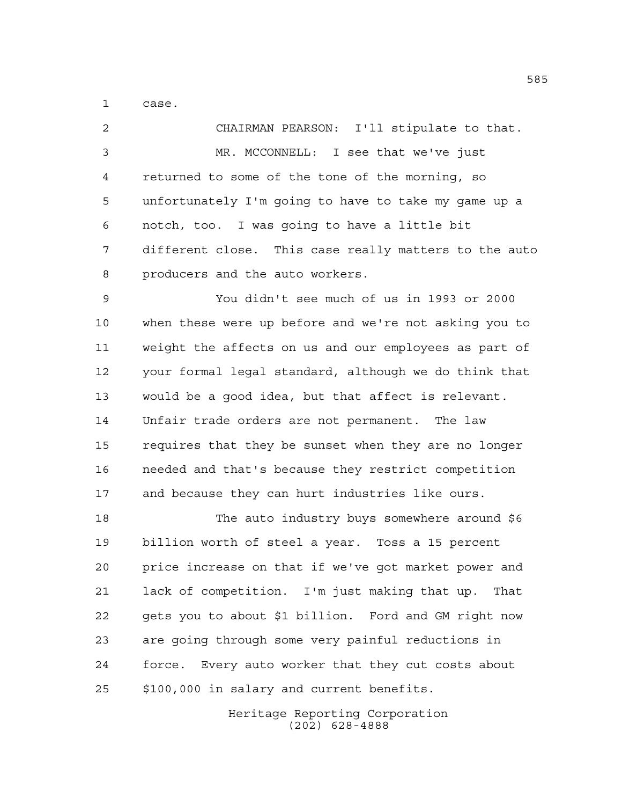case.

 CHAIRMAN PEARSON: I'll stipulate to that. MR. MCCONNELL: I see that we've just returned to some of the tone of the morning, so unfortunately I'm going to have to take my game up a notch, too. I was going to have a little bit different close. This case really matters to the auto producers and the auto workers.

 You didn't see much of us in 1993 or 2000 when these were up before and we're not asking you to weight the affects on us and our employees as part of your formal legal standard, although we do think that would be a good idea, but that affect is relevant. Unfair trade orders are not permanent. The law requires that they be sunset when they are no longer needed and that's because they restrict competition and because they can hurt industries like ours.

 The auto industry buys somewhere around \$6 billion worth of steel a year. Toss a 15 percent price increase on that if we've got market power and lack of competition. I'm just making that up. That gets you to about \$1 billion. Ford and GM right now are going through some very painful reductions in force. Every auto worker that they cut costs about \$100,000 in salary and current benefits.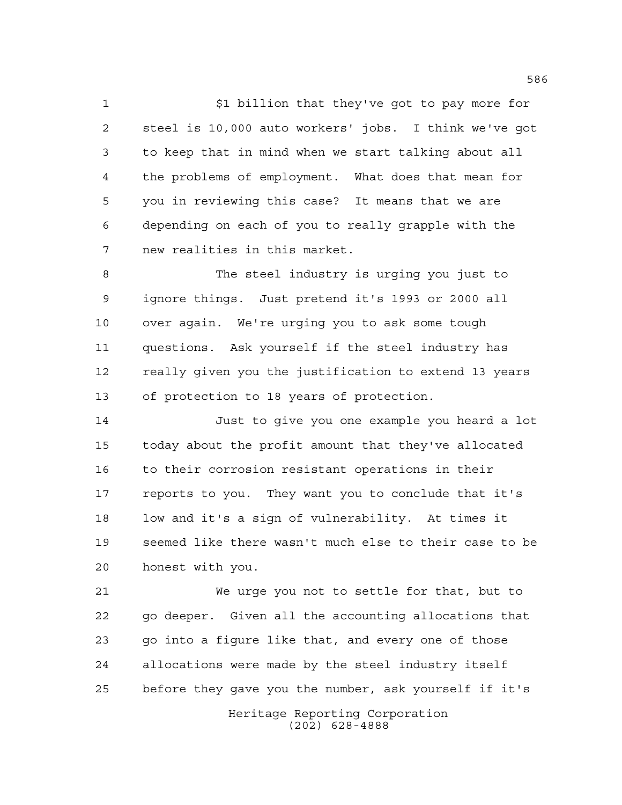$\sharp$ 1 billion that they've got to pay more for steel is 10,000 auto workers' jobs. I think we've got to keep that in mind when we start talking about all the problems of employment. What does that mean for you in reviewing this case? It means that we are depending on each of you to really grapple with the new realities in this market.

 The steel industry is urging you just to ignore things. Just pretend it's 1993 or 2000 all over again. We're urging you to ask some tough questions. Ask yourself if the steel industry has really given you the justification to extend 13 years of protection to 18 years of protection.

 Just to give you one example you heard a lot today about the profit amount that they've allocated to their corrosion resistant operations in their reports to you. They want you to conclude that it's low and it's a sign of vulnerability. At times it seemed like there wasn't much else to their case to be honest with you.

 We urge you not to settle for that, but to go deeper. Given all the accounting allocations that go into a figure like that, and every one of those allocations were made by the steel industry itself before they gave you the number, ask yourself if it's

> Heritage Reporting Corporation (202) 628-4888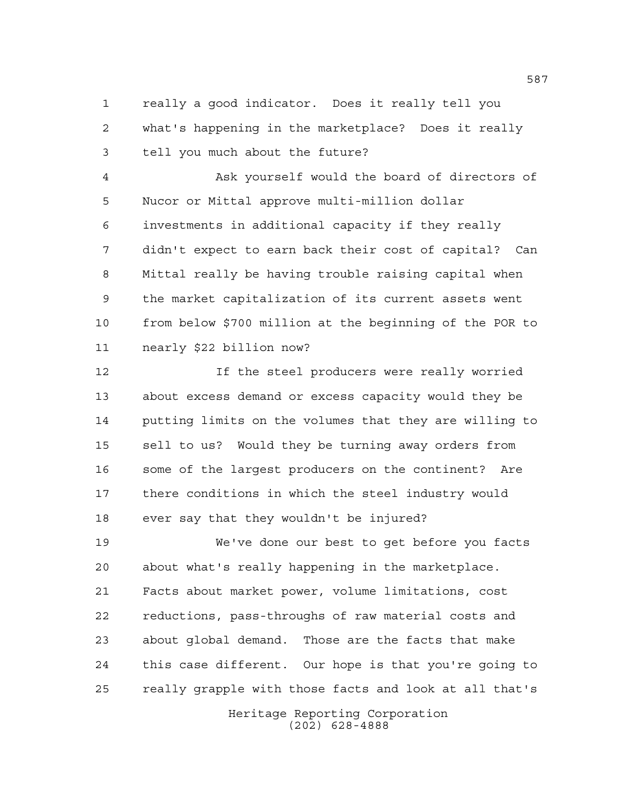really a good indicator. Does it really tell you what's happening in the marketplace? Does it really tell you much about the future?

 Ask yourself would the board of directors of Nucor or Mittal approve multi-million dollar investments in additional capacity if they really didn't expect to earn back their cost of capital? Can Mittal really be having trouble raising capital when the market capitalization of its current assets went from below \$700 million at the beginning of the POR to nearly \$22 billion now?

 If the steel producers were really worried about excess demand or excess capacity would they be putting limits on the volumes that they are willing to sell to us? Would they be turning away orders from some of the largest producers on the continent? Are there conditions in which the steel industry would ever say that they wouldn't be injured?

 We've done our best to get before you facts about what's really happening in the marketplace. Facts about market power, volume limitations, cost reductions, pass-throughs of raw material costs and about global demand. Those are the facts that make this case different. Our hope is that you're going to really grapple with those facts and look at all that's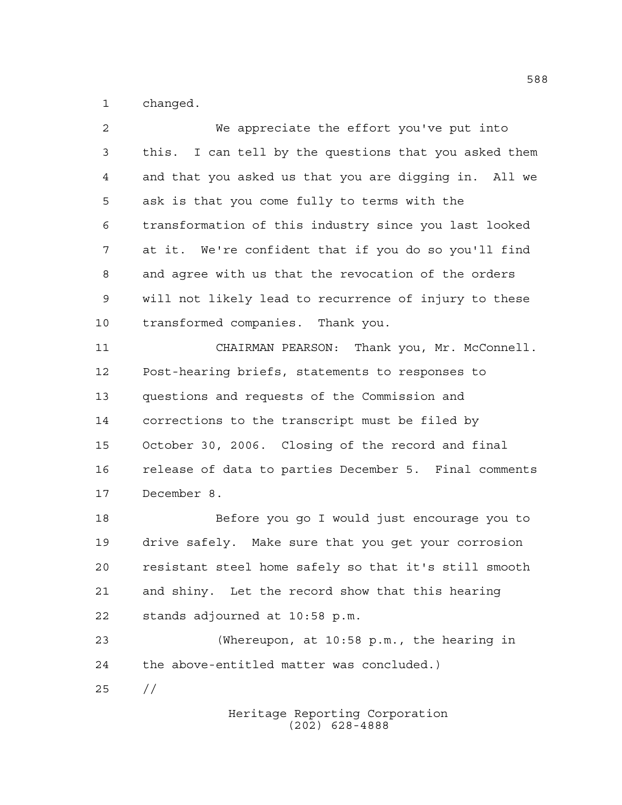changed.

| $\overline{a}$ | We appreciate the effort you've put into              |
|----------------|-------------------------------------------------------|
| 3              | this. I can tell by the questions that you asked them |
| 4              | and that you asked us that you are digging in. All we |
| 5              | ask is that you come fully to terms with the          |
| 6              | transformation of this industry since you last looked |
| 7              | at it. We're confident that if you do so you'll find  |
| 8              | and agree with us that the revocation of the orders   |
| 9              | will not likely lead to recurrence of injury to these |
| 10             | transformed companies. Thank you.                     |
| 11             | CHAIRMAN PEARSON: Thank you, Mr. McConnell.           |
| 12             | Post-hearing briefs, statements to responses to       |
| 13             | questions and requests of the Commission and          |
| 14             | corrections to the transcript must be filed by        |
| 15             | October 30, 2006. Closing of the record and final     |
| 16             | release of data to parties December 5. Final comments |
| 17             | December 8.                                           |
| 18             | Before you go I would just encourage you to           |
| 19             | drive safely. Make sure that you get your corrosion   |
| 20             | resistant steel home safely so that it's still smooth |
| 21             | and shiny. Let the record show that this hearing      |
| 22             | stands adjourned at 10:58 p.m.                        |
| 23             | (Whereupon, at 10:58 p.m., the hearing in             |
| 24             | the above-entitled matter was concluded.)             |
| 25             | $\frac{1}{2}$                                         |
|                |                                                       |